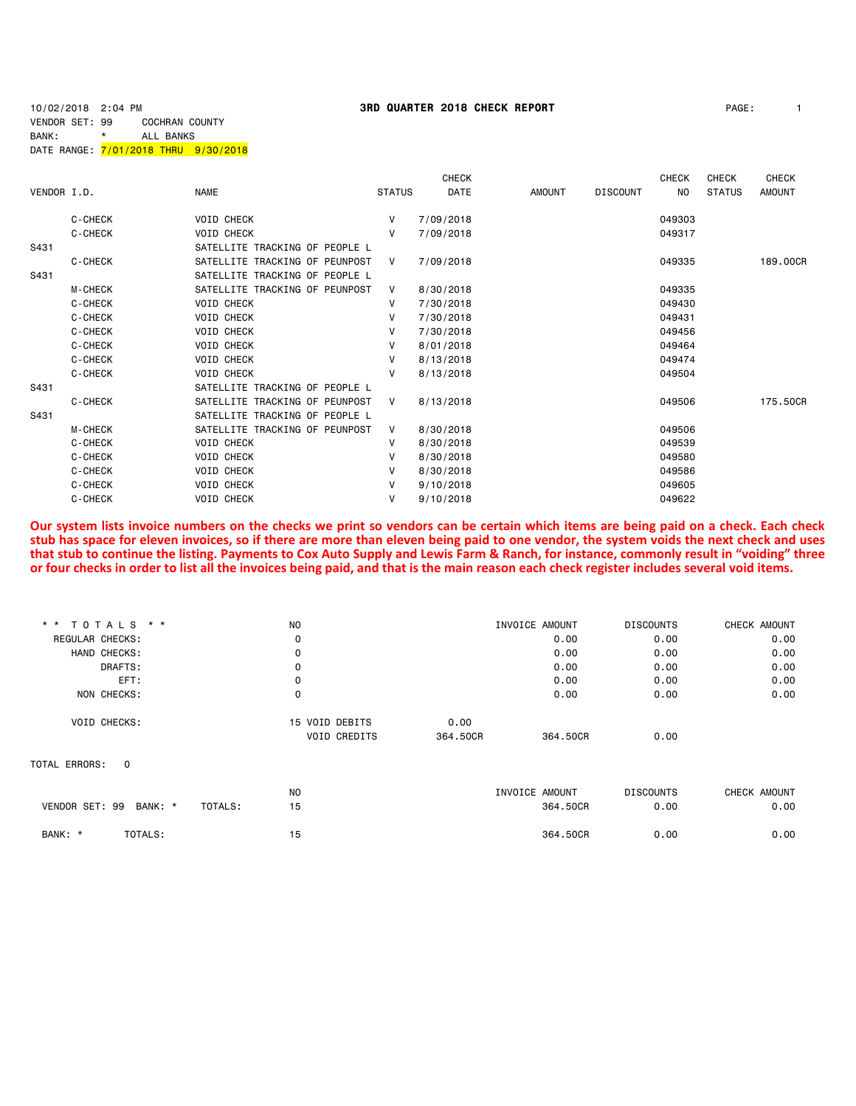# VENDOR SET: 99 COCHRAN COUNTY BANK: \* ALL BANKS DATE RANGE: 7/01/2018 THRU 9/30/2018

|             |                |                                |               | <b>CHECK</b> |               |                 | <b>CHECK</b>   | <b>CHECK</b>  | <b>CHECK</b>  |
|-------------|----------------|--------------------------------|---------------|--------------|---------------|-----------------|----------------|---------------|---------------|
| VENDOR I.D. |                | <b>NAME</b>                    | <b>STATUS</b> | DATE         | <b>AMOUNT</b> | <b>DISCOUNT</b> | N <sub>O</sub> | <b>STATUS</b> | <b>AMOUNT</b> |
|             | C-CHECK        | <b>VOID CHECK</b>              | V             | 7/09/2018    |               |                 | 049303         |               |               |
|             | <b>C-CHECK</b> | <b>VOID CHECK</b>              | v             | 7/09/2018    |               |                 | 049317         |               |               |
| S431        |                | SATELLITE TRACKING OF PEOPLE L |               |              |               |                 |                |               |               |
|             | C-CHECK        | SATELLITE TRACKING OF PEUNPOST | V             | 7/09/2018    |               |                 | 049335         |               | 189,00CR      |
| S431        |                | SATELLITE TRACKING OF PEOPLE L |               |              |               |                 |                |               |               |
|             | <b>M-CHECK</b> | SATELLITE TRACKING OF PEUNPOST | V             | 8/30/2018    |               |                 | 049335         |               |               |
|             | <b>C-CHECK</b> | <b>VOID CHECK</b>              | V             | 7/30/2018    |               |                 | 049430         |               |               |
|             | <b>C-CHECK</b> | <b>VOID CHECK</b>              | v             | 7/30/2018    |               |                 | 049431         |               |               |
|             | C-CHECK        | <b>VOID CHECK</b>              | v             | 7/30/2018    |               |                 | 049456         |               |               |
|             | C-CHECK        | <b>VOID CHECK</b>              | v             | 8/01/2018    |               |                 | 049464         |               |               |
|             | C-CHECK        | <b>VOID CHECK</b>              | v             | 8/13/2018    |               |                 | 049474         |               |               |
|             | <b>C-CHECK</b> | <b>VOID CHECK</b>              | v             | 8/13/2018    |               |                 | 049504         |               |               |
| S431        |                | SATELLITE TRACKING OF PEOPLE L |               |              |               |                 |                |               |               |
|             | C-CHECK        | SATELLITE TRACKING OF PEUNPOST | V             | 8/13/2018    |               |                 | 049506         |               | 175,50CR      |
| S431        |                | SATELLITE TRACKING OF PEOPLE L |               |              |               |                 |                |               |               |
|             | <b>M-CHECK</b> | SATELLITE TRACKING OF PEUNPOST | V             | 8/30/2018    |               |                 | 049506         |               |               |
|             | <b>C-CHECK</b> | <b>VOID CHECK</b>              | v             | 8/30/2018    |               |                 | 049539         |               |               |
|             | C-CHECK        | <b>VOID CHECK</b>              | v             | 8/30/2018    |               |                 | 049580         |               |               |
|             | C-CHECK        | <b>VOID CHECK</b>              | v             | 8/30/2018    |               |                 | 049586         |               |               |
|             | C-CHECK        | <b>VOID CHECK</b>              | V             | 9/10/2018    |               |                 | 049605         |               |               |
|             | C-CHECK        | <b>VOID CHECK</b>              | V             | 9/10/2018    |               |                 | 049622         |               |               |
|             |                |                                |               |              |               |                 |                |               |               |

**Our system lists invoice numbers on the checks we print so vendors can be certain which items are being paid on a check. Each check stub has space for eleven invoices, so if there are more than eleven being paid to one vendor, the system voids the next check and uses that stub to continue the listing. Payments to Cox Auto Supply and Lewis Farm & Ranch, for instance, commonly result in "voiding" three or four checks in order to list all the invoices being paid, and that is the main reason each check register includes several void items.**

| * * TOTALS * *      |          | <b>NO</b>     |                |          | INVOICE AMOUNT | <b>DISCOUNTS</b> | CHECK AMOUNT |
|---------------------|----------|---------------|----------------|----------|----------------|------------------|--------------|
| REGULAR CHECKS:     |          | 0             |                |          | 0.00           | 0.00             | 0.00         |
| HAND CHECKS:        |          | 0             |                |          | 0.00           | 0.00             | 0.00         |
|                     | DRAFTS:  | 0             |                |          | 0.00           | 0.00             | 0.00         |
|                     | EFT:     | $\mathbf{0}$  |                |          | 0.00           | 0.00             | 0.00         |
| NON CHECKS:         |          | 0             |                |          | 0.00           | 0.00             | 0.00         |
| <b>VOID CHECKS:</b> |          |               | 15 VOID DEBITS | 0.00     |                |                  |              |
|                     |          |               | VOID CREDITS   | 364,50CR | 364,50CR       | 0.00             |              |
| TOTAL ERRORS:       | $\Omega$ |               |                |          |                |                  |              |
|                     |          | <b>NO</b>     |                |          | INVOICE AMOUNT | <b>DISCOUNTS</b> | CHECK AMOUNT |
| VENDOR SET: 99      | BANK: *  | 15<br>TOTALS: |                |          | 364.50CR       | 0.00             | 0.00         |
| BANK: *             | TOTALS:  | 15            |                |          | 364.50CR       | 0.00             | 0.00         |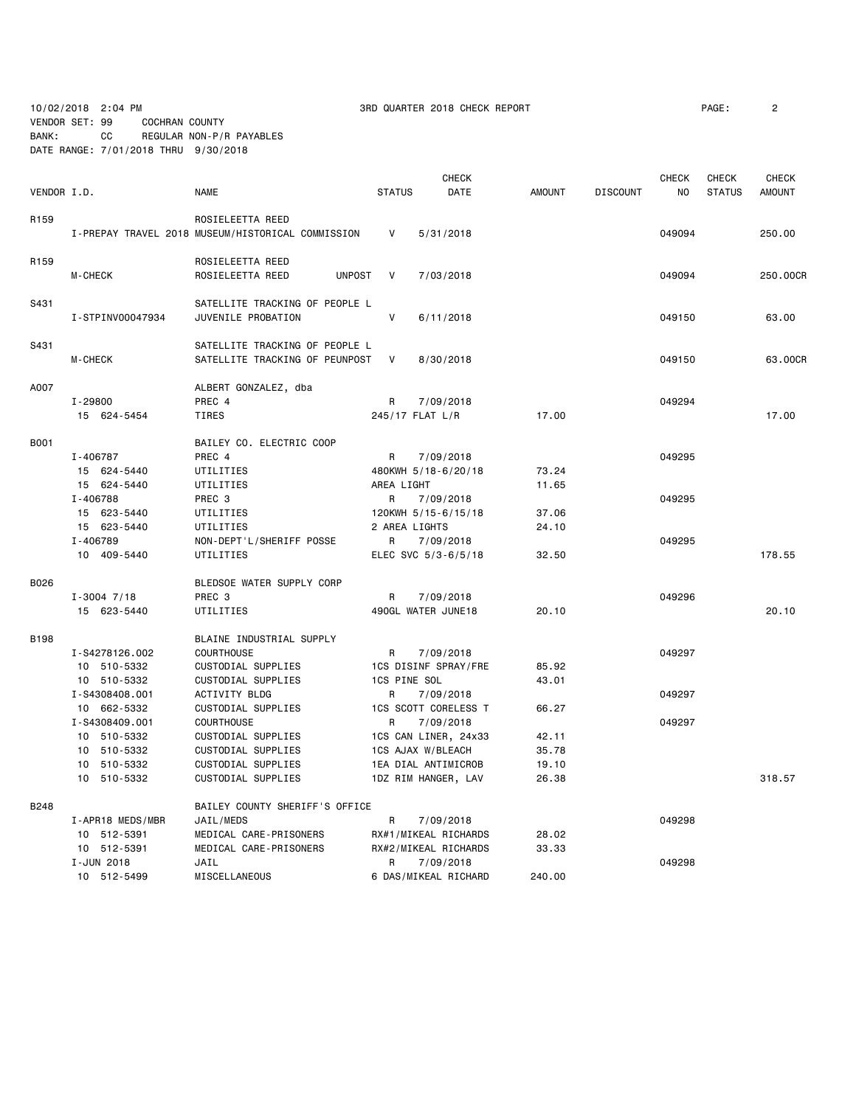10/02/2018 2:04 PM  $\blacksquare$  3RD QUARTER 2018 CHECK REPORT  $\blacksquare$  PAGE: 2

VENDOR SET: 99 COCHRAN COUNTY BANK: CC REGULAR NON-P/R PAYABLES DATE RANGE: 7/01/2018 THRU 9/30/2018

|                  |                   |                                                   |               | CHECK                |               |                 | CHECK  | CHECK         | <b>CHECK</b>  |
|------------------|-------------------|---------------------------------------------------|---------------|----------------------|---------------|-----------------|--------|---------------|---------------|
| VENDOR I.D.      |                   | <b>NAME</b>                                       | <b>STATUS</b> | DATE                 | <b>AMOUNT</b> | <b>DISCOUNT</b> | NO     | <b>STATUS</b> | <b>AMOUNT</b> |
|                  |                   |                                                   |               |                      |               |                 |        |               |               |
| R <sub>159</sub> |                   | ROSIELEETTA REED                                  |               |                      |               |                 |        |               |               |
|                  |                   | I-PREPAY TRAVEL 2018 MUSEUM/HISTORICAL COMMISSION | V             | 5/31/2018            |               |                 | 049094 |               | 250.00        |
| R159             |                   | ROSIELEETTA REED                                  |               |                      |               |                 |        |               |               |
|                  | <b>M-CHECK</b>    | ROSIELEETTA REED<br><b>UNPOST</b>                 | V             | 7/03/2018            |               |                 | 049094 |               | 250.00CR      |
| S431             |                   | SATELLITE TRACKING OF PEOPLE L                    |               |                      |               |                 |        |               |               |
|                  | I-STPINV00047934  | JUVENILE PROBATION                                | $\mathsf{V}$  | 6/11/2018            |               |                 | 049150 |               | 63.00         |
|                  |                   |                                                   |               |                      |               |                 |        |               |               |
| S431             |                   | SATELLITE TRACKING OF PEOPLE L                    |               |                      |               |                 |        |               |               |
|                  | M-CHECK           | SATELLITE TRACKING OF PEUNPOST                    | V             | 8/30/2018            |               |                 | 049150 |               | 63.00CR       |
| A007             |                   | ALBERT GONZALEZ, dba                              |               |                      |               |                 |        |               |               |
|                  | $I - 29800$       | PREC 4                                            | R             | 7/09/2018            |               |                 | 049294 |               |               |
|                  | 15 624-5454       | TIRES                                             |               | 245/17 FLAT L/R      | 17.00         |                 |        |               | 17.00         |
| B001             |                   | BAILEY CO. ELECTRIC COOP                          |               |                      |               |                 |        |               |               |
|                  | I-406787          | PREC 4                                            | R             | 7/09/2018            |               |                 | 049295 |               |               |
|                  | 15 624-5440       | UTILITIES                                         |               | 480KWH 5/18-6/20/18  | 73.24         |                 |        |               |               |
|                  | 15 624-5440       | UTILITIES                                         | AREA LIGHT    |                      | 11.65         |                 |        |               |               |
|                  | I-406788          | PREC 3                                            | R             | 7/09/2018            |               |                 | 049295 |               |               |
|                  | 15 623-5440       | UTILITIES                                         |               | 120KWH 5/15-6/15/18  | 37.06         |                 |        |               |               |
|                  | 15 623-5440       | UTILITIES                                         | 2 AREA LIGHTS |                      | 24.10         |                 |        |               |               |
|                  | I-406789          | NON-DEPT'L/SHERIFF POSSE                          | R             | 7/09/2018            |               |                 | 049295 |               |               |
|                  | 10 409-5440       | UTILITIES                                         |               | ELEC SVC 5/3-6/5/18  | 32.50         |                 |        |               | 178.55        |
|                  |                   |                                                   |               |                      |               |                 |        |               |               |
| B026             |                   | BLEDSOE WATER SUPPLY CORP                         |               |                      |               |                 |        |               |               |
|                  | $I - 3004$ $7/18$ | PREC <sub>3</sub>                                 | R             | 7/09/2018            |               |                 | 049296 |               |               |
|                  | 15 623-5440       | UTILITIES                                         |               | 490GL WATER JUNE18   | 20.10         |                 |        |               | 20.10         |
| B198             |                   | BLAINE INDUSTRIAL SUPPLY                          |               |                      |               |                 |        |               |               |
|                  | I-S4278126.002    | COURTHOUSE                                        | R             | 7/09/2018            |               |                 | 049297 |               |               |
|                  | 10 510-5332       | CUSTODIAL SUPPLIES                                |               | 1CS DISINF SPRAY/FRE | 85.92         |                 |        |               |               |
|                  | 10 510-5332       | CUSTODIAL SUPPLIES                                | 1CS PINE SOL  |                      | 43.01         |                 |        |               |               |
|                  | I-S4308408.001    | ACTIVITY BLDG                                     | R             | 7/09/2018            |               |                 | 049297 |               |               |
|                  | 10 662-5332       | CUSTODIAL SUPPLIES                                |               | 1CS SCOTT CORELESS T | 66.27         |                 |        |               |               |
|                  | I-S4308409.001    | <b>COURTHOUSE</b>                                 | R             | 7/09/2018            |               |                 | 049297 |               |               |
|                  | 10 510-5332       | CUSTODIAL SUPPLIES                                |               | 1CS CAN LINER, 24x33 | 42.11         |                 |        |               |               |
|                  | 10 510-5332       | CUSTODIAL SUPPLIES                                |               | 1CS AJAX W/BLEACH    | 35.78         |                 |        |               |               |
|                  | 10 510-5332       | CUSTODIAL SUPPLIES                                |               | 1EA DIAL ANTIMICROB  | 19.10         |                 |        |               |               |
|                  | 10 510-5332       | CUSTODIAL SUPPLIES                                |               | 1DZ RIM HANGER, LAV  | 26.38         |                 |        |               | 318.57        |
| <b>B248</b>      |                   | BAILEY COUNTY SHERIFF'S OFFICE                    |               |                      |               |                 |        |               |               |
|                  | I-APR18 MEDS/MBR  | JAIL/MEDS                                         | R             | 7/09/2018            |               |                 | 049298 |               |               |
|                  | 10 512-5391       | MEDICAL CARE-PRISONERS                            |               | RX#1/MIKEAL RICHARDS | 28.02         |                 |        |               |               |
|                  | 10 512-5391       | MEDICAL CARE-PRISONERS                            |               | RX#2/MIKEAL RICHARDS | 33.33         |                 |        |               |               |
|                  | I-JUN 2018        | JAIL                                              | R             | 7/09/2018            |               |                 | 049298 |               |               |
|                  | 10 512-5499       | MISCELLANEOUS                                     |               | 6 DAS/MIKEAL RICHARD | 240.00        |                 |        |               |               |
|                  |                   |                                                   |               |                      |               |                 |        |               |               |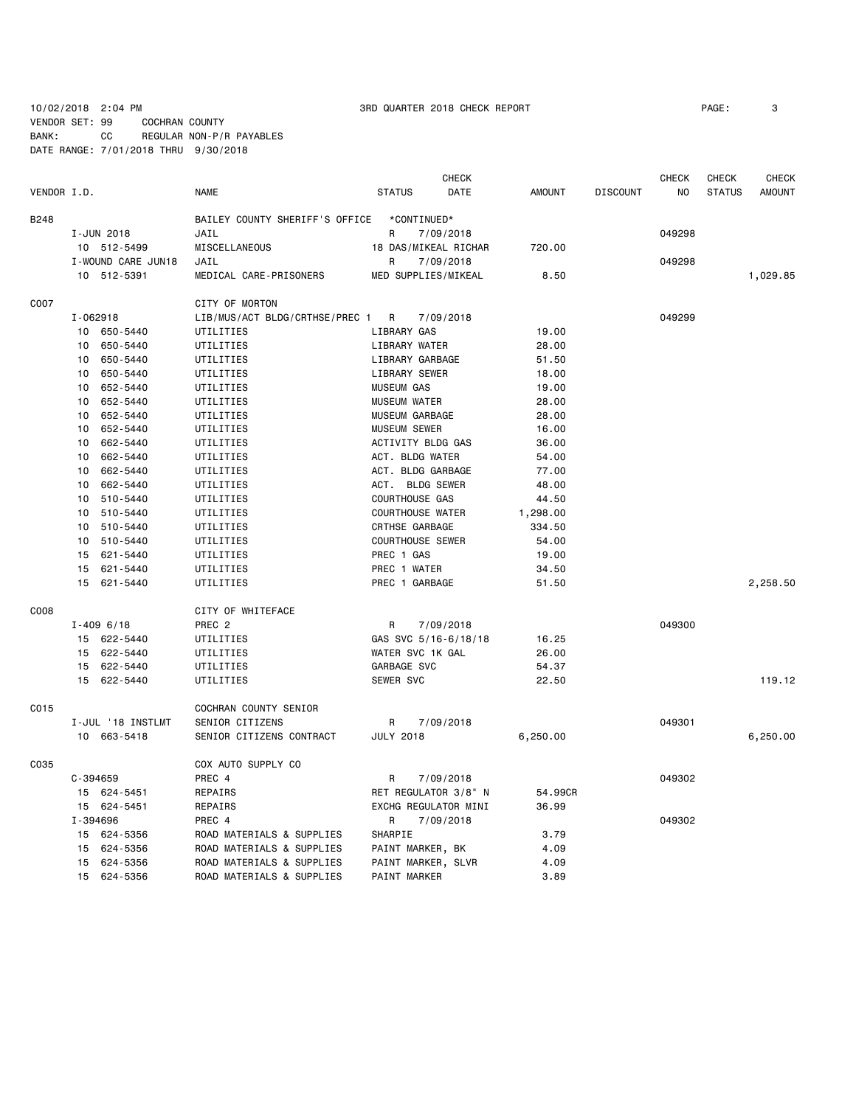VENDOR SET: 99 COCHRAN COUNTY

10/02/2018 2:04 PM 3RD QUARTER 2018 CHECK REPORT PAGE: 3

BANK: CC REGULAR NON-P/R PAYABLES

|  |  |  |  | DATE RANGE: 7/01/2018 THRU 9/30/2018 |  |
|--|--|--|--|--------------------------------------|--|
|--|--|--|--|--------------------------------------|--|

|             |              |                    |                                |                         | <b>CHECK</b> |               |                 | <b>CHECK</b>   | CHECK         | <b>CHECK</b>  |
|-------------|--------------|--------------------|--------------------------------|-------------------------|--------------|---------------|-----------------|----------------|---------------|---------------|
| VENDOR I.D. |              |                    | <b>NAME</b>                    | <b>STATUS</b>           | DATE         | <b>AMOUNT</b> | <b>DISCOUNT</b> | N <sub>0</sub> | <b>STATUS</b> | <b>AMOUNT</b> |
| <b>B248</b> |              |                    | BAILEY COUNTY SHERIFF'S OFFICE | *CONTINUED*             |              |               |                 |                |               |               |
|             |              | I-JUN 2018         | JAIL                           | R                       | 7/09/2018    |               |                 | 049298         |               |               |
|             |              | 10 512-5499        | <b>MISCELLANEOUS</b>           | 18 DAS/MIKEAL RICHAR    |              | 720.00        |                 |                |               |               |
|             |              | I-WOUND CARE JUN18 | JAIL                           | R                       | 7/09/2018    |               |                 | 049298         |               |               |
|             |              | 10 512-5391        | MEDICAL CARE-PRISONERS         | MED SUPPLIES/MIKEAL     |              | 8.50          |                 |                |               | 1,029.85      |
| C007        |              |                    | CITY OF MORTON                 |                         |              |               |                 |                |               |               |
|             | I-062918     |                    | LIB/MUS/ACT BLDG/CRTHSE/PREC 1 | R                       | 7/09/2018    |               |                 | 049299         |               |               |
|             |              | 10 650-5440        | UTILITIES                      | LIBRARY GAS             |              | 19.00         |                 |                |               |               |
|             | 10           | 650-5440           | UTILITIES                      | LIBRARY WATER           |              | 28.00         |                 |                |               |               |
|             | 10           | 650-5440           | UTILITIES                      | LIBRARY GARBAGE         |              | 51.50         |                 |                |               |               |
|             | 10           | 650-5440           | UTILITIES                      | LIBRARY SEWER           |              | 18.00         |                 |                |               |               |
|             | 10           | 652-5440           | UTILITIES                      | <b>MUSEUM GAS</b>       |              | 19.00         |                 |                |               |               |
|             | 10           | 652-5440           | UTILITIES                      | <b>MUSEUM WATER</b>     |              | 28.00         |                 |                |               |               |
|             | 10           | 652-5440           | UTILITIES                      | MUSEUM GARBAGE          |              | 28.00         |                 |                |               |               |
|             | 10           | 652-5440           | UTILITIES                      | <b>MUSEUM SEWER</b>     |              | 16.00         |                 |                |               |               |
|             | 10           | 662-5440           | UTILITIES                      | ACTIVITY BLDG GAS       |              | 36.00         |                 |                |               |               |
|             | 10           | 662-5440           | UTILITIES                      | ACT. BLDG WATER         |              | 54.00         |                 |                |               |               |
|             | 10           | 662-5440           | UTILITIES                      | ACT. BLDG GARBAGE       |              | 77.00         |                 |                |               |               |
|             | 10           | 662-5440           | UTILITIES                      | ACT. BLDG SEWER         |              | 48.00         |                 |                |               |               |
|             | 10           | 510-5440           | UTILITIES                      | <b>COURTHOUSE GAS</b>   |              | 44.50         |                 |                |               |               |
|             | 10           | 510-5440           | UTILITIES                      | <b>COURTHOUSE WATER</b> |              | 1,298.00      |                 |                |               |               |
|             | 10           | 510-5440           | UTILITIES                      | CRTHSE GARBAGE          |              | 334.50        |                 |                |               |               |
|             | 10           | 510-5440           | UTILITIES                      | <b>COURTHOUSE SEWER</b> |              | 54.00         |                 |                |               |               |
|             | 15           | 621-5440           | UTILITIES                      | PREC 1 GAS              |              | 19.00         |                 |                |               |               |
|             | 15           | 621-5440           | UTILITIES                      | PREC 1 WATER            |              | 34.50         |                 |                |               |               |
|             |              | 15 621-5440        | UTILITIES                      | PREC 1 GARBAGE          |              | 51.50         |                 |                |               | 2,258.50      |
| C008        |              |                    | CITY OF WHITEFACE              |                         |              |               |                 |                |               |               |
|             |              | $I - 4096/18$      | PREC <sub>2</sub>              | R                       | 7/09/2018    |               |                 | 049300         |               |               |
|             |              | 15 622-5440        | UTILITIES                      | GAS SVC 5/16-6/18/18    |              | 16.25         |                 |                |               |               |
|             | 15           | 622-5440           | UTILITIES                      | WATER SVC 1K GAL        |              | 26.00         |                 |                |               |               |
|             | 15           | 622-5440           | UTILITIES                      | GARBAGE SVC             |              | 54.37         |                 |                |               |               |
|             |              | 15 622-5440        | UTILITIES                      | SEWER SVC               |              | 22.50         |                 |                |               | 119.12        |
| C015        |              |                    | COCHRAN COUNTY SENIOR          |                         |              |               |                 |                |               |               |
|             |              | I-JUL '18 INSTLMT  | SENIOR CITIZENS                | R                       | 7/09/2018    |               |                 | 049301         |               |               |
|             |              | 10 663-5418        | SENIOR CITIZENS CONTRACT       | <b>JULY 2018</b>        |              | 6,250.00      |                 |                |               | 6,250.00      |
| C035        |              |                    | COX AUTO SUPPLY CO             |                         |              |               |                 |                |               |               |
|             | $C - 394659$ |                    | PREC 4                         | R                       | 7/09/2018    |               |                 | 049302         |               |               |
|             |              | 15 624-5451        | REPAIRS                        | RET REGULATOR 3/8" N    |              | 54.99CR       |                 |                |               |               |
|             |              | 15 624-5451        | REPAIRS                        | EXCHG REGULATOR MINI    |              | 36.99         |                 |                |               |               |
|             | I-394696     |                    | PREC 4                         | R                       | 7/09/2018    |               |                 | 049302         |               |               |
|             |              | 15 624-5356        | ROAD MATERIALS & SUPPLIES      | SHARPIE                 |              | 3.79          |                 |                |               |               |
|             | 15           | 624-5356           | ROAD MATERIALS & SUPPLIES      | PAINT MARKER, BK        |              | 4.09          |                 |                |               |               |
|             | 15           | 624-5356           | ROAD MATERIALS & SUPPLIES      | PAINT MARKER, SLVR      |              | 4.09          |                 |                |               |               |
|             |              | 15 624-5356        | ROAD MATERIALS & SUPPLIES      | PAINT MARKER            |              | 3.89          |                 |                |               |               |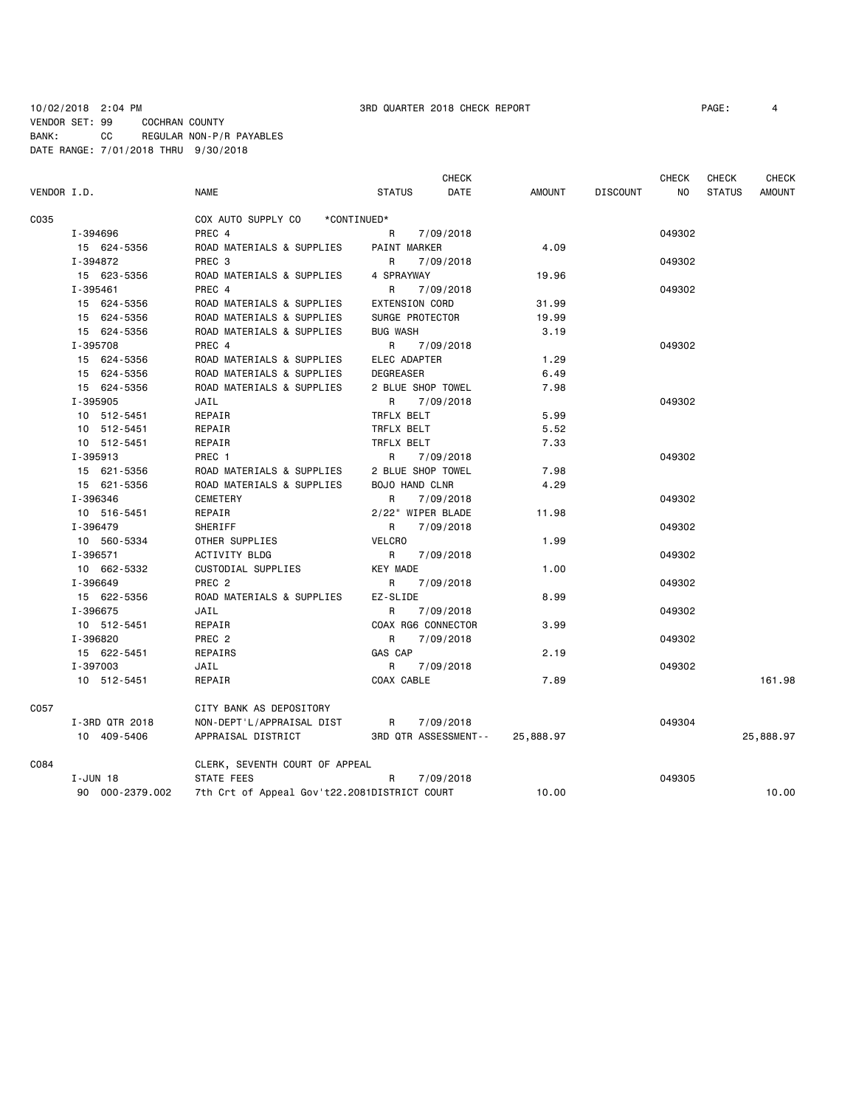# 10/02/2018 2:04 PM 3RD QUARTER 2018 CHECK REPORT PAGE: 4 VENDOR SET: 99 COCHRAN COUNTY BANK: CC REGULAR NON-P/R PAYABLES DATE RANGE: 7/01/2018 THRU 9/30/2018

|             |                 |                                              |                       | <b>CHECK</b> |               |                 | <b>CHECK</b> | <b>CHECK</b>  | <b>CHECK</b>  |
|-------------|-----------------|----------------------------------------------|-----------------------|--------------|---------------|-----------------|--------------|---------------|---------------|
| VENDOR I.D. |                 | <b>NAME</b>                                  | <b>STATUS</b>         | <b>DATE</b>  | <b>AMOUNT</b> | <b>DISCOUNT</b> | NO.          | <b>STATUS</b> | <b>AMOUNT</b> |
| C035        |                 | COX AUTO SUPPLY CO                           | *CONTINUED*           |              |               |                 |              |               |               |
|             | I-394696        | PREC 4                                       | R.                    | 7/09/2018    |               |                 | 049302       |               |               |
|             | 15 624-5356     | ROAD MATERIALS & SUPPLIES                    | <b>PAINT MARKER</b>   |              | 4.09          |                 |              |               |               |
|             | I-394872        | PREC <sub>3</sub>                            | R                     | 7/09/2018    |               |                 | 049302       |               |               |
|             | 15 623-5356     | ROAD MATERIALS & SUPPLIES                    | 4 SPRAYWAY            |              | 19.96         |                 |              |               |               |
|             | I-395461        | PREC 4                                       | R.                    | 7/09/2018    |               |                 | 049302       |               |               |
|             | 15 624-5356     | ROAD MATERIALS & SUPPLIES                    | <b>EXTENSION CORD</b> |              | 31.99         |                 |              |               |               |
|             | 15 624-5356     | ROAD MATERIALS & SUPPLIES                    | SURGE PROTECTOR       |              | 19.99         |                 |              |               |               |
|             | 15 624-5356     | ROAD MATERIALS & SUPPLIES                    | <b>BUG WASH</b>       |              | 3.19          |                 |              |               |               |
|             | I-395708        | PREC 4                                       | R                     | 7/09/2018    |               |                 | 049302       |               |               |
|             | 15 624-5356     | ROAD MATERIALS & SUPPLIES                    | ELEC ADAPTER          |              | 1.29          |                 |              |               |               |
|             | 15 624-5356     | ROAD MATERIALS & SUPPLIES                    | DEGREASER             |              | 6.49          |                 |              |               |               |
|             | 15 624-5356     | ROAD MATERIALS & SUPPLIES                    | 2 BLUE SHOP TOWEL     |              | 7.98          |                 |              |               |               |
|             | I-395905        | JAIL                                         | R.                    | 7/09/2018    |               |                 | 049302       |               |               |
|             | 10 512-5451     | REPAIR                                       | TRFLX BELT            |              | 5.99          |                 |              |               |               |
|             | 10 512-5451     | REPAIR                                       | TRFLX BELT            |              | 5.52          |                 |              |               |               |
|             | 10 512-5451     | REPAIR                                       | TRFLX BELT            |              | 7.33          |                 |              |               |               |
|             | I-395913        | PREC 1                                       | R                     | 7/09/2018    |               |                 | 049302       |               |               |
|             | 15 621-5356     | ROAD MATERIALS & SUPPLIES                    | 2 BLUE SHOP TOWEL     |              | 7.98          |                 |              |               |               |
|             | 15 621-5356     | ROAD MATERIALS & SUPPLIES                    | <b>BOJO HAND CLNR</b> |              | 4.29          |                 |              |               |               |
|             | I-396346        | <b>CEMETERY</b>                              | R.                    | 7/09/2018    |               |                 | 049302       |               |               |
|             | 10 516-5451     | REPAIR                                       | 2/22" WIPER BLADE     |              | 11.98         |                 |              |               |               |
|             | I-396479        | SHERIFF                                      | R                     | 7/09/2018    |               |                 | 049302       |               |               |
|             | 10 560-5334     | OTHER SUPPLIES                               | VELCRO                |              | 1.99          |                 |              |               |               |
|             | I-396571        | ACTIVITY BLDG                                | R                     | 7/09/2018    |               |                 | 049302       |               |               |
|             | 10 662-5332     | CUSTODIAL SUPPLIES                           | <b>KEY MADE</b>       |              | 1.00          |                 |              |               |               |
|             | I-396649        | PREC <sub>2</sub>                            | R                     | 7/09/2018    |               |                 | 049302       |               |               |
|             | 15 622-5356     | ROAD MATERIALS & SUPPLIES                    | EZ-SLIDE              |              | 8.99          |                 |              |               |               |
|             | I-396675        | JAIL                                         | R                     | 7/09/2018    |               |                 | 049302       |               |               |
|             | 10 512-5451     | REPAIR                                       | COAX RG6 CONNECTOR    |              | 3.99          |                 |              |               |               |
|             | I-396820        | PREC <sub>2</sub>                            | R                     | 7/09/2018    |               |                 | 049302       |               |               |
|             | 15 622-5451     | REPAIRS                                      | GAS CAP               |              | 2.19          |                 |              |               |               |
|             | I-397003        | JAIL                                         | R                     | 7/09/2018    |               |                 | 049302       |               |               |
|             | 10 512-5451     | REPAIR                                       | COAX CABLE            |              | 7.89          |                 |              |               | 161.98        |
| C057        |                 | CITY BANK AS DEPOSITORY                      |                       |              |               |                 |              |               |               |
|             | I-3RD QTR 2018  | NON-DEPT'L/APPRAISAL DIST                    | R                     | 7/09/2018    |               |                 | 049304       |               |               |
|             | 10 409-5406     | APPRAISAL DISTRICT                           | 3RD QTR ASSESSMENT--  |              | 25,888.97     |                 |              |               | 25,888.97     |
| C084        |                 | CLERK, SEVENTH COURT OF APPEAL               |                       |              |               |                 |              |               |               |
|             | I-JUN 18        | STATE FEES                                   | R                     | 7/09/2018    |               |                 | 049305       |               |               |
|             | 90 000-2379.002 | 7th Crt of Appeal Gov't22.2081DISTRICT COURT |                       |              | 10.00         |                 |              |               | 10.00         |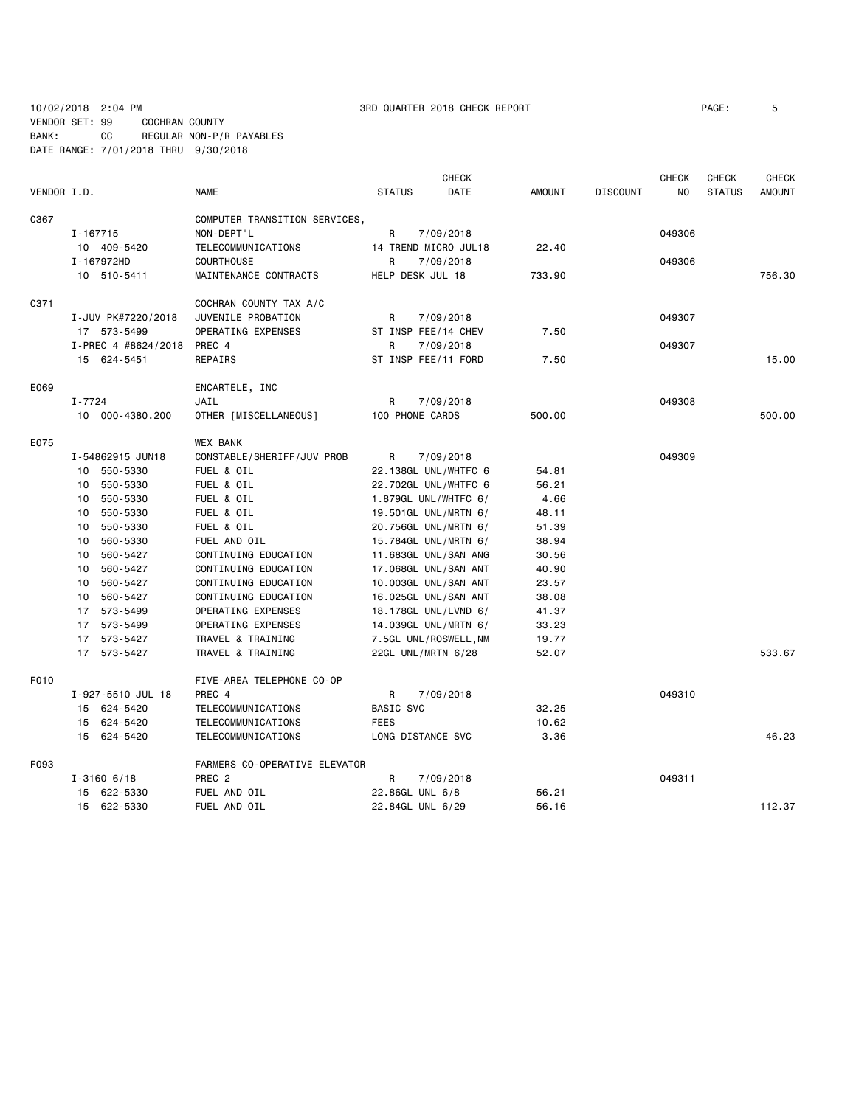10/02/2018 2:04 PM 3RD QUARTER 2018 CHECK REPORT PAGE: 5 VENDOR SET: 99 COCHRAN COUNTY

BANK: CC REGULAR NON-P/R PAYABLES DATE RANGE: 7/01/2018 THRU 9/30/2018

**CHECK CHECK CHECK CHECK CHECK CHECK CHECK** VENDOR I.D. NAME STATUS DATE AMOUNT DISCOUNT NO STATUS AMOUNT C367 COMPUTER TRANSITION SERVICES, I-167715 NON-DEPT'L R 7/09/2018 049306 10 409-5420 TELECOMMUNICATIONS 14 TREND MICRO JUL18 22.40 I-167972HD COURTHOUSE R 7/09/2018 049306 10 510-5411 MAINTENANCE CONTRACTS HELP DESK JUL 18 733.90 756.30 C371 COCHRAN COUNTY TAX A/C I-JUV PK#7220/2018 JUVENILE PROBATION R 7/09/2018 049307 17 573-5499 OPERATING EXPENSES ST INSP FEE/14 CHEV 7.50 I-PREC 4 #8624/2018 PREC 4 R 7/09/2018 **R** 7/09/2018 049307 15 624-5451 REPAIRS ST INSP FEE/11 FORD 7.50 15.00 E069 ENCARTELE, INC I-7724 JAIL R 7/09/2018 049308 10 000-4380.200 OTHER [MISCELLANEOUS] 100 PHONE CARDS 500.00 500.00 E075 WEX BANK I-54862915 JUN18 CONSTABLE/SHERIFF/JUV PROB R 7/09/2018 049309 10 550-5330 FUEL & OIL 22.138GL UNL/WHTFC 6 54.81 10 550-5330 FUEL & OIL 22.702GL UNL/WHTFC 6 56.21 10 550-5330 FUEL & OIL 1.879GL UNL/WHTFC 6/ 4.66 10 550-5330 FUEL & OIL 19.501GL UNL/MRTN 6/ 48.11 10 550-5330 FUEL & OIL 20.756GL UNL/MRTN 6/ 51.39 10 560-5330 FUEL AND OIL 15.784GL UNL/MRTN 6/ 38.94 10 560-5427 CONTINUING EDUCATION 11.683GL UNL/SAN ANG 30.56 CONTINUING EDUCATION 17.068GL UNL/SAN ANT 40.90 10 560-5427 CONTINUING EDUCATION 10.003GL UNL/SAN ANT 23.57 10 560-5427 CONTINUING EDUCATION 16.025GL UNL/SAN ANT 38.08 17 573-5499 OPERATING EXPENSES 18.178GL UNL/LVND 6/ 41.37 17 573-5499 OPERATING EXPENSES 14.039GL UNL/MRTN 6/ 33.23 17 573-5427 TRAVEL & TRAINING 7.5GL UNL/ROSWELL,NM 19.77 17 573-5427 TRAVEL & TRAINING 22GL UNL/MRTN 6/28 52.07 533.67 F010 FIVE-AREA TELEPHONE CO-OP I-927-5510 JUL 18 PREC 4 R 7/09/2018 049310 15 624-5420 TELECOMMUNICATIONS BASIC SVC 32.25 15 624-5420 TELECOMMUNICATIONS FEES FEES 10.62 15 624-5420 TELECOMMUNICATIONS LONG DISTANCE SVC 3.36 46.23 F093 FARMERS CO-OPERATIVE ELEVATOR I-3160 6/18 PREC 2 R 7/09/2018 049311 15 622-5330 FUEL AND OIL 22.86GL UNL 6/8 56.21 15 622-5330 FUEL AND OIL 22.84GL UNL 6/29 56.16 112.37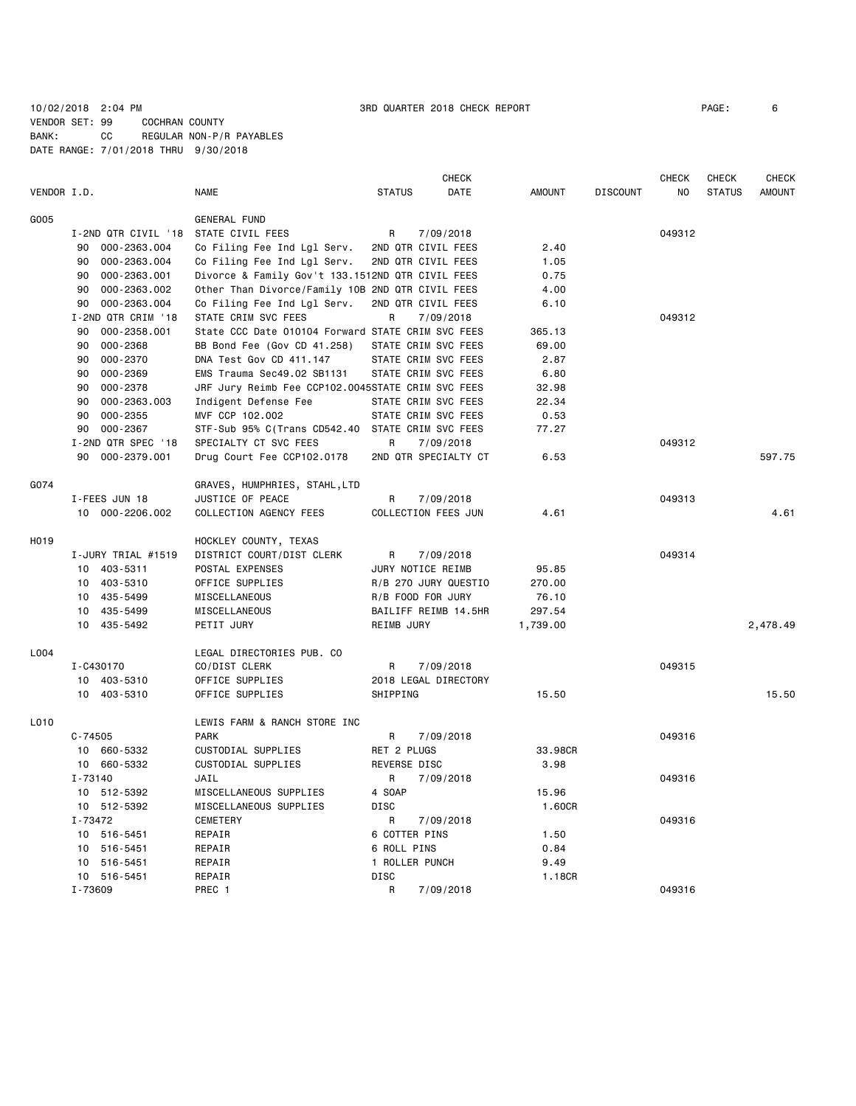# 10/02/2018 2:04 PM 3RD QUARTER 2018 CHECK REPORT PAGE: 6 VENDOR SET: 99 COCHRAN COUNTY BANK: CC REGULAR NON-P/R PAYABLES DATE RANGE: 7/01/2018 THRU 9/30/2018

|             |                     |                                                   |                      | <b>CHECK</b> |               |                 | CHECK  | CHECK         | <b>CHECK</b>  |
|-------------|---------------------|---------------------------------------------------|----------------------|--------------|---------------|-----------------|--------|---------------|---------------|
| VENDOR I.D. |                     | <b>NAME</b>                                       | <b>STATUS</b>        | <b>DATE</b>  | <b>AMOUNT</b> | <b>DISCOUNT</b> | NO     | <b>STATUS</b> | <b>AMOUNT</b> |
| G005        |                     | GENERAL FUND                                      |                      |              |               |                 |        |               |               |
|             | I-2ND QTR CIVIL '18 | STATE CIVIL FEES                                  | R                    | 7/09/2018    |               |                 | 049312 |               |               |
|             | 90<br>000-2363.004  | Co Filing Fee Ind Lgl Serv.                       | 2ND QTR CIVIL FEES   |              | 2.40          |                 |        |               |               |
|             | 90<br>000-2363.004  | Co Filing Fee Ind Lgl Serv.                       | 2ND QTR CIVIL FEES   |              | 1.05          |                 |        |               |               |
|             | 90 000-2363.001     | Divorce & Family Gov't 133.1512ND QTR CIVIL FEES  |                      |              | 0.75          |                 |        |               |               |
|             | 000-2363.002<br>90  | Other Than Divorce/Family 10B 2ND QTR CIVIL FEES  |                      |              | 4.00          |                 |        |               |               |
|             | 000-2363.004<br>90  | Co Filing Fee Ind Lgl Serv.                       | 2ND QTR CIVIL FEES   |              | 6.10          |                 |        |               |               |
|             | I-2ND QTR CRIM '18  | STATE CRIM SVC FEES                               | R                    | 7/09/2018    |               |                 | 049312 |               |               |
|             | 90<br>000-2358.001  | State CCC Date 010104 Forward STATE CRIM SVC FEES |                      |              | 365.13        |                 |        |               |               |
|             | 000-2368<br>90      | BB Bond Fee (Gov CD 41.258)                       | STATE CRIM SVC FEES  |              | 69.00         |                 |        |               |               |
|             | 000-2370<br>90      | DNA Test Gov CD 411.147                           | STATE CRIM SVC FEES  |              | 2.87          |                 |        |               |               |
|             | 000-2369<br>90      | EMS Trauma Sec49.02 SB1131                        | STATE CRIM SVC FEES  |              | 6.80          |                 |        |               |               |
|             | 000-2378<br>90      | JRF Jury Reimb Fee CCP102.0045STATE CRIM SVC FEES |                      |              | 32.98         |                 |        |               |               |
|             | 000-2363.003<br>90  | Indigent Defense Fee                              | STATE CRIM SVC FEES  |              | 22.34         |                 |        |               |               |
|             | 90<br>000-2355      | MVF CCP 102.002                                   | STATE CRIM SVC FEES  |              | 0.53          |                 |        |               |               |
|             | 000-2367<br>90      | STF-Sub 95% C(Trans CD542.40 STATE CRIM SVC FEES  |                      |              | 77.27         |                 |        |               |               |
|             | I-2ND QTR SPEC '18  | SPECIALTY CT SVC FEES                             | R                    | 7/09/2018    |               |                 | 049312 |               |               |
|             | 90 000-2379.001     | Drug Court Fee CCP102.0178                        | 2ND QTR SPECIALTY CT |              | 6.53          |                 |        |               | 597.75        |
|             |                     |                                                   |                      |              |               |                 |        |               |               |
| G074        |                     | GRAVES, HUMPHRIES, STAHL,LTD                      |                      |              |               |                 |        |               |               |
|             | I-FEES JUN 18       | JUSTICE OF PEACE                                  | R                    | 7/09/2018    |               |                 | 049313 |               |               |
|             | 10 000-2206.002     | COLLECTION AGENCY FEES                            | COLLECTION FEES JUN  |              | 4.61          |                 |        |               | 4.61          |
| H019        |                     | HOCKLEY COUNTY, TEXAS                             |                      |              |               |                 |        |               |               |
|             | I-JURY TRIAL #1519  | DISTRICT COURT/DIST CLERK                         | R                    | 7/09/2018    |               |                 | 049314 |               |               |
|             | 10 403-5311         | POSTAL EXPENSES                                   | JURY NOTICE REIMB    |              | 95.85         |                 |        |               |               |
|             | 10 403-5310         | OFFICE SUPPLIES                                   | R/B 270 JURY QUESTIO |              | 270.00        |                 |        |               |               |
|             | 10 435-5499         | MISCELLANEOUS                                     | R/B FOOD FOR JURY    |              | 76.10         |                 |        |               |               |
|             | 10 435-5499         | MISCELLANEOUS                                     | BAILIFF REIMB 14.5HR |              | 297.54        |                 |        |               |               |
|             | 10 435-5492         | PETIT JURY                                        | REIMB JURY           |              | 1,739.00      |                 |        |               | 2,478.49      |
|             |                     |                                                   |                      |              |               |                 |        |               |               |
| L004        |                     | LEGAL DIRECTORIES PUB. CO                         |                      |              |               |                 |        |               |               |
|             | I-C430170           | CO/DIST CLERK                                     | R                    | 7/09/2018    |               |                 | 049315 |               |               |
|             | 10 403-5310         | OFFICE SUPPLIES                                   | 2018 LEGAL DIRECTORY |              |               |                 |        |               |               |
|             | 10 403-5310         | OFFICE SUPPLIES                                   | SHIPPING             |              | 15.50         |                 |        |               | 15.50         |
| L010        |                     | LEWIS FARM & RANCH STORE INC                      |                      |              |               |                 |        |               |               |
|             | $C - 74505$         | <b>PARK</b>                                       | R                    | 7/09/2018    |               |                 | 049316 |               |               |
|             | 10 660-5332         | CUSTODIAL SUPPLIES                                | RET 2 PLUGS          |              | 33.98CR       |                 |        |               |               |
|             | 10 660-5332         | CUSTODIAL SUPPLIES                                | REVERSE DISC         |              | 3.98          |                 |        |               |               |
|             | I-73140             | JAIL                                              | R                    | 7/09/2018    |               |                 | 049316 |               |               |
|             | 10 512-5392         | MISCELLANEOUS SUPPLIES                            | 4 SOAP               |              | 15.96         |                 |        |               |               |
|             | 10 512-5392         | MISCELLANEOUS SUPPLIES                            | <b>DISC</b>          |              | 1.60CR        |                 |        |               |               |
|             | I-73472             | <b>CEMETERY</b>                                   | R                    | 7/09/2018    |               |                 | 049316 |               |               |
|             | 10 516-5451         | REPAIR                                            | 6 COTTER PINS        |              | 1.50          |                 |        |               |               |
|             | 10 516-5451         | REPAIR                                            | 6 ROLL PINS          |              | 0.84          |                 |        |               |               |
|             | 10<br>516-5451      | REPAIR                                            | 1 ROLLER PUNCH       |              | 9.49          |                 |        |               |               |
|             | 10 516-5451         | REPAIR                                            | <b>DISC</b>          |              | 1.18CR        |                 |        |               |               |
|             | I-73609             | PREC 1                                            | R                    | 7/09/2018    |               |                 | 049316 |               |               |
|             |                     |                                                   |                      |              |               |                 |        |               |               |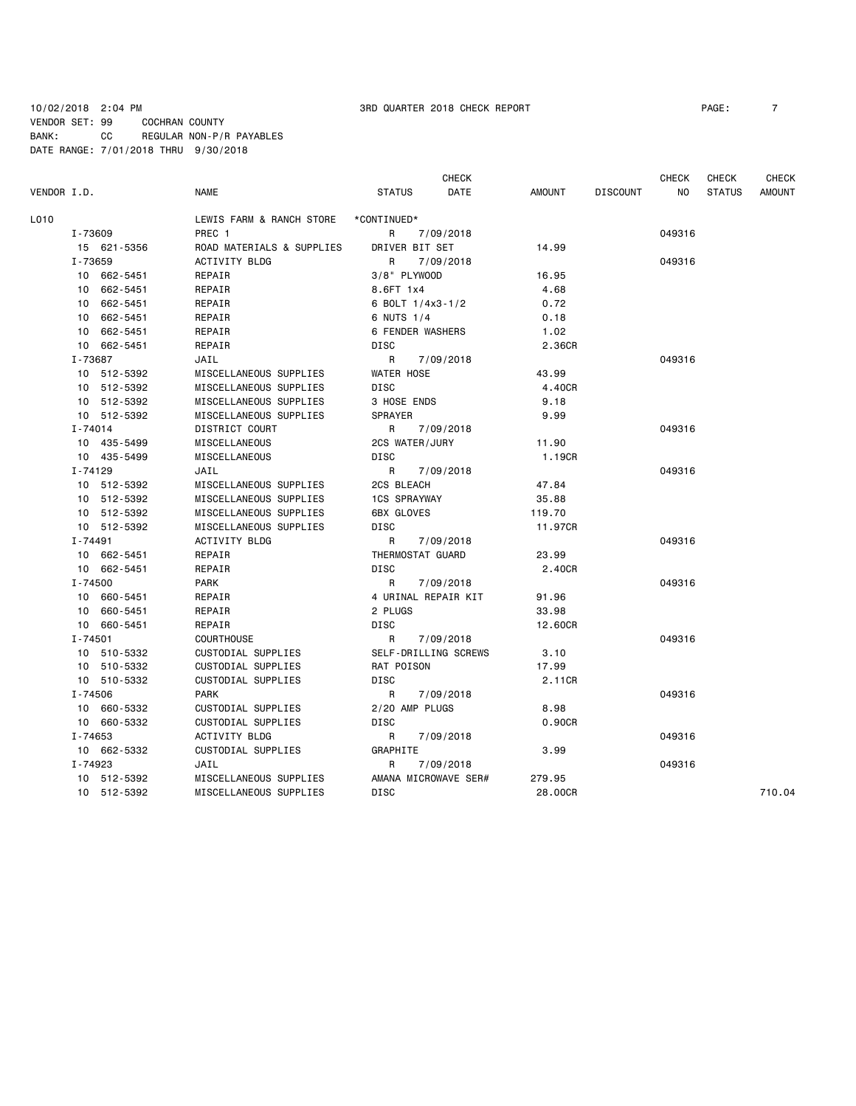### 10/02/2018 2:04 PM 3RD QUARTER 2018 CHECK REPORT PAGE: 7 VENDOR SET: 99 COCHRAN COUNTY BANK: CC REGULAR NON-P/R PAYABLES DATE RANGE: 7/01/2018 THRU 9/30/2018

|             |             |             |                           |                         | <b>CHECK</b>         |               |                 | <b>CHECK</b> | <b>CHECK</b>  | <b>CHECK</b>  |
|-------------|-------------|-------------|---------------------------|-------------------------|----------------------|---------------|-----------------|--------------|---------------|---------------|
| VENDOR I.D. |             |             | <b>NAME</b>               | <b>STATUS</b>           | DATE                 | <b>AMOUNT</b> | <b>DISCOUNT</b> | NO.          | <b>STATUS</b> | <b>AMOUNT</b> |
| L010        |             |             | LEWIS FARM & RANCH STORE  | *CONTINUED*             |                      |               |                 |              |               |               |
|             | I-73609     |             | PREC 1                    | R                       | 7/09/2018            |               |                 | 049316       |               |               |
|             |             | 15 621-5356 | ROAD MATERIALS & SUPPLIES | DRIVER BIT SET          |                      | 14.99         |                 |              |               |               |
|             | I-73659     |             | ACTIVITY BLDG             | R                       | 7/09/2018            |               |                 | 049316       |               |               |
|             |             | 10 662-5451 | REPAIR                    | 3/8" PLYWOOD            |                      | 16.95         |                 |              |               |               |
|             |             | 10 662-5451 | REPAIR                    | 8.6FT 1x4               |                      | 4.68          |                 |              |               |               |
|             |             | 10 662-5451 | REPAIR                    | 6 BOLT 1/4x3-1/2        |                      | 0.72          |                 |              |               |               |
|             |             | 10 662-5451 | REPAIR                    | 6 NUTS 1/4              |                      | 0.18          |                 |              |               |               |
|             |             | 10 662-5451 | REPAIR                    | <b>6 FENDER WASHERS</b> |                      | 1.02          |                 |              |               |               |
|             |             | 10 662-5451 | REPAIR                    | <b>DISC</b>             |                      | 2.36CR        |                 |              |               |               |
|             | I-73687     |             | JAIL                      | R                       | 7/09/2018            |               |                 | 049316       |               |               |
|             |             | 10 512-5392 | MISCELLANEOUS SUPPLIES    | WATER HOSE              |                      | 43.99         |                 |              |               |               |
|             |             | 10 512-5392 | MISCELLANEOUS SUPPLIES    | <b>DISC</b>             |                      | 4.40CR        |                 |              |               |               |
|             |             | 10 512-5392 | MISCELLANEOUS SUPPLIES    | 3 HOSE ENDS             |                      | 9.18          |                 |              |               |               |
|             |             | 10 512-5392 | MISCELLANEOUS SUPPLIES    | <b>SPRAYER</b>          |                      | 9.99          |                 |              |               |               |
|             | I-74014     |             | DISTRICT COURT            | R                       | 7/09/2018            |               |                 | 049316       |               |               |
|             |             | 10 435-5499 | MISCELLANEOUS             | 2CS WATER/JURY          |                      | 11.90         |                 |              |               |               |
|             |             | 10 435-5499 | MISCELLANEOUS             | DISC                    |                      | 1.19CR        |                 |              |               |               |
|             | I-74129     |             | JAIL                      | R                       | 7/09/2018            |               |                 | 049316       |               |               |
|             |             | 10 512-5392 | MISCELLANEOUS SUPPLIES    | 2CS BLEACH              |                      | 47.84         |                 |              |               |               |
|             |             | 10 512-5392 | MISCELLANEOUS SUPPLIES    | <b>1CS SPRAYWAY</b>     |                      | 35.88         |                 |              |               |               |
|             |             | 10 512-5392 | MISCELLANEOUS SUPPLIES    | <b>6BX GLOVES</b>       |                      | 119.70        |                 |              |               |               |
|             |             | 10 512-5392 | MISCELLANEOUS SUPPLIES    | DISC                    |                      | 11.97CR       |                 |              |               |               |
|             | I-74491     |             | ACTIVITY BLDG             | R                       | 7/09/2018            |               |                 | 049316       |               |               |
|             |             | 10 662-5451 | REPAIR                    | THERMOSTAT GUARD        |                      | 23.99         |                 |              |               |               |
|             |             | 10 662-5451 | REPAIR                    | DISC                    |                      | 2.40CR        |                 |              |               |               |
|             | $I - 74500$ |             | <b>PARK</b>               | R                       | 7/09/2018            |               |                 | 049316       |               |               |
|             |             | 10 660-5451 | REPAIR                    |                         | 4 URINAL REPAIR KIT  | 91.96         |                 |              |               |               |
|             |             | 10 660-5451 | REPAIR                    | 2 PLUGS                 |                      | 33.98         |                 |              |               |               |
|             |             | 10 660-5451 | REPAIR                    | DISC                    |                      | 12.60CR       |                 |              |               |               |
|             | $I - 74501$ |             | <b>COURTHOUSE</b>         | R                       | 7/09/2018            |               |                 | 049316       |               |               |
|             |             | 10 510-5332 | CUSTODIAL SUPPLIES        |                         | SELF-DRILLING SCREWS | 3.10          |                 |              |               |               |
|             |             | 10 510-5332 | CUSTODIAL SUPPLIES        | RAT POISON              |                      | 17.99         |                 |              |               |               |
|             |             | 10 510-5332 | CUSTODIAL SUPPLIES        | DISC                    |                      | 2.11CR        |                 |              |               |               |
|             | I-74506     |             | <b>PARK</b>               | R                       | 7/09/2018            |               |                 | 049316       |               |               |
|             |             | 10 660-5332 | CUSTODIAL SUPPLIES        | 2/20 AMP PLUGS          |                      | 8.98          |                 |              |               |               |
|             |             | 10 660-5332 | CUSTODIAL SUPPLIES        | DISC                    |                      | 0.90CR        |                 |              |               |               |
|             | I-74653     |             | ACTIVITY BLDG             | R                       | 7/09/2018            |               |                 | 049316       |               |               |
|             |             | 10 662-5332 | CUSTODIAL SUPPLIES        | GRAPHITE                |                      | 3.99          |                 |              |               |               |
|             | I-74923     |             | JAIL                      | R                       | 7/09/2018            |               |                 | 049316       |               |               |
|             |             | 10 512-5392 | MISCELLANEOUS SUPPLIES    |                         | AMANA MICROWAVE SER# | 279.95        |                 |              |               |               |
|             |             | 10 512-5392 | MISCELLANEOUS SUPPLIES    | <b>DISC</b>             |                      | 28,00CR       |                 |              |               | 710.04        |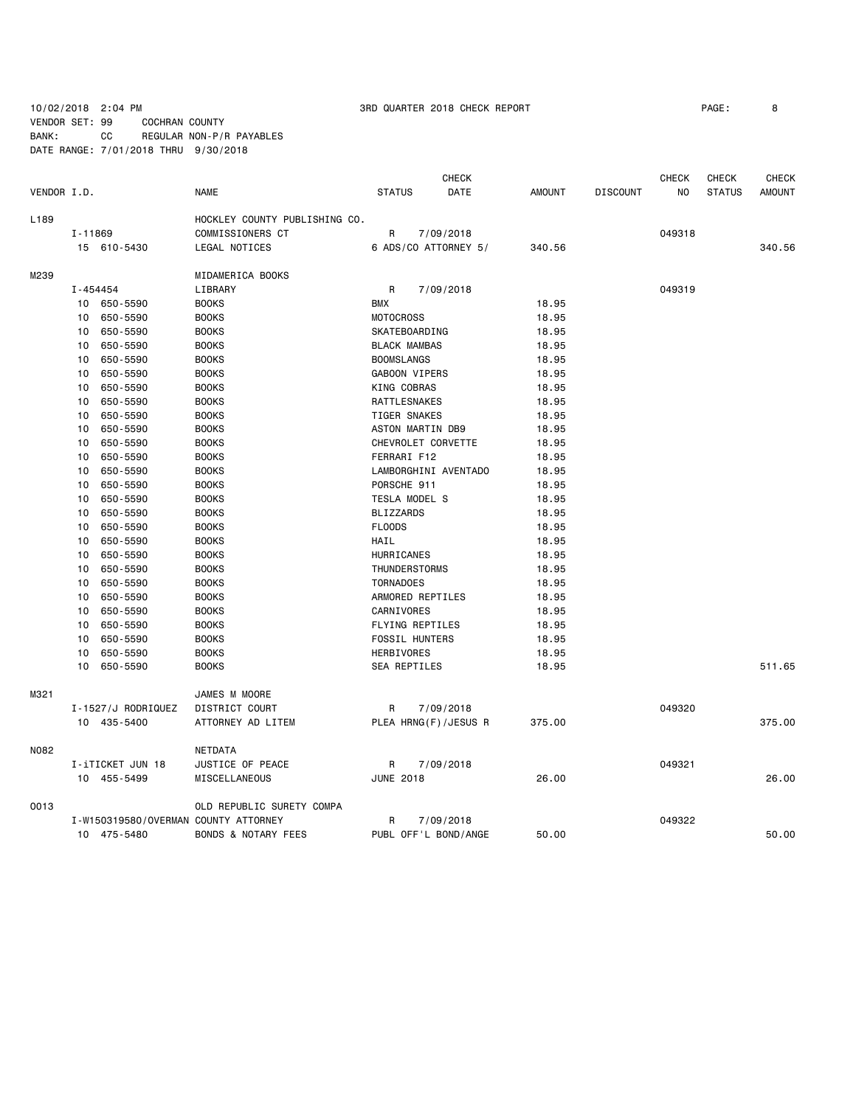10/02/2018 2:04 PM 3RD QUARTER 2018 CHECK REPORT PAGE: 8 VENDOR SET: 99 COCHRAN COUNTY BANK: CC REGULAR NON-P/R PAYABLES DATE RANGE: 7/01/2018 THRU 9/30/2018

|             |         |                                      |                                |                       | <b>CHECK</b>         |        |                 | <b>CHECK</b> | <b>CHECK</b>  | <b>CHECK</b> |
|-------------|---------|--------------------------------------|--------------------------------|-----------------------|----------------------|--------|-----------------|--------------|---------------|--------------|
| VENDOR I.D. |         |                                      | <b>NAME</b>                    | <b>STATUS</b>         | DATE                 | AMOUNT | <b>DISCOUNT</b> | NO           | <b>STATUS</b> | AMOUNT       |
| L189        |         |                                      | HOCKLEY COUNTY PUBLISHING CO.  |                       |                      |        |                 |              |               |              |
|             | I-11869 |                                      | COMMISSIONERS CT               | R                     | 7/09/2018            |        |                 | 049318       |               |              |
|             |         | 15 610-5430                          | LEGAL NOTICES                  |                       | 6 ADS/CO ATTORNEY 5/ | 340.56 |                 |              |               | 340.56       |
| M239        |         |                                      | MIDAMERICA BOOKS               |                       |                      |        |                 |              |               |              |
|             |         | I-454454                             | LIBRARY                        | R                     | 7/09/2018            |        |                 | 049319       |               |              |
|             | 10      | 650-5590                             | <b>BOOKS</b>                   | <b>BMX</b>            |                      | 18.95  |                 |              |               |              |
|             | 10      | 650-5590                             | <b>BOOKS</b>                   | <b>MOTOCROSS</b>      |                      | 18.95  |                 |              |               |              |
|             | 10      | 650-5590                             | <b>BOOKS</b>                   | SKATEBOARDING         |                      | 18.95  |                 |              |               |              |
|             | 10      | 650-5590                             | <b>BOOKS</b>                   | <b>BLACK MAMBAS</b>   |                      | 18.95  |                 |              |               |              |
|             | 10      | 650-5590                             | <b>BOOKS</b>                   | <b>BOOMSLANGS</b>     |                      | 18.95  |                 |              |               |              |
|             | 10      | 650-5590                             | <b>BOOKS</b>                   | GABOON VIPERS         |                      | 18.95  |                 |              |               |              |
|             | 10      | 650-5590                             | <b>BOOKS</b>                   | KING COBRAS           |                      | 18.95  |                 |              |               |              |
|             | 10      | 650-5590                             | <b>BOOKS</b>                   | RATTLESNAKES          |                      | 18.95  |                 |              |               |              |
|             | 10      | 650-5590                             | <b>BOOKS</b>                   | <b>TIGER SNAKES</b>   |                      | 18.95  |                 |              |               |              |
|             | 10      | 650-5590                             | <b>BOOKS</b>                   | ASTON MARTIN DB9      |                      | 18.95  |                 |              |               |              |
|             | 10      | 650-5590                             | <b>BOOKS</b>                   | CHEVROLET CORVETTE    |                      | 18.95  |                 |              |               |              |
|             | 10      | 650-5590                             | <b>BOOKS</b>                   | FERRARI F12           |                      | 18.95  |                 |              |               |              |
|             | 10      | 650-5590                             | <b>BOOKS</b>                   |                       | LAMBORGHINI AVENTADO | 18.95  |                 |              |               |              |
|             | 10      | 650-5590                             | <b>BOOKS</b>                   | PORSCHE 911           |                      | 18.95  |                 |              |               |              |
|             | 10      | 650-5590                             | <b>BOOKS</b>                   | TESLA MODEL S         |                      | 18.95  |                 |              |               |              |
|             | 10      | 650-5590                             | <b>BOOKS</b>                   | <b>BLIZZARDS</b>      |                      | 18.95  |                 |              |               |              |
|             | 10      | 650-5590                             | <b>BOOKS</b>                   | <b>FLOODS</b>         |                      | 18.95  |                 |              |               |              |
|             | 10      | 650-5590                             | <b>BOOKS</b>                   | HAIL                  |                      | 18.95  |                 |              |               |              |
|             | 10      | 650-5590                             | <b>BOOKS</b>                   | HURRICANES            |                      | 18.95  |                 |              |               |              |
|             | 10      | 650-5590                             | <b>BOOKS</b>                   | THUNDERSTORMS         |                      | 18.95  |                 |              |               |              |
|             | 10      | 650-5590                             | <b>BOOKS</b>                   | <b>TORNADOES</b>      |                      | 18.95  |                 |              |               |              |
|             | 10      | 650-5590                             | <b>BOOKS</b>                   | ARMORED REPTILES      |                      | 18.95  |                 |              |               |              |
|             | 10      |                                      | <b>BOOKS</b>                   | CARNIVORES            |                      |        |                 |              |               |              |
|             |         | 650-5590                             | <b>BOOKS</b>                   |                       |                      | 18.95  |                 |              |               |              |
|             | 10      | 650-5590                             |                                | FLYING REPTILES       |                      | 18.95  |                 |              |               |              |
|             | 10      | 650-5590                             | <b>BOOKS</b>                   | <b>FOSSIL HUNTERS</b> |                      | 18.95  |                 |              |               |              |
|             | 10      | 650-5590                             | <b>BOOKS</b>                   | HERBIVORES            |                      | 18.95  |                 |              |               |              |
|             | 10      | 650-5590                             | <b>BOOKS</b>                   | SEA REPTILES          |                      | 18.95  |                 |              |               | 511.65       |
| M321        |         |                                      | JAMES M MOORE                  |                       |                      |        |                 |              |               |              |
|             |         | I-1527/J RODRIQUEZ                   | DISTRICT COURT                 | R                     | 7/09/2018            |        |                 | 049320       |               |              |
|             |         | 10 435-5400                          | ATTORNEY AD LITEM              |                       | PLEA HRNG(F)/JESUS R | 375.00 |                 |              |               | 375.00       |
| N082        |         |                                      | NETDATA                        |                       |                      |        |                 |              |               |              |
|             |         | I-iTICKET JUN 18                     | JUSTICE OF PEACE               | R                     | 7/09/2018            |        |                 | 049321       |               |              |
|             |         | 10 455-5499                          | MISCELLANEOUS                  | <b>JUNE 2018</b>      |                      | 26.00  |                 |              |               | 26.00        |
| 0013        |         |                                      | OLD REPUBLIC SURETY COMPA      |                       |                      |        |                 |              |               |              |
|             |         | I-W150319580/OVERMAN COUNTY ATTORNEY |                                | R                     | 7/09/2018            |        |                 | 049322       |               |              |
|             |         | 10 475-5480                          | <b>BONDS &amp; NOTARY FEES</b> |                       | PUBL OFF'L BOND/ANGE | 50.00  |                 |              |               | 50.00        |
|             |         |                                      |                                |                       |                      |        |                 |              |               |              |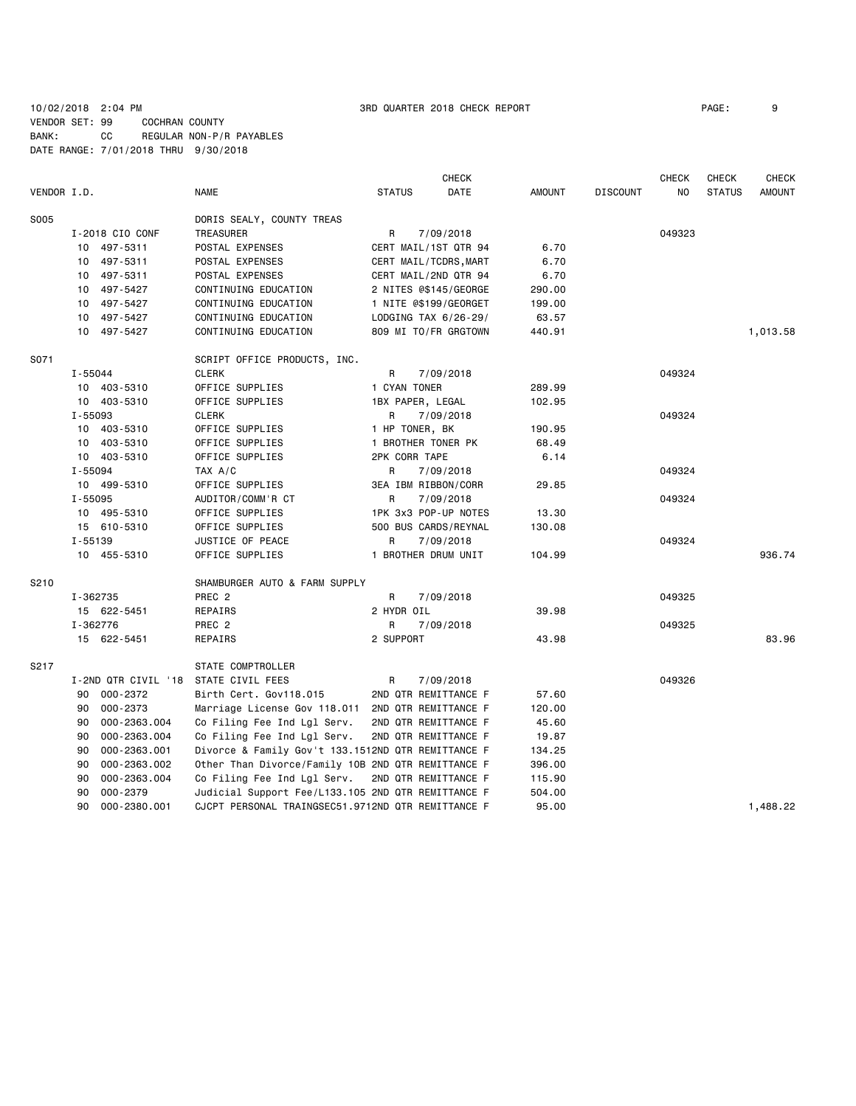# 10/02/2018 2:04 PM 3RD QUARTER 2018 CHECK REPORT PAGE: 9 VENDOR SET: 99 COCHRAN COUNTY BANK: CC REGULAR NON-P/R PAYABLES DATE RANGE: 7/01/2018 THRU 9/30/2018

| VENDOR I.D. |                     | <b>NAME</b>                                        | <b>STATUS</b>        | <b>CHECK</b><br>DATE  | <b>AMOUNT</b> | <b>DISCOUNT</b> | <b>CHECK</b><br>NO | <b>CHECK</b><br><b>STATUS</b> | <b>CHECK</b><br><b>AMOUNT</b> |
|-------------|---------------------|----------------------------------------------------|----------------------|-----------------------|---------------|-----------------|--------------------|-------------------------------|-------------------------------|
|             |                     |                                                    |                      |                       |               |                 |                    |                               |                               |
| S005        |                     | DORIS SEALY, COUNTY TREAS                          |                      |                       |               |                 |                    |                               |                               |
|             | I-2018 CIO CONF     | TREASURER                                          | R                    | 7/09/2018             |               |                 | 049323             |                               |                               |
|             | 10 497-5311         | POSTAL EXPENSES                                    |                      | CERT MAIL/1ST QTR 94  | 6.70          |                 |                    |                               |                               |
|             | 10 497-5311         | POSTAL EXPENSES                                    |                      | CERT MAIL/TCDRS, MART | 6.70          |                 |                    |                               |                               |
|             | 10 497-5311         | POSTAL EXPENSES                                    |                      | CERT MAIL/2ND QTR 94  | 6.70          |                 |                    |                               |                               |
|             | 497-5427<br>10      | CONTINUING EDUCATION                               |                      | 2 NITES @\$145/GEORGE | 290.00        |                 |                    |                               |                               |
|             | 10 497-5427         | CONTINUING EDUCATION                               |                      | 1 NITE @\$199/GEORGET | 199.00        |                 |                    |                               |                               |
|             | 10 497-5427         | CONTINUING EDUCATION                               | LODGING TAX 6/26-29/ |                       | 63.57         |                 |                    |                               |                               |
|             | 10 497-5427         | CONTINUING EDUCATION                               |                      | 809 MI TO/FR GRGTOWN  | 440.91        |                 |                    |                               | 1,013.58                      |
| S071        |                     | SCRIPT OFFICE PRODUCTS, INC.                       |                      |                       |               |                 |                    |                               |                               |
|             | I-55044             | <b>CLERK</b>                                       | R                    | 7/09/2018             |               |                 | 049324             |                               |                               |
|             | 10 403-5310         | OFFICE SUPPLIES                                    | 1 CYAN TONER         |                       | 289.99        |                 |                    |                               |                               |
|             | 10 403-5310         | OFFICE SUPPLIES                                    | 1BX PAPER, LEGAL     |                       | 102.95        |                 |                    |                               |                               |
|             | I-55093             | <b>CLERK</b>                                       | R                    | 7/09/2018             |               |                 | 049324             |                               |                               |
|             | 10 403-5310         | OFFICE SUPPLIES                                    | 1 HP TONER, BK       |                       | 190.95        |                 |                    |                               |                               |
|             | 10 403-5310         | OFFICE SUPPLIES                                    | 1 BROTHER TONER PK   |                       | 68.49         |                 |                    |                               |                               |
|             | 10 403-5310         | OFFICE SUPPLIES                                    | 2PK CORR TAPE        |                       | 6.14          |                 |                    |                               |                               |
|             | I-55094             | TAX A/C                                            | R                    | 7/09/2018             |               |                 | 049324             |                               |                               |
|             | 10 499-5310         | OFFICE SUPPLIES                                    | 3EA IBM RIBBON/CORR  |                       | 29.85         |                 |                    |                               |                               |
|             | $I - 55095$         | AUDITOR/COMM'R CT                                  | R                    | 7/09/2018             |               |                 | 049324             |                               |                               |
|             | 10 495-5310         | OFFICE SUPPLIES                                    |                      | 1PK 3x3 POP-UP NOTES  | 13.30         |                 |                    |                               |                               |
|             | 15 610-5310         | OFFICE SUPPLIES                                    | 500 BUS CARDS/REYNAL |                       | 130.08        |                 |                    |                               |                               |
|             | $I - 55139$         | JUSTICE OF PEACE                                   | R                    | 7/09/2018             |               |                 | 049324             |                               |                               |
|             | 10 455-5310         | OFFICE SUPPLIES                                    | 1 BROTHER DRUM UNIT  |                       | 104.99        |                 |                    |                               | 936.74                        |
| S210        |                     | SHAMBURGER AUTO & FARM SUPPLY                      |                      |                       |               |                 |                    |                               |                               |
|             | I-362735            | PREC <sub>2</sub>                                  | R                    | 7/09/2018             |               |                 | 049325             |                               |                               |
|             | 15 622-5451         | REPAIRS                                            | 2 HYDR OIL           |                       | 39.98         |                 |                    |                               |                               |
|             | I-362776            | PREC <sub>2</sub>                                  | R                    | 7/09/2018             |               |                 | 049325             |                               |                               |
|             | 15 622-5451         | REPAIRS                                            | 2 SUPPORT            |                       | 43.98         |                 |                    |                               | 83.96                         |
| S217        |                     | STATE COMPTROLLER                                  |                      |                       |               |                 |                    |                               |                               |
|             | I-2ND QTR CIVIL '18 | STATE CIVIL FEES                                   | R                    | 7/09/2018             |               |                 | 049326             |                               |                               |
|             | 000-2372<br>90      | Birth Cert. Gov118.015                             |                      | 2ND QTR REMITTANCE F  | 57.60         |                 |                    |                               |                               |
|             | 90<br>000-2373      | Marriage License Gov 118.011 2ND QTR REMITTANCE F  |                      |                       | 120.00        |                 |                    |                               |                               |
|             | 90<br>000-2363.004  | Co Filing Fee Ind Lgl Serv.                        |                      | 2ND QTR REMITTANCE F  | 45.60         |                 |                    |                               |                               |
|             | 000-2363.004<br>90  | Co Filing Fee Ind Lgl Serv.                        |                      | 2ND QTR REMITTANCE F  | 19.87         |                 |                    |                               |                               |
|             | 90<br>000-2363.001  | Divorce & Family Gov't 133.1512ND QTR REMITTANCE F |                      |                       | 134.25        |                 |                    |                               |                               |
|             | 90<br>000-2363.002  | Other Than Divorce/Family 10B 2ND QTR REMITTANCE F |                      |                       | 396.00        |                 |                    |                               |                               |
|             | 90<br>000-2363.004  | Co Filing Fee Ind Lgl Serv.                        |                      | 2ND QTR REMITTANCE F  | 115.90        |                 |                    |                               |                               |
|             | 000-2379<br>90      | Judicial Support Fee/L133.105 2ND QTR REMITTANCE F |                      |                       | 504.00        |                 |                    |                               |                               |
|             | 90<br>000-2380.001  | CJCPT PERSONAL TRAINGSEC51.9712ND QTR REMITTANCE F |                      |                       | 95.00         |                 |                    |                               | 1,488.22                      |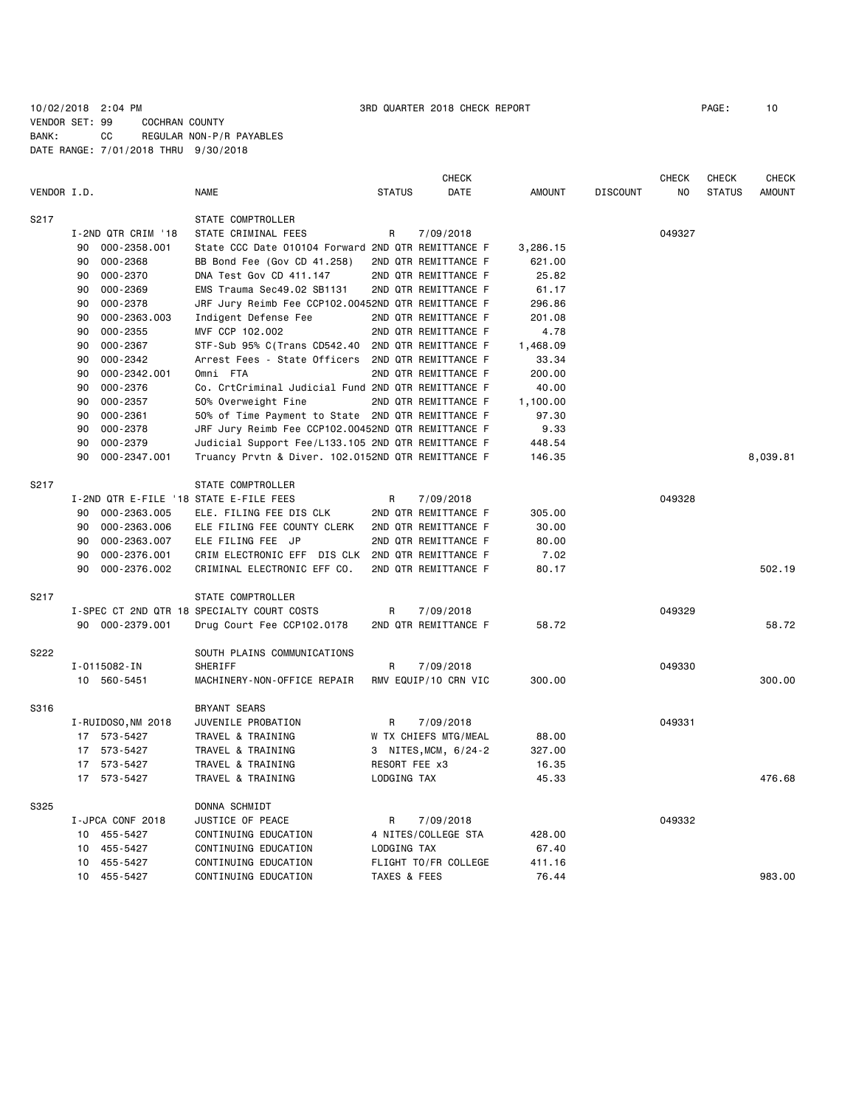# 10/02/2018 2:04 PM 3RD QUARTER 2018 CHECK REPORT PAGE: 10 VENDOR SET: 99 COCHRAN COUNTY BANK: CC REGULAR NON-P/R PAYABLES DATE RANGE: 7/01/2018 THRU 9/30/2018

|             |    |                    |                                                    |               | <b>CHECK</b>         |               |                 | CHECK  | CHECK         | <b>CHECK</b>  |
|-------------|----|--------------------|----------------------------------------------------|---------------|----------------------|---------------|-----------------|--------|---------------|---------------|
| VENDOR I.D. |    |                    | NAME                                               | <b>STATUS</b> | DATE                 | <b>AMOUNT</b> | <b>DISCOUNT</b> | NO     | <b>STATUS</b> | <b>AMOUNT</b> |
| S217        |    |                    | STATE COMPTROLLER                                  |               |                      |               |                 |        |               |               |
|             |    | I-2ND QTR CRIM '18 | STATE CRIMINAL FEES                                | R             | 7/09/2018            |               |                 | 049327 |               |               |
|             | 90 | 000-2358.001       | State CCC Date 010104 Forward 2ND QTR REMITTANCE F |               |                      | 3,286.15      |                 |        |               |               |
|             | 90 | 000-2368           | BB Bond Fee (Gov CD 41.258)                        |               | 2ND QTR REMITTANCE F | 621.00        |                 |        |               |               |
|             | 90 | 000-2370           | DNA Test Gov CD 411.147                            |               | 2ND QTR REMITTANCE F | 25.82         |                 |        |               |               |
|             | 90 | 000-2369           | EMS Trauma Sec49.02 SB1131                         |               | 2ND QTR REMITTANCE F | 61.17         |                 |        |               |               |
|             | 90 | 000-2378           | JRF Jury Reimb Fee CCP102.00452ND QTR REMITTANCE F |               |                      | 296.86        |                 |        |               |               |
|             | 90 | 000-2363.003       | Indigent Defense Fee                               |               | 2ND QTR REMITTANCE F | 201.08        |                 |        |               |               |
|             | 90 | 000-2355           | MVF CCP 102.002                                    |               | 2ND QTR REMITTANCE F | 4.78          |                 |        |               |               |
|             | 90 | 000-2367           | STF-Sub 95% C(Trans CD542.40                       |               | 2ND QTR REMITTANCE F | 1,468.09      |                 |        |               |               |
|             | 90 | 000-2342           | Arrest Fees - State Officers                       |               | 2ND QTR REMITTANCE F | 33.34         |                 |        |               |               |
|             | 90 | 000-2342.001       | Omni FTA                                           |               | 2ND QTR REMITTANCE F | 200.00        |                 |        |               |               |
|             | 90 | 000-2376           | Co. CrtCriminal Judicial Fund 2ND QTR REMITTANCE F |               |                      | 40.00         |                 |        |               |               |
|             | 90 | 000-2357           | 50% Overweight Fine                                |               | 2ND QTR REMITTANCE F | 1,100.00      |                 |        |               |               |
|             | 90 | 000-2361           | 50% of Time Payment to State 2ND QTR REMITTANCE F  |               |                      | 97.30         |                 |        |               |               |
|             | 90 | 000-2378           | JRF Jury Reimb Fee CCP102.00452ND QTR REMITTANCE F |               |                      | 9.33          |                 |        |               |               |
|             | 90 | 000-2379           | Judicial Support Fee/L133.105 2ND QTR REMITTANCE F |               |                      | 448.54        |                 |        |               |               |
|             | 90 | 000-2347.001       | Truancy Prvtn & Diver. 102.0152ND QTR REMITTANCE F |               |                      | 146.35        |                 |        |               | 8,039.81      |
| S217        |    |                    | STATE COMPTROLLER                                  |               |                      |               |                 |        |               |               |
|             |    |                    | I-2ND QTR E-FILE '18 STATE E-FILE FEES             | R             | 7/09/2018            |               |                 | 049328 |               |               |
|             | 90 | 000-2363.005       | ELE. FILING FEE DIS CLK                            |               | 2ND QTR REMITTANCE F | 305.00        |                 |        |               |               |
|             | 90 | 000-2363.006       | ELE FILING FEE COUNTY CLERK                        |               | 2ND QTR REMITTANCE F | 30.00         |                 |        |               |               |
|             | 90 | 000-2363.007       | ELE FILING FEE JP                                  |               | 2ND QTR REMITTANCE F | 80.00         |                 |        |               |               |
|             | 90 | 000-2376.001       | CRIM ELECTRONIC EFF DIS CLK                        |               | 2ND QTR REMITTANCE F | 7.02          |                 |        |               |               |
|             | 90 | 000-2376.002       | CRIMINAL ELECTRONIC EFF CO.                        |               | 2ND QTR REMITTANCE F | 80.17         |                 |        |               | 502.19        |
| S217        |    |                    | STATE COMPTROLLER                                  |               |                      |               |                 |        |               |               |
|             |    |                    | I-SPEC CT 2ND QTR 18 SPECIALTY COURT COSTS         | R             | 7/09/2018            |               |                 | 049329 |               |               |
|             |    | 90 000-2379.001    | Drug Court Fee CCP102.0178                         |               | 2ND QTR REMITTANCE F | 58.72         |                 |        |               | 58.72         |
| S222        |    |                    | SOUTH PLAINS COMMUNICATIONS                        |               |                      |               |                 |        |               |               |
|             |    | I-0115082-IN       | SHERIFF                                            | R             | 7/09/2018            |               |                 | 049330 |               |               |
|             |    | 10 560-5451        | MACHINERY-NON-OFFICE REPAIR                        |               | RMV EQUIP/10 CRN VIC | 300.00        |                 |        |               | 300.00        |
| S316        |    |                    | <b>BRYANT SEARS</b>                                |               |                      |               |                 |        |               |               |
|             |    | I-RUIDOSO, NM 2018 | JUVENILE PROBATION                                 | R             | 7/09/2018            |               |                 | 049331 |               |               |
|             |    | 17 573-5427        | TRAVEL & TRAINING                                  |               | W TX CHIEFS MTG/MEAL | 88.00         |                 |        |               |               |
|             |    | 17 573-5427        | TRAVEL & TRAINING                                  |               | 3 NITES, MCM, 6/24-2 | 327.00        |                 |        |               |               |
|             |    | 17 573-5427        | TRAVEL & TRAINING                                  | RESORT FEE x3 |                      | 16.35         |                 |        |               |               |
|             |    | 17 573-5427        | TRAVEL & TRAINING                                  | LODGING TAX   |                      | 45.33         |                 |        |               | 476.68        |
| S325        |    |                    | DONNA SCHMIDT                                      |               |                      |               |                 |        |               |               |
|             |    | I-JPCA CONF 2018   | JUSTICE OF PEACE                                   | R             | 7/09/2018            |               |                 | 049332 |               |               |
|             |    | 10 455-5427        | CONTINUING EDUCATION                               |               | 4 NITES/COLLEGE STA  | 428.00        |                 |        |               |               |
|             | 10 | 455-5427           | CONTINUING EDUCATION                               | LODGING TAX   |                      | 67.40         |                 |        |               |               |
|             | 10 | 455-5427           | CONTINUING EDUCATION                               |               | FLIGHT TO/FR COLLEGE | 411.16        |                 |        |               |               |
|             |    | 10 455-5427        | CONTINUING EDUCATION                               | TAXES & FEES  |                      | 76.44         |                 |        |               | 983.00        |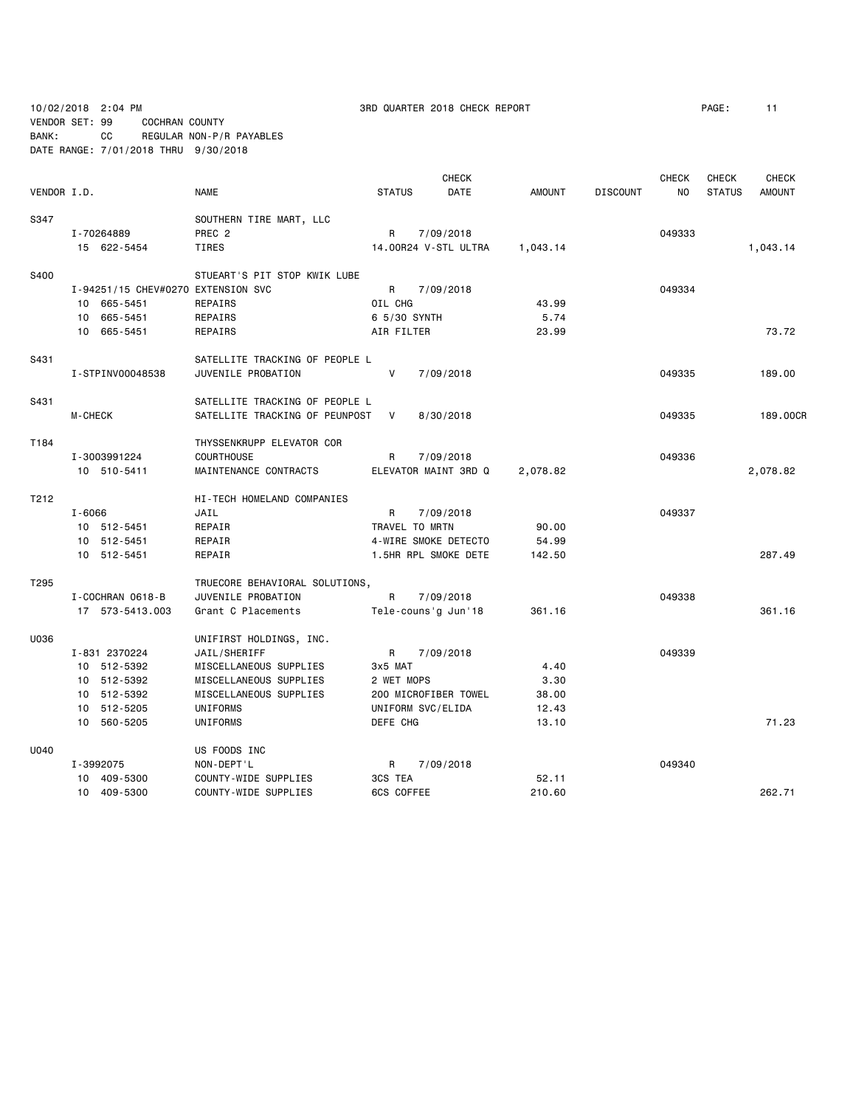10/02/2018 2:04 PM 3RD QUARTER 2018 CHECK REPORT PAGE: 11

VENDOR SET: 99 COCHRAN COUNTY BANK: CC REGULAR NON-P/R PAYABLES DATE RANGE: 7/01/2018 THRU 9/30/2018

|                  |                                    |                                |                | CHECK                |               |                 | CHECK  | <b>CHECK</b>  | <b>CHECK</b>  |
|------------------|------------------------------------|--------------------------------|----------------|----------------------|---------------|-----------------|--------|---------------|---------------|
| VENDOR I.D.      |                                    | <b>NAME</b>                    | <b>STATUS</b>  | DATE                 | <b>AMOUNT</b> | <b>DISCOUNT</b> | NO.    | <b>STATUS</b> | <b>AMOUNT</b> |
| S347             |                                    | SOUTHERN TIRE MART, LLC        |                |                      |               |                 |        |               |               |
|                  | I-70264889                         | PREC <sub>2</sub>              | R              | 7/09/2018            |               |                 | 049333 |               |               |
|                  | 15 622-5454                        | <b>TIRES</b>                   |                | 14.00R24 V-STL ULTRA | 1,043.14      |                 |        |               | 1,043.14      |
| S400             |                                    | STUEART'S PIT STOP KWIK LUBE   |                |                      |               |                 |        |               |               |
|                  | I-94251/15 CHEV#0270 EXTENSION SVC |                                | R              | 7/09/2018            |               |                 | 049334 |               |               |
|                  | 10 665-5451                        | REPAIRS                        | OIL CHG        |                      | 43.99         |                 |        |               |               |
|                  | 10 665-5451                        | REPAIRS                        | 6 5/30 SYNTH   |                      | 5.74          |                 |        |               |               |
|                  | 10 665-5451                        | REPAIRS                        | AIR FILTER     |                      | 23.99         |                 |        |               | 73.72         |
| S431             |                                    | SATELLITE TRACKING OF PEOPLE L |                |                      |               |                 |        |               |               |
|                  | I-STPINV00048538                   | JUVENILE PROBATION             | V              | 7/09/2018            |               |                 | 049335 |               | 189,00        |
| S431             |                                    | SATELLITE TRACKING OF PEOPLE L |                |                      |               |                 |        |               |               |
|                  | M-CHECK                            | SATELLITE TRACKING OF PEUNPOST | V              | 8/30/2018            |               |                 | 049335 |               | 189.00CR      |
| T184             |                                    | THYSSENKRUPP ELEVATOR COR      |                |                      |               |                 |        |               |               |
|                  | I-3003991224                       | <b>COURTHOUSE</b>              | R              | 7/09/2018            |               |                 | 049336 |               |               |
|                  | 10 510-5411                        | MAINTENANCE CONTRACTS          |                | ELEVATOR MAINT 3RD Q | 2,078.82      |                 |        |               | 2,078.82      |
| T212             |                                    | HI-TECH HOMELAND COMPANIES     |                |                      |               |                 |        |               |               |
|                  | $I - 6066$                         | JAIL                           | R              | 7/09/2018            |               |                 | 049337 |               |               |
|                  | 10 512-5451                        | REPAIR                         | TRAVEL TO MRTN |                      | 90.00         |                 |        |               |               |
|                  | 10 512-5451                        | REPAIR                         |                | 4-WIRE SMOKE DETECTO | 54.99         |                 |        |               |               |
|                  | 10 512-5451                        | REPAIR                         |                | 1.5HR RPL SMOKE DETE | 142.50        |                 |        |               | 287.49        |
| T <sub>295</sub> |                                    | TRUECORE BEHAVIORAL SOLUTIONS, |                |                      |               |                 |        |               |               |
|                  | I-COCHRAN 0618-B                   | JUVENILE PROBATION             | R              | 7/09/2018            |               |                 | 049338 |               |               |
|                  | 17 573-5413.003                    | Grant C Placements             |                | Tele-couns'g Jun'18  | 361.16        |                 |        |               | 361.16        |
| U036             |                                    | UNIFIRST HOLDINGS, INC.        |                |                      |               |                 |        |               |               |
|                  | I-831 2370224                      | JAIL/SHERIFF                   | R              | 7/09/2018            |               |                 | 049339 |               |               |
|                  | 10 512-5392                        | MISCELLANEOUS SUPPLIES         | 3x5 MAT        |                      | 4.40          |                 |        |               |               |
|                  | 10 512-5392                        | MISCELLANEOUS SUPPLIES         | 2 WET MOPS     |                      | 3.30          |                 |        |               |               |
|                  | 10 512-5392                        | MISCELLANEOUS SUPPLIES         |                | 200 MICROFIBER TOWEL | 38.00         |                 |        |               |               |
|                  | 10 512-5205                        | UNIFORMS                       |                | UNIFORM SVC/ELIDA    | 12.43         |                 |        |               |               |
|                  | 10 560-5205                        | UNIFORMS                       | DEFE CHG       |                      | 13.10         |                 |        |               | 71.23         |
| U040             |                                    | US FOODS INC                   |                |                      |               |                 |        |               |               |
|                  | I-3992075                          | NON-DEPT'L                     | R              | 7/09/2018            |               |                 | 049340 |               |               |
|                  | 10 409-5300                        | COUNTY-WIDE SUPPLIES           | 3CS TEA        |                      | 52.11         |                 |        |               |               |
|                  | 10 409-5300                        | COUNTY-WIDE SUPPLIES           | 6CS COFFEE     |                      | 210.60        |                 |        |               | 262.71        |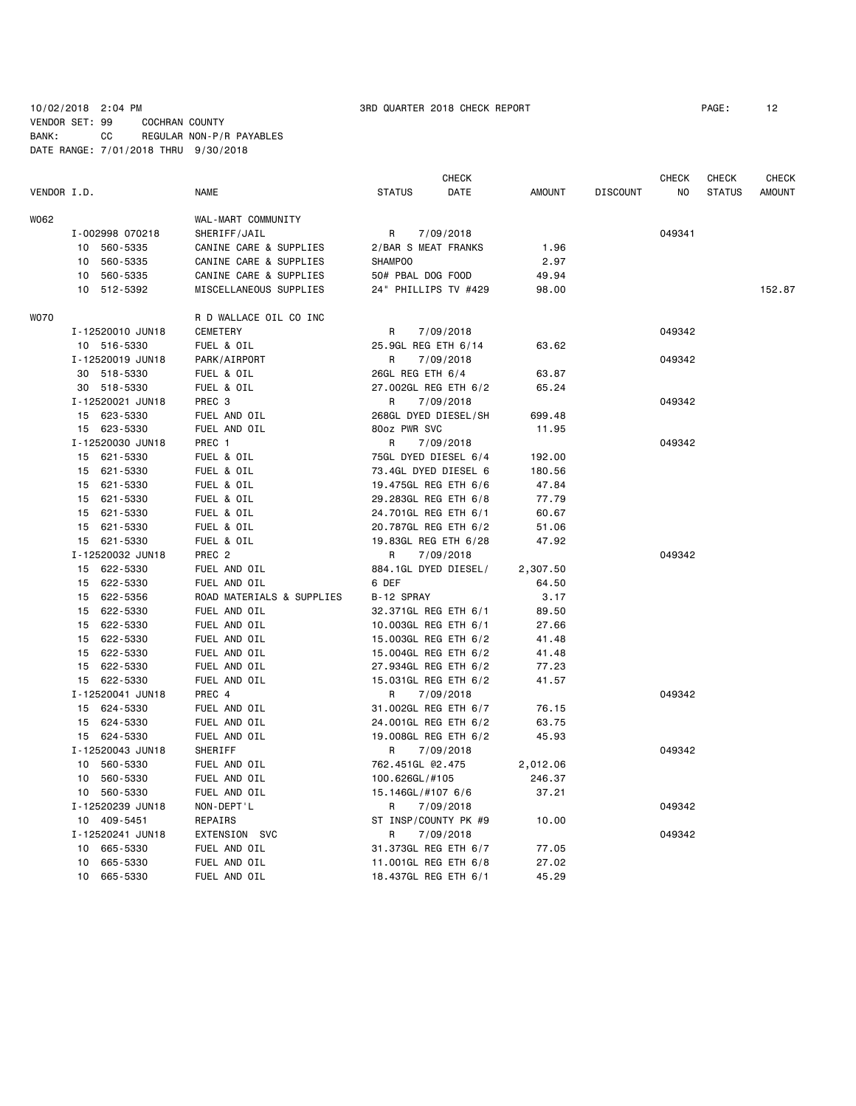### 10/02/2018 2:04 PM  $\blacksquare$  3RD QUARTER 2018 CHECK REPORT  $\blacksquare$  PAGE: 12 VENDOR SET: 99 COCHRAN COUNTY BANK: CC REGULAR NON-P/R PAYABLES DATE RANGE: 7/01/2018 THRU 9/30/2018

|             |                  |                           |                      | <b>CHECK</b>         |               |                 | <b>CHECK</b> | <b>CHECK</b>  | <b>CHECK</b>  |
|-------------|------------------|---------------------------|----------------------|----------------------|---------------|-----------------|--------------|---------------|---------------|
| VENDOR I.D. |                  | <b>NAME</b>               | <b>STATUS</b>        | DATE                 | <b>AMOUNT</b> | <b>DISCOUNT</b> | NO           | <b>STATUS</b> | <b>AMOUNT</b> |
| W062        |                  | WAL-MART COMMUNITY        |                      |                      |               |                 |              |               |               |
|             | I-002998 070218  | SHERIFF/JAIL              | R                    | 7/09/2018            |               |                 | 049341       |               |               |
|             | 10<br>560-5335   | CANINE CARE & SUPPLIES    | 2/BAR S MEAT FRANKS  |                      | 1.96          |                 |              |               |               |
|             | 560-5335<br>10   | CANINE CARE & SUPPLIES    | <b>SHAMPOO</b>       |                      | 2.97          |                 |              |               |               |
|             | 560-5335<br>10   | CANINE CARE & SUPPLIES    | 50# PBAL DOG FOOD    |                      | 49.94         |                 |              |               |               |
|             | 10 512-5392      | MISCELLANEOUS SUPPLIES    | 24" PHILLIPS TV #429 |                      | 98.00         |                 |              |               | 152.87        |
| W070        |                  | R D WALLACE OIL CO INC    |                      |                      |               |                 |              |               |               |
|             | I-12520010 JUN18 | <b>CEMETERY</b>           | R                    | 7/09/2018            |               |                 | 049342       |               |               |
|             | 10 516-5330      | FUEL & OIL                | 25.9GL REG ETH 6/14  |                      | 63.62         |                 |              |               |               |
|             | I-12520019 JUN18 | PARK/AIRPORT              | R                    | 7/09/2018            |               |                 | 049342       |               |               |
|             | 30 518-5330      | FUEL & OIL                | 26GL REG ETH 6/4     |                      | 63.87         |                 |              |               |               |
|             | 30 518-5330      | FUEL & OIL                |                      | 27.002GL REG ETH 6/2 | 65.24         |                 |              |               |               |
|             | I-12520021 JUN18 | PREC <sub>3</sub>         | R                    | 7/09/2018            |               |                 | 049342       |               |               |
|             | 15 623-5330      | FUEL AND OIL              | 268GL DYED DIESEL/SH |                      | 699.48        |                 |              |               |               |
|             | 15 623-5330      | FUEL AND OIL              | 80oz PWR SVC         |                      | 11.95         |                 |              |               |               |
|             | I-12520030 JUN18 | PREC 1                    | R                    | 7/09/2018            |               |                 | 049342       |               |               |
|             | 15 621-5330      | FUEL & OIL                | 75GL DYED DIESEL 6/4 |                      | 192.00        |                 |              |               |               |
|             | 15 621-5330      | FUEL & OIL                |                      | 73.4GL DYED DIESEL 6 | 180.56        |                 |              |               |               |
|             | 15 621-5330      | FUEL & OIL                |                      | 19.475GL REG ETH 6/6 | 47.84         |                 |              |               |               |
|             | 15 621-5330      | FUEL & OIL                | 29.283GL REG ETH 6/8 |                      | 77.79         |                 |              |               |               |
|             | 15 621-5330      | FUEL & OIL                | 24.701GL REG ETH 6/1 |                      | 60.67         |                 |              |               |               |
|             | 15 621-5330      | FUEL & OIL                |                      | 20.787GL REG ETH 6/2 | 51.06         |                 |              |               |               |
|             | 15 621-5330      | FUEL & OIL                |                      | 19.83GL REG ETH 6/28 | 47.92         |                 |              |               |               |
|             | I-12520032 JUN18 | PREC <sub>2</sub>         | R                    | 7/09/2018            |               |                 | 049342       |               |               |
|             | 15 622-5330      | FUEL AND OIL              | 884.1GL DYED DIESEL/ |                      | 2,307.50      |                 |              |               |               |
|             | 622-5330<br>15   | FUEL AND OIL              | 6 DEF                |                      | 64.50         |                 |              |               |               |
|             | 15 622-5356      | ROAD MATERIALS & SUPPLIES | B-12 SPRAY           |                      | 3.17          |                 |              |               |               |
|             | 15 622-5330      | FUEL AND OIL              | 32.371GL REG ETH 6/1 |                      | 89.50         |                 |              |               |               |
|             | 15 622-5330      | FUEL AND OIL              | 10.003GL REG ETH 6/1 |                      | 27.66         |                 |              |               |               |
|             | 15 622-5330      | FUEL AND OIL              |                      | 15.003GL REG ETH 6/2 | 41.48         |                 |              |               |               |
|             | 15 622-5330      | FUEL AND OIL              |                      | 15.004GL REG ETH 6/2 | 41.48         |                 |              |               |               |
|             | 15 622-5330      | FUEL AND OIL              |                      | 27.934GL REG ETH 6/2 | 77.23         |                 |              |               |               |
|             | 15 622-5330      | FUEL AND OIL              |                      | 15.031GL REG ETH 6/2 | 41.57         |                 |              |               |               |
|             | I-12520041 JUN18 | PREC 4                    | R                    | 7/09/2018            |               |                 | 049342       |               |               |
|             | 15 624-5330      | FUEL AND OIL              | 31.002GL REG ETH 6/7 |                      | 76.15         |                 |              |               |               |
|             | 15 624-5330      | FUEL AND OIL              |                      | 24.001GL REG ETH 6/2 | 63.75         |                 |              |               |               |
|             | 15 624-5330      | FUEL AND OIL              |                      | 19.008GL REG ETH 6/2 | 45.93         |                 |              |               |               |
|             | I-12520043 JUN18 | SHERIFF                   | R                    | 7/09/2018            |               |                 | 049342       |               |               |
|             | 10 560-5330      | FUEL AND OIL              | 762.451GL @2.475     |                      | 2,012.06      |                 |              |               |               |
|             | 10 560-5330      | FUEL AND OIL              | 100.626GL/#105       |                      | 246.37        |                 |              |               |               |
|             | 10 560-5330      | FUEL AND OIL              | 15.146GL/#107 6/6    |                      | 37.21         |                 |              |               |               |
|             | I-12520239 JUN18 | NON-DEPT'L                | R                    | 7/09/2018            |               |                 | 049342       |               |               |
|             | 10 409-5451      | REPAIRS                   | ST INSP/COUNTY PK #9 |                      | 10.00         |                 |              |               |               |
|             | I-12520241 JUN18 | EXTENSION SVC             | R                    | 7/09/2018            |               |                 | 049342       |               |               |
|             | 10 665-5330      | FUEL AND OIL              | 31.373GL REG ETH 6/7 |                      | 77.05         |                 |              |               |               |
|             | 665-5330<br>10   | FUEL AND OIL              | 11.001GL REG ETH 6/8 |                      | 27.02         |                 |              |               |               |
|             | 10 665-5330      | FUEL AND OIL              | 18.437GL REG ETH 6/1 |                      | 45.29         |                 |              |               |               |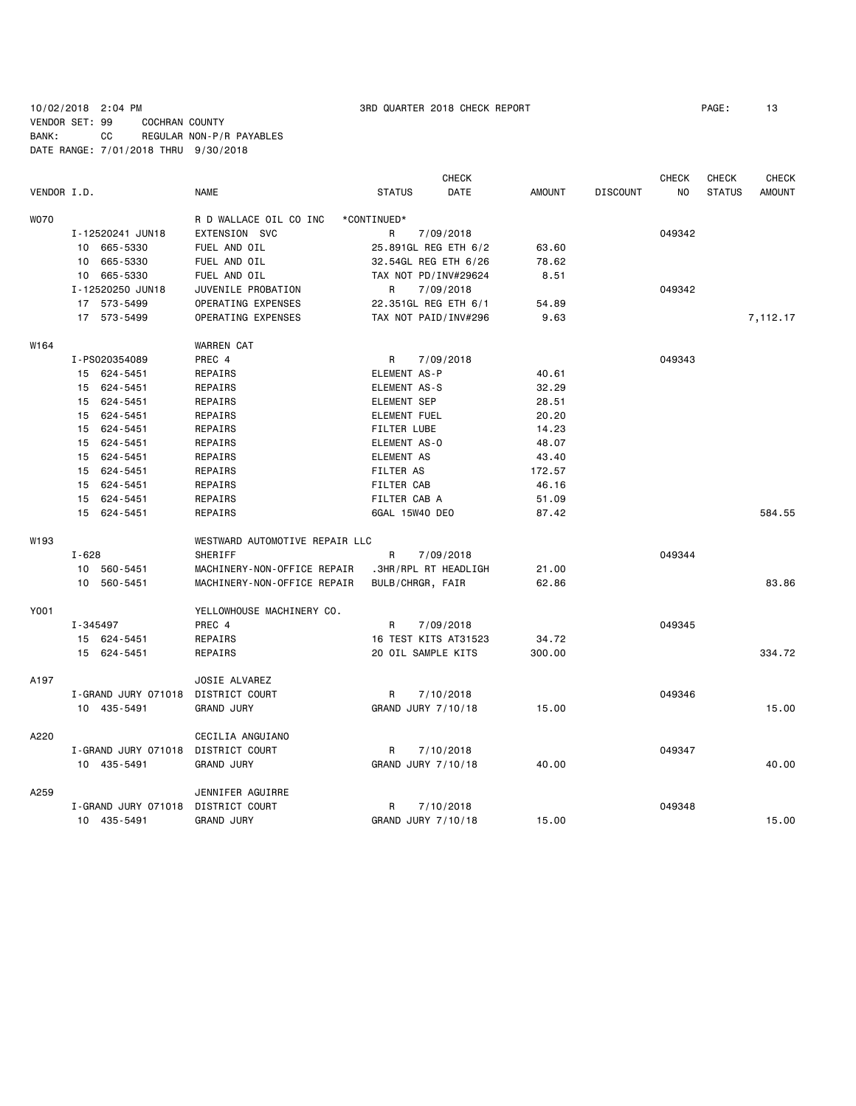# 10/02/2018 2:04 PM 3RD QUARTER 2018 CHECK REPORT PAGE: 13 VENDOR SET: 99 COCHRAN COUNTY BANK: CC REGULAR NON-P/R PAYABLES DATE RANGE: 7/01/2018 THRU 9/30/2018

|             |                     |                                | <b>CHECK</b>          |        |                 | <b>CHECK</b>   | <b>CHECK</b>  | <b>CHECK</b>  |
|-------------|---------------------|--------------------------------|-----------------------|--------|-----------------|----------------|---------------|---------------|
| VENDOR I.D. |                     | <b>NAME</b>                    | DATE<br><b>STATUS</b> | AMOUNT | <b>DISCOUNT</b> | N <sub>O</sub> | <b>STATUS</b> | <b>AMOUNT</b> |
| <b>WO70</b> |                     | R D WALLACE OIL CO INC         | *CONTINUED*           |        |                 |                |               |               |
|             | I-12520241 JUN18    | EXTENSION SVC                  | R<br>7/09/2018        |        |                 | 049342         |               |               |
|             | 10 665-5330         | FUEL AND OIL                   | 25.891GL REG ETH 6/2  | 63.60  |                 |                |               |               |
|             | 10 665-5330         | FUEL AND OIL                   | 32.54GL REG ETH 6/26  | 78.62  |                 |                |               |               |
|             | 10 665-5330         | FUEL AND OIL                   | TAX NOT PD/INV#29624  | 8.51   |                 |                |               |               |
|             | I-12520250 JUN18    | JUVENILE PROBATION             | R<br>7/09/2018        |        |                 | 049342         |               |               |
|             | 17 573-5499         | OPERATING EXPENSES             | 22.351GL REG ETH 6/1  | 54.89  |                 |                |               |               |
|             | 17 573-5499         | OPERATING EXPENSES             | TAX NOT PAID/INV#296  | 9.63   |                 |                |               | 7,112.17      |
| W164        |                     | WARREN CAT                     |                       |        |                 |                |               |               |
|             | I-PS020354089       | PREC 4                         | R<br>7/09/2018        |        |                 | 049343         |               |               |
|             | 15 624-5451         | REPAIRS                        | ELEMENT AS-P          | 40.61  |                 |                |               |               |
|             | 15 624-5451         | REPAIRS                        | ELEMENT AS-S          | 32.29  |                 |                |               |               |
|             | 15 624-5451         | REPAIRS                        | <b>ELEMENT SEP</b>    | 28.51  |                 |                |               |               |
|             | 15 624-5451         | REPAIRS                        | <b>ELEMENT FUEL</b>   | 20.20  |                 |                |               |               |
|             | 15 624-5451         | REPAIRS                        | <b>FILTER LUBE</b>    | 14.23  |                 |                |               |               |
|             | 15 624-5451         | REPAIRS                        | ELEMENT AS-0          | 48.07  |                 |                |               |               |
|             | 15 624-5451         | REPAIRS                        | <b>ELEMENT AS</b>     | 43.40  |                 |                |               |               |
|             | 15 624-5451         | REPAIRS                        | FILTER AS             | 172.57 |                 |                |               |               |
|             | 15 624-5451         | REPAIRS                        | <b>FILTER CAB</b>     | 46.16  |                 |                |               |               |
|             | 15 624-5451         | REPAIRS                        | FILTER CAB A          | 51.09  |                 |                |               |               |
|             | 15 624-5451         | REPAIRS                        | 6GAL 15W40 DEO        | 87.42  |                 |                |               | 584.55        |
| W193        |                     | WESTWARD AUTOMOTIVE REPAIR LLC |                       |        |                 |                |               |               |
|             | $I - 628$           | SHERIFF                        | R<br>7/09/2018        |        |                 | 049344         |               |               |
|             | 10 560-5451         | MACHINERY-NON-OFFICE REPAIR    | .3HR/RPL RT HEADLIGH  | 21.00  |                 |                |               |               |
|             | 10 560-5451         | MACHINERY-NON-OFFICE REPAIR    | BULB/CHRGR, FAIR      | 62.86  |                 |                |               | 83.86         |
| Y001        |                     | YELLOWHOUSE MACHINERY CO.      |                       |        |                 |                |               |               |
|             | I-345497            | PREC 4                         | R<br>7/09/2018        |        |                 | 049345         |               |               |
|             | 15 624-5451         | REPAIRS                        | 16 TEST KITS AT31523  | 34.72  |                 |                |               |               |
|             | 15 624-5451         | REPAIRS                        | 20 OIL SAMPLE KITS    | 300.00 |                 |                |               | 334.72        |
| A197        |                     | JOSIE ALVAREZ                  |                       |        |                 |                |               |               |
|             | I-GRAND JURY 071018 | DISTRICT COURT                 | R<br>7/10/2018        |        |                 | 049346         |               |               |
|             | 10 435-5491         | <b>GRAND JURY</b>              | GRAND JURY 7/10/18    | 15.00  |                 |                |               | 15.00         |
| A220        |                     | CECILIA ANGUIANO               |                       |        |                 |                |               |               |
|             | I-GRAND JURY 071018 | DISTRICT COURT                 | 7/10/2018<br>R        |        |                 | 049347         |               |               |
|             | 10 435-5491         | <b>GRAND JURY</b>              | GRAND JURY 7/10/18    | 40.00  |                 |                |               | 40.00         |
| A259        |                     | JENNIFER AGUIRRE               |                       |        |                 |                |               |               |
|             | I-GRAND JURY 071018 | DISTRICT COURT                 | R<br>7/10/2018        |        |                 | 049348         |               |               |
|             | 10 435-5491         | <b>GRAND JURY</b>              | GRAND JURY 7/10/18    | 15.00  |                 |                |               | 15.00         |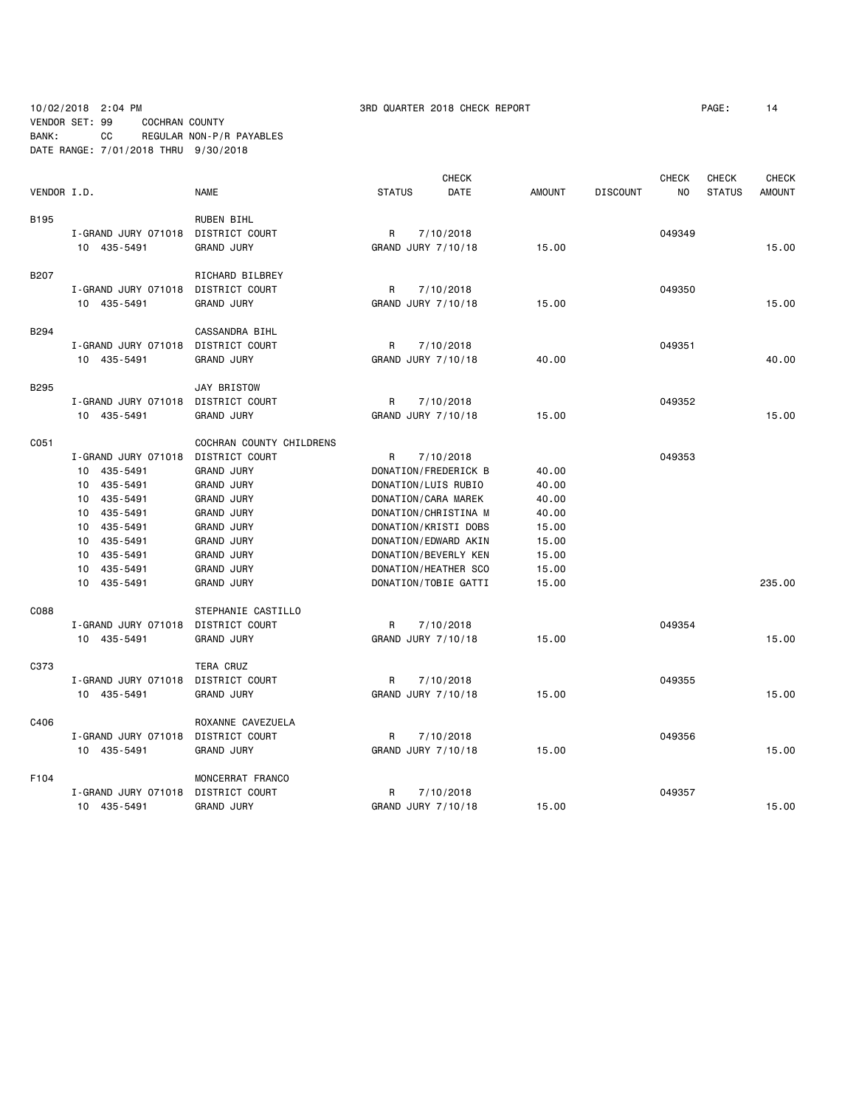# 10/02/2018 2:04 PM 3RD QUARTER 2018 CHECK REPORT PAGE: 14 VENDOR SET: 99 COCHRAN COUNTY BANK: CC REGULAR NON-P/R PAYABLES DATE RANGE: 7/01/2018 THRU 9/30/2018

|             |                     |                          |                     | <b>CHECK</b>         |               |                 | <b>CHECK</b> | <b>CHECK</b>  | <b>CHECK</b>  |
|-------------|---------------------|--------------------------|---------------------|----------------------|---------------|-----------------|--------------|---------------|---------------|
| VENDOR I.D. |                     | <b>NAME</b>              | <b>STATUS</b>       | DATE                 | <b>AMOUNT</b> | <b>DISCOUNT</b> | NO.          | <b>STATUS</b> | <b>AMOUNT</b> |
| B195        |                     | <b>RUBEN BIHL</b>        |                     |                      |               |                 |              |               |               |
|             | I-GRAND JURY 071018 | DISTRICT COURT           | R                   | 7/10/2018            |               |                 | 049349       |               |               |
|             | 10 435-5491         | <b>GRAND JURY</b>        | GRAND JURY 7/10/18  |                      | 15.00         |                 |              |               | 15.00         |
| <b>B207</b> |                     | RICHARD BILBREY          |                     |                      |               |                 |              |               |               |
|             | I-GRAND JURY 071018 | DISTRICT COURT           | R                   | 7/10/2018            |               |                 | 049350       |               |               |
|             | 10 435-5491         | <b>GRAND JURY</b>        | GRAND JURY 7/10/18  |                      | 15.00         |                 |              |               | 15.00         |
| B294        |                     | CASSANDRA BIHL           |                     |                      |               |                 |              |               |               |
|             | I-GRAND JURY 071018 | DISTRICT COURT           | R                   | 7/10/2018            |               |                 | 049351       |               |               |
|             | 10 435-5491         | <b>GRAND JURY</b>        | GRAND JURY 7/10/18  |                      | 40.00         |                 |              |               | 40.00         |
| B295        |                     | <b>JAY BRISTOW</b>       |                     |                      |               |                 |              |               |               |
|             | I-GRAND JURY 071018 | DISTRICT COURT           | R                   | 7/10/2018            |               |                 | 049352       |               |               |
|             | 10 435-5491         | <b>GRAND JURY</b>        | GRAND JURY 7/10/18  |                      | 15.00         |                 |              |               | 15.00         |
| C051        |                     | COCHRAN COUNTY CHILDRENS |                     |                      |               |                 |              |               |               |
|             | I-GRAND JURY 071018 | <b>DISTRICT COURT</b>    | R                   | 7/10/2018            |               |                 | 049353       |               |               |
|             | 10 435-5491         | <b>GRAND JURY</b>        |                     | DONATION/FREDERICK B | 40.00         |                 |              |               |               |
|             | 435-5491<br>10      | <b>GRAND JURY</b>        | DONATION/LUIS RUBIO |                      | 40.00         |                 |              |               |               |
|             | 435-5491<br>10      | <b>GRAND JURY</b>        | DONATION/CARA MAREK |                      | 40.00         |                 |              |               |               |
|             | 435-5491<br>10      | <b>GRAND JURY</b>        |                     | DONATION/CHRISTINA M | 40.00         |                 |              |               |               |
|             | 435-5491<br>10      | <b>GRAND JURY</b>        |                     | DONATION/KRISTI DOBS | 15.00         |                 |              |               |               |
|             | 435-5491<br>10      | <b>GRAND JURY</b>        |                     | DONATION/EDWARD AKIN | 15.00         |                 |              |               |               |
|             | 10 435-5491         | <b>GRAND JURY</b>        |                     | DONATION/BEVERLY KEN | 15.00         |                 |              |               |               |
|             | 10 435-5491         | <b>GRAND JURY</b>        |                     | DONATION/HEATHER SCO | 15.00         |                 |              |               |               |
|             | 10<br>435-5491      | <b>GRAND JURY</b>        |                     | DONATION/TOBIE GATTI | 15.00         |                 |              |               | 235.00        |
| C088        |                     | STEPHANIE CASTILLO       |                     |                      |               |                 |              |               |               |
|             | I-GRAND JURY 071018 | DISTRICT COURT           | R                   | 7/10/2018            |               |                 | 049354       |               |               |
|             | 10 435-5491         | <b>GRAND JURY</b>        | GRAND JURY 7/10/18  |                      | 15.00         |                 |              |               | 15.00         |
| C373        |                     | TERA CRUZ                |                     |                      |               |                 |              |               |               |
|             | I-GRAND JURY 071018 | DISTRICT COURT           | R                   | 7/10/2018            |               |                 | 049355       |               |               |
|             | 10 435-5491         | <b>GRAND JURY</b>        | GRAND JURY 7/10/18  |                      | 15.00         |                 |              |               | 15.00         |
| C406        |                     | ROXANNE CAVEZUELA        |                     |                      |               |                 |              |               |               |
|             | I-GRAND JURY 071018 | DISTRICT COURT           | R                   | 7/10/2018            |               |                 | 049356       |               |               |
|             | 10 435-5491         | <b>GRAND JURY</b>        | GRAND JURY 7/10/18  |                      | 15.00         |                 |              |               | 15.00         |
| F104        |                     | MONCERRAT FRANCO         |                     |                      |               |                 |              |               |               |
|             | I-GRAND JURY 071018 | DISTRICT COURT           | R                   | 7/10/2018            |               |                 | 049357       |               |               |
|             | 10 435-5491         | <b>GRAND JURY</b>        | GRAND JURY 7/10/18  |                      | 15.00         |                 |              |               | 15.00         |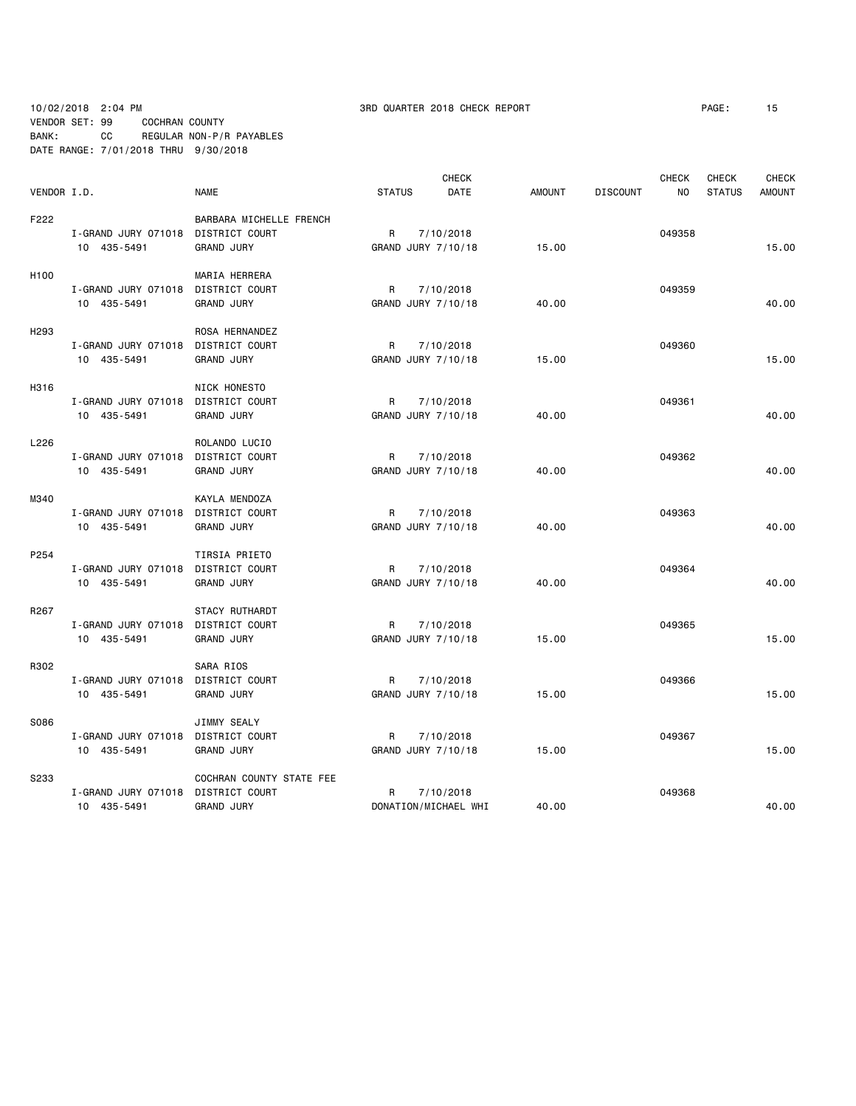10/02/2018 2:04 PM 3RD QUARTER 2018 CHECK REPORT PAGE: 15 VENDOR SET: 99 COCHRAN COUNTY BANK: CC REGULAR NON-P/R PAYABLES DATE RANGE: 7/01/2018 THRU 9/30/2018

|                  |                                    |                          |                      | <b>CHECK</b> |               |                 | <b>CHECK</b> | <b>CHECK</b>  | <b>CHECK</b>  |
|------------------|------------------------------------|--------------------------|----------------------|--------------|---------------|-----------------|--------------|---------------|---------------|
| VENDOR I.D.      |                                    | <b>NAME</b>              | <b>STATUS</b>        | DATE         | <b>AMOUNT</b> | <b>DISCOUNT</b> | NO.          | <b>STATUS</b> | <b>AMOUNT</b> |
| F222             |                                    | BARBARA MICHELLE FRENCH  |                      |              |               |                 |              |               |               |
|                  | I-GRAND JURY 071018                | DISTRICT COURT           | R                    | 7/10/2018    |               |                 | 049358       |               |               |
|                  | 10 435-5491                        | <b>GRAND JURY</b>        | GRAND JURY 7/10/18   |              | 15.00         |                 |              |               | 15,00         |
| H <sub>100</sub> |                                    | MARIA HERRERA            |                      |              |               |                 |              |               |               |
|                  | I-GRAND JURY 071018                | DISTRICT COURT           | R                    | 7/10/2018    |               |                 | 049359       |               |               |
|                  | 10 435-5491                        | <b>GRAND JURY</b>        | GRAND JURY 7/10/18   |              | 40.00         |                 |              |               | 40.00         |
| H <sub>293</sub> |                                    | ROSA HERNANDEZ           |                      |              |               |                 |              |               |               |
|                  | I-GRAND JURY 071018                | DISTRICT COURT           | R                    | 7/10/2018    |               |                 | 049360       |               |               |
|                  | 10 435-5491                        | <b>GRAND JURY</b>        | GRAND JURY 7/10/18   |              | 15.00         |                 |              |               | 15.00         |
| H316             |                                    | NICK HONESTO             |                      |              |               |                 |              |               |               |
|                  | I-GRAND JURY 071018                | DISTRICT COURT           | R                    | 7/10/2018    |               |                 | 049361       |               |               |
|                  | 10 435-5491                        | <b>GRAND JURY</b>        | GRAND JURY 7/10/18   |              | 40.00         |                 |              |               | 40.00         |
| L226             |                                    | ROLANDO LUCIO            |                      |              |               |                 |              |               |               |
|                  | I-GRAND JURY 071018                | DISTRICT COURT           | R                    | 7/10/2018    |               |                 | 049362       |               |               |
|                  | 10 435-5491                        | <b>GRAND JURY</b>        | GRAND JURY 7/10/18   |              | 40.00         |                 |              |               | 40.00         |
| M340             |                                    | KAYLA MENDOZA            |                      |              |               |                 |              |               |               |
|                  | I-GRAND JURY 071018                | DISTRICT COURT           | R                    | 7/10/2018    |               |                 | 049363       |               |               |
|                  | 10 435-5491                        | <b>GRAND JURY</b>        | GRAND JURY 7/10/18   |              | 40.00         |                 |              |               | 40.00         |
| P254             |                                    | TIRSIA PRIETO            |                      |              |               |                 |              |               |               |
|                  | I-GRAND JURY 071018                | DISTRICT COURT           | R                    | 7/10/2018    |               |                 | 049364       |               |               |
|                  | 10 435-5491                        | <b>GRAND JURY</b>        | GRAND JURY 7/10/18   |              | 40.00         |                 |              |               | 40.00         |
| R267             |                                    | STACY RUTHARDT           |                      |              |               |                 |              |               |               |
|                  | I-GRAND JURY 071018 DISTRICT COURT |                          | R                    | 7/10/2018    |               |                 | 049365       |               |               |
|                  | 10 435-5491                        | <b>GRAND JURY</b>        | GRAND JURY 7/10/18   |              | 15.00         |                 |              |               | 15.00         |
| R302             |                                    | SARA RIOS                |                      |              |               |                 |              |               |               |
|                  | I-GRAND JURY 071018 DISTRICT COURT |                          | R                    | 7/10/2018    |               |                 | 049366       |               |               |
|                  | 10 435-5491                        | <b>GRAND JURY</b>        | GRAND JURY 7/10/18   |              | 15.00         |                 |              |               | 15.00         |
| S086             |                                    | JIMMY SEALY              |                      |              |               |                 |              |               |               |
|                  | I-GRAND JURY 071018                | DISTRICT COURT           | R                    | 7/10/2018    |               |                 | 049367       |               |               |
|                  | 10 435-5491                        | <b>GRAND JURY</b>        | GRAND JURY 7/10/18   |              | 15.00         |                 |              |               | 15.00         |
| S233             |                                    | COCHRAN COUNTY STATE FEE |                      |              |               |                 |              |               |               |
|                  | I-GRAND JURY 071018                | DISTRICT COURT           | R                    | 7/10/2018    |               |                 | 049368       |               |               |
|                  | 10 435-5491                        | <b>GRAND JURY</b>        | DONATION/MICHAEL WHI |              | 40.00         |                 |              |               | 40.00         |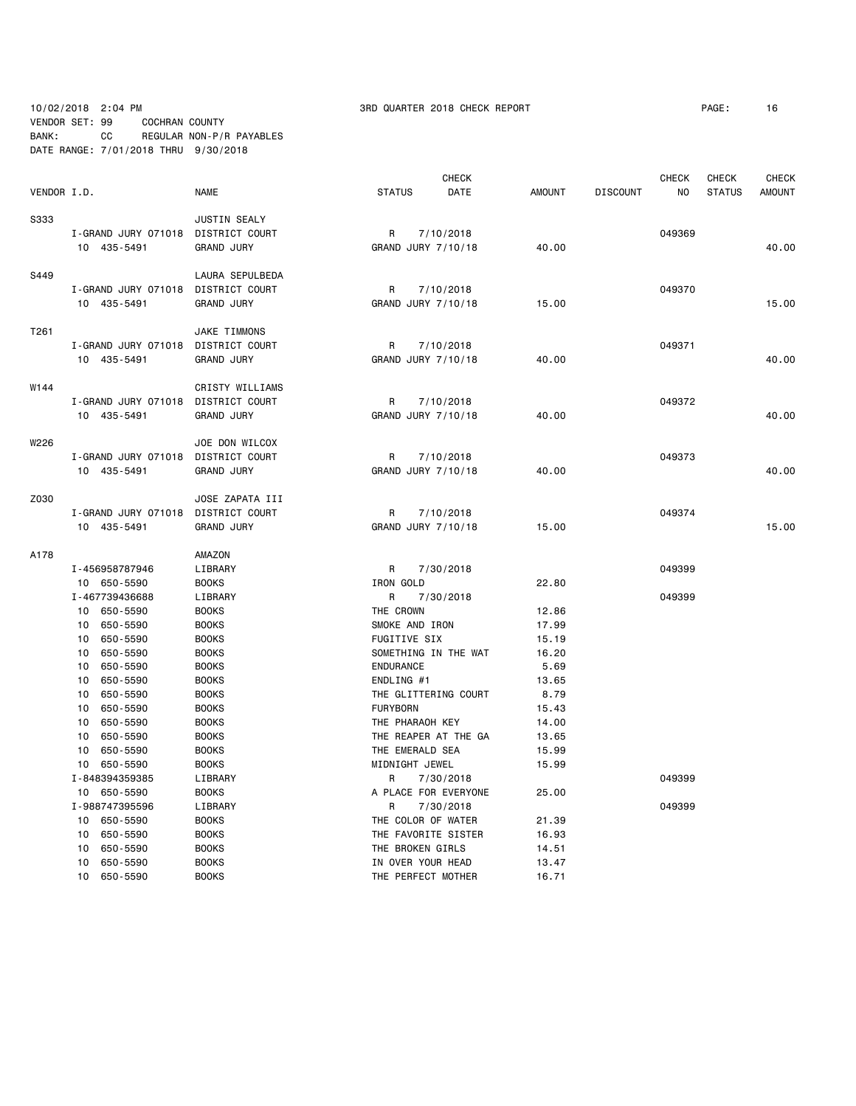# 10/02/2018 2:04 PM 3RD QUARTER 2018 CHECK REPORT PAGE: 16 VENDOR SET: 99 COCHRAN COUNTY BANK: CC REGULAR NON-P/R PAYABLES DATE RANGE: 7/01/2018 THRU 9/30/2018

|             |                                    |                   | <b>CHECK</b>          |               | <b>CHECK</b>          | <b>CHECK</b>  | <b>CHECK</b>  |
|-------------|------------------------------------|-------------------|-----------------------|---------------|-----------------------|---------------|---------------|
| VENDOR I.D. |                                    | <b>NAME</b>       | <b>STATUS</b><br>DATE | <b>AMOUNT</b> | <b>DISCOUNT</b><br>NO | <b>STATUS</b> | <b>AMOUNT</b> |
| S333        |                                    | JUSTIN SEALY      |                       |               |                       |               |               |
|             | I-GRAND JURY 071018 DISTRICT COURT |                   | 7/10/2018<br>R        |               | 049369                |               |               |
|             | 10 435-5491                        | <b>GRAND JURY</b> | GRAND JURY 7/10/18    | 40.00         |                       |               | 40.00         |
| S449        |                                    | LAURA SEPULBEDA   |                       |               |                       |               |               |
|             | I-GRAND JURY 071018                | DISTRICT COURT    | 7/10/2018<br>R        |               | 049370                |               |               |
|             | 10 435-5491                        | <b>GRAND JURY</b> | GRAND JURY 7/10/18    | 15.00         |                       |               | 15.00         |
| T261        |                                    | JAKE TIMMONS      |                       |               |                       |               |               |
|             | I-GRAND JURY 071018                | DISTRICT COURT    | R<br>7/10/2018        |               | 049371                |               |               |
|             | 10 435-5491                        | <b>GRAND JURY</b> | GRAND JURY 7/10/18    | 40.00         |                       |               | 40.00         |
| W144        |                                    | CRISTY WILLIAMS   |                       |               |                       |               |               |
|             | I-GRAND JURY 071018 DISTRICT COURT |                   | R<br>7/10/2018        |               | 049372                |               |               |
|             | 10 435-5491                        | <b>GRAND JURY</b> | GRAND JURY 7/10/18    | 40.00         |                       |               | 40.00         |
| W226        |                                    | JOE DON WILCOX    |                       |               |                       |               |               |
|             | I-GRAND JURY 071018 DISTRICT COURT |                   | R<br>7/10/2018        |               | 049373                |               |               |
|             | 10 435-5491                        | <b>GRAND JURY</b> | GRAND JURY 7/10/18    | 40.00         |                       |               | 40.00         |
| Z030        |                                    | JOSE ZAPATA III   |                       |               |                       |               |               |
|             | I-GRAND JURY 071018                | DISTRICT COURT    | R<br>7/10/2018        |               | 049374                |               |               |
|             | 10 435-5491                        | <b>GRAND JURY</b> | GRAND JURY 7/10/18    | 15.00         |                       |               | 15.00         |
| A178        |                                    | AMAZON            |                       |               |                       |               |               |
|             | I-456958787946                     | LIBRARY           | R<br>7/30/2018        |               | 049399                |               |               |
|             | 10 650-5590                        | <b>BOOKS</b>      | IRON GOLD             | 22.80         |                       |               |               |
|             | I-467739436688                     | LIBRARY           | R<br>7/30/2018        |               | 049399                |               |               |
|             | 10 650-5590                        | <b>BOOKS</b>      | THE CROWN             | 12.86         |                       |               |               |
|             | 10 650-5590                        | <b>BOOKS</b>      | SMOKE AND IRON        | 17.99         |                       |               |               |
|             | 10 650-5590                        | <b>BOOKS</b>      | FUGITIVE SIX          | 15.19         |                       |               |               |
|             | 650-5590<br>10                     | <b>BOOKS</b>      | SOMETHING IN THE WAT  | 16.20         |                       |               |               |
|             | 650-5590<br>10                     | <b>BOOKS</b>      | <b>ENDURANCE</b>      | 5.69          |                       |               |               |
|             | 650-5590<br>10                     | <b>BOOKS</b>      | ENDLING #1            | 13.65         |                       |               |               |
|             | 650-5590<br>10                     | <b>BOOKS</b>      | THE GLITTERING COURT  | 8.79          |                       |               |               |
|             | 650-5590<br>10                     | <b>BOOKS</b>      | <b>FURYBORN</b>       | 15.43         |                       |               |               |
|             | 650-5590<br>10                     | <b>BOOKS</b>      | THE PHARAOH KEY       | 14.00         |                       |               |               |
|             | 650-5590<br>10                     | <b>BOOKS</b>      | THE REAPER AT THE GA  | 13.65         |                       |               |               |
|             | 650-5590<br>10                     | <b>BOOKS</b>      | THE EMERALD SEA       | 15.99         |                       |               |               |
|             | 10 650-5590                        | <b>BOOKS</b>      | MIDNIGHT JEWEL        | 15.99         |                       |               |               |
|             | I-848394359385                     | LIBRARY           | R<br>7/30/2018        |               | 049399                |               |               |
|             | 10 650-5590                        | <b>BOOKS</b>      | A PLACE FOR EVERYONE  | 25.00         |                       |               |               |
|             | I-988747395596                     | LIBRARY           | R<br>7/30/2018        |               | 049399                |               |               |
|             | 10 650-5590                        | <b>BOOKS</b>      | THE COLOR OF WATER    | 21.39         |                       |               |               |
|             | 10<br>650-5590                     | <b>BOOKS</b>      | THE FAVORITE SISTER   | 16.93         |                       |               |               |
|             | 650-5590<br>10                     | <b>BOOKS</b>      | THE BROKEN GIRLS      | 14.51         |                       |               |               |
|             | 650-5590<br>10                     | <b>BOOKS</b>      | IN OVER YOUR HEAD     | 13.47         |                       |               |               |
|             | 10 650-5590                        | <b>BOOKS</b>      | THE PERFECT MOTHER    | 16.71         |                       |               |               |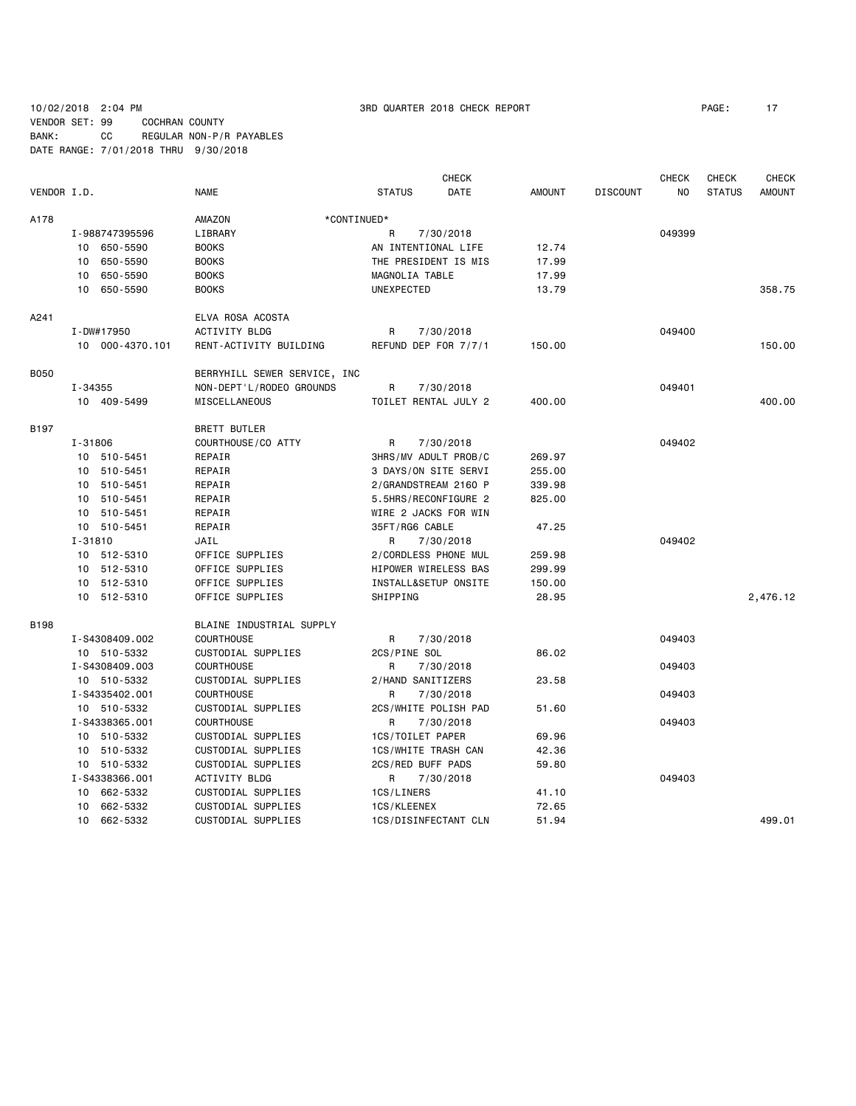10/02/2018 2:04 PM 3RD QUARTER 2018 CHECK REPORT PAGE: 17 VENDOR SET: 99 COCHRAN COUNTY BANK: CC REGULAR NON-P/R PAYABLES DATE RANGE: 7/01/2018 THRU 9/30/2018

|             |                 |                              |                      | <b>CHECK</b> |               |                 | <b>CHECK</b> | <b>CHECK</b>  | <b>CHECK</b>  |
|-------------|-----------------|------------------------------|----------------------|--------------|---------------|-----------------|--------------|---------------|---------------|
| VENDOR I.D. |                 | <b>NAME</b>                  | <b>STATUS</b>        | DATE         | <b>AMOUNT</b> | <b>DISCOUNT</b> | NO           | <b>STATUS</b> | <b>AMOUNT</b> |
| A178        |                 | AMAZON                       | *CONTINUED*          |              |               |                 |              |               |               |
|             | I-988747395596  | LIBRARY                      | R                    | 7/30/2018    |               |                 | 049399       |               |               |
|             | 10 650-5590     | <b>BOOKS</b>                 | AN INTENTIONAL LIFE  |              | 12.74         |                 |              |               |               |
|             | 650-5590<br>10  | <b>BOOKS</b>                 | THE PRESIDENT IS MIS |              | 17.99         |                 |              |               |               |
|             | 650-5590<br>10  | <b>BOOKS</b>                 | MAGNOLIA TABLE       |              | 17.99         |                 |              |               |               |
|             | 10<br>650-5590  | <b>BOOKS</b>                 | UNEXPECTED           |              | 13.79         |                 |              |               | 358.75        |
| A241        |                 | ELVA ROSA ACOSTA             |                      |              |               |                 |              |               |               |
|             | I-DW#17950      | <b>ACTIVITY BLDG</b>         | R                    | 7/30/2018    |               |                 | 049400       |               |               |
|             | 10 000-4370.101 | RENT-ACTIVITY BUILDING       | REFUND DEP FOR 7/7/1 |              | 150.00        |                 |              |               | 150.00        |
| <b>B050</b> |                 | BERRYHILL SEWER SERVICE, INC |                      |              |               |                 |              |               |               |
|             | I-34355         | NON-DEPT'L/RODEO GROUNDS     | R                    | 7/30/2018    |               |                 | 049401       |               |               |
|             | 10 409-5499     | MISCELLANEOUS                | TOILET RENTAL JULY 2 |              | 400.00        |                 |              |               | 400.00        |
| B197        |                 | BRETT BUTLER                 |                      |              |               |                 |              |               |               |
|             | I-31806         | COURTHOUSE/CO ATTY           | R                    | 7/30/2018    |               |                 | 049402       |               |               |
|             | 10 510-5451     | REPAIR                       | 3HRS/MV ADULT PROB/C |              | 269.97        |                 |              |               |               |
|             | 510-5451<br>10  | REPAIR                       | 3 DAYS/ON SITE SERVI |              | 255.00        |                 |              |               |               |
|             | 10 510-5451     | REPAIR                       | 2/GRANDSTREAM 2160 P |              | 339.98        |                 |              |               |               |
|             | 510-5451<br>10  | REPAIR                       | 5.5HRS/RECONFIGURE 2 |              | 825.00        |                 |              |               |               |
|             | 10<br>510-5451  | REPAIR                       | WIRE 2 JACKS FOR WIN |              |               |                 |              |               |               |
|             | 10 510-5451     | REPAIR                       | 35FT/RG6 CABLE       |              | 47.25         |                 |              |               |               |
|             | $I - 31810$     | JAIL                         | R                    | 7/30/2018    |               |                 | 049402       |               |               |
|             | 10 512-5310     | OFFICE SUPPLIES              | 2/CORDLESS PHONE MUL |              | 259.98        |                 |              |               |               |
|             | 10 512-5310     | OFFICE SUPPLIES              | HIPOWER WIRELESS BAS |              | 299.99        |                 |              |               |               |
|             | 10 512-5310     | OFFICE SUPPLIES              | INSTALL&SETUP ONSITE |              | 150.00        |                 |              |               |               |
|             | 10 512-5310     | OFFICE SUPPLIES              | SHIPPING             |              | 28.95         |                 |              |               | 2,476.12      |
| <b>B198</b> |                 | BLAINE INDUSTRIAL SUPPLY     |                      |              |               |                 |              |               |               |
|             | I-S4308409.002  | COURTHOUSE                   | R                    | 7/30/2018    |               |                 | 049403       |               |               |
|             | 10 510-5332     | CUSTODIAL SUPPLIES           | 2CS/PINE SOL         |              | 86.02         |                 |              |               |               |
|             | I-S4308409.003  | <b>COURTHOUSE</b>            | R                    | 7/30/2018    |               |                 | 049403       |               |               |
|             | 10 510-5332     | CUSTODIAL SUPPLIES           | 2/HAND SANITIZERS    |              | 23.58         |                 |              |               |               |
|             | I-S4335402.001  | <b>COURTHOUSE</b>            | R                    | 7/30/2018    |               |                 | 049403       |               |               |
|             | 10 510-5332     | CUSTODIAL SUPPLIES           | 2CS/WHITE POLISH PAD |              | 51.60         |                 |              |               |               |
|             | I-S4338365.001  | <b>COURTHOUSE</b>            | R                    | 7/30/2018    |               |                 | 049403       |               |               |
|             | 10 510-5332     | CUSTODIAL SUPPLIES           | 1CS/TOILET PAPER     |              | 69.96         |                 |              |               |               |
|             | 10 510-5332     | CUSTODIAL SUPPLIES           | 1CS/WHITE TRASH CAN  |              | 42.36         |                 |              |               |               |
|             | 10 510-5332     | CUSTODIAL SUPPLIES           | 2CS/RED BUFF PADS    |              | 59.80         |                 |              |               |               |
|             | I-S4338366.001  | ACTIVITY BLDG                | R                    | 7/30/2018    |               |                 | 049403       |               |               |
|             | 10 662-5332     | CUSTODIAL SUPPLIES           | 1CS/LINERS           |              | 41.10         |                 |              |               |               |
|             | 10 662-5332     | CUSTODIAL SUPPLIES           | 1CS/KLEENEX          |              | 72.65         |                 |              |               |               |
|             | 10 662-5332     | CUSTODIAL SUPPLIES           | 1CS/DISINFECTANT CLN |              | 51.94         |                 |              |               | 499.01        |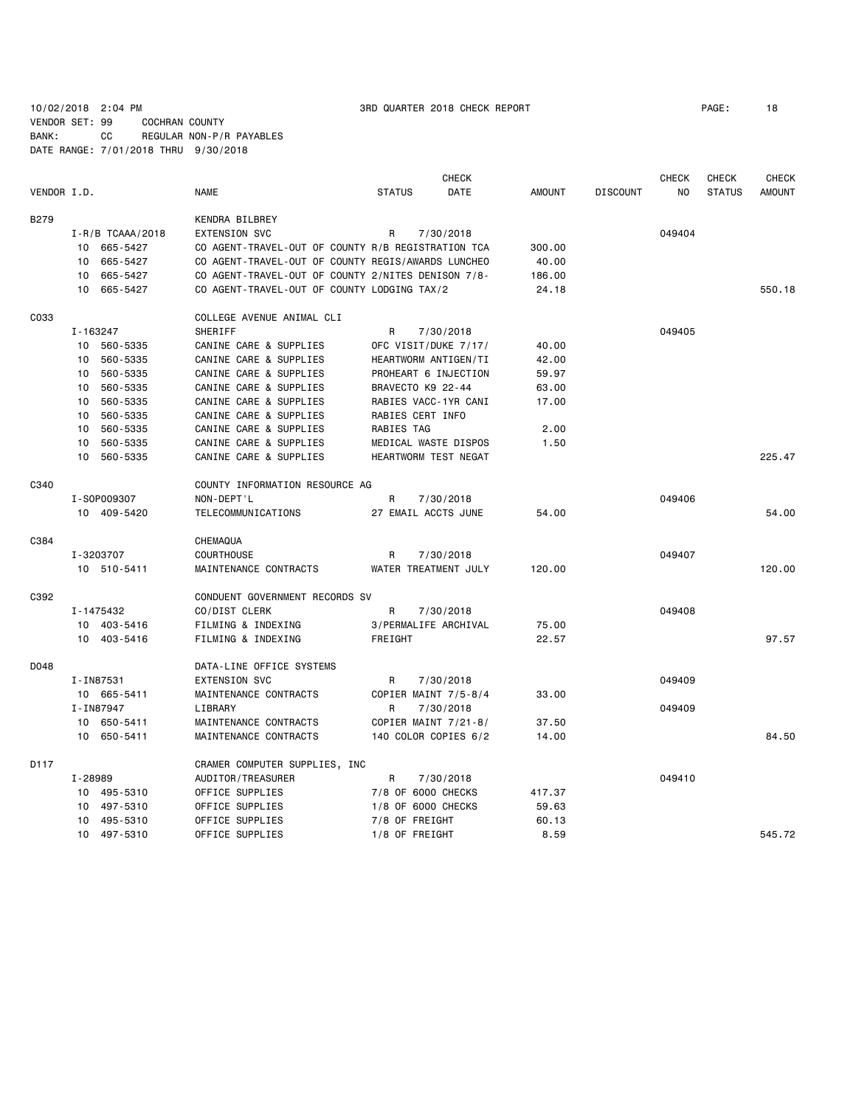# 10/02/2018 2:04 PM 3RD QUARTER 2018 CHECK REPORT PAGE: 18 VENDOR SET: 99 COCHRAN COUNTY BANK: CC REGULAR NON-P/R PAYABLES DATE RANGE: 7/01/2018 THRU 9/30/2018

|             |          |                      |                                                    |                      | <b>CHECK</b> |               |                 | <b>CHECK</b> | <b>CHECK</b>  | <b>CHECK</b>  |
|-------------|----------|----------------------|----------------------------------------------------|----------------------|--------------|---------------|-----------------|--------------|---------------|---------------|
| VENDOR I.D. |          |                      | <b>NAME</b>                                        | <b>STATUS</b>        | DATE         | <b>AMOUNT</b> | <b>DISCOUNT</b> | NO.          | <b>STATUS</b> | <b>AMOUNT</b> |
| <b>B279</b> |          |                      | <b>KENDRA BILBREY</b>                              |                      |              |               |                 |              |               |               |
|             |          | $I - R/B$ TCAAA/2018 | <b>EXTENSION SVC</b>                               | R                    | 7/30/2018    |               |                 | 049404       |               |               |
|             |          | 10 665-5427          | CO AGENT-TRAVEL-OUT OF COUNTY R/B REGISTRATION TCA |                      |              | 300.00        |                 |              |               |               |
|             | 10       | 665-5427             | CO AGENT-TRAVEL-OUT OF COUNTY REGIS/AWARDS LUNCHEO |                      |              | 40.00         |                 |              |               |               |
|             | 10       | 665-5427             | CO AGENT-TRAVEL-OUT OF COUNTY 2/NITES DENISON 7/8- |                      |              | 186.00        |                 |              |               |               |
|             | 10       | 665-5427             | CO AGENT-TRAVEL-OUT OF COUNTY LODGING TAX/2        |                      |              | 24.18         |                 |              |               | 550.18        |
| C033        |          |                      | COLLEGE AVENUE ANIMAL CLI                          |                      |              |               |                 |              |               |               |
|             | I-163247 |                      | SHERIFF                                            | R                    | 7/30/2018    |               |                 | 049405       |               |               |
|             |          | 10 560-5335          | CANINE CARE & SUPPLIES                             | OFC VISIT/DUKE 7/17/ |              | 40.00         |                 |              |               |               |
|             | 10       | 560-5335             | CANINE CARE & SUPPLIES                             | HEARTWORM ANTIGEN/TI |              | 42.00         |                 |              |               |               |
|             | 10       | 560-5335             | CANINE CARE & SUPPLIES                             | PROHEART 6 INJECTION |              | 59.97         |                 |              |               |               |
|             | 10       | 560-5335             | CANINE CARE & SUPPLIES                             | BRAVECTO K9 22-44    |              | 63.00         |                 |              |               |               |
|             |          | 10 560-5335          | CANINE CARE & SUPPLIES                             | RABIES VACC-1YR CANI |              | 17.00         |                 |              |               |               |
|             | 10       | 560-5335             | CANINE CARE & SUPPLIES                             | RABIES CERT INFO     |              |               |                 |              |               |               |
|             | 10       | 560-5335             | CANINE CARE & SUPPLIES                             | RABIES TAG           |              | 2.00          |                 |              |               |               |
|             | 10       | 560-5335             | CANINE CARE & SUPPLIES                             | MEDICAL WASTE DISPOS |              | 1.50          |                 |              |               |               |
|             |          | 10 560-5335          | CANINE CARE & SUPPLIES                             | HEARTWORM TEST NEGAT |              |               |                 |              |               | 225.47        |
| C340        |          |                      | COUNTY INFORMATION RESOURCE AG                     |                      |              |               |                 |              |               |               |
|             |          | I-S0P009307          | NON-DEPT'L                                         | R                    | 7/30/2018    |               |                 | 049406       |               |               |
|             |          | 10 409-5420          | TELECOMMUNICATIONS                                 | 27 EMAIL ACCTS JUNE  |              | 54.00         |                 |              |               | 54.00         |
| C384        |          |                      | CHEMAQUA                                           |                      |              |               |                 |              |               |               |
|             |          | I-3203707            | <b>COURTHOUSE</b>                                  | R                    | 7/30/2018    |               |                 | 049407       |               |               |
|             |          | 10 510-5411          | MAINTENANCE CONTRACTS                              | WATER TREATMENT JULY |              | 120,00        |                 |              |               | 120.00        |
| C392        |          |                      | CONDUENT GOVERNMENT RECORDS SV                     |                      |              |               |                 |              |               |               |
|             |          | I-1475432            | CO/DIST CLERK                                      | R                    | 7/30/2018    |               |                 | 049408       |               |               |
|             |          | 10 403-5416          | FILMING & INDEXING                                 | 3/PERMALIFE ARCHIVAL |              | 75.00         |                 |              |               |               |
|             |          | 10 403-5416          | FILMING & INDEXING                                 | FREIGHT              |              | 22.57         |                 |              |               | 97.57         |
| D048        |          |                      | DATA-LINE OFFICE SYSTEMS                           |                      |              |               |                 |              |               |               |
|             |          | I-IN87531            | <b>EXTENSION SVC</b>                               | R                    | 7/30/2018    |               |                 | 049409       |               |               |
|             |          | 10 665-5411          | MAINTENANCE CONTRACTS                              | COPIER MAINT 7/5-8/4 |              | 33.00         |                 |              |               |               |
|             |          | I-IN87947            | LIBRARY                                            | R                    | 7/30/2018    |               |                 | 049409       |               |               |
|             |          | 10 650-5411          | MAINTENANCE CONTRACTS                              | COPIER MAINT 7/21-8/ |              | 37.50         |                 |              |               |               |
|             |          | 10 650-5411          | MAINTENANCE CONTRACTS                              | 140 COLOR COPIES 6/2 |              | 14.00         |                 |              |               | 84.50         |
| D117        |          |                      | CRAMER COMPUTER SUPPLIES, INC                      |                      |              |               |                 |              |               |               |
|             | I-28989  |                      | AUDITOR/TREASURER                                  | R                    | 7/30/2018    |               |                 | 049410       |               |               |
|             |          | 10 495-5310          | OFFICE SUPPLIES                                    | 7/8 OF 6000 CHECKS   |              | 417.37        |                 |              |               |               |
|             |          | 10 497-5310          | OFFICE SUPPLIES                                    | 1/8 OF 6000 CHECKS   |              | 59.63         |                 |              |               |               |
|             |          | 10 495-5310          | OFFICE SUPPLIES                                    | 7/8 OF FREIGHT       |              | 60.13         |                 |              |               |               |
|             |          | 10 497-5310          | OFFICE SUPPLIES                                    | 1/8 OF FREIGHT       |              | 8.59          |                 |              |               | 545.72        |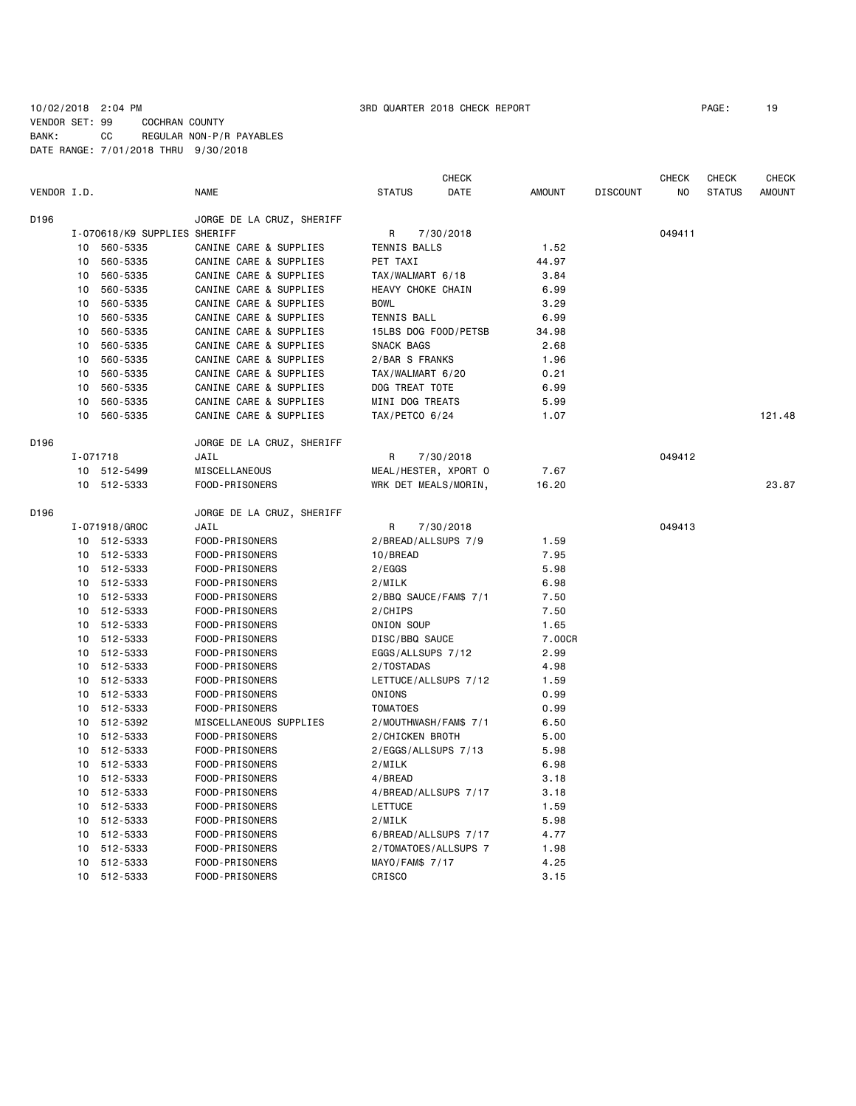# 10/02/2018 2:04 PM 3RD QUARTER 2018 CHECK REPORT PAGE: 19 VENDOR SET: 99 COCHRAN COUNTY BANK: CC REGULAR NON-P/R PAYABLES DATE RANGE: 7/01/2018 THRU 9/30/2018

|             |          |                              |                           |                       | <b>CHECK</b> |               |                 | <b>CHECK</b> | <b>CHECK</b>  | <b>CHECK</b>  |
|-------------|----------|------------------------------|---------------------------|-----------------------|--------------|---------------|-----------------|--------------|---------------|---------------|
| VENDOR I.D. |          |                              | <b>NAME</b>               | <b>STATUS</b>         | <b>DATE</b>  | <b>AMOUNT</b> | <b>DISCOUNT</b> | NO           | <b>STATUS</b> | <b>AMOUNT</b> |
| D196        |          |                              | JORGE DE LA CRUZ, SHERIFF |                       |              |               |                 |              |               |               |
|             |          | I-070618/K9 SUPPLIES SHERIFF |                           | R                     | 7/30/2018    |               |                 | 049411       |               |               |
|             | 10       | 560-5335                     | CANINE CARE & SUPPLIES    | TENNIS BALLS          |              | 1.52          |                 |              |               |               |
|             | 10       | 560-5335                     | CANINE CARE & SUPPLIES    | PET TAXI              |              | 44.97         |                 |              |               |               |
|             | 10       | 560-5335                     | CANINE CARE & SUPPLIES    | TAX/WALMART 6/18      |              | 3.84          |                 |              |               |               |
|             | 10       | 560-5335                     | CANINE CARE & SUPPLIES    | HEAVY CHOKE CHAIN     |              | 6.99          |                 |              |               |               |
|             | 10       | 560-5335                     | CANINE CARE & SUPPLIES    | <b>BOWL</b>           |              | 3.29          |                 |              |               |               |
|             | 10       | 560-5335                     | CANINE CARE & SUPPLIES    | <b>TENNIS BALL</b>    |              | 6.99          |                 |              |               |               |
|             | 10       | 560-5335                     | CANINE CARE & SUPPLIES    | 15LBS DOG FOOD/PETSB  |              | 34.98         |                 |              |               |               |
|             | 10       | 560-5335                     | CANINE CARE & SUPPLIES    | SNACK BAGS            |              | 2.68          |                 |              |               |               |
|             | 10       | 560-5335                     | CANINE CARE & SUPPLIES    | 2/BAR S FRANKS        |              | 1.96          |                 |              |               |               |
|             | 10       | 560-5335                     | CANINE CARE & SUPPLIES    | TAX/WALMART 6/20      |              | 0.21          |                 |              |               |               |
|             | 10       | 560-5335                     | CANINE CARE & SUPPLIES    | DOG TREAT TOTE        |              | 6.99          |                 |              |               |               |
|             | 10       | 560-5335                     | CANINE CARE & SUPPLIES    | MINI DOG TREATS       |              | 5.99          |                 |              |               |               |
|             | 10       | 560-5335                     | CANINE CARE & SUPPLIES    | TAX/PETCO 6/24        |              | 1.07          |                 |              |               | 121.48        |
| D196        |          |                              | JORGE DE LA CRUZ, SHERIFF |                       |              |               |                 |              |               |               |
|             | I-071718 |                              | JAIL                      | R                     | 7/30/2018    |               |                 | 049412       |               |               |
|             |          | 10 512-5499                  | MISCELLANEOUS             | MEAL/HESTER, XPORT O  |              | 7.67          |                 |              |               |               |
|             |          | 10 512-5333                  | FOOD-PRISONERS            | WRK DET MEALS/MORIN,  |              | 16.20         |                 |              |               | 23.87         |
| D196        |          |                              | JORGE DE LA CRUZ, SHERIFF |                       |              |               |                 |              |               |               |
|             |          | I-071918/GROC                | JAIL                      | R                     | 7/30/2018    |               |                 | 049413       |               |               |
|             |          | 10 512-5333                  | FOOD-PRISONERS            | 2/BREAD/ALLSUPS 7/9   |              | 1.59          |                 |              |               |               |
|             |          | 10 512-5333                  | FOOD-PRISONERS            | 10/BREAD              |              | 7.95          |                 |              |               |               |
|             |          | 10 512-5333                  | FOOD-PRISONERS            | 2/EGGS                |              | 5.98          |                 |              |               |               |
|             |          | 10 512-5333                  | FOOD-PRISONERS            | 2/MILK                |              | 6.98          |                 |              |               |               |
|             | 10       | 512-5333                     | FOOD-PRISONERS            | 2/BBQ SAUCE/FAM\$ 7/1 |              | 7.50          |                 |              |               |               |
|             | 10       | 512-5333                     | FOOD-PRISONERS            | 2/CHIPS               |              | 7.50          |                 |              |               |               |
|             | 10       | 512-5333                     | FOOD-PRISONERS            | ONION SOUP            |              | 1.65          |                 |              |               |               |
|             | 10       | 512-5333                     | FOOD-PRISONERS            | DISC/BBQ SAUCE        |              | 7.00CR        |                 |              |               |               |
|             | 10       | 512-5333                     | FOOD-PRISONERS            | EGGS/ALLSUPS 7/12     |              | 2.99          |                 |              |               |               |
|             | 10       | 512-5333                     | FOOD-PRISONERS            | 2/TOSTADAS            |              | 4.98          |                 |              |               |               |
|             | 10       | 512-5333                     | FOOD-PRISONERS            | LETTUCE/ALLSUPS 7/12  |              | 1.59          |                 |              |               |               |
|             | 10       | 512-5333                     | FOOD-PRISONERS            | ONIONS                |              | 0.99          |                 |              |               |               |
|             | 10       | 512-5333                     | FOOD-PRISONERS            | <b>TOMATOES</b>       |              | 0.99          |                 |              |               |               |
|             | 10       | 512-5392                     | MISCELLANEOUS SUPPLIES    | 2/MOUTHWASH/FAM\$ 7/1 |              | 6.50          |                 |              |               |               |
|             | 10       | 512-5333                     | FOOD-PRISONERS            | 2/CHICKEN BROTH       |              | 5.00          |                 |              |               |               |
|             | 10       | 512-5333                     | FOOD-PRISONERS            | 2/EGGS/ALLSUPS 7/13   |              | 5.98          |                 |              |               |               |
|             |          | 10 512-5333                  | FOOD-PRISONERS            | 2/MILK                |              | 6.98          |                 |              |               |               |
|             | 10       | 512-5333                     | FOOD-PRISONERS            | 4/BREAD               |              | 3.18          |                 |              |               |               |
|             | 10       | 512-5333                     | FOOD-PRISONERS            | 4/BREAD/ALLSUPS 7/17  |              | 3.18          |                 |              |               |               |
|             | 10       | 512-5333                     | FOOD-PRISONERS            | LETTUCE               |              | 1.59          |                 |              |               |               |
|             | 10       | 512-5333                     | FOOD-PRISONERS            | 2/MILK                |              | 5.98          |                 |              |               |               |
|             | 10       | 512-5333                     | FOOD-PRISONERS            | 6/BREAD/ALLSUPS 7/17  |              | 4.77          |                 |              |               |               |
|             | 10       | 512-5333                     | FOOD-PRISONERS            | 2/TOMATOES/ALLSUPS 7  |              | 1.98          |                 |              |               |               |
|             | 10       | 512-5333                     | FOOD-PRISONERS            | MAYO/FAM\$ 7/17       |              | 4.25          |                 |              |               |               |
|             | 10       | 512-5333                     | FOOD-PRISONERS            | CRISCO                |              | 3.15          |                 |              |               |               |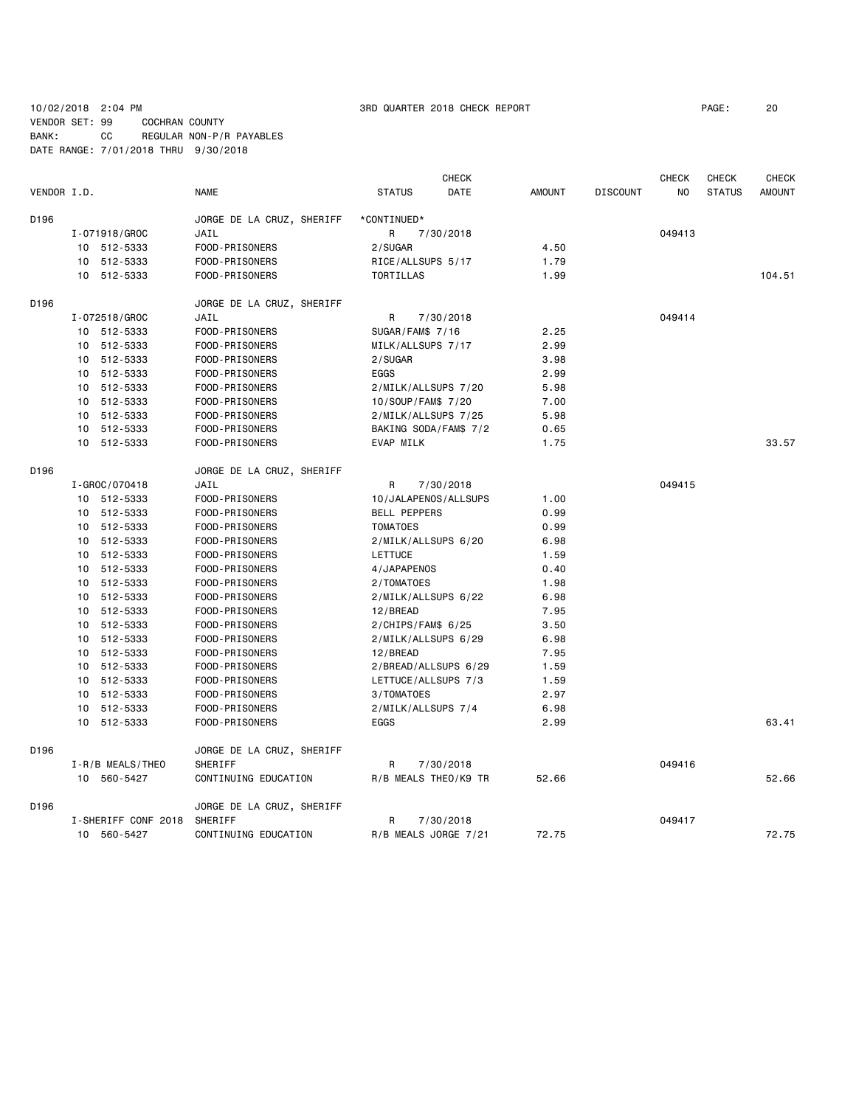# 10/02/2018 2:04 PM 3RD QUARTER 2018 CHECK REPORT PAGE: 20 VENDOR SET: 99 COCHRAN COUNTY

BANK: CC REGULAR NON-P/R PAYABLES DATE RANGE: 7/01/2018 THRU 9/30/2018

|                  |                     |                           |                      | <b>CHECK</b>          |               |                 | <b>CHECK</b> | CHECK         | <b>CHECK</b>  |
|------------------|---------------------|---------------------------|----------------------|-----------------------|---------------|-----------------|--------------|---------------|---------------|
| VENDOR I.D.      |                     | <b>NAME</b>               | <b>STATUS</b>        | DATE                  | <b>AMOUNT</b> | <b>DISCOUNT</b> | NO           | <b>STATUS</b> | <b>AMOUNT</b> |
| D196             |                     | JORGE DE LA CRUZ, SHERIFF | *CONTINUED*          |                       |               |                 |              |               |               |
|                  | I-071918/GROC       | JAIL                      | R                    | 7/30/2018             |               |                 | 049413       |               |               |
|                  | 10 512-5333         | FOOD-PRISONERS            | 2/SUGAR              |                       | 4.50          |                 |              |               |               |
|                  | 10 512-5333         | FOOD-PRISONERS            | RICE/ALLSUPS 5/17    |                       | 1.79          |                 |              |               |               |
|                  | 10 512-5333         | FOOD-PRISONERS            | TORTILLAS            |                       | 1.99          |                 |              |               | 104.51        |
| D <sub>196</sub> |                     | JORGE DE LA CRUZ, SHERIFF |                      |                       |               |                 |              |               |               |
|                  | I-072518/GROC       | JAIL                      | R                    | 7/30/2018             |               |                 | 049414       |               |               |
|                  | 10 512-5333         | FOOD-PRISONERS            | SUGAR/FAM\$ 7/16     |                       | 2.25          |                 |              |               |               |
|                  | 10 512-5333         | FOOD-PRISONERS            | MILK/ALLSUPS 7/17    |                       | 2.99          |                 |              |               |               |
|                  | 10 512-5333         | FOOD-PRISONERS            | 2/SUGAR              |                       | 3.98          |                 |              |               |               |
|                  | 10 512-5333         | FOOD-PRISONERS            | EGGS                 |                       | 2.99          |                 |              |               |               |
|                  | 10 512-5333         | FOOD-PRISONERS            | 2/MILK/ALLSUPS 7/20  |                       | 5.98          |                 |              |               |               |
|                  | 10 512-5333         | FOOD-PRISONERS            | 10/SOUP/FAM\$ 7/20   |                       | 7.00          |                 |              |               |               |
|                  | 10 512-5333         | FOOD-PRISONERS            | 2/MILK/ALLSUPS 7/25  |                       | 5.98          |                 |              |               |               |
|                  | 10 512-5333         | FOOD-PRISONERS            |                      | BAKING SODA/FAM\$ 7/2 | 0.65          |                 |              |               |               |
|                  | 10 512-5333         | FOOD-PRISONERS            | EVAP MILK            |                       | 1.75          |                 |              |               | 33.57         |
| D <sub>196</sub> |                     | JORGE DE LA CRUZ, SHERIFF |                      |                       |               |                 |              |               |               |
|                  | I-GROC/070418       | JAIL                      | R                    | 7/30/2018             |               |                 | 049415       |               |               |
|                  | 10 512-5333         | FOOD-PRISONERS            |                      | 10/JALAPENOS/ALLSUPS  | 1.00          |                 |              |               |               |
|                  | 10 512-5333         | FOOD-PRISONERS            | <b>BELL PEPPERS</b>  |                       | 0.99          |                 |              |               |               |
|                  | 10 512-5333         | FOOD-PRISONERS            | <b>TOMATOES</b>      |                       | 0.99          |                 |              |               |               |
|                  | 10 512-5333         | FOOD-PRISONERS            | 2/MILK/ALLSUPS 6/20  |                       | 6.98          |                 |              |               |               |
|                  | 10 512-5333         | FOOD-PRISONERS            | LETTUCE              |                       | 1.59          |                 |              |               |               |
|                  | 10 512-5333         | FOOD-PRISONERS            | 4/JAPAPENOS          |                       | 0.40          |                 |              |               |               |
|                  | 10 512-5333         | FOOD-PRISONERS            | 2/TOMATOES           |                       | 1.98          |                 |              |               |               |
|                  | 10 512-5333         | FOOD-PRISONERS            | 2/MILK/ALLSUPS 6/22  |                       | 6.98          |                 |              |               |               |
|                  | 10 512-5333         | FOOD-PRISONERS            | 12/BREAD             |                       | 7.95          |                 |              |               |               |
|                  | 10 512-5333         | FOOD-PRISONERS            | $2/CHIPS/FAMS$ 6/25  |                       | 3.50          |                 |              |               |               |
|                  | 10 512-5333         | FOOD-PRISONERS            | 2/MILK/ALLSUPS 6/29  |                       | 6.98          |                 |              |               |               |
|                  | 10 512-5333         | FOOD-PRISONERS            | 12/BREAD             |                       | 7.95          |                 |              |               |               |
|                  | 10 512-5333         | FOOD-PRISONERS            | 2/BREAD/ALLSUPS 6/29 |                       | 1.59          |                 |              |               |               |
|                  | 10 512-5333         | FOOD-PRISONERS            | LETTUCE/ALLSUPS 7/3  |                       | 1.59          |                 |              |               |               |
|                  | 10 512-5333         | FOOD-PRISONERS            | 3/TOMATOES           |                       | 2.97          |                 |              |               |               |
|                  | 10 512-5333         | FOOD-PRISONERS            | 2/MILK/ALLSUPS 7/4   |                       | 6.98          |                 |              |               |               |
|                  | 10 512-5333         | FOOD-PRISONERS            | EGGS                 |                       | 2.99          |                 |              |               | 63.41         |
| D <sub>196</sub> |                     | JORGE DE LA CRUZ, SHERIFF |                      |                       |               |                 |              |               |               |
|                  | I-R/B MEALS/THEO    | SHERIFF                   | R                    | 7/30/2018             |               |                 | 049416       |               |               |
|                  | 10 560-5427         | CONTINUING EDUCATION      |                      | R/B MEALS THEO/K9 TR  | 52.66         |                 |              |               | 52.66         |
| D <sub>196</sub> |                     | JORGE DE LA CRUZ, SHERIFF |                      |                       |               |                 |              |               |               |
|                  | I-SHERIFF CONF 2018 | SHERIFF                   | R                    | 7/30/2018             |               |                 | 049417       |               |               |
|                  | 10 560-5427         | CONTINUING EDUCATION      | R/B MEALS JORGE 7/21 |                       | 72.75         |                 |              |               | 72.75         |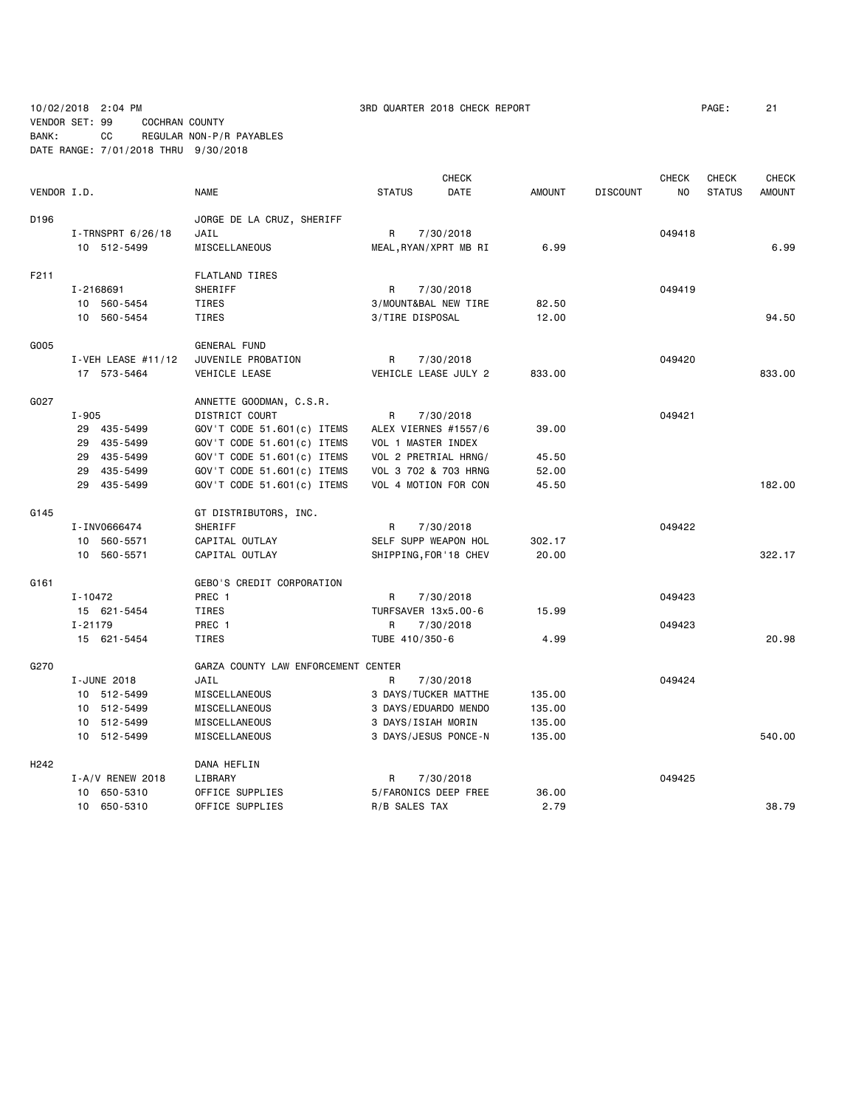10/02/2018 2:04 PM 3RD QUARTER 2018 CHECK REPORT PAGE: 21 VENDOR SET: 99 COCHRAN COUNTY BANK: CC REGULAR NON-P/R PAYABLES

DATE RANGE: 7/01/2018 THRU 9/30/2018

**CHECK CHECK CHECK CHECK CHECK CHECK CHECK** VENDOR I.D. NAME STATUS DATE AMOUNT DISCOUNT NO STATUS AMOUNT D196 JORGE DE LA CRUZ, SHERIFF I-TRNSPRT 6/26/18 JAIL R 7/30/2018 049418 10 512-5499 MISCELLANEOUS MEAL,RYAN/XPRT MB RI 6.99 6.99 F211 FLATLAND TIRES I-2168691 SHERIFF R 7/30/2018 049419 10 560-5454 TIRES 3/MOUNT&BAL NEW TIRE 82.50 10 560-5454 TIRES 3/TIRE DISPOSAL 12.00 94.50 G005 GENERAL FUND I-VEH LEASE #11/12 JUVENILE PROBATION R 7/30/2018 17 573-5464 VEHICLE LEASE VEHICLE LEASE JULY 2 833.00 833.00 G027 ANNETTE GOODMAN, C.S.R. I-905 DISTRICT COURT R 7/30/2018 049421 29 435-5499 GOV'T CODE 51.601(c) ITEMS ALEX VIERNES #1557/6 39.00 29 435-5499 GOV'T CODE 51.601(c) ITEMS VOL 1 MASTER INDEX 29 435-5499 GOV'T CODE 51.601(c) ITEMS VOL 2 PRETRIAL HRNG/ 45.50 29 435-5499 GOV'T CODE 51.601(c) ITEMS VOL 3 702 & 703 HRNG 52.00 29 435-5499 GOV'T CODE 51.601(c) ITEMS VOL 4 MOTION FOR CON 45.50 182.00 G145 GT DISTRIBUTORS, INC. I-INV0666474 SHERIFF R 7/30/2018 049422 10 560-5571 CAPITAL OUTLAY SELF SUPP WEAPON HOL 302.17 10 560-5571 CAPITAL OUTLAY SHIPPING,FOR'18 CHEV 20.00 322.17 G161 GEBO'S CREDIT CORPORATION I-10472 PREC 1 R 7/30/2018 049423 15 621-5454 TIRES TURFSAVER 13x5.00-6 15.99 I-21179 PREC 1 R 7/30/2018 049423 15 621-5454 TIRES TUBE 410/350-6 4.99 20.98 G270 GARZA COUNTY LAW ENFORCEMENT CENTER I-JUNE 2018 JAIL R 7/30/2018 049424 10 512-5499 MISCELLANEOUS 3 DAYS/TUCKER MATTHE 135.00 10 512-5499 MISCELLANEOUS 3 DAYS/EDUARDO MENDO 135.00 10 512-5499 MISCELLANEOUS 3 DAYS/ISIAH MORIN 135.00 10 512-5499 MISCELLANEOUS 3 DAYS/JESUS PONCE-N 135.00 540.00 H242 DANA HEFLIN I-A/V RENEW 2018 LIBRARY **R** 7/30/2018 **R** 7/30018 **1-A/V RENEW 2018** 049425 10 650-5310 OFFICE SUPPLIES 5/FARONICS DEEP FREE 36.00 10 650-5310 OFFICE SUPPLIES R/B SALES TAX 2.79 38.79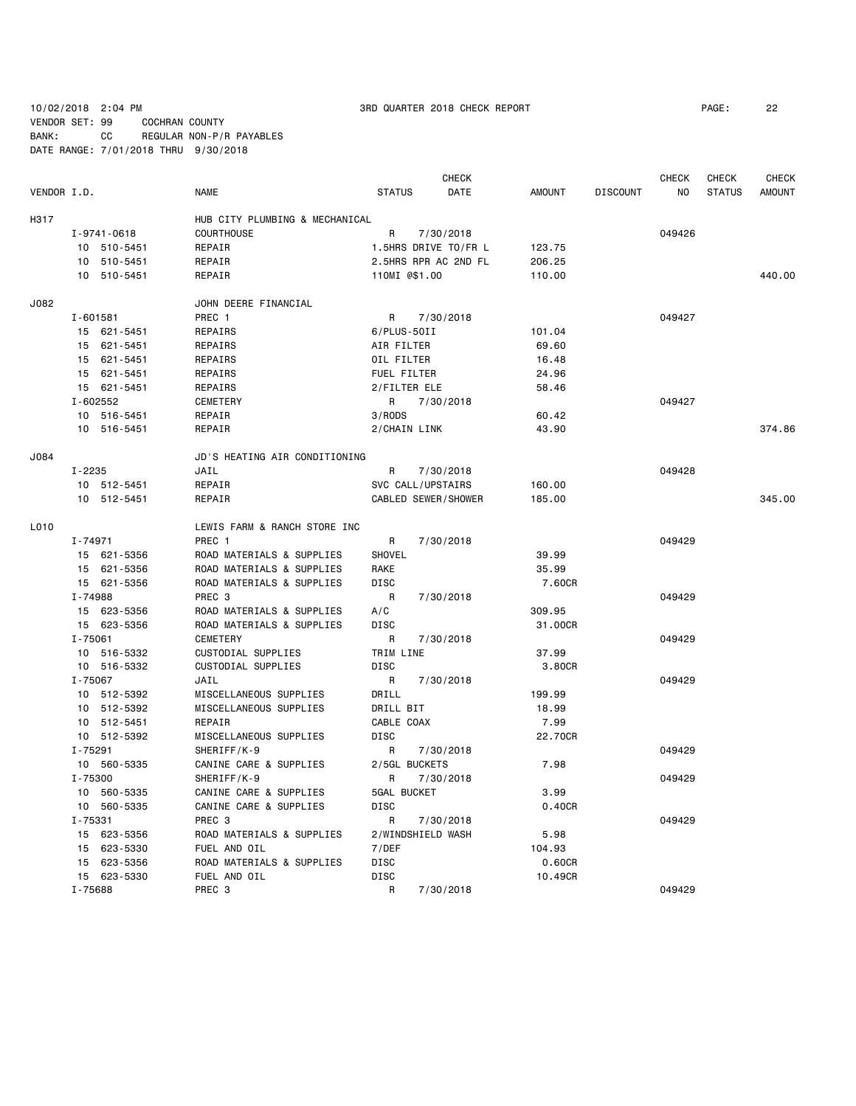10/02/2018 2:04 PM 3RD QUARTER 2018 CHECK REPORT PAGE: 22

VENDOR SET: 99 COCHRAN COUNTY BANK: CC REGULAR NON-P/R PAYABLES DATE RANGE: 7/01/2018 THRU 9/30/2018

|             |             |                                |                            | CHECK                |               |                 | CHECK          | CHECK         | CHECK         |
|-------------|-------------|--------------------------------|----------------------------|----------------------|---------------|-----------------|----------------|---------------|---------------|
| VENDOR I.D. |             | <b>NAME</b>                    | <b>STATUS</b>              | DATE                 | <b>AMOUNT</b> | <b>DISCOUNT</b> | N <sub>O</sub> | <b>STATUS</b> | <b>AMOUNT</b> |
| H317        |             | HUB CITY PLUMBING & MECHANICAL |                            |                      |               |                 |                |               |               |
|             | I-9741-0618 | <b>COURTHOUSE</b>              | R                          | 7/30/2018            |               |                 | 049426         |               |               |
|             | 10 510-5451 | REPAIR                         |                            | 1.5HRS DRIVE TO/FR L | 123.75        |                 |                |               |               |
|             | 10 510-5451 | REPAIR                         |                            | 2.5HRS RPR AC 2ND FL | 206.25        |                 |                |               |               |
|             | 10 510-5451 | REPAIR                         | 110MI @\$1.00              |                      | 110.00        |                 |                |               | 440.00        |
| J082        |             | JOHN DEERE FINANCIAL           |                            |                      |               |                 |                |               |               |
|             | I-601581    | PREC 1                         | R                          | 7/30/2018            |               |                 | 049427         |               |               |
|             | 15 621-5451 | REPAIRS                        | $6/$ PLUS - 50II           |                      | 101.04        |                 |                |               |               |
|             | 15 621-5451 | REPAIRS                        | AIR FILTER                 |                      | 69.60         |                 |                |               |               |
|             | 15 621-5451 | REPAIRS                        | OIL FILTER                 |                      | 16.48         |                 |                |               |               |
|             | 15 621-5451 | REPAIRS                        | FUEL FILTER                |                      | 24.96         |                 |                |               |               |
|             | 15 621-5451 | REPAIRS                        | 2/FILTER ELE               |                      | 58.46         |                 |                |               |               |
|             | I-602552    | <b>CEMETERY</b>                | R                          | 7/30/2018            |               |                 | 049427         |               |               |
|             | 10 516-5451 | REPAIR                         | 3/RODS                     |                      | 60.42         |                 |                |               |               |
|             | 10 516-5451 | REPAIR                         | 2/CHAIN LINK               |                      | 43.90         |                 |                |               | 374.86        |
|             |             |                                |                            |                      |               |                 |                |               |               |
| J084        |             | JD'S HEATING AIR CONDITIONING  |                            |                      |               |                 |                |               |               |
|             | I-2235      | JAIL                           | R.                         | 7/30/2018            |               |                 | 049428         |               |               |
|             | 10 512-5451 | REPAIR                         | SVC CALL/UPSTAIRS          |                      | 160.00        |                 |                |               |               |
|             | 10 512-5451 | REPAIR                         | <b>CABLED SEWER/SHOWER</b> |                      | 185.00        |                 |                |               | 345.00        |
| L010        |             | LEWIS FARM & RANCH STORE INC   |                            |                      |               |                 |                |               |               |
|             | I-74971     | PREC 1                         | R                          | 7/30/2018            |               |                 | 049429         |               |               |
|             | 15 621-5356 | ROAD MATERIALS & SUPPLIES      | SHOVEL                     |                      | 39.99         |                 |                |               |               |
|             | 15 621-5356 | ROAD MATERIALS & SUPPLIES      | RAKE                       |                      | 35.99         |                 |                |               |               |
|             | 15 621-5356 | ROAD MATERIALS & SUPPLIES      | DISC                       |                      | 7.60CR        |                 |                |               |               |
|             | I-74988     | PREC <sub>3</sub>              | R                          | 7/30/2018            |               |                 | 049429         |               |               |
|             | 15 623-5356 | ROAD MATERIALS & SUPPLIES      | A/C                        |                      | 309.95        |                 |                |               |               |
|             | 15 623-5356 | ROAD MATERIALS & SUPPLIES      | <b>DISC</b>                |                      | 31.00CR       |                 |                |               |               |
|             | $I - 75061$ | <b>CEMETERY</b>                | R                          | 7/30/2018            |               |                 | 049429         |               |               |
|             | 10 516-5332 | CUSTODIAL SUPPLIES             | TRIM LINE                  |                      | 37.99         |                 |                |               |               |
|             | 10 516-5332 | CUSTODIAL SUPPLIES             | <b>DISC</b>                |                      | 3.80CR        |                 |                |               |               |
|             | I-75067     | JAIL                           | R                          | 7/30/2018            |               |                 | 049429         |               |               |
|             | 10 512-5392 | MISCELLANEOUS SUPPLIES         | DRILL                      |                      | 199.99        |                 |                |               |               |
|             | 10 512-5392 | MISCELLANEOUS SUPPLIES         | DRILL BIT                  |                      | 18.99         |                 |                |               |               |
|             | 10 512-5451 | REPAIR                         | CABLE COAX                 |                      | 7.99          |                 |                |               |               |
|             | 10 512-5392 | MISCELLANEOUS SUPPLIES         | <b>DISC</b>                |                      | 22.70CR       |                 |                |               |               |
|             | I-75291     | SHERIFF/K-9                    | R                          | 7/30/2018            |               |                 | 049429         |               |               |
|             | 10 560-5335 | CANINE CARE & SUPPLIES         | 2/5GL BUCKETS              |                      | 7.98          |                 |                |               |               |
|             | I-75300     | SHERIFF/K-9                    | R                          | 7/30/2018            |               |                 | 049429         |               |               |
|             | 10 560-5335 | CANINE CARE & SUPPLIES         | 5GAL BUCKET                |                      | 3.99          |                 |                |               |               |
|             | 10 560-5335 | CANINE CARE & SUPPLIES         | DISC                       |                      | 0.40CR        |                 |                |               |               |
|             | I-75331     | PREC <sub>3</sub>              | R                          | 7/30/2018            |               |                 | 049429         |               |               |
|             | 15 623-5356 | ROAD MATERIALS & SUPPLIES      | 2/WINDSHIELD WASH          |                      | 5.98          |                 |                |               |               |
|             | 15 623-5330 | FUEL AND OIL                   | 7/DEF                      |                      | 104.93        |                 |                |               |               |
|             | 15 623-5356 | ROAD MATERIALS & SUPPLIES      | <b>DISC</b>                |                      | 0.60CR        |                 |                |               |               |
|             | 15 623-5330 | FUEL AND OIL                   | <b>DISC</b>                |                      | 10.49CR       |                 |                |               |               |
|             | I-75688     | PREC <sub>3</sub>              | R                          | 7/30/2018            |               |                 | 049429         |               |               |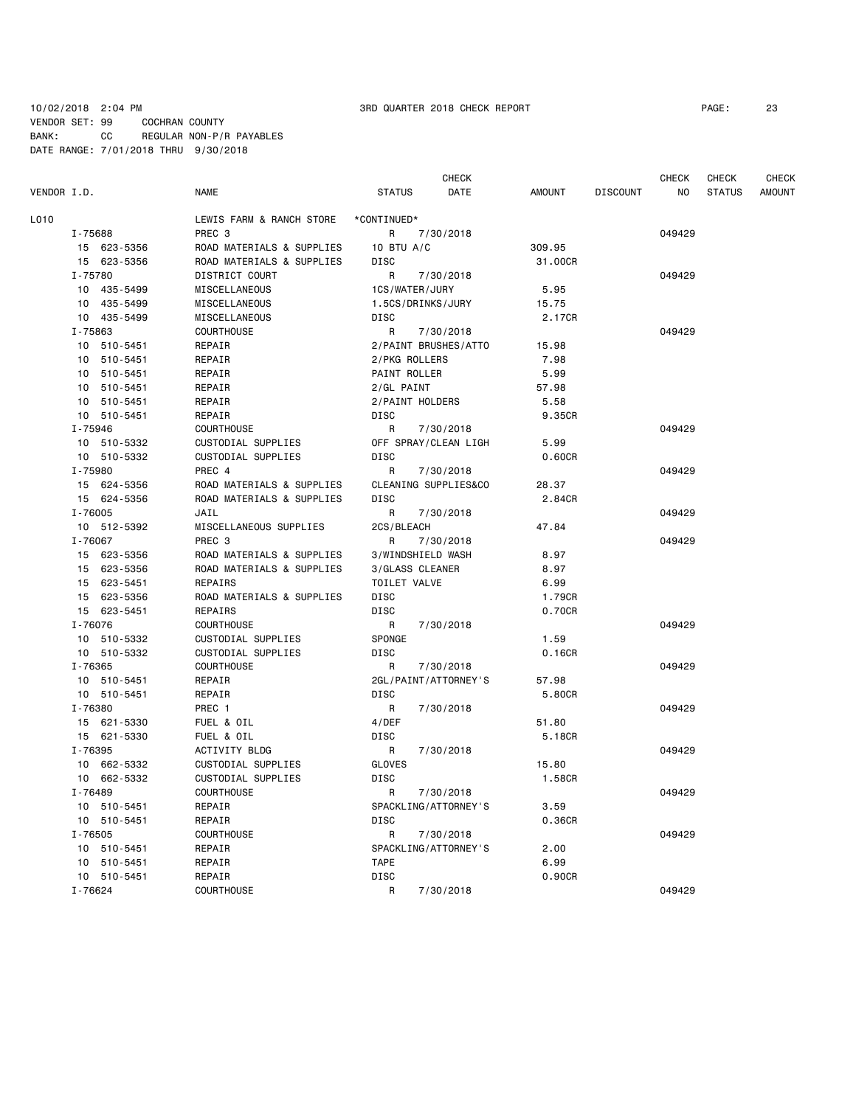### 10/02/2018 2:04 PM 3RD QUARTER 2018 CHECK REPORT PAGE: 23 VENDOR SET: 99 COCHRAN COUNTY BANK: CC REGULAR NON-P/R PAYABLES DATE RANGE: 7/01/2018 THRU 9/30/2018

| VENDOR I.D.                | <b>NAME</b>                                            | CHECK<br>DATE<br><b>STATUS</b>      | <b>AMOUNT</b> | <b>DISCOUNT</b> | CHECK<br>NO. | CHECK<br><b>STATUS</b> | <b>CHECK</b><br><b>AMOUNT</b> |
|----------------------------|--------------------------------------------------------|-------------------------------------|---------------|-----------------|--------------|------------------------|-------------------------------|
| L010                       | LEWIS FARM & RANCH STORE                               | *CONTINUED*                         |               |                 |              |                        |                               |
| I-75688                    | PREC <sub>3</sub>                                      | R<br>7/30/2018                      |               |                 | 049429       |                        |                               |
| 15 623-5356                | ROAD MATERIALS & SUPPLIES                              | 10 BTU $A/C$                        | 309.95        |                 |              |                        |                               |
| 15 623-5356                | ROAD MATERIALS & SUPPLIES                              | DISC                                | 31,00CR       |                 |              |                        |                               |
| I-75780                    | DISTRICT COURT                                         | R<br>7/30/2018                      |               |                 | 049429       |                        |                               |
| 10 435-5499                | MISCELLANEOUS                                          | 1CS/WATER/JURY                      | 5.95          |                 |              |                        |                               |
| 10 435-5499                | MISCELLANEOUS                                          | 1.5CS/DRINKS/JURY                   | 15.75         |                 |              |                        |                               |
| 10 435-5499                | MISCELLANEOUS                                          | DISC                                | 2.17CR        |                 |              |                        |                               |
| I-75863                    | <b>COURTHOUSE</b>                                      | R<br>7/30/2018                      |               |                 | 049429       |                        |                               |
| 10 510-5451                | REPAIR                                                 | 2/PAINT BRUSHES/ATTO                | 15.98         |                 |              |                        |                               |
| 10 510-5451                | REPAIR                                                 | 2/PKG ROLLERS                       | 7.98          |                 |              |                        |                               |
| 10 510-5451                | REPAIR                                                 | PAINT ROLLER                        | 5.99          |                 |              |                        |                               |
| 10 510-5451                | REPAIR                                                 | 2/GL PAINT                          | 57.98         |                 |              |                        |                               |
| 10 510-5451                | REPAIR                                                 | 2/PAINT HOLDERS                     | 5.58          |                 |              |                        |                               |
| 10 510-5451                | REPAIR                                                 | <b>DISC</b>                         | 9.35CR        |                 |              |                        |                               |
| I-75946                    | COURTHOUSE                                             | R<br>7/30/2018                      |               |                 | 049429       |                        |                               |
| 10 510-5332                | CUSTODIAL SUPPLIES                                     | OFF SPRAY/CLEAN LIGH                | 5.99          |                 |              |                        |                               |
| 10 510-5332                | <b>CUSTODIAL SUPPLIES</b>                              | <b>DISC</b>                         | 0.60CR        |                 |              |                        |                               |
| I-75980                    | PREC 4                                                 | R<br>7/30/2018                      |               |                 | 049429       |                        |                               |
| 15 624-5356                | ROAD MATERIALS & SUPPLIES                              | CLEANING SUPPLIES&CO                | 28.37         |                 |              |                        |                               |
| 15 624-5356                | ROAD MATERIALS & SUPPLIES                              | DISC                                | 2.84CR        |                 |              |                        |                               |
| I-76005                    | JAIL                                                   | R<br>7/30/2018                      |               |                 | 049429       |                        |                               |
| 10 512-5392                | MISCELLANEOUS SUPPLIES                                 | 2CS/BLEACH                          | 47.84         |                 |              |                        |                               |
| I-76067                    | PREC <sub>3</sub>                                      | R<br>7/30/2018<br>3/WINDSHIELD WASH |               |                 | 049429       |                        |                               |
| 15 623-5356<br>15 623-5356 | ROAD MATERIALS & SUPPLIES<br>ROAD MATERIALS & SUPPLIES | 3/GLASS CLEANER                     | 8.97<br>8.97  |                 |              |                        |                               |
| 15 623-5451                | REPAIRS                                                | TOILET VALVE                        | 6.99          |                 |              |                        |                               |
| 15 623-5356                | ROAD MATERIALS & SUPPLIES                              | <b>DISC</b>                         | 1.79CR        |                 |              |                        |                               |
| 15 623-5451                | REPAIRS                                                | <b>DISC</b>                         | 0.70CR        |                 |              |                        |                               |
| I-76076                    | <b>COURTHOUSE</b>                                      | R<br>7/30/2018                      |               |                 | 049429       |                        |                               |
| 10 510-5332                | CUSTODIAL SUPPLIES                                     | SPONGE                              | 1.59          |                 |              |                        |                               |
| 10 510-5332                | CUSTODIAL SUPPLIES                                     | <b>DISC</b>                         | 0.16CR        |                 |              |                        |                               |
| I-76365                    | COURTHOUSE                                             | R<br>7/30/2018                      |               |                 | 049429       |                        |                               |
| 10 510-5451                | REPAIR                                                 | 2GL/PAINT/ATTORNEY'S                | 57.98         |                 |              |                        |                               |
| 10 510-5451                | REPAIR                                                 | <b>DISC</b>                         | 5.80CR        |                 |              |                        |                               |
| I-76380                    | PREC 1                                                 | R<br>7/30/2018                      |               |                 | 049429       |                        |                               |
| 15 621-5330                | FUEL & OIL                                             | 4/DEF                               | 51.80         |                 |              |                        |                               |
| 15 621-5330                | FUEL & OIL                                             | DISC                                | 5.18CR        |                 |              |                        |                               |
| I-76395                    | ACTIVITY BLDG                                          | R<br>7/30/2018                      |               |                 | 049429       |                        |                               |
| 10 662-5332                | CUSTODIAL SUPPLIES                                     | GLOVES                              | 15.80         |                 |              |                        |                               |
| 10 662-5332                | CUSTODIAL SUPPLIES                                     | DISC                                | 1.58CR        |                 |              |                        |                               |
| I-76489                    | COURTHOUSE                                             | R<br>7/30/2018                      |               |                 | 049429       |                        |                               |
| 10 510-5451                | REPAIR                                                 | SPACKLING/ATTORNEY'S                | 3.59          |                 |              |                        |                               |
| 10 510-5451                | REPAIR                                                 | DISC                                | 0.36CR        |                 |              |                        |                               |
| I-76505                    | COURTHOUSE                                             | R<br>7/30/2018                      |               |                 | 049429       |                        |                               |
| 10 510-5451                | REPAIR                                                 | SPACKLING/ATTORNEY'S                | 2.00          |                 |              |                        |                               |
| 10 510-5451                | REPAIR                                                 | <b>TAPE</b>                         | 6.99          |                 |              |                        |                               |
| 10 510-5451                | REPAIR                                                 | <b>DISC</b>                         | 0.90CR        |                 |              |                        |                               |
| I-76624                    | COURTHOUSE                                             | R<br>7/30/2018                      |               |                 | 049429       |                        |                               |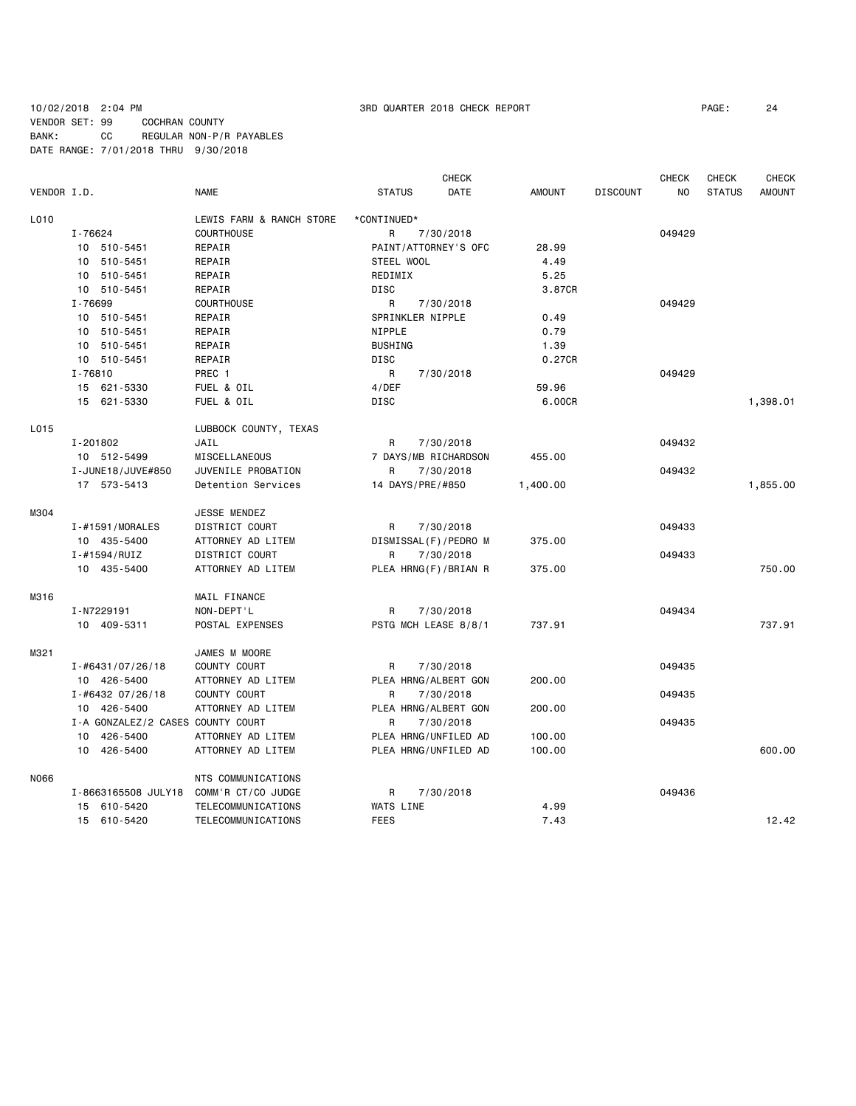# 10/02/2018 2:04 PM 3RD QUARTER 2018 CHECK REPORT PAGE: 24 VENDOR SET: 99 COCHRAN COUNTY BANK: CC REGULAR NON-P/R PAYABLES DATE RANGE: 7/01/2018 THRU 9/30/2018

| VENDOR I.D. |                                   | <b>NAME</b>              | <b>STATUS</b>    | <b>CHECK</b><br><b>DATE</b> | <b>AMOUNT</b> | <b>DISCOUNT</b> | <b>CHECK</b><br>NO | <b>CHECK</b><br><b>STATUS</b> | <b>CHECK</b><br><b>AMOUNT</b> |
|-------------|-----------------------------------|--------------------------|------------------|-----------------------------|---------------|-----------------|--------------------|-------------------------------|-------------------------------|
|             |                                   |                          |                  |                             |               |                 |                    |                               |                               |
| L010        |                                   | LEWIS FARM & RANCH STORE | *CONTINUED*      |                             |               |                 |                    |                               |                               |
|             | I-76624                           | <b>COURTHOUSE</b>        | R                | 7/30/2018                   |               |                 | 049429             |                               |                               |
|             | 10 510-5451                       | REPAIR                   |                  | PAINT/ATTORNEY'S OFC        | 28,99         |                 |                    |                               |                               |
|             | 10 510-5451                       | REPAIR                   | STEEL WOOL       |                             | 4.49          |                 |                    |                               |                               |
|             | 10 510-5451                       | REPAIR                   | REDIMIX          |                             | 5.25          |                 |                    |                               |                               |
|             | 10 510-5451                       | REPAIR                   | <b>DISC</b>      |                             | 3.87CR        |                 |                    |                               |                               |
|             | I-76699                           | <b>COURTHOUSE</b>        | R                | 7/30/2018                   |               |                 | 049429             |                               |                               |
|             | 10 510-5451                       | REPAIR                   | SPRINKLER NIPPLE |                             | 0.49          |                 |                    |                               |                               |
|             | 10 510-5451                       | REPAIR                   | NIPPLE           |                             | 0.79          |                 |                    |                               |                               |
|             | 10 510-5451                       | REPAIR                   | <b>BUSHING</b>   |                             | 1.39          |                 |                    |                               |                               |
|             | 10 510-5451                       | REPAIR                   | <b>DISC</b>      |                             | 0.27CR        |                 |                    |                               |                               |
|             | I-76810                           | PREC 1                   | R                | 7/30/2018                   |               |                 | 049429             |                               |                               |
|             | 15 621-5330                       | FUEL & OIL               | 4/DEF            |                             | 59.96         |                 |                    |                               |                               |
|             | 15 621-5330                       | FUEL & OIL               | <b>DISC</b>      |                             | 6.00CR        |                 |                    |                               | 1,398.01                      |
|             |                                   |                          |                  |                             |               |                 |                    |                               |                               |
| L015        |                                   | LUBBOCK COUNTY, TEXAS    |                  |                             |               |                 |                    |                               |                               |
|             | I-201802                          | JAIL                     | R                | 7/30/2018                   |               |                 | 049432             |                               |                               |
|             | 10 512-5499                       | MISCELLANEOUS            |                  | 7 DAYS/MB RICHARDSON        | 455.00        |                 |                    |                               |                               |
|             | I-JUNE18/JUVE#850                 | JUVENILE PROBATION       | R                | 7/30/2018                   |               |                 | 049432             |                               |                               |
|             | 17 573-5413                       | Detention Services       | 14 DAYS/PRE/#850 |                             | 1,400.00      |                 |                    |                               | 1,855.00                      |
| M304        |                                   | JESSE MENDEZ             |                  |                             |               |                 |                    |                               |                               |
|             | I-#1591/MORALES                   | DISTRICT COURT           | R                | 7/30/2018                   |               |                 | 049433             |                               |                               |
|             | 10 435-5400                       | ATTORNEY AD LITEM        |                  | DISMISSAL(F)/PEDRO M        | 375.00        |                 |                    |                               |                               |
|             | $I - #1594 / RUIZ$                | DISTRICT COURT           | R                | 7/30/2018                   |               |                 | 049433             |                               |                               |
|             | 10 435-5400                       | ATTORNEY AD LITEM        |                  | PLEA HRNG(F)/BRIAN R        | 375.00        |                 |                    |                               | 750.00                        |
| M316        |                                   | MAIL FINANCE             |                  |                             |               |                 |                    |                               |                               |
|             | I-N7229191                        | NON-DEPT'L               | R                | 7/30/2018                   |               |                 | 049434             |                               |                               |
|             | 10 409-5311                       | POSTAL EXPENSES          |                  | PSTG MCH LEASE 8/8/1        | 737.91        |                 |                    |                               | 737.91                        |
| M321        |                                   | JAMES M MOORE            |                  |                             |               |                 |                    |                               |                               |
|             | I-#6431/07/26/18                  | COUNTY COURT             | R                | 7/30/2018                   |               |                 | 049435             |                               |                               |
|             | 10 426-5400                       | ATTORNEY AD LITEM        |                  | PLEA HRNG/ALBERT GON        | 200.00        |                 |                    |                               |                               |
|             | I-#6432 07/26/18                  | COUNTY COURT             | R                | 7/30/2018                   |               |                 | 049435             |                               |                               |
|             | 10 426-5400                       | ATTORNEY AD LITEM        |                  | PLEA HRNG/ALBERT GON        | 200.00        |                 |                    |                               |                               |
|             | I-A GONZALEZ/2 CASES COUNTY COURT |                          | R                | 7/30/2018                   |               |                 | 049435             |                               |                               |
|             | 10 426-5400                       | ATTORNEY AD LITEM        |                  | PLEA HRNG/UNFILED AD        | 100.00        |                 |                    |                               |                               |
|             |                                   |                          |                  |                             |               |                 |                    |                               |                               |
|             | 10 426-5400                       | ATTORNEY AD LITEM        |                  | PLEA HRNG/UNFILED AD        | 100.00        |                 |                    |                               | 600.00                        |
| N066        |                                   | NTS COMMUNICATIONS       |                  |                             |               |                 |                    |                               |                               |
|             | I-8663165508 JULY18               | COMM'R CT/CO JUDGE       | R                | 7/30/2018                   |               |                 | 049436             |                               |                               |
|             | 15 610-5420                       | TELECOMMUNICATIONS       | WATS LINE        |                             | 4.99          |                 |                    |                               |                               |
|             | 15 610-5420                       | TELECOMMUNICATIONS       | <b>FEES</b>      |                             | 7.43          |                 |                    |                               | 12.42                         |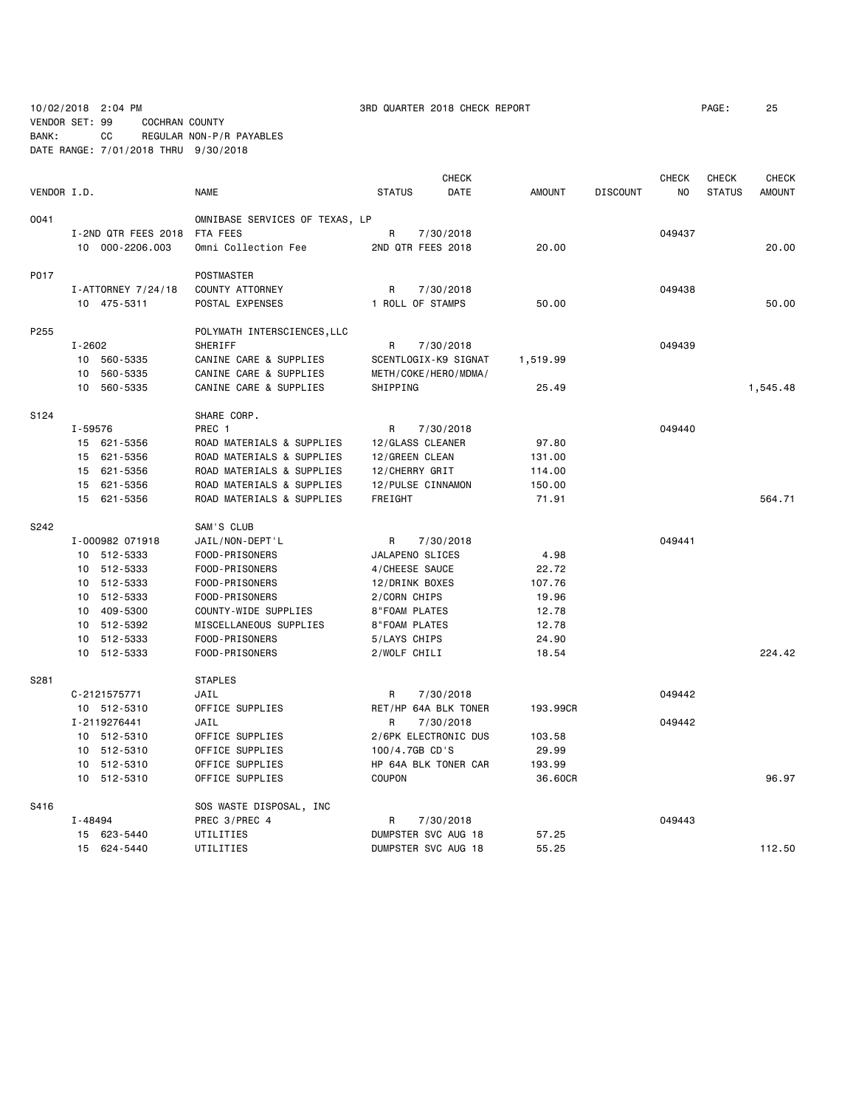10/02/2018 2:04 PM 3RD QUARTER 2018 CHECK REPORT PAGE: 25

VENDOR SET: 99 COCHRAN COUNTY BANK: CC REGULAR NON-P/R PAYABLES

DATE RANGE: 7/01/2018 THRU 9/30/2018

|             |            |                     |                                |                      | <b>CHECK</b>         |               |                 | <b>CHECK</b>   | <b>CHECK</b>  | <b>CHECK</b>  |
|-------------|------------|---------------------|--------------------------------|----------------------|----------------------|---------------|-----------------|----------------|---------------|---------------|
| VENDOR I.D. |            |                     | <b>NAME</b>                    | <b>STATUS</b>        | DATE                 | <b>AMOUNT</b> | <b>DISCOUNT</b> | N <sub>0</sub> | <b>STATUS</b> | <b>AMOUNT</b> |
| 0041        |            |                     | OMNIBASE SERVICES OF TEXAS, LP |                      |                      |               |                 |                |               |               |
|             |            | I-2ND QTR FEES 2018 | FTA FEES                       | R                    | 7/30/2018            |               |                 | 049437         |               |               |
|             |            | 10 000-2206.003     | Omni Collection Fee            | 2ND QTR FEES 2018    |                      | 20.00         |                 |                |               | 20.00         |
| P017        |            |                     | POSTMASTER                     |                      |                      |               |                 |                |               |               |
|             |            | I-ATTORNEY 7/24/18  | COUNTY ATTORNEY                | R                    | 7/30/2018            |               |                 | 049438         |               |               |
|             |            | 10 475-5311         | POSTAL EXPENSES                | 1 ROLL OF STAMPS     |                      | 50.00         |                 |                |               | 50.00         |
| P255        |            |                     | POLYMATH INTERSCIENCES, LLC    |                      |                      |               |                 |                |               |               |
|             | $I - 2602$ |                     | SHERIFF                        | R                    | 7/30/2018            |               |                 | 049439         |               |               |
|             | 10         | 560-5335            | CANINE CARE & SUPPLIES         |                      | SCENTLOGIX-K9 SIGNAT | 1,519.99      |                 |                |               |               |
|             | 10         | 560-5335            | CANINE CARE & SUPPLIES         | METH/COKE/HERO/MDMA/ |                      |               |                 |                |               |               |
|             |            | 10 560-5335         | CANINE CARE & SUPPLIES         | SHIPPING             |                      | 25.49         |                 |                |               | 1,545.48      |
| S124        |            |                     | SHARE CORP.                    |                      |                      |               |                 |                |               |               |
|             | I-59576    |                     | PREC 1                         | R                    | 7/30/2018            |               |                 | 049440         |               |               |
|             |            | 15 621-5356         | ROAD MATERIALS & SUPPLIES      | 12/GLASS CLEANER     |                      | 97.80         |                 |                |               |               |
|             |            | 15 621-5356         | ROAD MATERIALS & SUPPLIES      | 12/GREEN CLEAN       |                      | 131.00        |                 |                |               |               |
|             |            | 15 621-5356         | ROAD MATERIALS & SUPPLIES      | 12/CHERRY GRIT       |                      | 114.00        |                 |                |               |               |
|             |            | 15 621-5356         | ROAD MATERIALS & SUPPLIES      | 12/PULSE CINNAMON    |                      | 150.00        |                 |                |               |               |
|             |            | 15 621-5356         | ROAD MATERIALS & SUPPLIES      | FREIGHT              |                      | 71.91         |                 |                |               | 564.71        |
| S242        |            |                     | SAM'S CLUB                     |                      |                      |               |                 |                |               |               |
|             |            | I-000982 071918     | JAIL/NON-DEPT'L                | R                    | 7/30/2018            |               |                 | 049441         |               |               |
|             |            | 10 512-5333         | FOOD-PRISONERS                 | JALAPENO SLICES      |                      | 4.98          |                 |                |               |               |
|             |            | 10 512-5333         | FOOD-PRISONERS                 | 4/CHEESE SAUCE       |                      | 22.72         |                 |                |               |               |
|             |            | 10 512-5333         | FOOD-PRISONERS                 | 12/DRINK BOXES       |                      | 107.76        |                 |                |               |               |
|             |            | 10 512-5333         | FOOD-PRISONERS                 | 2/CORN CHIPS         |                      | 19.96         |                 |                |               |               |
|             |            | 10 409-5300         | COUNTY-WIDE SUPPLIES           | 8"FOAM PLATES        |                      | 12.78         |                 |                |               |               |
|             |            | 10 512-5392         | MISCELLANEOUS SUPPLIES         | <b>8"FOAM PLATES</b> |                      | 12.78         |                 |                |               |               |
|             |            | 10 512-5333         | FOOD-PRISONERS                 | 5/LAYS CHIPS         |                      | 24.90         |                 |                |               |               |
|             |            | 10 512-5333         | FOOD-PRISONERS                 | 2/WOLF CHILI         |                      | 18.54         |                 |                |               | 224.42        |
| S281        |            |                     | <b>STAPLES</b>                 |                      |                      |               |                 |                |               |               |
|             |            | C-2121575771        | JAIL                           | R                    | 7/30/2018            |               |                 | 049442         |               |               |
|             |            | 10 512-5310         | OFFICE SUPPLIES                |                      | RET/HP 64A BLK TONER | 193.99CR      |                 |                |               |               |
|             |            | I-2119276441        | JAIL                           | R                    | 7/30/2018            |               |                 | 049442         |               |               |
|             |            | 10 512-5310         | OFFICE SUPPLIES                |                      | 2/6PK ELECTRONIC DUS | 103.58        |                 |                |               |               |
|             |            | 10 512-5310         | OFFICE SUPPLIES                | 100/4.7GB CD'S       |                      | 29.99         |                 |                |               |               |
|             |            | 10 512-5310         | OFFICE SUPPLIES                |                      | HP 64A BLK TONER CAR | 193.99        |                 |                |               |               |
|             |            | 10 512-5310         | OFFICE SUPPLIES                | COUPON               |                      | 36.60CR       |                 |                |               | 96.97         |
| S416        |            |                     | SOS WASTE DISPOSAL, INC        |                      |                      |               |                 |                |               |               |
|             | I-48494    |                     | PREC 3/PREC 4                  | R                    | 7/30/2018            |               |                 | 049443         |               |               |
|             |            | 15 623-5440         | UTILITIES                      | DUMPSTER SVC AUG 18  |                      | 57.25         |                 |                |               |               |
|             |            | 15 624-5440         | UTILITIES                      | DUMPSTER SVC AUG 18  |                      | 55.25         |                 |                |               | 112.50        |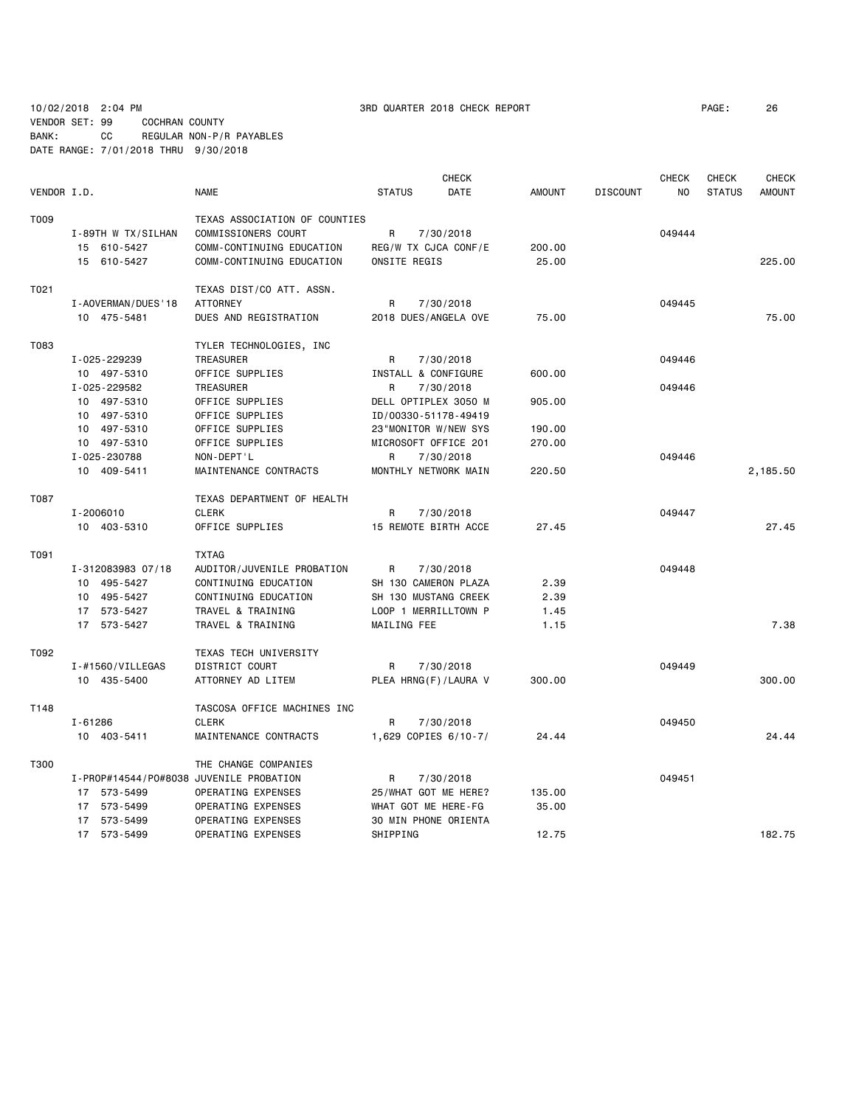10/02/2018 2:04 PM 3RD QUARTER 2018 CHECK REPORT PAGE: 26 VENDOR SET: 99 COCHRAN COUNTY BANK: CC REGULAR NON-P/R PAYABLES DATE RANGE: 7/01/2018 THRU 9/30/2018

|             |                          |                                         |                      | <b>CHECK</b> |               |                 | <b>CHECK</b> | <b>CHECK</b>  | <b>CHECK</b>  |
|-------------|--------------------------|-----------------------------------------|----------------------|--------------|---------------|-----------------|--------------|---------------|---------------|
| VENDOR I.D. |                          | <b>NAME</b>                             | <b>STATUS</b>        | DATE         | <b>AMOUNT</b> | <b>DISCOUNT</b> | NO           | <b>STATUS</b> | <b>AMOUNT</b> |
| T009        |                          | TEXAS ASSOCIATION OF COUNTIES           |                      |              |               |                 |              |               |               |
|             | I-89TH W TX/SILHAN       | COMMISSIONERS COURT                     | R                    | 7/30/2018    |               |                 | 049444       |               |               |
|             | 15 610-5427              | COMM-CONTINUING EDUCATION               | REG/W TX CJCA CONF/E |              | 200.00        |                 |              |               |               |
|             | 15 610-5427              | COMM-CONTINUING EDUCATION               | ONSITE REGIS         |              | 25.00         |                 |              |               | 225.00        |
| T021        |                          | TEXAS DIST/CO ATT. ASSN.                |                      |              |               |                 |              |               |               |
|             | I - AOVERMAN / DUES ' 18 | <b>ATTORNEY</b>                         | R                    | 7/30/2018    |               |                 | 049445       |               |               |
|             | 10 475-5481              | DUES AND REGISTRATION                   | 2018 DUES/ANGELA OVE |              | 75.00         |                 |              |               | 75.00         |
| T083        |                          |                                         |                      |              |               |                 |              |               |               |
|             |                          | TYLER TECHNOLOGIES, INC                 |                      |              |               |                 | 049446       |               |               |
|             | I-025-229239             | TREASURER                               | R                    | 7/30/2018    |               |                 |              |               |               |
|             | 10 497-5310              | OFFICE SUPPLIES                         | INSTALL & CONFIGURE  |              | 600.00        |                 |              |               |               |
|             | I-025-229582             | TREASURER                               | R                    | 7/30/2018    |               |                 | 049446       |               |               |
|             | 10 497-5310              | OFFICE SUPPLIES                         | DELL OPTIPLEX 3050 M |              | 905.00        |                 |              |               |               |
|             | 10 497-5310              | OFFICE SUPPLIES                         | ID/00330-51178-49419 |              |               |                 |              |               |               |
|             | 10 497-5310              | OFFICE SUPPLIES                         | 23"MONITOR W/NEW SYS |              | 190.00        |                 |              |               |               |
|             | 10 497-5310              | OFFICE SUPPLIES                         | MICROSOFT OFFICE 201 |              | 270.00        |                 |              |               |               |
|             | I-025-230788             | NON-DEPT'L                              | R.                   | 7/30/2018    |               |                 | 049446       |               |               |
|             | 10 409-5411              | MAINTENANCE CONTRACTS                   | MONTHLY NETWORK MAIN |              | 220.50        |                 |              |               | 2,185.50      |
| T087        |                          | TEXAS DEPARTMENT OF HEALTH              |                      |              |               |                 |              |               |               |
|             | I-2006010                | <b>CLERK</b>                            | R                    | 7/30/2018    |               |                 | 049447       |               |               |
|             | 10 403-5310              | OFFICE SUPPLIES                         | 15 REMOTE BIRTH ACCE |              | 27.45         |                 |              |               | 27.45         |
| T091        |                          | <b>TXTAG</b>                            |                      |              |               |                 |              |               |               |
|             | I-312083983 07/18        | AUDITOR/JUVENILE PROBATION              | R                    | 7/30/2018    |               |                 | 049448       |               |               |
|             | 10 495-5427              | CONTINUING EDUCATION                    | SH 130 CAMERON PLAZA |              | 2.39          |                 |              |               |               |
|             | 10 495-5427              | CONTINUING EDUCATION                    | SH 130 MUSTANG CREEK |              | 2.39          |                 |              |               |               |
|             | 17 573-5427              | TRAVEL & TRAINING                       | LOOP 1 MERRILLTOWN P |              | 1.45          |                 |              |               |               |
|             | 17 573-5427              | TRAVEL & TRAINING                       | MAILING FEE          |              | 1.15          |                 |              |               | 7.38          |
| T092        |                          | TEXAS TECH UNIVERSITY                   |                      |              |               |                 |              |               |               |
|             | $I - #1560 / VILLEGAS$   | DISTRICT COURT                          | R                    | 7/30/2018    |               |                 | 049449       |               |               |
|             | 10 435-5400              | ATTORNEY AD LITEM                       | PLEA HRNG(F)/LAURA V |              | 300.00        |                 |              |               | 300.00        |
| T148        |                          |                                         |                      |              |               |                 |              |               |               |
|             |                          | TASCOSA OFFICE MACHINES INC             |                      |              |               |                 |              |               |               |
|             | $I - 61286$              | <b>CLERK</b>                            | R                    | 7/30/2018    |               |                 | 049450       |               |               |
|             | 10 403-5411              | MAINTENANCE CONTRACTS                   | 1,629 COPIES 6/10-7/ |              | 24.44         |                 |              |               | 24.44         |
| T300        |                          | THE CHANGE COMPANIES                    |                      |              |               |                 |              |               |               |
|             |                          | I-PROP#14544/PO#8038 JUVENILE PROBATION | R                    | 7/30/2018    |               |                 | 049451       |               |               |
|             | 17 573-5499              | OPERATING EXPENSES                      | 25/WHAT GOT ME HERE? |              | 135.00        |                 |              |               |               |
|             | 17 573-5499              | OPERATING EXPENSES                      | WHAT GOT ME HERE-FG  |              | 35.00         |                 |              |               |               |
|             | 17 573-5499              | OPERATING EXPENSES                      | 30 MIN PHONE ORIENTA |              |               |                 |              |               |               |
|             | 17 573-5499              | OPERATING EXPENSES                      | SHIPPING             |              | 12.75         |                 |              |               | 182.75        |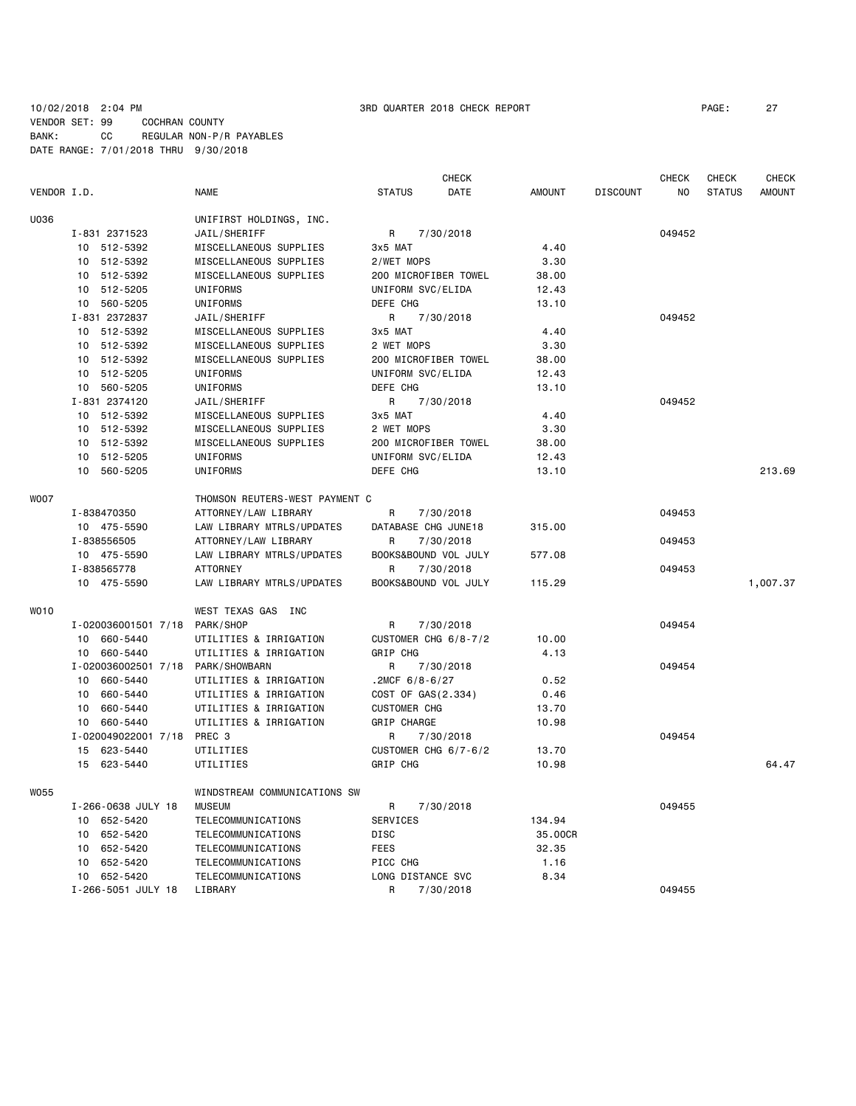|             |                               |                                               |                      | <b>CHECK</b> |               |                 | CHECK  | CHECK         | CHECK         |
|-------------|-------------------------------|-----------------------------------------------|----------------------|--------------|---------------|-----------------|--------|---------------|---------------|
| VENDOR I.D. |                               | <b>NAME</b>                                   | <b>STATUS</b>        | DATE         | <b>AMOUNT</b> | <b>DISCOUNT</b> | NO     | <b>STATUS</b> | <b>AMOUNT</b> |
| U036        |                               | UNIFIRST HOLDINGS, INC.                       |                      |              |               |                 |        |               |               |
|             | I-831 2371523                 | JAIL/SHERIFF                                  | R                    | 7/30/2018    |               |                 | 049452 |               |               |
|             | 10 512-5392                   | MISCELLANEOUS SUPPLIES                        | 3x5 MAT              |              | 4.40          |                 |        |               |               |
|             | 512-5392<br>10                | MISCELLANEOUS SUPPLIES                        | 2/WET MOPS           |              | 3.30          |                 |        |               |               |
|             | 10 512-5392                   | MISCELLANEOUS SUPPLIES                        | 200 MICROFIBER TOWEL |              | 38.00         |                 |        |               |               |
|             | 10 512-5205                   | <b>UNIFORMS</b>                               | UNIFORM SVC/ELIDA    |              | 12.43         |                 |        |               |               |
|             | 10 560-5205                   | UNIFORMS                                      | DEFE CHG             |              | 13.10         |                 |        |               |               |
|             | I-831 2372837                 | JAIL/SHERIFF                                  | R                    | 7/30/2018    |               |                 | 049452 |               |               |
|             | 10 512-5392                   | MISCELLANEOUS SUPPLIES                        | 3x5 MAT              |              | 4.40          |                 |        |               |               |
|             | 10 512-5392                   | MISCELLANEOUS SUPPLIES                        | 2 WET MOPS           |              | 3.30          |                 |        |               |               |
|             | 512-5392<br>10                | MISCELLANEOUS SUPPLIES                        | 200 MICROFIBER TOWEL |              | 38.00         |                 |        |               |               |
|             | 10 512-5205                   | <b>UNIFORMS</b>                               | UNIFORM SVC/ELIDA    |              | 12.43         |                 |        |               |               |
|             | 10 560-5205                   | UNIFORMS                                      | DEFE CHG             |              | 13.10         |                 |        |               |               |
|             | I-831 2374120                 | JAIL/SHERIFF                                  | R                    | 7/30/2018    |               |                 | 049452 |               |               |
|             | 10 512-5392                   | MISCELLANEOUS SUPPLIES                        | 3x5 MAT              |              | 4.40          |                 |        |               |               |
|             | 512-5392<br>10                | MISCELLANEOUS SUPPLIES                        | 2 WET MOPS           |              | 3.30          |                 |        |               |               |
|             | 10<br>512-5392                | MISCELLANEOUS SUPPLIES                        | 200 MICROFIBER TOWEL |              | 38.00         |                 |        |               |               |
|             | 10<br>512-5205                | UNIFORMS                                      | UNIFORM SVC/ELIDA    |              | 12.43         |                 |        |               |               |
|             | 10<br>560-5205                | UNIFORMS                                      | DEFE CHG             |              | 13.10         |                 |        |               | 213.69        |
|             |                               |                                               |                      |              |               |                 |        |               |               |
| <b>WOO7</b> |                               | THOMSON REUTERS-WEST PAYMENT C                |                      |              |               |                 |        |               |               |
|             | I-838470350                   | ATTORNEY/LAW LIBRARY                          | R                    | 7/30/2018    |               |                 | 049453 |               |               |
|             | 10 475-5590                   | LAW LIBRARY MTRLS/UPDATES                     | DATABASE CHG JUNE18  |              | 315.00        |                 |        |               |               |
|             | I-838556505                   | ATTORNEY/LAW LIBRARY                          | R                    | 7/30/2018    |               |                 | 049453 |               |               |
|             | 10 475-5590                   | LAW LIBRARY MTRLS/UPDATES                     | BOOKS&BOUND VOL JULY |              | 577.08        |                 |        |               |               |
|             | I-838565778                   | <b>ATTORNEY</b>                               | R                    | 7/30/2018    |               |                 | 049453 |               |               |
|             | 10 475-5590                   | LAW LIBRARY MTRLS/UPDATES                     | BOOKS&BOUND VOL JULY |              | 115.29        |                 |        |               | 1,007.37      |
| WO10        |                               | WEST TEXAS GAS INC                            |                      |              |               |                 |        |               |               |
|             | I-020036001501 7/18 PARK/SHOP |                                               | R                    | 7/30/2018    |               |                 | 049454 |               |               |
|             | 660-5440<br>10                | UTILITIES & IRRIGATION                        | CUSTOMER CHG 6/8-7/2 |              | 10.00         |                 |        |               |               |
|             | 660-5440<br>10                | UTILITIES & IRRIGATION                        | GRIP CHG             |              | 4.13          |                 |        |               |               |
|             | I-020036002501 7/18           | PARK/SHOWBARN                                 | R                    | 7/30/2018    |               |                 | 049454 |               |               |
|             | 10 660-5440                   | UTILITIES & IRRIGATION                        | .2MCF $6/8 - 6/27$   |              | 0.52          |                 |        |               |               |
|             | 10<br>660-5440                | UTILITIES & IRRIGATION                        | COST OF GAS(2.334)   |              | 0.46          |                 |        |               |               |
|             | 660-5440<br>10                | UTILITIES & IRRIGATION                        | <b>CUSTOMER CHG</b>  |              | 13.70         |                 |        |               |               |
|             | 660-5440<br>10                | UTILITIES & IRRIGATION                        | GRIP CHARGE          |              | 10.98         |                 |        |               |               |
|             | I-020049022001 7/18           | PREC 3                                        | R                    | 7/30/2018    |               |                 | 049454 |               |               |
|             | 623-5440<br>15                | UTILITIES                                     | CUSTOMER CHG 6/7-6/2 |              | 13.70         |                 |        |               |               |
|             | 15 623-5440                   | UTILITIES                                     | GRIP CHG             |              | 10.98         |                 |        |               | 64.47         |
|             |                               |                                               |                      |              |               |                 |        |               |               |
| W055        | I-266-0638 JULY 18            | WINDSTREAM COMMUNICATIONS SW<br><b>MUSEUM</b> | R                    | 7/30/2018    |               |                 | 049455 |               |               |
|             | 10 652-5420                   | TELECOMMUNICATIONS                            | SERVICES             |              | 134.94        |                 |        |               |               |
|             | 652-5420<br>10                | TELECOMMUNICATIONS                            | DISC                 |              | 35.00CR       |                 |        |               |               |
|             | 10<br>652-5420                | TELECOMMUNICATIONS                            | <b>FEES</b>          |              | 32.35         |                 |        |               |               |
|             | 652-5420<br>10                | TELECOMMUNICATIONS                            | PICC CHG             |              | 1.16          |                 |        |               |               |
|             | 10 652-5420                   | <b>TELECOMMUNICATIONS</b>                     | LONG DISTANCE SVC    |              | 8.34          |                 |        |               |               |
|             | I-266-5051 JULY 18            | LIBRARY                                       | R                    | 7/30/2018    |               |                 | 049455 |               |               |
|             |                               |                                               |                      |              |               |                 |        |               |               |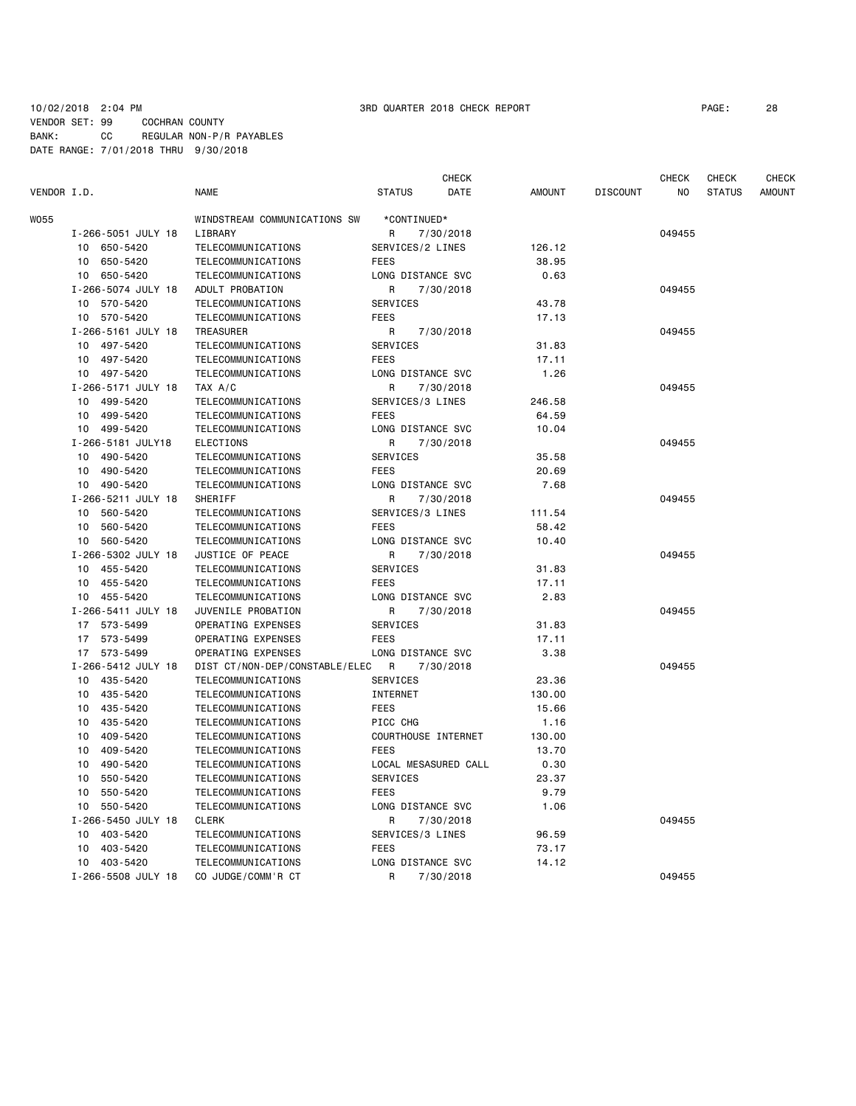# 10/02/2018 2:04 PM 3RD QUARTER 2018 CHECK REPORT PAGE: 28 VENDOR SET: 99 COCHRAN COUNTY BANK: CC REGULAR NON-P/R PAYABLES DATE RANGE: 7/01/2018 THRU 9/30/2018

CHECK CHECK CHECK CHECK

| VENDOR I.D. |                    | <b>NAME</b>                    | <b>STATUS</b>        | DATE      | <b>AMOUNT</b> | <b>DISCOUNT</b> | ΝO     | <b>STATUS</b> | <b>AMOUNT</b> |
|-------------|--------------------|--------------------------------|----------------------|-----------|---------------|-----------------|--------|---------------|---------------|
| W055        |                    | WINDSTREAM COMMUNICATIONS SW   | *CONTINUED*          |           |               |                 |        |               |               |
|             | I-266-5051 JULY 18 | LIBRARY                        | R                    | 7/30/2018 |               |                 | 049455 |               |               |
|             | 10 650-5420        | TELECOMMUNICATIONS             | SERVICES/2 LINES     |           | 126.12        |                 |        |               |               |
|             | 10 650-5420        | TELECOMMUNICATIONS             | <b>FEES</b>          |           | 38.95         |                 |        |               |               |
|             | 10 650-5420        | TELECOMMUNICATIONS             | LONG DISTANCE SVC    |           | 0.63          |                 |        |               |               |
|             | I-266-5074 JULY 18 | ADULT PROBATION                | R                    | 7/30/2018 |               |                 | 049455 |               |               |
|             | 10 570-5420        | TELECOMMUNICATIONS             | SERVICES             |           | 43.78         |                 |        |               |               |
|             | 10 570-5420        | TELECOMMUNICATIONS             | FEES                 |           | 17.13         |                 |        |               |               |
|             | I-266-5161 JULY 18 | TREASURER                      | R                    | 7/30/2018 |               |                 | 049455 |               |               |
|             | 10 497-5420        | TELECOMMUNICATIONS             | SERVICES             |           | 31.83         |                 |        |               |               |
|             | 10 497-5420        | TELECOMMUNICATIONS             | <b>FEES</b>          |           | 17.11         |                 |        |               |               |
|             | 10 497-5420        | TELECOMMUNICATIONS             | LONG DISTANCE SVC    |           | 1.26          |                 |        |               |               |
|             | I-266-5171 JULY 18 | TAX A/C                        | R                    | 7/30/2018 |               |                 | 049455 |               |               |
|             | 10 499-5420        | TELECOMMUNICATIONS             | SERVICES/3 LINES     |           | 246.58        |                 |        |               |               |
|             | 10 499-5420        | TELECOMMUNICATIONS             | <b>FEES</b>          |           | 64.59         |                 |        |               |               |
|             | 10 499-5420        | TELECOMMUNICATIONS             | LONG DISTANCE SVC    |           | 10.04         |                 |        |               |               |
|             | I-266-5181 JULY18  | <b>ELECTIONS</b>               | R                    | 7/30/2018 |               |                 | 049455 |               |               |
|             | 10 490-5420        | TELECOMMUNICATIONS             | SERVICES             |           | 35.58         |                 |        |               |               |
|             | 10 490-5420        | TELECOMMUNICATIONS             | <b>FEES</b>          |           | 20.69         |                 |        |               |               |
|             | 10 490-5420        | TELECOMMUNICATIONS             | LONG DISTANCE SVC    |           | 7.68          |                 |        |               |               |
|             | I-266-5211 JULY 18 | <b>SHERIFF</b>                 | R                    | 7/30/2018 |               |                 | 049455 |               |               |
|             | 10 560-5420        | TELECOMMUNICATIONS             | SERVICES/3 LINES     |           | 111.54        |                 |        |               |               |
|             | 10 560-5420        | TELECOMMUNICATIONS             | <b>FEES</b>          |           | 58.42         |                 |        |               |               |
|             | 10 560-5420        | TELECOMMUNICATIONS             | LONG DISTANCE SVC    |           | 10.40         |                 |        |               |               |
|             | I-266-5302 JULY 18 | JUSTICE OF PEACE               | R                    | 7/30/2018 |               |                 | 049455 |               |               |
|             | 10 455-5420        | TELECOMMUNICATIONS             | SERVICES             |           | 31.83         |                 |        |               |               |
|             | 10 455-5420        | TELECOMMUNICATIONS             | <b>FEES</b>          |           | 17.11         |                 |        |               |               |
|             | 10 455-5420        | <b>TELECOMMUNICATIONS</b>      | LONG DISTANCE SVC    |           | 2.83          |                 |        |               |               |
|             | I-266-5411 JULY 18 | JUVENILE PROBATION             | R                    | 7/30/2018 |               |                 | 049455 |               |               |
|             | 17 573-5499        | OPERATING EXPENSES             | SERVICES             |           | 31.83         |                 |        |               |               |
|             | 17 573-5499        | OPERATING EXPENSES             | <b>FEES</b>          |           | 17.11         |                 |        |               |               |
|             | 17 573-5499        | OPERATING EXPENSES             | LONG DISTANCE SVC    |           | 3.38          |                 |        |               |               |
|             | I-266-5412 JULY 18 | DIST CT/NON-DEP/CONSTABLE/ELEC | R                    | 7/30/2018 |               |                 | 049455 |               |               |
|             | 10 435-5420        | TELECOMMUNICATIONS             | SERVICES             |           | 23.36         |                 |        |               |               |
|             | 10 435-5420        | TELECOMMUNICATIONS             | INTERNET             |           | 130.00        |                 |        |               |               |
|             | 10 435-5420        | TELECOMMUNICATIONS             | <b>FEES</b>          |           | 15.66         |                 |        |               |               |
|             | 10 435-5420        | TELECOMMUNICATIONS             | PICC CHG             |           | 1.16          |                 |        |               |               |
|             | 409-5420<br>10     | TELECOMMUNICATIONS             | COURTHOUSE INTERNET  |           | 130.00        |                 |        |               |               |
|             | 409-5420<br>10     | TELECOMMUNICATIONS             | <b>FEES</b>          |           | 13.70         |                 |        |               |               |
|             | 490-5420<br>10     | TELECOMMUNICATIONS             | LOCAL MESASURED CALL |           | 0.30          |                 |        |               |               |
|             | 550-5420<br>10     | TELECOMMUNICATIONS             | SERVICES             |           | 23.37         |                 |        |               |               |
|             | 550-5420<br>10     | TELECOMMUNICATIONS             | <b>FEES</b>          |           | 9.79          |                 |        |               |               |
|             | 10 550-5420        | TELECOMMUNICATIONS             | LONG DISTANCE SVC    |           | 1.06          |                 |        |               |               |
|             | I-266-5450 JULY 18 | <b>CLERK</b>                   | R                    | 7/30/2018 |               |                 | 049455 |               |               |
|             | 10 403-5420        | TELECOMMUNICATIONS             | SERVICES/3 LINES     |           | 96.59         |                 |        |               |               |
|             | 10 403-5420        | TELECOMMUNICATIONS             | FEES                 |           | 73.17         |                 |        |               |               |
|             | 10 403-5420        | TELECOMMUNICATIONS             | LONG DISTANCE SVC    |           | 14.12         |                 |        |               |               |
|             | I-266-5508 JULY 18 | CO JUDGE/COMM'R CT             | R                    | 7/30/2018 |               |                 | 049455 |               |               |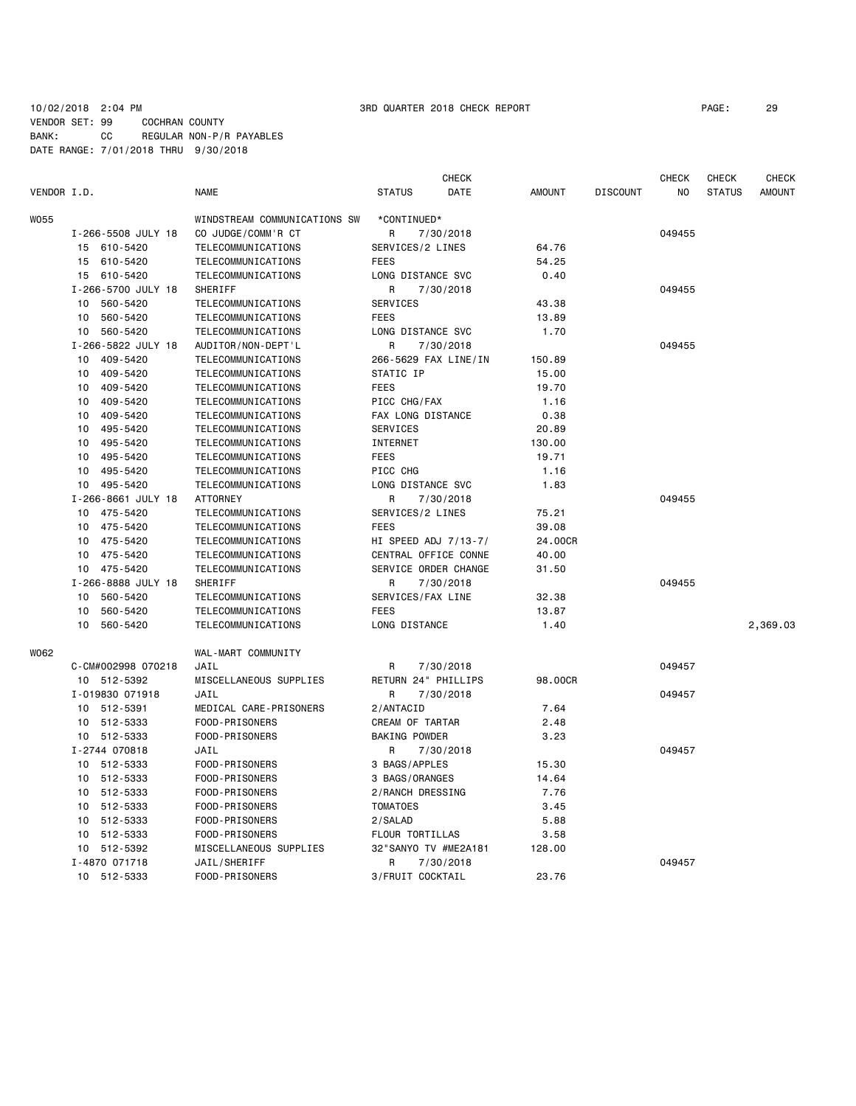# 10/02/2018 2:04 PM 3RD QUARTER 2018 CHECK REPORT PAGE: 29 VENDOR SET: 99 COCHRAN COUNTY BANK: CC REGULAR NON-P/R PAYABLES DATE RANGE: 7/01/2018 THRU 9/30/2018

|             |                    |                              |                      | <b>CHECK</b> |               |                 | <b>CHECK</b> | <b>CHECK</b>  | <b>CHECK</b>  |
|-------------|--------------------|------------------------------|----------------------|--------------|---------------|-----------------|--------------|---------------|---------------|
| VENDOR I.D. |                    | <b>NAME</b>                  | <b>STATUS</b>        | DATE         | <b>AMOUNT</b> | <b>DISCOUNT</b> | NO           | <b>STATUS</b> | <b>AMOUNT</b> |
| W055        |                    | WINDSTREAM COMMUNICATIONS SW | *CONTINUED*          |              |               |                 |              |               |               |
|             | I-266-5508 JULY 18 | CO JUDGE/COMM'R CT           | R                    | 7/30/2018    |               |                 | 049455       |               |               |
|             | 15 610-5420        | TELECOMMUNICATIONS           | SERVICES/2 LINES     |              | 64.76         |                 |              |               |               |
|             | 610-5420<br>15     | TELECOMMUNICATIONS           | <b>FEES</b>          |              | 54.25         |                 |              |               |               |
|             | 15 610-5420        | TELECOMMUNICATIONS           | LONG DISTANCE SVC    |              | 0.40          |                 |              |               |               |
|             | I-266-5700 JULY 18 | <b>SHERIFF</b>               | R                    | 7/30/2018    |               |                 | 049455       |               |               |
|             | 560-5420<br>10     | TELECOMMUNICATIONS           | <b>SERVICES</b>      |              | 43.38         |                 |              |               |               |
|             | 560-5420<br>10     | <b>TELECOMMUNICATIONS</b>    | <b>FEES</b>          |              | 13.89         |                 |              |               |               |
|             | 560-5420<br>10     | TELECOMMUNICATIONS           | LONG DISTANCE SVC    |              | 1.70          |                 |              |               |               |
|             | I-266-5822 JULY 18 | AUDITOR/NON-DEPT'L           | R                    | 7/30/2018    |               |                 | 049455       |               |               |
|             | 409-5420<br>10     | TELECOMMUNICATIONS           | 266-5629 FAX LINE/IN |              | 150.89        |                 |              |               |               |
|             | 409-5420<br>10     | TELECOMMUNICATIONS           | STATIC IP            |              | 15.00         |                 |              |               |               |
|             | 409-5420<br>10     | TELECOMMUNICATIONS           | <b>FEES</b>          |              | 19.70         |                 |              |               |               |
|             | 409-5420<br>10     | TELECOMMUNICATIONS           | PICC CHG/FAX         |              | 1.16          |                 |              |               |               |
|             | 409-5420<br>10     | TELECOMMUNICATIONS           | FAX LONG DISTANCE    |              | 0.38          |                 |              |               |               |
|             | 495-5420<br>10     | <b>TELECOMMUNICATIONS</b>    | SERVICES             |              | 20.89         |                 |              |               |               |
|             | 495-5420<br>10     | TELECOMMUNICATIONS           | INTERNET             |              | 130.00        |                 |              |               |               |
|             | 10<br>495-5420     | TELECOMMUNICATIONS           | <b>FEES</b>          |              | 19.71         |                 |              |               |               |
|             | 10<br>495-5420     | TELECOMMUNICATIONS           | PICC CHG             |              | 1.16          |                 |              |               |               |
|             | 10<br>495-5420     | TELECOMMUNICATIONS           | LONG DISTANCE SVC    |              | 1.83          |                 |              |               |               |
|             | I-266-8661 JULY 18 | <b>ATTORNEY</b>              | R                    | 7/30/2018    |               |                 | 049455       |               |               |
|             | 475-5420<br>10     | TELECOMMUNICATIONS           | SERVICES/2 LINES     |              | 75.21         |                 |              |               |               |
|             | 475-5420<br>10     | TELECOMMUNICATIONS           | <b>FEES</b>          |              | 39.08         |                 |              |               |               |
|             | 475-5420<br>10     | <b>TELECOMMUNICATIONS</b>    | HI SPEED ADJ 7/13-7/ |              | 24.00CR       |                 |              |               |               |
|             | 10 475-5420        | TELECOMMUNICATIONS           | CENTRAL OFFICE CONNE |              | 40.00         |                 |              |               |               |
|             | 10 475-5420        | TELECOMMUNICATIONS           | SERVICE ORDER CHANGE |              | 31.50         |                 |              |               |               |
|             | I-266-8888 JULY 18 | SHERIFF                      | R                    | 7/30/2018    |               |                 | 049455       |               |               |
|             | 560-5420<br>10     | TELECOMMUNICATIONS           | SERVICES/FAX LINE    |              | 32.38         |                 |              |               |               |
|             | 10<br>560-5420     | TELECOMMUNICATIONS           | <b>FEES</b>          |              | 13.87         |                 |              |               |               |
|             | 560-5420<br>10     | <b>TELECOMMUNICATIONS</b>    | LONG DISTANCE        |              | 1.40          |                 |              |               | 2,369.03      |
| W062        |                    | WAL-MART COMMUNITY           |                      |              |               |                 |              |               |               |
|             | C-CM#002998 070218 | JAIL                         | R                    | 7/30/2018    |               |                 | 049457       |               |               |
|             | 10 512-5392        | MISCELLANEOUS SUPPLIES       | RETURN 24" PHILLIPS  |              | 98,00CR       |                 |              |               |               |
|             | I-019830 071918    | JAIL                         | R                    | 7/30/2018    |               |                 | 049457       |               |               |
|             | 10 512-5391        | MEDICAL CARE-PRISONERS       | 2/ANTACID            |              | 7.64          |                 |              |               |               |
|             | 512-5333<br>10     | FOOD-PRISONERS               | CREAM OF TARTAR      |              | 2.48          |                 |              |               |               |
|             | 10 512-5333        | FOOD-PRISONERS               | <b>BAKING POWDER</b> |              | 3.23          |                 |              |               |               |
|             | I-2744 070818      | JAIL                         | R                    | 7/30/2018    |               |                 | 049457       |               |               |
|             | 10 512-5333        | FOOD-PRISONERS               | 3 BAGS/APPLES        |              | 15.30         |                 |              |               |               |
|             | 512-5333<br>10     | FOOD-PRISONERS               | 3 BAGS/ORANGES       |              | 14.64         |                 |              |               |               |
|             | 512-5333<br>10     | FOOD-PRISONERS               | 2/RANCH DRESSING     |              | 7.76          |                 |              |               |               |
|             | 512-5333<br>10     | FOOD-PRISONERS               | <b>TOMATOES</b>      |              | 3.45          |                 |              |               |               |
|             | 512-5333<br>10     | FOOD-PRISONERS               | 2/SALAD              |              | 5.88          |                 |              |               |               |
|             | 512-5333<br>10     | FOOD-PRISONERS               | FLOUR TORTILLAS      |              | 3.58          |                 |              |               |               |
|             | 10 512-5392        | MISCELLANEOUS SUPPLIES       | 32"SANYO TV #ME2A181 |              | 128.00        |                 |              |               |               |
|             | I-4870 071718      | JAIL/SHERIFF                 | R                    | 7/30/2018    |               |                 | 049457       |               |               |
|             | 10 512-5333        | FOOD-PRISONERS               | 3/FRUIT COCKTAIL     |              | 23.76         |                 |              |               |               |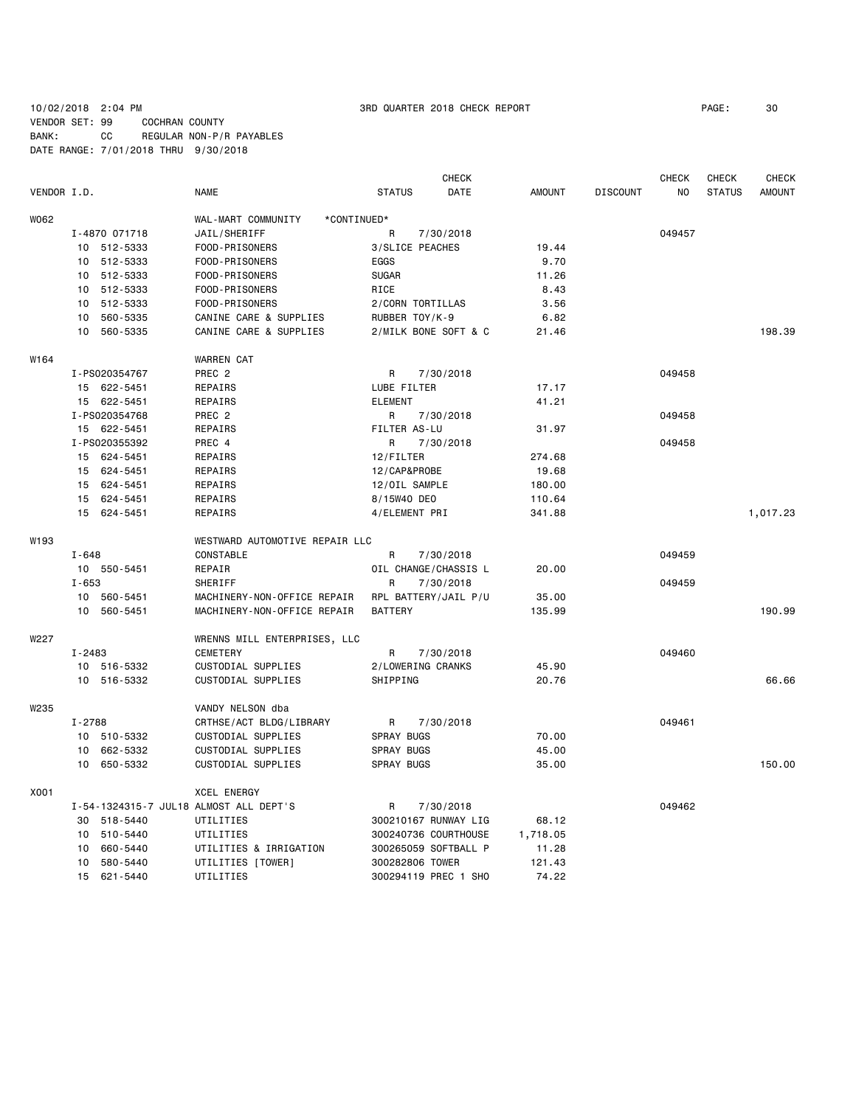# 10/02/2018 2:04 PM 3RD QUARTER 2018 CHECK REPORT PAGE: 30 VENDOR SET: 99 COCHRAN COUNTY BANK: CC REGULAR NON-P/R PAYABLES DATE RANGE: 7/01/2018 THRU 9/30/2018

|             |            |               |                                        |                   | CHECK                |               |                 | <b>CHECK</b> | CHECK         | <b>CHECK</b>  |
|-------------|------------|---------------|----------------------------------------|-------------------|----------------------|---------------|-----------------|--------------|---------------|---------------|
| VENDOR I.D. |            |               | NAME                                   | <b>STATUS</b>     | DATE                 | <b>AMOUNT</b> | <b>DISCOUNT</b> | NO           | <b>STATUS</b> | <b>AMOUNT</b> |
| W062        |            |               | WAL-MART COMMUNITY<br>*CONTINUED*      |                   |                      |               |                 |              |               |               |
|             |            | I-4870 071718 | JAIL/SHERIFF                           | R                 | 7/30/2018            |               |                 | 049457       |               |               |
|             |            | 10 512-5333   | FOOD-PRISONERS                         | 3/SLICE PEACHES   |                      | 19.44         |                 |              |               |               |
|             |            | 10 512-5333   | FOOD-PRISONERS                         | EGGS              |                      | 9.70          |                 |              |               |               |
|             |            | 10 512-5333   | FOOD-PRISONERS                         | <b>SUGAR</b>      |                      | 11.26         |                 |              |               |               |
|             | 10         | 512-5333      | FOOD-PRISONERS                         | RICE              |                      | 8.43          |                 |              |               |               |
|             | 10         | 512-5333      | FOOD-PRISONERS                         | 2/CORN TORTILLAS  |                      | 3.56          |                 |              |               |               |
|             | 10         | 560-5335      | CANINE CARE & SUPPLIES                 | RUBBER TOY/K-9    |                      | 6.82          |                 |              |               |               |
|             |            | 10 560-5335   | CANINE CARE & SUPPLIES                 |                   | 2/MILK BONE SOFT & C | 21.46         |                 |              |               | 198.39        |
| W164        |            |               | <b>WARREN CAT</b>                      |                   |                      |               |                 |              |               |               |
|             |            | I-PS020354767 | PREC 2                                 | R                 | 7/30/2018            |               |                 | 049458       |               |               |
|             |            | 15 622-5451   | REPAIRS                                | LUBE FILTER       |                      | 17.17         |                 |              |               |               |
|             |            | 15 622-5451   | REPAIRS                                | <b>ELEMENT</b>    |                      | 41.21         |                 |              |               |               |
|             |            | I-PS020354768 | PREC <sub>2</sub>                      | R                 |                      |               |                 | 049458       |               |               |
|             |            |               |                                        | FILTER AS-LU      | 7/30/2018            | 31.97         |                 |              |               |               |
|             |            | 15 622-5451   | REPAIRS                                |                   |                      |               |                 |              |               |               |
|             |            | I-PS020355392 | PREC 4                                 | R                 | 7/30/2018            |               |                 | 049458       |               |               |
|             |            | 15 624-5451   | REPAIRS                                | 12/FILTER         |                      | 274.68        |                 |              |               |               |
|             |            | 15 624-5451   | REPAIRS                                | 12/CAP&PROBE      |                      | 19.68         |                 |              |               |               |
|             |            | 15 624-5451   | REPAIRS                                | 12/OIL SAMPLE     |                      | 180.00        |                 |              |               |               |
|             |            | 15 624-5451   | REPAIRS                                | 8/15W40 DEO       |                      | 110.64        |                 |              |               |               |
|             |            | 15 624-5451   | REPAIRS                                | 4/ELEMENT PRI     |                      | 341.88        |                 |              |               | 1,017.23      |
| W193        |            |               | WESTWARD AUTOMOTIVE REPAIR LLC         |                   |                      |               |                 |              |               |               |
|             | I-648      |               | CONSTABLE                              | R                 | 7/30/2018            |               |                 | 049459       |               |               |
|             |            | 10 550-5451   | REPAIR                                 |                   | OIL CHANGE/CHASSIS L | 20.00         |                 |              |               |               |
|             | $I - 653$  |               | SHERIFF                                | R                 | 7/30/2018            |               |                 | 049459       |               |               |
|             | 10         | 560-5451      | MACHINERY-NON-OFFICE REPAIR            |                   | RPL BATTERY/JAIL P/U | 35.00         |                 |              |               |               |
|             | 10         | 560-5451      | MACHINERY-NON-OFFICE REPAIR            | <b>BATTERY</b>    |                      | 135.99        |                 |              |               | 190.99        |
| W227        |            |               | WRENNS MILL ENTERPRISES, LLC           |                   |                      |               |                 |              |               |               |
|             | $I - 2483$ |               | <b>CEMETERY</b>                        | R                 | 7/30/2018            |               |                 | 049460       |               |               |
|             |            | 10 516-5332   | CUSTODIAL SUPPLIES                     | 2/LOWERING CRANKS |                      | 45.90         |                 |              |               |               |
|             |            | 10 516-5332   | CUSTODIAL SUPPLIES                     | SHIPPING          |                      | 20.76         |                 |              |               | 66.66         |
| W235        |            |               | VANDY NELSON dba                       |                   |                      |               |                 |              |               |               |
|             | I-2788     |               | CRTHSE/ACT BLDG/LIBRARY                | R                 | 7/30/2018            |               |                 | 049461       |               |               |
|             |            | 10 510-5332   | CUSTODIAL SUPPLIES                     | <b>SPRAY BUGS</b> |                      | 70.00         |                 |              |               |               |
|             |            | 10 662-5332   | CUSTODIAL SUPPLIES                     | <b>SPRAY BUGS</b> |                      | 45.00         |                 |              |               |               |
|             |            | 10 650-5332   | CUSTODIAL SUPPLIES                     | <b>SPRAY BUGS</b> |                      | 35.00         |                 |              |               | 150.00        |
| X001        |            |               | <b>XCEL ENERGY</b>                     |                   |                      |               |                 |              |               |               |
|             |            |               | I-54-1324315-7 JUL18 ALMOST ALL DEPT'S | R                 | 7/30/2018            |               |                 | 049462       |               |               |
|             |            | 30 518-5440   | UTILITIES                              |                   | 300210167 RUNWAY LIG | 68.12         |                 |              |               |               |
|             | 10         | 510-5440      | UTILITIES                              |                   | 300240736 COURTHOUSE | 1,718.05      |                 |              |               |               |
|             | 10         | 660-5440      | UTILITIES & IRRIGATION                 |                   | 300265059 SOFTBALL P | 11.28         |                 |              |               |               |
|             | 10         | 580-5440      | UTILITIES [TOWER]                      | 300282806 TOWER   |                      | 121.43        |                 |              |               |               |
|             |            | 15 621-5440   | UTILITIES                              |                   | 300294119 PREC 1 SHO | 74.22         |                 |              |               |               |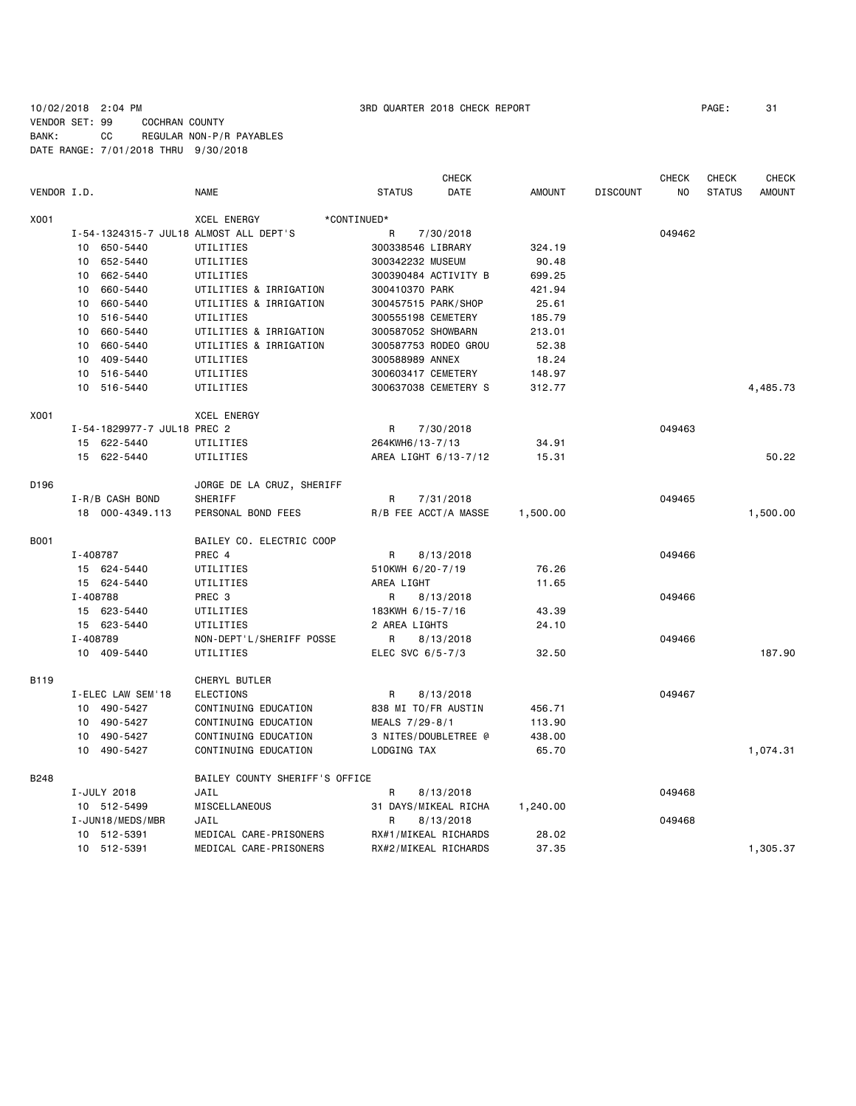# 10/02/2018 2:04 PM 3RD QUARTER 2018 CHECK REPORT PAGE: 31 VENDOR SET: 99 COCHRAN COUNTY BANK: CC REGULAR NON-P/R PAYABLES DATE RANGE: 7/01/2018 THRU 9/30/2018

|             |                             |                                        | <b>CHECK</b>          |               |                 | <b>CHECK</b> | <b>CHECK</b>  | <b>CHECK</b>  |
|-------------|-----------------------------|----------------------------------------|-----------------------|---------------|-----------------|--------------|---------------|---------------|
| VENDOR I.D. |                             | <b>NAME</b>                            | <b>STATUS</b><br>DATE | <b>AMOUNT</b> | <b>DISCOUNT</b> | NO           | <b>STATUS</b> | <b>AMOUNT</b> |
| X001        |                             | <b>XCEL ENERGY</b>                     | *CONTINUED*           |               |                 |              |               |               |
|             |                             | I-54-1324315-7 JUL18 ALMOST ALL DEPT'S | R<br>7/30/2018        |               |                 | 049462       |               |               |
|             | 10 650-5440                 | UTILITIES                              | 300338546 LIBRARY     | 324.19        |                 |              |               |               |
|             | 652-5440<br>10              | UTILITIES                              | 300342232 MUSEUM      | 90.48         |                 |              |               |               |
|             | 662-5440<br>10              | UTILITIES                              | 300390484 ACTIVITY B  | 699.25        |                 |              |               |               |
|             | 660-5440<br>10              | UTILITIES & IRRIGATION                 | 300410370 PARK        | 421.94        |                 |              |               |               |
|             | 10<br>660-5440              | UTILITIES & IRRIGATION                 | 300457515 PARK/SHOP   | 25.61         |                 |              |               |               |
|             | 10<br>516-5440              | UTILITIES                              | 300555198 CEMETERY    | 185.79        |                 |              |               |               |
|             | 660-5440<br>10              | UTILITIES & IRRIGATION                 | 300587052 SHOWBARN    | 213.01        |                 |              |               |               |
|             | 10 660-5440                 | UTILITIES & IRRIGATION                 | 300587753 RODEO GROU  | 52.38         |                 |              |               |               |
|             | 10 409-5440                 | UTILITIES                              | 300588989 ANNEX       | 18.24         |                 |              |               |               |
|             | 10 516-5440                 | UTILITIES                              | 300603417 CEMETERY    | 148.97        |                 |              |               |               |
|             | 10 516-5440                 | UTILITIES                              | 300637038 CEMETERY S  | 312.77        |                 |              |               | 4,485.73      |
| X001        |                             | <b>XCEL ENERGY</b>                     |                       |               |                 |              |               |               |
|             | I-54-1829977-7 JUL18 PREC 2 |                                        | R<br>7/30/2018        |               |                 | 049463       |               |               |
|             | 15 622-5440                 | UTILITIES                              | 264KWH6/13-7/13       | 34.91         |                 |              |               |               |
|             | 15 622-5440                 | UTILITIES                              | AREA LIGHT 6/13-7/12  | 15.31         |                 |              |               | 50.22         |
| D196        |                             | JORGE DE LA CRUZ, SHERIFF              |                       |               |                 |              |               |               |
|             | I-R/B CASH BOND             | SHERIFF                                | R<br>7/31/2018        |               |                 | 049465       |               |               |
|             | 18 000-4349.113             | PERSONAL BOND FEES                     | R/B FEE ACCT/A MASSE  | 1,500.00      |                 |              |               | 1,500.00      |
| <b>B001</b> |                             | BAILEY CO. ELECTRIC COOP               |                       |               |                 |              |               |               |
|             | I-408787                    | PREC 4                                 | 8/13/2018<br>R        |               |                 | 049466       |               |               |
|             | 15 624-5440                 | UTILITIES                              | 510KWH 6/20-7/19      | 76.26         |                 |              |               |               |
|             | 15 624-5440                 | UTILITIES                              | AREA LIGHT            | 11.65         |                 |              |               |               |
|             | I-408788                    | PREC <sub>3</sub>                      | R<br>8/13/2018        |               |                 | 049466       |               |               |
|             | 15 623-5440                 | UTILITIES                              | 183KWH 6/15-7/16      | 43.39         |                 |              |               |               |
|             | 15 623-5440                 | UTILITIES                              | 2 AREA LIGHTS         | 24.10         |                 |              |               |               |
|             | I-408789                    | NON-DEPT'L/SHERIFF POSSE               | 8/13/2018<br>R        |               |                 | 049466       |               |               |
|             | 10 409-5440                 | UTILITIES                              | ELEC SVC 6/5-7/3      | 32.50         |                 |              |               | 187.90        |
| B119        |                             | CHERYL BUTLER                          |                       |               |                 |              |               |               |
|             | I-ELEC LAW SEM'18           | ELECTIONS                              | R<br>8/13/2018        |               |                 | 049467       |               |               |
|             | 10 490-5427                 | CONTINUING EDUCATION                   | 838 MI TO/FR AUSTIN   | 456.71        |                 |              |               |               |
|             | 10 490-5427                 | CONTINUING EDUCATION                   | MEALS 7/29-8/1        | 113.90        |                 |              |               |               |
|             | 490-5427<br>10              | CONTINUING EDUCATION                   | 3 NITES/DOUBLETREE @  | 438.00        |                 |              |               |               |
|             | 10 490-5427                 | CONTINUING EDUCATION                   | LODGING TAX           | 65.70         |                 |              |               | 1,074.31      |
| B248        |                             | BAILEY COUNTY SHERIFF'S OFFICE         |                       |               |                 |              |               |               |
|             | I-JULY 2018                 | JAIL                                   | R<br>8/13/2018        |               |                 | 049468       |               |               |
|             | 10 512-5499                 | MISCELLANEOUS                          | 31 DAYS/MIKEAL RICHA  | 1,240.00      |                 |              |               |               |
|             | I-JUN18/MEDS/MBR            | JAIL                                   | 8/13/2018<br>R        |               |                 | 049468       |               |               |
|             | 10 512-5391                 | MEDICAL CARE-PRISONERS                 | RX#1/MIKEAL RICHARDS  | 28.02         |                 |              |               |               |
|             | 10 512-5391                 | MEDICAL CARE-PRISONERS                 | RX#2/MIKEAL RICHARDS  | 37.35         |                 |              |               | 1,305.37      |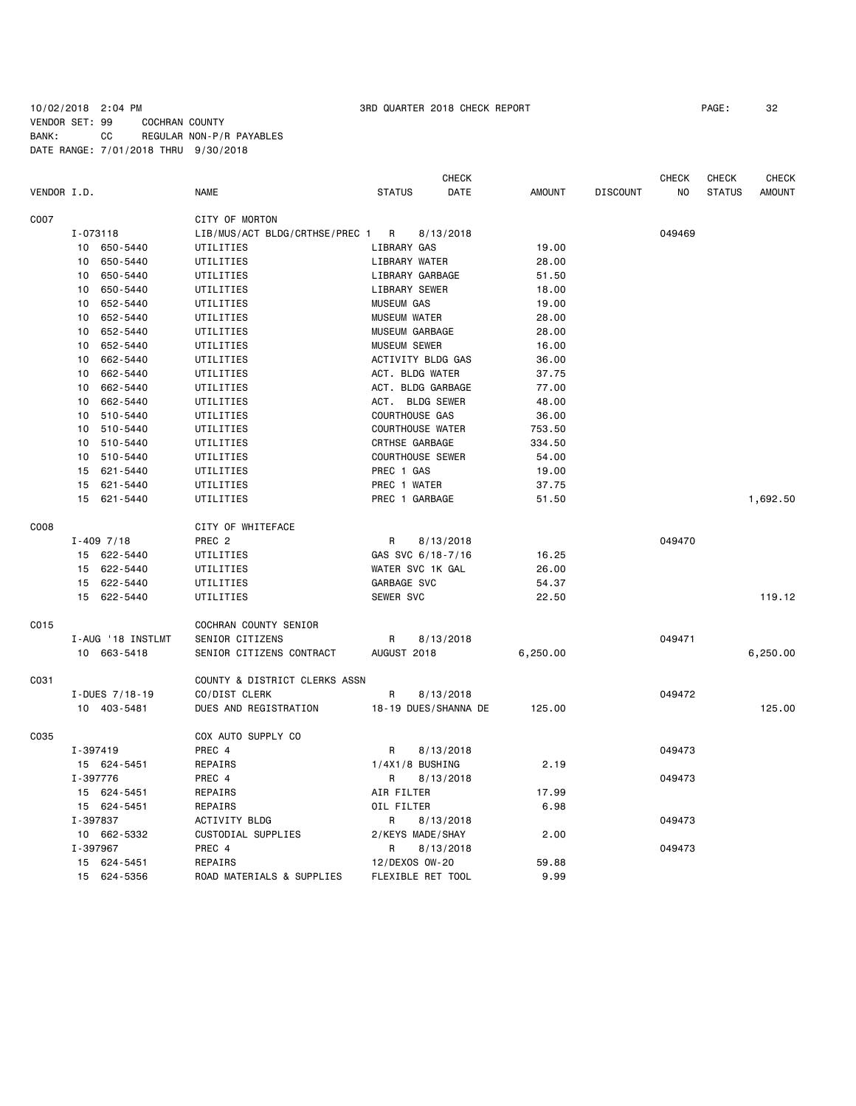10/02/2018 2:04 PM 3RD QUARTER 2018 CHECK REPORT PAGE: 32 VENDOR SET: 99 COCHRAN COUNTY BANK: CC REGULAR NON-P/R PAYABLES DATE RANGE: 7/01/2018 THRU 9/30/2018

|             |                   |                                | CHECK                   |               |                 | CHECK  | CHECK         | CHECK         |
|-------------|-------------------|--------------------------------|-------------------------|---------------|-----------------|--------|---------------|---------------|
| VENDOR I.D. |                   | NAME                           | <b>STATUS</b><br>DATE   | <b>AMOUNT</b> | <b>DISCOUNT</b> | NO     | <b>STATUS</b> | <b>AMOUNT</b> |
| C007        |                   | CITY OF MORTON                 |                         |               |                 |        |               |               |
|             | I-073118          | LIB/MUS/ACT BLDG/CRTHSE/PREC 1 | R<br>8/13/2018          |               |                 | 049469 |               |               |
|             | 10 650-5440       | UTILITIES                      | LIBRARY GAS             | 19.00         |                 |        |               |               |
|             | 10<br>650-5440    | UTILITIES                      | LIBRARY WATER           | 28.00         |                 |        |               |               |
|             | 650-5440<br>10    | UTILITIES                      | LIBRARY GARBAGE         | 51.50         |                 |        |               |               |
|             | 650-5440<br>10    | UTILITIES                      | LIBRARY SEWER           | 18.00         |                 |        |               |               |
|             | 10<br>652-5440    | UTILITIES                      | <b>MUSEUM GAS</b>       | 19.00         |                 |        |               |               |
|             | 652-5440<br>10    | UTILITIES                      | <b>MUSEUM WATER</b>     | 28.00         |                 |        |               |               |
|             | 652-5440<br>10    | UTILITIES                      | MUSEUM GARBAGE          | 28.00         |                 |        |               |               |
|             | 652-5440<br>10    | UTILITIES                      | <b>MUSEUM SEWER</b>     | 16.00         |                 |        |               |               |
|             | 662-5440<br>10    | UTILITIES                      | ACTIVITY BLDG GAS       | 36.00         |                 |        |               |               |
|             | 662-5440<br>10    | UTILITIES                      | ACT. BLDG WATER         | 37.75         |                 |        |               |               |
|             | 662-5440<br>10    | UTILITIES                      | ACT. BLDG GARBAGE       | 77.00         |                 |        |               |               |
|             | 10<br>662-5440    | UTILITIES                      | ACT. BLDG SEWER         | 48.00         |                 |        |               |               |
|             | 10 510-5440       | UTILITIES                      | COURTHOUSE GAS          | 36.00         |                 |        |               |               |
|             | 510-5440<br>10    | UTILITIES                      | <b>COURTHOUSE WATER</b> | 753.50        |                 |        |               |               |
|             | 10<br>510-5440    | UTILITIES                      | CRTHSE GARBAGE          | 334.50        |                 |        |               |               |
|             | 510-5440<br>10    | UTILITIES                      | <b>COURTHOUSE SEWER</b> | 54.00         |                 |        |               |               |
|             | 621-5440<br>15    | UTILITIES                      | PREC 1 GAS              | 19.00         |                 |        |               |               |
|             | 15 621-5440       | UTILITIES                      | PREC 1 WATER            | 37.75         |                 |        |               |               |
|             | 15 621-5440       | UTILITIES                      | PREC 1 GARBAGE          | 51.50         |                 |        |               | 1,692.50      |
| C008        |                   | CITY OF WHITEFACE              |                         |               |                 |        |               |               |
|             | $I - 4097/18$     | PREC <sub>2</sub>              | R<br>8/13/2018          |               |                 | 049470 |               |               |
|             | 15 622-5440       | UTILITIES                      | GAS SVC 6/18-7/16       | 16.25         |                 |        |               |               |
|             | 15 622-5440       | UTILITIES                      | WATER SVC 1K GAL        | 26.00         |                 |        |               |               |
|             | 15 622-5440       | UTILITIES                      | GARBAGE SVC             | 54.37         |                 |        |               |               |
|             | 15 622-5440       | UTILITIES                      | SEWER SVC               | 22.50         |                 |        |               | 119.12        |
| C015        |                   | COCHRAN COUNTY SENIOR          |                         |               |                 |        |               |               |
|             | I-AUG '18 INSTLMT | SENIOR CITIZENS                | R<br>8/13/2018          |               |                 | 049471 |               |               |
|             | 10 663-5418       | SENIOR CITIZENS CONTRACT       | AUGUST 2018             | 6,250.00      |                 |        |               | 6,250.00      |
| C031        |                   | COUNTY & DISTRICT CLERKS ASSN  |                         |               |                 |        |               |               |
|             | I-DUES 7/18-19    | CO/DIST CLERK                  | R<br>8/13/2018          |               |                 | 049472 |               |               |
|             | 10 403-5481       | DUES AND REGISTRATION          | 18-19 DUES/SHANNA DE    | 125.00        |                 |        |               | 125.00        |
| C035        |                   | COX AUTO SUPPLY CO             |                         |               |                 |        |               |               |
|             | I-397419          | PREC 4                         | R<br>8/13/2018          |               |                 | 049473 |               |               |
|             | 15 624-5451       | REPAIRS                        | $1/4X1/8$ BUSHING       | 2.19          |                 |        |               |               |
|             | I-397776          | PREC 4                         | R<br>8/13/2018          |               |                 | 049473 |               |               |
|             | 15 624-5451       | REPAIRS                        | AIR FILTER              | 17.99         |                 |        |               |               |
|             | 15 624-5451       | REPAIRS                        | OIL FILTER              | 6.98          |                 |        |               |               |
|             | I-397837          | ACTIVITY BLDG                  | R<br>8/13/2018          |               |                 | 049473 |               |               |
|             | 10 662-5332       | CUSTODIAL SUPPLIES             | 2/KEYS MADE/SHAY        | 2.00          |                 |        |               |               |
|             | I-397967          | PREC 4                         | R<br>8/13/2018          |               |                 | 049473 |               |               |
|             | 15 624-5451       | REPAIRS                        | 12/DEXOS OW-20          | 59.88         |                 |        |               |               |
|             | 15 624-5356       | ROAD MATERIALS & SUPPLIES      | FLEXIBLE RET TOOL       | 9.99          |                 |        |               |               |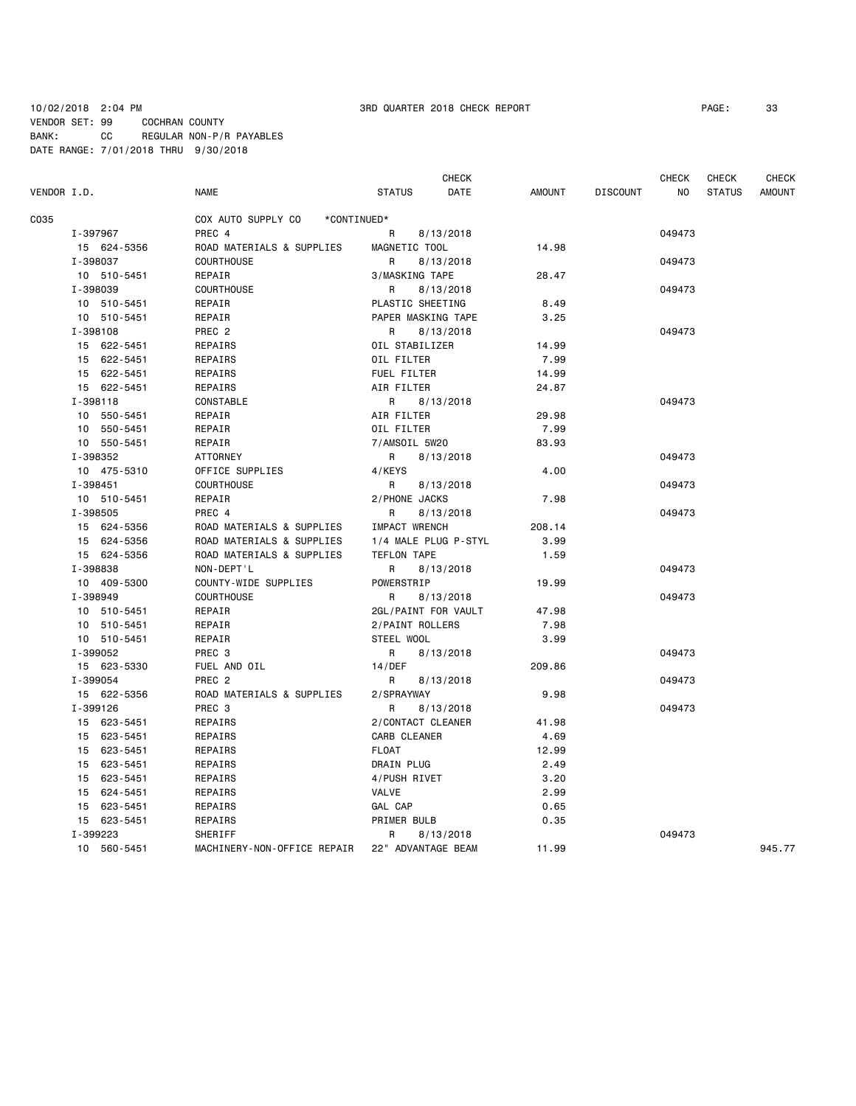### 10/02/2018 2:04 PM 3RD QUARTER 2018 CHECK REPORT PAGE: 33 VENDOR SET: 99 COCHRAN COUNTY BANK: CC REGULAR NON-P/R PAYABLES DATE RANGE: 7/01/2018 THRU 9/30/2018

|             |             |                                   | <b>CHECK</b>          |               |                 | <b>CHECK</b> | <b>CHECK</b>  | CHECK         |
|-------------|-------------|-----------------------------------|-----------------------|---------------|-----------------|--------------|---------------|---------------|
| VENDOR I.D. |             | <b>NAME</b>                       | <b>STATUS</b><br>DATE | <b>AMOUNT</b> | <b>DISCOUNT</b> | NO.          | <b>STATUS</b> | <b>AMOUNT</b> |
| C035        |             | COX AUTO SUPPLY CO<br>*CONTINUED* |                       |               |                 |              |               |               |
|             | I-397967    | PREC 4                            | R<br>8/13/2018        |               |                 | 049473       |               |               |
|             | 15 624-5356 | ROAD MATERIALS & SUPPLIES         | MAGNETIC TOOL         | 14.98         |                 |              |               |               |
|             | I-398037    | <b>COURTHOUSE</b>                 | R<br>8/13/2018        |               |                 | 049473       |               |               |
|             | 10 510-5451 | REPAIR                            | 3/MASKING TAPE        | 28.47         |                 |              |               |               |
|             | I-398039    | <b>COURTHOUSE</b>                 | R<br>8/13/2018        |               |                 | 049473       |               |               |
|             | 10 510-5451 | REPAIR                            | PLASTIC SHEETING      | 8.49          |                 |              |               |               |
|             | 10 510-5451 | REPAIR                            | PAPER MASKING TAPE    | 3.25          |                 |              |               |               |
|             | I-398108    | PREC <sub>2</sub>                 | 8/13/2018<br>R.       |               |                 | 049473       |               |               |
|             | 15 622-5451 | REPAIRS                           | OIL STABILIZER        | 14.99         |                 |              |               |               |
|             | 15 622-5451 | REPAIRS                           | OIL FILTER            | 7.99          |                 |              |               |               |
|             | 15 622-5451 | REPAIRS                           | FUEL FILTER           | 14.99         |                 |              |               |               |
|             | 15 622-5451 | REPAIRS                           | AIR FILTER            | 24.87         |                 |              |               |               |
|             | I-398118    | <b>CONSTABLE</b>                  | R<br>8/13/2018        |               |                 | 049473       |               |               |
|             | 10 550-5451 | REPAIR                            | AIR FILTER            | 29.98         |                 |              |               |               |
|             | 10 550-5451 | REPAIR                            | OIL FILTER            | 7.99          |                 |              |               |               |
|             | 10 550-5451 | REPAIR                            | 7/AMSOIL 5W20         | 83.93         |                 |              |               |               |
|             | I-398352    | <b>ATTORNEY</b>                   | R<br>8/13/2018        |               |                 | 049473       |               |               |
|             | 10 475-5310 | OFFICE SUPPLIES                   | 4/KEYS                | 4.00          |                 |              |               |               |
|             | I-398451    | <b>COURTHOUSE</b>                 | R<br>8/13/2018        |               |                 | 049473       |               |               |
|             | 10 510-5451 | REPAIR                            | 2/PHONE JACKS         | 7.98          |                 |              |               |               |
|             | I-398505    | PREC 4                            | R<br>8/13/2018        |               |                 | 049473       |               |               |
|             | 15 624-5356 | ROAD MATERIALS & SUPPLIES         | <b>IMPACT WRENCH</b>  | 208.14        |                 |              |               |               |
|             | 15 624-5356 | ROAD MATERIALS & SUPPLIES         | 1/4 MALE PLUG P-STYL  | 3.99          |                 |              |               |               |
|             | 15 624-5356 | ROAD MATERIALS & SUPPLIES         | TEFLON TAPE           | 1.59          |                 |              |               |               |
|             | I-398838    | NON-DEPT'L                        | R<br>8/13/2018        |               |                 | 049473       |               |               |
|             | 10 409-5300 | COUNTY-WIDE SUPPLIES              | POWERSTRIP            | 19.99         |                 |              |               |               |
|             | I-398949    | <b>COURTHOUSE</b>                 | R<br>8/13/2018        |               |                 | 049473       |               |               |
|             | 10 510-5451 | REPAIR                            | 2GL/PAINT FOR VAULT   | 47.98         |                 |              |               |               |
|             | 10 510-5451 | REPAIR                            | 2/PAINT ROLLERS       | 7.98          |                 |              |               |               |
|             | 10 510-5451 | REPAIR                            | STEEL WOOL            | 3.99          |                 |              |               |               |
|             | I-399052    | PREC <sub>3</sub>                 | R<br>8/13/2018        |               |                 | 049473       |               |               |
|             | 15 623-5330 | FUEL AND OIL                      | 14/DEF                | 209.86        |                 |              |               |               |
|             | I-399054    | PREC <sub>2</sub>                 | R<br>8/13/2018        |               |                 | 049473       |               |               |
|             | 15 622-5356 | ROAD MATERIALS & SUPPLIES         | 2/SPRAYWAY            | 9.98          |                 |              |               |               |
|             | I-399126    | PREC <sub>3</sub>                 | R<br>8/13/2018        |               |                 | 049473       |               |               |
|             | 15 623-5451 | REPAIRS                           | 2/CONTACT CLEANER     | 41.98         |                 |              |               |               |
|             | 15 623-5451 | REPAIRS                           | CARB CLEANER          | 4.69          |                 |              |               |               |
|             | 15 623-5451 | REPAIRS                           | <b>FLOAT</b>          | 12.99         |                 |              |               |               |
|             | 15 623-5451 | REPAIRS                           | DRAIN PLUG            | 2.49          |                 |              |               |               |
|             | 15 623-5451 | REPAIRS                           | 4/PUSH RIVET          | 3.20          |                 |              |               |               |
|             | 15 624-5451 | REPAIRS                           | VALVE                 | 2.99          |                 |              |               |               |
|             | 15 623-5451 | REPAIRS                           | GAL CAP               | 0.65          |                 |              |               |               |
|             | 15 623-5451 | REPAIRS                           | PRIMER BULB           | 0.35          |                 |              |               |               |
|             | I-399223    | SHERIFF                           | R<br>8/13/2018        |               |                 | 049473       |               |               |
|             | 10 560-5451 | MACHINERY-NON-OFFICE REPAIR       | 22" ADVANTAGE BEAM    | 11.99         |                 |              |               | 945.77        |
|             |             |                                   |                       |               |                 |              |               |               |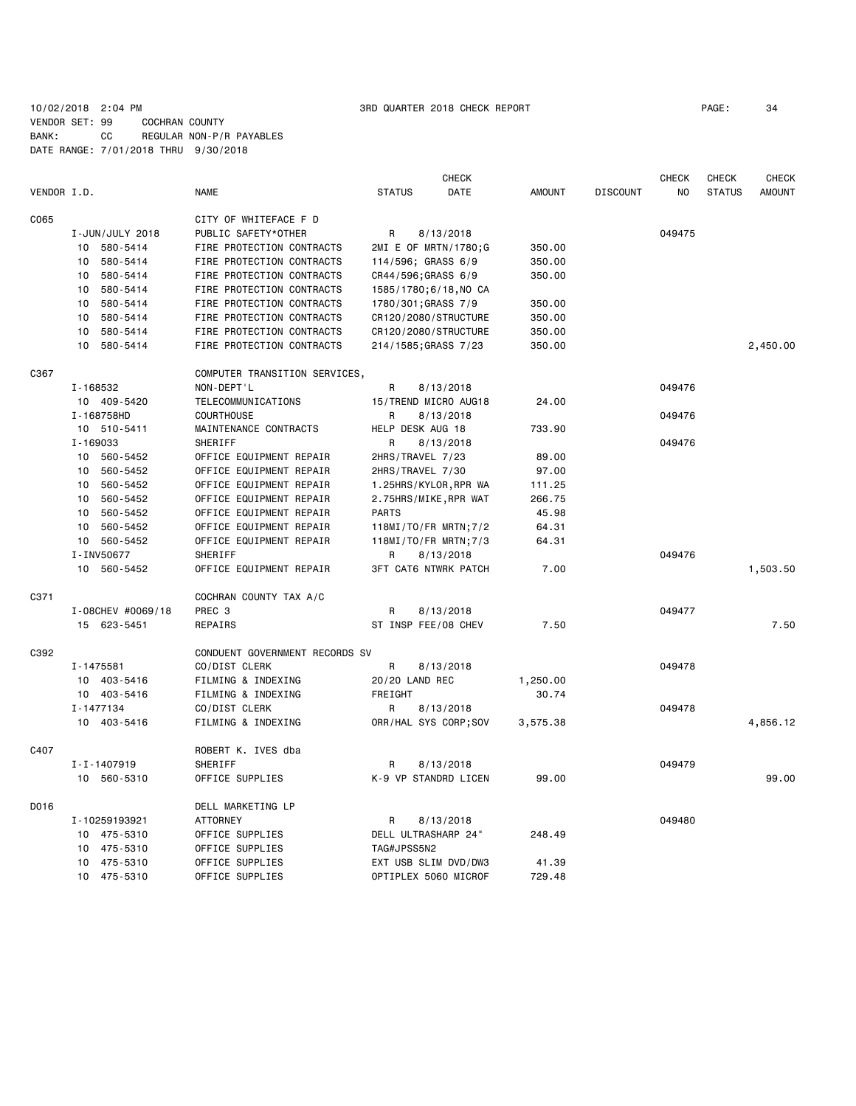10/02/2018 2:04 PM 3RD QUARTER 2018 CHECK REPORT PAGE: 34 VENDOR SET: 99 COCHRAN COUNTY BANK: CC REGULAR NON-P/R PAYABLES DATE RANGE: 7/01/2018 THRU 9/30/2018

|             |                   |                                | CHECK                       |               |                 | CHECK  | CHECK         | <b>CHECK</b>  |
|-------------|-------------------|--------------------------------|-----------------------------|---------------|-----------------|--------|---------------|---------------|
| VENDOR I.D. |                   | <b>NAME</b>                    | <b>STATUS</b><br>DATE       | <b>AMOUNT</b> | <b>DISCOUNT</b> | NO.    | <b>STATUS</b> | <b>AMOUNT</b> |
| C065        |                   | CITY OF WHITEFACE F D          |                             |               |                 |        |               |               |
|             | I-JUN/JULY 2018   | PUBLIC SAFETY*OTHER            | 8/13/2018<br>R              |               |                 | 049475 |               |               |
|             | 10 580-5414       | FIRE PROTECTION CONTRACTS      | 2MI E OF MRTN/1780;G        | 350.00        |                 |        |               |               |
|             | 580-5414<br>10    | FIRE PROTECTION CONTRACTS      | 114/596; GRASS 6/9          | 350.00        |                 |        |               |               |
|             | 580-5414<br>10    | FIRE PROTECTION CONTRACTS      | CR44/596;GRASS 6/9          | 350.00        |                 |        |               |               |
|             | 580-5414<br>10    | FIRE PROTECTION CONTRACTS      | 1585/1780;6/18, NO CA       |               |                 |        |               |               |
|             | 580-5414<br>10    | FIRE PROTECTION CONTRACTS      | 1780/301; GRASS 7/9         | 350.00        |                 |        |               |               |
|             | 580-5414<br>10    | FIRE PROTECTION CONTRACTS      | CR120/2080/STRUCTURE        | 350.00        |                 |        |               |               |
|             | 580-5414<br>10    | FIRE PROTECTION CONTRACTS      | CR120/2080/STRUCTURE        | 350.00        |                 |        |               |               |
|             | 10<br>580-5414    | FIRE PROTECTION CONTRACTS      | 214/1585; GRASS 7/23        | 350.00        |                 |        |               | 2,450.00      |
| C367        |                   | COMPUTER TRANSITION SERVICES,  |                             |               |                 |        |               |               |
|             | I-168532          | NON-DEPT'L                     | R<br>8/13/2018              |               |                 | 049476 |               |               |
|             | 10 409-5420       | <b>TELECOMMUNICATIONS</b>      | 15/TREND MICRO AUG18        | 24.00         |                 |        |               |               |
|             | I-168758HD        | <b>COURTHOUSE</b>              | R<br>8/13/2018              |               |                 | 049476 |               |               |
|             | 10 510-5411       | MAINTENANCE CONTRACTS          | HELP DESK AUG 18            | 733.90        |                 |        |               |               |
|             | I-169033          | SHERIFF                        | R<br>8/13/2018              |               |                 | 049476 |               |               |
|             | 560-5452<br>10    | OFFICE EQUIPMENT REPAIR        | 2HRS/TRAVEL 7/23            | 89.00         |                 |        |               |               |
|             | 560-5452<br>10    | OFFICE EQUIPMENT REPAIR        | 2HRS/TRAVEL 7/30            | 97.00         |                 |        |               |               |
|             | 560-5452<br>10    | OFFICE EQUIPMENT REPAIR        | 1.25HRS/KYLOR, RPR WA       | 111.25        |                 |        |               |               |
|             | 560-5452<br>10    | OFFICE EQUIPMENT REPAIR        | 2.75HRS/MIKE, RPR WAT       | 266.75        |                 |        |               |               |
|             | 560-5452<br>10    | OFFICE EQUIPMENT REPAIR        | <b>PARTS</b>                | 45.98         |                 |        |               |               |
|             | 10<br>560-5452    | OFFICE EQUIPMENT REPAIR        | 118MI/TO/FR MRTN; 7/2       | 64.31         |                 |        |               |               |
|             | 10 560-5452       | OFFICE EQUIPMENT REPAIR        | 118MI/TO/FR MRTN; 7/3       | 64.31         |                 |        |               |               |
|             | I-INV50677        | SHERIFF                        | 8/13/2018<br>R              |               |                 | 049476 |               |               |
|             | 10 560-5452       | OFFICE EQUIPMENT REPAIR        | <b>3FT CAT6 NTWRK PATCH</b> | 7.00          |                 |        |               | 1,503.50      |
| C371        |                   | COCHRAN COUNTY TAX A/C         |                             |               |                 |        |               |               |
|             | I-08CHEV #0069/18 | PREC <sub>3</sub>              | R<br>8/13/2018              |               |                 | 049477 |               |               |
|             | 15 623-5451       | <b>REPAIRS</b>                 | ST INSP FEE/08 CHEV         | 7.50          |                 |        |               | 7.50          |
| C392        |                   | CONDUENT GOVERNMENT RECORDS SV |                             |               |                 |        |               |               |
|             | I-1475581         | CO/DIST CLERK                  | R<br>8/13/2018              |               |                 | 049478 |               |               |
|             | 10 403-5416       | FILMING & INDEXING             | 20/20 LAND REC              | 1,250.00      |                 |        |               |               |
|             | 10 403-5416       | FILMING & INDEXING             | FREIGHT                     | 30.74         |                 |        |               |               |
|             | I-1477134         | CO/DIST CLERK                  | R<br>8/13/2018              |               |                 | 049478 |               |               |
|             | 10 403-5416       | FILMING & INDEXING             | ORR/HAL SYS CORP;SOV        | 3,575.38      |                 |        |               | 4,856.12      |
| C407        |                   | ROBERT K. IVES dba             |                             |               |                 |        |               |               |
|             | I-I-1407919       | SHERIFF                        | R<br>8/13/2018              |               |                 | 049479 |               |               |
|             | 10 560-5310       | OFFICE SUPPLIES                | K-9 VP STANDRD LICEN        | 99.00         |                 |        |               | 99.00         |
| D016        |                   | DELL MARKETING LP              |                             |               |                 |        |               |               |
|             | I-10259193921     | <b>ATTORNEY</b>                | 8/13/2018<br>R              |               |                 | 049480 |               |               |
|             | 475-5310<br>10    | OFFICE SUPPLIES                | DELL ULTRASHARP 24"         | 248.49        |                 |        |               |               |
|             | 475-5310<br>10    | OFFICE SUPPLIES                | TAG#JPSS5N2                 |               |                 |        |               |               |
|             | 475-5310<br>10    | OFFICE SUPPLIES                | EXT USB SLIM DVD/DW3        | 41.39         |                 |        |               |               |
|             | 475-5310<br>10    | OFFICE SUPPLIES                | OPTIPLEX 5060 MICROF        | 729.48        |                 |        |               |               |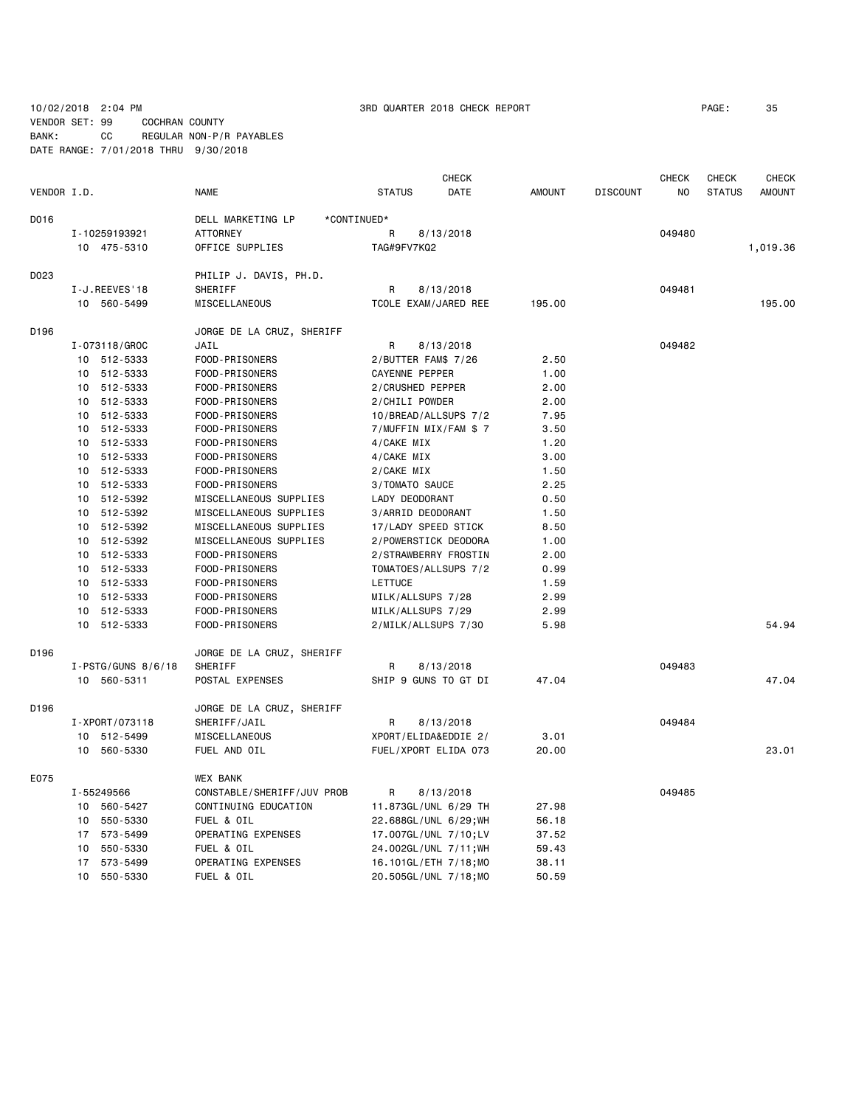VENDOR SET: 99 COCHRAN COUNTY BANK: CC REGULAR NON-P/R PAYABLES

DATE RANGE: 7/01/2018 THRU 9/30/2018

|             |    |                      |                                  |                     | <b>CHECK</b>          |               |                 | <b>CHECK</b>   | <b>CHECK</b>  | <b>CHECK</b>  |
|-------------|----|----------------------|----------------------------------|---------------------|-----------------------|---------------|-----------------|----------------|---------------|---------------|
| VENDOR I.D. |    |                      | <b>NAME</b>                      | <b>STATUS</b>       | DATE                  | <b>AMOUNT</b> | <b>DISCOUNT</b> | N <sub>O</sub> | <b>STATUS</b> | <b>AMOUNT</b> |
| D016        |    |                      | DELL MARKETING LP<br>*CONTINUED* |                     |                       |               |                 |                |               |               |
|             |    | I-10259193921        | <b>ATTORNEY</b>                  | R                   | 8/13/2018             |               |                 | 049480         |               |               |
|             |    | 10 475-5310          | OFFICE SUPPLIES                  | TAG#9FV7KQ2         |                       |               |                 |                |               | 1,019.36      |
| D023        |    |                      | PHILIP J. DAVIS, PH.D.           |                     |                       |               |                 |                |               |               |
|             |    | I-J.REEVES'18        | SHERIFF                          | R                   | 8/13/2018             |               |                 | 049481         |               |               |
|             |    | 10 560-5499          | MISCELLANEOUS                    |                     | TCOLE EXAM/JARED REE  | 195.00        |                 |                |               | 195.00        |
| D196        |    |                      | JORGE DE LA CRUZ, SHERIFF        |                     |                       |               |                 |                |               |               |
|             |    | I-073118/GROC        | JAIL                             | R                   | 8/13/2018             |               |                 | 049482         |               |               |
|             |    | 10 512-5333          | FOOD-PRISONERS                   | 2/BUTTER FAM\$ 7/26 |                       | 2.50          |                 |                |               |               |
|             |    | 10 512-5333          | FOOD-PRISONERS                   | CAYENNE PEPPER      |                       | 1.00          |                 |                |               |               |
|             |    | 10 512-5333          | FOOD-PRISONERS                   | 2/CRUSHED PEPPER    |                       | 2.00          |                 |                |               |               |
|             |    | 10 512-5333          | FOOD-PRISONERS                   | 2/CHILI POWDER      |                       | 2.00          |                 |                |               |               |
|             |    | 10 512-5333          | FOOD-PRISONERS                   |                     | 10/BREAD/ALLSUPS 7/2  | 7.95          |                 |                |               |               |
|             |    | 10 512-5333          | FOOD-PRISONERS                   |                     | 7/MUFFIN MIX/FAM \$7  | 3.50          |                 |                |               |               |
|             |    | 10 512-5333          | FOOD-PRISONERS                   | 4/CAKE MIX          |                       | 1.20          |                 |                |               |               |
|             | 10 | 512-5333             | FOOD-PRISONERS                   | 4/CAKE MIX          |                       | 3.00          |                 |                |               |               |
|             |    | 10 512-5333          | FOOD-PRISONERS                   | 2/CAKE MIX          |                       | 1.50          |                 |                |               |               |
|             | 10 | 512-5333             | FOOD-PRISONERS                   | 3/TOMATO SAUCE      |                       | 2.25          |                 |                |               |               |
|             |    | 10 512-5392          | MISCELLANEOUS SUPPLIES           | LADY DEODORANT      |                       | 0.50          |                 |                |               |               |
|             |    | 10 512-5392          | MISCELLANEOUS SUPPLIES           | 3/ARRID DEODORANT   |                       | 1.50          |                 |                |               |               |
|             |    | 10 512-5392          | MISCELLANEOUS SUPPLIES           | 17/LADY SPEED STICK |                       | 8.50          |                 |                |               |               |
|             |    | 10 512-5392          | MISCELLANEOUS SUPPLIES           |                     | 2/POWERSTICK DEODORA  | 1.00          |                 |                |               |               |
|             |    | 10 512-5333          | FOOD-PRISONERS                   |                     | 2/STRAWBERRY FROSTIN  | 2.00          |                 |                |               |               |
|             |    | 10 512-5333          | FOOD-PRISONERS                   |                     | TOMATOES/ALLSUPS 7/2  | 0.99          |                 |                |               |               |
|             |    | 10 512-5333          | FOOD-PRISONERS                   | LETTUCE             |                       | 1.59          |                 |                |               |               |
|             |    | 10 512-5333          | FOOD-PRISONERS                   | MILK/ALLSUPS 7/28   |                       | 2.99          |                 |                |               |               |
|             |    | 10 512-5333          | FOOD-PRISONERS                   | MILK/ALLSUPS 7/29   |                       | 2.99          |                 |                |               |               |
|             |    | 10 512-5333          | FOOD-PRISONERS                   | 2/MILK/ALLSUPS 7/30 |                       | 5.98          |                 |                |               | 54.94         |
| D196        |    |                      | JORGE DE LA CRUZ, SHERIFF        |                     |                       |               |                 |                |               |               |
|             |    | $I-PSTG/GUNS 8/6/18$ | SHERIFF                          | R                   | 8/13/2018             |               |                 | 049483         |               |               |
|             |    | 10 560-5311          | POSTAL EXPENSES                  |                     | SHIP 9 GUNS TO GT DI  | 47.04         |                 |                |               | 47.04         |
| D196        |    |                      | JORGE DE LA CRUZ, SHERIFF        |                     |                       |               |                 |                |               |               |
|             |    | I-XPORT/073118       | SHERIFF/JAIL                     | R                   | 8/13/2018             |               |                 | 049484         |               |               |
|             |    | 10 512-5499          | MISCELLANEOUS                    |                     | XPORT/ELIDA&EDDIE 2/  | 3.01          |                 |                |               |               |
|             |    | 10 560-5330          | FUEL AND OIL                     |                     | FUEL/XPORT ELIDA 073  | 20.00         |                 |                |               | 23.01         |
| E075        |    |                      | <b>WEX BANK</b>                  |                     |                       |               |                 |                |               |               |
|             |    | I-55249566           | CONSTABLE/SHERIFF/JUV PROB       | R                   | 8/13/2018             |               |                 | 049485         |               |               |
|             |    | 10 560-5427          | CONTINUING EDUCATION             |                     | 11.873GL/UNL 6/29 TH  | 27.98         |                 |                |               |               |
|             |    | 10 550-5330          | FUEL & OIL                       |                     | 22.688GL/UNL 6/29; WH | 56.18         |                 |                |               |               |
|             |    | 17 573-5499          | OPERATING EXPENSES               |                     | 17.007GL/UNL 7/10;LV  | 37.52         |                 |                |               |               |
|             | 10 | 550-5330             | FUEL & OIL                       |                     | 24.002GL/UNL 7/11; WH | 59.43         |                 |                |               |               |
|             |    | 17 573-5499          | OPERATING EXPENSES               |                     | 16.101GL/ETH 7/18;MO  | 38.11         |                 |                |               |               |
|             | 10 | 550-5330             | FUEL & OIL                       |                     | 20.505GL/UNL 7/18;MO  | 50.59         |                 |                |               |               |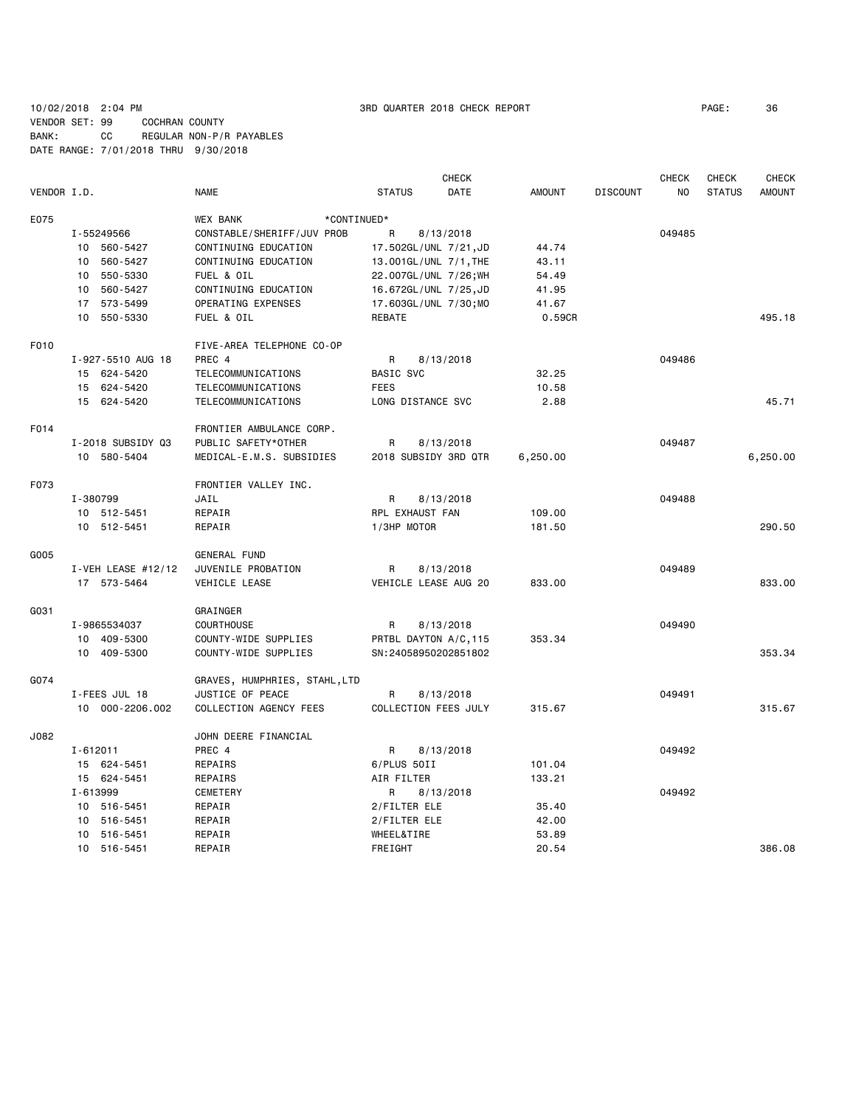# 10/02/2018 2:04 PM 3RD QUARTER 2018 CHECK REPORT PAGE: 36 VENDOR SET: 99 COCHRAN COUNTY BANK: CC REGULAR NON-P/R PAYABLES DATE RANGE: 7/01/2018 THRU 9/30/2018

|             |                      |                                | <b>CHECK</b>          |               |                 | <b>CHECK</b> | <b>CHECK</b>  | <b>CHECK</b>  |
|-------------|----------------------|--------------------------------|-----------------------|---------------|-----------------|--------------|---------------|---------------|
| VENDOR I.D. |                      | NAME                           | DATE<br><b>STATUS</b> | <b>AMOUNT</b> | <b>DISCOUNT</b> | NO           | <b>STATUS</b> | <b>AMOUNT</b> |
| E075        |                      | <b>WEX BANK</b><br>*CONTINUED* |                       |               |                 |              |               |               |
|             | I-55249566           | CONSTABLE/SHERIFF/JUV PROB     | R<br>8/13/2018        |               |                 | 049485       |               |               |
|             | 10 560-5427          | CONTINUING EDUCATION           | 17.502GL/UNL 7/21,JD  | 44.74         |                 |              |               |               |
|             | 10 560-5427          | CONTINUING EDUCATION           | 13.001GL/UNL 7/1, THE | 43.11         |                 |              |               |               |
|             | 10 550-5330          | FUEL & OIL                     | 22.007GL/UNL 7/26; WH | 54.49         |                 |              |               |               |
|             | 10 560-5427          | CONTINUING EDUCATION           | 16.672GL/UNL 7/25, JD | 41.95         |                 |              |               |               |
|             | 17 573-5499          | OPERATING EXPENSES             | 17.603GL/UNL 7/30; MO | 41.67         |                 |              |               |               |
|             | 10 550-5330          | FUEL & OIL                     | REBATE                | 0.59CR        |                 |              |               | 495.18        |
| F010        |                      | FIVE-AREA TELEPHONE CO-OP      |                       |               |                 |              |               |               |
|             | I-927-5510 AUG 18    | PREC 4                         | R<br>8/13/2018        |               |                 | 049486       |               |               |
|             | 15 624-5420          | <b>TELECOMMUNICATIONS</b>      | <b>BASIC SVC</b>      | 32.25         |                 |              |               |               |
|             | 15 624-5420          | TELECOMMUNICATIONS             | <b>FEES</b>           | 10.58         |                 |              |               |               |
|             | 15 624-5420          | TELECOMMUNICATIONS             | LONG DISTANCE SVC     | 2.88          |                 |              |               | 45.71         |
| F014        |                      | FRONTIER AMBULANCE CORP.       |                       |               |                 |              |               |               |
|             | I-2018 SUBSIDY Q3    | PUBLIC SAFETY*OTHER            | R<br>8/13/2018        |               |                 | 049487       |               |               |
|             | 10 580-5404          | MEDICAL-E.M.S. SUBSIDIES       | 2018 SUBSIDY 3RD QTR  | 6,250.00      |                 |              |               | 6,250.00      |
| F073        |                      | FRONTIER VALLEY INC.           |                       |               |                 |              |               |               |
|             | I-380799             | JAIL                           | R<br>8/13/2018        |               |                 | 049488       |               |               |
|             | 10 512-5451          | REPAIR                         | RPL EXHAUST FAN       | 109.00        |                 |              |               |               |
|             | 10 512-5451          | REPAIR                         | 1/3HP MOTOR           | 181.50        |                 |              |               | 290.50        |
| G005        |                      | GENERAL FUND                   |                       |               |                 |              |               |               |
|             | I-VEH LEASE $#12/12$ | JUVENILE PROBATION             | R<br>8/13/2018        |               |                 | 049489       |               |               |
|             | 17 573-5464          | VEHICLE LEASE                  | VEHICLE LEASE AUG 20  | 833.00        |                 |              |               | 833.00        |
| G031        |                      | GRAINGER                       |                       |               |                 |              |               |               |
|             | I-9865534037         | <b>COURTHOUSE</b>              | R<br>8/13/2018        |               |                 | 049490       |               |               |
|             | 10 409-5300          | COUNTY-WIDE SUPPLIES           | PRTBL DAYTON A/C, 115 | 353.34        |                 |              |               |               |
|             | 10 409-5300          | COUNTY-WIDE SUPPLIES           | SN:24058950202851802  |               |                 |              |               | 353.34        |
| G074        |                      | GRAVES, HUMPHRIES, STAHL,LTD   |                       |               |                 |              |               |               |
|             | I-FEES JUL 18        | JUSTICE OF PEACE               | R<br>8/13/2018        |               |                 | 049491       |               |               |
|             | 10 000-2206.002      | COLLECTION AGENCY FEES         | COLLECTION FEES JULY  | 315.67        |                 |              |               | 315.67        |
| J082        |                      | JOHN DEERE FINANCIAL           |                       |               |                 |              |               |               |
|             | $I - 612011$         | PREC 4                         | R<br>8/13/2018        |               |                 | 049492       |               |               |
|             | 15 624-5451          | REPAIRS                        | 6/PLUS 50II           | 101.04        |                 |              |               |               |
|             | 15 624-5451          | REPAIRS                        | AIR FILTER            | 133.21        |                 |              |               |               |
|             | I-613999             | <b>CEMETERY</b>                | 8/13/2018<br>R        |               |                 | 049492       |               |               |
|             | 10 516-5451          | REPAIR                         | 2/FILTER ELE          | 35.40         |                 |              |               |               |
|             | 10 516-5451          | REPAIR                         | 2/FILTER ELE          | 42.00         |                 |              |               |               |
|             | 10 516-5451          | REPAIR                         | WHEEL&TIRE            | 53.89         |                 |              |               |               |
|             | 10 516-5451          | REPAIR                         | FREIGHT               | 20.54         |                 |              |               | 386.08        |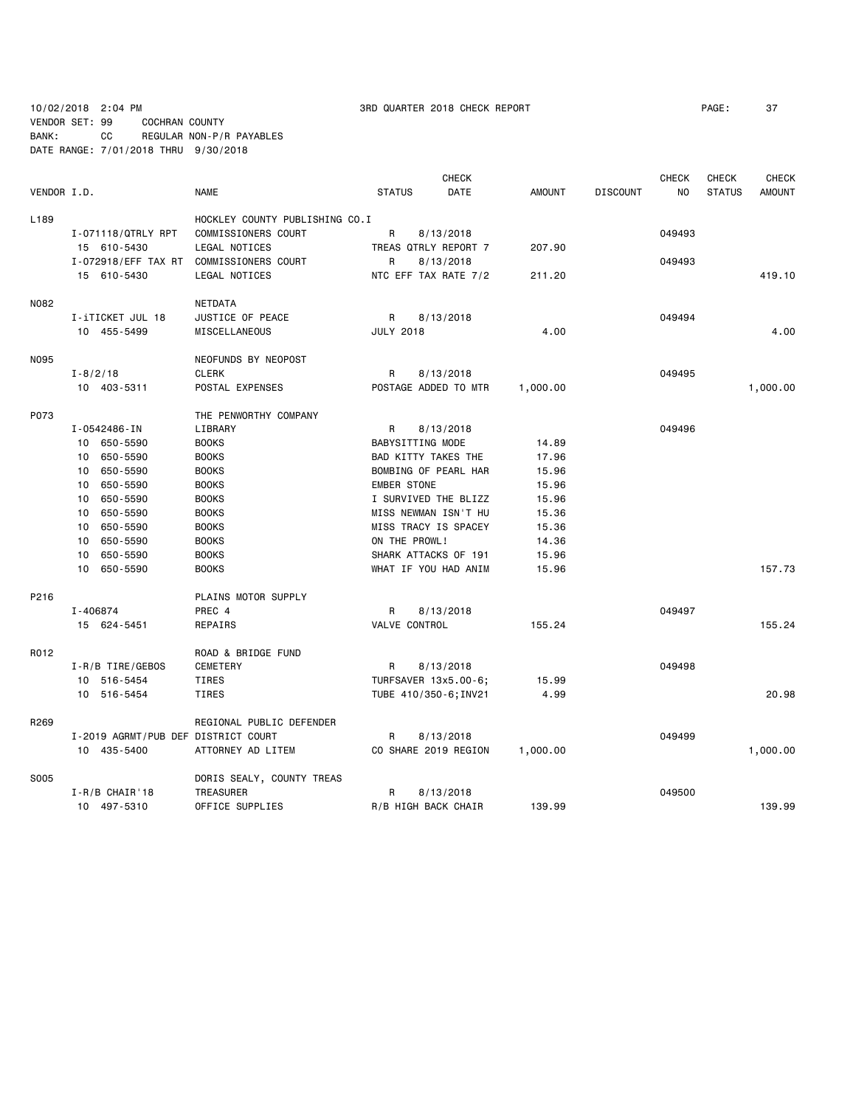10/02/2018 2:04 PM 3RD QUARTER 2018 CHECK REPORT PAGE: 37

VENDOR SET: 99 COCHRAN COUNTY BANK: CC REGULAR NON-P/R PAYABLES DATE RANGE: 7/01/2018 THRU 9/30/2018

|             | <b>CHECK</b>                        |                                |                     |                       |               | <b>CHECK</b>    | <b>CHECK</b> | <b>CHECK</b>  |               |
|-------------|-------------------------------------|--------------------------------|---------------------|-----------------------|---------------|-----------------|--------------|---------------|---------------|
| VENDOR I.D. |                                     | <b>NAME</b>                    | <b>STATUS</b>       | DATE                  | <b>AMOUNT</b> | <b>DISCOUNT</b> | NO           | <b>STATUS</b> | <b>AMOUNT</b> |
| L189        |                                     | HOCKLEY COUNTY PUBLISHING CO.I |                     |                       |               |                 |              |               |               |
|             | I-071118/QTRLY RPT                  | COMMISSIONERS COURT            | R                   | 8/13/2018             |               |                 | 049493       |               |               |
|             | 15 610-5430                         | LEGAL NOTICES                  |                     | TREAS QTRLY REPORT 7  | 207.90        |                 |              |               |               |
|             | I-072918/EFF TAX RT                 | COMMISSIONERS COURT            | R                   | 8/13/2018             |               |                 | 049493       |               |               |
|             | 15 610-5430                         | LEGAL NOTICES                  |                     | NTC EFF TAX RATE 7/2  | 211.20        |                 |              |               | 419.10        |
| N082        |                                     | NETDATA                        |                     |                       |               |                 |              |               |               |
|             | I-iTICKET JUL 18                    | JUSTICE OF PEACE               | R                   | 8/13/2018             |               |                 | 049494       |               |               |
|             | 10 455-5499                         | MISCELLANEOUS                  | <b>JULY 2018</b>    |                       | 4.00          |                 |              |               | 4.00          |
| N095        |                                     | NEOFUNDS BY NEOPOST            |                     |                       |               |                 |              |               |               |
|             | $I - 8/2/18$                        | <b>CLERK</b>                   | R                   | 8/13/2018             |               |                 | 049495       |               |               |
|             | 10 403-5311                         | POSTAL EXPENSES                |                     | POSTAGE ADDED TO MTR  | 1,000.00      |                 |              |               | 1,000.00      |
| P073        |                                     | THE PENWORTHY COMPANY          |                     |                       |               |                 |              |               |               |
|             | I-0542486-IN                        | LIBRARY                        | R                   | 8/13/2018             |               |                 | 049496       |               |               |
|             | 10 650-5590                         | <b>BOOKS</b>                   | BABYSITTING MODE    |                       | 14.89         |                 |              |               |               |
|             | 10 650-5590                         | <b>BOOKS</b>                   | BAD KITTY TAKES THE |                       | 17.96         |                 |              |               |               |
|             | 10 650-5590                         | <b>BOOKS</b>                   |                     | BOMBING OF PEARL HAR  | 15.96         |                 |              |               |               |
|             | 650-5590<br>10                      | <b>BOOKS</b>                   | <b>EMBER STONE</b>  |                       | 15.96         |                 |              |               |               |
|             | 650-5590<br>10                      | <b>BOOKS</b>                   |                     | I SURVIVED THE BLIZZ  | 15.96         |                 |              |               |               |
|             | 650-5590<br>10                      | <b>BOOKS</b>                   |                     | MISS NEWMAN ISN'T HU  | 15.36         |                 |              |               |               |
|             | 650-5590<br>10                      | <b>BOOKS</b>                   |                     | MISS TRACY IS SPACEY  | 15.36         |                 |              |               |               |
|             | 650-5590<br>10                      | <b>BOOKS</b>                   | ON THE PROWL!       |                       | 14.36         |                 |              |               |               |
|             | 10<br>650-5590                      | <b>BOOKS</b>                   |                     | SHARK ATTACKS OF 191  | 15.96         |                 |              |               |               |
|             | 10 650-5590                         | <b>BOOKS</b>                   |                     | WHAT IF YOU HAD ANIM  | 15.96         |                 |              |               | 157.73        |
| P216        |                                     | PLAINS MOTOR SUPPLY            |                     |                       |               |                 |              |               |               |
|             | I-406874                            | PREC 4                         | R                   | 8/13/2018             |               |                 | 049497       |               |               |
|             | 15 624-5451                         | REPAIRS                        | VALVE CONTROL       |                       | 155.24        |                 |              |               | 155.24        |
| R012        |                                     | ROAD & BRIDGE FUND             |                     |                       |               |                 |              |               |               |
|             | I-R/B TIRE/GEBOS                    | <b>CEMETERY</b>                | R                   | 8/13/2018             |               |                 | 049498       |               |               |
|             | 10 516-5454                         | TIRES                          |                     | TURFSAVER 13x5.00-6;  | 15.99         |                 |              |               |               |
|             | 10 516-5454                         | TIRES                          |                     | TUBE 410/350-6; INV21 | 4.99          |                 |              |               | 20.98         |
| R269        |                                     | REGIONAL PUBLIC DEFENDER       |                     |                       |               |                 |              |               |               |
|             | I-2019 AGRMT/PUB DEF DISTRICT COURT |                                | R                   | 8/13/2018             |               |                 | 049499       |               |               |
|             | 10 435-5400                         | ATTORNEY AD LITEM              |                     | CO SHARE 2019 REGION  | 1,000.00      |                 |              |               | 1,000.00      |
| S005        |                                     | DORIS SEALY, COUNTY TREAS      |                     |                       |               |                 |              |               |               |
|             | $I - R/B$ CHAIR'18                  | TREASURER                      | R                   | 8/13/2018             |               |                 | 049500       |               |               |
|             | 10 497-5310                         | OFFICE SUPPLIES                | R/B HIGH BACK CHAIR |                       | 139.99        |                 |              |               | 139.99        |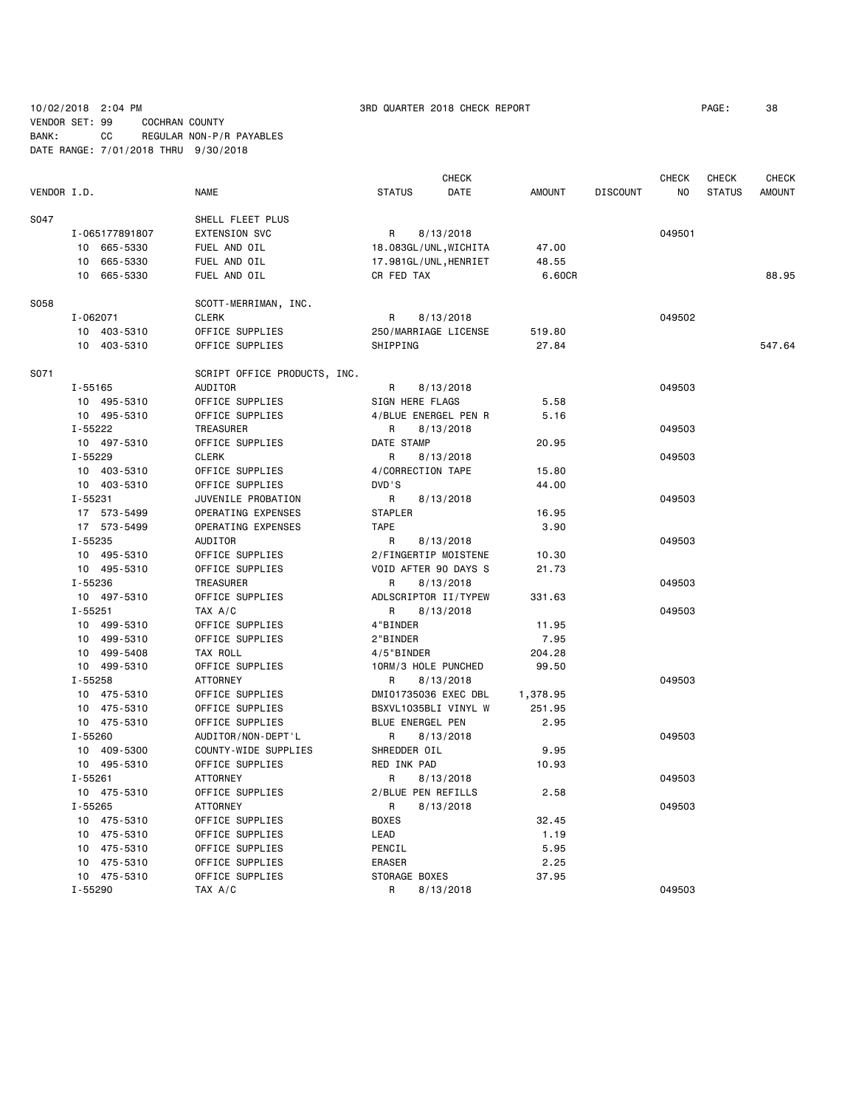### 10/02/2018 2:04 PM 3RD QUARTER 2018 CHECK REPORT PAGE: 38 VENDOR SET: 99 COCHRAN COUNTY BANK: CC REGULAR NON-P/R PAYABLES DATE RANGE: 7/01/2018 THRU 9/30/2018

|             |                |                              |                     | <b>CHECK</b>          |          |                 | <b>CHECK</b> | <b>CHECK</b>  | <b>CHECK</b>  |
|-------------|----------------|------------------------------|---------------------|-----------------------|----------|-----------------|--------------|---------------|---------------|
| VENDOR I.D. |                | <b>NAME</b>                  | <b>STATUS</b>       | DATE                  | AMOUNT   | <b>DISCOUNT</b> | NO.          | <b>STATUS</b> | <b>AMOUNT</b> |
| S047        |                | SHELL FLEET PLUS             |                     |                       |          |                 |              |               |               |
|             | I-065177891807 | <b>EXTENSION SVC</b>         | R                   | 8/13/2018             |          |                 | 049501       |               |               |
|             | 10 665-5330    | FUEL AND OIL                 |                     | 18.083GL/UNL, WICHITA | 47.00    |                 |              |               |               |
|             | 10 665-5330    | FUEL AND OIL                 |                     | 17.981GL/UNL, HENRIET | 48.55    |                 |              |               |               |
|             | 10 665-5330    | FUEL AND OIL                 | CR FED TAX          |                       | 6.60CR   |                 |              |               | 88.95         |
| S058        |                | SCOTT-MERRIMAN, INC.         |                     |                       |          |                 |              |               |               |
|             | I-062071       | <b>CLERK</b>                 | R                   | 8/13/2018             |          |                 | 049502       |               |               |
|             | 10 403-5310    | OFFICE SUPPLIES              |                     | 250/MARRIAGE LICENSE  | 519.80   |                 |              |               |               |
|             | 10 403-5310    | OFFICE SUPPLIES              | SHIPPING            |                       | 27.84    |                 |              |               | 547.64        |
| S071        |                | SCRIPT OFFICE PRODUCTS, INC. |                     |                       |          |                 |              |               |               |
|             | $I - 55165$    | AUDITOR                      | R                   | 8/13/2018             |          |                 | 049503       |               |               |
|             | 10 495-5310    | OFFICE SUPPLIES              | SIGN HERE FLAGS     |                       | 5.58     |                 |              |               |               |
|             | 10 495-5310    | OFFICE SUPPLIES              |                     | 4/BLUE ENERGEL PEN R  | 5.16     |                 |              |               |               |
|             | I-55222        | <b>TREASURER</b>             | R                   | 8/13/2018             |          |                 | 049503       |               |               |
|             | 10 497-5310    | OFFICE SUPPLIES              | DATE STAMP          |                       | 20.95    |                 |              |               |               |
|             | I-55229        | <b>CLERK</b>                 | R                   | 8/13/2018             |          |                 | 049503       |               |               |
|             | 10 403-5310    | OFFICE SUPPLIES              | 4/CORRECTION TAPE   |                       | 15.80    |                 |              |               |               |
|             | 10 403-5310    | OFFICE SUPPLIES              | DVD'S               |                       | 44.00    |                 |              |               |               |
|             | $I - 55231$    | JUVENILE PROBATION           | R                   | 8/13/2018             |          |                 | 049503       |               |               |
|             | 17 573-5499    | OPERATING EXPENSES           | STAPLER             |                       | 16.95    |                 |              |               |               |
|             | 17 573-5499    | OPERATING EXPENSES           | <b>TAPE</b>         |                       | 3.90     |                 |              |               |               |
|             | I-55235        |                              |                     |                       |          |                 |              |               |               |
|             |                | AUDITOR                      | R                   | 8/13/2018             |          |                 | 049503       |               |               |
|             | 10 495-5310    | OFFICE SUPPLIES              |                     | 2/FINGERTIP MOISTENE  | 10.30    |                 |              |               |               |
|             | 10 495-5310    | OFFICE SUPPLIES              |                     | VOID AFTER 90 DAYS S  | 21.73    |                 |              |               |               |
|             | I-55236        | TREASURER                    | R                   | 8/13/2018             |          |                 | 049503       |               |               |
|             | 10 497-5310    | OFFICE SUPPLIES              |                     | ADLSCRIPTOR II/TYPEW  | 331.63   |                 |              |               |               |
|             | $I - 55251$    | TAX A/C                      | R                   | 8/13/2018             |          |                 | 049503       |               |               |
|             | 10 499-5310    | OFFICE SUPPLIES              | 4"BINDER            |                       | 11.95    |                 |              |               |               |
|             | 10 499-5310    | OFFICE SUPPLIES              | 2"BINDER            |                       | 7.95     |                 |              |               |               |
|             | 10 499-5408    | TAX ROLL                     | 4/5"BINDER          |                       | 204.28   |                 |              |               |               |
|             | 10 499-5310    | OFFICE SUPPLIES              | 10RM/3 HOLE PUNCHED |                       | 99.50    |                 |              |               |               |
|             | $I - 55258$    | <b>ATTORNEY</b>              | R                   | 8/13/2018             |          |                 | 049503       |               |               |
|             | 10 475-5310    | OFFICE SUPPLIES              |                     | DMI01735036 EXEC DBL  | 1,378.95 |                 |              |               |               |
|             | 10 475-5310    | OFFICE SUPPLIES              |                     | BSXVL1035BLI VINYL W  | 251.95   |                 |              |               |               |
|             | 10 475-5310    | OFFICE SUPPLIES              | BLUE ENERGEL PEN    |                       | 2.95     |                 |              |               |               |
|             | I-55260        | AUDITOR/NON-DEPT'L           | R                   | 8/13/2018             |          |                 | 049503       |               |               |
|             | 10 409-5300    | COUNTY-WIDE SUPPLIES         | SHREDDER OIL        |                       | 9.95     |                 |              |               |               |
|             | 10 495-5310    | OFFICE SUPPLIES              | RED INK PAD         |                       | 10.93    |                 |              |               |               |
|             | $I - 55261$    | <b>ATTORNEY</b>              | R                   | 8/13/2018             |          |                 | 049503       |               |               |
|             | 10 475-5310    | OFFICE SUPPLIES              | 2/BLUE PEN REFILLS  |                       | 2.58     |                 |              |               |               |
|             | $I - 55265$    | <b>ATTORNEY</b>              | R                   | 8/13/2018             |          |                 | 049503       |               |               |
|             | 10 475-5310    | OFFICE SUPPLIES              | <b>BOXES</b>        |                       | 32.45    |                 |              |               |               |
|             | 10 475-5310    | OFFICE SUPPLIES              | LEAD                |                       | 1.19     |                 |              |               |               |
|             | 10 475-5310    | OFFICE SUPPLIES              | PENCIL              |                       | 5.95     |                 |              |               |               |
|             | 10 475-5310    | OFFICE SUPPLIES              | <b>ERASER</b>       |                       | 2.25     |                 |              |               |               |
|             | 10 475-5310    | OFFICE SUPPLIES              | STORAGE BOXES       |                       | 37.95    |                 |              |               |               |
|             | I-55290        | TAX A/C                      | R                   | 8/13/2018             |          |                 | 049503       |               |               |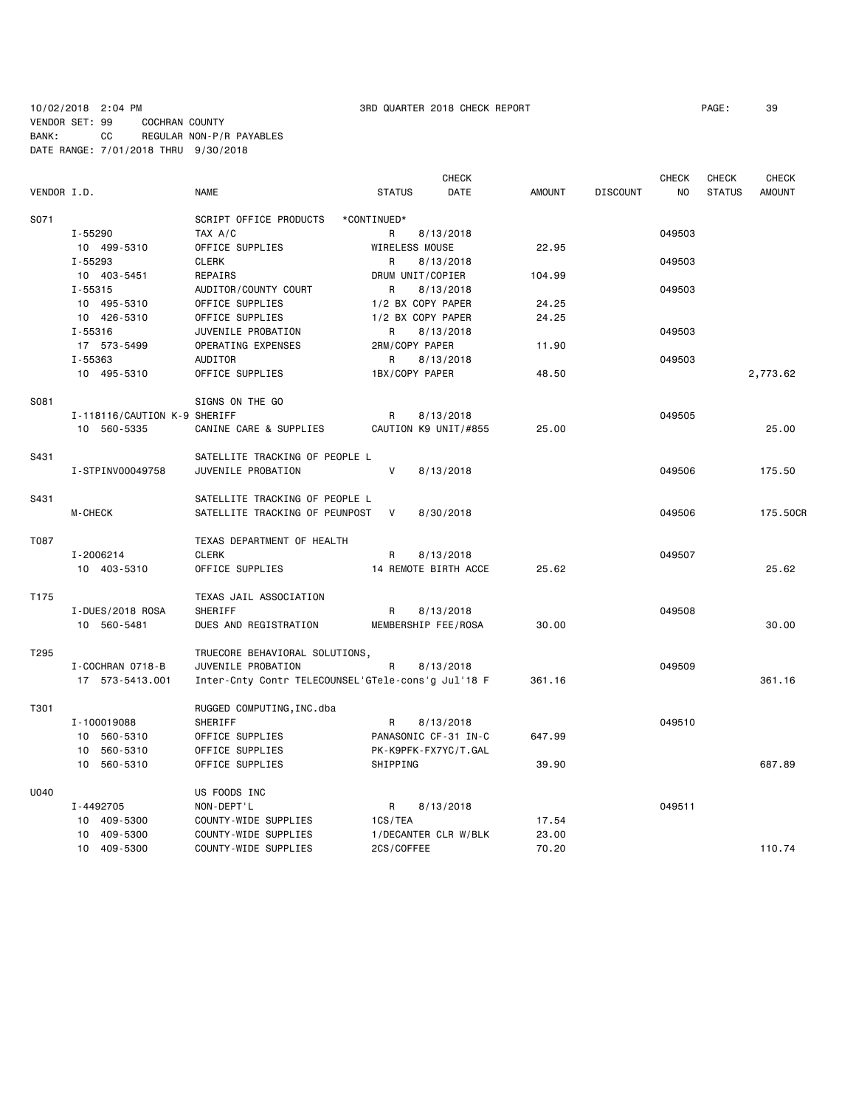### 10/02/2018 2:04 PM 3RD QUARTER 2018 CHECK REPORT PAGE: 39 VENDOR SET: 99 COCHRAN COUNTY BANK: CC REGULAR NON-P/R PAYABLES DATE RANGE: 7/01/2018 THRU 9/30/2018

|             |                              |                                                    |                      | <b>CHECK</b> |               |                 | <b>CHECK</b> | <b>CHECK</b>  | <b>CHECK</b>  |
|-------------|------------------------------|----------------------------------------------------|----------------------|--------------|---------------|-----------------|--------------|---------------|---------------|
| VENDOR I.D. |                              | <b>NAME</b>                                        | <b>STATUS</b>        | DATE         | <b>AMOUNT</b> | <b>DISCOUNT</b> | NO           | <b>STATUS</b> | <b>AMOUNT</b> |
| S071        |                              | SCRIPT OFFICE PRODUCTS                             | *CONTINUED*          |              |               |                 |              |               |               |
|             | I-55290                      | TAX A/C                                            | R                    | 8/13/2018    |               |                 | 049503       |               |               |
|             | 10 499-5310                  | OFFICE SUPPLIES                                    | WIRELESS MOUSE       |              | 22.95         |                 |              |               |               |
|             | $I - 55293$                  | <b>CLERK</b>                                       | R                    | 8/13/2018    |               |                 | 049503       |               |               |
|             | 10 403-5451                  | REPAIRS                                            | DRUM UNIT/COPIER     |              | 104.99        |                 |              |               |               |
|             | $I - 55315$                  | AUDITOR/COUNTY COURT                               | R                    | 8/13/2018    |               |                 | 049503       |               |               |
|             | 10 495-5310                  | OFFICE SUPPLIES                                    | 1/2 BX COPY PAPER    |              | 24.25         |                 |              |               |               |
|             | 10 426-5310                  | OFFICE SUPPLIES                                    | 1/2 BX COPY PAPER    |              | 24.25         |                 |              |               |               |
|             | I-55316                      | JUVENILE PROBATION                                 | R                    | 8/13/2018    |               |                 | 049503       |               |               |
|             | 17 573-5499                  | OPERATING EXPENSES                                 | 2RM/COPY PAPER       |              | 11.90         |                 |              |               |               |
|             | I-55363                      | AUDITOR                                            | R                    | 8/13/2018    |               |                 | 049503       |               |               |
|             | 10 495-5310                  | OFFICE SUPPLIES                                    | 1BX/COPY PAPER       |              | 48.50         |                 |              |               | 2,773.62      |
| S081        |                              | SIGNS ON THE GO                                    |                      |              |               |                 |              |               |               |
|             | I-118116/CAUTION K-9 SHERIFF |                                                    | R                    | 8/13/2018    |               |                 | 049505       |               |               |
|             | 10 560-5335                  | CANINE CARE & SUPPLIES                             | CAUTION K9 UNIT/#855 |              | 25.00         |                 |              |               | 25.00         |
| S431        |                              | SATELLITE TRACKING OF PEOPLE L                     |                      |              |               |                 |              |               |               |
|             | I-STPINV00049758             | JUVENILE PROBATION                                 | V                    | 8/13/2018    |               |                 | 049506       |               | 175.50        |
| S431        |                              | SATELLITE TRACKING OF PEOPLE L                     |                      |              |               |                 |              |               |               |
|             | M-CHECK                      | SATELLITE TRACKING OF PEUNPOST                     | V                    | 8/30/2018    |               |                 | 049506       |               | 175.50CR      |
| T087        |                              | TEXAS DEPARTMENT OF HEALTH                         |                      |              |               |                 |              |               |               |
|             | I-2006214                    | <b>CLERK</b>                                       | R                    | 8/13/2018    |               |                 | 049507       |               |               |
|             | 10 403-5310                  | OFFICE SUPPLIES                                    | 14 REMOTE BIRTH ACCE |              | 25.62         |                 |              |               | 25.62         |
| T175        |                              | TEXAS JAIL ASSOCIATION                             |                      |              |               |                 |              |               |               |
|             | I-DUES/2018 ROSA             | SHERIFF                                            | R                    | 8/13/2018    |               |                 | 049508       |               |               |
|             | 10 560-5481                  | DUES AND REGISTRATION                              | MEMBERSHIP FEE/ROSA  |              | 30.00         |                 |              |               | 30.00         |
| T295        |                              | TRUECORE BEHAVIORAL SOLUTIONS,                     |                      |              |               |                 |              |               |               |
|             | I-COCHRAN 0718-B             | JUVENILE PROBATION                                 | R                    | 8/13/2018    |               |                 | 049509       |               |               |
|             | 17 573-5413.001              | Inter-Cnty Contr TELECOUNSEL'GTele-cons'g Jul'18 F |                      |              | 361.16        |                 |              |               | 361.16        |
| T301        |                              | RUGGED COMPUTING, INC.dba                          |                      |              |               |                 |              |               |               |
|             | I-100019088                  | SHERIFF                                            | R                    | 8/13/2018    |               |                 | 049510       |               |               |
|             | 10 560-5310                  | OFFICE SUPPLIES                                    | PANASONIC CF-31 IN-C |              | 647.99        |                 |              |               |               |
|             | 560-5310<br>10               | OFFICE SUPPLIES                                    | PK-K9PFK-FX7YC/T.GAL |              |               |                 |              |               |               |
|             | 10 560-5310                  | OFFICE SUPPLIES                                    | SHIPPING             |              | 39.90         |                 |              |               | 687.89        |
| U040        |                              | US FOODS INC                                       |                      |              |               |                 |              |               |               |
|             | I-4492705                    | NON-DEPT'L                                         | R                    | 8/13/2018    |               |                 | 049511       |               |               |
|             | 10 409-5300                  | COUNTY-WIDE SUPPLIES                               | 1CS/TEA              |              | 17.54         |                 |              |               |               |
|             | 10 409-5300                  | COUNTY-WIDE SUPPLIES                               | 1/DECANTER CLR W/BLK |              | 23.00         |                 |              |               |               |
|             | 10 409-5300                  | COUNTY-WIDE SUPPLIES                               | 2CS/COFFEE           |              | 70.20         |                 |              |               | 110.74        |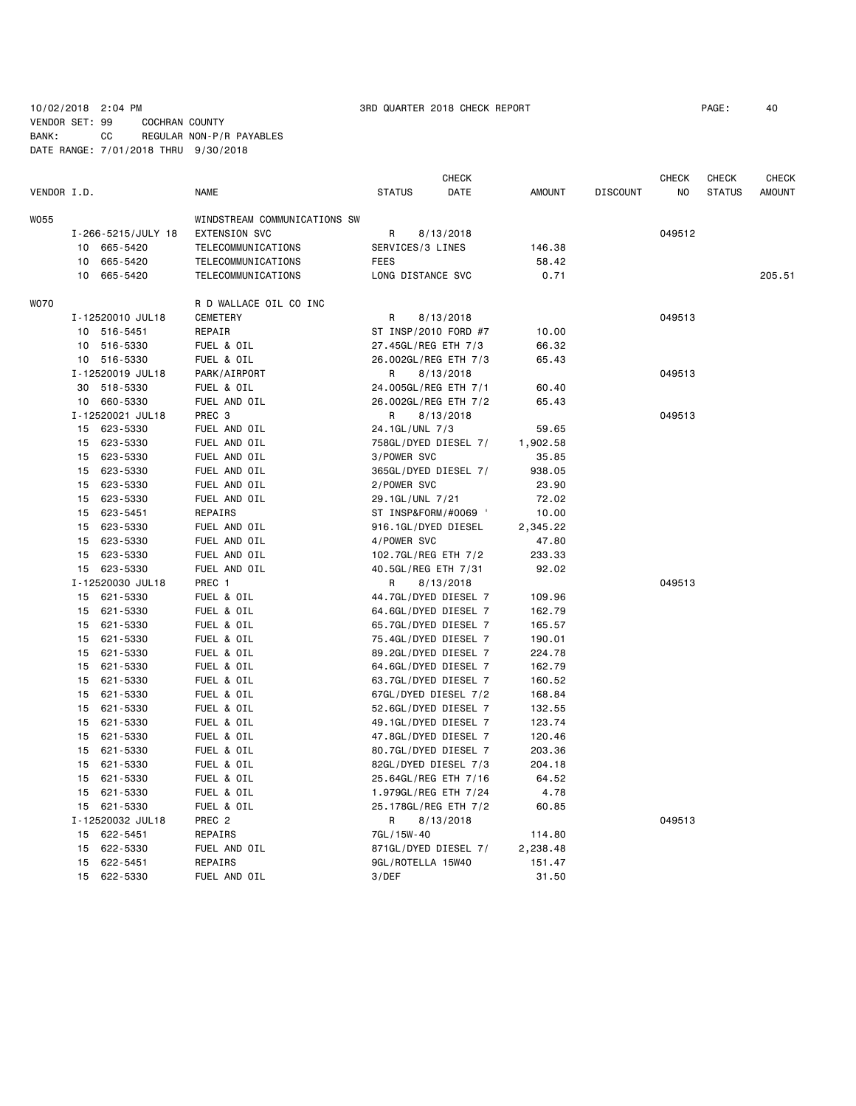10/02/2018 2:04 PM 3RD QUARTER 2018 CHECK REPORT PAGE: 40 VENDOR SET: 99 COCHRAN COUNTY BANK: CC REGULAR NON-P/R PAYABLES

DATE RANGE: 7/01/2018 THRU 9/30/2018

**CHECK CHECK CHECK CHECK CHECK CHECK CHECK** VENDOR I.D. NAME STATUS DATE AMOUNT DISCOUNT NO STATUS AMOUNT WO55 WINDSTREAM COMMUNICATIONS SW I-266-5215/JULY 18 EXTENSION SVC R 8/13/2018 049512 10 665-5420 TELECOMMUNICATIONS SERVICES/3 LINES 146.38 10 665-5420 TELECOMMUNICATIONS FEES 58.42 10 665-5420 TELECOMMUNICATIONS LONG DISTANCE SVC 0.71 205.51 WO70 R D WALLACE OIL CO INC I-12520010 JUL18 CEMETERY R 8/13/2018 049513 10 516-5451 REPAIR ST INSP/2010 FORD #7 10.00 10 516-5330 FUEL & OIL 27.45GL/REG ETH 7/3 66.32 10 516-5330 FUEL & OIL 26.002GL/REG ETH 7/3 65.43 I-12520019 JUL18 PARK/AIRPORT R 8/13/2018 049513 30 518-5330 FUEL & OIL 24.005GL/REG ETH 7/1 60.40 10 660-5330 FUEL AND OIL 26.002GL/REG ETH 7/2 65.43 I-12520021 JUL18 PREC 3 R 8/13/2018 049513 15 623-5330 FUEL AND OIL 24.1GL/UNL 7/3 59.65 15 623-5330 FUEL AND OIL 758GL/DYED DIESEL 7/ 1,902.58 15 623-5330 FUEL AND OIL 3/POWER SVC 35.85 15 623-5330 FUEL AND OIL 365GL/DYED DIESEL 7/ 938.05 15 623-5330 FUEL AND OIL 2/POWER SVC 23.90 15 623-5330 FUEL AND OIL 29.1GL/UNL 7/21 72.02 15 623-5451 REPAIRS ST INSP&FORM/#0069 ' 10.00 15 623-5330 FUEL AND OIL 916.1GL/DYED DIESEL 2,345.22 15 623-5330 FUEL AND OIL 4/POWER SVC 47.80 15 623-5330 FUEL AND OIL 102.7GL/REG ETH 7/2 233.33 15 623-5330 FUEL AND OIL 40.5GL/REG ETH 7/31 92.02 I-12520030 JUL18 PREC 1 R 8/13/2018 CASES 2049513 15 621-5330 FUEL & OIL 44.7GL/DYED DIESEL 7 109.96 15 621-5330 FUEL & OIL 64.6GL/DYED DIESEL 7 162.79 15 621-5330 FUEL & OIL 65.7GL/DYED DIESEL 7 165.57 15 621-5330 FUEL & OIL 75.4GL/DYED DIESEL 7 190.01 15 621-5330 FUEL & OIL 89.2GL/DYED DIESEL 7 224.78 15 621-5330 FUEL & OIL 64.6GL/DYED DIESEL 7 162.79 15 621-5330 FUEL & OIL 63.7GL/DYED DIESEL 7 160.52 15 621-5330 FUEL & OIL 67GL/DYED DIESEL 7/2 168.84 15 621-5330 FUEL & OIL 52.6GL/DYED DIESEL 7 132.55 15 621-5330 FUEL & OIL 49.1GL/DYED DIESEL 7 123.74 15 621-5330 FUEL & OIL 47.8GL/DYED DIESEL 7 120.46 15 621-5330 FUEL & OIL 80.7GL/DYED DIESEL 7 203.36 15 621-5330 FUEL & OIL 82GL/DYED DIESEL 7/3 204.18 15 621-5330 FUEL & OIL 25.64GL/REG ETH 7/16 64.52 15 621-5330 FUEL & OIL 1.979GL/REG ETH 7/24 4.78 15 621-5330 FUEL & OIL 25.178GL/REG ETH 7/2 60.85 I-12520032 JUL18 PREC 2 R 8/13/2018 049513 15 622-5451 REPAIRS 7GL/15W-40 114.80 15 622-5330 FUEL AND OIL 871GL/DYED DIESEL 7/ 2,238.48 15 622-5451 REPAIRS 9GL/ROTELLA 15W40 151.47 15 622-5330 FUEL AND OIL 3/DEF 31.50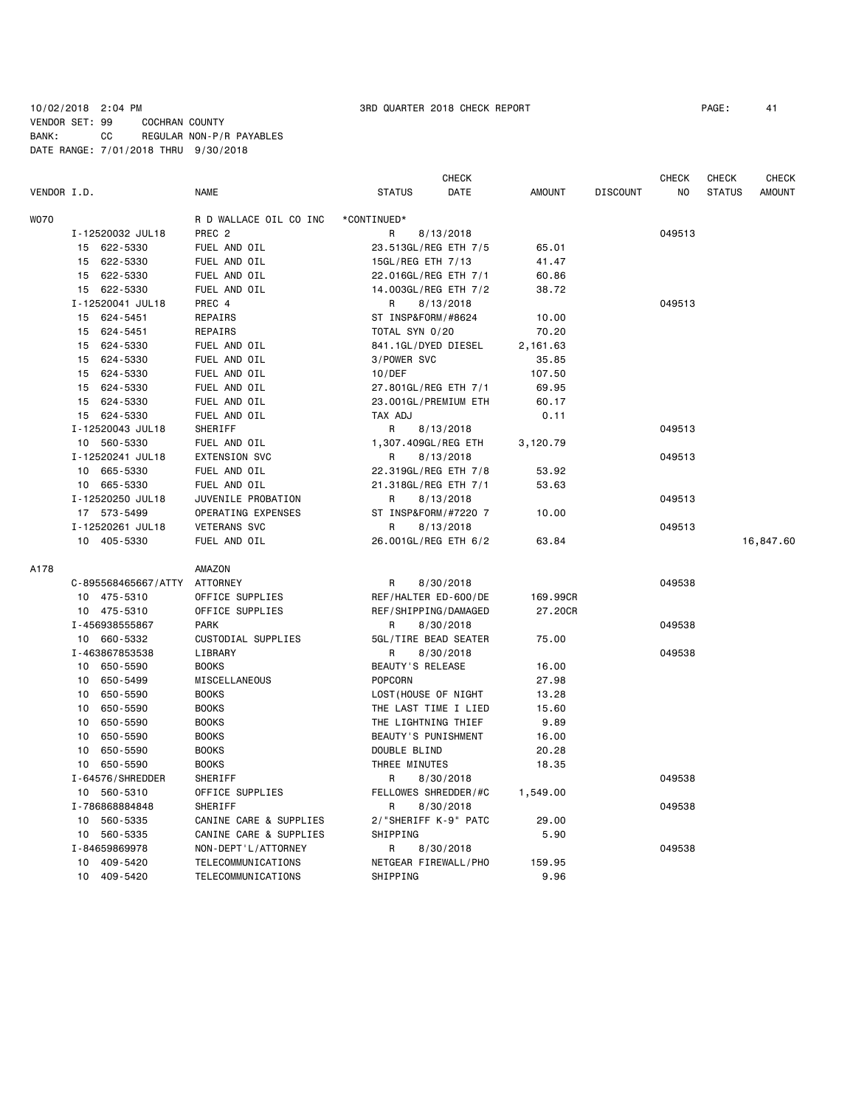### 10/02/2018 2:04 PM 3RD QUARTER 2018 CHECK REPORT PAGE: 41 VENDOR SET: 99 COCHRAN COUNTY BANK: CC REGULAR NON-P/R PAYABLES DATE RANGE: 7/01/2018 THRU 9/30/2018

|             |                     |                        | <b>CHECK</b>          |               |                 | <b>CHECK</b> | <b>CHECK</b>  | <b>CHECK</b>  |
|-------------|---------------------|------------------------|-----------------------|---------------|-----------------|--------------|---------------|---------------|
| VENDOR I.D. |                     | <b>NAME</b>            | <b>STATUS</b><br>DATE | <b>AMOUNT</b> | <b>DISCOUNT</b> | NO.          | <b>STATUS</b> | <b>AMOUNT</b> |
| <b>WO70</b> |                     | R D WALLACE OIL CO INC | *CONTINUED*           |               |                 |              |               |               |
|             | I-12520032 JUL18    | PREC <sub>2</sub>      | R<br>8/13/2018        |               |                 | 049513       |               |               |
|             | 15 622-5330         | FUEL AND OIL           | 23.513GL/REG ETH 7/5  | 65.01         |                 |              |               |               |
|             | 622-5330<br>15      | FUEL AND OIL           | 15GL/REG ETH 7/13     | 41.47         |                 |              |               |               |
|             | 15 622-5330         | FUEL AND OIL           | 22.016GL/REG ETH 7/1  | 60.86         |                 |              |               |               |
|             | 15 622-5330         | FUEL AND OIL           | 14.003GL/REG ETH 7/2  | 38.72         |                 |              |               |               |
|             | I-12520041 JUL18    | PREC 4                 | 8/13/2018<br>R        |               |                 | 049513       |               |               |
|             | 15 624-5451         | REPAIRS                | ST INSP&FORM/#8624    | 10.00         |                 |              |               |               |
|             | 15 624-5451         | <b>REPAIRS</b>         | TOTAL SYN 0/20        | 70.20         |                 |              |               |               |
|             | 624-5330<br>15      | FUEL AND OIL           | 841.1GL/DYED DIESEL   | 2,161.63      |                 |              |               |               |
|             | 624-5330<br>15      | FUEL AND OIL           | 3/POWER SVC           | 35.85         |                 |              |               |               |
|             | 624-5330<br>15      | FUEL AND OIL           | 10/DEF                | 107.50        |                 |              |               |               |
|             | 624-5330<br>15      | FUEL AND OIL           | 27.801GL/REG ETH 7/1  | 69.95         |                 |              |               |               |
|             | 15 624-5330         | FUEL AND OIL           | 23.001GL/PREMIUM ETH  | 60.17         |                 |              |               |               |
|             | 15 624-5330         | FUEL AND OIL           | TAX ADJ               | 0.11          |                 |              |               |               |
|             | I-12520043 JUL18    | SHERIFF                | R<br>8/13/2018        |               |                 | 049513       |               |               |
|             | 10 560-5330         | FUEL AND OIL           | 1,307.409GL/REG ETH   | 3,120.79      |                 |              |               |               |
|             | I-12520241 JUL18    | <b>EXTENSION SVC</b>   | 8/13/2018<br>R        |               |                 | 049513       |               |               |
|             | 10 665-5330         | FUEL AND OIL           | 22.319GL/REG ETH 7/8  | 53.92         |                 |              |               |               |
|             | 10 665-5330         | FUEL AND OIL           | 21.318GL/REG ETH 7/1  | 53.63         |                 |              |               |               |
|             | I-12520250 JUL18    | JUVENILE PROBATION     | 8/13/2018<br>R        |               |                 | 049513       |               |               |
|             | 17 573-5499         | OPERATING EXPENSES     | ST INSP&FORM/#7220 7  | 10.00         |                 |              |               |               |
|             | I-12520261 JUL18    | <b>VETERANS SVC</b>    | R<br>8/13/2018        |               |                 | 049513       |               |               |
|             | 10 405-5330         | FUEL AND OIL           | 26.001GL/REG ETH 6/2  | 63.84         |                 |              |               | 16,847.60     |
| A178        |                     | AMAZON                 |                       |               |                 |              |               |               |
|             | C-895568465667/ATTY | <b>ATTORNEY</b>        | R<br>8/30/2018        |               |                 | 049538       |               |               |
|             | 10 475-5310         | OFFICE SUPPLIES        | REF/HALTER ED-600/DE  | 169,99CR      |                 |              |               |               |
|             | 10 475-5310         | OFFICE SUPPLIES        | REF/SHIPPING/DAMAGED  | 27.20CR       |                 |              |               |               |
|             | I-456938555867      | <b>PARK</b>            | 8/30/2018<br>R        |               |                 | 049538       |               |               |
|             | 10 660-5332         | CUSTODIAL SUPPLIES     | 5GL/TIRE BEAD SEATER  | 75.00         |                 |              |               |               |
|             | I-463867853538      | LIBRARY                | R<br>8/30/2018        |               |                 | 049538       |               |               |
|             | 10 650-5590         | <b>BOOKS</b>           | BEAUTY'S RELEASE      | 16.00         |                 |              |               |               |
|             | 650-5499<br>10      | MISCELLANEOUS          | <b>POPCORN</b>        | 27.98         |                 |              |               |               |
|             | 650-5590<br>10      | <b>BOOKS</b>           | LOST (HOUSE OF NIGHT  | 13.28         |                 |              |               |               |
|             | 650-5590<br>10      | <b>BOOKS</b>           | THE LAST TIME I LIED  | 15.60         |                 |              |               |               |
|             | 10<br>650-5590      | <b>BOOKS</b>           | THE LIGHTNING THIEF   | 9.89          |                 |              |               |               |
|             | 650-5590<br>10      | <b>BOOKS</b>           | BEAUTY'S PUNISHMENT   | 16.00         |                 |              |               |               |
|             | 650-5590<br>10      | <b>BOOKS</b>           | DOUBLE BLIND          | 20.28         |                 |              |               |               |
|             | 10 650-5590         | <b>BOOKS</b>           | THREE MINUTES         | 18.35         |                 |              |               |               |
|             | I-64576/SHREDDER    | SHERIFF                | 8/30/2018<br>R        |               |                 | 049538       |               |               |
|             | 10 560-5310         | OFFICE SUPPLIES        | FELLOWES SHREDDER/#C  | 1,549.00      |                 |              |               |               |
|             | I-786868884848      | SHERIFF                | R<br>8/30/2018        |               |                 | 049538       |               |               |
|             | 10 560-5335         | CANINE CARE & SUPPLIES | 2/"SHERIFF K-9" PATC  | 29.00         |                 |              |               |               |
|             | 560-5335<br>10      | CANINE CARE & SUPPLIES | SHIPPING              | 5.90          |                 |              |               |               |
|             | I-84659869978       | NON-DEPT'L/ATTORNEY    | 8/30/2018<br>R        |               |                 | 049538       |               |               |
|             | 409-5420<br>10      | TELECOMMUNICATIONS     | NETGEAR FIREWALL/PHO  | 159.95        |                 |              |               |               |
|             | 10 409-5420         | TELECOMMUNICATIONS     | SHIPPING              | 9.96          |                 |              |               |               |
|             |                     |                        |                       |               |                 |              |               |               |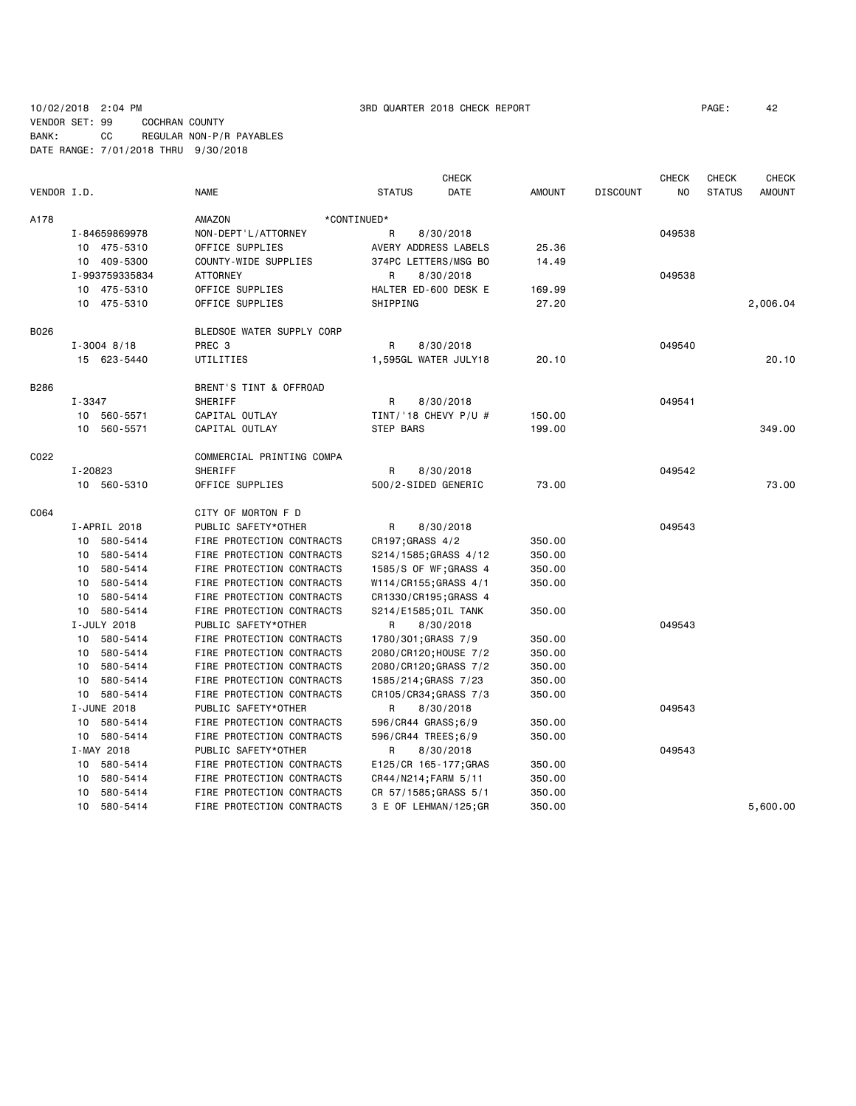10/02/2018 2:04 PM 3RD QUARTER 2018 CHECK REPORT PAGE: 42 VENDOR SET: 99 COCHRAN COUNTY BANK: CC REGULAR NON-P/R PAYABLES DATE RANGE: 7/01/2018 THRU 9/30/2018

|             |                 |                           |                        | <b>CHECK</b> |               |                 | <b>CHECK</b> | <b>CHECK</b>  | <b>CHECK</b>  |
|-------------|-----------------|---------------------------|------------------------|--------------|---------------|-----------------|--------------|---------------|---------------|
| VENDOR I.D. |                 | <b>NAME</b>               | <b>STATUS</b>          | DATE         | <b>AMOUNT</b> | <b>DISCOUNT</b> | NO           | <b>STATUS</b> | <b>AMOUNT</b> |
| A178        |                 | AMAZON                    | *CONTINUED*            |              |               |                 |              |               |               |
|             | I-84659869978   | NON-DEPT'L/ATTORNEY       | R                      | 8/30/2018    |               |                 | 049538       |               |               |
|             | 10 475-5310     | OFFICE SUPPLIES           | AVERY ADDRESS LABELS   |              | 25.36         |                 |              |               |               |
|             | 10 409-5300     | COUNTY-WIDE SUPPLIES      | 374PC LETTERS/MSG BO   |              | 14.49         |                 |              |               |               |
|             | I-993759335834  | ATTORNEY                  | R                      | 8/30/2018    |               |                 | 049538       |               |               |
|             | 10 475-5310     | OFFICE SUPPLIES           | HALTER ED-600 DESK E   |              | 169.99        |                 |              |               |               |
|             | 10 475-5310     | OFFICE SUPPLIES           | SHIPPING               |              | 27.20         |                 |              |               | 2,006.04      |
| B026        |                 | BLEDSOE WATER SUPPLY CORP |                        |              |               |                 |              |               |               |
|             | $I - 3004$ 8/18 | PREC <sub>3</sub>         | R                      | 8/30/2018    |               |                 | 049540       |               |               |
|             | 15 623-5440     | UTILITIES                 | 1,595GL WATER JULY18   |              | 20.10         |                 |              |               | 20.10         |
| B286        |                 | BRENT'S TINT & OFFROAD    |                        |              |               |                 |              |               |               |
|             | I-3347          | SHERIFF                   | R                      | 8/30/2018    |               |                 | 049541       |               |               |
|             | 10 560-5571     | CAPITAL OUTLAY            | TINT/'18 CHEVY $P/U$ # |              | 150.00        |                 |              |               |               |
|             | 10 560-5571     | CAPITAL OUTLAY            | STEP BARS              |              | 199.00        |                 |              |               | 349.00        |
| C022        |                 | COMMERCIAL PRINTING COMPA |                        |              |               |                 |              |               |               |
|             | I-20823         | SHERIFF                   | R                      | 8/30/2018    |               |                 | 049542       |               |               |
|             | 10 560-5310     | OFFICE SUPPLIES           | 500/2-SIDED GENERIC    |              | 73.00         |                 |              |               | 73.00         |
| C064        |                 | CITY OF MORTON F D        |                        |              |               |                 |              |               |               |
|             | I-APRIL 2018    | PUBLIC SAFETY*OTHER       | R                      | 8/30/2018    |               |                 | 049543       |               |               |
|             | 10 580-5414     | FIRE PROTECTION CONTRACTS | CR197; GRASS 4/2       |              | 350.00        |                 |              |               |               |
|             | 10 580-5414     | FIRE PROTECTION CONTRACTS | S214/1585; GRASS 4/12  |              | 350.00        |                 |              |               |               |
|             | 580-5414<br>10  | FIRE PROTECTION CONTRACTS | 1585/S OF WF; GRASS 4  |              | 350.00        |                 |              |               |               |
|             | 580-5414<br>10  | FIRE PROTECTION CONTRACTS | W114/CR155;GRASS 4/1   |              | 350.00        |                 |              |               |               |
|             | 10<br>580-5414  | FIRE PROTECTION CONTRACTS | CR1330/CR195; GRASS 4  |              |               |                 |              |               |               |
|             | 10 580-5414     | FIRE PROTECTION CONTRACTS | S214/E1585; OIL TANK   |              | 350.00        |                 |              |               |               |
|             | I-JULY 2018     | PUBLIC SAFETY*OTHER       | R                      | 8/30/2018    |               |                 | 049543       |               |               |
|             | 10 580-5414     | FIRE PROTECTION CONTRACTS | 1780/301; GRASS 7/9    |              | 350.00        |                 |              |               |               |
|             | 10 580-5414     | FIRE PROTECTION CONTRACTS | 2080/CR120; HOUSE 7/2  |              | 350.00        |                 |              |               |               |
|             | 580-5414<br>10  | FIRE PROTECTION CONTRACTS | 2080/CR120;GRASS 7/2   |              | 350.00        |                 |              |               |               |
|             | 580-5414<br>10  | FIRE PROTECTION CONTRACTS | 1585/214;GRASS 7/23    |              | 350.00        |                 |              |               |               |
|             | 10 580-5414     | FIRE PROTECTION CONTRACTS | CR105/CR34; GRASS 7/3  |              | 350.00        |                 |              |               |               |
|             | I-JUNE 2018     | PUBLIC SAFETY*OTHER       | R                      | 8/30/2018    |               |                 | 049543       |               |               |
|             | 10 580-5414     | FIRE PROTECTION CONTRACTS | 596/CR44 GRASS; 6/9    |              | 350.00        |                 |              |               |               |
|             | 10 580-5414     | FIRE PROTECTION CONTRACTS | 596/CR44 TREES;6/9     |              | 350.00        |                 |              |               |               |
|             | I-MAY 2018      | PUBLIC SAFETY*OTHER       | R                      | 8/30/2018    |               |                 | 049543       |               |               |
|             | 10 580-5414     | FIRE PROTECTION CONTRACTS | E125/CR 165-177; GRAS  |              | 350.00        |                 |              |               |               |
|             | 580-5414<br>10  | FIRE PROTECTION CONTRACTS | CR44/N214; FARM 5/11   |              | 350.00        |                 |              |               |               |
|             | 10<br>580-5414  | FIRE PROTECTION CONTRACTS | CR 57/1585; GRASS 5/1  |              | 350.00        |                 |              |               |               |
|             | 10 580-5414     | FIRE PROTECTION CONTRACTS | 3 E OF LEHMAN/125;GR   |              | 350.00        |                 |              |               | 5,600.00      |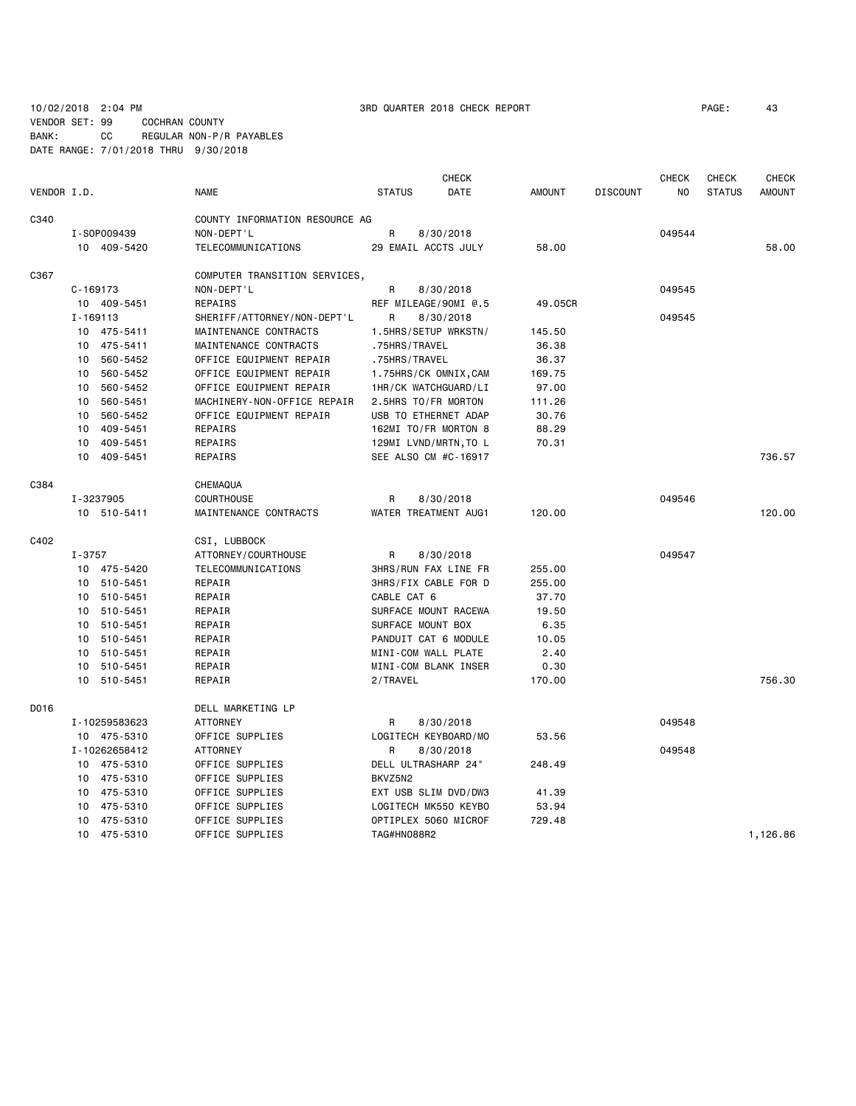### VENDOR SET: 99 COCHRAN COUNTY BANK: CC REGULAR NON-P/R PAYABLES

DATE RANGE: 7/01/2018 THRU 9/30/2018

|             |              |               |                                |                     | <b>CHECK</b>          |               |                 | <b>CHECK</b> | <b>CHECK</b>  | <b>CHECK</b>  |
|-------------|--------------|---------------|--------------------------------|---------------------|-----------------------|---------------|-----------------|--------------|---------------|---------------|
| VENDOR I.D. |              |               | <b>NAME</b>                    | <b>STATUS</b>       | DATE                  | <b>AMOUNT</b> | <b>DISCOUNT</b> | NO.          | <b>STATUS</b> | <b>AMOUNT</b> |
| C340        |              |               | COUNTY INFORMATION RESOURCE AG |                     |                       |               |                 |              |               |               |
|             |              | I-S0P009439   | NON-DEPT'L                     | R                   | 8/30/2018             |               |                 | 049544       |               |               |
|             |              | 10 409-5420   | <b>TELECOMMUNICATIONS</b>      | 29 EMAIL ACCTS JULY |                       | 58.00         |                 |              |               | 58.00         |
| C367        |              |               | COMPUTER TRANSITION SERVICES,  |                     |                       |               |                 |              |               |               |
|             | $C - 169173$ |               | NON-DEPT'L                     | R                   | 8/30/2018             |               |                 | 049545       |               |               |
|             |              | 10 409-5451   | REPAIRS                        |                     | REF MILEAGE/90MI @.5  | 49.05CR       |                 |              |               |               |
|             | $I - 169113$ |               | SHERIFF/ATTORNEY/NON-DEPT'L    | R                   | 8/30/2018             |               |                 | 049545       |               |               |
|             |              | 10 475-5411   | MAINTENANCE CONTRACTS          |                     | 1.5HRS/SETUP WRKSTN/  | 145.50        |                 |              |               |               |
|             | 10           | 475-5411      | MAINTENANCE CONTRACTS          | .75HRS/TRAVEL       |                       | 36.38         |                 |              |               |               |
|             | 10           | 560-5452      | OFFICE EQUIPMENT REPAIR        | .75HRS/TRAVEL       |                       | 36.37         |                 |              |               |               |
|             |              | 10 560-5452   | OFFICE EQUIPMENT REPAIR        |                     | 1.75HRS/CK OMNIX,CAM  | 169.75        |                 |              |               |               |
|             | 10           | 560-5452      | OFFICE EQUIPMENT REPAIR        |                     | 1HR/CK WATCHGUARD/LI  | 97.00         |                 |              |               |               |
|             | 10           | 560-5451      | MACHINERY-NON-OFFICE REPAIR    | 2.5HRS TO/FR MORTON |                       | 111.26        |                 |              |               |               |
|             | 10           | 560-5452      | OFFICE EQUIPMENT REPAIR        |                     | USB TO ETHERNET ADAP  | 30.76         |                 |              |               |               |
|             | 10           | 409-5451      | REPAIRS                        |                     | 162MI TO/FR MORTON 8  | 88.29         |                 |              |               |               |
|             | 10           | 409-5451      | REPAIRS                        |                     | 129MI LVND/MRTN, TO L | 70.31         |                 |              |               |               |
|             | 10           | 409-5451      | REPAIRS                        |                     | SEE ALSO CM #C-16917  |               |                 |              |               | 736.57        |
| C384        |              |               | CHEMAQUA                       |                     |                       |               |                 |              |               |               |
|             |              | I-3237905     | <b>COURTHOUSE</b>              | R                   | 8/30/2018             |               |                 | 049546       |               |               |
|             |              | 10 510-5411   | MAINTENANCE CONTRACTS          |                     | WATER TREATMENT AUG1  | 120.00        |                 |              |               | 120,00        |
| C402        |              |               | CSI, LUBBOCK                   |                     |                       |               |                 |              |               |               |
|             | I-3757       |               | ATTORNEY/COURTHOUSE            | R                   | 8/30/2018             |               |                 | 049547       |               |               |
|             |              | 10 475-5420   | TELECOMMUNICATIONS             |                     | 3HRS/RUN FAX LINE FR  | 255.00        |                 |              |               |               |
|             |              | 10 510-5451   | REPAIR                         |                     | 3HRS/FIX CABLE FOR D  | 255.00        |                 |              |               |               |
|             |              | 10 510-5451   | REPAIR                         | CABLE CAT 6         |                       | 37.70         |                 |              |               |               |
|             |              | 10 510-5451   | REPAIR                         |                     | SURFACE MOUNT RACEWA  | 19.50         |                 |              |               |               |
|             | 10           | 510-5451      | REPAIR                         | SURFACE MOUNT BOX   |                       | 6.35          |                 |              |               |               |
|             |              | 10 510-5451   | REPAIR                         |                     | PANDUIT CAT 6 MODULE  | 10.05         |                 |              |               |               |
|             |              | 10 510-5451   | REPAIR                         | MINI-COM WALL PLATE |                       | 2.40          |                 |              |               |               |
|             | 10           | 510-5451      | REPAIR                         |                     | MINI-COM BLANK INSER  | 0.30          |                 |              |               |               |
|             | 10           | 510-5451      | REPAIR                         | 2/TRAVEL            |                       | 170.00        |                 |              |               | 756.30        |
| D016        |              |               | DELL MARKETING LP              |                     |                       |               |                 |              |               |               |
|             |              | I-10259583623 | <b>ATTORNEY</b>                | R                   | 8/30/2018             |               |                 | 049548       |               |               |
|             |              | 10 475-5310   | OFFICE SUPPLIES                |                     | LOGITECH KEYBOARD/MO  | 53.56         |                 |              |               |               |
|             |              | I-10262658412 | <b>ATTORNEY</b>                | R                   | 8/30/2018             |               |                 | 049548       |               |               |
|             |              | 10 475-5310   | OFFICE SUPPLIES                | DELL ULTRASHARP 24" |                       | 248.49        |                 |              |               |               |
|             |              | 10 475-5310   | OFFICE SUPPLIES                | BKVZ5N2             |                       |               |                 |              |               |               |
|             | 10           | 475-5310      | OFFICE SUPPLIES                |                     | EXT USB SLIM DVD/DW3  | 41.39         |                 |              |               |               |
|             | 10           | 475-5310      | OFFICE SUPPLIES                |                     | LOGITECH MK550 KEYBO  | 53.94         |                 |              |               |               |
|             | 10           | 475-5310      | OFFICE SUPPLIES                |                     | OPTIPLEX 5060 MICROF  | 729.48        |                 |              |               |               |
|             |              | 10 475-5310   | OFFICE SUPPLIES                | TAG#HN088R2         |                       |               |                 |              |               | 1,126.86      |

### 10/02/2018 2:04 PM 3RD QUARTER 2018 CHECK REPORT PAGE: 43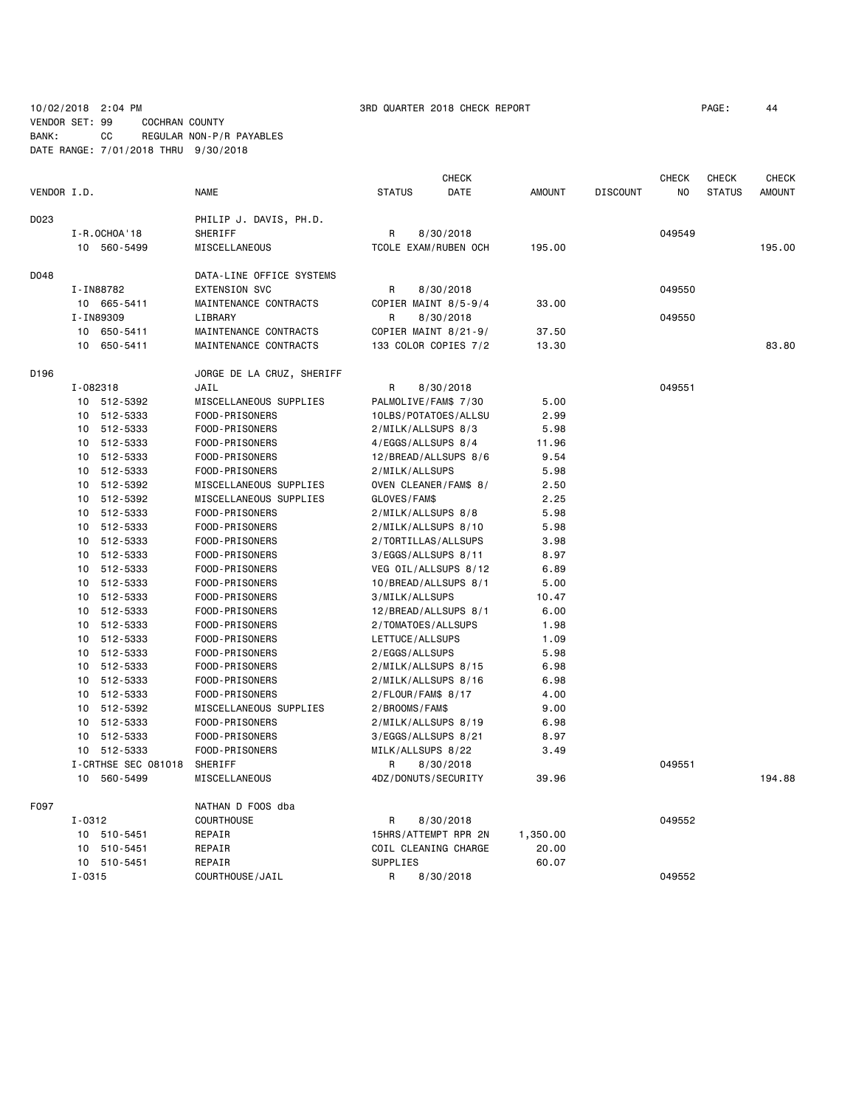### 10/02/2018 2:04 PM 3RD QUARTER 2018 CHECK REPORT PAGE: 44 VENDOR SET: 99 COCHRAN COUNTY

BANK: CC REGULAR NON-P/R PAYABLES DATE RANGE: 7/01/2018 THRU 9/30/2018

|             |                     |                           |                       | <b>CHECK</b> |               |                 | <b>CHECK</b> | <b>CHECK</b>  | <b>CHECK</b>  |
|-------------|---------------------|---------------------------|-----------------------|--------------|---------------|-----------------|--------------|---------------|---------------|
| VENDOR I.D. |                     | <b>NAME</b>               | <b>STATUS</b>         | DATE         | <b>AMOUNT</b> | <b>DISCOUNT</b> | NO           | <b>STATUS</b> | <b>AMOUNT</b> |
| D023        |                     | PHILIP J. DAVIS, PH.D.    |                       |              |               |                 |              |               |               |
|             | I-R.OCHOA'18        | SHERIFF                   | R                     | 8/30/2018    |               |                 | 049549       |               |               |
|             | 10 560-5499         | MISCELLANEOUS             | TCOLE EXAM/RUBEN OCH  |              | 195.00        |                 |              |               | 195.00        |
| D048        |                     | DATA-LINE OFFICE SYSTEMS  |                       |              |               |                 |              |               |               |
|             | I-IN88782           | <b>EXTENSION SVC</b>      | R                     | 8/30/2018    |               |                 | 049550       |               |               |
|             | 10 665-5411         | MAINTENANCE CONTRACTS     | COPIER MAINT 8/5-9/4  |              | 33.00         |                 |              |               |               |
|             | I-IN89309           | LIBRARY                   | R                     | 8/30/2018    |               |                 | 049550       |               |               |
|             | 10 650-5411         | MAINTENANCE CONTRACTS     | COPIER MAINT 8/21-9/  |              | 37.50         |                 |              |               |               |
|             | 650-5411<br>10      | MAINTENANCE CONTRACTS     | 133 COLOR COPIES 7/2  |              | 13.30         |                 |              |               | 83.80         |
| D196        |                     | JORGE DE LA CRUZ, SHERIFF |                       |              |               |                 |              |               |               |
|             | I-082318            | JAIL                      | R                     | 8/30/2018    |               |                 | 049551       |               |               |
|             | 10 512-5392         | MISCELLANEOUS SUPPLIES    | PALMOLIVE/FAM\$ 7/30  |              | 5.00          |                 |              |               |               |
|             | 512-5333<br>10      | FOOD-PRISONERS            | 10LBS/POTATOES/ALLSU  |              | 2.99          |                 |              |               |               |
|             | 10 512-5333         | FOOD-PRISONERS            | 2/MILK/ALLSUPS 8/3    |              | 5.98          |                 |              |               |               |
|             | 10 512-5333         | FOOD-PRISONERS            | 4/EGGS/ALLSUPS 8/4    |              | 11.96         |                 |              |               |               |
|             | 512-5333<br>10      | FOOD-PRISONERS            | 12/BREAD/ALLSUPS 8/6  |              | 9.54          |                 |              |               |               |
|             | 512-5333<br>10      | FOOD-PRISONERS            | 2/MILK/ALLSUPS        |              | 5.98          |                 |              |               |               |
|             | 512-5392<br>10      | MISCELLANEOUS SUPPLIES    | OVEN CLEANER/FAM\$ 8/ |              | 2.50          |                 |              |               |               |
|             | 512-5392<br>10      | MISCELLANEOUS SUPPLIES    | GLOVES/FAM\$          |              | 2.25          |                 |              |               |               |
|             | 512-5333<br>10      | FOOD-PRISONERS            | 2/MILK/ALLSUPS 8/8    |              | 5.98          |                 |              |               |               |
|             | 512-5333<br>10      | FOOD-PRISONERS            | 2/MILK/ALLSUPS 8/10   |              | 5.98          |                 |              |               |               |
|             | 512-5333<br>10      | FOOD-PRISONERS            | 2/TORTILLAS/ALLSUPS   |              | 3.98          |                 |              |               |               |
|             | 512-5333<br>10      | FOOD-PRISONERS            | 3/EGGS/ALLSUPS 8/11   |              | 8.97          |                 |              |               |               |
|             | 512-5333<br>10      | FOOD-PRISONERS            | VEG OIL/ALLSUPS 8/12  |              | 6.89          |                 |              |               |               |
|             | 512-5333<br>10      | FOOD-PRISONERS            | 10/BREAD/ALLSUPS 8/1  |              | 5.00          |                 |              |               |               |
|             | 10<br>512-5333      | FOOD-PRISONERS            | 3/MILK/ALLSUPS        |              | 10.47         |                 |              |               |               |
|             | 512-5333<br>10      | FOOD-PRISONERS            | 12/BREAD/ALLSUPS 8/1  |              | 6.00          |                 |              |               |               |
|             | 512-5333<br>10      | FOOD-PRISONERS            | 2/TOMATOES/ALLSUPS    |              | 1.98          |                 |              |               |               |
|             | 10 512-5333         | FOOD-PRISONERS            | LETTUCE/ALLSUPS       |              | 1.09          |                 |              |               |               |
|             | 512-5333<br>10      | FOOD-PRISONERS            | 2/EGGS/ALLSUPS        |              | 5.98          |                 |              |               |               |
|             | 512-5333<br>10      | FOOD-PRISONERS            | 2/MILK/ALLSUPS 8/15   |              | 6.98          |                 |              |               |               |
|             | 512-5333<br>10      | FOOD-PRISONERS            | 2/MILK/ALLSUPS 8/16   |              | 6.98          |                 |              |               |               |
|             | 512-5333<br>10      | FOOD-PRISONERS            | 2/FLOUR/FAM\$ 8/17    |              | 4.00          |                 |              |               |               |
|             | 512-5392<br>10      | MISCELLANEOUS SUPPLIES    | 2/BROOMS/FAM\$        |              | 9.00          |                 |              |               |               |
|             | 512-5333<br>10      | FOOD-PRISONERS            | 2/MILK/ALLSUPS 8/19   |              | 6.98          |                 |              |               |               |
|             | 10 512-5333         | FOOD-PRISONERS            | 3/EGGS/ALLSUPS 8/21   |              | 8.97          |                 |              |               |               |
|             | 10 512-5333         | FOOD-PRISONERS            | MILK/ALLSUPS 8/22     |              | 3.49          |                 |              |               |               |
|             | I-CRTHSE SEC 081018 | SHERIFF                   | R                     | 8/30/2018    |               |                 | 049551       |               |               |
|             | 560-5499<br>10      | MISCELLANEOUS             | 4DZ/DONUTS/SECURITY   |              | 39.96         |                 |              |               | 194.88        |
| F097        |                     | NATHAN D FOOS dba         |                       |              |               |                 |              |               |               |
|             | I-0312              | <b>COURTHOUSE</b>         | R                     | 8/30/2018    |               |                 | 049552       |               |               |
|             | 510-5451<br>10      | REPAIR                    | 15HRS/ATTEMPT RPR 2N  |              | 1,350.00      |                 |              |               |               |
|             | 10<br>510-5451      | REPAIR                    | COIL CLEANING CHARGE  |              | 20.00         |                 |              |               |               |
|             | 510-5451<br>10      | REPAIR                    | SUPPLIES              |              | 60.07         |                 |              |               |               |
|             | $I - 0315$          | COURTHOUSE/JAIL           | R                     | 8/30/2018    |               |                 | 049552       |               |               |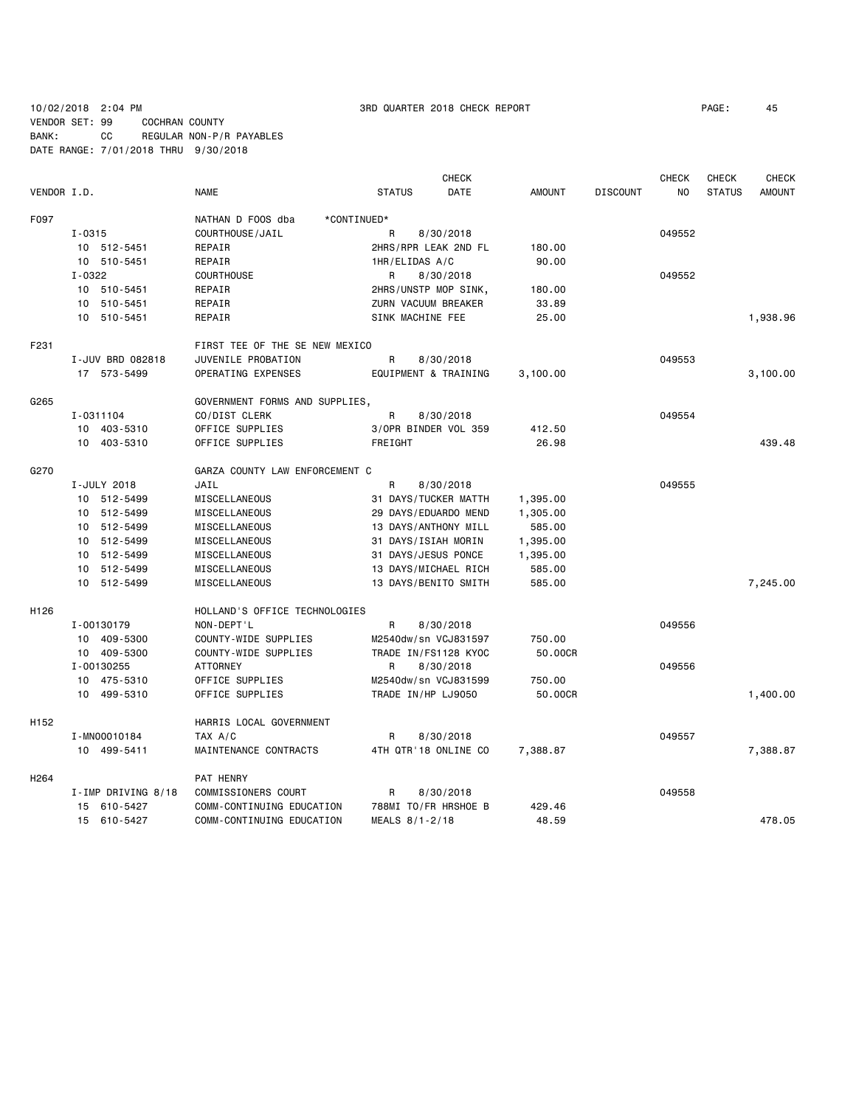10/02/2018 2:04 PM 3RD QUARTER 2018 CHECK REPORT PAGE: 45 VENDOR SET: 99 COCHRAN COUNTY BANK: CC REGULAR NON-P/R PAYABLES

DATE RANGE: 7/01/2018 THRU 9/30/2018

**CHECK CHECK CHECK CHECK CHECK CHECK CHECK** VENDOR I.D. NAME STATUS DATE AMOUNT DISCOUNT NO STATUS AMOUNT F097 NATHAN D FOOS dba \*CONTINUED\* I-0315 COURTHOUSE/JAIL R 8/30/2018 049552 10 512-5451 REPAIR 2HRS/RPR LEAK 2ND FL 180.00 10 510-5451 REPAIR 1HR/ELIDAS A/C 90.00 I-0322 COURTHOUSE R 8/30/2018 049552 10 510-5451 REPAIR 2HRS/UNSTP MOP SINK, 180.00 10 510-5451 REPAIR ZURN VACUUM BREAKER 33.89 10 510-5451 REPAIR SINK MACHINE FEE 25.00 1,938.96 F231 **FIRST TEE OF THE SE NEW MEXICO**  I-JUV BRD 082818 JUVENILE PROBATION R 8/30/2018 049553 17 573-5499 OPERATING EXPENSES EQUIPMENT & TRAINING 3,100.00 3,100.00 G265 GOVERNMENT FORMS AND SUPPLIES, I-0311104 CO/DIST CLERK R 8/30/2018 COMPUSED A R 8/30/2018 10 403-5310 OFFICE SUPPLIES 3/OPR BINDER VOL 359 412.50 10 403-5310 OFFICE SUPPLIES FREIGHT 26.98 439.48 G270 GARZA COUNTY LAW ENFORCEMENT C I-JULY 2018 JAIL R 8/30/2018 049555 10 512-5499 MISCELLANEOUS 31 DAYS/TUCKER MATTH 1,395.00 10 512-5499 MISCELLANEOUS 29 DAYS/EDUARDO MEND 1,305.00 10 512-5499 MISCELLANEOUS 13 DAYS/ANTHONY MILL 585.00 10 512-5499 MISCELLANEOUS 31 DAYS/ISIAH MORIN 1,395.00 10 512-5499 MISCELLANEOUS 31 DAYS/JESUS PONCE 1,395.00 10 512-5499 MISCELLANEOUS 13 DAYS/MICHAEL RICH 585.00 10 512-5499 MISCELLANEOUS 13 DAYS/BENITO SMITH 585.00 7,245.00 H126 HOLLAND'S OFFICE TECHNOLOGIES I-00130179 NON-DEPT'L R 8/30/2018 049556 10 409-5300 COUNTY-WIDE SUPPLIES M2540dw/sn VCJ831597 750.00 10 409-5300 COUNTY-WIDE SUPPLIES TRADE IN/FS1128 KYOC 50.00CR I-00130255 ATTORNEY R 8/30/2018 049556 10 475-5310 OFFICE SUPPLIES M2540dw/sn VCJ831599 750.00 10 499-5310 OFFICE SUPPLIES TRADE IN/HP LJ9050 50.00CR 1,400.00 H152 HARRIS LOCAL GOVERNMENT I-MN00010184 TAX A/C R 8/30/2018 049557 10 499-5411 MAINTENANCE CONTRACTS 4TH QTR'18 ONLINE CO 7,388.87 7,388.87 H264 PAT HENRY I-IMP DRIVING 8/18 COMMISSIONERS COURT R 8/30/2018 COURT RESEARCHERS COURT 15 610-5427 COMM-CONTINUING EDUCATION 788MI TO/FR HRSHOE B 429.46 15 610-5427 COMM-CONTINUING EDUCATION MEALS 8/1-2/18 48.59 478.05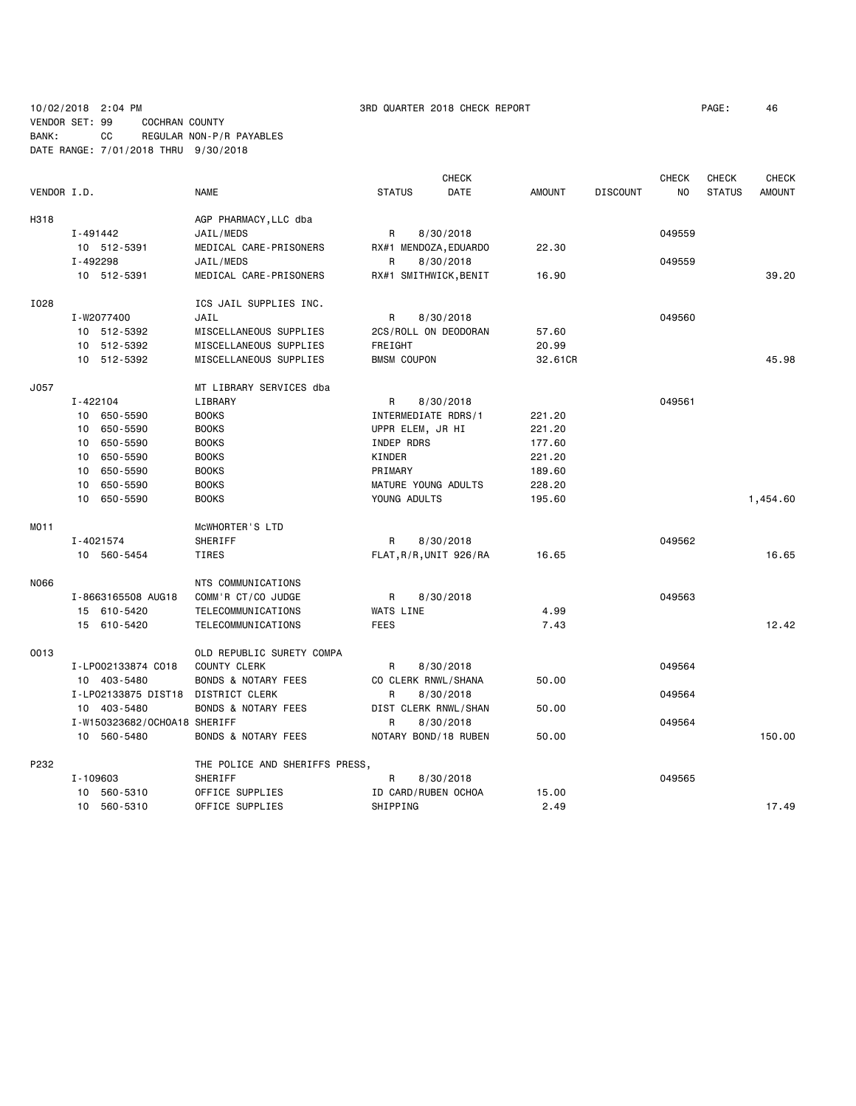### 10/02/2018 2:04 PM 3RD QUARTER 2018 CHECK REPORT PAGE: 46 VENDOR SET: 99 COCHRAN COUNTY BANK: CC REGULAR NON-P/R PAYABLES DATE RANGE: 7/01/2018 THRU 9/30/2018

|                  |                                    |                                |                        | <b>CHECK</b> |               |                 | <b>CHECK</b> | <b>CHECK</b>  | <b>CHECK</b>  |
|------------------|------------------------------------|--------------------------------|------------------------|--------------|---------------|-----------------|--------------|---------------|---------------|
| VENDOR I.D.      |                                    | <b>NAME</b>                    | <b>STATUS</b>          | <b>DATE</b>  | <b>AMOUNT</b> | <b>DISCOUNT</b> | NO.          | <b>STATUS</b> | <b>AMOUNT</b> |
| H318             |                                    | AGP PHARMACY, LLC dba          |                        |              |               |                 |              |               |               |
|                  | I-491442                           | JAIL/MEDS                      | R                      | 8/30/2018    |               |                 | 049559       |               |               |
|                  | 10 512-5391                        | MEDICAL CARE-PRISONERS         | RX#1 MENDOZA, EDUARDO  |              | 22.30         |                 |              |               |               |
|                  | I-492298                           | JAIL/MEDS                      | R                      | 8/30/2018    |               |                 | 049559       |               |               |
|                  | 10 512-5391                        | MEDICAL CARE-PRISONERS         | RX#1 SMITHWICK, BENIT  |              | 16.90         |                 |              |               | 39.20         |
| I028             |                                    | ICS JAIL SUPPLIES INC.         |                        |              |               |                 |              |               |               |
|                  | I-W2077400                         | JAIL                           | R                      | 8/30/2018    |               |                 | 049560       |               |               |
|                  | 10 512-5392                        | MISCELLANEOUS SUPPLIES         | 2CS/ROLL ON DEODORAN   |              | 57.60         |                 |              |               |               |
|                  | 10 512-5392                        | MISCELLANEOUS SUPPLIES         | FREIGHT                |              | 20.99         |                 |              |               |               |
|                  | 10 512-5392                        | MISCELLANEOUS SUPPLIES         | <b>BMSM COUPON</b>     |              | 32,61CR       |                 |              |               | 45.98         |
| J057             |                                    | MT LIBRARY SERVICES dba        |                        |              |               |                 |              |               |               |
|                  | I-422104                           | LIBRARY                        | R                      | 8/30/2018    |               |                 | 049561       |               |               |
|                  | 10 650-5590                        | <b>BOOKS</b>                   | INTERMEDIATE RDRS/1    |              | 221.20        |                 |              |               |               |
|                  | 10<br>650-5590                     | <b>BOOKS</b>                   | UPPR ELEM, JR HI       |              | 221.20        |                 |              |               |               |
|                  | 650-5590<br>10                     | <b>BOOKS</b>                   | INDEP RDRS             |              | 177.60        |                 |              |               |               |
|                  | 650-5590<br>10                     | <b>BOOKS</b>                   | KINDER                 |              | 221.20        |                 |              |               |               |
|                  | 650-5590<br>10                     | <b>BOOKS</b>                   | PRIMARY                |              | 189.60        |                 |              |               |               |
|                  | 650-5590<br>10                     | <b>BOOKS</b>                   | MATURE YOUNG ADULTS    |              | 228.20        |                 |              |               |               |
|                  | 10 650-5590                        | <b>BOOKS</b>                   | YOUNG ADULTS           |              | 195.60        |                 |              |               | 1,454.60      |
| MO <sub>11</sub> |                                    | MCWHORTER'S LTD                |                        |              |               |                 |              |               |               |
|                  | I-4021574                          | SHERIFF                        | R                      | 8/30/2018    |               |                 | 049562       |               |               |
|                  | 10 560-5454                        | TIRES                          | FLAT, R/R, UNIT 926/RA |              | 16.65         |                 |              |               | 16.65         |
| N066             |                                    | NTS COMMUNICATIONS             |                        |              |               |                 |              |               |               |
|                  | I-8663165508 AUG18                 | COMM'R CT/CO JUDGE             | R                      | 8/30/2018    |               |                 | 049563       |               |               |
|                  | 15 610-5420                        | TELECOMMUNICATIONS             | <b>WATS LINE</b>       |              | 4.99          |                 |              |               |               |
|                  | 15 610-5420                        | TELECOMMUNICATIONS             | <b>FEES</b>            |              | 7.43          |                 |              |               | 12.42         |
| 0013             |                                    | OLD REPUBLIC SURETY COMPA      |                        |              |               |                 |              |               |               |
|                  | I-LP002133874 C018                 | <b>COUNTY CLERK</b>            | R                      | 8/30/2018    |               |                 | 049564       |               |               |
|                  | 10 403-5480                        | <b>BONDS &amp; NOTARY FEES</b> | CO CLERK RNWL/SHANA    |              | 50.00         |                 |              |               |               |
|                  | I-LP02133875 DIST18 DISTRICT CLERK |                                | R                      | 8/30/2018    |               |                 | 049564       |               |               |
|                  | 10 403-5480                        | <b>BONDS &amp; NOTARY FEES</b> | DIST CLERK RNWL/SHAN   |              | 50.00         |                 |              |               |               |
|                  | I-W150323682/OCH0A18 SHERIFF       |                                | R                      | 8/30/2018    |               |                 | 049564       |               |               |
|                  | 10 560-5480                        | <b>BONDS &amp; NOTARY FEES</b> | NOTARY BOND/18 RUBEN   |              | 50.00         |                 |              |               | 150.00        |
| P232             |                                    | THE POLICE AND SHERIFFS PRESS, |                        |              |               |                 |              |               |               |
|                  | I-109603                           | SHERIFF                        | R                      | 8/30/2018    |               |                 | 049565       |               |               |
|                  | 10 560-5310                        | OFFICE SUPPLIES                | ID CARD/RUBEN OCHOA    |              | 15.00         |                 |              |               |               |
|                  | 10 560-5310                        | OFFICE SUPPLIES                | SHIPPING               |              | 2.49          |                 |              |               | 17.49         |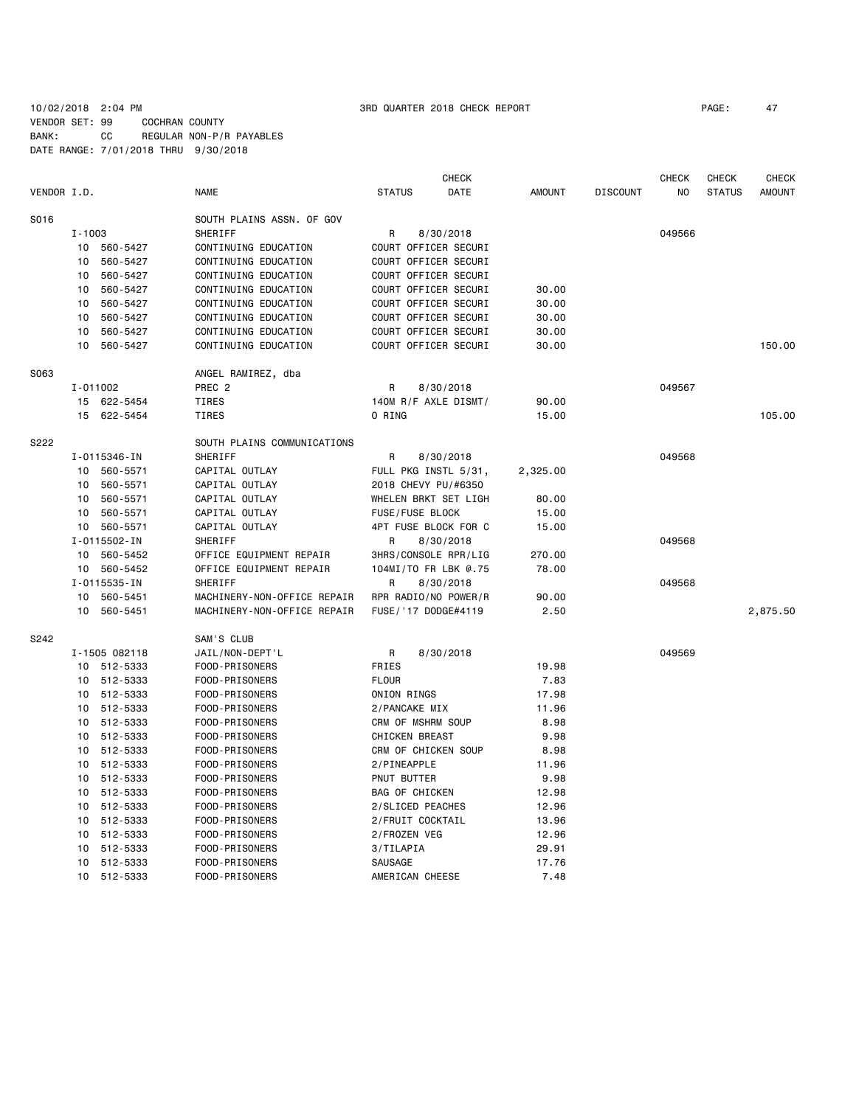### 10/02/2018 2:04 PM 3RD QUARTER 2018 CHECK REPORT PAGE: 47 VENDOR SET: 99 COCHRAN COUNTY BANK: CC REGULAR NON-P/R PAYABLES DATE RANGE: 7/01/2018 THRU 9/30/2018

|             |                 |               |                             |                       | <b>CHECK</b>         |               |                 | <b>CHECK</b>   | <b>CHECK</b>  | <b>CHECK</b>  |
|-------------|-----------------|---------------|-----------------------------|-----------------------|----------------------|---------------|-----------------|----------------|---------------|---------------|
| VENDOR I.D. |                 |               | <b>NAME</b>                 | <b>STATUS</b>         | DATE                 | <b>AMOUNT</b> | <b>DISCOUNT</b> | N <sub>O</sub> | <b>STATUS</b> | <b>AMOUNT</b> |
| S016        |                 |               | SOUTH PLAINS ASSN. OF GOV   |                       |                      |               |                 |                |               |               |
|             | I-1003          |               | SHERIFF                     | R                     | 8/30/2018            |               |                 | 049566         |               |               |
|             |                 | 10 560-5427   | CONTINUING EDUCATION        | COURT OFFICER SECURI  |                      |               |                 |                |               |               |
|             | 10              | 560-5427      | CONTINUING EDUCATION        | COURT OFFICER SECURI  |                      |               |                 |                |               |               |
|             | 10              | 560-5427      | CONTINUING EDUCATION        | COURT OFFICER SECURI  |                      |               |                 |                |               |               |
|             | 10              | 560-5427      | CONTINUING EDUCATION        | COURT OFFICER SECURI  |                      | 30.00         |                 |                |               |               |
|             | 10              | 560-5427      | CONTINUING EDUCATION        | COURT OFFICER SECURI  |                      | 30.00         |                 |                |               |               |
|             | 10              | 560-5427      | CONTINUING EDUCATION        | COURT OFFICER SECURI  |                      | 30.00         |                 |                |               |               |
|             | 10              | 560-5427      | CONTINUING EDUCATION        | COURT OFFICER SECURI  |                      | 30.00         |                 |                |               |               |
|             | 10              | 560-5427      | CONTINUING EDUCATION        | COURT OFFICER SECURI  |                      | 30.00         |                 |                |               | 150.00        |
| S063        |                 |               | ANGEL RAMIREZ, dba          |                       |                      |               |                 |                |               |               |
|             | I-011002        |               | PREC <sub>2</sub>           | R                     | 8/30/2018            |               |                 | 049567         |               |               |
|             |                 | 15 622-5454   | TIRES                       | 140M R/F AXLE DISMT/  |                      | 90.00         |                 |                |               |               |
|             |                 | 15 622-5454   | TIRES                       | O RING                |                      | 15.00         |                 |                |               | 105.00        |
| S222        |                 |               | SOUTH PLAINS COMMUNICATIONS |                       |                      |               |                 |                |               |               |
|             |                 | I-0115346-IN  | SHERIFF                     | R                     | 8/30/2018            |               |                 | 049568         |               |               |
|             |                 | 10 560-5571   | CAPITAL OUTLAY              | FULL PKG INSTL 5/31,  |                      | 2,325.00      |                 |                |               |               |
|             | 10              | 560-5571      | CAPITAL OUTLAY              | 2018 CHEVY PU/#6350   |                      |               |                 |                |               |               |
|             | 10              | 560-5571      | CAPITAL OUTLAY              | WHELEN BRKT SET LIGH  |                      | 80.00         |                 |                |               |               |
|             | 10              | 560-5571      | CAPITAL OUTLAY              | FUSE/FUSE BLOCK       |                      | 15.00         |                 |                |               |               |
|             |                 | 10 560-5571   | CAPITAL OUTLAY              |                       | 4PT FUSE BLOCK FOR C | 15.00         |                 |                |               |               |
|             | I-0115502-IN    | SHERIFF       | R                           | 8/30/2018             |                      |               | 049568          |                |               |               |
|             |                 | 10 560-5452   | OFFICE EQUIPMENT REPAIR     |                       | 3HRS/CONSOLE RPR/LIG | 270.00        |                 |                |               |               |
|             |                 | 10 560-5452   | OFFICE EQUIPMENT REPAIR     | 104MI/TO FR LBK @.75  |                      | 78.00         |                 |                |               |               |
|             |                 | I-0115535-IN  | SHERIFF                     | R                     | 8/30/2018            |               |                 | 049568         |               |               |
|             | 10              | 560-5451      | MACHINERY-NON-OFFICE REPAIR | RPR RADIO/NO POWER/R  |                      | 90.00         |                 |                |               |               |
|             | 10              | 560-5451      | MACHINERY-NON-OFFICE REPAIR | FUSE / '17 DODGE#4119 |                      | 2.50          |                 |                |               | 2,875.50      |
| S242        |                 |               | SAM'S CLUB                  |                       |                      |               |                 |                |               |               |
|             |                 | I-1505 082118 | JAIL/NON-DEPT'L             | R                     | 8/30/2018            |               |                 | 049569         |               |               |
|             |                 | 10 512-5333   | FOOD-PRISONERS              | <b>FRIES</b>          |                      | 19.98         |                 |                |               |               |
|             |                 | 10 512-5333   | FOOD-PRISONERS              | <b>FLOUR</b>          |                      | 7.83          |                 |                |               |               |
|             |                 | 10 512-5333   | FOOD-PRISONERS              | ONION RINGS           |                      | 17.98         |                 |                |               |               |
|             |                 | 10 512-5333   | FOOD-PRISONERS              | 2/PANCAKE MIX         |                      | 11.96         |                 |                |               |               |
|             | 10              | 512-5333      | FOOD-PRISONERS              | CRM OF MSHRM SOUP     |                      | 8.98          |                 |                |               |               |
|             | 10              | 512-5333      | FOOD-PRISONERS              | <b>CHICKEN BREAST</b> |                      | 9.98          |                 |                |               |               |
|             | 10              | 512-5333      | FOOD-PRISONERS              | CRM OF CHICKEN SOUP   |                      | 8.98          |                 |                |               |               |
|             | 10              | 512-5333      | FOOD-PRISONERS              | 2/PINEAPPLE           |                      | 11.96         |                 |                |               |               |
|             | 10              | 512-5333      | FOOD-PRISONERS              | PNUT BUTTER           |                      | 9.98          |                 |                |               |               |
|             | 10              | 512-5333      | FOOD-PRISONERS              | <b>BAG OF CHICKEN</b> |                      | 12.98         |                 |                |               |               |
|             | 10              | 512-5333      | FOOD-PRISONERS              | 2/SLICED PEACHES      |                      | 12.96         |                 |                |               |               |
|             | 10              | 512-5333      | FOOD-PRISONERS              | 2/FRUIT COCKTAIL      |                      | 13.96         |                 |                |               |               |
|             | 10              | 512-5333      | FOOD-PRISONERS              | 2/FROZEN VEG          |                      | 12.96         |                 |                |               |               |
|             | 10              | 512-5333      | FOOD-PRISONERS              | 3/TILAPIA             |                      | 29.91         |                 |                |               |               |
|             | 10              | 512-5333      | FOOD-PRISONERS              | SAUSAGE               |                      | 17.76         |                 |                |               |               |
|             | 10 <sup>°</sup> | 512-5333      | FOOD-PRISONERS              | AMERICAN CHEESE       |                      | 7.48          |                 |                |               |               |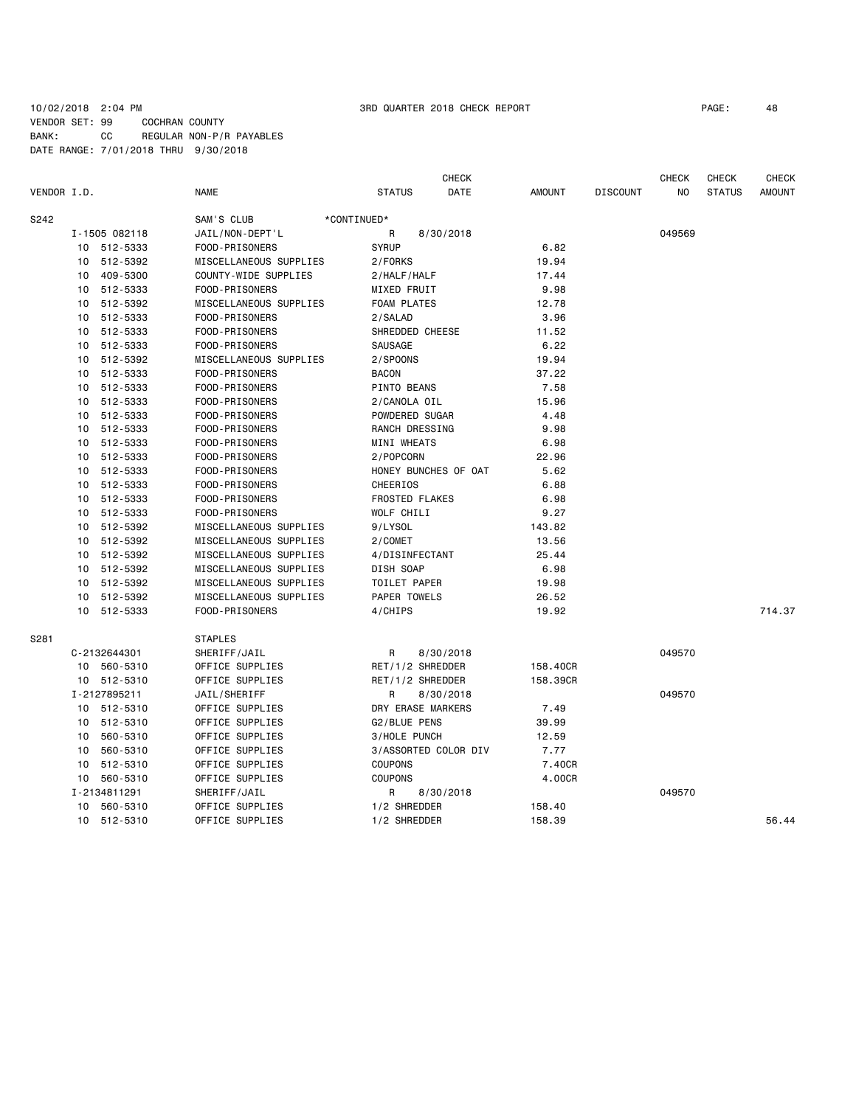### 10/02/2018 2:04 PM 3RD QUARTER 2018 CHECK REPORT PAGE: 48 VENDOR SET: 99 COCHRAN COUNTY BANK: CC REGULAR NON-P/R PAYABLES DATE RANGE: 7/01/2018 THRU 9/30/2018

|             |               |                        | <b>CHECK</b>          |               |                 | <b>CHECK</b>   | <b>CHECK</b>  | <b>CHECK</b>  |
|-------------|---------------|------------------------|-----------------------|---------------|-----------------|----------------|---------------|---------------|
| VENDOR I.D. |               | <b>NAME</b>            | <b>STATUS</b><br>DATE | <b>AMOUNT</b> | <b>DISCOUNT</b> | N <sub>0</sub> | <b>STATUS</b> | <b>AMOUNT</b> |
| S242        |               | SAM'S CLUB             | *CONTINUED*           |               |                 |                |               |               |
|             | I-1505 082118 | JAIL/NON-DEPT'L        | R<br>8/30/2018        |               |                 | 049569         |               |               |
|             | 10 512-5333   | FOOD-PRISONERS         | <b>SYRUP</b>          | 6.82          |                 |                |               |               |
| 10          | 512-5392      | MISCELLANEOUS SUPPLIES | 2/FORKS               | 19.94         |                 |                |               |               |
| 10          | 409-5300      | COUNTY-WIDE SUPPLIES   | 2/HALF/HALF           | 17.44         |                 |                |               |               |
|             | 10 512-5333   | FOOD-PRISONERS         | MIXED FRUIT           | 9.98          |                 |                |               |               |
| 10          | 512-5392      | MISCELLANEOUS SUPPLIES | <b>FOAM PLATES</b>    | 12.78         |                 |                |               |               |
|             | 10 512-5333   | FOOD-PRISONERS         | 2/SALAD               | 3.96          |                 |                |               |               |
| 10          | 512-5333      | FOOD-PRISONERS         | SHREDDED CHEESE       | 11.52         |                 |                |               |               |
|             | 10 512-5333   | FOOD-PRISONERS         | SAUSAGE               | 6.22          |                 |                |               |               |
|             | 10 512-5392   | MISCELLANEOUS SUPPLIES | 2/SPOONS              | 19.94         |                 |                |               |               |
|             | 10 512-5333   | FOOD-PRISONERS         | <b>BACON</b>          | 37.22         |                 |                |               |               |
|             | 10 512-5333   | FOOD-PRISONERS         | PINTO BEANS           | 7.58          |                 |                |               |               |
| 10          | 512-5333      | FOOD-PRISONERS         | 2/CANOLA OIL          | 15.96         |                 |                |               |               |
| 10          | 512-5333      | FOOD-PRISONERS         | POWDERED SUGAR        | 4.48          |                 |                |               |               |
|             | 10 512-5333   | FOOD-PRISONERS         | RANCH DRESSING        | 9.98          |                 |                |               |               |
| 10          | 512-5333      | FOOD-PRISONERS         | MINI WHEATS           | 6.98          |                 |                |               |               |
|             | 10 512-5333   | FOOD-PRISONERS         | 2/POPCORN             | 22.96         |                 |                |               |               |
|             | 10 512-5333   | FOOD-PRISONERS         | HONEY BUNCHES OF OAT  | 5.62          |                 |                |               |               |
| 10          | 512-5333      | FOOD-PRISONERS         | <b>CHEERIOS</b>       | 6.88          |                 |                |               |               |
|             | 10 512-5333   | FOOD-PRISONERS         | <b>FROSTED FLAKES</b> | 6.98          |                 |                |               |               |
| 10          | 512-5333      | FOOD-PRISONERS         | WOLF CHILI            | 9.27          |                 |                |               |               |
|             | 10 512-5392   | MISCELLANEOUS SUPPLIES | 9/LYSOL               | 143.82        |                 |                |               |               |
| 10          | 512-5392      | MISCELLANEOUS SUPPLIES | 2/COMET               | 13.56         |                 |                |               |               |
| 10          | 512-5392      | MISCELLANEOUS SUPPLIES | 4/DISINFECTANT        | 25.44         |                 |                |               |               |
|             | 10 512-5392   | MISCELLANEOUS SUPPLIES | DISH SOAP             | 6.98          |                 |                |               |               |
| 10          | 512-5392      | MISCELLANEOUS SUPPLIES | TOILET PAPER          | 19.98         |                 |                |               |               |
|             | 10 512-5392   | MISCELLANEOUS SUPPLIES | PAPER TOWELS          | 26.52         |                 |                |               |               |
| 10          | 512-5333      | FOOD-PRISONERS         | 4/CHIPS               | 19.92         |                 |                |               | 714.37        |
| S281        |               | <b>STAPLES</b>         |                       |               |                 |                |               |               |
|             | C-2132644301  | SHERIFF/JAIL           | R<br>8/30/2018        |               |                 | 049570         |               |               |
|             | 10 560-5310   | OFFICE SUPPLIES        | RET/1/2 SHREDDER      | 158.40CR      |                 |                |               |               |
|             | 10 512-5310   | OFFICE SUPPLIES        | RET/1/2 SHREDDER      | 158.39CR      |                 |                |               |               |
|             | I-2127895211  | JAIL/SHERIFF           | R<br>8/30/2018        |               |                 | 049570         |               |               |
|             | 10 512-5310   | OFFICE SUPPLIES        | DRY ERASE MARKERS     | 7.49          |                 |                |               |               |
|             | 10 512-5310   | OFFICE SUPPLIES        | G2/BLUE PENS          | 39.99         |                 |                |               |               |
| 10          | 560-5310      | OFFICE SUPPLIES        | 3/HOLE PUNCH          | 12.59         |                 |                |               |               |
| 10          | 560-5310      | OFFICE SUPPLIES        | 3/ASSORTED COLOR DIV  | 7.77          |                 |                |               |               |
| 10          | 512-5310      | OFFICE SUPPLIES        | <b>COUPONS</b>        | 7.40CR        |                 |                |               |               |
|             | 10 560-5310   | OFFICE SUPPLIES        | <b>COUPONS</b>        | 4.00CR        |                 |                |               |               |
|             | I-2134811291  | SHERIFF/JAIL           | R<br>8/30/2018        |               |                 | 049570         |               |               |
|             | 10 560-5310   | OFFICE SUPPLIES        | 1/2 SHREDDER          | 158.40        |                 |                |               |               |
|             | 10 512-5310   | OFFICE SUPPLIES        | 1/2 SHREDDER          | 158.39        |                 |                |               | 56.44         |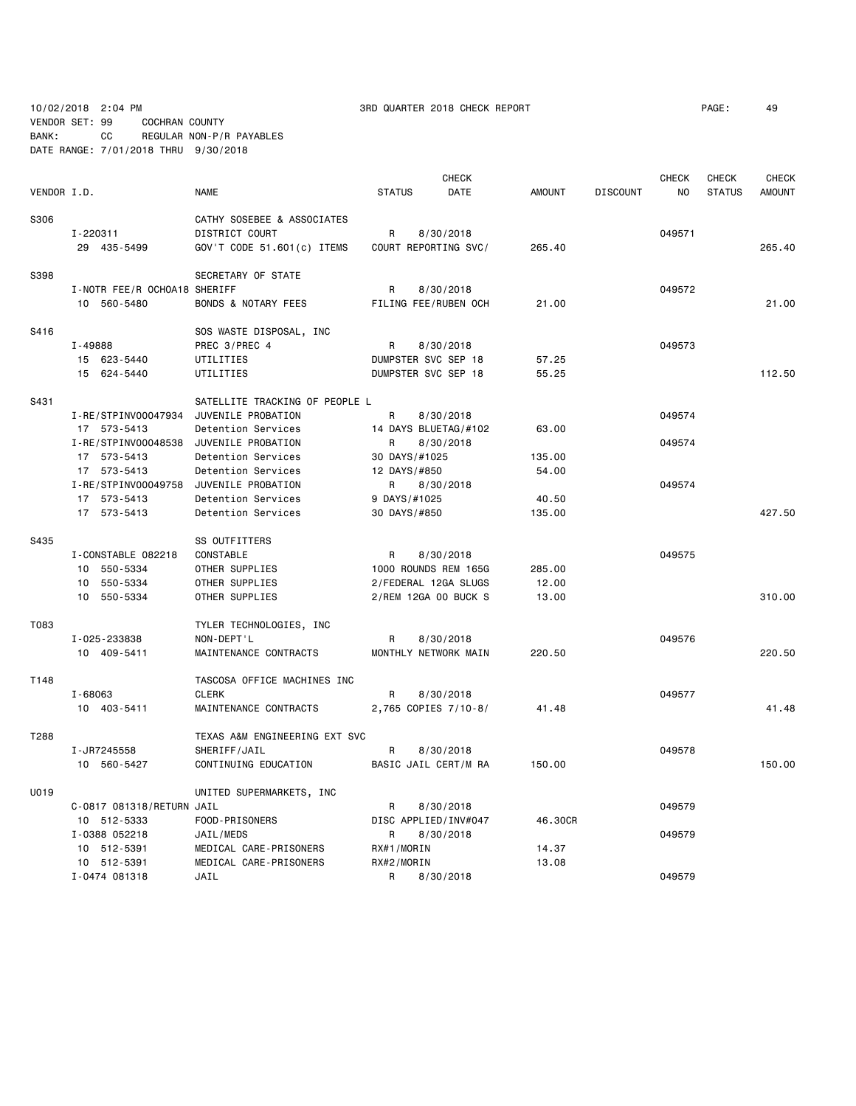10/02/2018 2:04 PM 3RD QUARTER 2018 CHECK REPORT PAGE: 49 VENDOR SET: 99 COCHRAN COUNTY BANK: CC REGULAR NON-P/R PAYABLES

DATE RANGE: 7/01/2018 THRU 9/30/2018

| VENDOR I.D. |                              | <b>NAME</b>                    | <b>STATUS</b> | <b>CHECK</b><br>DATE | <b>AMOUNT</b> | <b>DISCOUNT</b> | <b>CHECK</b><br>NO | <b>CHECK</b><br><b>STATUS</b> | <b>CHECK</b><br><b>AMOUNT</b> |
|-------------|------------------------------|--------------------------------|---------------|----------------------|---------------|-----------------|--------------------|-------------------------------|-------------------------------|
| S306        |                              | CATHY SOSEBEE & ASSOCIATES     |               |                      |               |                 |                    |                               |                               |
|             | I-220311                     | <b>DISTRICT COURT</b>          | R             | 8/30/2018            |               |                 | 049571             |                               |                               |
|             | 29 435-5499                  | GOV'T CODE 51.601(c) ITEMS     |               | COURT REPORTING SVC/ | 265.40        |                 |                    |                               | 265.40                        |
| S398        |                              | SECRETARY OF STATE             |               |                      |               |                 |                    |                               |                               |
|             | I-NOTR FEE/R OCHOA18 SHERIFF |                                | R             | 8/30/2018            |               |                 | 049572             |                               |                               |
|             | 10 560-5480                  | <b>BONDS &amp; NOTARY FEES</b> |               | FILING FEE/RUBEN OCH | 21.00         |                 |                    |                               | 21.00                         |
| S416        |                              | SOS WASTE DISPOSAL, INC        |               |                      |               |                 |                    |                               |                               |
|             | I-49888                      | PREC 3/PREC 4                  | R             | 8/30/2018            |               |                 | 049573             |                               |                               |
|             | 15 623-5440                  | UTILITIES                      |               | DUMPSTER SVC SEP 18  | 57.25         |                 |                    |                               |                               |
|             | 15 624-5440                  | UTILITIES                      |               | DUMPSTER SVC SEP 18  | 55.25         |                 |                    |                               | 112.50                        |
| S431        |                              | SATELLITE TRACKING OF PEOPLE L |               |                      |               |                 |                    |                               |                               |
|             | I-RE/STPINV00047934          | JUVENILE PROBATION             | R             | 8/30/2018            |               |                 | 049574             |                               |                               |
|             | 17 573-5413                  | Detention Services             |               | 14 DAYS BLUETAG/#102 | 63,00         |                 |                    |                               |                               |
|             | I-RE/STPINV00048538          | JUVENILE PROBATION             | R             | 8/30/2018            |               |                 | 049574             |                               |                               |
|             | 17 573-5413                  | Detention Services             | 30 DAYS/#1025 |                      | 135.00        |                 |                    |                               |                               |
|             | 17 573-5413                  | Detention Services             | 12 DAYS/#850  |                      | 54.00         |                 |                    |                               |                               |
|             | I-RE/STPINV00049758          | JUVENILE PROBATION             | R             | 8/30/2018            |               |                 | 049574             |                               |                               |
|             | 17 573-5413                  | Detention Services             | 9 DAYS/#1025  |                      | 40.50         |                 |                    |                               |                               |
|             | 17 573-5413                  | Detention Services             | 30 DAYS/#850  |                      | 135.00        |                 |                    |                               | 427.50                        |
| S435        |                              | SS OUTFITTERS                  |               |                      |               |                 |                    |                               |                               |
|             | I-CONSTABLE 082218           | CONSTABLE                      | R             | 8/30/2018            |               |                 | 049575             |                               |                               |
|             | 10 550-5334                  | OTHER SUPPLIES                 |               | 1000 ROUNDS REM 165G | 285.00        |                 |                    |                               |                               |
|             | 10 550-5334                  | OTHER SUPPLIES                 |               | 2/FEDERAL 12GA SLUGS | 12.00         |                 |                    |                               |                               |
|             | 10 550-5334                  | OTHER SUPPLIES                 |               | 2/REM 12GA 00 BUCK S | 13.00         |                 |                    |                               | 310.00                        |
| T083        |                              | TYLER TECHNOLOGIES, INC        |               |                      |               |                 |                    |                               |                               |
|             | I-025-233838                 | NON-DEPT'L                     | R             | 8/30/2018            |               |                 | 049576             |                               |                               |
|             | 10 409-5411                  | MAINTENANCE CONTRACTS          |               | MONTHLY NETWORK MAIN | 220.50        |                 |                    |                               | 220.50                        |
| T148        |                              | TASCOSA OFFICE MACHINES INC    |               |                      |               |                 |                    |                               |                               |
|             | $I - 68063$                  | <b>CLERK</b>                   | R             | 8/30/2018            |               |                 | 049577             |                               |                               |
|             | 10 403-5411                  | MAINTENANCE CONTRACTS          |               | 2,765 COPIES 7/10-8/ | 41.48         |                 |                    |                               | 41.48                         |
| T288        |                              | TEXAS A&M ENGINEERING EXT SVC  |               |                      |               |                 |                    |                               |                               |
|             | I-JR7245558                  | SHERIFF/JAIL                   | R             | 8/30/2018            |               |                 | 049578             |                               |                               |
|             | 10 560-5427                  | CONTINUING EDUCATION           |               | BASIC JAIL CERT/M RA | 150.00        |                 |                    |                               | 150.00                        |
| U019        |                              | UNITED SUPERMARKETS, INC       |               |                      |               |                 |                    |                               |                               |
|             | C-0817 081318/RETURN JAIL    |                                | R             | 8/30/2018            |               |                 | 049579             |                               |                               |
|             | 10 512-5333                  | FOOD-PRISONERS                 |               | DISC APPLIED/INV#047 | 46.30CR       |                 |                    |                               |                               |
|             | I-0388 052218                | JAIL/MEDS                      | R             | 8/30/2018            |               |                 | 049579             |                               |                               |
|             | 10 512-5391                  | MEDICAL CARE-PRISONERS         | RX#1/MORIN    |                      | 14.37         |                 |                    |                               |                               |
|             | 10 512-5391                  | MEDICAL CARE-PRISONERS         | RX#2/MORIN    |                      | 13.08         |                 |                    |                               |                               |
|             | I-0474 081318                | JAIL                           | R             | 8/30/2018            |               |                 | 049579             |                               |                               |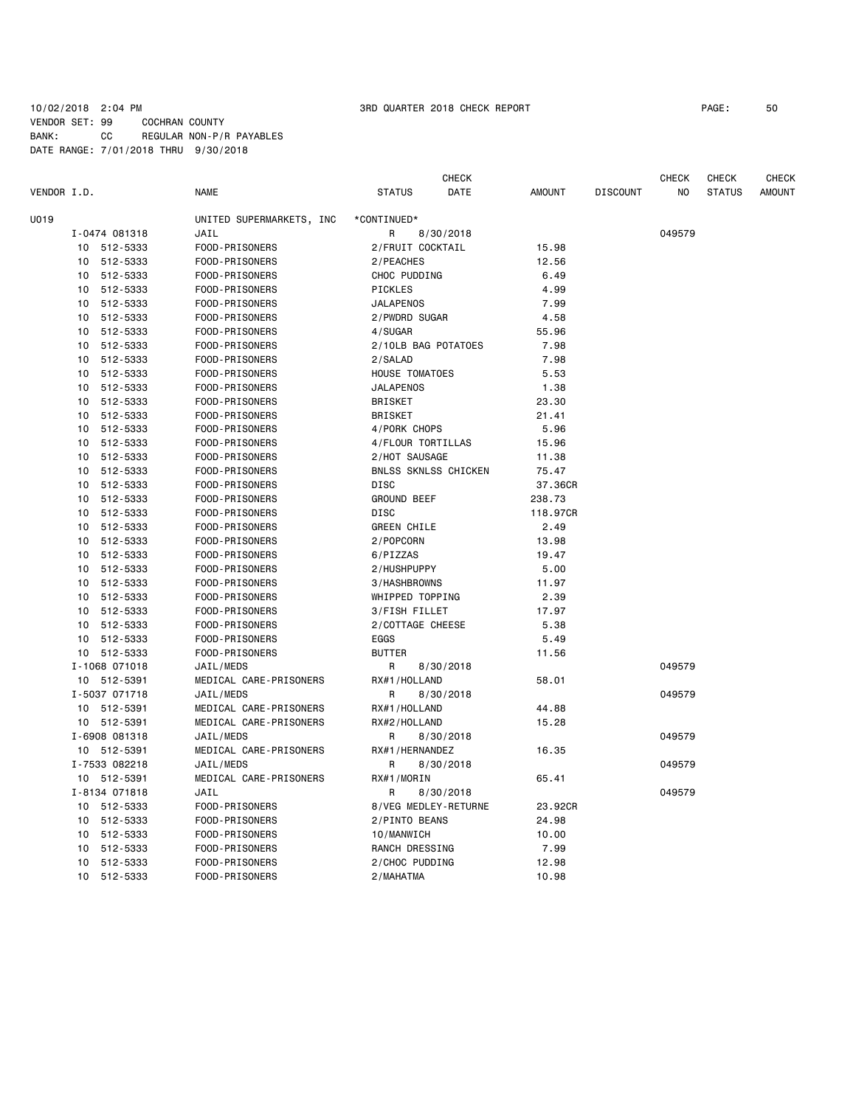### 10/02/2018 2:04 PM 3RD QUARTER 2018 CHECK REPORT PAGE: 50 VENDOR SET: 99 COCHRAN COUNTY BANK: CC REGULAR NON-P/R PAYABLES DATE RANGE: 7/01/2018 THRU 9/30/2018

|                |                          |                       | <b>CHECK</b> |               |                 | <b>CHECK</b> | <b>CHECK</b>  | <b>CHECK</b>  |
|----------------|--------------------------|-----------------------|--------------|---------------|-----------------|--------------|---------------|---------------|
| VENDOR I.D.    | <b>NAME</b>              | <b>STATUS</b>         | DATE         | <b>AMOUNT</b> | <b>DISCOUNT</b> | NO           | <b>STATUS</b> | <b>AMOUNT</b> |
| U019           | UNITED SUPERMARKETS, INC | *CONTINUED*           |              |               |                 |              |               |               |
| I-0474 081318  | JAIL                     | R                     | 8/30/2018    |               |                 | 049579       |               |               |
| 10 512-5333    | FOOD-PRISONERS           | 2/FRUIT COCKTAIL      |              | 15.98         |                 |              |               |               |
| 512-5333<br>10 | FOOD-PRISONERS           | 2/PEACHES             |              | 12.56         |                 |              |               |               |
| 512-5333<br>10 | FOOD-PRISONERS           | CHOC PUDDING          |              | 6.49          |                 |              |               |               |
| 512-5333<br>10 | FOOD-PRISONERS           | PICKLES               |              | 4.99          |                 |              |               |               |
| 512-5333<br>10 | FOOD-PRISONERS           | <b>JALAPENOS</b>      |              | 7.99          |                 |              |               |               |
| 512-5333<br>10 | FOOD-PRISONERS           | 2/PWDRD SUGAR         |              | 4.58          |                 |              |               |               |
| 10<br>512-5333 | FOOD-PRISONERS           | 4/SUGAR               |              | 55.96         |                 |              |               |               |
| 512-5333<br>10 | FOOD-PRISONERS           | 2/10LB BAG POTATOES   |              | 7.98          |                 |              |               |               |
| 512-5333<br>10 | FOOD-PRISONERS           | 2/SALAD               |              | 7.98          |                 |              |               |               |
| 512-5333<br>10 | FOOD-PRISONERS           | <b>HOUSE TOMATOES</b> |              | 5.53          |                 |              |               |               |
| 512-5333<br>10 | FOOD-PRISONERS           | <b>JALAPENOS</b>      |              | 1.38          |                 |              |               |               |
| 512-5333<br>10 | FOOD-PRISONERS           | <b>BRISKET</b>        |              | 23.30         |                 |              |               |               |
| 10<br>512-5333 | FOOD-PRISONERS           | <b>BRISKET</b>        |              | 21.41         |                 |              |               |               |
| 10<br>512-5333 | FOOD-PRISONERS           | 4/PORK CHOPS          |              | 5.96          |                 |              |               |               |
| 10<br>512-5333 | FOOD-PRISONERS           | 4/FLOUR TORTILLAS     |              | 15.96         |                 |              |               |               |
| 512-5333<br>10 | FOOD-PRISONERS           | 2/HOT SAUSAGE         |              | 11.38         |                 |              |               |               |
| 512-5333<br>10 | FOOD-PRISONERS           | BNLSS SKNLSS CHICKEN  |              | 75.47         |                 |              |               |               |
| 512-5333<br>10 | FOOD-PRISONERS           | <b>DISC</b>           |              | 37.36CR       |                 |              |               |               |
| 512-5333<br>10 | FOOD-PRISONERS           | <b>GROUND BEEF</b>    |              | 238.73        |                 |              |               |               |
| 512-5333<br>10 | FOOD-PRISONERS           | <b>DISC</b>           |              | 118.97CR      |                 |              |               |               |
| 10<br>512-5333 | FOOD-PRISONERS           | <b>GREEN CHILE</b>    |              | 2.49          |                 |              |               |               |
| 512-5333<br>10 | <b>FOOD-PRISONERS</b>    | 2/POPCORN             |              | 13.98         |                 |              |               |               |
| 512-5333<br>10 | FOOD-PRISONERS           | 6/PIZZAS              |              | 19.47         |                 |              |               |               |
| 512-5333<br>10 | FOOD-PRISONERS           | 2/HUSHPUPPY           |              | 5.00          |                 |              |               |               |
| 512-5333<br>10 | FOOD-PRISONERS           | 3/HASHBROWNS          |              | 11.97         |                 |              |               |               |
| 512-5333<br>10 | FOOD-PRISONERS           | WHIPPED TOPPING       |              | 2.39          |                 |              |               |               |
| 512-5333<br>10 | FOOD-PRISONERS           | 3/FISH FILLET         |              | 17.97         |                 |              |               |               |
| 10<br>512-5333 | FOOD-PRISONERS           | 2/COTTAGE CHEESE      |              | 5.38          |                 |              |               |               |
| 10<br>512-5333 | FOOD-PRISONERS           | EGGS                  |              | 5.49          |                 |              |               |               |
| 512-5333<br>10 | FOOD-PRISONERS           | <b>BUTTER</b>         |              | 11.56         |                 |              |               |               |
| I-1068 071018  | JAIL/MEDS                | R                     | 8/30/2018    |               |                 | 049579       |               |               |
| 10 512-5391    | MEDICAL CARE-PRISONERS   | RX#1/HOLLAND          |              | 58.01         |                 |              |               |               |
| I-5037 071718  | JAIL/MEDS                | R                     | 8/30/2018    |               |                 | 049579       |               |               |
| 10 512-5391    | MEDICAL CARE-PRISONERS   | RX#1/HOLLAND          |              | 44.88         |                 |              |               |               |
| 10 512-5391    | MEDICAL CARE-PRISONERS   | RX#2/HOLLAND          |              | 15.28         |                 |              |               |               |
| I-6908 081318  | JAIL/MEDS                | R                     | 8/30/2018    |               |                 | 049579       |               |               |
| 10 512-5391    | MEDICAL CARE-PRISONERS   | RX#1/HERNANDEZ        |              | 16.35         |                 |              |               |               |
| I-7533 082218  | JAIL/MEDS                | R                     | 8/30/2018    |               |                 | 049579       |               |               |
| 10 512-5391    | MEDICAL CARE-PRISONERS   | RX#1/MORIN            |              | 65.41         |                 |              |               |               |
| I-8134 071818  | JAIL                     | R                     | 8/30/2018    |               |                 | 049579       |               |               |
| 10<br>512-5333 | FOOD-PRISONERS           | 8/VEG MEDLEY-RETURNE  |              | 23.92CR       |                 |              |               |               |
| 512-5333<br>10 | FOOD-PRISONERS           | 2/PINTO BEANS         |              | 24.98         |                 |              |               |               |
| 512-5333<br>10 | FOOD-PRISONERS           | 10/MANWICH            |              | 10.00         |                 |              |               |               |
| 512-5333<br>10 | FOOD-PRISONERS           | RANCH DRESSING        |              | 7.99          |                 |              |               |               |
| 10<br>512-5333 | FOOD-PRISONERS           | 2/CHOC PUDDING        |              | 12.98         |                 |              |               |               |
| 10<br>512-5333 | FOOD-PRISONERS           | 2/MAHATMA             |              | 10.98         |                 |              |               |               |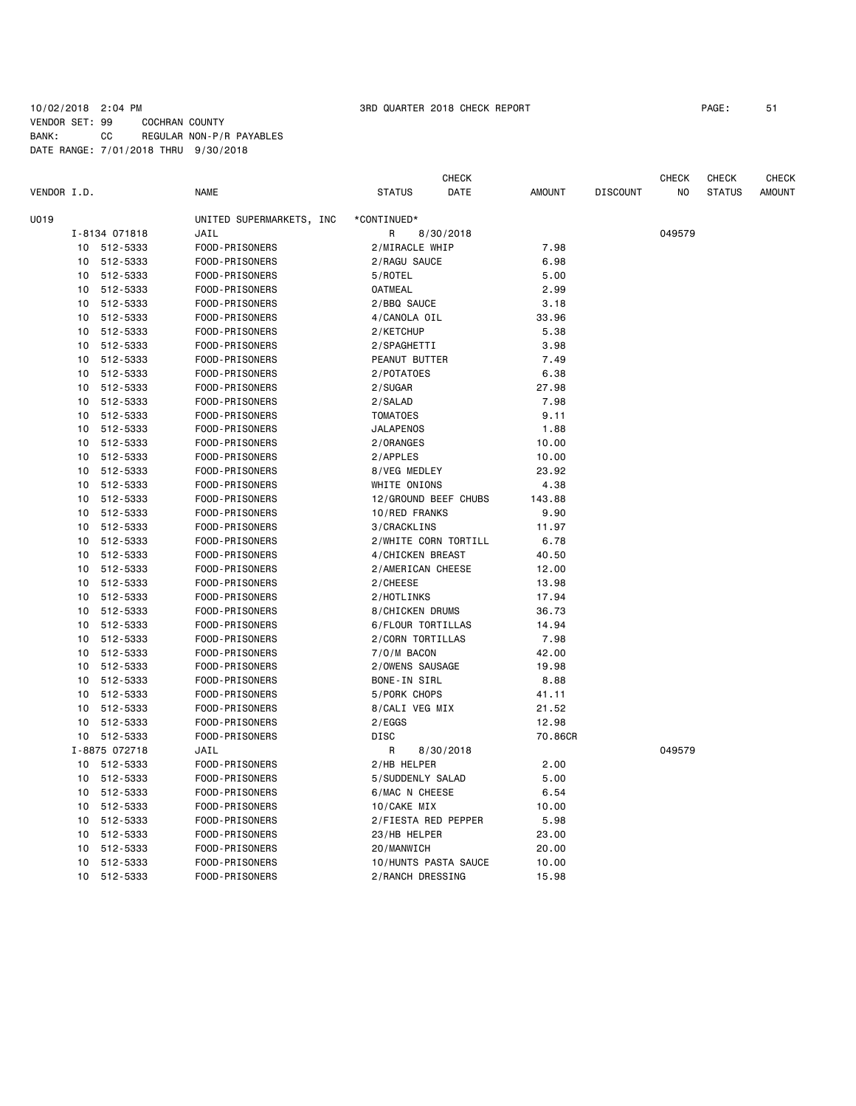### 10/02/2018 2:04 PM 3RD QUARTER 2018 CHECK REPORT PAGE: 51 VENDOR SET: 99 COCHRAN COUNTY BANK: CC REGULAR NON-P/R PAYABLES DATE RANGE: 7/01/2018 THRU 9/30/2018

| VENDOR I.D. |    |               | <b>NAME</b>              | <b>STATUS</b>    | <b>CHECK</b><br>DATE | <b>AMOUNT</b> | <b>DISCOUNT</b> | CHECK<br>NO | <b>CHECK</b><br><b>STATUS</b> | <b>CHECK</b><br><b>AMOUNT</b> |
|-------------|----|---------------|--------------------------|------------------|----------------------|---------------|-----------------|-------------|-------------------------------|-------------------------------|
| U019        |    |               | UNITED SUPERMARKETS, INC | *CONTINUED*      |                      |               |                 |             |                               |                               |
|             |    | I-8134 071818 | JAIL                     | R                | 8/30/2018            |               |                 | 049579      |                               |                               |
|             |    | 10 512-5333   | FOOD-PRISONERS           | 2/MIRACLE WHIP   |                      | 7.98          |                 |             |                               |                               |
|             | 10 | 512-5333      | FOOD-PRISONERS           | 2/RAGU SAUCE     |                      | 6.98          |                 |             |                               |                               |
|             | 10 | 512-5333      | FOOD-PRISONERS           | 5/ROTEL          |                      | 5.00          |                 |             |                               |                               |
|             | 10 | 512-5333      | FOOD-PRISONERS           | <b>OATMEAL</b>   |                      | 2.99          |                 |             |                               |                               |
|             | 10 | 512-5333      | FOOD-PRISONERS           | 2/BBQ SAUCE      |                      | 3.18          |                 |             |                               |                               |
|             | 10 | 512-5333      | FOOD-PRISONERS           | 4/CANOLA OIL     |                      | 33.96         |                 |             |                               |                               |
|             | 10 | 512-5333      | FOOD-PRISONERS           | 2/KETCHUP        |                      | 5.38          |                 |             |                               |                               |
|             | 10 | 512-5333      | FOOD-PRISONERS           | 2/SPAGHETTI      |                      | 3.98          |                 |             |                               |                               |
|             | 10 | 512-5333      | FOOD-PRISONERS           | PEANUT BUTTER    |                      | 7.49          |                 |             |                               |                               |
|             | 10 | 512-5333      | FOOD-PRISONERS           | 2/POTATOES       |                      | 6.38          |                 |             |                               |                               |
|             | 10 | 512-5333      | FOOD-PRISONERS           | 2/SUGAR          |                      | 27.98         |                 |             |                               |                               |
|             | 10 | 512-5333      | FOOD-PRISONERS           | 2/SALAD          |                      | 7.98          |                 |             |                               |                               |
|             | 10 | 512-5333      | FOOD-PRISONERS           | <b>TOMATOES</b>  |                      | 9.11          |                 |             |                               |                               |
|             | 10 | 512-5333      | FOOD-PRISONERS           | <b>JALAPENOS</b> |                      | 1.88          |                 |             |                               |                               |
|             | 10 | 512-5333      | FOOD-PRISONERS           | 2/0RANGES        |                      | 10.00         |                 |             |                               |                               |
|             | 10 | 512-5333      | FOOD-PRISONERS           | 2/APPLES         |                      | 10.00         |                 |             |                               |                               |
|             | 10 | 512-5333      | FOOD-PRISONERS           | 8/VEG MEDLEY     |                      | 23.92         |                 |             |                               |                               |
|             | 10 | 512-5333      | FOOD-PRISONERS           | WHITE ONIONS     |                      | 4.38          |                 |             |                               |                               |
|             | 10 | 512-5333      | FOOD-PRISONERS           |                  | 12/GROUND BEEF CHUBS | 143.88        |                 |             |                               |                               |
|             | 10 | 512-5333      | FOOD-PRISONERS           | 10/RED FRANKS    |                      | 9.90          |                 |             |                               |                               |
|             | 10 | 512-5333      | FOOD-PRISONERS           | 3/CRACKLINS      |                      | 11.97         |                 |             |                               |                               |
|             | 10 | 512-5333      | FOOD-PRISONERS           |                  | 2/WHITE CORN TORTILL | 6.78          |                 |             |                               |                               |
|             | 10 | 512-5333      | FOOD-PRISONERS           | 4/CHICKEN BREAST |                      | 40.50         |                 |             |                               |                               |
|             | 10 | 512-5333      | FOOD-PRISONERS           |                  | 2/AMERICAN CHEESE    | 12.00         |                 |             |                               |                               |
|             | 10 | 512-5333      | FOOD-PRISONERS           | 2/CHEESE         |                      | 13.98         |                 |             |                               |                               |
|             | 10 | 512-5333      | FOOD-PRISONERS           | 2/HOTLINKS       |                      | 17.94         |                 |             |                               |                               |
|             | 10 | 512-5333      | FOOD-PRISONERS           | 8/CHICKEN DRUMS  |                      | 36.73         |                 |             |                               |                               |
|             | 10 | 512-5333      | FOOD-PRISONERS           |                  | 6/FLOUR TORTILLAS    | 14.94         |                 |             |                               |                               |
|             | 10 | 512-5333      | FOOD-PRISONERS           | 2/CORN TORTILLAS |                      | 7.98          |                 |             |                               |                               |
|             | 10 | 512-5333      | FOOD-PRISONERS           | 7/0/M BACON      |                      | 42.00         |                 |             |                               |                               |
|             | 10 | 512-5333      | FOOD-PRISONERS           | 2/OWENS SAUSAGE  |                      | 19.98         |                 |             |                               |                               |
|             | 10 | 512-5333      | FOOD-PRISONERS           | BONE-IN SIRL     |                      | 8.88          |                 |             |                               |                               |
|             | 10 | 512-5333      | FOOD-PRISONERS           | 5/PORK CHOPS     |                      | 41.11         |                 |             |                               |                               |
|             | 10 | 512-5333      | FOOD-PRISONERS           | 8/CALI VEG MIX   |                      | 21.52         |                 |             |                               |                               |
|             | 10 | 512-5333      | FOOD-PRISONERS           | 2/EGGS           |                      | 12.98         |                 |             |                               |                               |
|             | 10 | 512-5333      | FOOD-PRISONERS           | <b>DISC</b>      |                      | 70.86CR       |                 |             |                               |                               |
|             |    | I-8875 072718 | JAIL                     | R                | 8/30/2018            |               |                 | 049579      |                               |                               |
|             |    | 10 512-5333   | FOOD-PRISONERS           | 2/HB HELPER      |                      | 2.00          |                 |             |                               |                               |
|             | 10 | 512-5333      | FOOD-PRISONERS           | 5/SUDDENLY SALAD |                      | 5.00          |                 |             |                               |                               |
|             | 10 | 512-5333      | FOOD-PRISONERS           | 6/MAC N CHEESE   |                      | 6.54          |                 |             |                               |                               |
|             | 10 | 512-5333      | FOOD-PRISONERS           | 10/CAKE MIX      |                      | 10.00         |                 |             |                               |                               |
|             | 10 | 512-5333      | FOOD-PRISONERS           |                  | 2/FIESTA RED PEPPER  | 5.98          |                 |             |                               |                               |
|             | 10 | 512-5333      | FOOD-PRISONERS           | 23/HB HELPER     |                      | 23.00         |                 |             |                               |                               |
|             | 10 | 512-5333      | FOOD-PRISONERS           | 20/MANWICH       |                      | 20.00         |                 |             |                               |                               |
|             | 10 | 512-5333      | FOOD-PRISONERS           |                  | 10/HUNTS PASTA SAUCE | 10.00         |                 |             |                               |                               |
|             | 10 | 512-5333      | FOOD-PRISONERS           |                  | 2/RANCH DRESSING     | 15.98         |                 |             |                               |                               |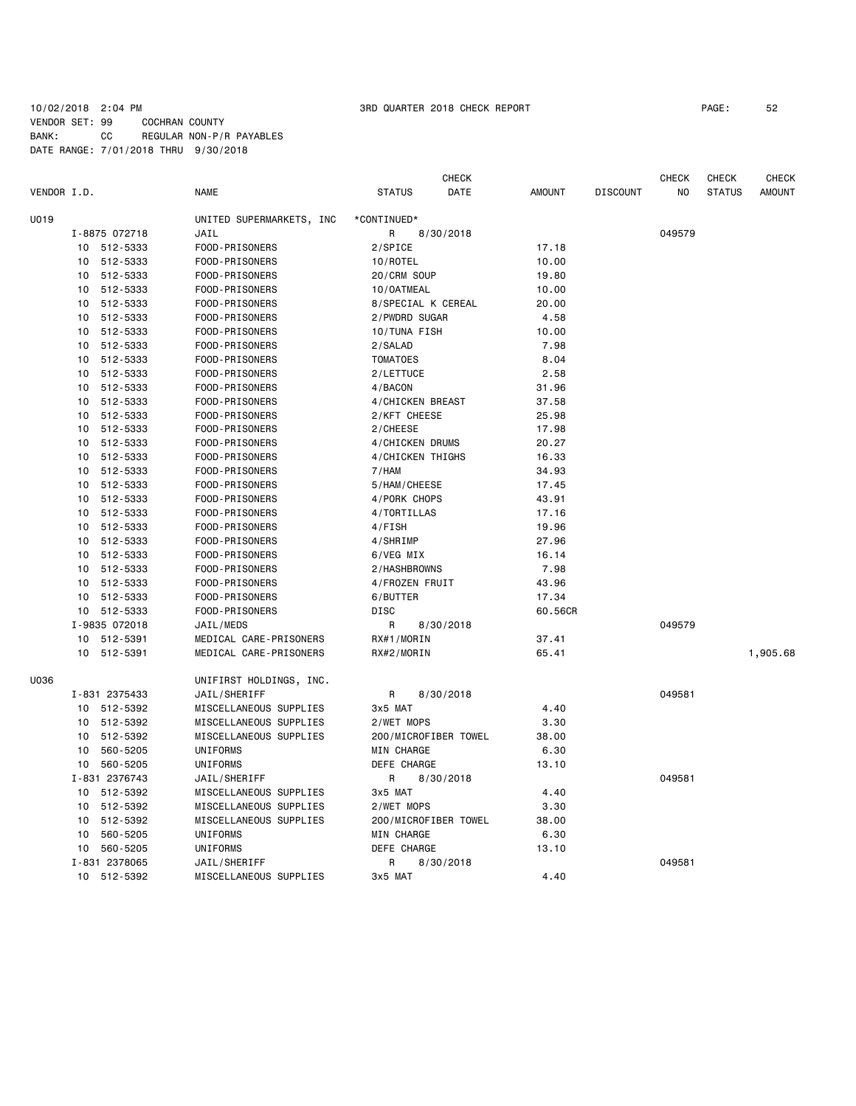### 10/02/2018 2:04 PM 3RD QUARTER 2018 CHECK REPORT PAGE: 52 VENDOR SET: 99 COCHRAN COUNTY BANK: CC REGULAR NON-P/R PAYABLES DATE RANGE: 7/01/2018 THRU 9/30/2018

|             |                             |                          | <b>CHECK</b>                 |                |                 | CHECK  | CHECK         | CHECK         |
|-------------|-----------------------------|--------------------------|------------------------------|----------------|-----------------|--------|---------------|---------------|
| VENDOR I.D. |                             | <b>NAME</b>              | <b>STATUS</b><br>DATE        | <b>AMOUNT</b>  | <b>DISCOUNT</b> | NO     | <b>STATUS</b> | <b>AMOUNT</b> |
| U019        |                             | UNITED SUPERMARKETS, INC | *CONTINUED*                  |                |                 |        |               |               |
|             | I-8875 072718               | JAIL                     | 8/30/2018<br>R               |                |                 | 049579 |               |               |
|             | 10 512-5333                 | FOOD-PRISONERS           | 2/SPICE                      | 17.18          |                 |        |               |               |
|             | 512-5333<br>10              | FOOD-PRISONERS           | 10/ROTEL                     | 10.00          |                 |        |               |               |
|             | 512-5333<br>10              | FOOD-PRISONERS           | 20/CRM SOUP                  | 19.80          |                 |        |               |               |
|             | 512-5333<br>10              | FOOD-PRISONERS           | 10/0ATMEAL                   | 10.00          |                 |        |               |               |
|             | 10<br>512-5333              | FOOD-PRISONERS           | 8/SPECIAL K CEREAL           | 20.00          |                 |        |               |               |
|             | 512-5333<br>10              | FOOD-PRISONERS           | 2/PWDRD SUGAR                | 4.58           |                 |        |               |               |
|             | 512-5333<br>10              | FOOD-PRISONERS           | 10/TUNA FISH                 | 10.00          |                 |        |               |               |
|             | 512-5333<br>10              | FOOD-PRISONERS           | 2/SALAD                      | 7.98           |                 |        |               |               |
|             | 512-5333<br>10              | FOOD-PRISONERS           | <b>TOMATOES</b>              | 8.04           |                 |        |               |               |
|             | 512-5333<br>10              | FOOD-PRISONERS           | 2/LETTUCE                    | 2.58           |                 |        |               |               |
|             | 10 512-5333                 | FOOD-PRISONERS           | 4/BACON                      | 31.96          |                 |        |               |               |
|             | 10<br>512-5333              | FOOD-PRISONERS           | 4/CHICKEN BREAST             | 37.58          |                 |        |               |               |
|             | 10 512-5333                 | FOOD-PRISONERS           | 2/KFT CHEESE                 | 25.98          |                 |        |               |               |
|             | 512-5333<br>10              | FOOD-PRISONERS           | 2/CHEESE                     | 17.98          |                 |        |               |               |
|             | 10 <sup>°</sup><br>512-5333 | FOOD-PRISONERS           | 4/CHICKEN DRUMS              | 20.27          |                 |        |               |               |
|             | 10<br>512-5333              | FOOD-PRISONERS           | 4/CHICKEN THIGHS             | 16.33          |                 |        |               |               |
|             | 512-5333<br>10              | FOOD-PRISONERS           | 7/HAM                        | 34.93          |                 |        |               |               |
|             | 512-5333<br>10              | FOOD-PRISONERS           |                              | 17.45          |                 |        |               |               |
|             | 512-5333<br>10              |                          | 5/HAM/CHEESE<br>4/PORK CHOPS |                |                 |        |               |               |
|             | 512-5333<br>10              | FOOD-PRISONERS           |                              | 43.91<br>17.16 |                 |        |               |               |
|             | 512-5333<br>10              | FOOD-PRISONERS           | 4/TORTILLAS                  | 19.96          |                 |        |               |               |
|             |                             | FOOD-PRISONERS           | 4/FISH                       |                |                 |        |               |               |
|             | 512-5333<br>10              | FOOD-PRISONERS           | 4/SHRIMP                     | 27.96          |                 |        |               |               |
|             | 10<br>512-5333              | FOOD-PRISONERS           | 6/VEG MIX                    | 16.14          |                 |        |               |               |
|             | 512-5333<br>10              | FOOD-PRISONERS           | 2/HASHBROWNS                 | 7.98           |                 |        |               |               |
|             | 512-5333<br>10              | FOOD-PRISONERS           | 4/FROZEN FRUIT               | 43.96          |                 |        |               |               |
|             | 10<br>512-5333              | FOOD-PRISONERS           | 6/BUTTER                     | 17.34          |                 |        |               |               |
|             | 10<br>512-5333              | FOOD-PRISONERS           | DISC                         | 60.56CR        |                 |        |               |               |
|             | I-9835 072018               | JAIL/MEDS                | R<br>8/30/2018               |                |                 | 049579 |               |               |
|             | 10 512-5391                 | MEDICAL CARE-PRISONERS   | RX#1/MORIN                   | 37.41          |                 |        |               |               |
|             | 10 512-5391                 | MEDICAL CARE-PRISONERS   | RX#2/MORIN                   | 65.41          |                 |        |               | 1,905.68      |
| U036        |                             | UNIFIRST HOLDINGS, INC.  |                              |                |                 |        |               |               |
|             | I-831 2375433               | JAIL/SHERIFF             | 8/30/2018<br>R               |                |                 | 049581 |               |               |
|             | 10 512-5392                 | MISCELLANEOUS SUPPLIES   | 3x5 MAT                      | 4.40           |                 |        |               |               |
|             | 10 512-5392                 | MISCELLANEOUS SUPPLIES   | 2/WET MOPS                   | 3.30           |                 |        |               |               |
|             | 512-5392<br>10              | MISCELLANEOUS SUPPLIES   | 200/MICROFIBER TOWEL         | 38.00          |                 |        |               |               |
|             | 560-5205<br>10              | UNIFORMS                 | MIN CHARGE                   | 6.30           |                 |        |               |               |
|             | 10 560-5205                 | UNIFORMS                 | DEFE CHARGE                  | 13.10          |                 |        |               |               |
|             | I-831 2376743               | JAIL/SHERIFF             | R<br>8/30/2018               |                |                 | 049581 |               |               |
|             | 10 512-5392                 | MISCELLANEOUS SUPPLIES   | 3x5 MAT                      | 4.40           |                 |        |               |               |
|             | 512-5392<br>10              | MISCELLANEOUS SUPPLIES   | 2/WET MOPS                   | 3.30           |                 |        |               |               |
|             | 512-5392<br>10              | MISCELLANEOUS SUPPLIES   | 200/MICROFIBER TOWEL         | 38.00          |                 |        |               |               |
|             | 560-5205<br>10              | UNIFORMS                 | MIN CHARGE                   | 6.30           |                 |        |               |               |
|             | 560-5205<br>10              | UNIFORMS                 | DEFE CHARGE                  | 13.10          |                 |        |               |               |
|             | I-831 2378065               | JAIL/SHERIFF             | R<br>8/30/2018               |                |                 | 049581 |               |               |
|             | 10 512-5392                 | MISCELLANEOUS SUPPLIES   | 3x5 MAT                      | 4.40           |                 |        |               |               |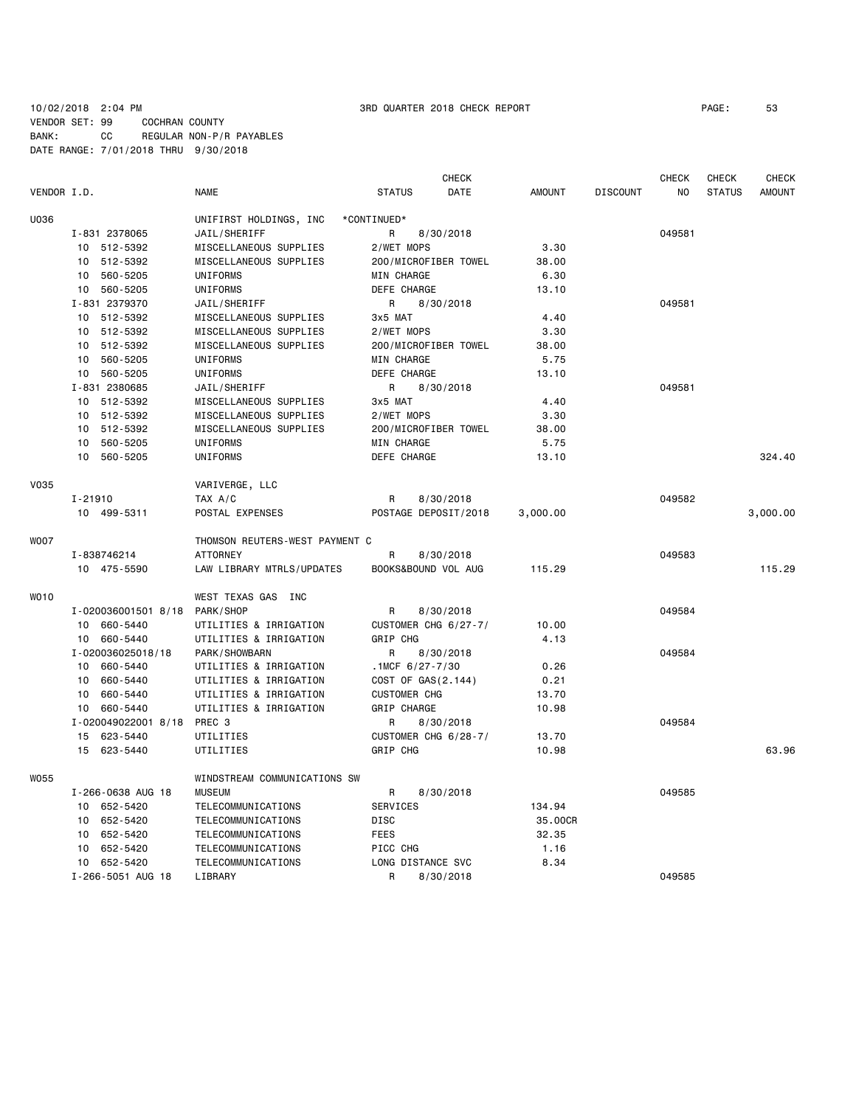10/02/2018 2:04 PM 3RD QUARTER 2018 CHECK REPORT PAGE: 53 VENDOR SET: 99 COCHRAN COUNTY BANK: CC REGULAR NON-P/R PAYABLES DATE RANGE: 7/01/2018 THRU 9/30/2018

|             |                             |                                |                       | <b>CHECK</b> |               |                 | <b>CHECK</b> | <b>CHECK</b>  | <b>CHECK</b>  |
|-------------|-----------------------------|--------------------------------|-----------------------|--------------|---------------|-----------------|--------------|---------------|---------------|
| VENDOR I.D. |                             | <b>NAME</b>                    | <b>STATUS</b>         | DATE         | <b>AMOUNT</b> | <b>DISCOUNT</b> | NO           | <b>STATUS</b> | <b>AMOUNT</b> |
| U036        |                             | UNIFIRST HOLDINGS, INC         | *CONTINUED*           |              |               |                 |              |               |               |
|             | I-831 2378065               | JAIL/SHERIFF                   | R                     | 8/30/2018    |               |                 | 049581       |               |               |
|             | 10 512-5392                 | MISCELLANEOUS SUPPLIES         | 2/WET MOPS            |              | 3.30          |                 |              |               |               |
|             | 512-5392<br>10              | MISCELLANEOUS SUPPLIES         | 200/MICROFIBER TOWEL  |              | 38.00         |                 |              |               |               |
|             | 10 560-5205                 | UNIFORMS                       | <b>MIN CHARGE</b>     |              | 6.30          |                 |              |               |               |
|             | 560-5205<br>10              | UNIFORMS                       | DEFE CHARGE           |              | 13.10         |                 |              |               |               |
|             | I-831 2379370               | JAIL/SHERIFF                   | R                     | 8/30/2018    |               |                 | 049581       |               |               |
|             | 10 512-5392                 | MISCELLANEOUS SUPPLIES         | 3x5 MAT               |              | 4.40          |                 |              |               |               |
|             | 10 <sup>1</sup><br>512-5392 | MISCELLANEOUS SUPPLIES         | 2/WET MOPS            |              | 3.30          |                 |              |               |               |
|             | 512-5392<br>10              | MISCELLANEOUS SUPPLIES         | 200/MICROFIBER TOWEL  |              | 38.00         |                 |              |               |               |
|             | 560-5205<br>10              | UNIFORMS                       | MIN CHARGE            |              | 5.75          |                 |              |               |               |
|             | 560-5205<br>10              | UNIFORMS                       | DEFE CHARGE           |              | 13.10         |                 |              |               |               |
|             | I-831 2380685               | JAIL/SHERIFF                   | R                     | 8/30/2018    |               |                 | 049581       |               |               |
|             | 10 512-5392                 | MISCELLANEOUS SUPPLIES         | 3x5 MAT               |              | 4.40          |                 |              |               |               |
|             | 10 512-5392                 | MISCELLANEOUS SUPPLIES         | 2/WET MOPS            |              | 3.30          |                 |              |               |               |
|             | 10 512-5392                 | MISCELLANEOUS SUPPLIES         | 200/MICROFIBER TOWEL  |              | 38.00         |                 |              |               |               |
|             | 10<br>560-5205              | UNIFORMS                       | <b>MIN CHARGE</b>     |              | 5.75          |                 |              |               |               |
|             | 560-5205<br>10              | UNIFORMS                       | DEFE CHARGE           |              | 13.10         |                 |              |               | 324.40        |
| <b>V035</b> |                             | VARIVERGE, LLC                 |                       |              |               |                 |              |               |               |
|             | I-21910                     | TAX A/C                        | R                     | 8/30/2018    |               |                 | 049582       |               |               |
|             | 10 499-5311                 | POSTAL EXPENSES                | POSTAGE DEPOSIT/2018  |              | 3,000.00      |                 |              |               | 3,000.00      |
|             |                             |                                |                       |              |               |                 |              |               |               |
| WO07        |                             | THOMSON REUTERS-WEST PAYMENT C |                       |              |               |                 |              |               |               |
|             | I-838746214                 | <b>ATTORNEY</b>                | R                     | 8/30/2018    |               |                 | 049583       |               |               |
|             | 10 475-5590                 | LAW LIBRARY MTRLS/UPDATES      | BOOKS&BOUND VOL AUG   |              | 115.29        |                 |              |               | 115.29        |
| W010        |                             | WEST TEXAS GAS INC             |                       |              |               |                 |              |               |               |
|             | I-020036001501 8/18         | PARK/SHOP                      | R                     | 8/30/2018    |               |                 | 049584       |               |               |
|             | 660-5440<br>10              | UTILITIES & IRRIGATION         | CUSTOMER CHG 6/27-7/  |              | 10.00         |                 |              |               |               |
|             | 10 660-5440                 | UTILITIES & IRRIGATION         | GRIP CHG              |              | 4.13          |                 |              |               |               |
|             | I-020036025018/18           | PARK/SHOWBARN                  | R                     | 8/30/2018    |               |                 | 049584       |               |               |
|             | 10 660-5440                 | UTILITIES & IRRIGATION         | .1MCF $6/27 - 7/30$   |              | 0.26          |                 |              |               |               |
|             | 660-5440<br>10              | UTILITIES & IRRIGATION         | COST OF GAS $(2.144)$ |              | 0.21          |                 |              |               |               |
|             | 10 660-5440                 | UTILITIES & IRRIGATION         | <b>CUSTOMER CHG</b>   |              | 13.70         |                 |              |               |               |
|             | 10 660-5440                 | UTILITIES & IRRIGATION         | GRIP CHARGE           |              | 10.98         |                 |              |               |               |
|             | I-020049022001 8/18         | PREC 3                         | R                     | 8/30/2018    |               |                 | 049584       |               |               |
|             | 15<br>623-5440              | UTILITIES                      | CUSTOMER CHG 6/28-7/  |              | 13.70         |                 |              |               |               |
|             | 623-5440<br>15              | UTILITIES                      | GRIP CHG              |              | 10.98         |                 |              |               | 63.96         |
| <b>W055</b> |                             | WINDSTREAM COMMUNICATIONS SW   |                       |              |               |                 |              |               |               |
|             | I-266-0638 AUG 18           | <b>MUSEUM</b>                  | R                     | 8/30/2018    |               |                 | 049585       |               |               |
|             | 652-5420<br>10              | TELECOMMUNICATIONS             | SERVICES              |              | 134.94        |                 |              |               |               |
|             | 652-5420<br>10              | TELECOMMUNICATIONS             | DISC                  |              | 35.00CR       |                 |              |               |               |
|             | 652-5420<br>10              | TELECOMMUNICATIONS             | <b>FEES</b>           |              | 32.35         |                 |              |               |               |
|             | 652-5420<br>10              | TELECOMMUNICATIONS             | PICC CHG              |              | 1.16          |                 |              |               |               |
|             | 10 652-5420                 | TELECOMMUNICATIONS             | LONG DISTANCE SVC     |              | 8.34          |                 |              |               |               |
|             | I-266-5051 AUG 18           | LIBRARY                        | R                     | 8/30/2018    |               |                 | 049585       |               |               |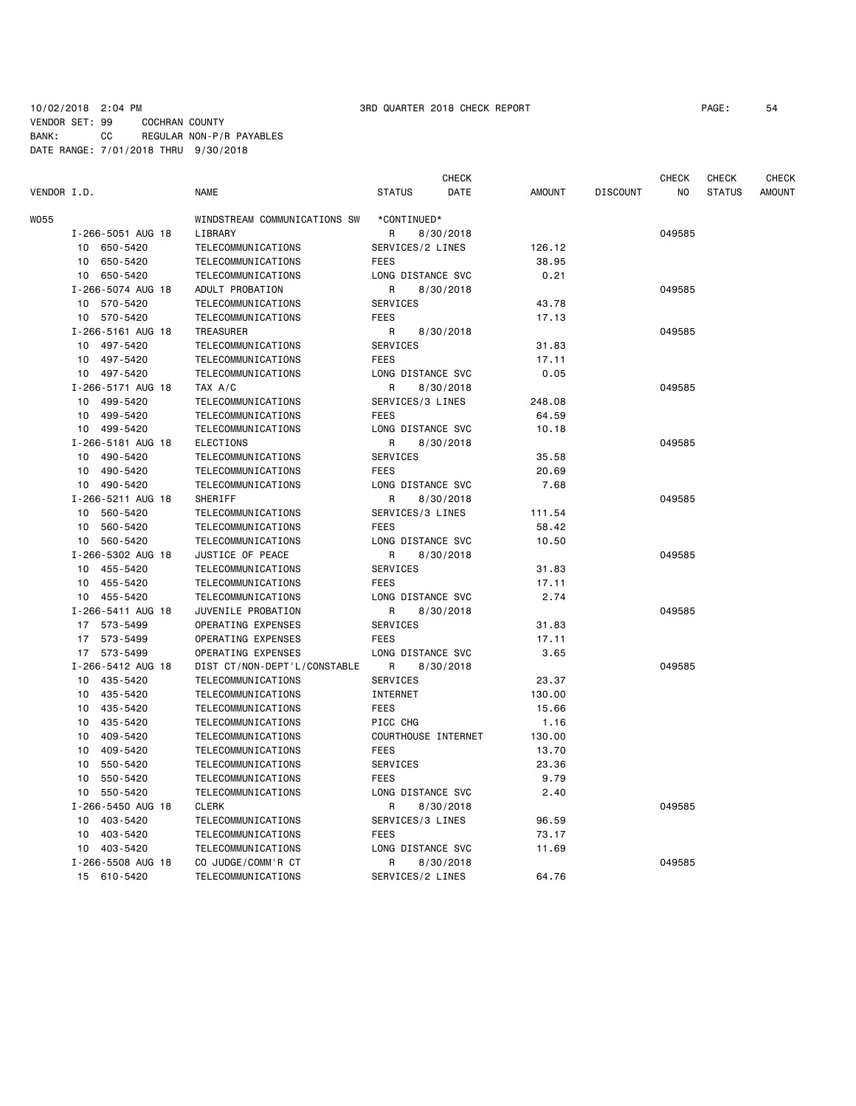### 10/02/2018 2:04 PM 3RD QUARTER 2018 CHECK REPORT PAGE: 54 VENDOR SET: 99 COCHRAN COUNTY BANK: CC REGULAR NON-P/R PAYABLES DATE RANGE: 7/01/2018 THRU 9/30/2018

|             |                   |                              |                     |                   | <b>CHECK</b> |               |                 | <b>CHECK</b> | <b>CHECK</b>  | <b>CHECK</b>  |
|-------------|-------------------|------------------------------|---------------------|-------------------|--------------|---------------|-----------------|--------------|---------------|---------------|
| VENDOR I.D. |                   | <b>NAME</b>                  | <b>STATUS</b>       |                   | DATE         | <b>AMOUNT</b> | <b>DISCOUNT</b> | NO           | <b>STATUS</b> | <b>AMOUNT</b> |
| W055        |                   | WINDSTREAM COMMUNICATIONS SW | *CONTINUED*         |                   |              |               |                 |              |               |               |
|             | I-266-5051 AUG 18 | LIBRARY                      | R                   | 8/30/2018         |              |               |                 | 049585       |               |               |
| 10          | 650-5420          | TELECOMMUNICATIONS           | SERVICES/2 LINES    |                   |              | 126.12        |                 |              |               |               |
| 10          | 650-5420          | TELECOMMUNICATIONS           | <b>FEES</b>         |                   |              | 38.95         |                 |              |               |               |
| 10          | 650-5420          | TELECOMMUNICATIONS           |                     | LONG DISTANCE SVC |              | 0.21          |                 |              |               |               |
|             | I-266-5074 AUG 18 | ADULT PROBATION              | R                   | 8/30/2018         |              |               |                 | 049585       |               |               |
| 10          | 570-5420          | <b>TELECOMMUNICATIONS</b>    | <b>SERVICES</b>     |                   |              | 43.78         |                 |              |               |               |
| 10          | 570-5420          | TELECOMMUNICATIONS           | <b>FEES</b>         |                   |              | 17.13         |                 |              |               |               |
|             | I-266-5161 AUG 18 | <b>TREASURER</b>             | R                   | 8/30/2018         |              |               |                 | 049585       |               |               |
| 10          | 497-5420          | TELECOMMUNICATIONS           | <b>SERVICES</b>     |                   |              | 31.83         |                 |              |               |               |
| 10          | 497-5420          | TELECOMMUNICATIONS           | <b>FEES</b>         |                   |              | 17.11         |                 |              |               |               |
| 10          | 497-5420          | <b>TELECOMMUNICATIONS</b>    |                     | LONG DISTANCE SVC |              | 0.05          |                 |              |               |               |
|             | I-266-5171 AUG 18 | TAX A/C                      | R                   | 8/30/2018         |              |               |                 | 049585       |               |               |
| 10          | 499-5420          | <b>TELECOMMUNICATIONS</b>    | SERVICES/3 LINES    |                   |              | 248.08        |                 |              |               |               |
| 10          | 499-5420          | <b>TELECOMMUNICATIONS</b>    | <b>FEES</b>         |                   |              | 64.59         |                 |              |               |               |
| 10          | 499-5420          | <b>TELECOMMUNICATIONS</b>    | LONG DISTANCE SVC   |                   |              | 10.18         |                 |              |               |               |
|             | I-266-5181 AUG 18 | <b>ELECTIONS</b>             | R                   | 8/30/2018         |              |               |                 | 049585       |               |               |
| 10          | 490-5420          | TELECOMMUNICATIONS           | SERVICES            |                   |              | 35.58         |                 |              |               |               |
| 10          | 490-5420          | TELECOMMUNICATIONS           | <b>FEES</b>         |                   |              | 20.69         |                 |              |               |               |
| 10          | 490-5420          | <b>TELECOMMUNICATIONS</b>    |                     | LONG DISTANCE SVC |              | 7.68          |                 |              |               |               |
|             | I-266-5211 AUG 18 | SHERIFF                      | R                   | 8/30/2018         |              |               |                 | 049585       |               |               |
| 10          | 560-5420          | TELECOMMUNICATIONS           | SERVICES/3 LINES    |                   |              | 111.54        |                 |              |               |               |
| 10          | 560-5420          | <b>TELECOMMUNICATIONS</b>    | <b>FEES</b>         |                   |              | 58.42         |                 |              |               |               |
| 10          | 560-5420          | TELECOMMUNICATIONS           |                     | LONG DISTANCE SVC |              | 10.50         |                 |              |               |               |
|             | I-266-5302 AUG 18 | JUSTICE OF PEACE             | R                   | 8/30/2018         |              |               |                 | 049585       |               |               |
| 10          | 455-5420          | TELECOMMUNICATIONS           | <b>SERVICES</b>     |                   |              | 31.83         |                 |              |               |               |
| 10          | 455-5420          | <b>TELECOMMUNICATIONS</b>    | <b>FEES</b>         |                   |              | 17.11         |                 |              |               |               |
| 10          | 455-5420          | TELECOMMUNICATIONS           |                     | LONG DISTANCE SVC |              | 2.74          |                 |              |               |               |
|             | I-266-5411 AUG 18 | JUVENILE PROBATION           | R                   | 8/30/2018         |              |               |                 | 049585       |               |               |
| 17 573-5499 |                   | OPERATING EXPENSES           | <b>SERVICES</b>     |                   |              | 31.83         |                 |              |               |               |
| 17          | 573-5499          | OPERATING EXPENSES           | <b>FEES</b>         |                   |              | 17.11         |                 |              |               |               |
| 17          | 573-5499          | OPERATING EXPENSES           |                     | LONG DISTANCE SVC |              | 3.65          |                 |              |               |               |
|             | I-266-5412 AUG 18 | DIST CT/NON-DEPT'L/CONSTABLE | R                   | 8/30/2018         |              |               |                 | 049585       |               |               |
| 10          | 435-5420          | TELECOMMUNICATIONS           | <b>SERVICES</b>     |                   |              | 23.37         |                 |              |               |               |
| 10          | 435-5420          | <b>TELECOMMUNICATIONS</b>    | <b>INTERNET</b>     |                   |              | 130.00        |                 |              |               |               |
| 10          | 435-5420          | TELECOMMUNICATIONS           | <b>FEES</b>         |                   |              | 15.66         |                 |              |               |               |
| 10          | 435-5420          | <b>TELECOMMUNICATIONS</b>    | PICC CHG            |                   |              | 1.16          |                 |              |               |               |
| 10          | 409-5420          | TELECOMMUNICATIONS           | COURTHOUSE INTERNET |                   |              | 130.00        |                 |              |               |               |
| 10          | 409-5420          | TELECOMMUNICATIONS           | <b>FEES</b>         |                   |              | 13.70         |                 |              |               |               |
| 10          | 550-5420          | TELECOMMUNICATIONS           | <b>SERVICES</b>     |                   |              | 23.36         |                 |              |               |               |
| 10          | 550-5420          | TELECOMMUNICATIONS           | <b>FEES</b>         |                   |              | 9.79          |                 |              |               |               |
| 10          | 550-5420          | <b>TELECOMMUNICATIONS</b>    |                     | LONG DISTANCE SVC |              | 2.40          |                 |              |               |               |
|             | I-266-5450 AUG 18 | <b>CLERK</b>                 | R                   | 8/30/2018         |              |               |                 | 049585       |               |               |
| 10          | 403-5420          | TELECOMMUNICATIONS           | SERVICES/3 LINES    |                   |              | 96.59         |                 |              |               |               |
| 10          | 403-5420          | TELECOMMUNICATIONS           | <b>FEES</b>         |                   |              | 73.17         |                 |              |               |               |
| 10          | 403-5420          | TELECOMMUNICATIONS           |                     | LONG DISTANCE SVC |              | 11.69         |                 |              |               |               |
|             | I-266-5508 AUG 18 | CO JUDGE/COMM'R CT           | R                   | 8/30/2018         |              |               |                 | 049585       |               |               |
| 15 610-5420 |                   | TELECOMMUNICATIONS           |                     | SERVICES/2 LINES  |              | 64.76         |                 |              |               |               |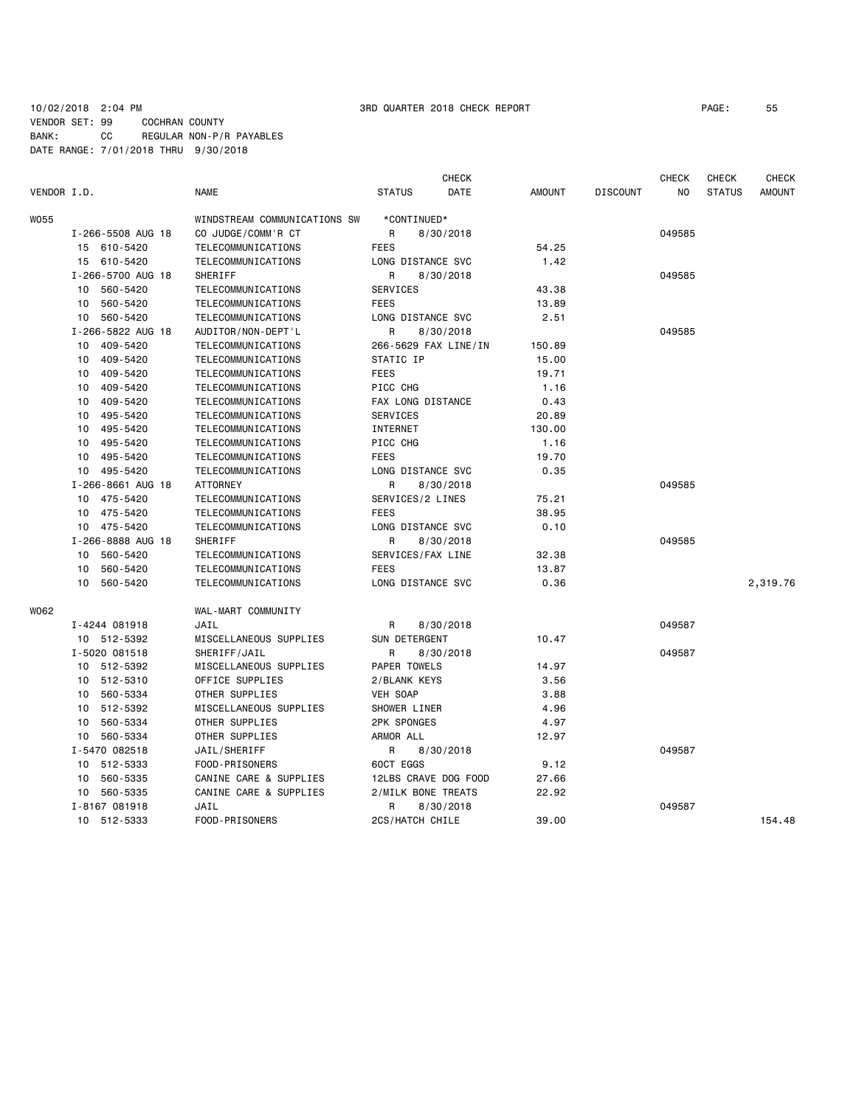### 10/02/2018 2:04 PM 3RD QUARTER 2018 CHECK REPORT PAGE: 55 VENDOR SET: 99 COCHRAN COUNTY BANK: CC REGULAR NON-P/R PAYABLES DATE RANGE: 7/01/2018 THRU 9/30/2018

|                   |                   |                              |                      | <b>CHECK</b> |               |                 | <b>CHECK</b> | <b>CHECK</b>  | CHECK         |
|-------------------|-------------------|------------------------------|----------------------|--------------|---------------|-----------------|--------------|---------------|---------------|
| VENDOR I.D.       |                   | <b>NAME</b>                  | <b>STATUS</b>        | DATE         | <b>AMOUNT</b> | <b>DISCOUNT</b> | NO.          | <b>STATUS</b> | <b>AMOUNT</b> |
| <b>W055</b>       |                   | WINDSTREAM COMMUNICATIONS SW | *CONTINUED*          |              |               |                 |              |               |               |
|                   | I-266-5508 AUG 18 | CO JUDGE/COMM'R CT           | R                    | 8/30/2018    |               |                 | 049585       |               |               |
|                   | 15 610-5420       | TELECOMMUNICATIONS           | <b>FEES</b>          |              | 54.25         |                 |              |               |               |
|                   | 15 610-5420       | TELECOMMUNICATIONS           | LONG DISTANCE SVC    |              | 1.42          |                 |              |               |               |
|                   | I-266-5700 AUG 18 | SHERIFF                      | R                    | 8/30/2018    |               |                 | 049585       |               |               |
|                   | 560-5420<br>10    | TELECOMMUNICATIONS           | <b>SERVICES</b>      |              | 43.38         |                 |              |               |               |
|                   | 560-5420<br>10    | TELECOMMUNICATIONS           | <b>FEES</b>          |              | 13.89         |                 |              |               |               |
|                   | 10 560-5420       | TELECOMMUNICATIONS           | LONG DISTANCE SVC    |              | 2.51          |                 |              |               |               |
|                   | I-266-5822 AUG 18 | AUDITOR/NON-DEPT'L           | R                    | 8/30/2018    |               |                 | 049585       |               |               |
|                   | 409-5420<br>10    | TELECOMMUNICATIONS           | 266-5629 FAX LINE/IN |              | 150.89        |                 |              |               |               |
|                   | 409-5420<br>10    | TELECOMMUNICATIONS           | STATIC IP            |              | 15.00         |                 |              |               |               |
|                   | 409-5420<br>10    | TELECOMMUNICATIONS           | <b>FEES</b>          |              | 19.71         |                 |              |               |               |
|                   | 10<br>409-5420    | TELECOMMUNICATIONS           | PICC CHG             |              | 1.16          |                 |              |               |               |
|                   | 409-5420<br>10    | TELECOMMUNICATIONS           | FAX LONG DISTANCE    |              | 0.43          |                 |              |               |               |
|                   | 495-5420<br>10    | TELECOMMUNICATIONS           | <b>SERVICES</b>      |              | 20.89         |                 |              |               |               |
|                   | 495-5420<br>10    | TELECOMMUNICATIONS           | INTERNET             |              | 130.00        |                 |              |               |               |
|                   | 495-5420<br>10    | TELECOMMUNICATIONS           | PICC CHG             |              | 1.16          |                 |              |               |               |
|                   | 495-5420<br>10    | TELECOMMUNICATIONS           | <b>FEES</b>          |              | 19.70         |                 |              |               |               |
|                   | 10 495-5420       | TELECOMMUNICATIONS           | LONG DISTANCE SVC    |              | 0.35          |                 |              |               |               |
| I-266-8661 AUG 18 |                   | <b>ATTORNEY</b>              | R                    | 8/30/2018    |               |                 | 049585       |               |               |
|                   | 475-5420<br>10    | TELECOMMUNICATIONS           | SERVICES/2 LINES     |              | 75.21         |                 |              |               |               |
|                   | 475-5420<br>10    | TELECOMMUNICATIONS           | <b>FEES</b>          |              | 38.95         |                 |              |               |               |
|                   | 10 475-5420       | TELECOMMUNICATIONS           | LONG DISTANCE SVC    |              | 0.10          |                 |              |               |               |
|                   | I-266-8888 AUG 18 | SHERIFF                      | R                    | 8/30/2018    |               |                 | 049585       |               |               |
|                   | 560-5420<br>10    | TELECOMMUNICATIONS           | SERVICES/FAX LINE    |              | 32.38         |                 |              |               |               |
|                   | 560-5420<br>10    | TELECOMMUNICATIONS           | <b>FEES</b>          |              | 13.87         |                 |              |               |               |
|                   | 560-5420<br>10    | TELECOMMUNICATIONS           | LONG DISTANCE SVC    |              | 0.36          |                 |              |               | 2,319.76      |
| W062              |                   | WAL-MART COMMUNITY           |                      |              |               |                 |              |               |               |
|                   | I-4244 081918     | JAIL                         | R                    | 8/30/2018    |               |                 | 049587       |               |               |
|                   | 10 512-5392       | MISCELLANEOUS SUPPLIES       | SUN DETERGENT        |              | 10.47         |                 |              |               |               |
|                   | I-5020 081518     | SHERIFF/JAIL                 | R                    | 8/30/2018    |               |                 | 049587       |               |               |
|                   | 10 512-5392       | MISCELLANEOUS SUPPLIES       | PAPER TOWELS         |              | 14.97         |                 |              |               |               |
|                   | 10 512-5310       | OFFICE SUPPLIES              | 2/BLANK KEYS         |              | 3.56          |                 |              |               |               |
|                   | 560-5334<br>10    | OTHER SUPPLIES               | VEH SOAP             |              | 3.88          |                 |              |               |               |
|                   | 512-5392<br>10    | MISCELLANEOUS SUPPLIES       | SHOWER LINER         |              | 4.96          |                 |              |               |               |
|                   | 560-5334<br>10    | OTHER SUPPLIES               | <b>2PK SPONGES</b>   |              | 4.97          |                 |              |               |               |
|                   | 560-5334<br>10    | OTHER SUPPLIES               | ARMOR ALL            |              | 12.97         |                 |              |               |               |
|                   | I-5470 082518     | JAIL/SHERIFF                 | R                    | 8/30/2018    |               |                 | 049587       |               |               |
|                   | 512-5333<br>10    | FOOD-PRISONERS               | 60CT EGGS            |              | 9.12          |                 |              |               |               |
|                   | 560-5335<br>10    | CANINE CARE & SUPPLIES       | 12LBS CRAVE DOG FOOD |              | 27.66         |                 |              |               |               |
|                   | 560-5335<br>10    | CANINE CARE & SUPPLIES       | 2/MILK BONE TREATS   |              | 22.92         |                 |              |               |               |
|                   | I-8167 081918     | JAIL                         | R                    | 8/30/2018    |               |                 | 049587       |               |               |
|                   | 10 512-5333       | FOOD-PRISONERS               | 2CS/HATCH CHILE      |              | 39.00         |                 |              |               | 154.48        |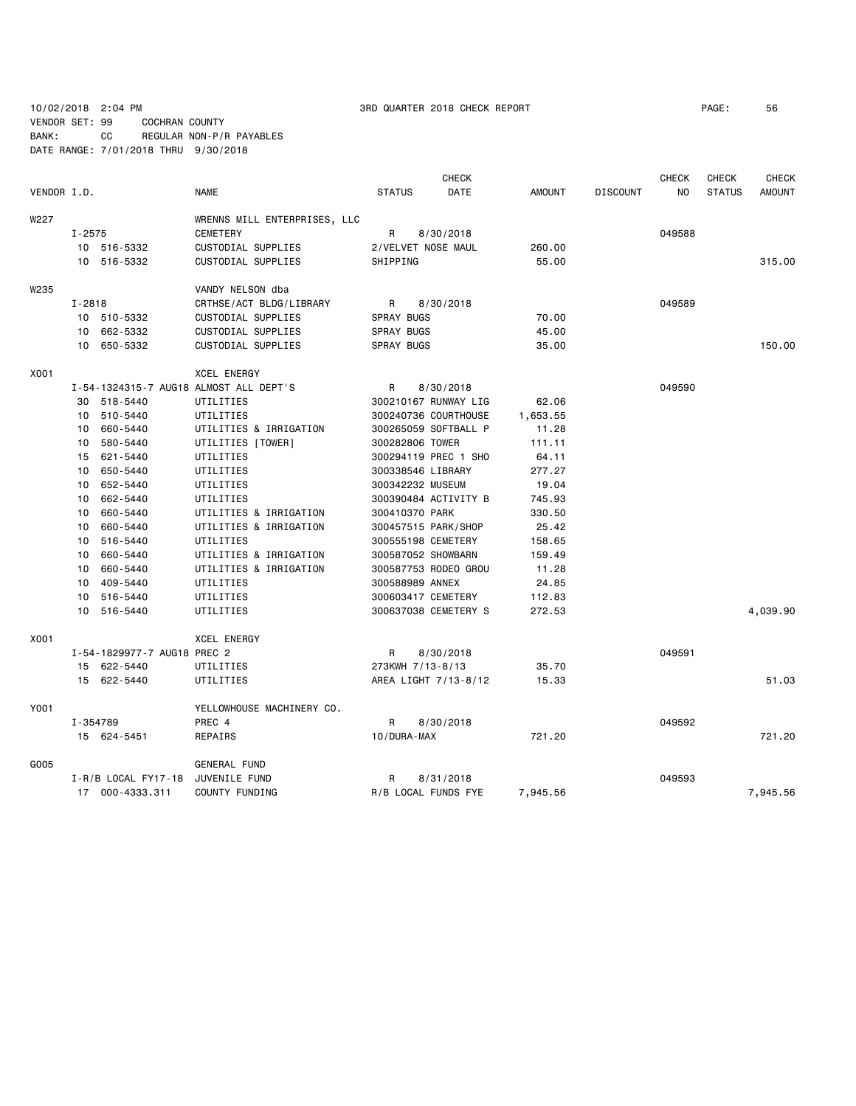10/02/2018 2:04 PM 3RD QUARTER 2018 CHECK REPORT PAGE: 56 VENDOR SET: 99 COCHRAN COUNTY BANK: CC REGULAR NON-P/R PAYABLES DATE RANGE: 7/01/2018 THRU 9/30/2018

|                                          | <b>CHECK</b>          |               |                 | <b>CHECK</b>   | <b>CHECK</b>  | <b>CHECK</b>  |
|------------------------------------------|-----------------------|---------------|-----------------|----------------|---------------|---------------|
| VENDOR I.D.<br><b>NAME</b>               | <b>STATUS</b><br>DATE | <b>AMOUNT</b> | <b>DISCOUNT</b> | N <sub>O</sub> | <b>STATUS</b> | <b>AMOUNT</b> |
| W227<br>WRENNS MILL ENTERPRISES, LLC     |                       |               |                 |                |               |               |
| $I - 2575$<br><b>CEMETERY</b>            | R<br>8/30/2018        |               |                 | 049588         |               |               |
| 10 516-5332<br>CUSTODIAL SUPPLIES        | 2/VELVET NOSE MAUL    | 260,00        |                 |                |               |               |
| 10 516-5332<br>CUSTODIAL SUPPLIES        | SHIPPING              | 55.00         |                 |                |               | 315.00        |
| W235<br>VANDY NELSON dba                 |                       |               |                 |                |               |               |
| $I - 2818$<br>CRTHSE/ACT BLDG/LIBRARY    | R<br>8/30/2018        |               |                 | 049589         |               |               |
| 10 510-5332<br>CUSTODIAL SUPPLIES        | <b>SPRAY BUGS</b>     | 70.00         |                 |                |               |               |
| 10 662-5332<br>CUSTODIAL SUPPLIES        | <b>SPRAY BUGS</b>     | 45.00         |                 |                |               |               |
| 10 650-5332<br>CUSTODIAL SUPPLIES        | <b>SPRAY BUGS</b>     | 35.00         |                 |                |               | 150.00        |
|                                          |                       |               |                 |                |               |               |
| X001<br><b>XCEL ENERGY</b>               |                       |               |                 |                |               |               |
| I-54-1324315-7 AUG18 ALMOST ALL DEPT'S   | R<br>8/30/2018        |               |                 | 049590         |               |               |
| 30 518-5440<br>UTILITIES                 | 300210167 RUNWAY LIG  | 62.06         |                 |                |               |               |
| 10 510-5440<br>UTILITIES                 | 300240736 COURTHOUSE  | 1,653.55      |                 |                |               |               |
| 10 660-5440<br>UTILITIES & IRRIGATION    | 300265059 SOFTBALL P  | 11.28         |                 |                |               |               |
| 10<br>580-5440<br>UTILITIES [TOWER]      | 300282806 TOWER       | 111.11        |                 |                |               |               |
| 621-5440<br>UTILITIES<br>15              | 300294119 PREC 1 SHO  | 64.11         |                 |                |               |               |
| 10 650-5440<br>UTILITIES                 | 300338546 LIBRARY     | 277.27        |                 |                |               |               |
| 10 652-5440<br>UTILITIES                 | 300342232 MUSEUM      | 19.04         |                 |                |               |               |
| 662-5440<br>UTILITIES<br>10              | 300390484 ACTIVITY B  | 745.93        |                 |                |               |               |
| 10 660-5440<br>UTILITIES & IRRIGATION    | 300410370 PARK        | 330.50        |                 |                |               |               |
| 10<br>660-5440<br>UTILITIES & IRRIGATION | 300457515 PARK/SHOP   | 25.42         |                 |                |               |               |
| 516-5440<br>UTILITIES<br>10              | 300555198 CEMETERY    | 158.65        |                 |                |               |               |
| 10 660-5440<br>UTILITIES & IRRIGATION    | 300587052 SHOWBARN    | 159.49        |                 |                |               |               |
| 660-5440<br>UTILITIES & IRRIGATION<br>10 | 300587753 RODEO GROU  | 11.28         |                 |                |               |               |
| 409-5440<br>UTILITIES<br>10              | 300588989 ANNEX       | 24.85         |                 |                |               |               |
| 10 516-5440<br>UTILITIES                 | 300603417 CEMETERY    | 112.83        |                 |                |               |               |
| 10 516-5440<br>UTILITIES                 | 300637038 CEMETERY S  | 272.53        |                 |                |               | 4,039.90      |
| X001<br><b>XCEL ENERGY</b>               |                       |               |                 |                |               |               |
| I-54-1829977-7 AUG18 PREC 2              | R<br>8/30/2018        |               |                 | 049591         |               |               |
| 15 622-5440<br>UTILITIES                 | 273KWH 7/13-8/13      | 35.70         |                 |                |               |               |
| 15 622-5440<br>UTILITIES                 | AREA LIGHT 7/13-8/12  | 15.33         |                 |                |               | 51.03         |
| Y001<br>YELLOWHOUSE MACHINERY CO.        |                       |               |                 |                |               |               |
| I-354789<br>PREC 4                       | R<br>8/30/2018        |               |                 | 049592         |               |               |
| 15 624-5451<br>REPAIRS                   | 10/DURA-MAX           | 721.20        |                 |                |               | 721.20        |
| G005<br><b>GENERAL FUND</b>              |                       |               |                 |                |               |               |
| $I-R/B$ LOCAL FY17-18<br>JUVENILE FUND   | R<br>8/31/2018        |               |                 | 049593         |               |               |
| 17 000-4333.311<br>COUNTY FUNDING        | R/B LOCAL FUNDS FYE   | 7,945.56      |                 |                |               | 7,945.56      |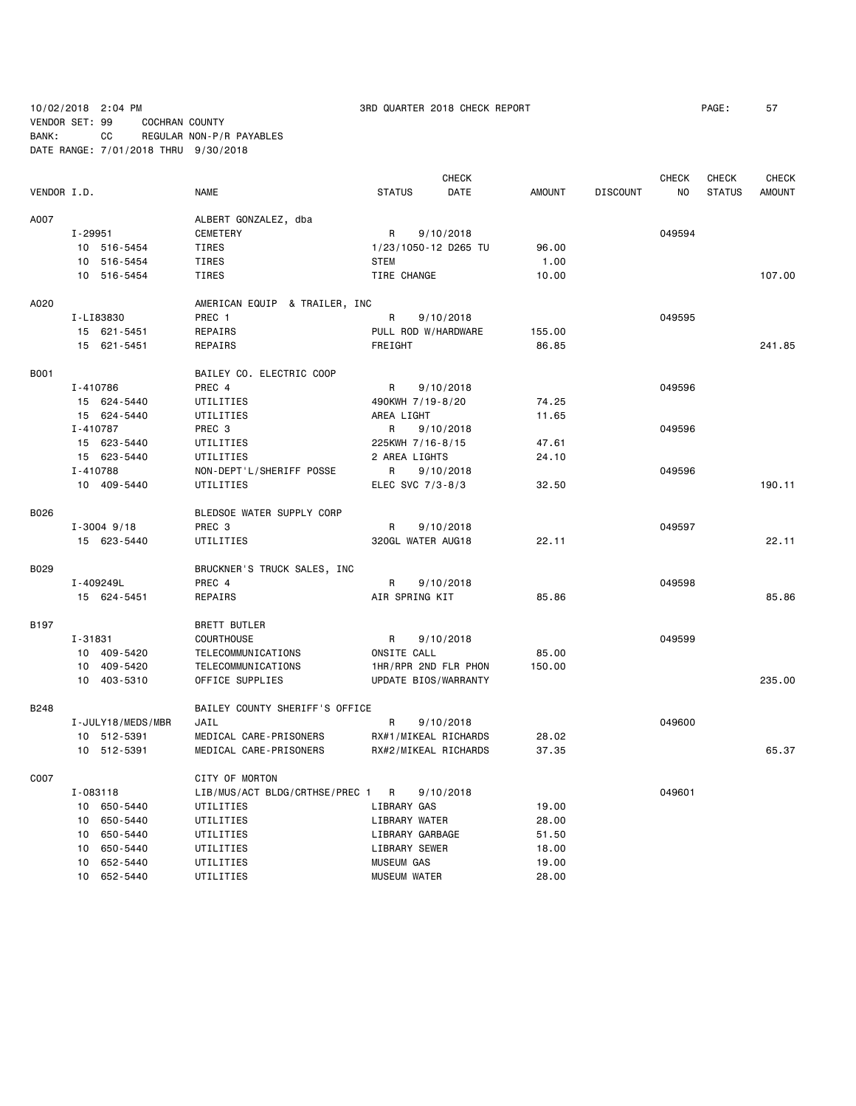10/02/2018 2:04 PM 3RD QUARTER 2018 CHECK REPORT PAGE: 57 VENDOR SET: 99 COCHRAN COUNTY BANK: CC REGULAR NON-P/R PAYABLES DATE RANGE: 7/01/2018 THRU 9/30/2018

|             |                   |                                | <b>CHECK</b>                  |               |                 | CHECK  | CHECK         | <b>CHECK</b>  |
|-------------|-------------------|--------------------------------|-------------------------------|---------------|-----------------|--------|---------------|---------------|
| VENDOR I.D. |                   | <b>NAME</b>                    | <b>STATUS</b><br>DATE         | <b>AMOUNT</b> | <b>DISCOUNT</b> | NO     | <b>STATUS</b> | <b>AMOUNT</b> |
| A007        |                   | ALBERT GONZALEZ, dba           |                               |               |                 |        |               |               |
|             | I-29951           | CEMETERY                       | R<br>9/10/2018                |               |                 | 049594 |               |               |
|             | 10 516-5454       | TIRES                          | 1/23/1050-12 D265 TU          | 96.00         |                 |        |               |               |
|             | 10 516-5454       | TIRES                          | <b>STEM</b>                   | 1.00          |                 |        |               |               |
|             | 10 516-5454       | TIRES                          | TIRE CHANGE                   | 10.00         |                 |        |               | 107.00        |
| A020        |                   | AMERICAN EQUIP & TRAILER, INC  |                               |               |                 |        |               |               |
|             | I-LI83830         | PREC 1                         | R<br>9/10/2018                |               |                 | 049595 |               |               |
|             | 15 621-5451       | REPAIRS                        | PULL ROD W/HARDWARE           | 155.00        |                 |        |               |               |
|             | 15 621-5451       | REPAIRS                        | FREIGHT                       | 86.85         |                 |        |               | 241.85        |
| B001        |                   | BAILEY CO. ELECTRIC COOP       |                               |               |                 |        |               |               |
|             | I-410786          | PREC 4                         | R<br>9/10/2018                |               |                 | 049596 |               |               |
|             | 15 624-5440       | UTILITIES                      | 490KWH 7/19-8/20              | 74.25         |                 |        |               |               |
|             | 15 624-5440       | UTILITIES                      | AREA LIGHT                    | 11.65         |                 |        |               |               |
|             | I-410787          | PREC <sub>3</sub>              | R<br>9/10/2018                |               |                 | 049596 |               |               |
|             | 15 623-5440       | UTILITIES                      | 225KWH 7/16-8/15              | 47.61         |                 |        |               |               |
|             | 15 623-5440       | UTILITIES                      | 2 AREA LIGHTS                 | 24,10         |                 |        |               |               |
|             | I-410788          |                                | R                             |               |                 | 049596 |               |               |
|             | 10 409-5440       | NON-DEPT'L/SHERIFF POSSE       | 9/10/2018<br>ELEC SVC 7/3-8/3 |               |                 |        |               | 190.11        |
|             |                   | UTILITIES                      |                               | 32.50         |                 |        |               |               |
| B026        |                   | BLEDSOE WATER SUPPLY CORP      |                               |               |                 |        |               |               |
|             | $I - 3004$ 9/18   | PREC 3                         | R<br>9/10/2018                |               |                 | 049597 |               |               |
|             | 15 623-5440       | UTILITIES                      | 320GL WATER AUG18             | 22.11         |                 |        |               | 22.11         |
| B029        |                   | BRUCKNER'S TRUCK SALES, INC    |                               |               |                 |        |               |               |
|             | I-409249L         | PREC 4                         | R<br>9/10/2018                |               |                 | 049598 |               |               |
|             | 15 624-5451       | REPAIRS                        | AIR SPRING KIT                | 85.86         |                 |        |               | 85.86         |
| B197        |                   | BRETT BUTLER                   |                               |               |                 |        |               |               |
|             | I-31831           | <b>COURTHOUSE</b>              | R<br>9/10/2018                |               |                 | 049599 |               |               |
|             | 10 409-5420       | TELECOMMUNICATIONS             | ONSITE CALL                   | 85.00         |                 |        |               |               |
|             | 10 409-5420       | TELECOMMUNICATIONS             | 1HR/RPR 2ND FLR PHON          | 150.00        |                 |        |               |               |
|             | 10 403-5310       | OFFICE SUPPLIES                | UPDATE BIOS/WARRANTY          |               |                 |        |               | 235.00        |
| <b>B248</b> |                   | BAILEY COUNTY SHERIFF'S OFFICE |                               |               |                 |        |               |               |
|             | I-JULY18/MEDS/MBR | JAIL                           | R<br>9/10/2018                |               |                 | 049600 |               |               |
|             | 10 512-5391       | MEDICAL CARE-PRISONERS         | RX#1/MIKEAL RICHARDS          | 28.02         |                 |        |               |               |
|             | 10 512-5391       | MEDICAL CARE-PRISONERS         | RX#2/MIKEAL RICHARDS          | 37.35         |                 |        |               | 65.37         |
| C007        |                   | CITY OF MORTON                 |                               |               |                 |        |               |               |
|             | I-083118          | LIB/MUS/ACT BLDG/CRTHSE/PREC 1 | $\mathsf{R}$<br>9/10/2018     |               |                 | 049601 |               |               |
|             | 10 650-5440       | UTILITIES                      | LIBRARY GAS                   | 19.00         |                 |        |               |               |
|             | 10 650-5440       | UTILITIES                      | LIBRARY WATER                 | 28.00         |                 |        |               |               |
|             | 10 650-5440       | UTILITIES                      | LIBRARY GARBAGE               | 51.50         |                 |        |               |               |
|             | 10 650-5440       | UTILITIES                      | LIBRARY SEWER                 | 18.00         |                 |        |               |               |
|             | 10 652-5440       | UTILITIES                      | <b>MUSEUM GAS</b>             | 19.00         |                 |        |               |               |
|             | 10 652-5440       | UTILITIES                      | <b>MUSEUM WATER</b>           | 28,00         |                 |        |               |               |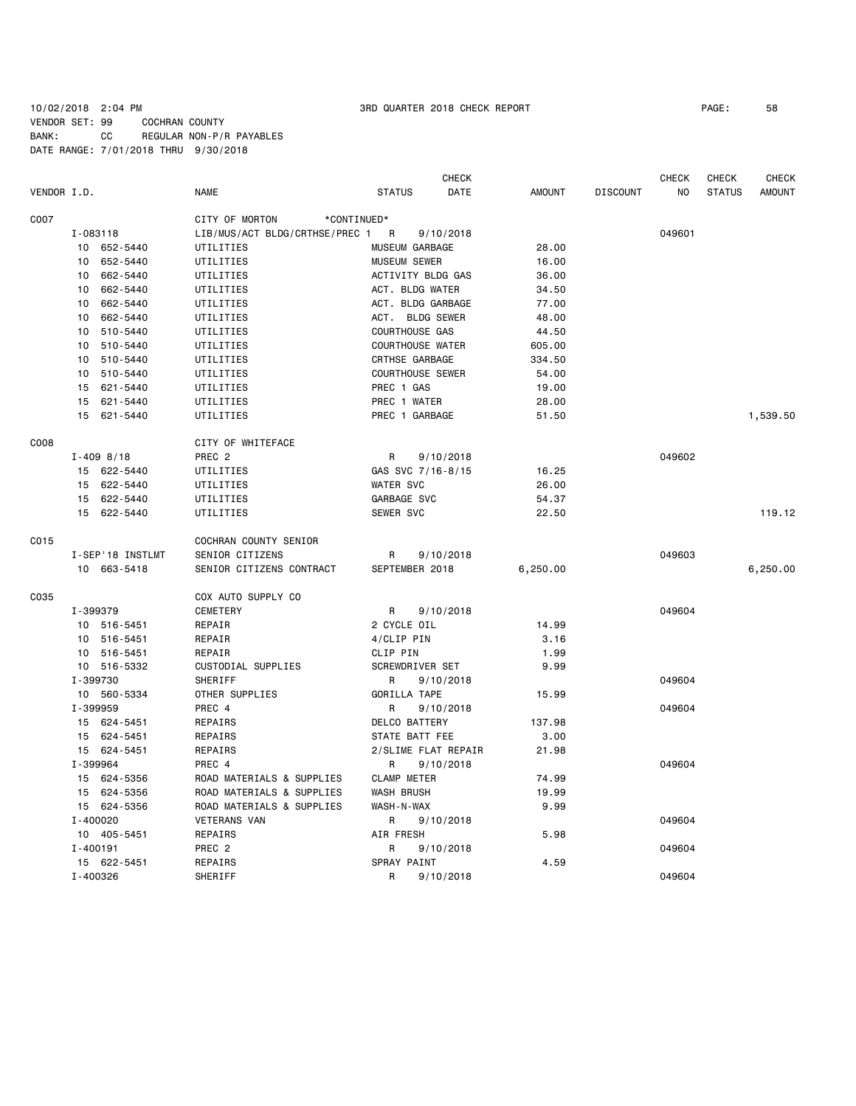## 10/02/2018 2:04 PM 3RD QUARTER 2018 CHECK REPORT PAGE: 58 VENDOR SET: 99 COCHRAN COUNTY

BANK: CC REGULAR NON-P/R PAYABLES DATE RANGE: 7/01/2018 THRU 9/30/2018

|             |                  |                                  | CHECK                   |               |                 | CHECK  | CHECK         | <b>CHECK</b>  |
|-------------|------------------|----------------------------------|-------------------------|---------------|-----------------|--------|---------------|---------------|
| VENDOR I.D. |                  | <b>NAME</b>                      | <b>STATUS</b><br>DATE   | <b>AMOUNT</b> | <b>DISCOUNT</b> | NO.    | <b>STATUS</b> | <b>AMOUNT</b> |
| C007        |                  | CITY OF MORTON<br>*CONTINUED*    |                         |               |                 |        |               |               |
|             | I-083118         | LIB/MUS/ACT BLDG/CRTHSE/PREC 1 R | 9/10/2018               |               |                 | 049601 |               |               |
|             | 10 652-5440      | UTILITIES                        | MUSEUM GARBAGE          | 28.00         |                 |        |               |               |
|             | 652-5440<br>10   | UTILITIES                        | <b>MUSEUM SEWER</b>     | 16.00         |                 |        |               |               |
|             | 662-5440<br>10   | UTILITIES                        | ACTIVITY BLDG GAS       | 36.00         |                 |        |               |               |
|             | 10<br>662-5440   | UTILITIES                        | ACT. BLDG WATER         | 34.50         |                 |        |               |               |
|             | 10<br>662-5440   | UTILITIES                        | ACT. BLDG GARBAGE       | 77.00         |                 |        |               |               |
|             | 10<br>662-5440   | UTILITIES                        | ACT. BLDG SEWER         | 48.00         |                 |        |               |               |
|             | 510-5440<br>10   | UTILITIES                        | COURTHOUSE GAS          | 44.50         |                 |        |               |               |
|             | 510-5440<br>10   | UTILITIES                        | <b>COURTHOUSE WATER</b> | 605.00        |                 |        |               |               |
|             | 510-5440<br>10   | UTILITIES                        | CRTHSE GARBAGE          | 334.50        |                 |        |               |               |
|             |                  |                                  | <b>COURTHOUSE SEWER</b> |               |                 |        |               |               |
|             | 510-5440<br>10   | UTILITIES                        |                         | 54.00         |                 |        |               |               |
|             | 15<br>621-5440   | UTILITIES                        | PREC 1 GAS              | 19.00         |                 |        |               |               |
|             | 621-5440<br>15   | UTILITIES                        | PREC 1 WATER            | 28.00         |                 |        |               |               |
|             | 15<br>621-5440   | UTILITIES                        | PREC 1 GARBAGE          | 51.50         |                 |        |               | 1,539.50      |
| C008        |                  | CITY OF WHITEFACE                |                         |               |                 |        |               |               |
|             | $I - 409 8/18$   | PREC <sub>2</sub>                | R<br>9/10/2018          |               |                 | 049602 |               |               |
|             | 15 622-5440      | UTILITIES                        | GAS SVC 7/16-8/15       | 16.25         |                 |        |               |               |
|             | 622-5440<br>15   | UTILITIES                        | <b>WATER SVC</b>        | 26.00         |                 |        |               |               |
|             | 15 622-5440      | UTILITIES                        | GARBAGE SVC             | 54.37         |                 |        |               |               |
|             | 15 622-5440      | UTILITIES                        | SEWER SVC               | 22.50         |                 |        |               | 119.12        |
| C015        |                  | COCHRAN COUNTY SENIOR            |                         |               |                 |        |               |               |
|             | I-SEP'18 INSTLMT | SENIOR CITIZENS                  | 9/10/2018<br>R          |               |                 | 049603 |               |               |
|             | 10 663-5418      | SENIOR CITIZENS CONTRACT         | SEPTEMBER 2018          | 6,250.00      |                 |        |               | 6,250.00      |
| C035        |                  | COX AUTO SUPPLY CO               |                         |               |                 |        |               |               |
|             |                  |                                  |                         |               |                 |        |               |               |
|             | I-399379         | <b>CEMETERY</b>                  | R<br>9/10/2018          |               |                 | 049604 |               |               |
|             | 10 516-5451      | REPAIR                           | 2 CYCLE OIL             | 14.99         |                 |        |               |               |
|             | 10 516-5451      | REPAIR                           | 4/CLIP PIN              | 3.16          |                 |        |               |               |
|             | 10 516-5451      | REPAIR                           | CLIP PIN                | 1.99          |                 |        |               |               |
|             | 10 516-5332      | CUSTODIAL SUPPLIES               | SCREWDRIVER SET         | 9.99          |                 |        |               |               |
|             | I-399730         | SHERIFF                          | R<br>9/10/2018          |               |                 | 049604 |               |               |
|             | 10 560-5334      | OTHER SUPPLIES                   | GORILLA TAPE            | 15.99         |                 |        |               |               |
|             | I-399959         | PREC 4                           | R<br>9/10/2018          |               |                 | 049604 |               |               |
|             | 15 624-5451      | REPAIRS                          | DELCO BATTERY           | 137.98        |                 |        |               |               |
|             | 15 624-5451      | REPAIRS                          | STATE BATT FEE          | 3.00          |                 |        |               |               |
|             | 15 624-5451      | REPAIRS                          | 2/SLIME FLAT REPAIR     | 21.98         |                 |        |               |               |
|             | I-399964         | PREC 4                           | R<br>9/10/2018          |               |                 | 049604 |               |               |
|             | 15 624-5356      | ROAD MATERIALS & SUPPLIES        | <b>CLAMP METER</b>      | 74.99         |                 |        |               |               |
|             | 15 624-5356      | ROAD MATERIALS & SUPPLIES        | <b>WASH BRUSH</b>       | 19.99         |                 |        |               |               |
|             | 15 624-5356      | ROAD MATERIALS & SUPPLIES        | WASH-N-WAX              | 9.99          |                 |        |               |               |
|             | I-400020         | <b>VETERANS VAN</b>              | R<br>9/10/2018          |               |                 | 049604 |               |               |
|             | 10 405-5451      | REPAIRS                          | AIR FRESH               | 5.98          |                 |        |               |               |
|             | I-400191         | PREC <sub>2</sub>                | R<br>9/10/2018          |               |                 | 049604 |               |               |
|             | 15 622-5451      | REPAIRS                          | SPRAY PAINT             | 4.59          |                 |        |               |               |
|             | I-400326         | SHERIFF                          | R<br>9/10/2018          |               |                 | 049604 |               |               |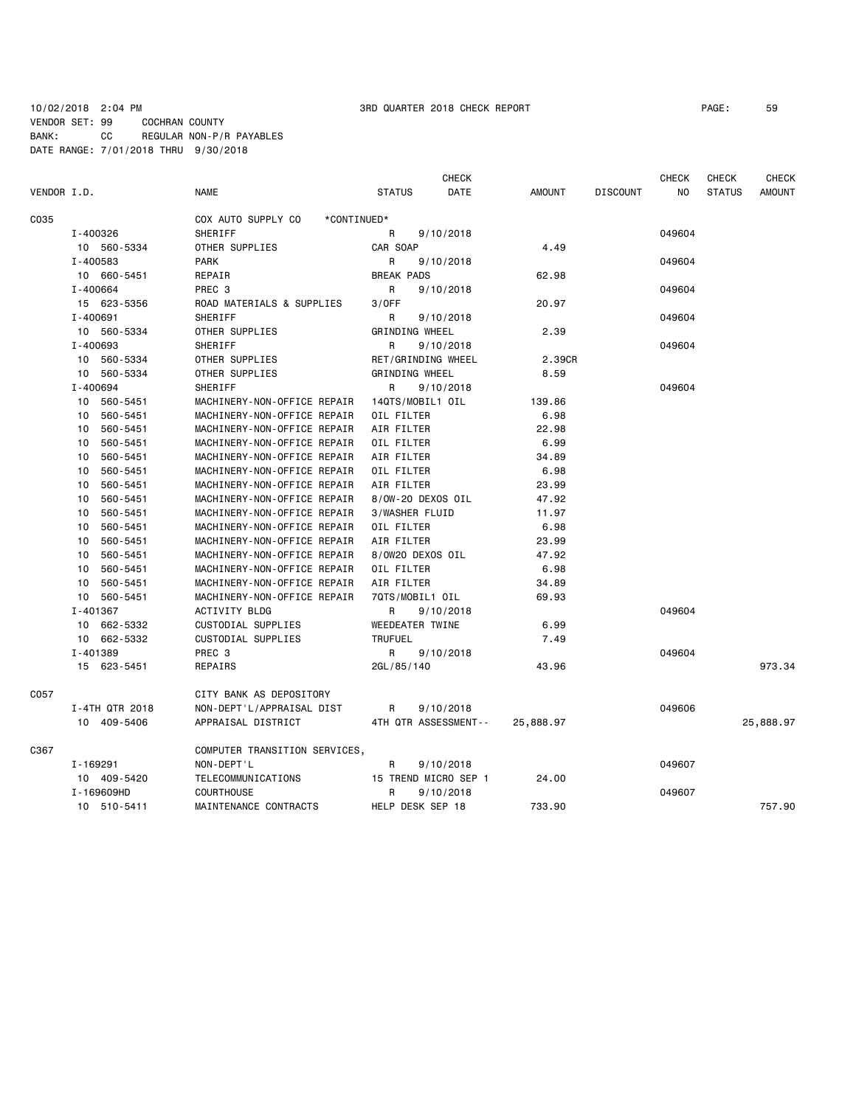### 10/02/2018 2:04 PM 3RD QUARTER 2018 CHECK REPORT PAGE: 59 VENDOR SET: 99 COCHRAN COUNTY BANK: CC REGULAR NON-P/R PAYABLES DATE RANGE: 7/01/2018 THRU 9/30/2018

|                                        |                |                                   |                       | CHECK     |               |                 | <b>CHECK</b> | <b>CHECK</b>  | CHECK         |
|----------------------------------------|----------------|-----------------------------------|-----------------------|-----------|---------------|-----------------|--------------|---------------|---------------|
| VENDOR I.D.                            |                | <b>NAME</b>                       | <b>STATUS</b>         | DATE      | <b>AMOUNT</b> | <b>DISCOUNT</b> | <b>NO</b>    | <b>STATUS</b> | <b>AMOUNT</b> |
| C035                                   |                | COX AUTO SUPPLY CO<br>*CONTINUED* |                       |           |               |                 |              |               |               |
|                                        | I-400326       | SHERIFF                           | R                     | 9/10/2018 |               |                 | 049604       |               |               |
|                                        | 10 560-5334    | OTHER SUPPLIES                    | CAR SOAP              |           | 4.49          |                 |              |               |               |
|                                        | I-400583       | <b>PARK</b>                       | R                     | 9/10/2018 |               |                 | 049604       |               |               |
|                                        | 10 660-5451    | REPAIR                            | <b>BREAK PADS</b>     |           | 62.98         |                 |              |               |               |
|                                        | I-400664       | PREC 3                            | R                     | 9/10/2018 |               |                 | 049604       |               |               |
|                                        | 15 623-5356    | ROAD MATERIALS & SUPPLIES         | 3/0FF                 |           | 20.97         |                 |              |               |               |
|                                        | I-400691       | <b>SHERIFF</b>                    | R.                    | 9/10/2018 |               |                 | 049604       |               |               |
|                                        | 10 560-5334    | OTHER SUPPLIES                    | <b>GRINDING WHEEL</b> |           | 2.39          |                 |              |               |               |
|                                        | I-400693       | SHERIFF                           | R                     | 9/10/2018 |               |                 | 049604       |               |               |
| 10 560-5334<br>10 560-5334<br>I-400694 |                | OTHER SUPPLIES                    | RET/GRINDING WHEEL    |           | 2.39CR        |                 |              |               |               |
|                                        |                | OTHER SUPPLIES                    | GRINDING WHEEL        |           | 8.59          |                 |              |               |               |
|                                        |                | <b>SHERIFF</b>                    | R.                    | 9/10/2018 |               |                 | 049604       |               |               |
|                                        | 10 560-5451    | MACHINERY-NON-OFFICE REPAIR       | 14QTS/MOBIL1 OIL      |           | 139.86        |                 |              |               |               |
|                                        | 10 560-5451    | MACHINERY-NON-OFFICE REPAIR       | OIL FILTER            |           | 6.98          |                 |              |               |               |
|                                        | 10 560-5451    | MACHINERY-NON-OFFICE REPAIR       | AIR FILTER            |           | 22.98         |                 |              |               |               |
|                                        | 560-5451<br>10 | MACHINERY-NON-OFFICE REPAIR       | OIL FILTER            |           | 6.99          |                 |              |               |               |
|                                        | 10 560-5451    | MACHINERY-NON-OFFICE REPAIR       | AIR FILTER            |           | 34.89         |                 |              |               |               |
| 10                                     | 560-5451       | MACHINERY-NON-OFFICE REPAIR       | OIL FILTER            |           | 6.98          |                 |              |               |               |
|                                        | 560-5451<br>10 | MACHINERY-NON-OFFICE REPAIR       | AIR FILTER            |           | 23.99         |                 |              |               |               |
|                                        | 10<br>560-5451 | MACHINERY-NON-OFFICE REPAIR       | 8/0W-20 DEXOS OIL     |           | 47.92         |                 |              |               |               |
|                                        | 560-5451<br>10 | MACHINERY-NON-OFFICE REPAIR       | 3/WASHER FLUID        |           | 11.97         |                 |              |               |               |
|                                        | 10<br>560-5451 | MACHINERY-NON-OFFICE REPAIR       | OIL FILTER            |           | 6.98          |                 |              |               |               |
|                                        | 560-5451<br>10 | MACHINERY-NON-OFFICE REPAIR       | AIR FILTER            |           | 23.99         |                 |              |               |               |
|                                        | 10<br>560-5451 | MACHINERY-NON-OFFICE REPAIR       | 8/0W20 DEXOS OIL      |           | 47.92         |                 |              |               |               |
|                                        | 560-5451<br>10 | MACHINERY-NON-OFFICE REPAIR       | OIL FILTER            |           | 6.98          |                 |              |               |               |
|                                        | 560-5451<br>10 | MACHINERY-NON-OFFICE REPAIR       | AIR FILTER            |           | 34.89         |                 |              |               |               |
|                                        | 10 560-5451    | MACHINERY-NON-OFFICE REPAIR       | 7QTS/MOBIL1 OIL       |           | 69.93         |                 |              |               |               |
|                                        | I-401367       | <b>ACTIVITY BLDG</b>              | R.                    | 9/10/2018 |               |                 | 049604       |               |               |
|                                        | 10 662-5332    | CUSTODIAL SUPPLIES                | WEEDEATER TWINE       |           | 6.99          |                 |              |               |               |
|                                        | 10 662-5332    | CUSTODIAL SUPPLIES                | <b>TRUFUEL</b>        |           | 7.49          |                 |              |               |               |
|                                        | I-401389       | PREC <sub>3</sub>                 | R                     | 9/10/2018 |               |                 | 049604       |               |               |
|                                        | 15 623-5451    | REPAIRS                           | 2GL/85/140            |           | 43.96         |                 |              |               | 973.34        |
| C057                                   |                | CITY BANK AS DEPOSITORY           |                       |           |               |                 |              |               |               |
|                                        | I-4TH QTR 2018 | NON-DEPT'L/APPRAISAL DIST         | R                     | 9/10/2018 |               |                 | 049606       |               |               |
|                                        | 10 409-5406    | APPRAISAL DISTRICT                | 4TH QTR ASSESSMENT--  |           | 25,888.97     |                 |              |               | 25,888.97     |
| C367                                   |                | COMPUTER TRANSITION SERVICES,     |                       |           |               |                 |              |               |               |
|                                        | I-169291       | NON-DEPT'L                        | R                     | 9/10/2018 |               |                 | 049607       |               |               |
|                                        | 10 409-5420    | TELECOMMUNICATIONS                | 15 TREND MICRO SEP 1  |           | 24.00         |                 |              |               |               |
|                                        | I-169609HD     | <b>COURTHOUSE</b>                 | R                     | 9/10/2018 |               |                 | 049607       |               |               |
|                                        | 10 510-5411    | MAINTENANCE CONTRACTS             | HELP DESK SEP 18      |           | 733.90        |                 |              |               | 757.90        |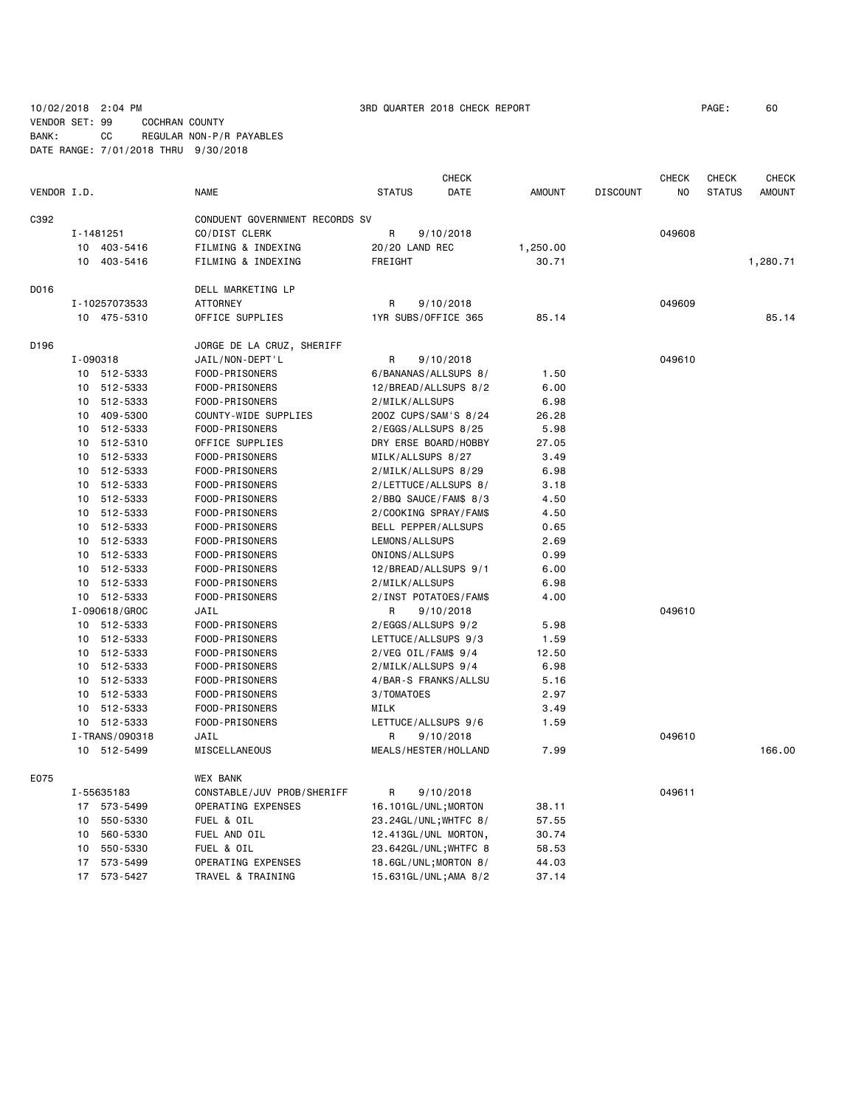10/02/2018 2:04 PM 3RD QUARTER 2018 CHECK REPORT PAGE: 60

VENDOR SET: 99 COCHRAN COUNTY BANK: CC REGULAR NON-P/R PAYABLES DATE RANGE: 7/01/2018 THRU 9/30/2018

|             |          |                | <b>CHECK</b>                   |                   |                       |               |                 | <b>CHECK</b> | <b>CHECK</b>  | <b>CHECK</b>  |
|-------------|----------|----------------|--------------------------------|-------------------|-----------------------|---------------|-----------------|--------------|---------------|---------------|
| VENDOR I.D. |          |                | <b>NAME</b>                    | <b>STATUS</b>     | DATE                  | <b>AMOUNT</b> | <b>DISCOUNT</b> | NO           | <b>STATUS</b> | <b>AMOUNT</b> |
| C392        |          |                | CONDUENT GOVERNMENT RECORDS SV |                   |                       |               |                 |              |               |               |
|             |          | I-1481251      | CO/DIST CLERK                  | R                 | 9/10/2018             |               |                 | 049608       |               |               |
|             |          | 10 403-5416    | FILMING & INDEXING             | 20/20 LAND REC    |                       | 1,250.00      |                 |              |               |               |
|             |          | 10 403-5416    | FILMING & INDEXING             | FREIGHT           |                       | 30.71         |                 |              |               | 1,280.71      |
|             |          |                |                                |                   |                       |               |                 |              |               |               |
| D016        |          |                | DELL MARKETING LP              |                   |                       |               |                 |              |               |               |
|             |          | I-10257073533  | <b>ATTORNEY</b>                | R                 | 9/10/2018             |               |                 | 049609       |               |               |
|             |          | 10 475-5310    | OFFICE SUPPLIES                |                   | 1YR SUBS/OFFICE 365   | 85.14         |                 |              |               | 85.14         |
| D196        |          |                | JORGE DE LA CRUZ, SHERIFF      |                   |                       |               |                 |              |               |               |
|             | I-090318 |                | JAIL/NON-DEPT'L                | R                 | 9/10/2018             |               |                 | 049610       |               |               |
|             |          | 10 512-5333    | FOOD-PRISONERS                 |                   | 6/BANANAS/ALLSUPS 8/  | 1.50          |                 |              |               |               |
|             |          | 10 512-5333    | FOOD-PRISONERS                 |                   | 12/BREAD/ALLSUPS 8/2  | 6.00          |                 |              |               |               |
|             |          | 10 512-5333    | FOOD-PRISONERS                 | 2/MILK/ALLSUPS    |                       | 6.98          |                 |              |               |               |
|             |          | 10 409-5300    | COUNTY-WIDE SUPPLIES           |                   | 200Z CUPS/SAM'S 8/24  | 26.28         |                 |              |               |               |
|             | 10       | 512-5333       | FOOD-PRISONERS                 |                   | 2/EGGS/ALLSUPS 8/25   | 5.98          |                 |              |               |               |
|             | 10       | 512-5310       | OFFICE SUPPLIES                |                   | DRY ERSE BOARD/HOBBY  | 27.05         |                 |              |               |               |
|             | 10       | 512-5333       | FOOD-PRISONERS                 | MILK/ALLSUPS 8/27 |                       | 3.49          |                 |              |               |               |
|             |          | 10 512-5333    | FOOD-PRISONERS                 |                   | 2/MILK/ALLSUPS 8/29   | 6.98          |                 |              |               |               |
|             |          | 10 512-5333    | FOOD-PRISONERS                 |                   | 2/LETTUCE/ALLSUPS 8/  | 3.18          |                 |              |               |               |
|             |          | 10 512-5333    | FOOD-PRISONERS                 |                   | 2/BBQ SAUCE/FAM\$ 8/3 | 4.50          |                 |              |               |               |
|             | 10       | 512-5333       | FOOD-PRISONERS                 |                   | 2/COOKING SPRAY/FAM\$ | 4.50          |                 |              |               |               |
|             | 10       | 512-5333       | FOOD-PRISONERS                 |                   | BELL PEPPER/ALLSUPS   | 0.65          |                 |              |               |               |
|             | 10       | 512-5333       | FOOD-PRISONERS                 | LEMONS/ALLSUPS    |                       | 2.69          |                 |              |               |               |
|             | 10       | 512-5333       | FOOD-PRISONERS                 | ONIONS/ALLSUPS    |                       | 0.99          |                 |              |               |               |
|             |          | 10 512-5333    | FOOD-PRISONERS                 |                   | 12/BREAD/ALLSUPS 9/1  | 6.00          |                 |              |               |               |
|             |          | 10 512-5333    | FOOD-PRISONERS                 | 2/MILK/ALLSUPS    |                       | 6.98          |                 |              |               |               |
|             |          | 10 512-5333    | FOOD-PRISONERS                 |                   | 2/INST POTATOES/FAM\$ | 4.00          |                 |              |               |               |
|             |          | I-090618/GROC  | JAIL                           | R                 | 9/10/2018             |               |                 | 049610       |               |               |
|             |          | 10 512-5333    | FOOD-PRISONERS                 |                   | 2/EGGS/ALLSUPS 9/2    | 5.98          |                 |              |               |               |
|             |          | 10 512-5333    | FOOD-PRISONERS                 |                   | LETTUCE/ALLSUPS 9/3   | 1.59          |                 |              |               |               |
|             |          | 10 512-5333    | FOOD-PRISONERS                 |                   | 2/VEG OIL/FAM\$ 9/4   | 12.50         |                 |              |               |               |
|             | 10       | 512-5333       | FOOD-PRISONERS                 |                   | 2/MILK/ALLSUPS 9/4    | 6.98          |                 |              |               |               |
|             |          | 10 512-5333    | FOOD-PRISONERS                 |                   | 4/BAR-S FRANKS/ALLSU  | 5.16          |                 |              |               |               |
|             | 10       | 512-5333       | FOOD-PRISONERS                 | 3/TOMATOES        |                       | 2.97          |                 |              |               |               |
|             |          | 10 512-5333    | FOOD-PRISONERS                 | MILK              |                       | 3.49          |                 |              |               |               |
|             |          | 10 512-5333    | FOOD-PRISONERS                 |                   | LETTUCE/ALLSUPS 9/6   | 1.59          |                 |              |               |               |
|             |          | I-TRANS/090318 | JAIL                           | R                 | 9/10/2018             |               |                 | 049610       |               |               |
|             |          | 10 512-5499    | MISCELLANEOUS                  |                   | MEALS/HESTER/HOLLAND  | 7.99          |                 |              |               | 166.00        |
|             |          |                |                                |                   |                       |               |                 |              |               |               |
| E075        |          |                | <b>WEX BANK</b>                |                   |                       |               |                 |              |               |               |
|             |          | I-55635183     | CONSTABLE/JUV PROB/SHERIFF     | R                 | 9/10/2018             |               |                 | 049611       |               |               |
|             |          | 17 573-5499    | OPERATING EXPENSES             |                   | 16.101GL/UNL;MORTON   | 38.11         |                 |              |               |               |
|             |          | 10 550-5330    | FUEL & OIL                     |                   | 23.24GL/UNL; WHTFC 8/ | 57.55         |                 |              |               |               |
|             | 10       | 560-5330       | FUEL AND OIL                   |                   | 12.413GL/UNL MORTON,  | 30.74         |                 |              |               |               |
|             |          | 10 550-5330    | FUEL & OIL                     |                   | 23.642GL/UNL; WHTFC 8 | 58.53         |                 |              |               |               |
|             |          | 17 573-5499    | OPERATING EXPENSES             |                   | 18.6GL/UNL;MORTON 8/  | 44.03         |                 |              |               |               |
|             |          | 17 573-5427    | TRAVEL & TRAINING              |                   | 15.631GL/UNL; AMA 8/2 | 37.14         |                 |              |               |               |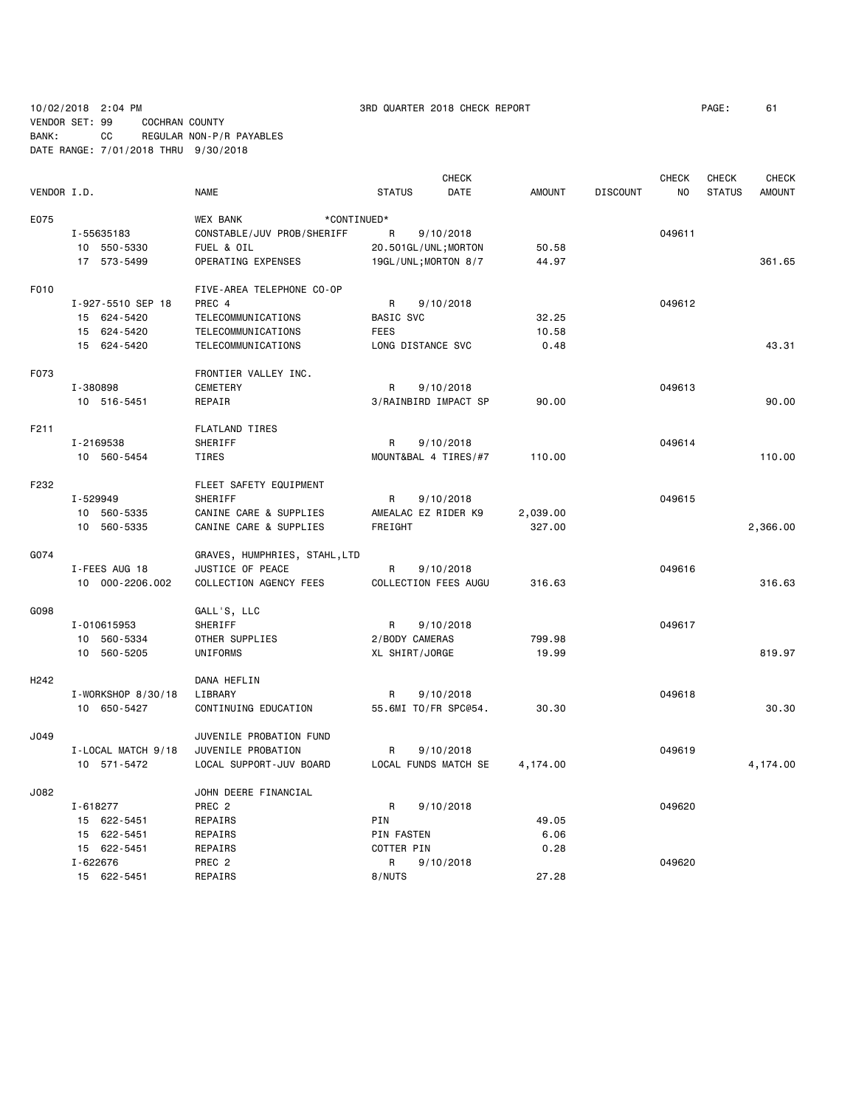# 10/02/2018 2:04 PM 3RD QUARTER 2018 CHECK REPORT PAGE: 61

VENDOR SET: 99 COCHRAN COUNTY BANK: CC REGULAR NON-P/R PAYABLES DATE RANGE: 7/01/2018 THRU 9/30/2018

|                  |                    | <b>CHECK</b><br><b>CHECK</b>   |                      |           |               |                 | CHECK  | <b>CHECK</b>  |               |
|------------------|--------------------|--------------------------------|----------------------|-----------|---------------|-----------------|--------|---------------|---------------|
| VENDOR I.D.      |                    | <b>NAME</b>                    | <b>STATUS</b>        | DATE      | <b>AMOUNT</b> | <b>DISCOUNT</b> | NO     | <b>STATUS</b> | <b>AMOUNT</b> |
| E075             |                    | <b>WEX BANK</b><br>*CONTINUED* |                      |           |               |                 |        |               |               |
|                  | I-55635183         | CONSTABLE/JUV PROB/SHERIFF     | R                    | 9/10/2018 |               |                 | 049611 |               |               |
|                  | 10 550-5330        | FUEL & OIL                     | 20.501GL/UNL; MORTON |           | 50.58         |                 |        |               |               |
|                  | 17 573-5499        | OPERATING EXPENSES             | 19GL/UNL; MORTON 8/7 |           | 44.97         |                 |        |               | 361.65        |
| F010             |                    | FIVE-AREA TELEPHONE CO-OP      |                      |           |               |                 |        |               |               |
|                  | I-927-5510 SEP 18  | PREC 4                         | R                    | 9/10/2018 |               |                 | 049612 |               |               |
|                  | 15 624-5420        | TELECOMMUNICATIONS             | <b>BASIC SVC</b>     |           | 32.25         |                 |        |               |               |
|                  | 15 624-5420        | TELECOMMUNICATIONS             | <b>FEES</b>          |           | 10.58         |                 |        |               |               |
|                  | 15 624-5420        | <b>TELECOMMUNICATIONS</b>      | LONG DISTANCE SVC    |           | 0.48          |                 |        |               | 43.31         |
| F073             |                    | FRONTIER VALLEY INC.           |                      |           |               |                 |        |               |               |
|                  | I-380898           | CEMETERY                       | R                    | 9/10/2018 |               |                 | 049613 |               |               |
|                  | 10 516-5451        | REPAIR                         | 3/RAINBIRD IMPACT SP |           | 90.00         |                 |        |               | 90.00         |
|                  |                    |                                |                      |           |               |                 |        |               |               |
| F211             |                    | <b>FLATLAND TIRES</b>          |                      |           |               |                 |        |               |               |
|                  | I-2169538          | SHERIFF                        | R                    | 9/10/2018 |               |                 | 049614 |               |               |
|                  | 10 560-5454        | TIRES                          | MOUNT&BAL 4 TIRES/#7 |           | 110.00        |                 |        |               | 110.00        |
| F232             |                    | FLEET SAFETY EQUIPMENT         |                      |           |               |                 |        |               |               |
|                  | I-529949           | SHERIFF                        | R                    | 9/10/2018 |               |                 | 049615 |               |               |
|                  | 10 560-5335        | CANINE CARE & SUPPLIES         | AMEALAC EZ RIDER K9  |           | 2,039.00      |                 |        |               |               |
|                  | 10 560-5335        | CANINE CARE & SUPPLIES         | FREIGHT              |           | 327.00        |                 |        |               | 2,366.00      |
| G074             |                    | GRAVES, HUMPHRIES, STAHL, LTD  |                      |           |               |                 |        |               |               |
|                  | I-FEES AUG 18      | JUSTICE OF PEACE               | R                    | 9/10/2018 |               |                 | 049616 |               |               |
|                  | 10 000-2206.002    | COLLECTION AGENCY FEES         | COLLECTION FEES AUGU |           | 316.63        |                 |        |               | 316.63        |
| G098             |                    | GALL'S, LLC                    |                      |           |               |                 |        |               |               |
|                  | I-010615953        | SHERIFF                        | R                    | 9/10/2018 |               |                 | 049617 |               |               |
|                  | 10 560-5334        | OTHER SUPPLIES                 | 2/BODY CAMERAS       |           | 799.98        |                 |        |               |               |
|                  | 10 560-5205        | UNIFORMS                       | XL SHIRT/JORGE       |           | 19.99         |                 |        |               | 819.97        |
| H <sub>242</sub> |                    | DANA HEFLIN                    |                      |           |               |                 |        |               |               |
|                  | I-WORKSHOP 8/30/18 | LIBRARY                        | R                    | 9/10/2018 |               |                 | 049618 |               |               |
|                  | 10 650-5427        | CONTINUING EDUCATION           | 55.6MI TO/FR SPC@54. |           | 30.30         |                 |        |               | 30.30         |
| J049             |                    | JUVENILE PROBATION FUND        |                      |           |               |                 |        |               |               |
|                  | I-LOCAL MATCH 9/18 | JUVENILE PROBATION             | R                    | 9/10/2018 |               |                 | 049619 |               |               |
|                  | 10 571-5472        | LOCAL SUPPORT-JUV BOARD        | LOCAL FUNDS MATCH SE |           | 4,174.00      |                 |        |               | 4,174.00      |
| J082             |                    | JOHN DEERE FINANCIAL           |                      |           |               |                 |        |               |               |
|                  | I-618277           | PREC <sub>2</sub>              | R                    | 9/10/2018 |               |                 | 049620 |               |               |
|                  | 15 622-5451        | REPAIRS                        | PIN                  |           | 49.05         |                 |        |               |               |
|                  | 15 622-5451        | REPAIRS                        | PIN FASTEN           |           | 6.06          |                 |        |               |               |
|                  | 15 622-5451        | REPAIRS                        | COTTER PIN           |           | 0.28          |                 |        |               |               |
|                  | $I - 622676$       | PREC <sub>2</sub>              | R                    | 9/10/2018 |               |                 | 049620 |               |               |
|                  | 15 622-5451        | <b>REPAIRS</b>                 | 8/NUTS               |           | 27.28         |                 |        |               |               |
|                  |                    |                                |                      |           |               |                 |        |               |               |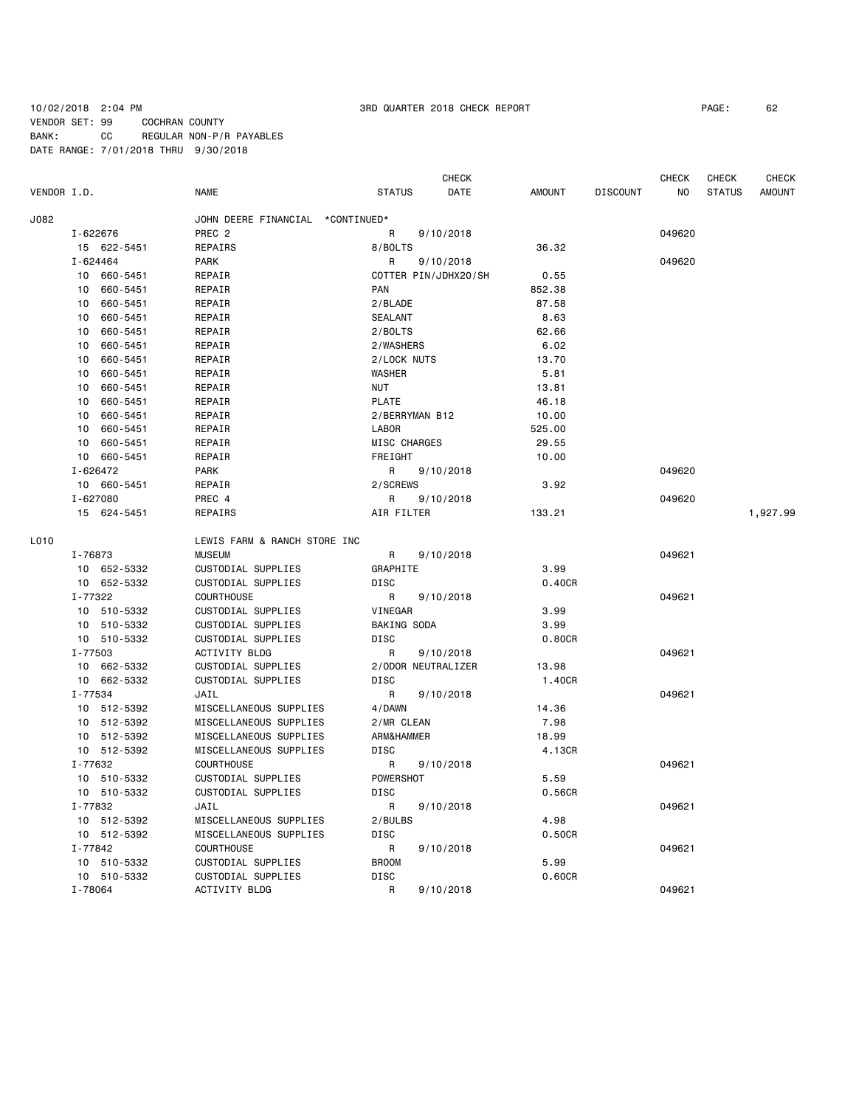### 10/02/2018 2:04 PM 3RD QUARTER 2018 CHECK REPORT PAGE: 62 VENDOR SET: 99 COCHRAN COUNTY BANK: CC REGULAR NON-P/R PAYABLES DATE RANGE: 7/01/2018 THRU 9/30/2018

|             |                |                                  |                    | <b>CHECK</b>         |               |                 | <b>CHECK</b>   | CHECK         | CHECK         |
|-------------|----------------|----------------------------------|--------------------|----------------------|---------------|-----------------|----------------|---------------|---------------|
| VENDOR I.D. |                | <b>NAME</b>                      | <b>STATUS</b>      | DATE                 | <b>AMOUNT</b> | <b>DISCOUNT</b> | N <sub>O</sub> | <b>STATUS</b> | <b>AMOUNT</b> |
| J082        |                | JOHN DEERE FINANCIAL *CONTINUED* |                    |                      |               |                 |                |               |               |
|             | I-622676       | PREC <sub>2</sub>                | R                  | 9/10/2018            |               |                 | 049620         |               |               |
|             | 15 622-5451    | REPAIRS                          | 8/BOLTS            |                      | 36.32         |                 |                |               |               |
|             | I-624464       | <b>PARK</b>                      | R                  | 9/10/2018            |               |                 | 049620         |               |               |
|             | 10 660-5451    | REPAIR                           |                    | COTTER PIN/JDHX20/SH | 0.55          |                 |                |               |               |
|             | 10 660-5451    | REPAIR                           | PAN                |                      | 852.38        |                 |                |               |               |
|             | 660-5451<br>10 | REPAIR                           | 2/BLADE            |                      | 87.58         |                 |                |               |               |
|             | 10<br>660-5451 | REPAIR                           | <b>SEALANT</b>     |                      | 8.63          |                 |                |               |               |
|             | 660-5451<br>10 | REPAIR                           | 2/BOLTS            |                      | 62.66         |                 |                |               |               |
|             | 660-5451<br>10 | REPAIR                           | 2/WASHERS          |                      | 6.02          |                 |                |               |               |
|             | 10<br>660-5451 | REPAIR                           | 2/LOCK NUTS        |                      | 13.70         |                 |                |               |               |
|             | 660-5451<br>10 | REPAIR                           | WASHER             |                      | 5.81          |                 |                |               |               |
|             | 10<br>660-5451 | REPAIR                           | <b>NUT</b>         |                      | 13.81         |                 |                |               |               |
|             | 10<br>660-5451 | REPAIR                           | <b>PLATE</b>       |                      | 46.18         |                 |                |               |               |
|             | 660-5451<br>10 | REPAIR                           | 2/BERRYMAN B12     |                      | 10.00         |                 |                |               |               |
|             | 10 660-5451    | REPAIR                           | <b>LABOR</b>       |                      | 525.00        |                 |                |               |               |
|             | 10<br>660-5451 | REPAIR                           | MISC CHARGES       |                      | 29.55         |                 |                |               |               |
|             | 10 660-5451    | REPAIR                           | FREIGHT            |                      | 10.00         |                 |                |               |               |
|             | I-626472       | <b>PARK</b>                      | R                  | 9/10/2018            |               |                 | 049620         |               |               |
|             | 10 660-5451    | REPAIR                           | 2/SCREWS           |                      | 3.92          |                 |                |               |               |
|             | I-627080       | PREC 4                           | R                  | 9/10/2018            |               |                 | 049620         |               |               |
|             | 15 624-5451    | REPAIRS                          | AIR FILTER         |                      | 133.21        |                 |                |               | 1,927.99      |
|             |                |                                  |                    |                      |               |                 |                |               |               |
| L010        |                | LEWIS FARM & RANCH STORE INC     |                    |                      |               |                 |                |               |               |
|             | I-76873        | <b>MUSEUM</b>                    | R                  | 9/10/2018            |               |                 | 049621         |               |               |
|             | 10 652-5332    | CUSTODIAL SUPPLIES               | GRAPHITE           |                      | 3.99          |                 |                |               |               |
|             | 10 652-5332    | CUSTODIAL SUPPLIES               | <b>DISC</b>        |                      | 0.40CR        |                 |                |               |               |
|             | I-77322        | COURTHOUSE                       | R                  | 9/10/2018            |               |                 | 049621         |               |               |
|             | 10 510-5332    | CUSTODIAL SUPPLIES               | VINEGAR            |                      | 3.99          |                 |                |               |               |
|             | 10 510-5332    | CUSTODIAL SUPPLIES               | BAKING SODA        |                      | 3.99          |                 |                |               |               |
|             | 10 510-5332    | CUSTODIAL SUPPLIES               | DISC               |                      | 0.80CR        |                 |                |               |               |
|             | I-77503        | ACTIVITY BLDG                    | R                  | 9/10/2018            |               |                 | 049621         |               |               |
|             | 10 662-5332    | CUSTODIAL SUPPLIES               | 2/ODOR NEUTRALIZER |                      | 13.98         |                 |                |               |               |
|             | 10 662-5332    | CUSTODIAL SUPPLIES               | <b>DISC</b>        |                      | 1.40CR        |                 |                |               |               |
|             | I-77534        | JAIL                             | R                  | 9/10/2018            |               |                 | 049621         |               |               |
|             | 10 512-5392    | MISCELLANEOUS SUPPLIES           | 4/DAWN             |                      | 14.36         |                 |                |               |               |
|             | 10 512-5392    | MISCELLANEOUS SUPPLIES           | 2/MR CLEAN         |                      | 7.98          |                 |                |               |               |
|             | 10 512-5392    | MISCELLANEOUS SUPPLIES           | ARM&HAMMER         |                      | 18.99         |                 |                |               |               |
|             | 10 512-5392    | MISCELLANEOUS SUPPLIES           | DISC               |                      | 4.13CR        |                 |                |               |               |
|             | I-77632        | <b>COURTHOUSE</b>                | R                  | 9/10/2018            |               |                 | 049621         |               |               |
|             | 10 510-5332    | CUSTODIAL SUPPLIES               | POWERSHOT          |                      | 5.59          |                 |                |               |               |
|             | 10 510-5332    | CUSTODIAL SUPPLIES               | DISC               |                      | 0.56CR        |                 |                |               |               |
|             | I-77832        | JAIL                             | R                  | 9/10/2018            |               |                 | 049621         |               |               |
|             | 10 512-5392    | MISCELLANEOUS SUPPLIES           | 2/BULBS            |                      | 4.98          |                 |                |               |               |
|             | 10 512-5392    | MISCELLANEOUS SUPPLIES           | DISC               |                      | 0.50CR        |                 |                |               |               |
|             | I-77842        | <b>COURTHOUSE</b>                | R                  | 9/10/2018            |               |                 | 049621         |               |               |
|             | 10 510-5332    | CUSTODIAL SUPPLIES               | <b>BROOM</b>       |                      | 5.99          |                 |                |               |               |
|             | 10 510-5332    | CUSTODIAL SUPPLIES               | DISC               |                      | 0.60CR        |                 |                |               |               |
|             | I-78064        | ACTIVITY BLDG                    | R                  | 9/10/2018            |               |                 | 049621         |               |               |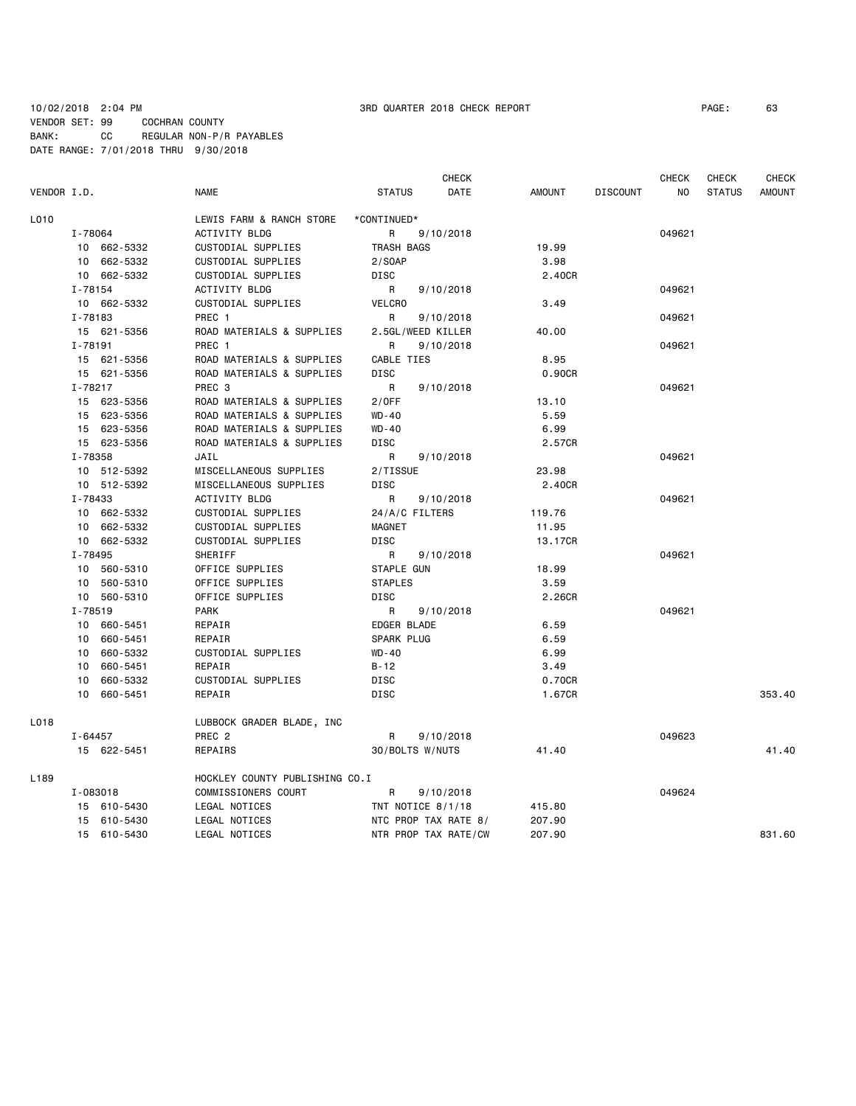10/02/2018 2:04 PM 3RD QUARTER 2018 CHECK REPORT PAGE: 63 VENDOR SET: 99 COCHRAN COUNTY BANK: CC REGULAR NON-P/R PAYABLES DATE RANGE: 7/01/2018 THRU 9/30/2018

|                  |             |             |                                |                   | <b>CHECK</b>         |               |                 | CHECK  | CHECK         | CHECK         |
|------------------|-------------|-------------|--------------------------------|-------------------|----------------------|---------------|-----------------|--------|---------------|---------------|
| VENDOR I.D.      |             |             | <b>NAME</b>                    | <b>STATUS</b>     | DATE                 | <b>AMOUNT</b> | <b>DISCOUNT</b> | NO.    | <b>STATUS</b> | <b>AMOUNT</b> |
| L010             |             |             | LEWIS FARM & RANCH STORE       | *CONTINUED*       |                      |               |                 |        |               |               |
|                  | I-78064     |             | ACTIVITY BLDG                  | R                 | 9/10/2018            |               |                 | 049621 |               |               |
|                  |             | 10 662-5332 | CUSTODIAL SUPPLIES             | TRASH BAGS        |                      | 19.99         |                 |        |               |               |
|                  |             | 10 662-5332 | CUSTODIAL SUPPLIES             | 2/SOAP            |                      | 3.98          |                 |        |               |               |
|                  |             | 10 662-5332 | CUSTODIAL SUPPLIES             | DISC              |                      | 2.40CR        |                 |        |               |               |
|                  | I-78154     |             | ACTIVITY BLDG                  | $\mathsf{R}$      | 9/10/2018            |               |                 | 049621 |               |               |
|                  |             | 10 662-5332 | CUSTODIAL SUPPLIES             | <b>VELCRO</b>     |                      | 3.49          |                 |        |               |               |
|                  | I-78183     |             | PREC 1                         | R                 | 9/10/2018            |               |                 | 049621 |               |               |
|                  | 15 621-5356 |             | ROAD MATERIALS & SUPPLIES      | 2.5GL/WEED KILLER |                      | 40.00         |                 |        |               |               |
|                  | I-78191     |             | PREC 1                         | R                 | 9/10/2018            |               |                 | 049621 |               |               |
|                  |             | 15 621-5356 | ROAD MATERIALS & SUPPLIES      | CABLE TIES        |                      | 8.95          |                 |        |               |               |
|                  |             | 15 621-5356 | ROAD MATERIALS & SUPPLIES      | <b>DISC</b>       |                      | 0.90CR        |                 |        |               |               |
|                  | $I - 78217$ |             | PREC <sub>3</sub>              | $\mathsf{R}$      | 9/10/2018            |               |                 | 049621 |               |               |
|                  |             | 15 623-5356 | ROAD MATERIALS & SUPPLIES      | 2/0FF             |                      | 13.10         |                 |        |               |               |
|                  |             | 15 623-5356 | ROAD MATERIALS & SUPPLIES      | WD-40             |                      | 5.59          |                 |        |               |               |
|                  |             | 15 623-5356 | ROAD MATERIALS & SUPPLIES      | WD-40             |                      | 6.99          |                 |        |               |               |
|                  |             | 15 623-5356 | ROAD MATERIALS & SUPPLIES      | <b>DISC</b>       |                      | 2.57CR        |                 |        |               |               |
|                  | I-78358     |             | JAIL                           | R                 | 9/10/2018            |               |                 | 049621 |               |               |
|                  |             | 10 512-5392 | MISCELLANEOUS SUPPLIES         | 2/TISSUE          |                      | 23.98         |                 |        |               |               |
|                  |             | 10 512-5392 | MISCELLANEOUS SUPPLIES         | <b>DISC</b>       |                      | 2.40CR        |                 |        |               |               |
|                  | I-78433     |             | ACTIVITY BLDG                  | R                 | 9/10/2018            |               |                 | 049621 |               |               |
|                  |             | 10 662-5332 | CUSTODIAL SUPPLIES             | 24/A/C FILTERS    |                      | 119.76        |                 |        |               |               |
|                  |             | 10 662-5332 | CUSTODIAL SUPPLIES             | MAGNET            |                      | 11.95         |                 |        |               |               |
|                  |             | 10 662-5332 | CUSTODIAL SUPPLIES             | <b>DISC</b>       |                      | 13.17CR       |                 |        |               |               |
|                  | I-78495     |             | SHERIFF                        | R                 | 9/10/2018            |               |                 | 049621 |               |               |
|                  |             | 10 560-5310 | OFFICE SUPPLIES                | STAPLE GUN        |                      | 18.99         |                 |        |               |               |
|                  |             | 10 560-5310 | OFFICE SUPPLIES                | <b>STAPLES</b>    |                      | 3.59          |                 |        |               |               |
|                  |             | 10 560-5310 | OFFICE SUPPLIES                | <b>DISC</b>       |                      | 2.26CR        |                 |        |               |               |
|                  | I-78519     |             | <b>PARK</b>                    | R                 | 9/10/2018            |               |                 | 049621 |               |               |
|                  |             | 10 660-5451 | REPAIR                         | EDGER BLADE       |                      | 6.59          |                 |        |               |               |
|                  |             | 10 660-5451 | REPAIR                         | SPARK PLUG        |                      | 6.59          |                 |        |               |               |
|                  |             | 10 660-5332 | CUSTODIAL SUPPLIES             | WD-40             |                      | 6.99          |                 |        |               |               |
|                  | 10          | 660-5451    | REPAIR                         | $B - 12$          |                      | 3.49          |                 |        |               |               |
|                  |             | 10 660-5332 | CUSTODIAL SUPPLIES             | DISC              |                      | 0.70CR        |                 |        |               |               |
|                  |             | 10 660-5451 | REPAIR                         | <b>DISC</b>       |                      | 1.67CR        |                 |        |               | 353.40        |
| L018             |             |             | LUBBOCK GRADER BLADE, INC      |                   |                      |               |                 |        |               |               |
|                  | I-64457     |             | PREC <sub>2</sub>              | R                 | 9/10/2018            |               |                 | 049623 |               |               |
|                  |             | 15 622-5451 | REPAIRS                        | 30/BOLTS W/NUTS   |                      | 41.40         |                 |        |               | 41.40         |
| L <sub>189</sub> |             |             | HOCKLEY COUNTY PUBLISHING CO.I |                   |                      |               |                 |        |               |               |
|                  |             | I-083018    | COMMISSIONERS COURT            | R                 | 9/10/2018            |               |                 | 049624 |               |               |
|                  |             | 15 610-5430 | LEGAL NOTICES                  | TNT NOTICE 8/1/18 |                      | 415.80        |                 |        |               |               |
|                  |             | 15 610-5430 | LEGAL NOTICES                  |                   | NTC PROP TAX RATE 8/ | 207.90        |                 |        |               |               |
|                  |             | 15 610-5430 | LEGAL NOTICES                  |                   | NTR PROP TAX RATE/CW | 207.90        |                 |        |               | 831.60        |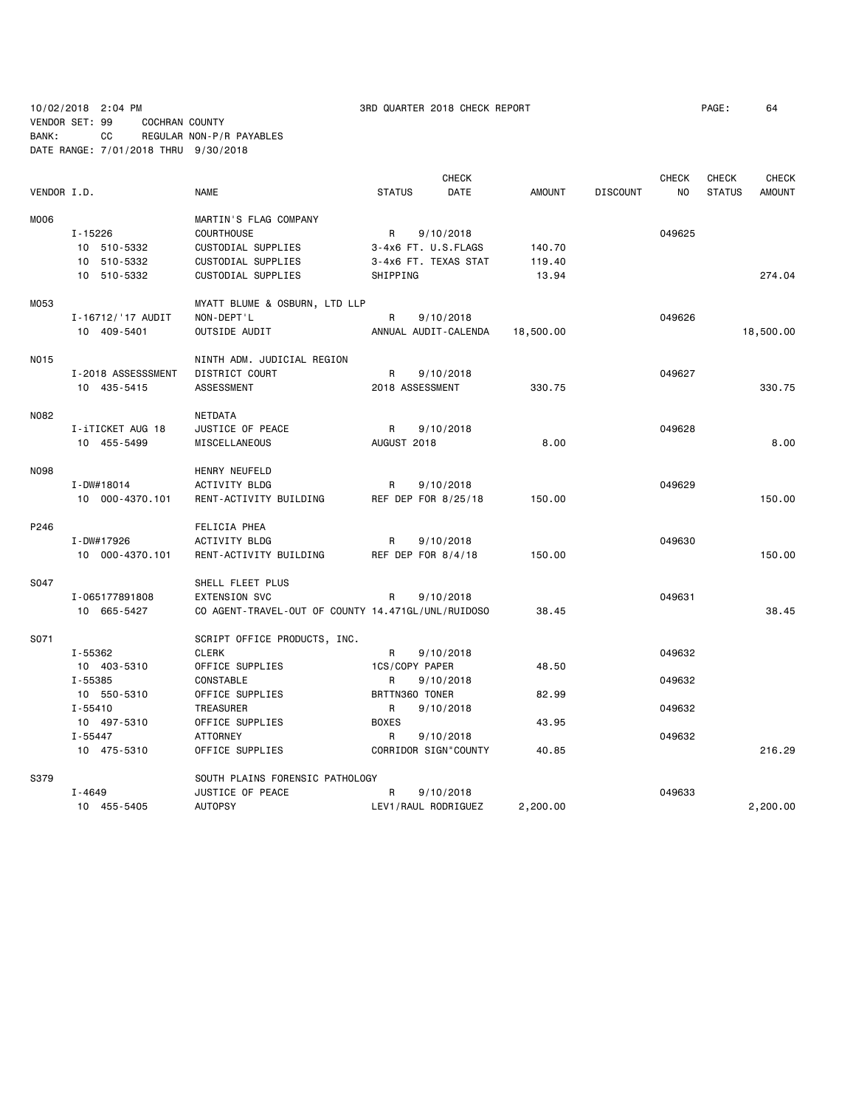10/02/2018 2:04 PM 3RD QUARTER 2018 CHECK REPORT PAGE: 64 VENDOR SET: 99 COCHRAN COUNTY BANK: CC REGULAR NON-P/R PAYABLES DATE RANGE: 7/01/2018 THRU 9/30/2018

|             |                    |                                                    |                 | <b>CHECK</b>         |               |                 | <b>CHECK</b> | <b>CHECK</b>  | <b>CHECK</b>  |
|-------------|--------------------|----------------------------------------------------|-----------------|----------------------|---------------|-----------------|--------------|---------------|---------------|
| VENDOR I.D. |                    | <b>NAME</b>                                        | <b>STATUS</b>   | DATE                 | <b>AMOUNT</b> | <b>DISCOUNT</b> | NO.          | <b>STATUS</b> | <b>AMOUNT</b> |
| M006        |                    | MARTIN'S FLAG COMPANY                              |                 |                      |               |                 |              |               |               |
|             | $I - 15226$        | <b>COURTHOUSE</b>                                  | R               | 9/10/2018            |               |                 | 049625       |               |               |
|             | 10 510-5332        | CUSTODIAL SUPPLIES                                 |                 | 3-4x6 FT. U.S.FLAGS  | 140.70        |                 |              |               |               |
|             | 10 510-5332        | CUSTODIAL SUPPLIES                                 |                 | 3-4x6 FT. TEXAS STAT | 119.40        |                 |              |               |               |
|             | 10 510-5332        | CUSTODIAL SUPPLIES                                 | SHIPPING        |                      | 13.94         |                 |              |               | 274.04        |
| M053        |                    | MYATT BLUME & OSBURN, LTD LLP                      |                 |                      |               |                 |              |               |               |
|             | I-16712/'17 AUDIT  | NON-DEPT'L                                         | R               | 9/10/2018            |               |                 | 049626       |               |               |
|             | 10 409-5401        | OUTSIDE AUDIT                                      |                 | ANNUAL AUDIT-CALENDA | 18,500.00     |                 |              |               | 18,500.00     |
| N015        |                    | NINTH ADM. JUDICIAL REGION                         |                 |                      |               |                 |              |               |               |
|             | I-2018 ASSESSSMENT | <b>DISTRICT COURT</b>                              | R               | 9/10/2018            |               |                 | 049627       |               |               |
|             | 10 435-5415        | <b>ASSESSMENT</b>                                  | 2018 ASSESSMENT |                      | 330.75        |                 |              |               | 330.75        |
| N082        |                    | <b>NETDATA</b>                                     |                 |                      |               |                 |              |               |               |
|             | I-iTICKET AUG 18   | JUSTICE OF PEACE                                   | R               | 9/10/2018            |               |                 | 049628       |               |               |
|             | 10 455-5499        | MISCELLANEOUS                                      | AUGUST 2018     |                      | 8,00          |                 |              |               | 8,00          |
| <b>N098</b> |                    | HENRY NEUFELD                                      |                 |                      |               |                 |              |               |               |
|             | I-DW#18014         | ACTIVITY BLDG                                      | R               | 9/10/2018            |               |                 | 049629       |               |               |
|             | 10 000-4370.101    | RENT-ACTIVITY BUILDING                             |                 | REF DEP FOR 8/25/18  | 150.00        |                 |              |               | 150.00        |
| P246        |                    | FELICIA PHEA                                       |                 |                      |               |                 |              |               |               |
|             | I-DW#17926         | <b>ACTIVITY BLDG</b>                               | R               | 9/10/2018            |               |                 | 049630       |               |               |
|             | 10 000-4370.101    | RENT-ACTIVITY BUILDING                             |                 | REF DEP FOR 8/4/18   | 150.00        |                 |              |               | 150.00        |
| S047        |                    | SHELL FLEET PLUS                                   |                 |                      |               |                 |              |               |               |
|             | I-065177891808     | <b>EXTENSION SVC</b>                               | R               | 9/10/2018            |               |                 | 049631       |               |               |
|             | 10 665-5427        | CO AGENT-TRAVEL-OUT OF COUNTY 14.471GL/UNL/RUIDOSO |                 |                      | 38.45         |                 |              |               | 38.45         |
| S071        |                    | SCRIPT OFFICE PRODUCTS, INC.                       |                 |                      |               |                 |              |               |               |
|             | I-55362            | <b>CLERK</b>                                       | R               | 9/10/2018            |               |                 | 049632       |               |               |
|             | 10 403-5310        | OFFICE SUPPLIES                                    | 1CS/COPY PAPER  |                      | 48.50         |                 |              |               |               |
|             | I-55385            | CONSTABLE                                          | R               | 9/10/2018            |               |                 | 049632       |               |               |
|             | 10 550-5310        | OFFICE SUPPLIES                                    | BRTTN360 TONER  |                      | 82.99         |                 |              |               |               |
|             | $I - 55410$        | TREASURER                                          | R               | 9/10/2018            |               |                 | 049632       |               |               |
|             | 10 497-5310        | OFFICE SUPPLIES                                    | <b>BOXES</b>    |                      | 43.95         |                 |              |               |               |
|             | $I - 55447$        | <b>ATTORNEY</b>                                    | R.              | 9/10/2018            |               |                 | 049632       |               |               |
|             | 10 475-5310        | OFFICE SUPPLIES                                    |                 | CORRIDOR SIGN"COUNTY | 40.85         |                 |              |               | 216.29        |
| S379        |                    | SOUTH PLAINS FORENSIC PATHOLOGY                    |                 |                      |               |                 |              |               |               |
|             | I-4649             | JUSTICE OF PEACE                                   | R               | 9/10/2018            |               |                 | 049633       |               |               |
|             | 10 455-5405        | <b>AUTOPSY</b>                                     |                 | LEV1/RAUL RODRIGUEZ  | 2,200.00      |                 |              |               | 2,200.00      |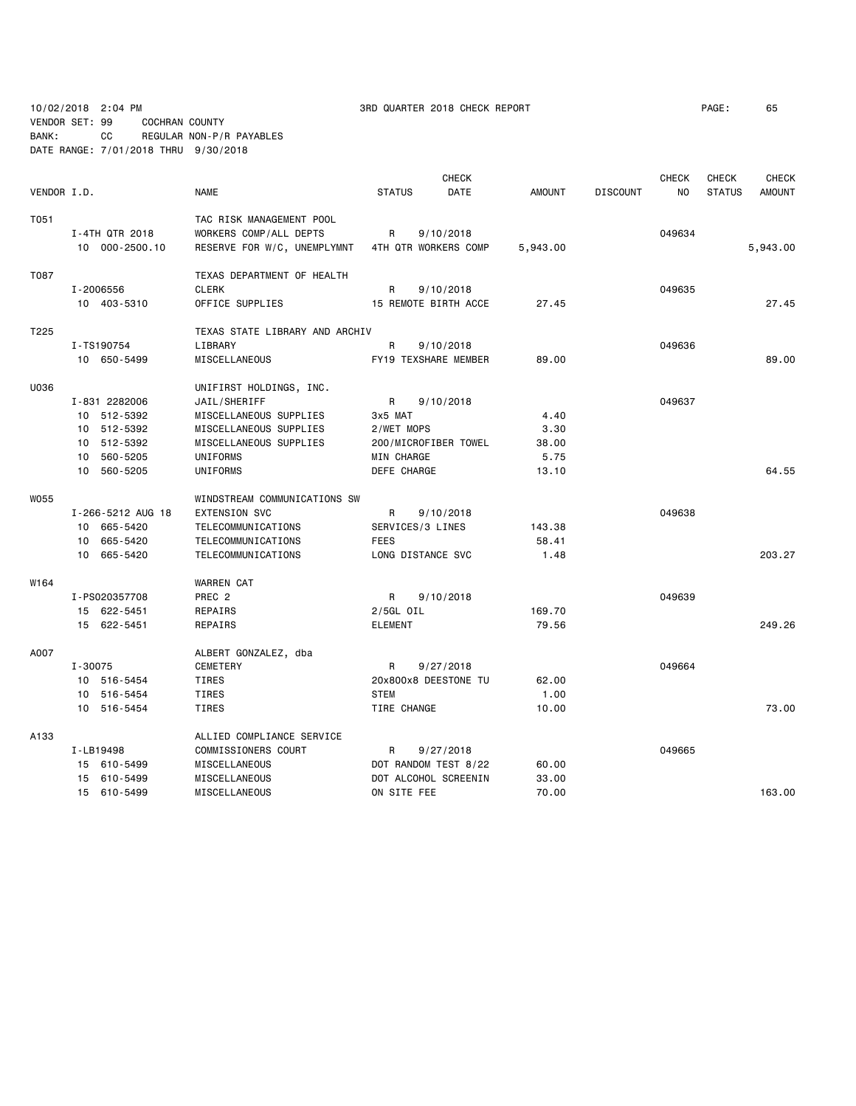10/02/2018 2:04 PM 3RD QUARTER 2018 CHECK REPORT PAGE: 65

VENDOR SET: 99 COCHRAN COUNTY BANK: CC REGULAR NON-P/R PAYABLES DATE RANGE: 7/01/2018 THRU 9/30/2018

|             |                   |                                |                      | <b>CHECK</b> |               |                 | <b>CHECK</b> | <b>CHECK</b>  | <b>CHECK</b>  |
|-------------|-------------------|--------------------------------|----------------------|--------------|---------------|-----------------|--------------|---------------|---------------|
| VENDOR I.D. |                   | <b>NAME</b>                    | <b>STATUS</b>        | <b>DATE</b>  | <b>AMOUNT</b> | <b>DISCOUNT</b> | <b>NO</b>    | <b>STATUS</b> | <b>AMOUNT</b> |
| T051        |                   | TAC RISK MANAGEMENT POOL       |                      |              |               |                 |              |               |               |
|             | I-4TH QTR 2018    | WORKERS COMP/ALL DEPTS         | R<br>9/10/2018       |              |               |                 | 049634       |               |               |
|             | 10 000-2500.10    | RESERVE FOR W/C, UNEMPLYMNT    | 4TH QTR WORKERS COMP |              | 5,943.00      |                 |              |               | 5,943.00      |
| T087        |                   | TEXAS DEPARTMENT OF HEALTH     |                      |              |               |                 |              |               |               |
|             | I-2006556         | <b>CLERK</b>                   | R                    | 9/10/2018    |               |                 | 049635       |               |               |
|             | 10 403-5310       | OFFICE SUPPLIES                | 15 REMOTE BIRTH ACCE |              | 27.45         |                 |              |               | 27.45         |
| T225        |                   | TEXAS STATE LIBRARY AND ARCHIV |                      |              |               |                 |              |               |               |
|             | I-TS190754        | LIBRARY                        | R                    | 9/10/2018    |               |                 | 049636       |               |               |
|             | 10 650-5499       | MISCELLANEOUS                  | FY19 TEXSHARE MEMBER |              | 89.00         |                 |              |               | 89.00         |
| U036        |                   | UNIFIRST HOLDINGS, INC.        |                      |              |               |                 |              |               |               |
|             | I-831 2282006     | JAIL/SHERIFF                   | R                    | 9/10/2018    |               |                 | 049637       |               |               |
|             | 10 512-5392       | MISCELLANEOUS SUPPLIES         | 3x5 MAT              |              | 4.40          |                 |              |               |               |
|             | 10 512-5392       | MISCELLANEOUS SUPPLIES         | 2/WET MOPS           |              | 3.30          |                 |              |               |               |
|             | 10 512-5392       | MISCELLANEOUS SUPPLIES         | 200/MICROFIBER TOWEL |              | 38.00         |                 |              |               |               |
|             | 10 560-5205       | UNIFORMS                       | MIN CHARGE           |              | 5.75          |                 |              |               |               |
|             | 10 560-5205       | UNIFORMS                       | DEFE CHARGE          |              | 13.10         |                 |              |               | 64.55         |
| W055        |                   | WINDSTREAM COMMUNICATIONS SW   |                      |              |               |                 |              |               |               |
|             | I-266-5212 AUG 18 | <b>EXTENSION SVC</b>           | R                    | 9/10/2018    |               |                 | 049638       |               |               |
|             | 10 665-5420       | TELECOMMUNICATIONS             | SERVICES/3 LINES     |              | 143.38        |                 |              |               |               |
|             | 10 665-5420       | TELECOMMUNICATIONS             | <b>FEES</b>          |              | 58.41         |                 |              |               |               |
|             | 10 665-5420       | TELECOMMUNICATIONS             | LONG DISTANCE SVC    |              | 1.48          |                 |              |               | 203.27        |
| W164        |                   | <b>WARREN CAT</b>              |                      |              |               |                 |              |               |               |
|             | I-PS020357708     | PREC <sub>2</sub>              | R                    | 9/10/2018    |               |                 | 049639       |               |               |
|             | 15 622-5451       | REPAIRS                        | 2/5GL OIL            |              | 169.70        |                 |              |               |               |
|             | 15 622-5451       | REPAIRS                        | <b>ELEMENT</b>       |              | 79.56         |                 |              |               | 249.26        |
| A007        |                   | ALBERT GONZALEZ, dba           |                      |              |               |                 |              |               |               |
|             | I-30075           | <b>CEMETERY</b>                | R                    | 9/27/2018    |               |                 | 049664       |               |               |
|             | 10 516-5454       | TIRES                          | 20x800x8 DEESTONE TU |              | 62.00         |                 |              |               |               |
|             | 10 516-5454       | TIRES                          | <b>STEM</b>          |              | 1.00          |                 |              |               |               |
|             | 10 516-5454       | TIRES                          | TIRE CHANGE          |              | 10.00         |                 |              |               | 73.00         |
| A133        |                   | ALLIED COMPLIANCE SERVICE      |                      |              |               |                 |              |               |               |
|             | I-LB19498         | COMMISSIONERS COURT            | R                    | 9/27/2018    |               |                 | 049665       |               |               |
|             | 15 610-5499       | MISCELLANEOUS                  | DOT RANDOM TEST 8/22 |              | 60.00         |                 |              |               |               |
|             | 15 610-5499       | MISCELLANEOUS                  | DOT ALCOHOL SCREENIN |              | 33.00         |                 |              |               |               |
|             | 15 610-5499       | MISCELLANEOUS                  | ON SITE FEE          |              | 70.00         |                 |              |               | 163.00        |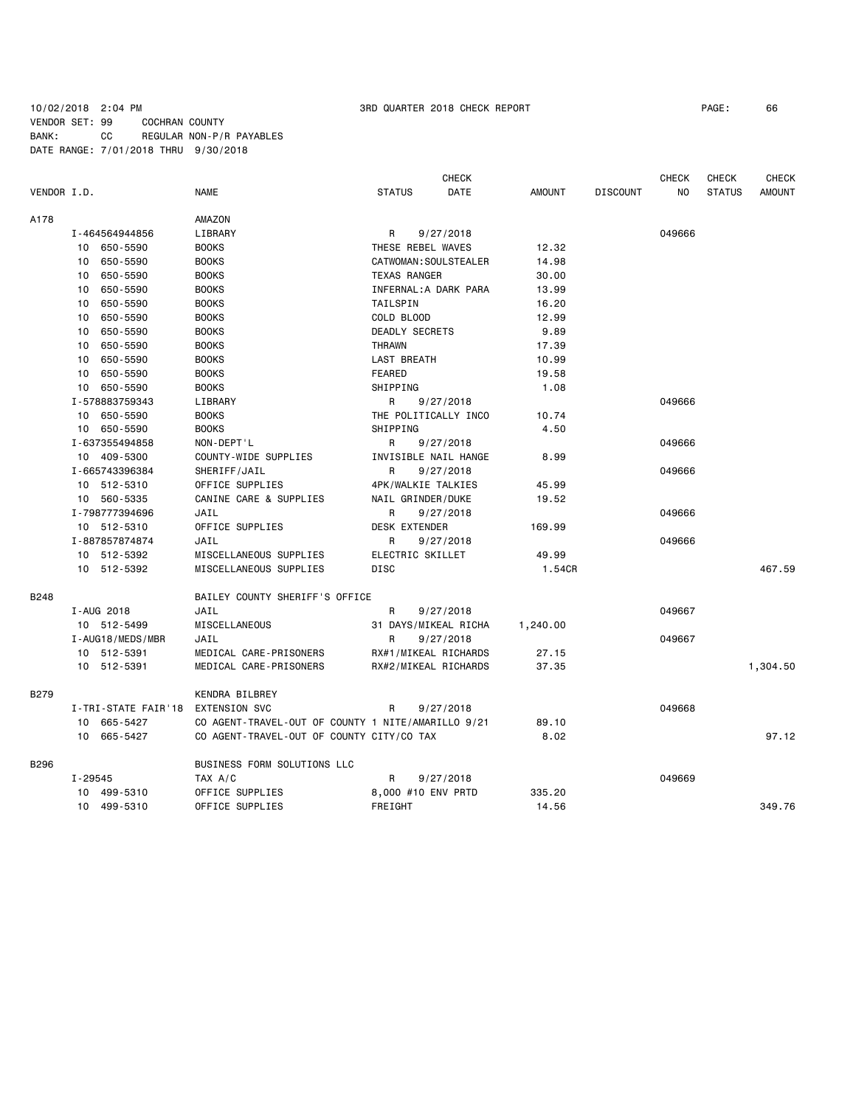### 10/02/2018 2:04 PM 3RD QUARTER 2018 CHECK REPORT PAGE: 66 VENDOR SET: 99 COCHRAN COUNTY BANK: CC REGULAR NON-P/R PAYABLES DATE RANGE: 7/01/2018 THRU 9/30/2018

|                               |             |                     |                                                    |                       | <b>CHECK</b>          |               |                 | <b>CHECK</b> | <b>CHECK</b>  | <b>CHECK</b>  |
|-------------------------------|-------------|---------------------|----------------------------------------------------|-----------------------|-----------------------|---------------|-----------------|--------------|---------------|---------------|
| VENDOR I.D.                   |             |                     | <b>NAME</b>                                        | <b>STATUS</b>         | DATE                  | <b>AMOUNT</b> | <b>DISCOUNT</b> | NO.          | <b>STATUS</b> | <b>AMOUNT</b> |
| A178                          |             |                     | AMAZON                                             |                       |                       |               |                 |              |               |               |
|                               |             | I-464564944856      | LIBRARY                                            | R                     | 9/27/2018             |               |                 | 049666       |               |               |
|                               |             | 10 650-5590         | <b>BOOKS</b>                                       | THESE REBEL WAVES     |                       | 12.32         |                 |              |               |               |
|                               | 10 650-5590 |                     | <b>BOOKS</b>                                       |                       | CATWOMAN: SOULSTEALER | 14.98         |                 |              |               |               |
|                               | 10          | 650-5590            | <b>BOOKS</b>                                       | <b>TEXAS RANGER</b>   |                       | 30.00         |                 |              |               |               |
|                               | 10          | 650-5590            | <b>BOOKS</b>                                       |                       | INFERNAL: A DARK PARA | 13.99         |                 |              |               |               |
|                               | 10          | 650-5590            | <b>BOOKS</b>                                       | TAILSPIN              |                       | 16.20         |                 |              |               |               |
|                               |             | 10 650-5590         | <b>BOOKS</b>                                       | COLD BLOOD            |                       | 12.99         |                 |              |               |               |
|                               | 10          | 650-5590            | <b>BOOKS</b>                                       | <b>DEADLY SECRETS</b> |                       | 9.89          |                 |              |               |               |
|                               | 10          | 650-5590            | <b>BOOKS</b>                                       | <b>THRAWN</b>         |                       | 17.39         |                 |              |               |               |
|                               | 10          | 650-5590            | <b>BOOKS</b>                                       | LAST BREATH           |                       | 10.99         |                 |              |               |               |
|                               | 10          | 650-5590            | <b>BOOKS</b>                                       | FEARED                |                       | 19.58         |                 |              |               |               |
|                               |             | 10 650-5590         | <b>BOOKS</b>                                       | SHIPPING              |                       | 1.08          |                 |              |               |               |
|                               |             | I-578883759343      | LIBRARY                                            | R.                    | 9/27/2018             |               |                 | 049666       |               |               |
|                               |             | 10 650-5590         | <b>BOOKS</b>                                       |                       | THE POLITICALLY INCO  | 10.74         |                 |              |               |               |
|                               |             | 10 650-5590         | <b>BOOKS</b>                                       | SHIPPING              |                       | 4.50          |                 |              |               |               |
|                               |             | I-637355494858      | NON-DEPT'L                                         | R                     | 9/27/2018             |               |                 | 049666       |               |               |
|                               |             | 10 409-5300         | COUNTY-WIDE SUPPLIES                               |                       | INVISIBLE NAIL HANGE  | 8.99          |                 |              |               |               |
| I-665743396384<br>10 512-5310 |             |                     | SHERIFF/JAIL                                       | R                     | 9/27/2018             |               |                 | 049666       |               |               |
|                               |             |                     | OFFICE SUPPLIES                                    |                       | 4PK/WALKIE TALKIES    | 45.99         |                 |              |               |               |
|                               |             | 10 560-5335         | CANINE CARE & SUPPLIES                             | NAIL GRINDER/DUKE     |                       | 19.52         |                 |              |               |               |
|                               |             | I-798777394696      | JAIL                                               | R                     | 9/27/2018             |               |                 | 049666       |               |               |
|                               |             | 10 512-5310         | OFFICE SUPPLIES                                    | <b>DESK EXTENDER</b>  |                       | 169.99        |                 |              |               |               |
|                               |             | I-887857874874      | JAIL                                               | R<br>9/27/2018        |                       |               |                 | 049666       |               |               |
|                               |             | 10 512-5392         | MISCELLANEOUS SUPPLIES                             | ELECTRIC SKILLET      |                       | 49.99         |                 |              |               |               |
|                               |             | 10 512-5392         | MISCELLANEOUS SUPPLIES                             | DISC                  |                       | 1.54CR        |                 |              |               | 467.59        |
| <b>B248</b>                   |             |                     | BAILEY COUNTY SHERIFF'S OFFICE                     |                       |                       |               |                 |              |               |               |
|                               |             | I-AUG 2018          | JAIL                                               | R                     | 9/27/2018             |               |                 | 049667       |               |               |
|                               |             | 10 512-5499         | MISCELLANEOUS                                      |                       | 31 DAYS/MIKEAL RICHA  | 1,240.00      |                 |              |               |               |
|                               |             | I-AUG18/MEDS/MBR    | JAIL                                               | R                     | 9/27/2018             |               |                 | 049667       |               |               |
|                               |             | 10 512-5391         | MEDICAL CARE-PRISONERS                             |                       | RX#1/MIKEAL RICHARDS  | 27.15         |                 |              |               |               |
|                               |             | 10 512-5391         | MEDICAL CARE-PRISONERS                             |                       | RX#2/MIKEAL RICHARDS  | 37.35         |                 |              |               | 1,304.50      |
| <b>B279</b>                   |             |                     | KENDRA BILBREY                                     |                       |                       |               |                 |              |               |               |
|                               |             | I-TRI-STATE FAIR'18 | <b>EXTENSION SVC</b>                               | R                     | 9/27/2018             |               |                 | 049668       |               |               |
|                               |             | 10 665-5427         | CO AGENT-TRAVEL-OUT OF COUNTY 1 NITE/AMARILLO 9/21 |                       |                       | 89.10         |                 |              |               |               |
|                               |             | 10 665-5427         | CO AGENT-TRAVEL-OUT OF COUNTY CITY/CO TAX          |                       |                       | 8.02          |                 |              |               | 97.12         |
| B296                          |             |                     | BUSINESS FORM SOLUTIONS LLC                        |                       |                       |               |                 |              |               |               |
|                               | $I - 29545$ |                     | TAX A/C                                            | R                     | 9/27/2018             |               |                 | 049669       |               |               |
|                               |             | 10 499-5310         | OFFICE SUPPLIES                                    |                       | 8,000 #10 ENV PRTD    | 335.20        |                 |              |               |               |
|                               |             | 10 499-5310         | OFFICE SUPPLIES                                    | FREIGHT               |                       | 14.56         |                 |              |               | 349.76        |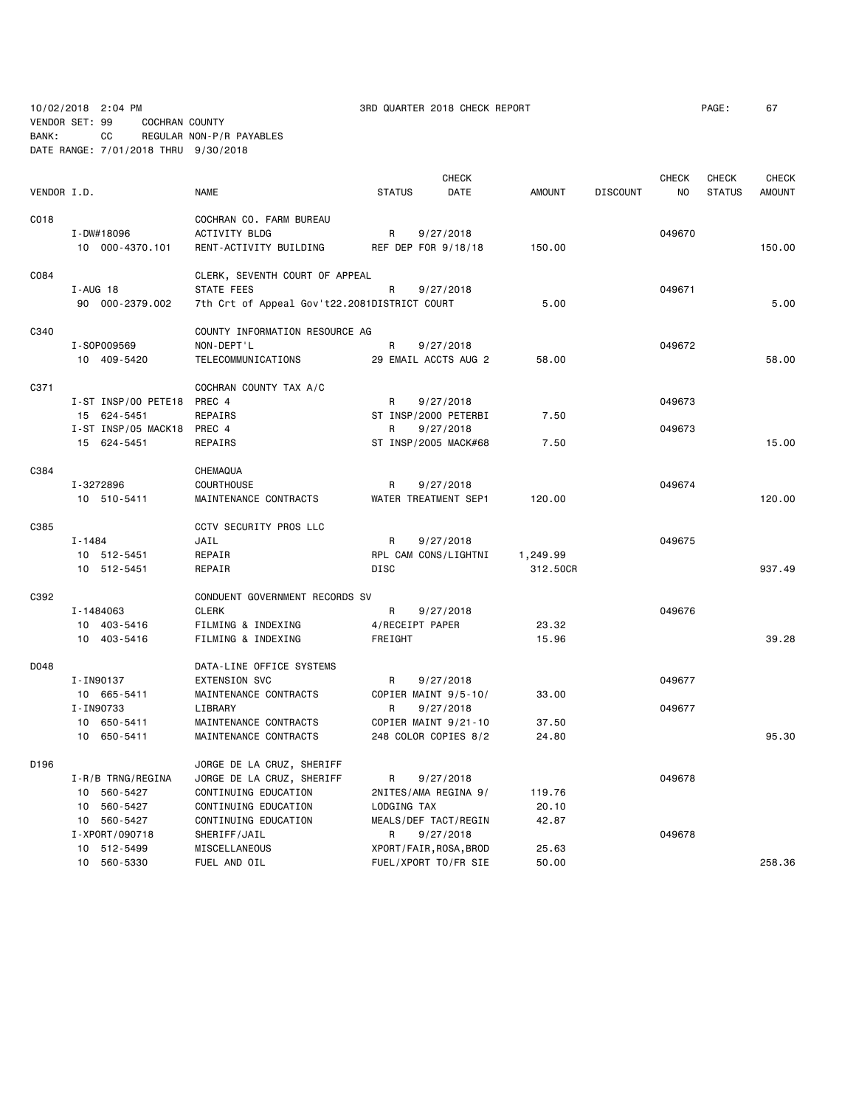10/02/2018 2:04 PM 3RD QUARTER 2018 CHECK REPORT PAGE: 67

VENDOR SET: 99 COCHRAN COUNTY BANK: CC REGULAR NON-P/R PAYABLES

DATE RANGE: 7/01/2018 THRU 9/30/2018

|             |                     |                                              |                     | <b>CHECK</b>           |               |                 | <b>CHECK</b> | <b>CHECK</b>  | <b>CHECK</b>  |
|-------------|---------------------|----------------------------------------------|---------------------|------------------------|---------------|-----------------|--------------|---------------|---------------|
| VENDOR I.D. |                     | <b>NAME</b>                                  | <b>STATUS</b>       | DATE                   | <b>AMOUNT</b> | <b>DISCOUNT</b> | NO           | <b>STATUS</b> | <b>AMOUNT</b> |
| C018        |                     | COCHRAN CO. FARM BUREAU                      |                     |                        |               |                 |              |               |               |
|             | I-DW#18096          | <b>ACTIVITY BLDG</b>                         | R                   | 9/27/2018              |               |                 | 049670       |               |               |
|             | 10 000-4370.101     | RENT-ACTIVITY BUILDING                       | REF DEP FOR 9/18/18 |                        | 150.00        |                 |              |               | 150.00        |
| C084        |                     | CLERK, SEVENTH COURT OF APPEAL               |                     |                        |               |                 |              |               |               |
|             | I-AUG 18            | STATE FEES                                   | R                   | 9/27/2018              |               |                 | 049671       |               |               |
|             | 90 000-2379.002     | 7th Crt of Appeal Gov't22.2081DISTRICT COURT |                     |                        | 5.00          |                 |              |               | 5.00          |
| C340        |                     | COUNTY INFORMATION RESOURCE AG               |                     |                        |               |                 |              |               |               |
|             | I-S0P009569         | NON-DEPT'L                                   | R                   | 9/27/2018              |               |                 | 049672       |               |               |
|             | 10 409-5420         | TELECOMMUNICATIONS                           |                     | 29 EMAIL ACCTS AUG 2   | 58,00         |                 |              |               | 58.00         |
| C371        |                     | COCHRAN COUNTY TAX A/C                       |                     |                        |               |                 |              |               |               |
|             | I-ST INSP/00 PETE18 | PREC 4                                       | R                   | 9/27/2018              |               |                 | 049673       |               |               |
|             | 15 624-5451         | REPAIRS                                      |                     | ST INSP/2000 PETERBI   | 7.50          |                 |              |               |               |
|             | I-ST INSP/05 MACK18 | PREC 4                                       | R                   | 9/27/2018              |               |                 | 049673       |               |               |
|             | 15 624-5451         | REPAIRS                                      |                     | ST INSP/2005 MACK#68   | 7.50          |                 |              |               | 15.00         |
| C384        |                     | CHEMAQUA                                     |                     |                        |               |                 |              |               |               |
|             | I-3272896           | COURTHOUSE                                   | R                   | 9/27/2018              |               |                 | 049674       |               |               |
|             | 10 510-5411         | MAINTENANCE CONTRACTS                        |                     | WATER TREATMENT SEP1   | 120.00        |                 |              |               | 120,00        |
| C385        |                     | CCTV SECURITY PROS LLC                       |                     |                        |               |                 |              |               |               |
|             | $I - 1484$          | JAIL                                         | R                   | 9/27/2018              |               |                 | 049675       |               |               |
|             | 10 512-5451         | REPAIR                                       |                     | RPL CAM CONS/LIGHTNI   | 1,249.99      |                 |              |               |               |
|             | 10 512-5451         | REPAIR                                       | <b>DISC</b>         |                        | 312.50CR      |                 |              |               | 937.49        |
| C392        |                     | CONDUENT GOVERNMENT RECORDS SV               |                     |                        |               |                 |              |               |               |
|             | I-1484063           | <b>CLERK</b>                                 | R                   | 9/27/2018              |               |                 | 049676       |               |               |
|             | 10 403-5416         | FILMING & INDEXING                           | 4/RECEIPT PAPER     |                        | 23.32         |                 |              |               |               |
|             | 10 403-5416         | FILMING & INDEXING                           | FREIGHT             |                        | 15.96         |                 |              |               | 39.28         |
| D048        |                     | DATA-LINE OFFICE SYSTEMS                     |                     |                        |               |                 |              |               |               |
|             | I-IN90137           | <b>EXTENSION SVC</b>                         | R                   | 9/27/2018              |               |                 | 049677       |               |               |
|             | 10 665-5411         | MAINTENANCE CONTRACTS                        |                     | COPIER MAINT 9/5-10/   | 33.00         |                 |              |               |               |
|             | I-IN90733           | LIBRARY                                      | R                   | 9/27/2018              |               |                 | 049677       |               |               |
|             | 10 650-5411         | MAINTENANCE CONTRACTS                        |                     | COPIER MAINT 9/21-10   | 37.50         |                 |              |               |               |
|             | 10 650-5411         | MAINTENANCE CONTRACTS                        |                     | 248 COLOR COPIES 8/2   | 24.80         |                 |              |               | 95.30         |
| D196        |                     | JORGE DE LA CRUZ, SHERIFF                    |                     |                        |               |                 |              |               |               |
|             | I-R/B TRNG/REGINA   | JORGE DE LA CRUZ, SHERIFF                    | R                   | 9/27/2018              |               |                 | 049678       |               |               |
|             | 10 560-5427         | CONTINUING EDUCATION                         |                     | 2NITES/AMA REGINA 9/   | 119.76        |                 |              |               |               |
|             | 10 560-5427         | CONTINUING EDUCATION                         | LODGING TAX         |                        | 20.10         |                 |              |               |               |
|             | 10 560-5427         | CONTINUING EDUCATION                         |                     | MEALS/DEF TACT/REGIN   | 42.87         |                 |              |               |               |
|             | I-XPORT/090718      | SHERIFF/JAIL                                 | R                   | 9/27/2018              |               |                 | 049678       |               |               |
|             | 10 512-5499         | MISCELLANEOUS                                |                     | XPORT/FAIR, ROSA, BROD | 25.63         |                 |              |               | 258.36        |
|             | 10 560-5330         | FUEL AND OIL                                 |                     | FUEL/XPORT TO/FR SIE   | 50.00         |                 |              |               |               |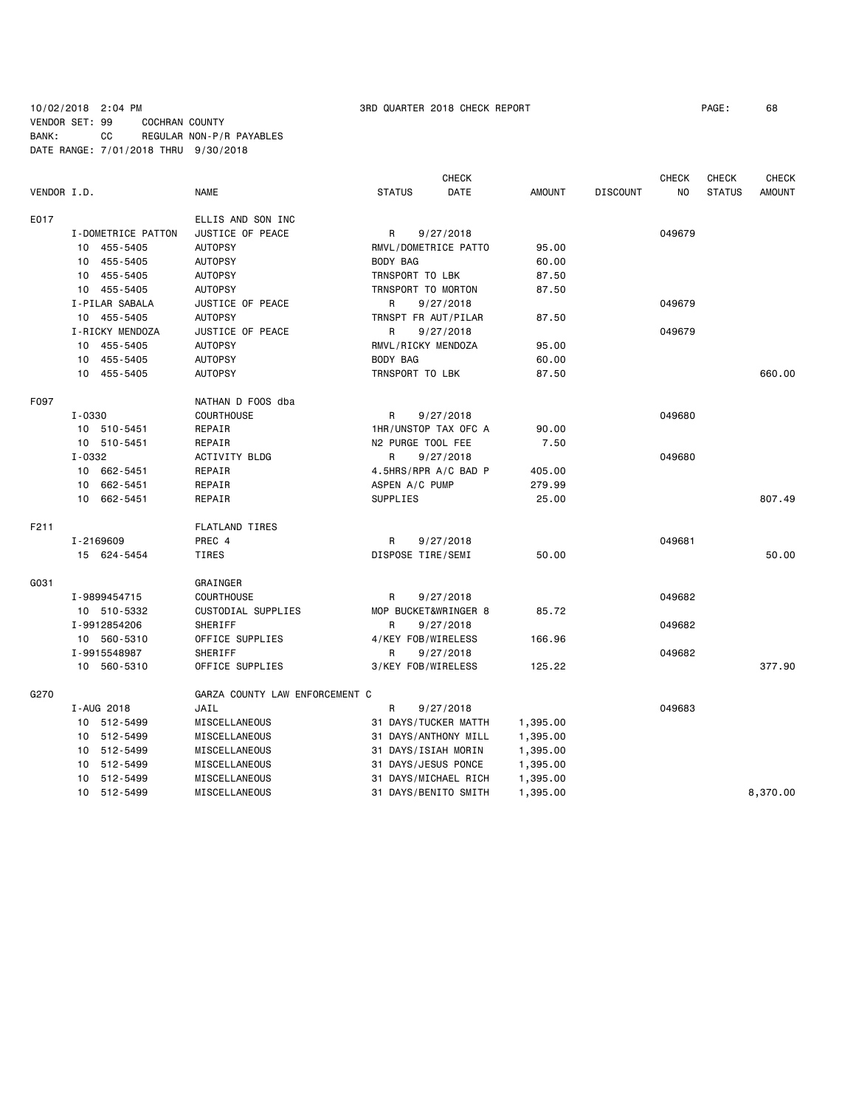### 10/02/2018 2:04 PM 3RD QUARTER 2018 CHECK REPORT PAGE: 68 VENDOR SET: 99 COCHRAN COUNTY BANK: CC REGULAR NON-P/R PAYABLES DATE RANGE: 7/01/2018 THRU 9/30/2018

|             |                    |                                | <b>CHECK</b>          |               |                 |                | <b>CHECK</b>  | <b>CHECK</b>  |
|-------------|--------------------|--------------------------------|-----------------------|---------------|-----------------|----------------|---------------|---------------|
| VENDOR I.D. |                    | <b>NAME</b>                    | DATE<br><b>STATUS</b> | <b>AMOUNT</b> | <b>DISCOUNT</b> | N <sub>O</sub> | <b>STATUS</b> | <b>AMOUNT</b> |
| E017        |                    | ELLIS AND SON INC              |                       |               |                 |                |               |               |
|             | I-DOMETRICE PATTON | JUSTICE OF PEACE               | R<br>9/27/2018        |               |                 | 049679         |               |               |
|             | 10 455-5405        | <b>AUTOPSY</b>                 | RMVL/DOMETRICE PATTO  | 95.00         |                 |                |               |               |
|             | 10 455-5405        | <b>AUTOPSY</b>                 | BODY BAG              | 60.00         |                 |                |               |               |
|             | 455-5405<br>10     | <b>AUTOPSY</b>                 | TRNSPORT TO LBK       | 87.50         |                 |                |               |               |
|             | 10 455-5405        | <b>AUTOPSY</b>                 | TRNSPORT TO MORTON    | 87.50         |                 |                |               |               |
|             | I-PILAR SABALA     | JUSTICE OF PEACE               | R<br>9/27/2018        |               |                 | 049679         |               |               |
|             | 10 455-5405        | <b>AUTOPSY</b>                 | TRNSPT FR AUT/PILAR   | 87.50         |                 |                |               |               |
|             | I-RICKY MENDOZA    | JUSTICE OF PEACE               | R<br>9/27/2018        |               |                 | 049679         |               |               |
|             | 10 455-5405        | <b>AUTOPSY</b>                 | RMVL/RICKY MENDOZA    | 95.00         |                 |                |               |               |
|             | 10 455-5405        | <b>AUTOPSY</b>                 | BODY BAG              | 60.00         |                 |                |               |               |
|             | 10 455-5405        | <b>AUTOPSY</b>                 | TRNSPORT TO LBK       | 87.50         |                 |                |               | 660.00        |
| F097        |                    | NATHAN D FOOS dba              |                       |               |                 |                |               |               |
|             | $I - 0330$         | <b>COURTHOUSE</b>              | R<br>9/27/2018        |               |                 | 049680         |               |               |
|             | 10 510-5451        | REPAIR                         | 1HR/UNSTOP TAX OFC A  | 90.00         |                 |                |               |               |
|             | 10 510-5451        | REPAIR                         | N2 PURGE TOOL FEE     | 7.50          |                 |                |               |               |
|             | I-0332             | <b>ACTIVITY BLDG</b>           | R<br>9/27/2018        |               |                 | 049680         |               |               |
|             | 10 662-5451        | REPAIR                         | 4.5HRS/RPR A/C BAD P  | 405.00        |                 |                |               |               |
|             | 10 662-5451        | REPAIR                         | ASPEN A/C PUMP        | 279.99        |                 |                |               |               |
|             | 10 662-5451        | REPAIR                         | SUPPLIES              | 25.00         |                 |                |               | 807.49        |
| F211        |                    | <b>FLATLAND TIRES</b>          |                       |               |                 |                |               |               |
|             | I-2169609          | PREC 4                         | R<br>9/27/2018        |               |                 | 049681         |               |               |
|             | 15 624-5454        | TIRES                          | DISPOSE TIRE/SEMI     | 50.00         |                 |                |               | 50.00         |
| G031        |                    | GRAINGER                       |                       |               |                 |                |               |               |
|             | I-9899454715       | <b>COURTHOUSE</b>              | R<br>9/27/2018        |               |                 | 049682         |               |               |
|             | 10 510-5332        | CUSTODIAL SUPPLIES             | MOP BUCKET&WRINGER 8  | 85.72         |                 |                |               |               |
|             | I-9912854206       | SHERIFF                        | 9/27/2018<br>R        |               |                 | 049682         |               |               |
|             | 10 560-5310        | OFFICE SUPPLIES                | 4/KEY FOB/WIRELESS    | 166.96        |                 |                |               |               |
|             | I-9915548987       | SHERIFF                        | 9/27/2018<br>R        |               |                 | 049682         |               |               |
|             | 10 560-5310        | OFFICE SUPPLIES                | 3/KEY FOB/WIRELESS    | 125.22        |                 |                |               | 377.90        |
| G270        |                    | GARZA COUNTY LAW ENFORCEMENT C |                       |               |                 |                |               |               |
|             | I-AUG 2018         | JAIL                           | R<br>9/27/2018        |               |                 | 049683         |               |               |
|             | 10 512-5499        | MISCELLANEOUS                  | 31 DAYS/TUCKER MATTH  | 1,395.00      |                 |                |               |               |
|             | 10 512-5499        | MISCELLANEOUS                  | 31 DAYS/ANTHONY MILL  | 1,395.00      |                 |                |               |               |
|             | 10 512-5499        | MISCELLANEOUS                  | 31 DAYS/ISIAH MORIN   | 1,395.00      |                 |                |               |               |
|             | 10 512-5499        | MISCELLANEOUS                  | 31 DAYS/JESUS PONCE   | 1,395.00      |                 |                |               |               |
|             | 10 512-5499        | MISCELLANEOUS                  | 31 DAYS/MICHAEL RICH  | 1,395.00      |                 |                |               |               |
|             | 10 512-5499        | MISCELLANEOUS                  | 31 DAYS/BENITO SMITH  | 1,395.00      |                 |                |               | 8,370.00      |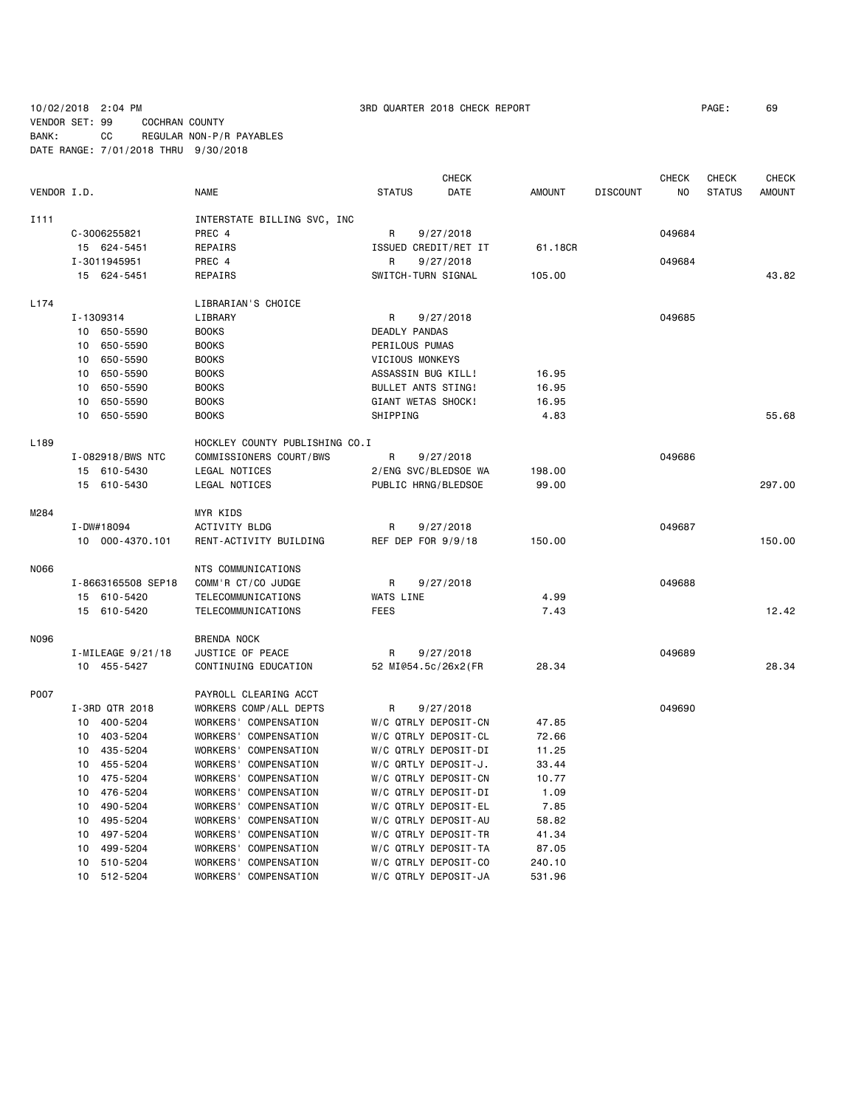10/02/2018 2:04 PM 3RD QUARTER 2018 CHECK REPORT PAGE: 69

VENDOR SET: 99 COCHRAN COUNTY BANK: CC REGULAR NON-P/R PAYABLES DATE RANGE: 7/01/2018 THRU 9/30/2018

|                  |                    |                                 |                      | <b>CHECK</b> |               |                 | <b>CHECK</b>   | <b>CHECK</b>  | CHECK         |
|------------------|--------------------|---------------------------------|----------------------|--------------|---------------|-----------------|----------------|---------------|---------------|
| VENDOR I.D.      |                    | <b>NAME</b>                     | <b>STATUS</b>        | DATE         | <b>AMOUNT</b> | <b>DISCOUNT</b> | N <sub>O</sub> | <b>STATUS</b> | <b>AMOUNT</b> |
| I111             |                    | INTERSTATE BILLING SVC, INC     |                      |              |               |                 |                |               |               |
|                  | C-3006255821       | PREC 4                          | R                    | 9/27/2018    |               |                 | 049684         |               |               |
|                  | 15 624-5451        | REPAIRS                         | ISSUED CREDIT/RET IT |              | 61.18CR       |                 |                |               |               |
|                  | I-3011945951       | PREC 4                          | R                    | 9/27/2018    |               |                 | 049684         |               |               |
|                  | 15 624-5451        | REPAIRS                         | SWITCH-TURN SIGNAL   |              | 105.00        |                 |                |               | 43.82         |
| L174             |                    | LIBRARIAN'S CHOICE              |                      |              |               |                 |                |               |               |
|                  | I-1309314          | LIBRARY                         | R                    | 9/27/2018    |               |                 | 049685         |               |               |
|                  | 10 650-5590        | <b>BOOKS</b>                    | DEADLY PANDAS        |              |               |                 |                |               |               |
|                  | 650-5590<br>10     | <b>BOOKS</b>                    | PERILOUS PUMAS       |              |               |                 |                |               |               |
|                  | 10<br>650-5590     | <b>BOOKS</b>                    | VICIOUS MONKEYS      |              |               |                 |                |               |               |
|                  | 650-5590<br>10     | <b>BOOKS</b>                    | ASSASSIN BUG KILL!   |              | 16.95         |                 |                |               |               |
|                  | 10<br>650-5590     | <b>BOOKS</b>                    | BULLET ANTS STING!   |              | 16.95         |                 |                |               |               |
|                  | 10<br>650-5590     | <b>BOOKS</b>                    | GIANT WETAS SHOCK!   |              | 16.95         |                 |                |               |               |
|                  | 10 650-5590        | <b>BOOKS</b>                    | SHIPPING             |              | 4.83          |                 |                |               | 55.68         |
| L <sub>189</sub> |                    | HOCKLEY COUNTY PUBLISHING CO.I  |                      |              |               |                 |                |               |               |
|                  | I-082918/BWS NTC   | COMMISSIONERS COURT/BWS         | R                    | 9/27/2018    |               |                 | 049686         |               |               |
|                  | 15 610-5430        | LEGAL NOTICES                   | 2/ENG SVC/BLEDSOE WA |              | 198.00        |                 |                |               |               |
|                  | 15 610-5430        | LEGAL NOTICES                   | PUBLIC HRNG/BLEDSOE  |              | 99.00         |                 |                |               | 297.00        |
| M284             |                    | MYR KIDS                        |                      |              |               |                 |                |               |               |
|                  | I-DW#18094         | ACTIVITY BLDG                   | R                    | 9/27/2018    |               |                 | 049687         |               |               |
|                  | 10 000-4370.101    | RENT-ACTIVITY BUILDING          | REF DEP FOR 9/9/18   |              | 150.00        |                 |                |               | 150.00        |
| N066             |                    | NTS COMMUNICATIONS              |                      |              |               |                 |                |               |               |
|                  | I-8663165508 SEP18 | COMM'R CT/CO JUDGE              | R                    | 9/27/2018    |               |                 | 049688         |               |               |
|                  | 15 610-5420        | TELECOMMUNICATIONS              | <b>WATS LINE</b>     |              | 4.99          |                 |                |               |               |
|                  | 15 610-5420        | TELECOMMUNICATIONS              | <b>FEES</b>          |              | 7.43          |                 |                |               | 12.42         |
| N096             |                    | <b>BRENDA NOCK</b>              |                      |              |               |                 |                |               |               |
|                  | I-MILEAGE 9/21/18  | JUSTICE OF PEACE                | R                    | 9/27/2018    |               |                 | 049689         |               |               |
|                  | 10 455-5427        | CONTINUING EDUCATION            | 52 MI@54.5c/26x2(FR  |              | 28.34         |                 |                |               | 28.34         |
| P007             |                    | PAYROLL CLEARING ACCT           |                      |              |               |                 |                |               |               |
|                  | I-3RD QTR 2018     | WORKERS COMP/ALL DEPTS          | R                    | 9/27/2018    |               |                 | 049690         |               |               |
|                  | 400-5204<br>10     | WORKERS' COMPENSATION           | W/C QTRLY DEPOSIT-CN |              | 47.85         |                 |                |               |               |
|                  | 403-5204<br>10     | WORKERS' COMPENSATION           | W/C QTRLY DEPOSIT-CL |              | 72.66         |                 |                |               |               |
|                  | 435-5204<br>10     | WORKERS' COMPENSATION           | W/C QTRLY DEPOSIT-DI |              | 11.25         |                 |                |               |               |
|                  | 455-5204<br>10     | WORKERS' COMPENSATION           | W/C QRTLY DEPOSIT-J. |              | 33.44         |                 |                |               |               |
|                  | 10 475-5204        | WORKERS' COMPENSATION           | W/C QTRLY DEPOSIT-CN |              | 10.77         |                 |                |               |               |
|                  | 10 476-5204        | WORKERS' COMPENSATION           | W/C QTRLY DEPOSIT-DI |              | 1.09          |                 |                |               |               |
|                  | 490-5204<br>10     | WORKERS' COMPENSATION           | W/C QTRLY DEPOSIT-EL |              | 7.85          |                 |                |               |               |
|                  | 10<br>495-5204     | WORKERS' COMPENSATION           | W/C QTRLY DEPOSIT-AU |              | 58.82         |                 |                |               |               |
|                  | 10<br>497-5204     | WORKERS' COMPENSATION           | W/C QTRLY DEPOSIT-TR |              | 41.34         |                 |                |               |               |
|                  | 499-5204<br>10     | WORKERS'<br>COMPENSATION        | W/C QTRLY DEPOSIT-TA |              | 87.05         |                 |                |               |               |
|                  | 10<br>510-5204     | <b>WORKERS'</b><br>COMPENSATION | W/C QTRLY DEPOSIT-CO |              | 240.10        |                 |                |               |               |
|                  | 10<br>512-5204     | <b>WORKERS'</b><br>COMPENSATION | W/C QTRLY DEPOSIT-JA |              | 531.96        |                 |                |               |               |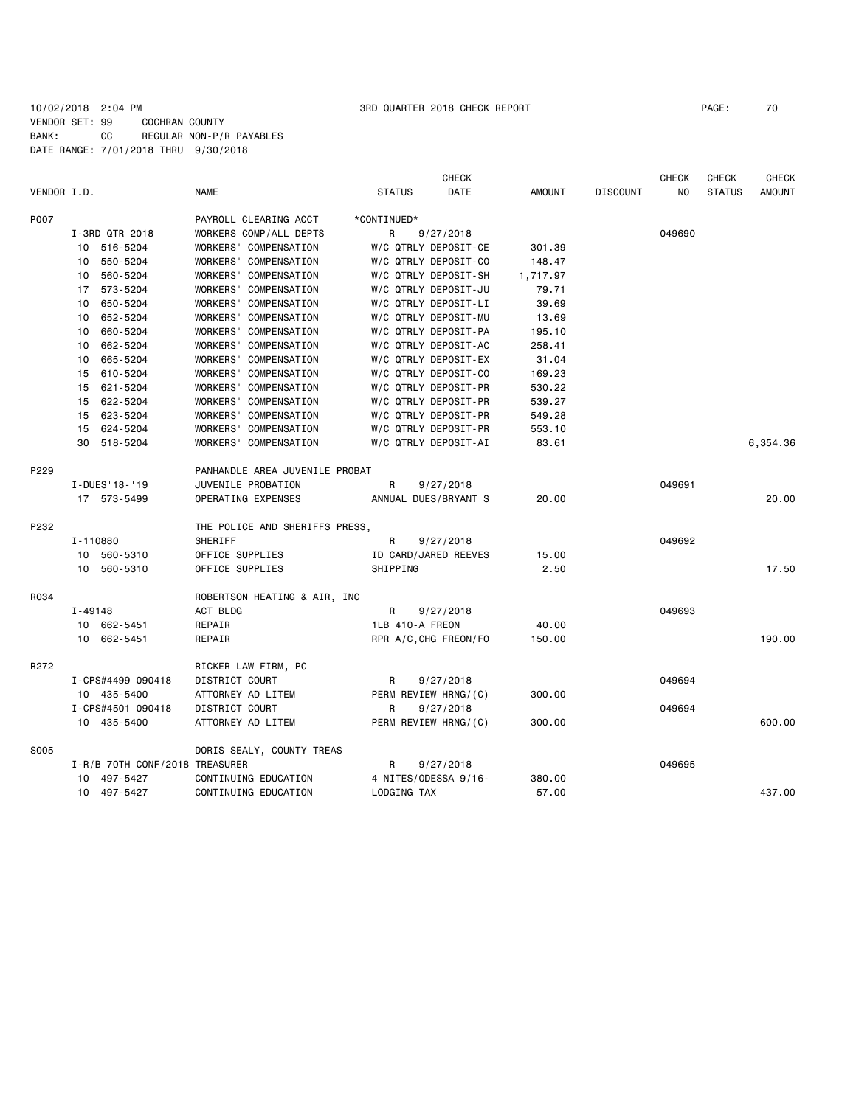### 10/02/2018 2:04 PM 3RD QUARTER 2018 CHECK REPORT PAGE: 70 VENDOR SET: 99 COCHRAN COUNTY BANK: CC REGULAR NON-P/R PAYABLES DATE RANGE: 7/01/2018 THRU 9/30/2018

|             |                   |                                |                                |                 | CHECK                 |               |                 | <b>CHECK</b> | <b>CHECK</b>  | <b>CHECK</b>  |
|-------------|-------------------|--------------------------------|--------------------------------|-----------------|-----------------------|---------------|-----------------|--------------|---------------|---------------|
| VENDOR I.D. |                   | <b>NAME</b>                    |                                | <b>STATUS</b>   | <b>DATE</b>           | <b>AMOUNT</b> | <b>DISCOUNT</b> | NO.          | <b>STATUS</b> | <b>AMOUNT</b> |
| P007        |                   |                                | PAYROLL CLEARING ACCT          | *CONTINUED*     |                       |               |                 |              |               |               |
|             | I-3RD QTR 2018    |                                | WORKERS COMP/ALL DEPTS         | R               | 9/27/2018             |               |                 | 049690       |               |               |
|             | 10 516-5204       |                                | WORKERS' COMPENSATION          |                 | W/C QTRLY DEPOSIT-CE  | 301.39        |                 |              |               |               |
|             | 10 550-5204       |                                | WORKERS' COMPENSATION          |                 | W/C QTRLY DEPOSIT-CO  | 148.47        |                 |              |               |               |
|             | 10 560-5204       |                                | WORKERS' COMPENSATION          |                 | W/C QTRLY DEPOSIT-SH  | 1,717.97      |                 |              |               |               |
|             | 17 573-5204       |                                | WORKERS' COMPENSATION          |                 | W/C QTRLY DEPOSIT-JU  | 79.71         |                 |              |               |               |
|             | 650-5204<br>10    |                                | WORKERS' COMPENSATION          |                 | W/C QTRLY DEPOSIT-LI  | 39.69         |                 |              |               |               |
|             | 652-5204<br>10    |                                | WORKERS' COMPENSATION          |                 | W/C QTRLY DEPOSIT-MU  | 13.69         |                 |              |               |               |
|             | 10 660-5204       |                                | WORKERS' COMPENSATION          |                 | W/C QTRLY DEPOSIT-PA  | 195.10        |                 |              |               |               |
|             | 662-5204<br>10    |                                | WORKERS' COMPENSATION          |                 | W/C QTRLY DEPOSIT-AC  | 258.41        |                 |              |               |               |
|             | 665-5204<br>10    |                                | WORKERS' COMPENSATION          |                 | W/C QTRLY DEPOSIT-EX  | 31.04         |                 |              |               |               |
|             | 15 610-5204       |                                | WORKERS' COMPENSATION          |                 | W/C QTRLY DEPOSIT-CO  | 169.23        |                 |              |               |               |
|             | 15 621-5204       |                                | WORKERS' COMPENSATION          |                 | W/C QTRLY DEPOSIT-PR  | 530.22        |                 |              |               |               |
|             | 15 622-5204       |                                | WORKERS' COMPENSATION          |                 | W/C QTRLY DEPOSIT-PR  | 539.27        |                 |              |               |               |
|             | 15 623-5204       |                                | WORKERS' COMPENSATION          |                 | W/C QTRLY DEPOSIT-PR  | 549.28        |                 |              |               |               |
|             | 15 624-5204       |                                | WORKERS' COMPENSATION          |                 | W/C QTRLY DEPOSIT-PR  | 553.10        |                 |              |               |               |
|             | 30 518-5204       |                                | WORKERS' COMPENSATION          |                 | W/C QTRLY DEPOSIT-AI  | 83.61         |                 |              |               | 6,354.36      |
| P229        |                   |                                | PANHANDLE AREA JUVENILE PROBAT |                 |                       |               |                 |              |               |               |
|             | I-DUES '18-'19    |                                | JUVENILE PROBATION             | R               | 9/27/2018             |               |                 | 049691       |               |               |
|             | 17 573-5499       |                                | OPERATING EXPENSES             |                 | ANNUAL DUES/BRYANT S  | 20,00         |                 |              |               | 20,00         |
| P232        |                   |                                | THE POLICE AND SHERIFFS PRESS, |                 |                       |               |                 |              |               |               |
|             | I-110880          |                                | SHERIFF                        | R               | 9/27/2018             |               |                 | 049692       |               |               |
|             | 10 560-5310       |                                | OFFICE SUPPLIES                |                 | ID CARD/JARED REEVES  | 15.00         |                 |              |               |               |
|             | 10 560-5310       |                                | OFFICE SUPPLIES                | SHIPPING        |                       | 2.50          |                 |              |               | 17.50         |
| R034        |                   |                                | ROBERTSON HEATING & AIR, INC   |                 |                       |               |                 |              |               |               |
|             | $I - 49148$       |                                | ACT BLDG                       | R               | 9/27/2018             |               |                 | 049693       |               |               |
|             | 10 662-5451       |                                | REPAIR                         | 1LB 410-A FREON |                       | 40.00         |                 |              |               |               |
|             | 10 662-5451       |                                | REPAIR                         |                 | RPR A/C, CHG FREON/FO | 150.00        |                 |              |               | 190.00        |
| R272        |                   |                                | RICKER LAW FIRM, PC            |                 |                       |               |                 |              |               |               |
|             | I-CPS#4499 090418 |                                | DISTRICT COURT                 | R               | 9/27/2018             |               |                 | 049694       |               |               |
|             | 10 435-5400       |                                | ATTORNEY AD LITEM              |                 | PERM REVIEW HRNG/(C)  | 300.00        |                 |              |               |               |
|             | I-CPS#4501 090418 |                                | DISTRICT COURT                 | R               | 9/27/2018             |               |                 | 049694       |               |               |
|             | 10 435-5400       |                                | ATTORNEY AD LITEM              |                 | PERM REVIEW HRNG/(C)  | 300.00        |                 |              |               | 600.00        |
| S005        |                   |                                | DORIS SEALY, COUNTY TREAS      |                 |                       |               |                 |              |               |               |
|             |                   | I-R/B 70TH CONF/2018 TREASURER |                                | R               | 9/27/2018             |               |                 | 049695       |               |               |
|             | 10 497-5427       |                                | CONTINUING EDUCATION           |                 | 4 NITES/ODESSA 9/16-  | 380.00        |                 |              |               |               |
|             | 10 497-5427       |                                | CONTINUING EDUCATION           | LODGING TAX     |                       | 57.00         |                 |              |               | 437.00        |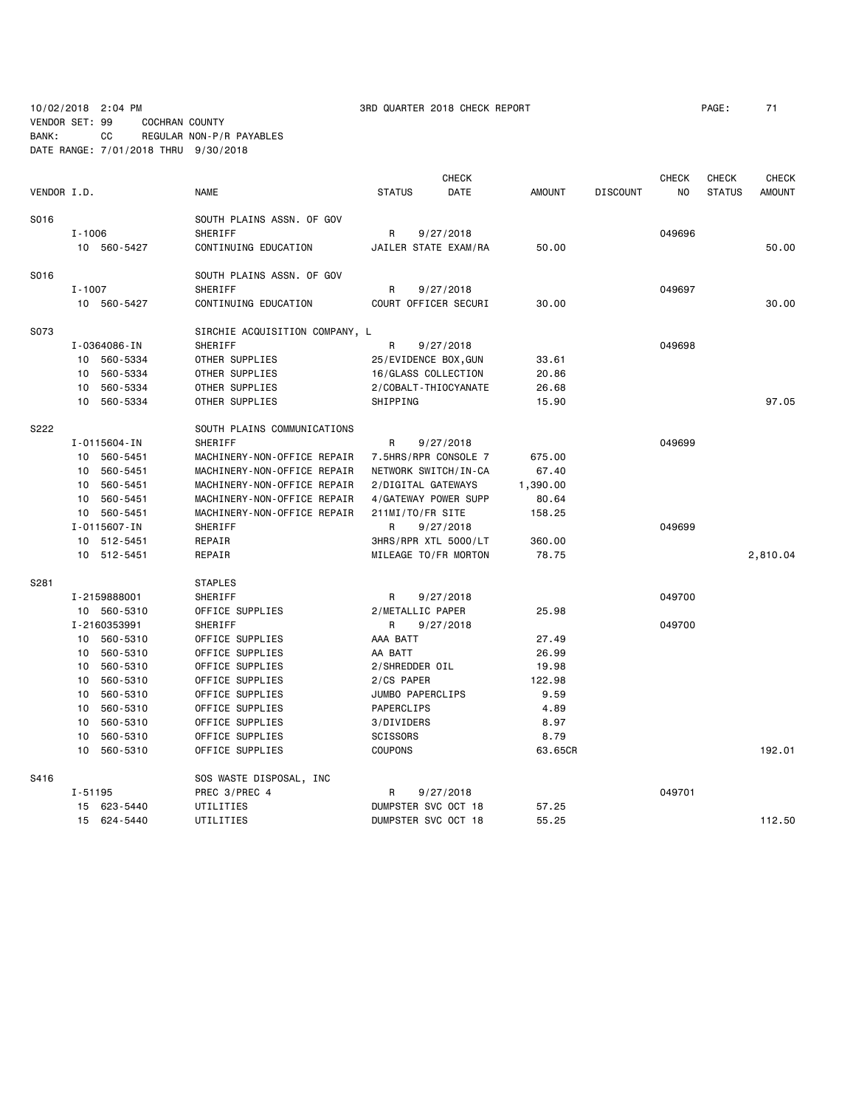VENDOR SET: 99 COCHRAN COUNTY

BANK: CC REGULAR NON-P/R PAYABLES

**CHECK CHECK CHECK CHECK CHECK CHECK CHECK** VENDOR I.D. NAME STATUS DATE AMOUNT DISCOUNT NO STATUS AMOUNT S016 SOUTH PLAINS ASSN. OF GOV I-1006 SHERIFF R 9/27/2018 049696 10 560-5427 CONTINUING EDUCATION JAILER STATE EXAM/RA 50.00 50.00 S016 SOUTH PLAINS ASSN. OF GOV I-1007 SHERIFF R 9/27/2018 049697 10 560-5427 CONTINUING EDUCATION COURT OFFICER SECURI 30.00 30.00 S073 SIRCHIE ACQUISITION COMPANY, L I-0364086-IN SHERIFF R 9/27/2018 049698 10 560-5334 OTHER SUPPLIES 25/EVIDENCE BOX,GUN 33.61 10 560-5334 OTHER SUPPLIES 16/GLASS COLLECTION 20.86 10 560-5334 OTHER SUPPLIES 2/COBALT-THIOCYANATE 26.68 10 560-5334 OTHER SUPPLIES SHIPPING 15.90 97.05 S222 SOUTH PLAINS COMMUNICATIONS I-0115604-IN SHERIFF R 9/27/2018 049699 10 560-5451 MACHINERY-NON-OFFICE REPAIR 7.5HRS/RPR CONSOLE 7 675.00 10 560-5451 MACHINERY-NON-OFFICE REPAIR NETWORK SWITCH/IN-CA 67.40 10 560-5451 MACHINERY-NON-OFFICE REPAIR 2/DIGITAL GATEWAYS 1,390.00 10 560-5451 MACHINERY-NON-OFFICE REPAIR 4/GATEWAY POWER SUPP 80.64 10 560-5451 MACHINERY-NON-OFFICE REPAIR 211MI/TO/FR SITE 158.25 I-0115607-IN SHERIFF R 9/27/2018 049699 10 512-5451 REPAIR 3HRS/RPR XTL 5000/LT 360.00 10 512-5451 REPAIR MILEAGE TO/FR MORTON 78.75 2,810.04 S281 STAPLES I-2159888001 SHERIFF R 9/27/2018 049700 10 560-5310 OFFICE SUPPLIES 2/METALLIC PAPER 25.98 I-2160353991 SHERIFF R 9/27/2018 049700 10 560-5310 OFFICE SUPPLIES AAA BATT 27.49 10 560-5310 OFFICE SUPPLIES AA BATT 26.99 10 560-5310 OFFICE SUPPLIES 2/SHREDDER OIL 19.98 10 560-5310 OFFICE SUPPLIES 2/CS PAPER 122.98 0FFICE SUPPLIES JUMBO PAPERCLIPS 9.59 10 560-5310 OFFICE SUPPLIES PAPERCLIPS 4.89 10 560-5310 OFFICE SUPPLIES 3/DIVIDERS 8.97 10 560-5310 OFFICE SUPPLIES SCISSORS 8.79 10 560-5310 OFFICE SUPPLIES COUPONS 63.65CR 192.01 S416 SOS WASTE DISPOSAL, INC I-51195 PREC 3/PREC 4 R 9/27/2018 049701 15 623-5440 UTILITIES DUMPSTER SVC OCT 18 57.25 15 624-5440 UTILITIES DUMPSTER SVC OCT 18 55.25 112.50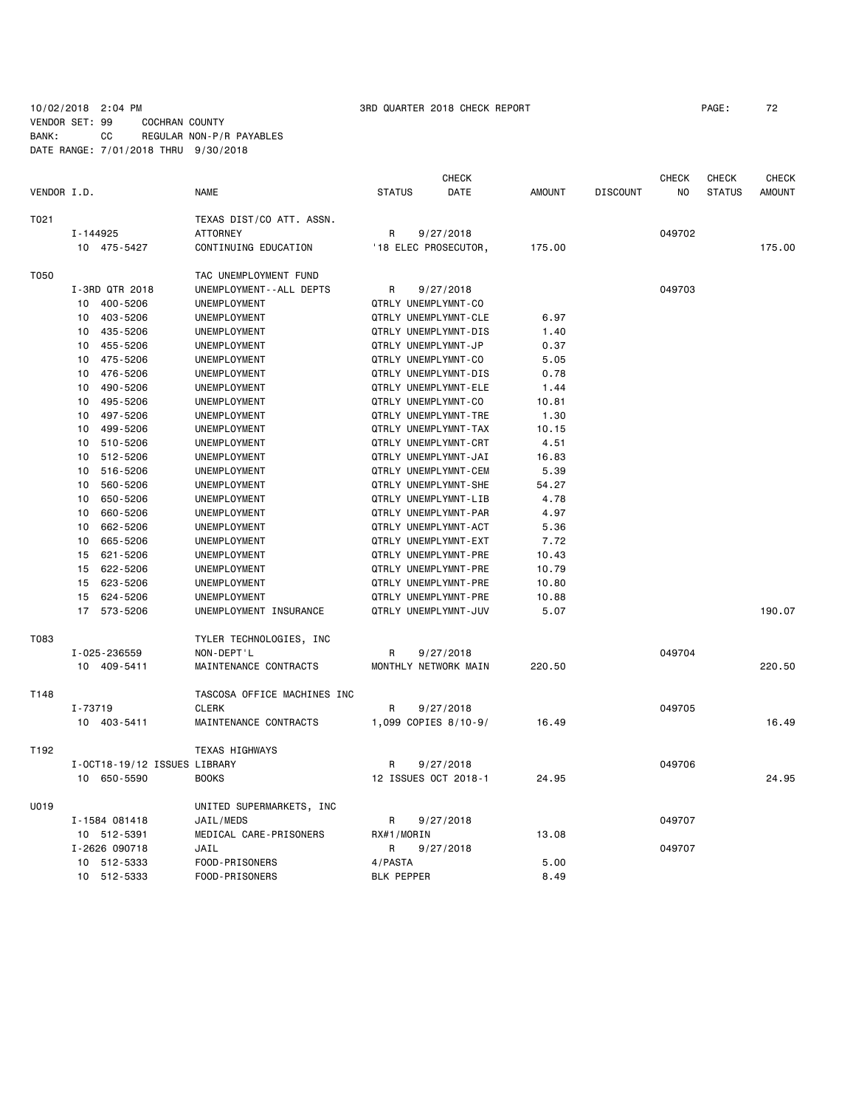### 10/02/2018 2:04 PM 3RD QUARTER 2018 CHECK REPORT PAGE: 72 VENDOR SET: 99 COCHRAN COUNTY BANK: CC REGULAR NON-P/R PAYABLES DATE RANGE: 7/01/2018 THRU 9/30/2018

|             |                              |                              | <b>CHECK</b>         |                      |               | <b>CHECK</b>    | CHECK  | <b>CHECK</b>  |               |
|-------------|------------------------------|------------------------------|----------------------|----------------------|---------------|-----------------|--------|---------------|---------------|
| VENDOR I.D. |                              | <b>NAME</b>                  | <b>STATUS</b>        | DATE                 | <b>AMOUNT</b> | <b>DISCOUNT</b> | NO     | <b>STATUS</b> | <b>AMOUNT</b> |
| T021        |                              | TEXAS DIST/CO ATT. ASSN.     |                      |                      |               |                 |        |               |               |
|             | I-144925                     | <b>ATTORNEY</b>              | 9/27/2018<br>R       |                      |               |                 | 049702 |               |               |
|             | 10 475-5427                  | CONTINUING EDUCATION         |                      | '18 ELEC PROSECUTOR, | 175.00        |                 |        |               | 175.00        |
| T050        |                              | TAC UNEMPLOYMENT FUND        |                      |                      |               |                 |        |               |               |
|             | I-3RD QTR 2018               | UNEMPLOYMENT - - ALL DEPTS   | R                    | 9/27/2018            |               |                 | 049703 |               |               |
|             | 10<br>400-5206               | UNEMPLOYMENT                 | QTRLY UNEMPLYMNT-CO  |                      |               |                 |        |               |               |
|             | 403-5206<br>10               | UNEMPLOYMENT                 |                      | QTRLY UNEMPLYMNT-CLE | 6.97          |                 |        |               |               |
|             | 435-5206<br>10               | UNEMPLOYMENT                 |                      | QTRLY UNEMPLYMNT-DIS | 1.40          |                 |        |               |               |
|             | 455-5206<br>10               | UNEMPLOYMENT                 | QTRLY UNEMPLYMNT-JP  |                      | 0.37          |                 |        |               |               |
|             | 10<br>475-5206               | UNEMPLOYMENT                 | QTRLY UNEMPLYMNT-CO  |                      | 5.05          |                 |        |               |               |
|             | 476-5206<br>10               | UNEMPLOYMENT                 |                      | QTRLY UNEMPLYMNT-DIS | 0.78          |                 |        |               |               |
|             | 490-5206<br>10 <sup>1</sup>  | UNEMPLOYMENT                 |                      | QTRLY UNEMPLYMNT-ELE | 1.44          |                 |        |               |               |
|             | 10<br>495-5206               | UNEMPLOYMENT                 | QTRLY UNEMPLYMNT-CO  |                      | 10.81         |                 |        |               |               |
|             | 497-5206<br>10               | UNEMPLOYMENT                 |                      | QTRLY UNEMPLYMNT-TRE | 1.30          |                 |        |               |               |
|             | 10<br>499-5206               | UNEMPLOYMENT                 |                      | QTRLY UNEMPLYMNT-TAX | 10.15         |                 |        |               |               |
|             | 10<br>510-5206               | UNEMPLOYMENT                 |                      | QTRLY UNEMPLYMNT-CRT | 4.51          |                 |        |               |               |
|             | 10<br>512-5206               | UNEMPLOYMENT                 |                      | QTRLY UNEMPLYMNT-JAI | 16.83         |                 |        |               |               |
|             | 516-5206<br>10               | UNEMPLOYMENT                 |                      | QTRLY UNEMPLYMNT-CEM | 5.39          |                 |        |               |               |
|             | 10<br>560-5206               | UNEMPLOYMENT                 |                      | QTRLY UNEMPLYMNT-SHE | 54.27         |                 |        |               |               |
|             | 10<br>650-5206               | UNEMPLOYMENT                 |                      | QTRLY UNEMPLYMNT-LIB | 4.78          |                 |        |               |               |
|             | 660-5206<br>10               | UNEMPLOYMENT                 |                      | QTRLY UNEMPLYMNT-PAR | 4.97          |                 |        |               |               |
|             | 662-5206<br>10               | UNEMPLOYMENT                 |                      | QTRLY UNEMPLYMNT-ACT | 5.36          |                 |        |               |               |
|             | 10<br>665-5206               | UNEMPLOYMENT                 |                      | QTRLY UNEMPLYMNT-EXT | 7.72          |                 |        |               |               |
|             | 621-5206<br>15               |                              |                      | QTRLY UNEMPLYMNT-PRE | 10.43         |                 |        |               |               |
|             | 622-5206                     | UNEMPLOYMENT<br>UNEMPLOYMENT |                      | QTRLY UNEMPLYMNT-PRE | 10.79         |                 |        |               |               |
|             | 15                           |                              |                      |                      |               |                 |        |               |               |
|             | 623-5206<br>15               | UNEMPLOYMENT                 |                      | QTRLY UNEMPLYMNT-PRE | 10.80         |                 |        |               |               |
|             | 15<br>624-5206               | UNEMPLOYMENT                 |                      | QTRLY UNEMPLYMNT-PRE | 10.88         |                 |        |               |               |
|             | 17<br>573-5206               | UNEMPLOYMENT INSURANCE       |                      | QTRLY UNEMPLYMNT-JUV | 5.07          |                 |        |               | 190.07        |
| T083        |                              | TYLER TECHNOLOGIES, INC      |                      |                      |               |                 |        |               |               |
|             | I-025-236559                 | NON-DEPT'L                   | R                    | 9/27/2018            |               |                 | 049704 |               |               |
|             | 10 409-5411                  | MAINTENANCE CONTRACTS        | MONTHLY NETWORK MAIN |                      | 220.50        |                 |        |               | 220.50        |
| T148        |                              | TASCOSA OFFICE MACHINES INC  |                      |                      |               |                 |        |               |               |
|             | I-73719                      | <b>CLERK</b>                 | R                    | 9/27/2018            |               |                 | 049705 |               |               |
|             | 10 403-5411                  | MAINTENANCE CONTRACTS        |                      | 1,099 COPIES 8/10-9/ | 16.49         |                 |        |               | 16.49         |
| T192        |                              | <b>TEXAS HIGHWAYS</b>        |                      |                      |               |                 |        |               |               |
|             | I-OCT18-19/12 ISSUES LIBRARY |                              | R                    | 9/27/2018            |               |                 | 049706 |               |               |
|             | 10 650-5590                  | <b>BOOKS</b>                 |                      | 12 ISSUES OCT 2018-1 | 24.95         |                 |        |               | 24.95         |
|             |                              |                              |                      |                      |               |                 |        |               |               |
| U019        |                              | UNITED SUPERMARKETS, INC     |                      |                      |               |                 |        |               |               |
|             | I-1584 081418                | JAIL/MEDS                    | R                    | 9/27/2018            |               |                 | 049707 |               |               |
|             | 10 512-5391                  | MEDICAL CARE-PRISONERS       | RX#1/MORIN           |                      | 13.08         |                 |        |               |               |
|             | I-2626 090718                | JAIL                         | R                    | 9/27/2018            |               |                 | 049707 |               |               |
|             | 10 512-5333                  | FOOD-PRISONERS               | 4/PASTA              |                      | 5.00          |                 |        |               |               |
|             | 10 512-5333                  | FOOD-PRISONERS               | <b>BLK PEPPER</b>    |                      | 8.49          |                 |        |               |               |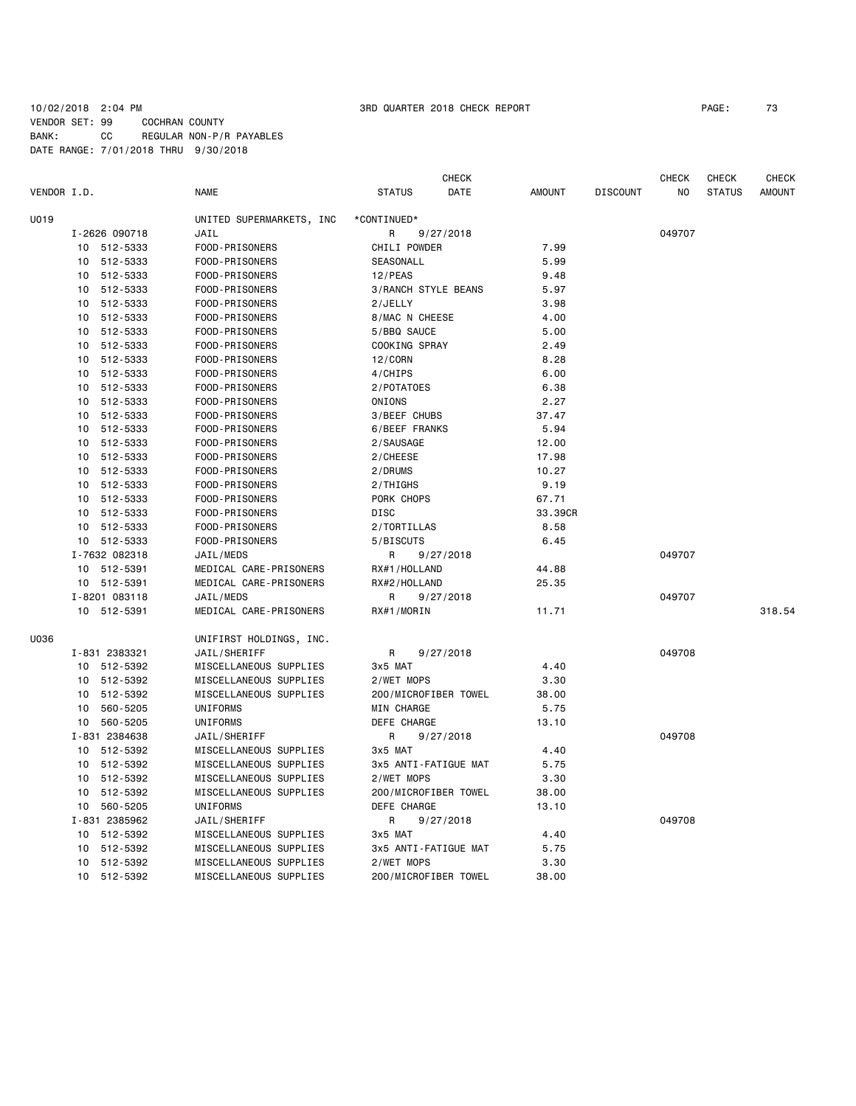## 10/02/2018 2:04 PM 3RD QUARTER 2018 CHECK REPORT PAGE: 73 VENDOR SET: 99 COCHRAN COUNTY BANK: CC REGULAR NON-P/R PAYABLES DATE RANGE: 7/01/2018 THRU 9/30/2018

|             |                             |                          | <b>CHECK</b>          |               |                 | <b>CHECK</b> | CHECK         | CHECK         |
|-------------|-----------------------------|--------------------------|-----------------------|---------------|-----------------|--------------|---------------|---------------|
| VENDOR I.D. |                             | <b>NAME</b>              | <b>STATUS</b><br>DATE | <b>AMOUNT</b> | <b>DISCOUNT</b> | ΝO           | <b>STATUS</b> | <b>AMOUNT</b> |
| U019        |                             | UNITED SUPERMARKETS, INC | *CONTINUED*           |               |                 |              |               |               |
|             | I-2626 090718               | JAIL                     | R<br>9/27/2018        |               |                 | 049707       |               |               |
|             | 10 512-5333                 | FOOD-PRISONERS           | CHILI POWDER          | 7.99          |                 |              |               |               |
|             | 512-5333<br>10              | FOOD-PRISONERS           | SEASONALL             | 5.99          |                 |              |               |               |
|             | 512-5333<br>10              | FOOD-PRISONERS           | $12$ /PEAS            | 9.48          |                 |              |               |               |
|             | 512-5333<br>10              | FOOD-PRISONERS           | 3/RANCH STYLE BEANS   | 5.97          |                 |              |               |               |
|             | 512-5333<br>10              | FOOD-PRISONERS           | 2/JELLY               | 3.98          |                 |              |               |               |
|             | 512-5333<br>10              | FOOD-PRISONERS           | 8/MAC N CHEESE        | 4.00          |                 |              |               |               |
|             | 512-5333<br>10              | FOOD-PRISONERS           | 5/BBQ SAUCE           | 5.00          |                 |              |               |               |
|             | 512-5333<br>10              | FOOD-PRISONERS           | COOKING SPRAY         | 2.49          |                 |              |               |               |
|             | 512-5333<br>10              | FOOD-PRISONERS           | 12/CORN               | 8.28          |                 |              |               |               |
|             | 512-5333<br>10              | FOOD-PRISONERS           | 4/CHIPS               | 6.00          |                 |              |               |               |
|             | 512-5333<br>10              | FOOD-PRISONERS           | 2/POTATOES            | 6.38          |                 |              |               |               |
|             | 512-5333<br>10              | FOOD-PRISONERS           | ONIONS                | 2.27          |                 |              |               |               |
|             | 10 512-5333                 | FOOD-PRISONERS           | 3/BEEF CHUBS          | 37.47         |                 |              |               |               |
|             | 512-5333<br>10              | FOOD-PRISONERS           | 6/BEEF FRANKS         | 5.94          |                 |              |               |               |
|             | 10 <sup>1</sup><br>512-5333 | FOOD-PRISONERS           | 2/SAUSAGE             | 12.00         |                 |              |               |               |
|             | 10<br>512-5333              | FOOD-PRISONERS           | 2/CHEESE              | 17.98         |                 |              |               |               |
|             | 10<br>512-5333              | FOOD-PRISONERS           | 2/DRUMS               | 10.27         |                 |              |               |               |
|             | 512-5333<br>10              | FOOD-PRISONERS           | 2/THIGHS              | 9.19          |                 |              |               |               |
|             | 512-5333<br>10              | FOOD-PRISONERS           | PORK CHOPS            | 67.71         |                 |              |               |               |
|             | 10<br>512-5333              | FOOD-PRISONERS           | <b>DISC</b>           | 33.39CR       |                 |              |               |               |
|             | 512-5333<br>10 <sup>1</sup> | FOOD-PRISONERS           | 2/TORTILLAS           | 8.58          |                 |              |               |               |
|             | 10 512-5333                 | FOOD-PRISONERS           | 5/BISCUTS             | 6.45          |                 |              |               |               |
|             | I-7632 082318               | JAIL/MEDS                | R<br>9/27/2018        |               |                 | 049707       |               |               |
|             | 512-5391<br>10              | MEDICAL CARE-PRISONERS   | RX#1/HOLLAND          | 44.88         |                 |              |               |               |
|             | 10 512-5391                 | MEDICAL CARE-PRISONERS   | RX#2/HOLLAND          | 25.35         |                 |              |               |               |
|             | I-8201 083118               | JAIL/MEDS                | R<br>9/27/2018        |               |                 | 049707       |               |               |
|             | 10 512-5391                 | MEDICAL CARE-PRISONERS   | RX#1/MORIN            | 11.71         |                 |              |               | 318.54        |
|             |                             |                          |                       |               |                 |              |               |               |
| U036        |                             | UNIFIRST HOLDINGS, INC.  |                       |               |                 |              |               |               |
|             | I-831 2383321               | JAIL/SHERIFF             | R<br>9/27/2018        |               |                 | 049708       |               |               |
|             | 10 512-5392                 | MISCELLANEOUS SUPPLIES   | 3x5 MAT               | 4.40          |                 |              |               |               |
|             | 10 512-5392                 | MISCELLANEOUS SUPPLIES   | 2/WET MOPS            | 3.30          |                 |              |               |               |
|             | 512-5392<br>10              | MISCELLANEOUS SUPPLIES   | 200/MICROFIBER TOWEL  | 38.00         |                 |              |               |               |
|             | 560-5205<br>10              | UNIFORMS                 | MIN CHARGE            | 5.75          |                 |              |               |               |
|             | 10 560-5205                 | UNIFORMS                 | DEFE CHARGE           | 13,10         |                 |              |               |               |
|             | I-831 2384638               | JAIL/SHERIFF             | 9/27/2018<br>R        |               |                 | 049708       |               |               |
|             | 10 512-5392                 | MISCELLANEOUS SUPPLIES   | 3x5 MAT               | 4.40          |                 |              |               |               |
|             | 512-5392<br>10              | MISCELLANEOUS SUPPLIES   | 3x5 ANTI-FATIGUE MAT  | 5.75          |                 |              |               |               |
|             | 512-5392<br>10              | MISCELLANEOUS SUPPLIES   | 2/WET MOPS            | 3.30          |                 |              |               |               |
|             | 512-5392<br>10              | MISCELLANEOUS SUPPLIES   | 200/MICROFIBER TOWEL  | 38.00         |                 |              |               |               |
|             | 560-5205<br>10              | UNIFORMS                 | DEFE CHARGE           | 13.10         |                 |              |               |               |
|             | I-831 2385962               | JAIL/SHERIFF             | R<br>9/27/2018        |               |                 | 049708       |               |               |
|             | 512-5392<br>10              | MISCELLANEOUS SUPPLIES   | 3x5 MAT               | 4.40          |                 |              |               |               |
|             | 512-5392<br>10              | MISCELLANEOUS SUPPLIES   | 3x5 ANTI-FATIGUE MAT  | 5.75          |                 |              |               |               |
|             | 10<br>512-5392              | MISCELLANEOUS SUPPLIES   | 2/WET MOPS            | 3.30          |                 |              |               |               |
|             | 10 512-5392                 | MISCELLANEOUS SUPPLIES   | 200/MICROFIBER TOWEL  | 38,00         |                 |              |               |               |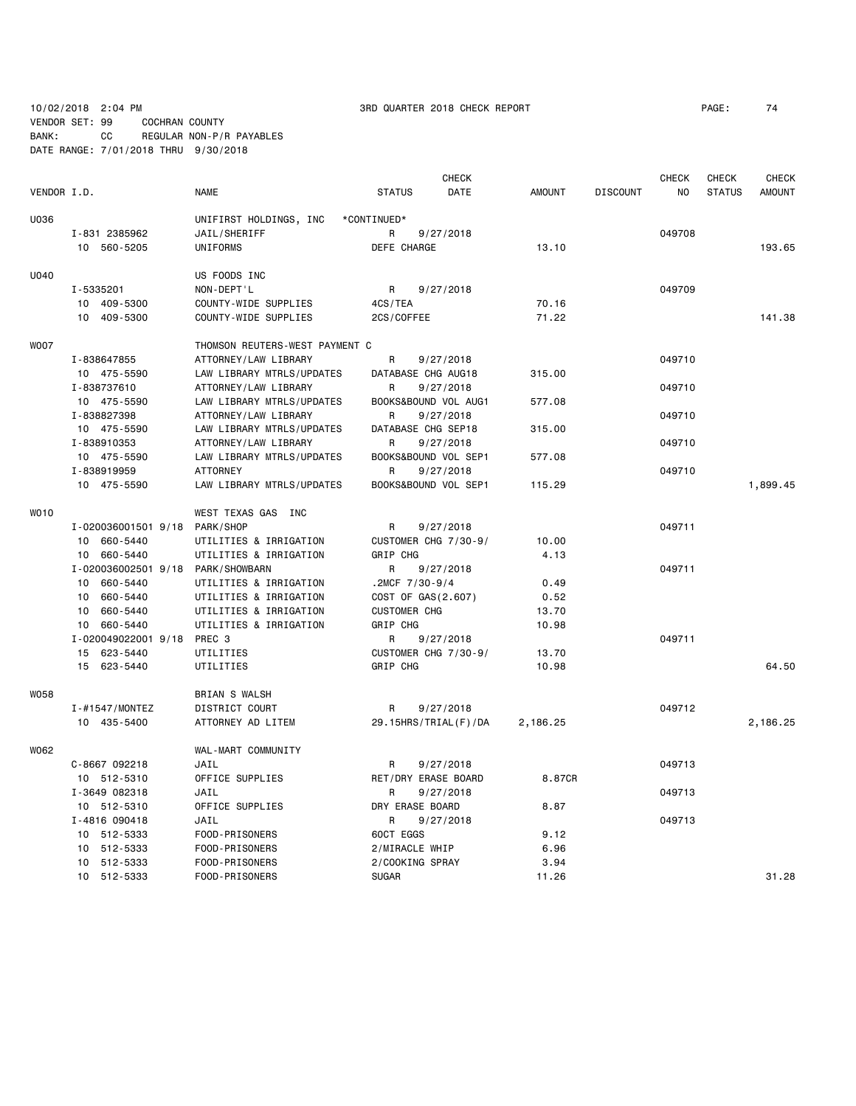VENDOR SET: 99 COCHRAN COUNTY BANK: CC REGULAR NON-P/R PAYABLES

DATE RANGE: 7/01/2018 THRU 9/30/2018

**CHECK CHECK CHECK CHECK CHECK CHECK CHECK** VENDOR I.D. NAME STATUS DATE AMOUNT DISCOUNT NO STATUS AMOUNT U036 UNIFIRST HOLDINGS, INC \*CONTINUED\* I-831 2385962 JAIL/SHERIFF R 9/27/2018 049708 10 560-5205 UNIFORMS DEFE CHARGE 13.10 193.65 U040 US FOODS INC I-5335201 NON-DEPT'L R 9/27/2018 049709 10 409-5300 COUNTY-WIDE SUPPLIES 4CS/TEA 70.16 10 409-5300 COUNTY-WIDE SUPPLIES 2CS/COFFEE 71.22 71.22 141.38 WOO7 THOMSON REUTERS-WEST PAYMENT C I-838647855 ATTORNEY/LAW LIBRARY R 9/27/2018 049710 10 475-5590 LAW LIBRARY MTRLS/UPDATES DATABASE CHG AUG18 315.00 I-838737610 ATTORNEY/LAW LIBRARY R 9/27/2018 049710 10 475-5590 LAW LIBRARY MTRLS/UPDATES BOOKS&BOUND VOL AUG1 577.08 I-838827398 ATTORNEY/LAW LIBRARY R 9/27/2018 049710 10 475-5590 LAW LIBRARY MTRLS/UPDATES DATABASE CHG SEP18 315.00 I-838910353 ATTORNEY/LAW LIBRARY R 9/27/2018 049710 10 475-5590 LAW LIBRARY MTRLS/UPDATES BOOKS&BOUND VOL SEP1 577.08 I-838919959 ATTORNEY R 9/27/2018 049710 10 475-5590 LAW LIBRARY MTRLS/UPDATES BOOKS&BOUND VOL SEP1 115.29 1,899.45 WO10 WEST TEXAS GAS INC I-020036001501 9/18 PARK/SHOP R 9/27/2018 049711 10 660-5440 UTILITIES & IRRIGATION CUSTOMER CHG 7/30-9/ 10.00 10 660-5440 UTILITIES & IRRIGATION GRIP CHG 4.13 I-020036002501 9/18 PARK/SHOWBARN R 9/27/2018 049711 10 660-5440 UTILITIES & IRRIGATION .2MCF 7/30-9/4 0.49 10 660-5440 UTILITIES & IRRIGATION COST OF GAS(2.607) 0.52 10 660-5440 UTILITIES & IRRIGATION CUSTOMER CHG 13.70 10 660-5440 UTILITIES & IRRIGATION GRIP CHG 10.98 I-020049022001 9/18 PREC 3 R 9/27/2018 049711 15 623-5440 UTILITIES CUSTOMER CHG 7/30-9/ 13.70 15 623-5440 UTILITIES GRIP CHG 10.98 64.50 W058 BRIAN S WALSH I-#1547/MONTEZ DISTRICT COURT R 9/27/2018 049712 10 435-5400 ATTORNEY AD LITEM 29.15HRS/TRIAL(F)/DA 2,186.25 2,186.25 WO62 WAL-MART COMMUNITY C-8667 092218 JAIL R 9/27/2018 049713 10 512-5310 OFFICE SUPPLIES RET/DRY ERASE BOARD 8.87CR I-3649 082318 JAIL R 9/27/2018 049713 10 512-5310 OFFICE SUPPLIES DRY ERASE BOARD 8.87 I-4816 090418 JAIL R 9/27/2018 049713 10 512-5333 FOOD-PRISONERS 60CT EGGS 9.12 10 512-5333 FOOD-PRISONERS 2/MIRACLE WHIP 6.96 10 512-5333 FOOD-PRISONERS 2/COOKING SPRAY 3.94 10 512-5333 FOOD-PRISONERS SUGAR 11.26 31.28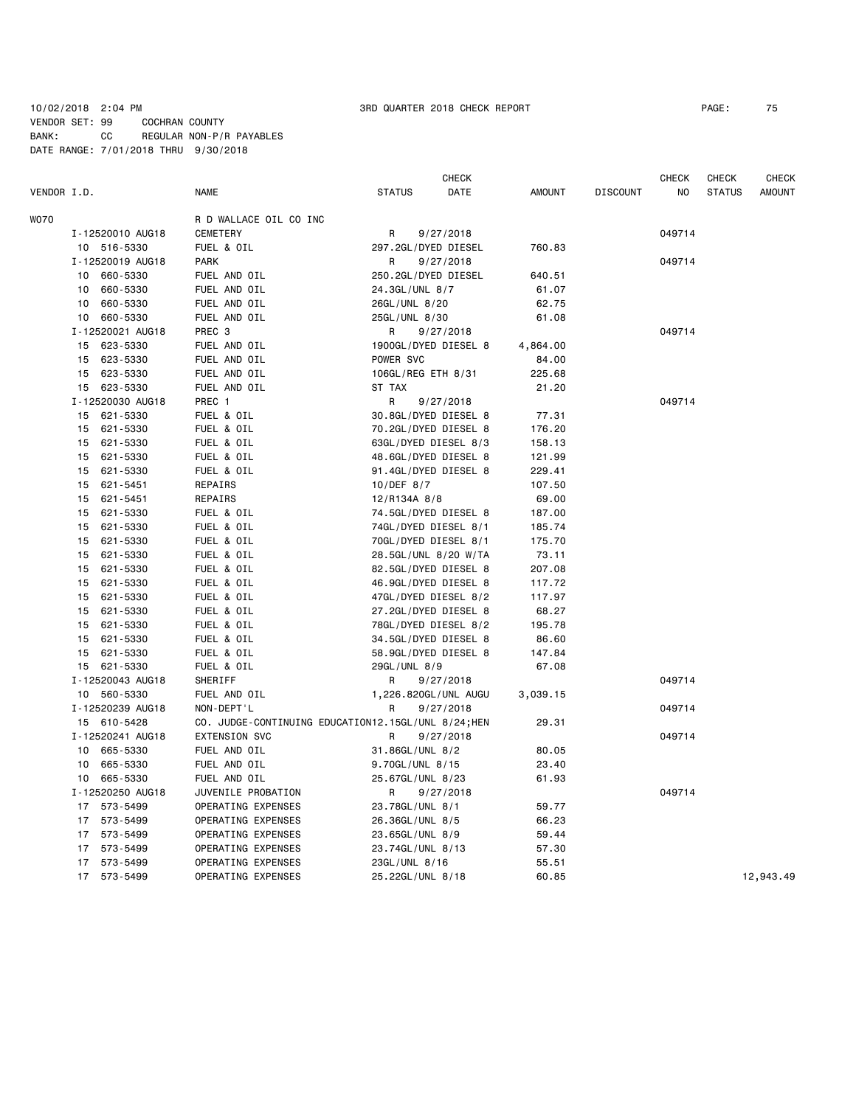### 10/02/2018 2:04 PM 3RD QUARTER 2018 CHECK REPORT PAGE: 75 VENDOR SET: 99 COCHRAN COUNTY BANK: CC REGULAR NON-P/R PAYABLES DATE RANGE: 7/01/2018 THRU 9/30/2018

|             |                            |                                                     | CHECK                 |                |                 | CHECK  | CHECK         | <b>CHECK</b>  |
|-------------|----------------------------|-----------------------------------------------------|-----------------------|----------------|-----------------|--------|---------------|---------------|
| VENDOR I.D. |                            | NAME                                                | <b>STATUS</b><br>DATE | <b>AMOUNT</b>  | <b>DISCOUNT</b> | ΝO     | <b>STATUS</b> | <b>AMOUNT</b> |
| <b>WO70</b> |                            | R D WALLACE OIL CO INC                              |                       |                |                 |        |               |               |
|             | I-12520010 AUG18           | <b>CEMETERY</b>                                     | 9/27/2018<br>R        |                |                 | 049714 |               |               |
|             | 10 516-5330                | FUEL & OIL                                          | 297.2GL/DYED DIESEL   | 760.83         |                 |        |               |               |
|             | I-12520019 AUG18           | <b>PARK</b>                                         | 9/27/2018<br>R        |                |                 | 049714 |               |               |
|             | 10 660-5330                | FUEL AND OIL                                        | 250.2GL/DYED DIESEL   | 640.51         |                 |        |               |               |
|             | 660-5330<br>10             | FUEL AND OIL                                        | 24.3GL/UNL 8/7        | 61.07          |                 |        |               |               |
|             | 10 660-5330                | FUEL AND OIL                                        | 26GL/UNL 8/20         | 62.75          |                 |        |               |               |
|             | 10 660-5330                | FUEL AND OIL                                        | 25GL/UNL 8/30         | 61.08          |                 |        |               |               |
|             | I-12520021 AUG18           | PREC <sub>3</sub>                                   | R<br>9/27/2018        |                |                 | 049714 |               |               |
|             | 15 623-5330                | FUEL AND OIL                                        | 1900GL/DYED DIESEL 8  | 4,864.00       |                 |        |               |               |
|             | 15 623-5330                | FUEL AND OIL                                        | POWER SVC             | 84.00          |                 |        |               |               |
|             | 15 623-5330                | FUEL AND OIL                                        | 106GL/REG ETH 8/31    | 225.68         |                 |        |               |               |
|             | 15 623-5330                | FUEL AND OIL                                        | ST TAX                | 21.20          |                 |        |               |               |
|             | I-12520030 AUG18           | PREC 1                                              | R<br>9/27/2018        |                |                 | 049714 |               |               |
|             | 15 621-5330                | FUEL & OIL                                          | 30.8GL/DYED DIESEL 8  | 77.31          |                 |        |               |               |
|             | 15 621-5330                | FUEL & OIL                                          | 70.2GL/DYED DIESEL 8  | 176.20         |                 |        |               |               |
|             | 15 621-5330                | FUEL & OIL                                          | 63GL/DYED DIESEL 8/3  | 158.13         |                 |        |               |               |
|             | 15 621-5330                | FUEL & OIL                                          | 48.6GL/DYED DIESEL 8  | 121.99         |                 |        |               |               |
|             | 15 621-5330                | FUEL & OIL                                          | 91.4GL/DYED DIESEL 8  | 229.41         |                 |        |               |               |
|             | 15<br>621-5451             | <b>REPAIRS</b>                                      | 10/DEF 8/7            | 107.50         |                 |        |               |               |
|             | 15 621-5451                | REPAIRS                                             | 12/R134A 8/8          | 69.00          |                 |        |               |               |
|             | 621-5330<br>15             | FUEL & OIL                                          | 74.5GL/DYED DIESEL 8  | 187.00         |                 |        |               |               |
|             | 15<br>621-5330             | FUEL & OIL                                          | 74GL/DYED DIESEL 8/1  | 185.74         |                 |        |               |               |
|             | 621-5330<br>15             | FUEL & OIL                                          | 70GL/DYED DIESEL 8/1  | 175.70         |                 |        |               |               |
|             | 621-5330<br>15             | FUEL & OIL                                          | 28.5GL/UNL 8/20 W/TA  | 73.11          |                 |        |               |               |
|             | 621-5330<br>15             | FUEL & OIL                                          | 82.5GL/DYED DIESEL 8  | 207.08         |                 |        |               |               |
|             | 621-5330<br>15             | FUEL & OIL                                          | 46.9GL/DYED DIESEL 8  | 117.72         |                 |        |               |               |
|             | 15 621-5330                | FUEL & OIL                                          | 47GL/DYED DIESEL 8/2  | 117.97         |                 |        |               |               |
|             | 621-5330<br>15             | FUEL & OIL                                          | 27.2GL/DYED DIESEL 8  | 68.27          |                 |        |               |               |
|             | 15 621-5330                | FUEL & OIL                                          | 78GL/DYED DIESEL 8/2  | 195.78         |                 |        |               |               |
|             | 15<br>621-5330             | FUEL & OIL                                          | 34.5GL/DYED DIESEL 8  | 86.60          |                 |        |               |               |
|             | 15 621-5330                | FUEL & OIL                                          | 58.9GL/DYED DIESEL 8  | 147.84         |                 |        |               |               |
|             | 15 621-5330                | FUEL & OIL                                          | 29GL/UNL 8/9          | 67.08          |                 |        |               |               |
|             | I-12520043 AUG18           | SHERIFF                                             | R<br>9/27/2018        |                |                 | 049714 |               |               |
|             | 10 560-5330                | FUEL AND OIL                                        | 1,226.820GL/UNL AUGU  | 3,039.15       |                 |        |               |               |
|             | I-12520239 AUG18           | NON-DEPT'L                                          | R<br>9/27/2018        |                |                 | 049714 |               |               |
|             | 15 610-5428                | CO. JUDGE-CONTINUING EDUCATION12.15GL/UNL 8/24; HEN |                       | 29.31          |                 |        |               |               |
|             | I-12520241 AUG18           | <b>EXTENSION SVC</b>                                | R<br>9/27/2018        |                |                 | 049714 |               |               |
|             | 10 665-5330                | FUEL AND OIL                                        | 31.86GL/UNL 8/2       | 80.05          |                 |        |               |               |
|             | 10 665-5330                | FUEL AND OIL                                        | 9.70GL/UNL 8/15       | 23.40          |                 |        |               |               |
|             | 10 665-5330                | FUEL AND OIL                                        | 25.67GL/UNL 8/23      | 61.93          |                 |        |               |               |
|             | I-12520250 AUG18           | JUVENILE PROBATION                                  | 9/27/2018<br>R        |                |                 | 049714 |               |               |
|             | 17 573-5499                | OPERATING EXPENSES                                  | 23.78GL/UNL 8/1       | 59.77          |                 |        |               |               |
|             | 17 573-5499                | OPERATING EXPENSES                                  | 26.36GL/UNL 8/5       | 66.23          |                 |        |               |               |
|             | 17 573-5499                |                                                     |                       |                |                 |        |               |               |
|             |                            | OPERATING EXPENSES                                  | 23.65GL/UNL 8/9       | 59.44          |                 |        |               |               |
|             | 17 573-5499<br>17 573-5499 | OPERATING EXPENSES<br>OPERATING EXPENSES            | 23.74GL/UNL 8/13      | 57.30<br>55.51 |                 |        |               |               |
|             |                            |                                                     | 23GL/UNL 8/16         |                |                 |        |               |               |
|             | 17<br>573-5499             | OPERATING EXPENSES                                  | 25.22GL/UNL 8/18      | 60.85          |                 |        |               | 12,943.49     |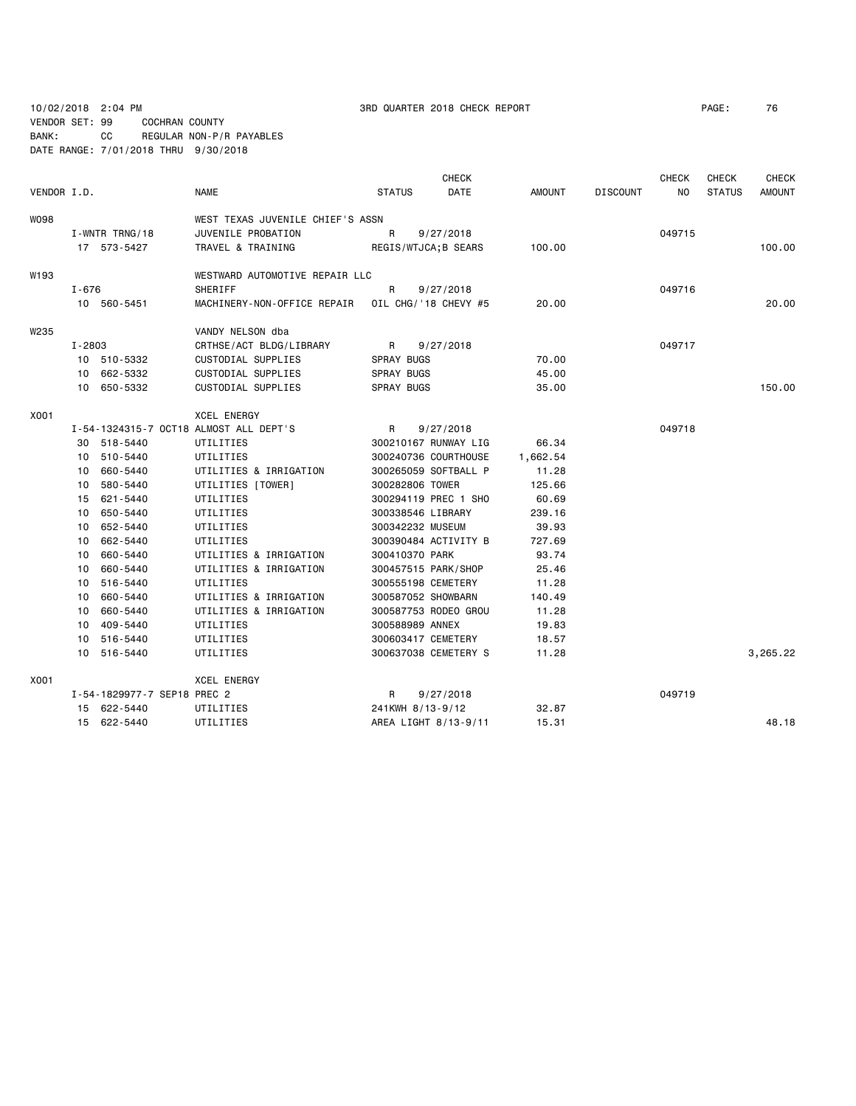VENDOR SET: 99 COCHRAN COUNTY BANK: CC REGULAR NON-P/R PAYABLES

DATE RANGE: 7/01/2018 THRU 9/30/2018

| VENDOR I.D. |                |                             | <b>NAME</b>                            | <b>STATUS</b>     | <b>CHECK</b><br>DATE | <b>AMOUNT</b> | <b>DISCOUNT</b> | <b>CHECK</b><br>NO. | <b>CHECK</b><br><b>STATUS</b> | <b>CHECK</b><br><b>AMOUNT</b> |
|-------------|----------------|-----------------------------|----------------------------------------|-------------------|----------------------|---------------|-----------------|---------------------|-------------------------------|-------------------------------|
| W098        |                |                             | WEST TEXAS JUVENILE CHIEF'S ASSN       |                   |                      |               |                 |                     |                               |                               |
|             | I-WNTR TRNG/18 |                             | JUVENILE PROBATION                     | R                 | 9/27/2018            |               |                 | 049715              |                               |                               |
|             |                | 17 573-5427                 | TRAVEL & TRAINING                      |                   | REGIS/WTJCA; B SEARS | 100.00        |                 |                     |                               | 100.00                        |
| W193        |                |                             | WESTWARD AUTOMOTIVE REPAIR LLC         |                   |                      |               |                 |                     |                               |                               |
|             | $I - 676$      |                             | SHERIFF                                | R                 | 9/27/2018            |               |                 | 049716              |                               |                               |
|             |                | 10 560-5451                 | MACHINERY-NON-OFFICE REPAIR            |                   | OIL CHG/'18 CHEVY #5 | 20.00         |                 |                     |                               | 20,00                         |
| W235        |                |                             | VANDY NELSON dba                       |                   |                      |               |                 |                     |                               |                               |
|             | I-2803         |                             | CRTHSE/ACT BLDG/LIBRARY                | R                 | 9/27/2018            |               |                 | 049717              |                               |                               |
|             |                | 10 510-5332                 | CUSTODIAL SUPPLIES                     | <b>SPRAY BUGS</b> |                      | 70.00         |                 |                     |                               |                               |
|             |                | 10 662-5332                 | CUSTODIAL SUPPLIES                     | <b>SPRAY BUGS</b> |                      | 45.00         |                 |                     |                               |                               |
|             |                | 10 650-5332                 | CUSTODIAL SUPPLIES                     | <b>SPRAY BUGS</b> |                      | 35,00         |                 |                     |                               | 150.00                        |
| X001        |                |                             | <b>XCEL ENERGY</b>                     |                   |                      |               |                 |                     |                               |                               |
|             |                |                             | I-54-1324315-7 OCT18 ALMOST ALL DEPT'S | R                 | 9/27/2018            |               |                 | 049718              |                               |                               |
|             |                | 30 518-5440                 | UTILITIES                              |                   | 300210167 RUNWAY LIG | 66.34         |                 |                     |                               |                               |
|             |                | 10 510-5440                 | UTILITIES                              |                   | 300240736 COURTHOUSE | 1,662.54      |                 |                     |                               |                               |
|             |                | 10 660-5440                 | UTILITIES & IRRIGATION                 |                   | 300265059 SOFTBALL P | 11.28         |                 |                     |                               |                               |
|             | 10             | 580-5440                    | UTILITIES [TOWER]                      | 300282806 TOWER   |                      | 125.66        |                 |                     |                               |                               |
|             |                | 15 621-5440                 | UTILITIES                              |                   | 300294119 PREC 1 SHO | 60.69         |                 |                     |                               |                               |
|             | 10             | 650-5440                    | UTILITIES                              | 300338546 LIBRARY |                      | 239.16        |                 |                     |                               |                               |
|             | 10             | 652-5440                    | UTILITIES                              | 300342232 MUSEUM  |                      | 39.93         |                 |                     |                               |                               |
|             | 10             | 662-5440                    | UTILITIES                              |                   | 300390484 ACTIVITY B | 727.69        |                 |                     |                               |                               |
|             |                | 10 660-5440                 | UTILITIES & IRRIGATION                 | 300410370 PARK    |                      | 93.74         |                 |                     |                               |                               |
|             | 10             | 660-5440                    | UTILITIES & IRRIGATION                 |                   | 300457515 PARK/SHOP  | 25.46         |                 |                     |                               |                               |
|             | 10             | 516-5440                    | UTILITIES                              |                   | 300555198 CEMETERY   | 11.28         |                 |                     |                               |                               |
|             |                | 10 660-5440                 | UTILITIES & IRRIGATION                 |                   | 300587052 SHOWBARN   | 140.49        |                 |                     |                               |                               |
|             | 10             | 660-5440                    | UTILITIES & IRRIGATION                 |                   | 300587753 RODEO GROU | 11.28         |                 |                     |                               |                               |
|             |                | 10 409-5440                 | UTILITIES                              | 300588989 ANNEX   |                      | 19.83         |                 |                     |                               |                               |
|             |                | 10 516-5440                 | UTILITIES                              |                   | 300603417 CEMETERY   | 18.57         |                 |                     |                               |                               |
|             |                | 10 516-5440                 | UTILITIES                              |                   | 300637038 CEMETERY S | 11.28         |                 |                     |                               | 3,265.22                      |
| X001        |                |                             | <b>XCEL ENERGY</b>                     |                   |                      |               |                 |                     |                               |                               |
|             |                | I-54-1829977-7 SEP18 PREC 2 |                                        | R                 | 9/27/2018            |               |                 | 049719              |                               |                               |
|             |                | 15 622-5440                 | UTILITIES                              | 241KWH 8/13-9/12  |                      | 32.87         |                 |                     |                               |                               |
|             |                | 15 622-5440                 | UTILITIES                              |                   | AREA LIGHT 8/13-9/11 | 15.31         |                 |                     |                               | 48.18                         |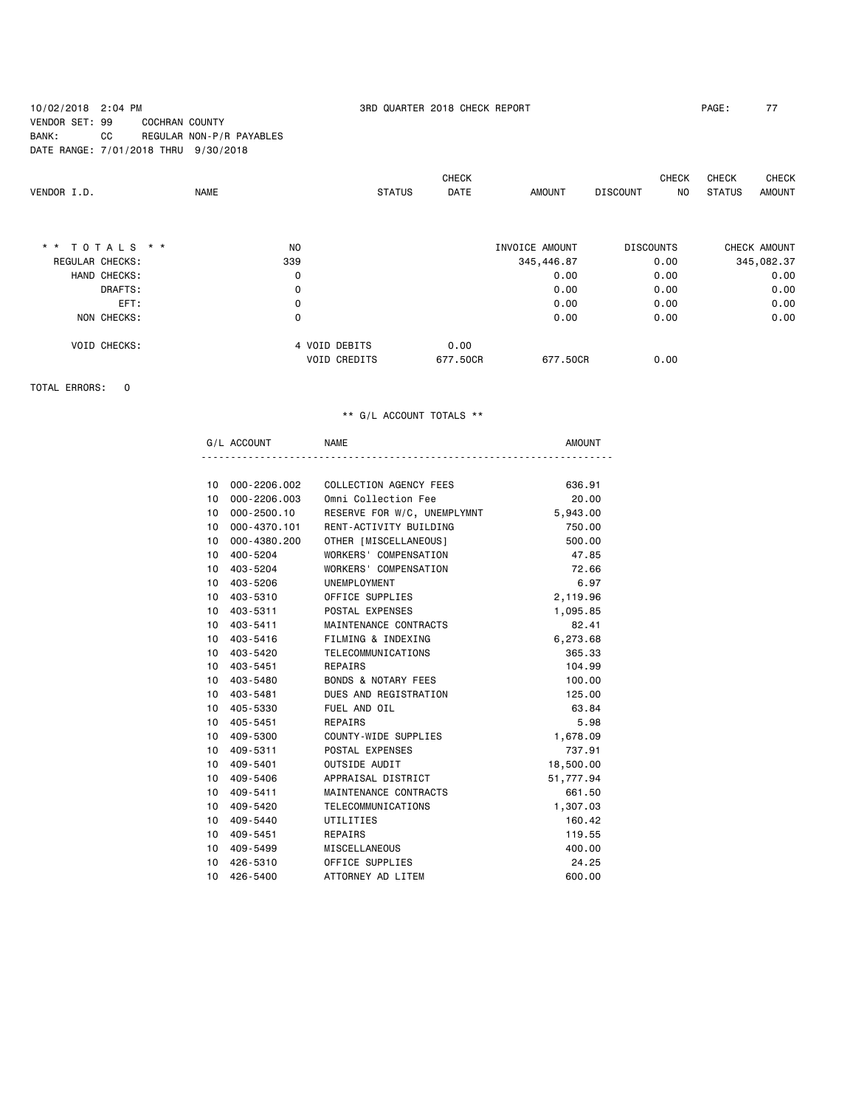10/02/2018 2:04 PM 3RD QUARTER 2018 CHECK REPORT PAGE: 77 VENDOR SET: 99 COCHRAN COUNTY BANK: CC REGULAR NON-P/R PAYABLES DATE RANGE: 7/01/2018 THRU 9/30/2018

|                 |                     |               | <b>CHECK</b> |                | <b>CHECK</b>           | <b>CHECK</b><br><b>CHECK</b> |
|-----------------|---------------------|---------------|--------------|----------------|------------------------|------------------------------|
| VENDOR I.D.     | <b>NAME</b>         | <b>STATUS</b> | DATE         | <b>AMOUNT</b>  | <b>DISCOUNT</b><br>NO. | STATUS<br><b>AMOUNT</b>      |
|                 |                     |               |              |                |                        |                              |
| * * TOTALS * *  | N <sub>O</sub>      |               |              | INVOICE AMOUNT | <b>DISCOUNTS</b>       | CHECK AMOUNT                 |
| REGULAR CHECKS: | 339                 |               |              | 345,446.87     | 0.00                   | 345,082.37                   |
| HAND CHECKS:    | 0                   |               |              | 0.00           | 0.00                   | 0.00                         |
| DRAFTS:         | 0                   |               |              | 0.00           | 0.00                   | 0.00                         |
| EFT:            | 0                   |               |              | 0.00           | 0.00                   | 0.00                         |
| NON CHECKS:     | 0                   |               |              | 0.00           | 0.00                   | 0.00                         |
| VOID CHECKS:    | 4 VOID DEBITS       |               | 0.00         |                |                        |                              |
|                 | <b>VOID CREDITS</b> |               | 677,50CR     | 677,50CR       | 0.00                   |                              |

TOTAL ERRORS: 0

|                 | G/L ACCOUNT  | <b>NAME</b>                    | <b>AMOUNT</b> |
|-----------------|--------------|--------------------------------|---------------|
|                 |              |                                |               |
| 10              | 000-2206.002 | COLLECTION AGENCY FEES         | 636.91        |
| 10              | 000-2206.003 | Omni Collection Fee            | 20,00         |
| 10              | 000-2500.10  | RESERVE FOR W/C, UNEMPLYMNT    | 5,943.00      |
| 10              | 000-4370.101 | RENT-ACTIVITY BUILDING         | 750.00        |
| 10              | 000-4380.200 | OTHER [MISCELLANEOUS]          | 500.00        |
| 10              | 400-5204     | WORKERS' COMPENSATION          | 47.85         |
| 10              | 403-5204     | WORKERS' COMPENSATION          | 72.66         |
| 10              | 403-5206     | UNEMPLOYMENT                   | 6.97          |
| 10              | 403-5310     | OFFICE SUPPLIES                | 2,119.96      |
| 10              | 403-5311     | POSTAL EXPENSES                | 1,095.85      |
| 10              | $403 - 5411$ | MAINTENANCE CONTRACTS          | 82.41         |
| 10              | 403-5416     | FILMING & INDEXING             | 6,273.68      |
| 10              | 403-5420     | TELECOMMUNICATIONS             | 365.33        |
| 10              | 403-5451     | REPAIRS                        | 104.99        |
| 10 <sup>1</sup> | 403-5480     | <b>BONDS &amp; NOTARY FEES</b> | 100,00        |
| 10              | 403-5481     | DUES AND REGISTRATION          | 125.00        |
| 10              | 405-5330     | FUEL AND OIL                   | 63.84         |
| 10              | 405-5451     | REPAIRS                        | 5.98          |
| 10              | 409-5300     | COUNTY-WIDE SUPPLIES           | 1,678.09      |
| 10              | 409-5311     | POSTAL EXPENSES                | 737.91        |
| 10              | 409-5401     | OUTSIDE AUDIT                  | 18,500.00     |
| 10              | 409-5406     | APPRAISAL DISTRICT             | 51,777.94     |
| 10 <sup>1</sup> | 409-5411     | MAINTENANCE CONTRACTS          | 661.50        |
| 10              | 409-5420     | TELECOMMUNICATIONS             | 1,307.03      |
| 10              | 409-5440     | UTILITIES                      | 160.42        |
| 10              | 409-5451     | REPAIRS                        | 119.55        |
| 10              | 409-5499     | MISCELLANEOUS                  | 400.00        |
| 10              | 426-5310     | OFFICE SUPPLIES                | 24.25         |
| 10              | 426-5400     | ATTORNEY AD LITEM              | 600.00        |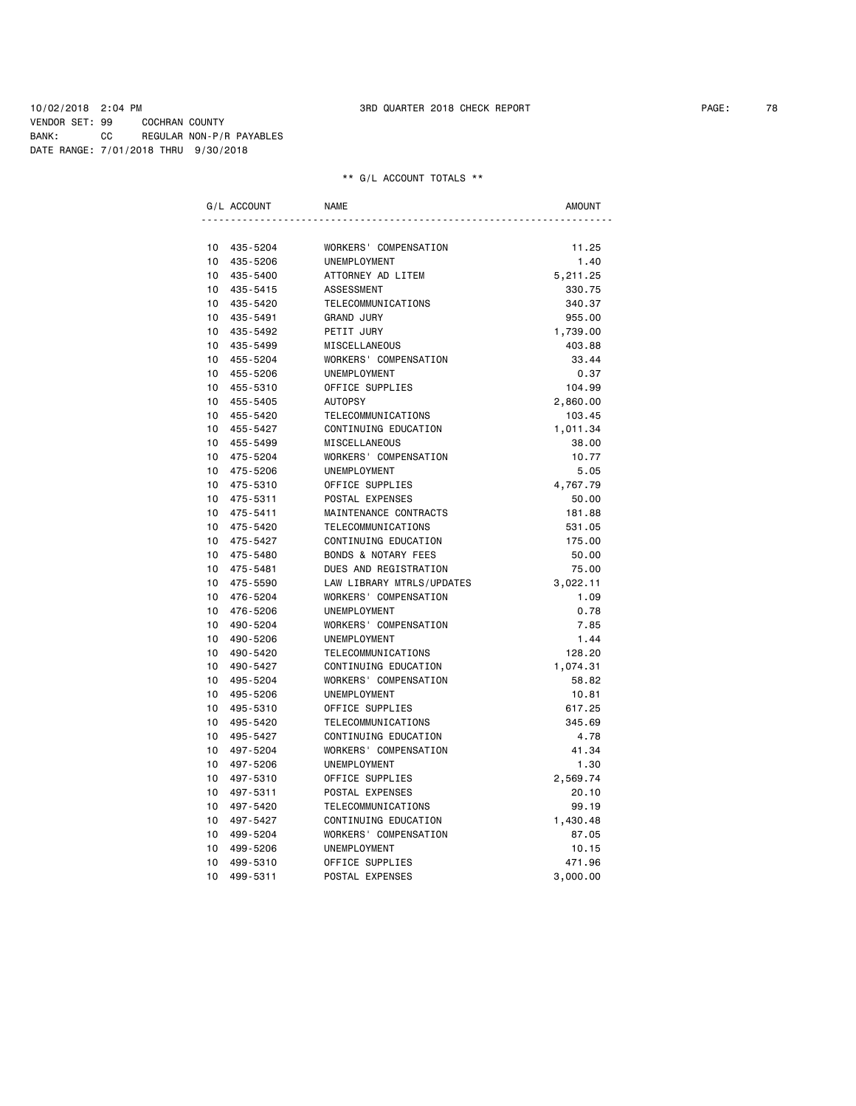10/02/2018 2:04 PM 3RD QUARTER 2018 CHECK REPORT PAGE: 78 VENDOR SET: 99 COCHRAN COUNTY BANK: CC REGULAR NON-P/R PAYABLES DATE RANGE: 7/01/2018 THRU 9/30/2018

|                 | G/L ACCOUNT | <b>NAME</b>                    | <b>AMOUNT</b> |
|-----------------|-------------|--------------------------------|---------------|
|                 |             |                                |               |
| 10              | 435-5204    | WORKERS' COMPENSATION          | 11.25         |
| 10 <sup>1</sup> | 435-5206    | UNEMPLOYMENT                   | 1.40          |
| 10 <sup>1</sup> | 435-5400    | ATTORNEY AD LITEM              | 5,211.25      |
| 10              | 435-5415    | <b>ASSESSMENT</b>              | 330.75        |
| 10 <sup>1</sup> | 435-5420    | TELECOMMUNICATIONS             | 340.37        |
| 10 <sup>1</sup> | 435-5491    | <b>GRAND JURY</b>              | 955.00        |
| 10 <sup>1</sup> | 435-5492    | PETIT JURY                     | 1,739.00      |
| 10              | 435-5499    | MISCELLANEOUS                  | 403.88        |
| 10              | 455-5204    | WORKERS' COMPENSATION          | 33.44         |
| 10              | 455-5206    | UNEMPLOYMENT                   | 0.37          |
| 10              | 455-5310    | OFFICE SUPPLIES                | 104.99        |
| 10              | 455-5405    | <b>AUTOPSY</b>                 | 2,860.00      |
| 10              | 455-5420    | TELECOMMUNICATIONS             | 103.45        |
| 10 <sup>1</sup> | 455-5427    | CONTINUING EDUCATION           | 1,011.34      |
| 10              | 455-5499    | MISCELLANEOUS                  | 38.00         |
| 10 <sup>1</sup> | 475-5204    | WORKERS' COMPENSATION          | 10.77         |
| 10              | 475-5206    | UNEMPLOYMENT                   | 5.05          |
| 10              | 475-5310    | OFFICE SUPPLIES                | 4,767.79      |
| 10              | 475-5311    | POSTAL EXPENSES                | 50.00         |
| 10              | 475-5411    | MAINTENANCE CONTRACTS          | 181.88        |
| 10              | 475-5420    | TELECOMMUNICATIONS             | 531.05        |
| 10              | 475-5427    | CONTINUING EDUCATION           | 175.00        |
| 10              | 475-5480    | <b>BONDS &amp; NOTARY FEES</b> | 50.00         |
| 10 <sup>1</sup> | 475-5481    | DUES AND REGISTRATION          | 75.00         |
| 10              | 475-5590    | LAW LIBRARY MTRLS/UPDATES      | 3,022.11      |
| 10              | 476-5204    | WORKERS' COMPENSATION          | 1.09          |
| 10              | 476-5206    | UNEMPLOYMENT                   | 0.78          |
| 10              | 490-5204    | WORKERS' COMPENSATION          | 7.85          |
| 10              | 490-5206    | UNEMPLOYMENT                   | 1.44          |
| 10              | 490-5420    | TELECOMMUNICATIONS             | 128.20        |
| 10              | 490-5427    | CONTINUING EDUCATION           | 1,074.31      |
| 10              | 495-5204    | WORKERS' COMPENSATION          | 58.82         |
| 10              | 495-5206    | <b>UNEMPLOYMENT</b>            | 10.81         |
| 10              | 495-5310    | OFFICE SUPPLIES                | 617.25        |
| 10              | 495-5420    | TELECOMMUNICATIONS             | 345.69        |
| 10              | 495-5427    | CONTINUING EDUCATION           | 4.78          |
| 10              | 497-5204    | WORKERS' COMPENSATION          | 41.34         |
| 10              | 497-5206    | UNEMPLOYMENT                   | 1.30          |
| 10              | 497-5310    | OFFICE SUPPLIES                | 2,569.74      |
| 10              | 497-5311    | POSTAL EXPENSES                | 20.10         |
| 10              | 497-5420    | TELECOMMUNICATIONS             | 99.19         |
| 10              | 497-5427    | CONTINUING EDUCATION           | 1,430.48      |
| 10              | 499-5204    | WORKERS' COMPENSATION          | 87.05         |
| 10              | 499-5206    | UNEMPLOYMENT                   | 10.15         |
| 10              | 499-5310    | OFFICE SUPPLIES                | 471.96        |
| 10              | 499-5311    | POSTAL EXPENSES                | 3,000.00      |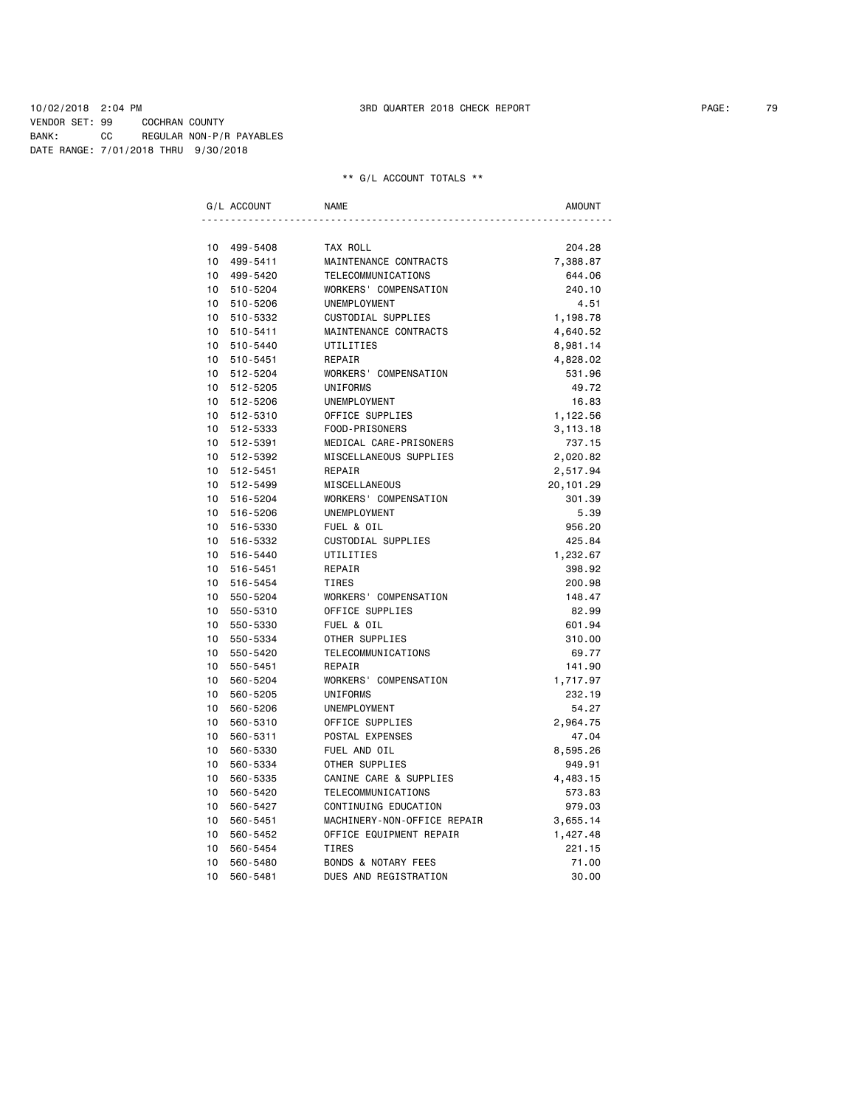10/02/2018 2:04 PM 3RD QUARTER 2018 CHECK REPORT PAGE: 79 VENDOR SET: 99 COCHRAN COUNTY BANK: CC REGULAR NON-P/R PAYABLES DATE RANGE: 7/01/2018 THRU 9/30/2018

|                 | G/L ACCOUNT | <b>NAME</b>                    | <b>AMOUNT</b> |
|-----------------|-------------|--------------------------------|---------------|
|                 |             |                                |               |
|                 | 10 499-5408 | TAX ROLL                       | 204.28        |
| 10              | 499-5411    | MAINTENANCE CONTRACTS          | 7,388.87      |
| 10              | 499-5420    | TELECOMMUNICATIONS             | 644.06        |
| 10              | 510-5204    | WORKERS' COMPENSATION          | 240.10        |
|                 | 10 510-5206 | <b>UNEMPLOYMENT</b>            | 4.51          |
|                 | 10 510-5332 | CUSTODIAL SUPPLIES             | 1,198.78      |
|                 | 10 510-5411 | MAINTENANCE CONTRACTS          | 4,640.52      |
|                 | 10 510-5440 | UTILITIES                      | 8,981.14      |
|                 | 10 510-5451 | REPAIR                         | 4,828.02      |
|                 | 10 512-5204 | WORKERS' COMPENSATION          | 531.96        |
|                 | 10 512-5205 | UNIFORMS                       | 49.72         |
|                 | 10 512-5206 | UNEMPLOYMENT                   | 16.83         |
|                 | 10 512-5310 | OFFICE SUPPLIES                | 1,122.56      |
|                 | 10 512-5333 | FOOD-PRISONERS                 | 3,113.18      |
|                 | 10 512-5391 | MEDICAL CARE-PRISONERS         | 737.15        |
|                 | 10 512-5392 | MISCELLANEOUS SUPPLIES         | 2,020.82      |
|                 | 10 512-5451 | REPAIR                         | 2,517.94      |
|                 | 10 512-5499 | MISCELLANEOUS                  | 20, 101.29    |
|                 | 10 516-5204 | WORKERS' COMPENSATION          | 301.39        |
| $10-10$         | 516-5206    | UNEMPLOYMENT                   | 5.39          |
| 10 <sup>1</sup> | 516-5330    | FUEL & OIL                     | 956.20        |
| 10 <sup>1</sup> | 516-5332    | CUSTODIAL SUPPLIES             | 425.84        |
| 10              | 516-5440    | UTILITIES                      | 1,232.67      |
| 10              | 516-5451    | REPAIR                         | 398.92        |
| $10-10$         | 516-5454    | <b>TIRES</b>                   | 200.98        |
|                 | 10 550-5204 | WORKERS' COMPENSATION          | 148.47        |
| 10              | 550-5310    | OFFICE SUPPLIES                | 82.99         |
| 10              | 550-5330    | FUEL & OIL                     | 601.94        |
| 10              | 550-5334    | OTHER SUPPLIES                 | 310.00        |
| 10              | 550-5420    | TELECOMMUNICATIONS             | 69.77         |
| 10              | 550-5451    | REPAIR                         | 141.90        |
| 10              | 560-5204    | WORKERS' COMPENSATION          | 1,717.97      |
| 10 <sup>1</sup> | 560-5205    | <b>UNIFORMS</b>                | 232.19        |
| 10              | 560-5206    | UNEMPLOYMENT                   | 54.27         |
| 10              | 560-5310    | OFFICE SUPPLIES                | 2,964.75      |
| 10              | 560-5311    | POSTAL EXPENSES                | 47.04         |
| 10              | 560-5330    | FUEL AND OIL                   | 8,595.26      |
| 10              | 560-5334    | OTHER SUPPLIES                 | 949.91        |
| 10              | 560-5335    | CANINE CARE & SUPPLIES         | 4,483.15      |
| 10              | 560-5420    | TELECOMMUNICATIONS             | 573.83        |
| 10              | 560-5427    | CONTINUING EDUCATION           | 979.03        |
| 10              | 560-5451    | MACHINERY-NON-OFFICE REPAIR    | 3,655.14      |
| 10              | 560-5452    | OFFICE EQUIPMENT REPAIR        | 1,427.48      |
| 10              | 560-5454    | <b>TIRES</b>                   | 221.15        |
| 10              | 560-5480    | <b>BONDS &amp; NOTARY FEES</b> | 71.00         |
| 10              | 560-5481    | DUES AND REGISTRATION          | 30.00         |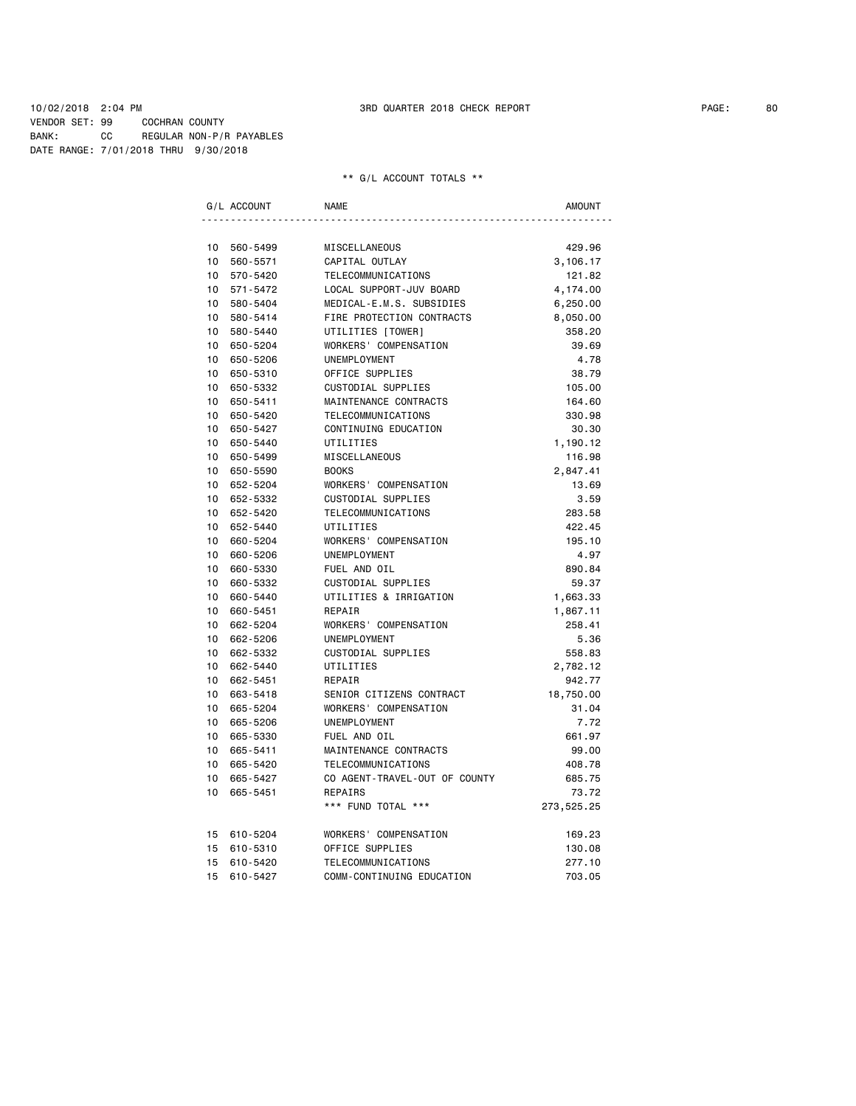10/02/2018 2:04 PM 3RD QUARTER 2018 CHECK REPORT PAGE: 80 VENDOR SET: 99 COCHRAN COUNTY BANK: CC REGULAR NON-P/R PAYABLES DATE RANGE: 7/01/2018 THRU 9/30/2018

|                 | G/L ACCOUNT | <b>NAME</b>                   | AMOUNT     |
|-----------------|-------------|-------------------------------|------------|
|                 |             |                               |            |
| 10 <sup>1</sup> | 560-5499    | MISCELLANEOUS                 | 429.96     |
| 10 <sup>1</sup> | 560-5571    | CAPITAL OUTLAY                | 3,106.17   |
| 10 <sup>1</sup> | 570-5420    | TELECOMMUNICATIONS            | 121.82     |
| $10-10$         | 571-5472    | LOCAL SUPPORT-JUV BOARD       | 4,174.00   |
| 10 <sup>1</sup> | 580-5404    | MEDICAL-E.M.S. SUBSIDIES      | 6,250.00   |
| $10-10$         | 580-5414    | FIRE PROTECTION CONTRACTS     | 8,050.00   |
| $10-10$         | 580-5440    | UTILITIES [TOWER]             | 358.20     |
|                 | 10 650-5204 | WORKERS' COMPENSATION         | 39.69      |
| 10 <sub>1</sub> | 650-5206    | UNEMPLOYMENT                  | 4.78       |
| $10-10$         | 650-5310    | OFFICE SUPPLIES               | 38.79      |
| 10              | 650-5332    | CUSTODIAL SUPPLIES            | 105.00     |
| 10              | 650-5411    | MAINTENANCE CONTRACTS         | 164.60     |
| 10 <sup>1</sup> | 650-5420    | TELECOMMUNICATIONS            | 330.98     |
| 10 <sup>1</sup> | 650-5427    | CONTINUING EDUCATION          | 30.30      |
| 10 <sup>1</sup> | 650-5440    | UTILITIES                     | 1,190.12   |
| 10 <sub>1</sub> | 650-5499    | MISCELLANEOUS                 | 116.98     |
| 10 <sub>1</sub> | 650-5590    | <b>BOOKS</b>                  | 2,847.41   |
| 10              | 652-5204    | WORKERS' COMPENSATION         | 13.69      |
| 10              | 652-5332    | CUSTODIAL SUPPLIES            | 3.59       |
| 10              | 652-5420    | TELECOMMUNICATIONS            | 283.58     |
| $10-10$         | 652-5440    | UTILITIES                     | 422.45     |
| 10 <sup>1</sup> | 660-5204    | WORKERS' COMPENSATION         | 195.10     |
| $10-10$         | 660-5206    | UNEMPLOYMENT                  | 4.97       |
| 10              | 660-5330    | FUEL AND OIL                  | 890.84     |
| 10 <sup>1</sup> | 660-5332    | CUSTODIAL SUPPLIES            | 59.37      |
| 10              | 660-5440    | UTILITIES & IRRIGATION        | 1,663.33   |
| 10              | 660-5451    | REPAIR                        | 1,867.11   |
| 10 <sup>1</sup> | 662-5204    | WORKERS' COMPENSATION         | 258.41     |
| 10 <sup>1</sup> | 662-5206    | UNEMPLOYMENT                  | 5.36       |
| $10-10$         | 662-5332    | CUSTODIAL SUPPLIES            | 558.83     |
| 10              | 662-5440    | UTILITIES                     | 2,782.12   |
| 10 <sup>1</sup> | 662-5451    | REPAIR                        | 942.77     |
| 10              | 663-5418    | SENIOR CITIZENS CONTRACT      | 18,750.00  |
| 10              | 665-5204    | WORKERS' COMPENSATION         | 31.04      |
| 10              | 665-5206    | UNEMPLOYMENT                  | 7.72       |
| 10              | 665-5330    | FUEL AND OIL                  | 661.97     |
| 10              | 665-5411    | MAINTENANCE CONTRACTS         | 99.00      |
| 10              | 665-5420    | TELECOMMUNICATIONS            | 408.78     |
| 10              | 665-5427    | CO AGENT-TRAVEL-OUT OF COUNTY | 685.75     |
| 10              | 665-5451    | REPAIRS                       | 73.72      |
|                 |             | *** FUND TOTAL ***            | 273,525.25 |
|                 | 15 610-5204 | WORKERS' COMPENSATION         | 169.23     |
| 15              | 610-5310    | OFFICE SUPPLIES               | 130.08     |
| 15              | 610-5420    | TELECOMMUNICATIONS            | 277.10     |
| 15              | 610-5427    | COMM-CONTINUING EDUCATION     | 703.05     |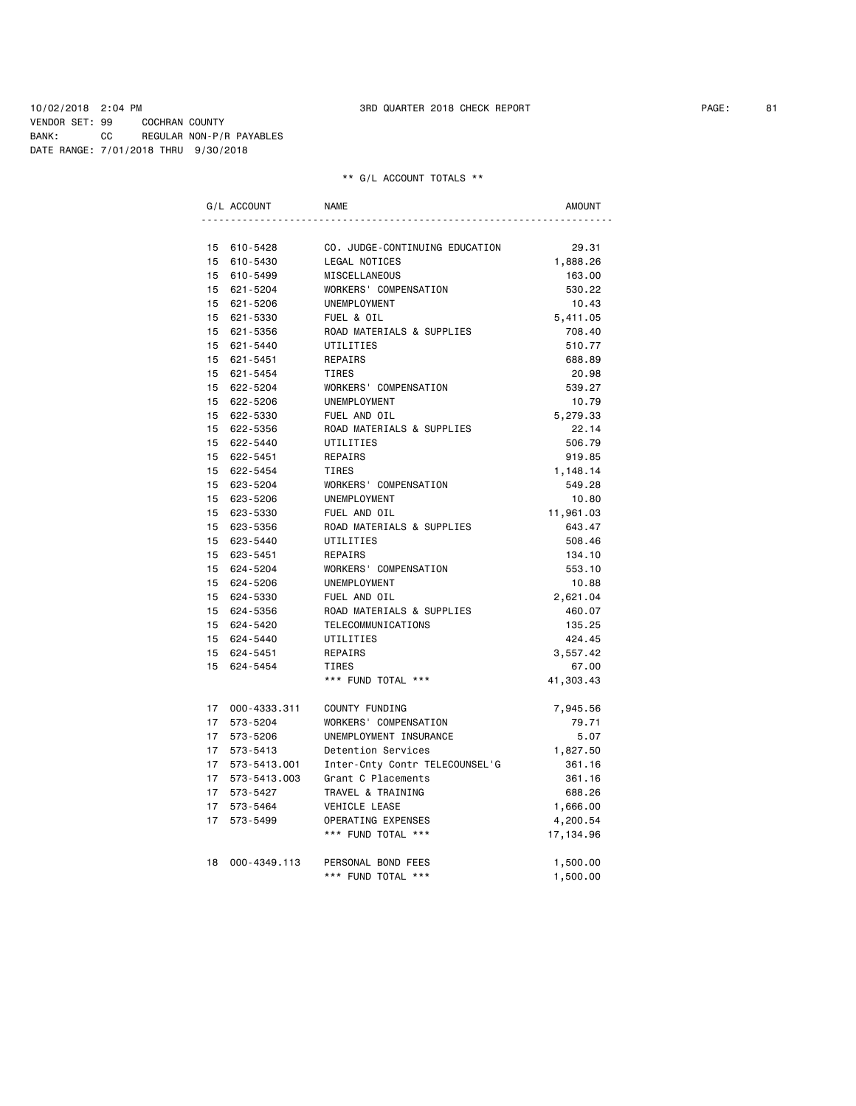10/02/2018 2:04 PM 3RD QUARTER 2018 CHECK REPORT PAGE: 81 VENDOR SET: 99 COCHRAN COUNTY BANK: CC REGULAR NON-P/R PAYABLES DATE RANGE: 7/01/2018 THRU 9/30/2018

|                  | G/L ACCOUNT     | <b>NAME</b>                    | <b>AMOUNT</b> |
|------------------|-----------------|--------------------------------|---------------|
|                  |                 |                                |               |
|                  | 15 610-5428     | CO. JUDGE-CONTINUING EDUCATION | 29.31         |
|                  | 15 610-5430     | LEGAL NOTICES                  | 1,888.26      |
|                  | 15 610-5499     | <b>MISCELLANEOUS</b>           | 163.00        |
|                  | 15 621-5204     | WORKERS' COMPENSATION          | 530.22        |
|                  | 15 621-5206     | <b>UNEMPLOYMENT</b>            | 10.43         |
|                  | 15 621-5330     | FUEL & OIL                     | 5,411.05      |
|                  | 15 621-5356     | ROAD MATERIALS & SUPPLIES      | 708.40        |
|                  | 15 621-5440     | UTILITIES                      | 510.77        |
|                  | 15 621-5451     | REPAIRS                        | 688.89        |
|                  | 15 621-5454     | TIRES                          | 20.98         |
|                  | 15 622-5204     | WORKERS' COMPENSATION          | 539.27        |
|                  | 15 622-5206     | UNEMPLOYMENT                   | 10.79         |
|                  | 15 622-5330     | FUEL AND OIL                   | 5,279.33      |
|                  | 15 622-5356     | ROAD MATERIALS & SUPPLIES      | 22.14         |
|                  | 15 622-5440     | UTILITIES                      | 506.79        |
|                  | 15 622-5451     | REPAIRS                        | 919.85        |
|                  | 15 622-5454     | <b>TIRES</b>                   | 1,148.14      |
|                  | 15 623-5204     | WORKERS' COMPENSATION          | 549.28        |
|                  | 15 623-5206     | UNEMPLOYMENT                   | 10.80         |
|                  | 15 623-5330     | FUEL AND OIL                   | 11,961.03     |
|                  | 15 623-5356     | ROAD MATERIALS & SUPPLIES      | 643.47        |
|                  | 15 623-5440     | UTILITIES                      | 508.46        |
|                  | 15 623-5451     | REPAIRS                        | 134.10        |
|                  | 15 624-5204     | WORKERS' COMPENSATION          | 553.10        |
|                  | 15 624-5206     | UNEMPLOYMENT                   | 10.88         |
|                  | 15 624-5330     | FUEL AND OIL                   | 2,621.04      |
|                  | 15 624-5356     | ROAD MATERIALS & SUPPLIES      | 460.07        |
|                  | 15 624-5420     | TELECOMMUNICATIONS             | 135.25        |
|                  | 15 624-5440     | UTILITIES                      | 424.45        |
|                  | 15 624-5451     | REPAIRS                        | 3,557.42      |
|                  | 15 624-5454     | TIRES                          | 67.00         |
|                  |                 | *** FUND TOTAL ***             | 41,303.43     |
|                  | 17 000-4333.311 | COUNTY FUNDING                 | 7,945.56      |
|                  | 17 573-5204     | WORKERS' COMPENSATION          | 79.71         |
| 17               | 573-5206        | UNEMPLOYMENT INSURANCE         | 5.07          |
| 17               | 573-5413        | Detention Services             | 1,827.50      |
| 17               | 573-5413.001    | Inter-Cnty Contr TELECOUNSEL'G | 361.16        |
|                  | 17 573-5413.003 | Grant C Placements             | 361.16        |
| 17               | 573-5427        | TRAVEL & TRAINING              | 688.26        |
| 17               | 573-5464        | VEHICLE LEASE                  | 1,666.00      |
| 17 <sup>17</sup> | 573-5499        | OPERATING EXPENSES             | 4,200.54      |
|                  |                 | *** FUND TOTAL ***             | 17, 134.96    |
| 18               | 000-4349.113    | PERSONAL BOND FEES             | 1,500.00      |
|                  |                 | *** FUND TOTAL ***             | 1,500.00      |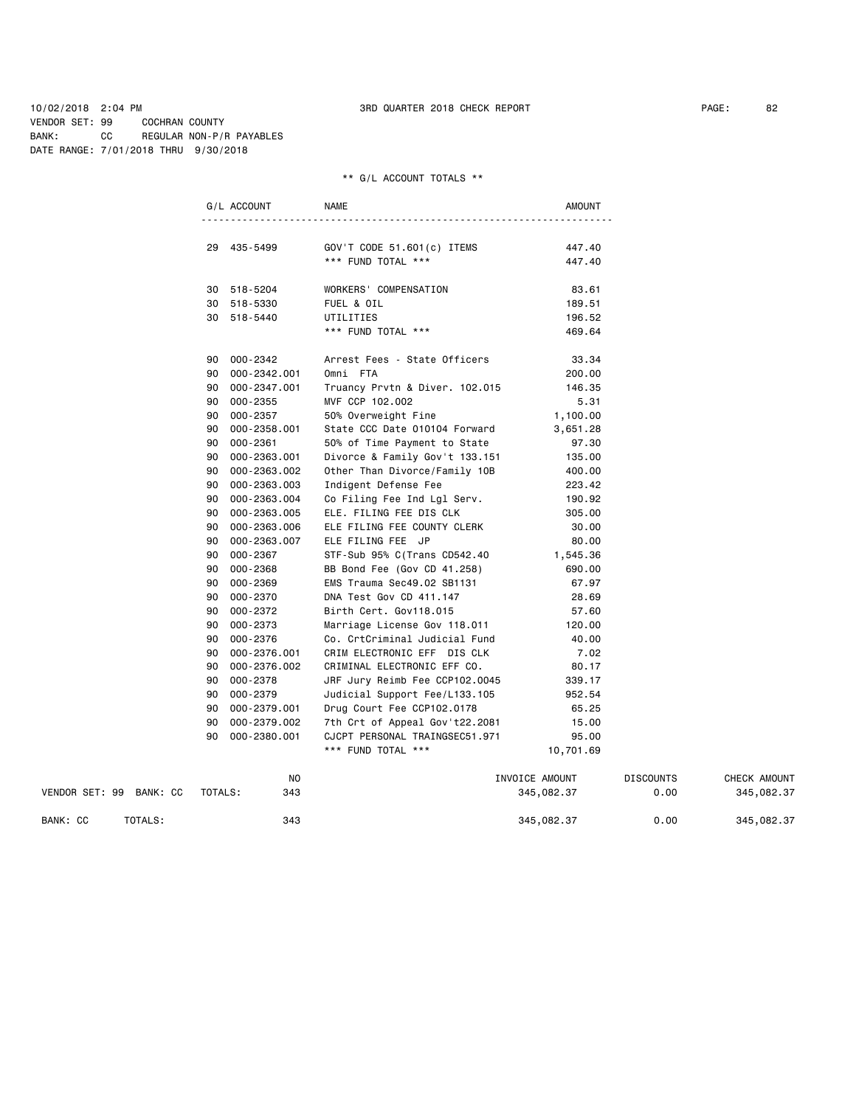10/02/2018 2:04 PM 3RD QUARTER 2018 CHECK REPORT PAGE: 82 VENDOR SET: 99 COCHRAN COUNTY BANK: CC REGULAR NON-P/R PAYABLES DATE RANGE: 7/01/2018 THRU 9/30/2018

## \*\* G/L ACCOUNT TOTALS \*\*

|                         |         | G/L ACCOUNT  | <b>NAME</b>                                      | AMOUNT         |                  |              |
|-------------------------|---------|--------------|--------------------------------------------------|----------------|------------------|--------------|
|                         |         | 29 435-5499  |                                                  | 447.40         |                  |              |
|                         |         |              | GOV'T CODE 51.601(c) ITEMS<br>*** FUND TOTAL *** | 447.40         |                  |              |
|                         |         |              |                                                  |                |                  |              |
|                         |         | 30 518-5204  | WORKERS' COMPENSATION                            | 83.61          |                  |              |
|                         |         | 30 518-5330  | FUEL & OIL                                       | 189.51         |                  |              |
|                         |         | 30 518-5440  | UTILITIES                                        | 196.52         |                  |              |
|                         |         |              | *** FUND TOTAL ***                               | 469.64         |                  |              |
|                         |         | 90 000-2342  | Arrest Fees - State Officers                     | 33.34          |                  |              |
|                         | 90      | 000-2342.001 | Omni FTA                                         | 200.00         |                  |              |
|                         | 90      | 000-2347.001 | Truancy Prvtn & Diver. 102.015                   | 146.35         |                  |              |
|                         | 90      | 000-2355     | MVF CCP 102.002                                  | 5.31           |                  |              |
|                         | 90      | 000-2357     | 50% Overweight Fine                              | 1,100.00       |                  |              |
|                         | 90      | 000-2358.001 | State CCC Date 010104 Forward                    | 3,651.28       |                  |              |
|                         | 90      | 000-2361     | 50% of Time Payment to State                     | 97.30          |                  |              |
|                         | 90      | 000-2363.001 | Divorce & Family Gov't 133.151                   | 135.00         |                  |              |
|                         | 90      | 000-2363.002 | Other Than Divorce/Family 10B                    | 400.00         |                  |              |
|                         | 90      | 000-2363.003 | Indigent Defense Fee                             | 223.42         |                  |              |
|                         | 90      | 000-2363.004 | Co Filing Fee Ind Lgl Serv.                      | 190.92         |                  |              |
|                         | 90      | 000-2363.005 | ELE. FILING FEE DIS CLK                          | 305.00         |                  |              |
|                         | 90      | 000-2363.006 | ELE FILING FEE COUNTY CLERK                      | 30.00          |                  |              |
|                         | 90      | 000-2363.007 | ELE FILING FEE JP                                | 80.00          |                  |              |
|                         | 90      | 000-2367     | STF-Sub 95% C(Trans CD542.40                     | 1,545.36       |                  |              |
|                         | 90      | 000-2368     | BB Bond Fee (Gov CD 41.258)                      | 690.00         |                  |              |
|                         | 90      | 000-2369     | EMS Trauma Sec49.02 SB1131                       | 67.97          |                  |              |
|                         | 90      | 000-2370     | DNA Test Gov CD 411.147                          | 28.69          |                  |              |
|                         | 90      | 000-2372     | Birth Cert. Gov118.015                           | 57.60          |                  |              |
|                         | 90      | 000-2373     | Marriage License Gov 118.011                     | 120.00         |                  |              |
|                         | 90      | 000-2376     | Co. CrtCriminal Judicial Fund                    | 40.00          |                  |              |
|                         | 90      | 000-2376.001 | CRIM ELECTRONIC EFF DIS CLK                      | 7.02           |                  |              |
|                         | 90      | 000-2376.002 | CRIMINAL ELECTRONIC EFF CO.                      | 80.17          |                  |              |
|                         | 90      | 000-2378     | JRF Jury Reimb Fee CCP102.0045                   | 339.17         |                  |              |
|                         | 90      | 000-2379     | Judicial Support Fee/L133.105                    | 952.54         |                  |              |
|                         | 90      | 000-2379.001 | Drug Court Fee CCP102.0178                       | 65.25          |                  |              |
|                         | 90      | 000-2379.002 | 7th Crt of Appeal Gov't22.2081                   | 15.00          |                  |              |
|                         | 90      | 000-2380.001 | CJCPT PERSONAL TRAINGSEC51.971                   | 95.00          |                  |              |
|                         |         |              | *** FUND TOTAL ***                               | 10,701.69      |                  |              |
|                         |         | ΝO           |                                                  | INVOICE AMOUNT | <b>DISCOUNTS</b> | CHECK AMOUNT |
| VENDOR SET: 99 BANK: CC | TOTALS: | 343          |                                                  | 345,082.37     | 0.00             | 345,082.37   |

BANK: CC TOTALS: 343 343 345,082.37 0.00 345,082.37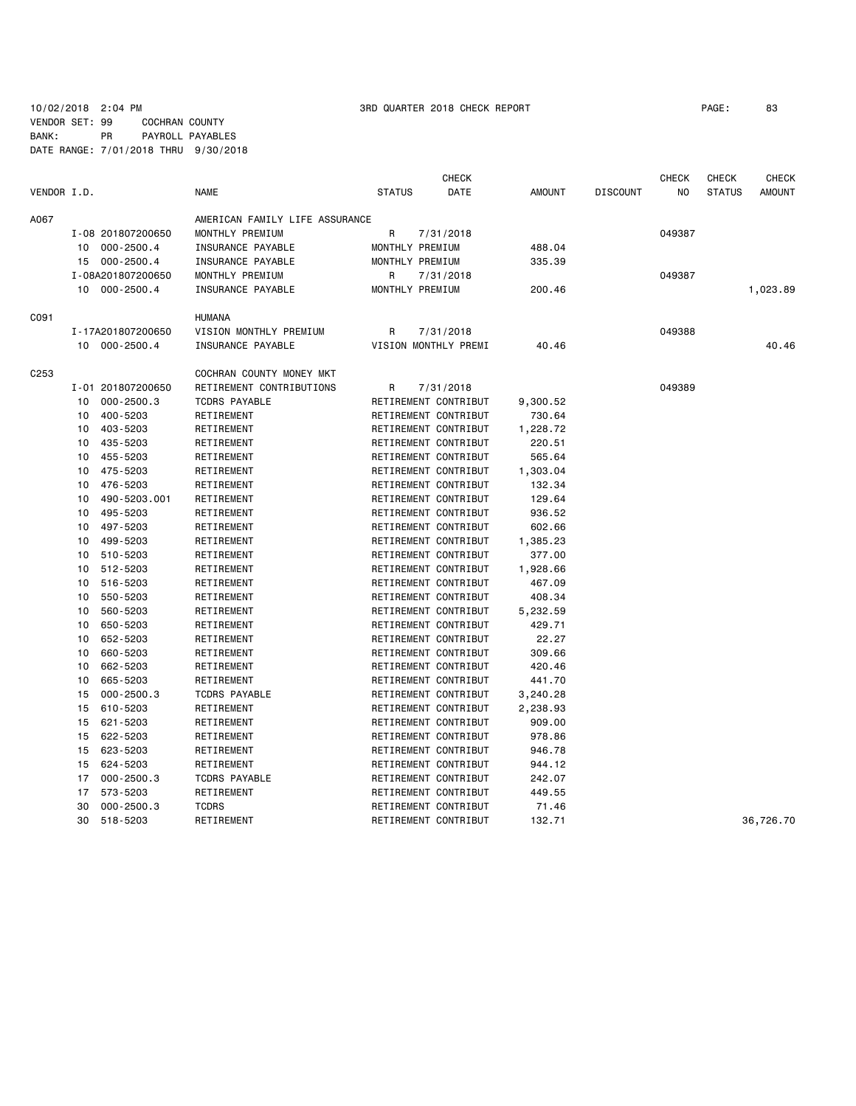## 10/02/2018 2:04 PM 3RD QUARTER 2018 CHECK REPORT PAGE: 83 VENDOR SET: 99 COCHRAN COUNTY BANK: PR PAYROLL PAYABLES DATE RANGE: 7/01/2018 THRU 9/30/2018

|             |    |                   |                                |               |                      | <b>CHECK</b>  | <b>CHECK</b><br><b>CHECK</b> |        |               |               |
|-------------|----|-------------------|--------------------------------|---------------|----------------------|---------------|------------------------------|--------|---------------|---------------|
| VENDOR I.D. |    |                   | <b>NAME</b>                    | <b>STATUS</b> | DATE                 | <b>AMOUNT</b> | <b>DISCOUNT</b>              | NO     | <b>STATUS</b> | <b>AMOUNT</b> |
| A067        |    |                   | AMERICAN FAMILY LIFE ASSURANCE |               |                      |               |                              |        |               |               |
|             |    | I-08 201807200650 | MONTHLY PREMIUM                | R             | 7/31/2018            |               |                              | 049387 |               |               |
|             | 10 | 000-2500.4        | INSURANCE PAYABLE              |               | MONTHLY PREMIUM      | 488.04        |                              |        |               |               |
|             | 15 | $000 - 2500.4$    | INSURANCE PAYABLE              |               | MONTHLY PREMIUM      | 335.39        |                              |        |               |               |
|             |    | I-08A201807200650 | MONTHLY PREMIUM                | R             | 7/31/2018            |               |                              | 049387 |               |               |
|             |    | 10 000-2500.4     | INSURANCE PAYABLE              |               | MONTHLY PREMIUM      | 200.46        |                              |        |               | 1,023.89      |
| C091        |    |                   | <b>HUMANA</b>                  |               |                      |               |                              |        |               |               |
|             |    | I-17A201807200650 | VISION MONTHLY PREMIUM         | R             | 7/31/2018            |               |                              | 049388 |               |               |
|             |    | 10 000-2500.4     | INSURANCE PAYABLE              |               | VISION MONTHLY PREMI | 40.46         |                              |        |               | 40.46         |
| C253        |    |                   | COCHRAN COUNTY MONEY MKT       |               |                      |               |                              |        |               |               |
|             |    | I-01 201807200650 | RETIREMENT CONTRIBUTIONS       | R             | 7/31/2018            |               |                              | 049389 |               |               |
|             | 10 | $000 - 2500.3$    | <b>TCDRS PAYABLE</b>           |               | RETIREMENT CONTRIBUT | 9,300.52      |                              |        |               |               |
|             | 10 | 400-5203          | RETIREMENT                     |               | RETIREMENT CONTRIBUT | 730.64        |                              |        |               |               |
|             | 10 | 403-5203          | RETIREMENT                     |               | RETIREMENT CONTRIBUT | 1,228.72      |                              |        |               |               |
|             | 10 | 435-5203          | RETIREMENT                     |               | RETIREMENT CONTRIBUT | 220.51        |                              |        |               |               |
|             | 10 | 455-5203          | RETIREMENT                     |               | RETIREMENT CONTRIBUT | 565.64        |                              |        |               |               |
|             | 10 | 475-5203          | RETIREMENT                     |               | RETIREMENT CONTRIBUT | 1,303.04      |                              |        |               |               |
|             | 10 | 476-5203          | RETIREMENT                     |               | RETIREMENT CONTRIBUT | 132.34        |                              |        |               |               |
|             | 10 | 490-5203.001      | RETIREMENT                     |               | RETIREMENT CONTRIBUT | 129.64        |                              |        |               |               |
|             | 10 | 495-5203          | RETIREMENT                     |               | RETIREMENT CONTRIBUT | 936.52        |                              |        |               |               |
|             | 10 | 497-5203          | RETIREMENT                     |               | RETIREMENT CONTRIBUT | 602.66        |                              |        |               |               |
|             | 10 | 499-5203          | RETIREMENT                     |               | RETIREMENT CONTRIBUT | 1,385.23      |                              |        |               |               |
|             | 10 | 510-5203          | RETIREMENT                     |               | RETIREMENT CONTRIBUT | 377.00        |                              |        |               |               |
|             | 10 | 512-5203          | RETIREMENT                     |               | RETIREMENT CONTRIBUT | 1,928.66      |                              |        |               |               |
|             | 10 | 516-5203          | RETIREMENT                     |               | RETIREMENT CONTRIBUT | 467.09        |                              |        |               |               |
|             | 10 | 550-5203          | RETIREMENT                     |               | RETIREMENT CONTRIBUT | 408.34        |                              |        |               |               |
|             | 10 | 560-5203          | RETIREMENT                     |               | RETIREMENT CONTRIBUT | 5,232.59      |                              |        |               |               |
|             | 10 | 650-5203          | RETIREMENT                     |               | RETIREMENT CONTRIBUT | 429.71        |                              |        |               |               |
|             | 10 | 652-5203          | RETIREMENT                     |               | RETIREMENT CONTRIBUT | 22.27         |                              |        |               |               |
|             | 10 | 660-5203          | RETIREMENT                     |               | RETIREMENT CONTRIBUT | 309.66        |                              |        |               |               |
|             | 10 | 662-5203          | RETIREMENT                     |               | RETIREMENT CONTRIBUT | 420.46        |                              |        |               |               |
|             | 10 | 665-5203          | RETIREMENT                     |               | RETIREMENT CONTRIBUT | 441.70        |                              |        |               |               |
|             | 15 | $000 - 2500.3$    | <b>TCDRS PAYABLE</b>           |               | RETIREMENT CONTRIBUT | 3,240.28      |                              |        |               |               |
|             | 15 | 610-5203          | RETIREMENT                     |               | RETIREMENT CONTRIBUT | 2,238.93      |                              |        |               |               |
|             | 15 | 621-5203          | RETIREMENT                     |               | RETIREMENT CONTRIBUT | 909.00        |                              |        |               |               |
|             | 15 | 622-5203          | RETIREMENT                     |               | RETIREMENT CONTRIBUT | 978.86        |                              |        |               |               |
|             | 15 | 623-5203          | RETIREMENT                     |               | RETIREMENT CONTRIBUT | 946.78        |                              |        |               |               |
|             | 15 | 624-5203          | RETIREMENT                     |               | RETIREMENT CONTRIBUT | 944.12        |                              |        |               |               |
|             | 17 | $000 - 2500.3$    | <b>TCDRS PAYABLE</b>           |               | RETIREMENT CONTRIBUT | 242.07        |                              |        |               |               |
|             | 17 | 573-5203          | RETIREMENT                     |               | RETIREMENT CONTRIBUT | 449.55        |                              |        |               |               |
|             | 30 | $000 - 2500.3$    | <b>TCDRS</b>                   |               | RETIREMENT CONTRIBUT | 71.46         |                              |        |               |               |
|             | 30 | 518-5203          | RETIREMENT                     |               | RETIREMENT CONTRIBUT | 132.71        |                              |        |               | 36,726.70     |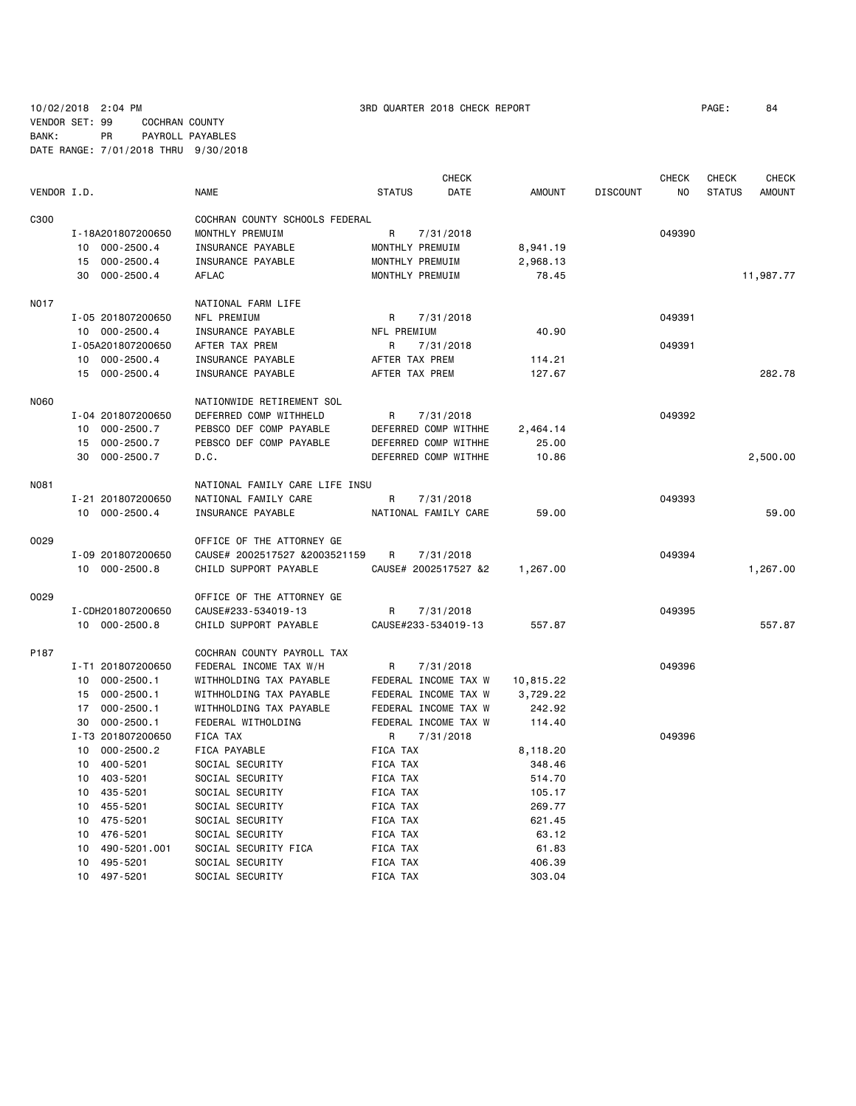10/02/2018 2:04 PM 3RD QUARTER 2018 CHECK REPORT PAGE: 84 VENDOR SET: 99 COCHRAN COUNTY BANK: PR PAYROLL PAYABLES DATE RANGE: 7/01/2018 THRU 9/30/2018

|             |                             |                                |                | <b>CHECK</b>         |               |                 | <b>CHECK</b> | <b>CHECK</b>  | <b>CHECK</b>  |
|-------------|-----------------------------|--------------------------------|----------------|----------------------|---------------|-----------------|--------------|---------------|---------------|
| VENDOR I.D. |                             | <b>NAME</b>                    | <b>STATUS</b>  | <b>DATE</b>          | <b>AMOUNT</b> | <b>DISCOUNT</b> | NO.          | <b>STATUS</b> | <b>AMOUNT</b> |
| C300        |                             | COCHRAN COUNTY SCHOOLS FEDERAL |                |                      |               |                 |              |               |               |
|             | I-18A201807200650           | MONTHLY PREMUIM                | R              | 7/31/2018            |               |                 | 049390       |               |               |
|             | $000 - 2500.4$<br>10        | INSURANCE PAYABLE              |                | MONTHLY PREMUIM      | 8,941.19      |                 |              |               |               |
|             | $000 - 2500.4$<br>15        | INSURANCE PAYABLE              |                | MONTHLY PREMUIM      | 2,968.13      |                 |              |               |               |
|             | 30<br>$000 - 2500.4$        | AFLAC                          |                | MONTHLY PREMUIM      | 78.45         |                 |              |               | 11,987.77     |
|             |                             |                                |                |                      |               |                 |              |               |               |
| <b>N017</b> |                             | NATIONAL FARM LIFE             |                |                      |               |                 | 049391       |               |               |
|             | I-05 201807200650           | NFL PREMIUM                    | R              | 7/31/2018            |               |                 |              |               |               |
|             | 10 000-2500.4               | INSURANCE PAYABLE              | NFL PREMIUM    |                      | 40.90         |                 |              |               |               |
|             | I-05A201807200650           | AFTER TAX PREM                 | R              | 7/31/2018            |               |                 | 049391       |               |               |
|             | $000 - 2500.4$<br>10        | INSURANCE PAYABLE              | AFTER TAX PREM |                      | 114.21        |                 |              |               |               |
|             | 15 000-2500.4               | INSURANCE PAYABLE              | AFTER TAX PREM |                      | 127.67        |                 |              |               | 282.78        |
| <b>N060</b> |                             | NATIONWIDE RETIREMENT SOL      |                |                      |               |                 |              |               |               |
|             | I-04 201807200650           | DEFERRED COMP WITHHELD         | R              | 7/31/2018            |               |                 | 049392       |               |               |
|             | $000 - 2500.7$<br>10        | PEBSCO DEF COMP PAYABLE        |                | DEFERRED COMP WITHHE | 2,464.14      |                 |              |               |               |
|             | 15 000-2500.7               | PEBSCO DEF COMP PAYABLE        |                | DEFERRED COMP WITHHE | 25.00         |                 |              |               |               |
|             | 30<br>$000 - 2500.7$        | D.C.                           |                | DEFERRED COMP WITHHE | 10.86         |                 |              |               | 2,500.00      |
| N081        |                             | NATIONAL FAMILY CARE LIFE INSU |                |                      |               |                 |              |               |               |
|             | I-21 201807200650           | NATIONAL FAMILY CARE           | R              | 7/31/2018            |               |                 | 049393       |               |               |
|             | 10 000-2500.4               | INSURANCE PAYABLE              |                | NATIONAL FAMILY CARE | 59,00         |                 |              |               | 59.00         |
| 0029        |                             | OFFICE OF THE ATTORNEY GE      |                |                      |               |                 |              |               |               |
|             | I-09 201807200650           | CAUSE# 2002517527 &2003521159  | R              |                      |               |                 | 049394       |               |               |
|             |                             | CHILD SUPPORT PAYABLE          |                | 7/31/2018            |               |                 |              |               |               |
|             | 10 000-2500.8               |                                |                | CAUSE# 2002517527 &2 | 1,267.00      |                 |              |               | 1,267.00      |
| 0029        |                             | OFFICE OF THE ATTORNEY GE      |                |                      |               |                 |              |               |               |
|             | I-CDH201807200650           | CAUSE#233-534019-13            | R              | 7/31/2018            |               |                 | 049395       |               |               |
|             | 10 000-2500.8               | CHILD SUPPORT PAYABLE          |                | CAUSE#233-534019-13  | 557.87        |                 |              |               | 557.87        |
| P187        |                             | COCHRAN COUNTY PAYROLL TAX     |                |                      |               |                 |              |               |               |
|             | I-T1 201807200650           | FEDERAL INCOME TAX W/H         | R              | 7/31/2018            |               |                 | 049396       |               |               |
|             | $000 - 2500.1$<br>10        | WITHHOLDING TAX PAYABLE        |                | FEDERAL INCOME TAX W | 10,815.22     |                 |              |               |               |
|             | $000 - 2500.1$<br>15        | WITHHOLDING TAX PAYABLE        |                | FEDERAL INCOME TAX W | 3,729.22      |                 |              |               |               |
|             | 17<br>$000 - 2500.1$        | WITHHOLDING TAX PAYABLE        |                | FEDERAL INCOME TAX W | 242.92        |                 |              |               |               |
|             | 30<br>$000 - 2500.1$        | FEDERAL WITHOLDING             |                | FEDERAL INCOME TAX W | 114.40        |                 |              |               |               |
|             | I-T3 201807200650           | FICA TAX                       | R              | 7/31/2018            |               |                 | 049396       |               |               |
|             | 10<br>$000 - 2500.2$        | FICA PAYABLE                   | FICA TAX       |                      | 8,118.20      |                 |              |               |               |
|             | 10<br>400-5201              | SOCIAL SECURITY                | FICA TAX       |                      | 348.46        |                 |              |               |               |
|             | 403-5201<br>10              | SOCIAL SECURITY                | FICA TAX       |                      | 514.70        |                 |              |               |               |
|             | 10<br>435-5201              | SOCIAL SECURITY                | FICA TAX       |                      | 105.17        |                 |              |               |               |
|             | 10<br>455-5201              | SOCIAL SECURITY                | FICA TAX       |                      | 269.77        |                 |              |               |               |
|             | 10<br>475-5201              | SOCIAL SECURITY                | FICA TAX       |                      | 621.45        |                 |              |               |               |
|             | 476-5201<br>10              | SOCIAL SECURITY                | FICA TAX       |                      | 63.12         |                 |              |               |               |
|             | 10<br>490-5201.001          | SOCIAL SECURITY FICA           | FICA TAX       |                      | 61.83         |                 |              |               |               |
|             | 10 <sup>1</sup><br>495-5201 | SOCIAL SECURITY                | FICA TAX       |                      | 406.39        |                 |              |               |               |
|             |                             |                                |                |                      |               |                 |              |               |               |

10 497-5201 SOCIAL SECURITY FICA TAX 303.04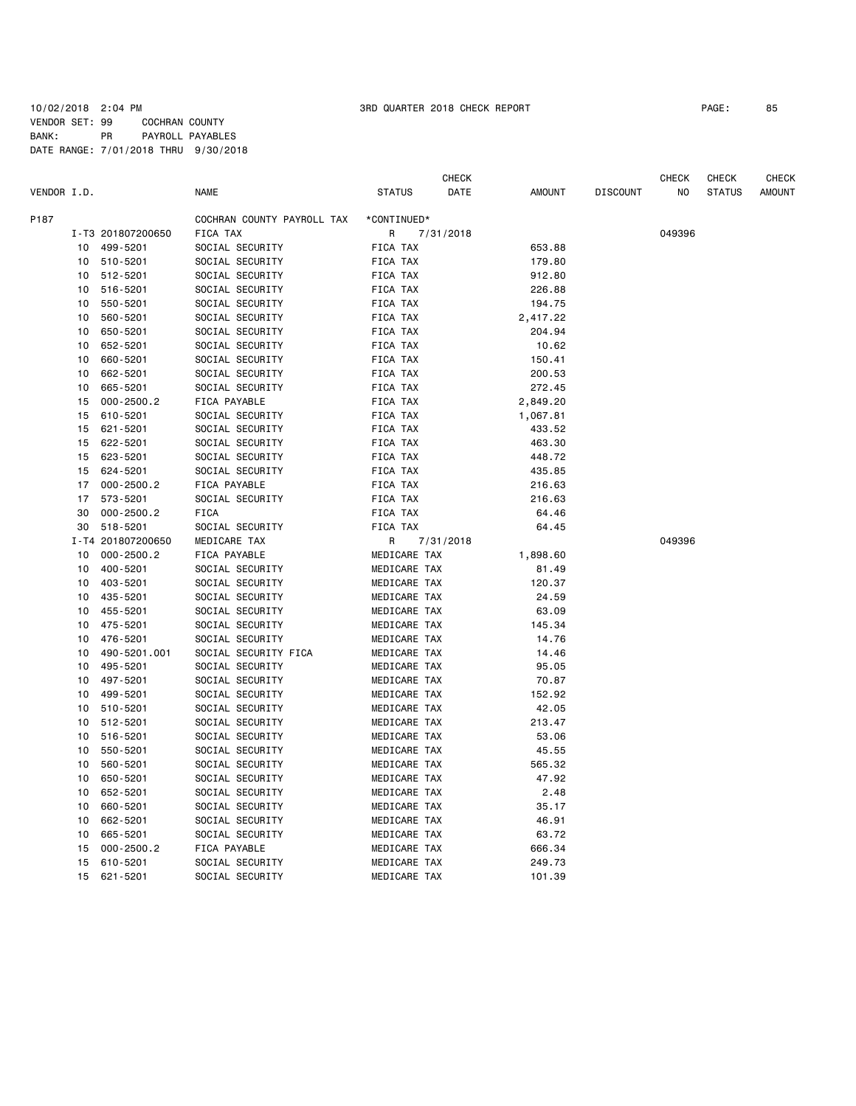## 10/02/2018 2:04 PM 3RD QUARTER 2018 CHECK REPORT PAGE: 85 VENDOR SET: 99 COCHRAN COUNTY BANK: PR PAYROLL PAYABLES DATE RANGE: 7/01/2018 THRU 9/30/2018

|             |    |                   |                            |               | CHECK     |               |                 | CHECK  | CHECK         | CHECK         |
|-------------|----|-------------------|----------------------------|---------------|-----------|---------------|-----------------|--------|---------------|---------------|
| VENDOR I.D. |    |                   | NAME                       | <b>STATUS</b> | DATE      | <b>AMOUNT</b> | <b>DISCOUNT</b> | ΝO     | <b>STATUS</b> | <b>AMOUNT</b> |
| P187        |    |                   | COCHRAN COUNTY PAYROLL TAX | *CONTINUED*   |           |               |                 |        |               |               |
|             |    | I-T3 201807200650 | FICA TAX                   | R             | 7/31/2018 |               |                 | 049396 |               |               |
|             | 10 | 499-5201          | SOCIAL SECURITY            | FICA TAX      |           | 653.88        |                 |        |               |               |
|             | 10 | 510-5201          | SOCIAL SECURITY            | FICA TAX      |           | 179.80        |                 |        |               |               |
|             | 10 | 512-5201          | SOCIAL SECURITY            | FICA TAX      |           | 912.80        |                 |        |               |               |
|             | 10 | 516-5201          | SOCIAL SECURITY            | FICA TAX      |           | 226.88        |                 |        |               |               |
|             | 10 | 550-5201          | SOCIAL SECURITY            | FICA TAX      |           | 194.75        |                 |        |               |               |
|             | 10 | 560-5201          | SOCIAL SECURITY            | FICA TAX      |           | 2,417.22      |                 |        |               |               |
|             | 10 | 650-5201          | SOCIAL SECURITY            | FICA TAX      |           | 204.94        |                 |        |               |               |
|             | 10 | 652-5201          | SOCIAL SECURITY            | FICA TAX      |           | 10.62         |                 |        |               |               |
|             | 10 | 660-5201          | SOCIAL SECURITY            | FICA TAX      |           | 150.41        |                 |        |               |               |
|             | 10 | 662-5201          | SOCIAL SECURITY            | FICA TAX      |           | 200.53        |                 |        |               |               |
|             | 10 | 665-5201          | SOCIAL SECURITY            | FICA TAX      |           | 272.45        |                 |        |               |               |
|             | 15 | $000 - 2500.2$    | FICA PAYABLE               | FICA TAX      |           | 2,849.20      |                 |        |               |               |
|             | 15 | 610-5201          | SOCIAL SECURITY            | FICA TAX      |           | 1,067.81      |                 |        |               |               |
|             | 15 | 621-5201          | SOCIAL SECURITY            | FICA TAX      |           | 433.52        |                 |        |               |               |
|             | 15 | 622-5201          | SOCIAL SECURITY            | FICA TAX      |           | 463.30        |                 |        |               |               |
|             | 15 | 623-5201          | SOCIAL SECURITY            | FICA TAX      |           | 448.72        |                 |        |               |               |
|             | 15 | 624-5201          | SOCIAL SECURITY            | FICA TAX      |           | 435.85        |                 |        |               |               |
|             | 17 | $000 - 2500.2$    | FICA PAYABLE               | FICA TAX      |           | 216.63        |                 |        |               |               |
|             | 17 | 573-5201          | SOCIAL SECURITY            | FICA TAX      |           | 216.63        |                 |        |               |               |
|             | 30 | $000 - 2500.2$    | FICA                       | FICA TAX      |           | 64.46         |                 |        |               |               |
|             | 30 | 518-5201          | SOCIAL SECURITY            | FICA TAX      |           | 64.45         |                 |        |               |               |
|             |    | I-T4 201807200650 | MEDICARE TAX               | R             | 7/31/2018 |               |                 | 049396 |               |               |
|             | 10 | $000 - 2500.2$    | FICA PAYABLE               | MEDICARE TAX  |           | 1,898.60      |                 |        |               |               |
|             | 10 | 400-5201          | SOCIAL SECURITY            | MEDICARE TAX  |           | 81.49         |                 |        |               |               |
|             | 10 | 403-5201          | SOCIAL SECURITY            | MEDICARE TAX  |           | 120.37        |                 |        |               |               |
|             | 10 | 435-5201          | SOCIAL SECURITY            | MEDICARE TAX  |           | 24.59         |                 |        |               |               |
|             | 10 | 455-5201          | SOCIAL SECURITY            | MEDICARE TAX  |           | 63.09         |                 |        |               |               |
|             | 10 | 475-5201          | SOCIAL SECURITY            | MEDICARE TAX  |           | 145.34        |                 |        |               |               |
|             | 10 | 476-5201          | SOCIAL SECURITY            | MEDICARE TAX  |           | 14.76         |                 |        |               |               |
|             | 10 | 490-5201.001      | SOCIAL SECURITY FICA       | MEDICARE TAX  |           | 14.46         |                 |        |               |               |
|             | 10 | 495-5201          | SOCIAL SECURITY            | MEDICARE TAX  |           | 95.05         |                 |        |               |               |
|             | 10 | 497-5201          | SOCIAL SECURITY            | MEDICARE TAX  |           | 70.87         |                 |        |               |               |
|             | 10 | 499-5201          | SOCIAL SECURITY            | MEDICARE TAX  |           | 152.92        |                 |        |               |               |
|             | 10 | 510-5201          | SOCIAL SECURITY            | MEDICARE TAX  |           | 42.05         |                 |        |               |               |
|             | 10 | 512-5201          | SOCIAL SECURITY            | MEDICARE TAX  |           | 213.47        |                 |        |               |               |
|             | 10 | 516-5201          | SOCIAL SECURITY            | MEDICARE TAX  |           | 53.06         |                 |        |               |               |
|             | 10 | 550-5201          | SOCIAL SECURITY            | MEDICARE TAX  |           | 45.55         |                 |        |               |               |
|             | 10 | 560-5201          | SOCIAL SECURITY            | MEDICARE TAX  |           | 565.32        |                 |        |               |               |
|             | 10 | 650-5201          | SOCIAL SECURITY            | MEDICARE TAX  |           | 47.92         |                 |        |               |               |
|             | 10 | 652-5201          | SOCIAL SECURITY            | MEDICARE TAX  |           | 2.48          |                 |        |               |               |
|             | 10 | 660-5201          | SOCIAL SECURITY            | MEDICARE TAX  |           | 35.17         |                 |        |               |               |
|             | 10 | 662-5201          | SOCIAL SECURITY            | MEDICARE TAX  |           | 46.91         |                 |        |               |               |
|             | 10 | 665-5201          | SOCIAL SECURITY            | MEDICARE TAX  |           | 63.72         |                 |        |               |               |
|             | 15 | $000 - 2500.2$    | FICA PAYABLE               | MEDICARE TAX  |           | 666.34        |                 |        |               |               |
|             | 15 | 610-5201          | SOCIAL SECURITY            | MEDICARE TAX  |           | 249.73        |                 |        |               |               |
|             | 15 | 621-5201          | SOCIAL SECURITY            | MEDICARE TAX  |           | 101.39        |                 |        |               |               |
|             |    |                   |                            |               |           |               |                 |        |               |               |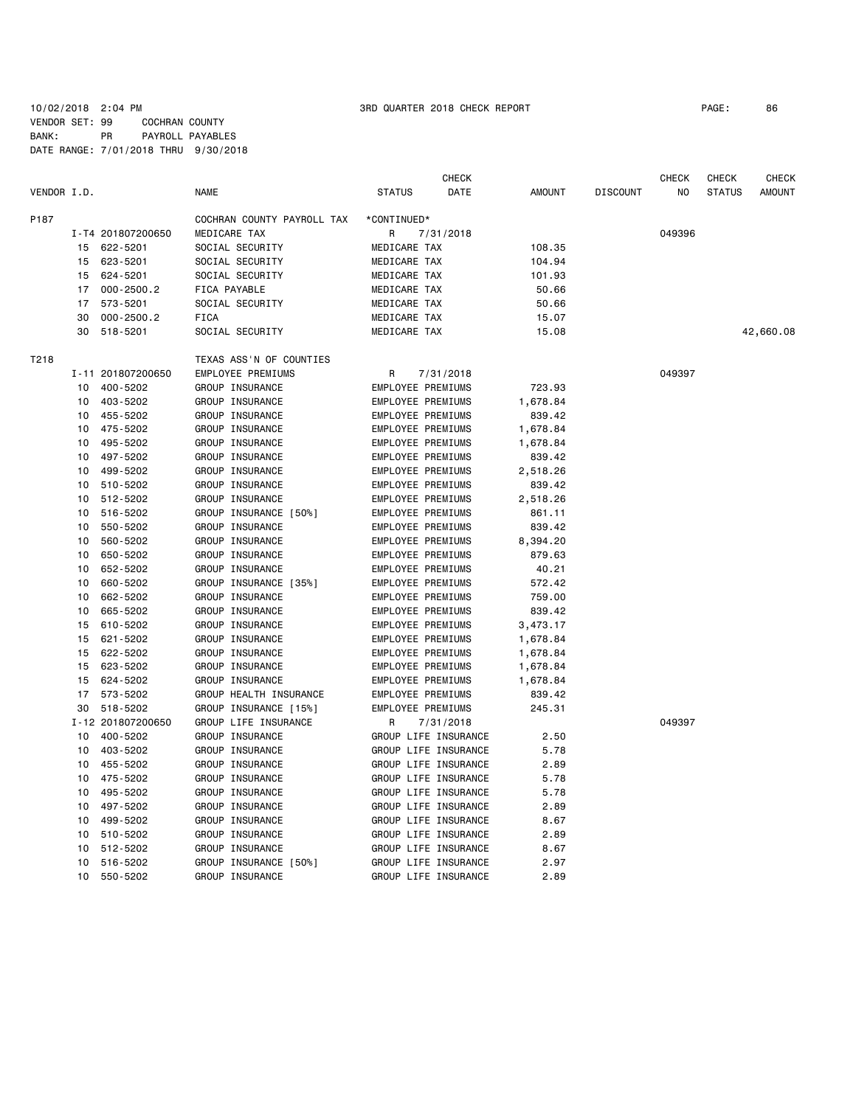|             |    |                   |                            |                          | <b>CHECK</b>         |               |                 | <b>CHECK</b> | <b>CHECK</b>  | CHECK     |
|-------------|----|-------------------|----------------------------|--------------------------|----------------------|---------------|-----------------|--------------|---------------|-----------|
| VENDOR I.D. |    |                   | <b>NAME</b>                | <b>STATUS</b>            | DATE                 | <b>AMOUNT</b> | <b>DISCOUNT</b> | NO           | <b>STATUS</b> | AMOUNT    |
| P187        |    |                   | COCHRAN COUNTY PAYROLL TAX | *CONTINUED*              |                      |               |                 |              |               |           |
|             |    | I-T4 201807200650 | MEDICARE TAX               | R                        | 7/31/2018            |               |                 | 049396       |               |           |
|             | 15 | 622-5201          | SOCIAL SECURITY            | MEDICARE TAX             |                      | 108.35        |                 |              |               |           |
|             | 15 | 623-5201          | SOCIAL SECURITY            | MEDICARE TAX             |                      | 104.94        |                 |              |               |           |
|             | 15 | 624-5201          | SOCIAL SECURITY            | MEDICARE TAX             |                      | 101.93        |                 |              |               |           |
|             | 17 | $000 - 2500.2$    | FICA PAYABLE               | MEDICARE TAX             |                      | 50.66         |                 |              |               |           |
|             | 17 | 573-5201          | SOCIAL SECURITY            | MEDICARE TAX             |                      | 50.66         |                 |              |               |           |
|             | 30 | $000 - 2500.2$    | FICA                       | MEDICARE TAX             |                      | 15.07         |                 |              |               |           |
|             | 30 | 518-5201          | SOCIAL SECURITY            | MEDICARE TAX             |                      | 15.08         |                 |              |               | 42,660.08 |
| T218        |    |                   | TEXAS ASS'N OF COUNTIES    |                          |                      |               |                 |              |               |           |
|             |    | I-11 201807200650 | EMPLOYEE PREMIUMS          | R                        | 7/31/2018            |               |                 | 049397       |               |           |
|             | 10 | 400-5202          | GROUP INSURANCE            | EMPLOYEE PREMIUMS        |                      | 723.93        |                 |              |               |           |
|             | 10 | 403-5202          | GROUP INSURANCE            | EMPLOYEE PREMIUMS        |                      | 1,678.84      |                 |              |               |           |
|             | 10 | 455-5202          | GROUP INSURANCE            | EMPLOYEE PREMIUMS        |                      | 839.42        |                 |              |               |           |
|             | 10 | 475-5202          | GROUP INSURANCE            | EMPLOYEE PREMIUMS        |                      | 1,678.84      |                 |              |               |           |
|             | 10 | 495-5202          | GROUP INSURANCE            | EMPLOYEE PREMIUMS        |                      | 1,678.84      |                 |              |               |           |
|             | 10 | 497-5202          | GROUP INSURANCE            | <b>EMPLOYEE PREMIUMS</b> |                      | 839.42        |                 |              |               |           |
|             | 10 | 499-5202          | GROUP INSURANCE            | EMPLOYEE PREMIUMS        |                      | 2,518.26      |                 |              |               |           |
|             | 10 | 510-5202          | GROUP INSURANCE            | EMPLOYEE PREMIUMS        |                      | 839.42        |                 |              |               |           |
|             | 10 | 512-5202          | GROUP INSURANCE            | EMPLOYEE PREMIUMS        |                      | 2,518.26      |                 |              |               |           |
|             | 10 | 516-5202          | GROUP INSURANCE [50%]      | EMPLOYEE PREMIUMS        |                      | 861.11        |                 |              |               |           |
|             | 10 | 550-5202          | GROUP INSURANCE            | EMPLOYEE PREMIUMS        |                      | 839.42        |                 |              |               |           |
|             | 10 | 560-5202          | GROUP INSURANCE            | EMPLOYEE PREMIUMS        |                      | 8,394.20      |                 |              |               |           |
|             | 10 | 650-5202          | GROUP INSURANCE            | EMPLOYEE PREMIUMS        |                      | 879.63        |                 |              |               |           |
|             | 10 | 652-5202          | GROUP INSURANCE            | EMPLOYEE PREMIUMS        |                      | 40.21         |                 |              |               |           |
|             | 10 | 660-5202          | GROUP INSURANCE [35%]      | EMPLOYEE PREMIUMS        |                      | 572.42        |                 |              |               |           |
|             | 10 | 662-5202          | GROUP INSURANCE            | EMPLOYEE PREMIUMS        |                      | 759.00        |                 |              |               |           |
|             | 10 | 665-5202          | GROUP INSURANCE            | EMPLOYEE PREMIUMS        |                      | 839.42        |                 |              |               |           |
|             | 15 | 610-5202          | GROUP INSURANCE            | EMPLOYEE PREMIUMS        |                      | 3,473.17      |                 |              |               |           |
|             | 15 | 621-5202          | GROUP INSURANCE            | EMPLOYEE PREMIUMS        |                      | 1,678.84      |                 |              |               |           |
|             | 15 | 622-5202          | GROUP INSURANCE            | EMPLOYEE PREMIUMS        |                      | 1,678.84      |                 |              |               |           |
|             | 15 | 623-5202          | GROUP INSURANCE            | EMPLOYEE PREMIUMS        |                      | 1,678.84      |                 |              |               |           |
|             | 15 | 624-5202          | GROUP INSURANCE            | EMPLOYEE PREMIUMS        |                      | 1,678.84      |                 |              |               |           |
|             | 17 | 573-5202          | GROUP HEALTH INSURANCE     | EMPLOYEE PREMIUMS        |                      | 839.42        |                 |              |               |           |
|             | 30 | 518-5202          | GROUP INSURANCE [15%]      | <b>EMPLOYEE PREMIUMS</b> |                      | 245.31        |                 |              |               |           |
|             |    | I-12 201807200650 | GROUP LIFE INSURANCE       | R                        | 7/31/2018            |               |                 | 049397       |               |           |
|             | 10 | 400-5202          | GROUP INSURANCE            |                          | GROUP LIFE INSURANCE | 2.50          |                 |              |               |           |
|             | 10 | 403-5202          | GROUP INSURANCE            |                          | GROUP LIFE INSURANCE | 5.78          |                 |              |               |           |
|             | 10 | 455-5202          | GROUP INSURANCE            |                          | GROUP LIFE INSURANCE | 2.89          |                 |              |               |           |
|             | 10 | 475-5202          | <b>GROUP INSURANCE</b>     |                          | GROUP LIFE INSURANCE | 5.78          |                 |              |               |           |
|             | 10 | 495-5202          | <b>GROUP INSURANCE</b>     |                          | GROUP LIFE INSURANCE | 5.78          |                 |              |               |           |
|             | 10 | 497-5202          | GROUP INSURANCE            |                          | GROUP LIFE INSURANCE | 2.89          |                 |              |               |           |
|             | 10 | 499-5202          | <b>GROUP INSURANCE</b>     |                          | GROUP LIFE INSURANCE | 8.67          |                 |              |               |           |
|             | 10 | 510-5202          | GROUP INSURANCE            |                          | GROUP LIFE INSURANCE | 2.89          |                 |              |               |           |
|             | 10 | 512-5202          | GROUP INSURANCE            |                          | GROUP LIFE INSURANCE | 8.67          |                 |              |               |           |
|             | 10 | 516-5202          | GROUP INSURANCE [50%]      |                          | GROUP LIFE INSURANCE | 2.97          |                 |              |               |           |
|             | 10 | 550-5202          | GROUP INSURANCE            |                          | GROUP LIFE INSURANCE | 2.89          |                 |              |               |           |
|             |    |                   |                            |                          |                      |               |                 |              |               |           |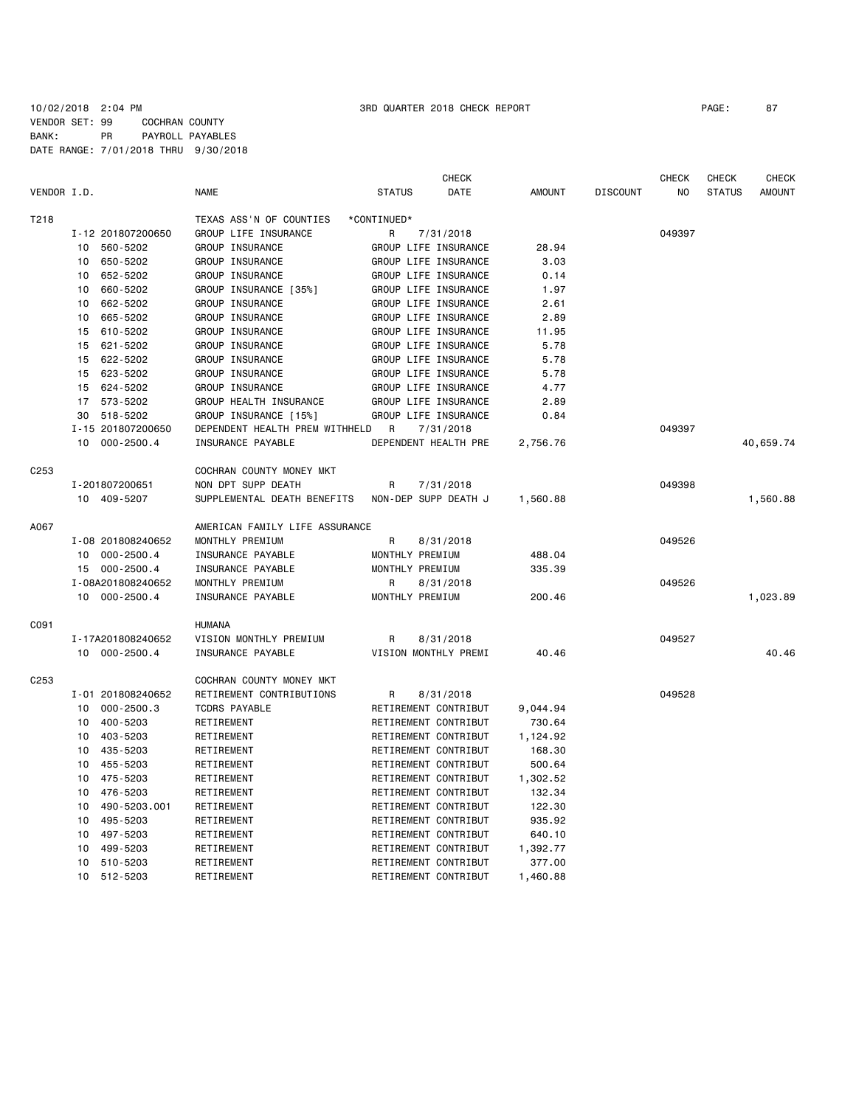## 10/02/2018 2:04 PM 3RD QUARTER 2018 CHECK REPORT PAGE: 87 VENDOR SET: 99 COCHRAN COUNTY BANK: PR PAYROLL PAYABLES DATE RANGE: 7/01/2018 THRU 9/30/2018

|                  |                    |                                | <b>CHECK</b>                 |               |                 | <b>CHECK</b>   | <b>CHECK</b>  | CHECK         |
|------------------|--------------------|--------------------------------|------------------------------|---------------|-----------------|----------------|---------------|---------------|
| VENDOR I.D.      |                    | <b>NAME</b>                    | <b>STATUS</b><br><b>DATE</b> | <b>AMOUNT</b> | <b>DISCOUNT</b> | N <sub>0</sub> | <b>STATUS</b> | <b>AMOUNT</b> |
| T218             |                    | TEXAS ASS'N OF COUNTIES        | *CONTINUED*                  |               |                 |                |               |               |
|                  | I-12 201807200650  | GROUP LIFE INSURANCE           | R<br>7/31/2018               |               |                 | 049397         |               |               |
|                  | 560-5202<br>10     | GROUP INSURANCE                | GROUP LIFE INSURANCE         | 28.94         |                 |                |               |               |
|                  | 650-5202<br>10     | GROUP INSURANCE                | GROUP LIFE INSURANCE         | 3.03          |                 |                |               |               |
|                  | 652-5202<br>10     | GROUP INSURANCE                | GROUP LIFE INSURANCE         | 0.14          |                 |                |               |               |
|                  | 660-5202<br>10     | GROUP INSURANCE [35%]          | GROUP LIFE INSURANCE         | 1.97          |                 |                |               |               |
|                  | 662-5202<br>10     | GROUP INSURANCE                | GROUP LIFE INSURANCE         | 2.61          |                 |                |               |               |
|                  | 665-5202<br>10     | GROUP INSURANCE                | GROUP LIFE INSURANCE         | 2.89          |                 |                |               |               |
|                  | 610-5202<br>15     | GROUP INSURANCE                | GROUP LIFE INSURANCE         | 11.95         |                 |                |               |               |
|                  | 621-5202<br>15     | GROUP INSURANCE                | GROUP LIFE INSURANCE         | 5.78          |                 |                |               |               |
|                  | 622-5202<br>15     | GROUP INSURANCE                | GROUP LIFE INSURANCE         | 5.78          |                 |                |               |               |
|                  | 623-5202<br>15     | GROUP INSURANCE                | GROUP LIFE INSURANCE         | 5.78          |                 |                |               |               |
|                  | 624-5202<br>15     | GROUP INSURANCE                | GROUP LIFE INSURANCE         | 4.77          |                 |                |               |               |
|                  | 17 573-5202        | GROUP HEALTH INSURANCE         | GROUP LIFE INSURANCE         | 2.89          |                 |                |               |               |
|                  | 518-5202<br>30     | GROUP INSURANCE [15%]          | GROUP LIFE INSURANCE         | 0.84          |                 |                |               |               |
|                  | I-15 201807200650  | DEPENDENT HEALTH PREM WITHHELD | R<br>7/31/2018               |               |                 | 049397         |               |               |
|                  | 10 000-2500.4      | INSURANCE PAYABLE              | DEPENDENT HEALTH PRE         | 2,756.76      |                 |                |               | 40,659.74     |
| C <sub>253</sub> |                    | COCHRAN COUNTY MONEY MKT       |                              |               |                 |                |               |               |
|                  | I-201807200651     | NON DPT SUPP DEATH             | R<br>7/31/2018               |               |                 | 049398         |               |               |
|                  | 10 409-5207        | SUPPLEMENTAL DEATH BENEFITS    | NON-DEP SUPP DEATH J         | 1,560.88      |                 |                |               | 1,560.88      |
| A067             |                    | AMERICAN FAMILY LIFE ASSURANCE |                              |               |                 |                |               |               |
|                  | I-08 201808240652  | MONTHLY PREMIUM                | R<br>8/31/2018               |               |                 | 049526         |               |               |
|                  | 10 000-2500.4      | INSURANCE PAYABLE              | MONTHLY PREMIUM              | 488.04        |                 |                |               |               |
|                  | 15 000-2500.4      | INSURANCE PAYABLE              | MONTHLY PREMIUM              | 335.39        |                 |                |               |               |
|                  | I-08A201808240652  | MONTHLY PREMIUM                | R<br>8/31/2018               |               |                 | 049526         |               |               |
|                  | 10 000-2500.4      | INSURANCE PAYABLE              | MONTHLY PREMIUM              | 200.46        |                 |                |               | 1,023.89      |
| C091             |                    | <b>HUMANA</b>                  |                              |               |                 |                |               |               |
|                  | I-17A201808240652  | VISION MONTHLY PREMIUM         | R<br>8/31/2018               |               |                 | 049527         |               |               |
|                  | 10 000-2500.4      | INSURANCE PAYABLE              | VISION MONTHLY PREMI         | 40.46         |                 |                |               | 40.46         |
| C <sub>253</sub> |                    | COCHRAN COUNTY MONEY MKT       |                              |               |                 |                |               |               |
|                  | I-01 201808240652  | RETIREMENT CONTRIBUTIONS       | 8/31/2018<br>R               |               |                 | 049528         |               |               |
|                  | 000-2500.3<br>10   | <b>TCDRS PAYABLE</b>           | RETIREMENT CONTRIBUT         | 9,044.94      |                 |                |               |               |
|                  | 400-5203<br>10     | RETIREMENT                     | RETIREMENT CONTRIBUT         | 730.64        |                 |                |               |               |
|                  | 403-5203<br>10     | RETIREMENT                     | RETIREMENT CONTRIBUT         | 1,124.92      |                 |                |               |               |
|                  | 435-5203<br>10     | RETIREMENT                     | RETIREMENT CONTRIBUT         | 168.30        |                 |                |               |               |
|                  | 455-5203<br>10     | RETIREMENT                     | RETIREMENT CONTRIBUT         | 500.64        |                 |                |               |               |
|                  | 475-5203<br>10     | RETIREMENT                     | RETIREMENT CONTRIBUT         | 1,302.52      |                 |                |               |               |
|                  | 476-5203<br>10     | RETIREMENT                     | RETIREMENT CONTRIBUT         | 132.34        |                 |                |               |               |
|                  | 490-5203.001<br>10 | RETIREMENT                     | RETIREMENT CONTRIBUT         | 122.30        |                 |                |               |               |
|                  | 495-5203<br>10     | RETIREMENT                     | RETIREMENT CONTRIBUT         | 935.92        |                 |                |               |               |
|                  | 497-5203<br>10     | RETIREMENT                     | RETIREMENT CONTRIBUT         | 640.10        |                 |                |               |               |
|                  | 499-5203<br>10     | RETIREMENT                     | RETIREMENT CONTRIBUT         | 1,392.77      |                 |                |               |               |
|                  | 10<br>510-5203     | RETIREMENT                     | RETIREMENT CONTRIBUT         | 377.00        |                 |                |               |               |

10 512-5203 RETIREMENT RETIREMENT CONTRIBUT 1,460.88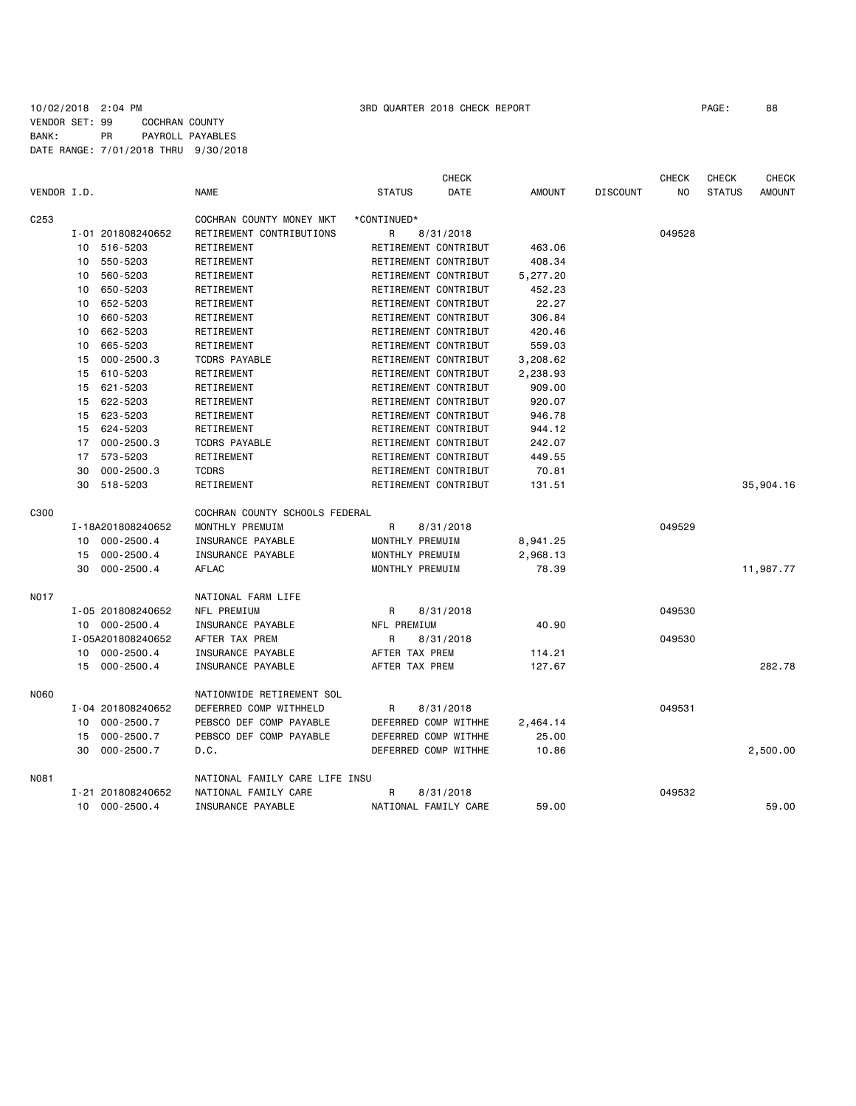## 10/02/2018 2:04 PM 3RD QUARTER 2018 CHECK REPORT PAGE: 88 VENDOR SET: 99 COCHRAN COUNTY BANK: PR PAYROLL PAYABLES DATE RANGE: 7/01/2018 THRU 9/30/2018

|             |    |                   |                                |                      | <b>CHECK</b> |               |                 | <b>CHECK</b>   | <b>CHECK</b>  | <b>CHECK</b>  |
|-------------|----|-------------------|--------------------------------|----------------------|--------------|---------------|-----------------|----------------|---------------|---------------|
| VENDOR I.D. |    |                   | <b>NAME</b>                    | <b>STATUS</b>        | <b>DATE</b>  | <b>AMOUNT</b> | <b>DISCOUNT</b> | N <sub>O</sub> | <b>STATUS</b> | <b>AMOUNT</b> |
| C253        |    |                   | COCHRAN COUNTY MONEY MKT       | *CONTINUED*          |              |               |                 |                |               |               |
|             |    | I-01 201808240652 | RETIREMENT CONTRIBUTIONS       | R                    | 8/31/2018    |               |                 | 049528         |               |               |
|             | 10 | 516-5203          | RETIREMENT                     | RETIREMENT CONTRIBUT |              | 463.06        |                 |                |               |               |
|             | 10 | 550-5203          | RETIREMENT                     | RETIREMENT CONTRIBUT |              | 408.34        |                 |                |               |               |
|             | 10 | 560-5203          | RETIREMENT                     | RETIREMENT CONTRIBUT |              | 5,277.20      |                 |                |               |               |
|             | 10 | 650-5203          | RETIREMENT                     | RETIREMENT CONTRIBUT |              | 452.23        |                 |                |               |               |
|             | 10 | 652-5203          | RETIREMENT                     | RETIREMENT CONTRIBUT |              | 22.27         |                 |                |               |               |
|             | 10 | 660-5203          | RETIREMENT                     | RETIREMENT CONTRIBUT |              | 306.84        |                 |                |               |               |
|             | 10 | 662-5203          | RETIREMENT                     | RETIREMENT CONTRIBUT |              | 420.46        |                 |                |               |               |
|             | 10 | 665-5203          | RETIREMENT                     | RETIREMENT CONTRIBUT |              | 559.03        |                 |                |               |               |
|             | 15 | $000 - 2500.3$    | <b>TCDRS PAYABLE</b>           | RETIREMENT CONTRIBUT |              | 3,208.62      |                 |                |               |               |
|             | 15 | 610-5203          | RETIREMENT                     | RETIREMENT CONTRIBUT |              | 2,238.93      |                 |                |               |               |
|             | 15 | 621-5203          | RETIREMENT                     | RETIREMENT CONTRIBUT |              | 909.00        |                 |                |               |               |
|             | 15 | 622-5203          | RETIREMENT                     | RETIREMENT CONTRIBUT |              | 920.07        |                 |                |               |               |
|             | 15 | 623-5203          | RETIREMENT                     | RETIREMENT CONTRIBUT |              | 946.78        |                 |                |               |               |
|             | 15 | 624-5203          | RETIREMENT                     | RETIREMENT CONTRIBUT |              | 944.12        |                 |                |               |               |
|             | 17 | $000 - 2500.3$    | <b>TCDRS PAYABLE</b>           | RETIREMENT CONTRIBUT |              | 242.07        |                 |                |               |               |
|             | 17 | 573-5203          | RETIREMENT                     | RETIREMENT CONTRIBUT |              | 449.55        |                 |                |               |               |
|             | 30 | $000 - 2500.3$    | <b>TCDRS</b>                   | RETIREMENT CONTRIBUT |              | 70.81         |                 |                |               |               |
|             | 30 | 518-5203          | RETIREMENT                     | RETIREMENT CONTRIBUT |              | 131.51        |                 |                |               | 35,904.16     |
| C300        |    |                   | COCHRAN COUNTY SCHOOLS FEDERAL |                      |              |               |                 |                |               |               |
|             |    | I-18A201808240652 | MONTHLY PREMUIM                | R                    | 8/31/2018    |               |                 | 049529         |               |               |
|             | 10 | $000 - 2500.4$    | INSURANCE PAYABLE              | MONTHLY PREMUIM      |              | 8,941.25      |                 |                |               |               |
|             | 15 | $000 - 2500.4$    | INSURANCE PAYABLE              | MONTHLY PREMUIM      |              | 2,968.13      |                 |                |               |               |
|             | 30 | $000 - 2500.4$    | AFLAC                          | MONTHLY PREMUIM      |              | 78.39         |                 |                |               | 11,987.77     |
| <b>NO17</b> |    |                   | NATIONAL FARM LIFE             |                      |              |               |                 |                |               |               |
|             |    | I-05 201808240652 | NFL PREMIUM                    | R                    | 8/31/2018    |               |                 | 049530         |               |               |
|             |    | 10 000-2500.4     | INSURANCE PAYABLE              | NFL PREMIUM          |              | 40.90         |                 |                |               |               |
|             |    | I-05A201808240652 | AFTER TAX PREM                 | R                    | 8/31/2018    |               |                 | 049530         |               |               |
|             | 10 | $000 - 2500.4$    | INSURANCE PAYABLE              | AFTER TAX PREM       |              | 114.21        |                 |                |               |               |
|             | 15 | $000 - 2500.4$    | INSURANCE PAYABLE              | AFTER TAX PREM       |              | 127.67        |                 |                |               | 282.78        |
| <b>N060</b> |    |                   | NATIONWIDE RETIREMENT SOL      |                      |              |               |                 |                |               |               |
|             |    | I-04 201808240652 | DEFERRED COMP WITHHELD         | R                    | 8/31/2018    |               |                 | 049531         |               |               |
|             | 10 | $000 - 2500.7$    | PEBSCO DEF COMP PAYABLE        | DEFERRED COMP WITHHE |              | 2,464.14      |                 |                |               |               |
|             | 15 | $000 - 2500.7$    | PEBSCO DEF COMP PAYABLE        | DEFERRED COMP WITHHE |              | 25.00         |                 |                |               |               |
|             | 30 | $000 - 2500.7$    | D.C.                           | DEFERRED COMP WITHHE |              | 10.86         |                 |                |               | 2,500.00      |
| N081        |    |                   | NATIONAL FAMILY CARE LIFE INSU |                      |              |               |                 |                |               |               |
|             |    | I-21 201808240652 | NATIONAL FAMILY CARE           | R                    | 8/31/2018    |               |                 | 049532         |               |               |
|             | 10 | $000 - 2500.4$    | INSURANCE PAYABLE              | NATIONAL FAMILY CARE |              | 59.00         |                 |                |               | 59.00         |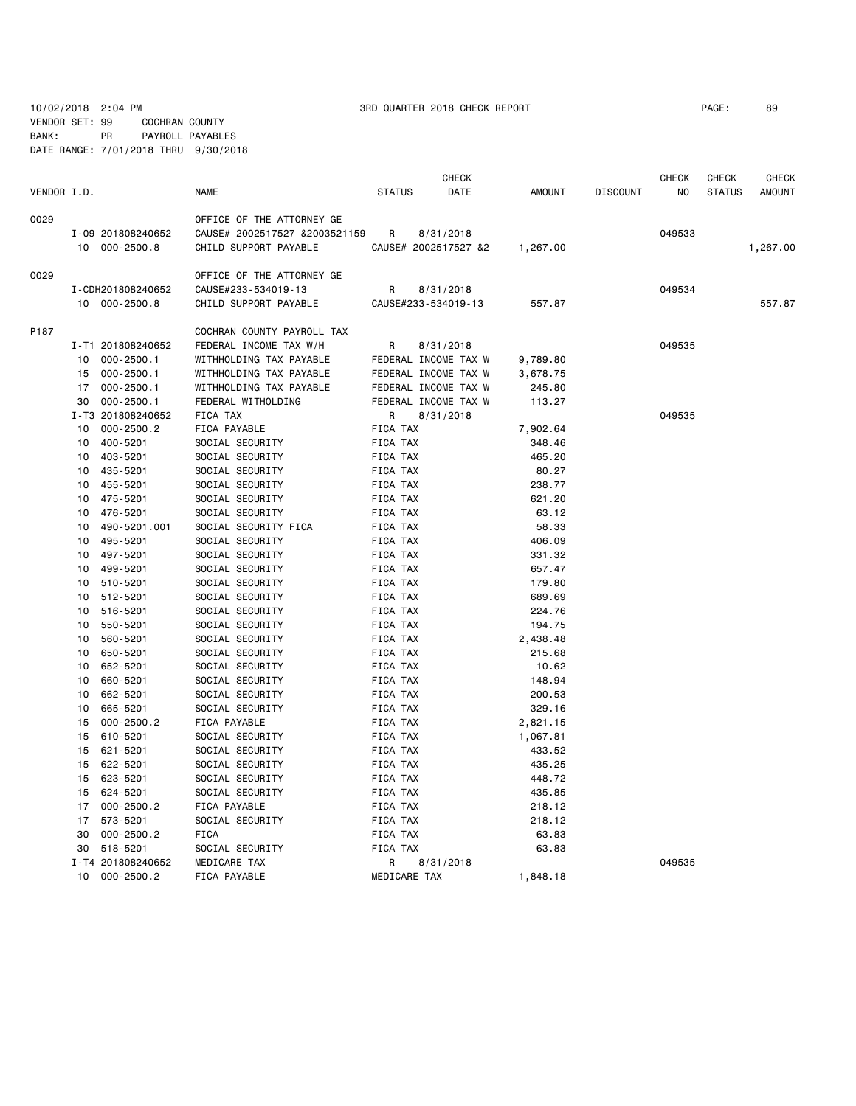10/02/2018 2:04 PM 3RD QUARTER 2018 CHECK REPORT PAGE: 89 VENDOR SET: 99 COCHRAN COUNTY

BANK: PR PAYROLL PAYABLES DATE RANGE: 7/01/2018 THRU 9/30/2018

| VENDOR I.D. |    |                                    | <b>NAME</b>                                                                         | <b>STATUS</b> | <b>CHECK</b><br>DATE              | <b>AMOUNT</b> | <b>DISCOUNT</b> | <b>CHECK</b><br>NO | <b>CHECK</b><br><b>STATUS</b> | <b>CHECK</b><br><b>AMOUNT</b> |
|-------------|----|------------------------------------|-------------------------------------------------------------------------------------|---------------|-----------------------------------|---------------|-----------------|--------------------|-------------------------------|-------------------------------|
| 0029        |    | I-09 201808240652<br>10 000-2500.8 | OFFICE OF THE ATTORNEY GE<br>CAUSE# 2002517527 &2003521159<br>CHILD SUPPORT PAYABLE | R             | 8/31/2018<br>CAUSE# 2002517527 &2 | 1,267.00      |                 | 049533             |                               | 1,267.00                      |
| 0029        |    |                                    | OFFICE OF THE ATTORNEY GE                                                           |               |                                   |               |                 |                    |                               |                               |
|             |    | I-CDH201808240652                  | CAUSE#233-534019-13                                                                 | R             | 8/31/2018                         |               |                 | 049534             |                               |                               |
|             |    | 10 000-2500.8                      | CHILD SUPPORT PAYABLE                                                               |               | CAUSE#233-534019-13               | 557.87        |                 |                    |                               | 557.87                        |
| P187        |    |                                    | COCHRAN COUNTY PAYROLL TAX                                                          |               |                                   |               |                 |                    |                               |                               |
|             |    | I-T1 201808240652                  | FEDERAL INCOME TAX W/H                                                              | R             | 8/31/2018                         |               |                 | 049535             |                               |                               |
|             | 10 | $000 - 2500.1$                     | WITHHOLDING TAX PAYABLE                                                             |               | FEDERAL INCOME TAX W              | 9,789.80      |                 |                    |                               |                               |
|             | 15 | $000 - 2500.1$                     | WITHHOLDING TAX PAYABLE                                                             |               | FEDERAL INCOME TAX W              | 3,678.75      |                 |                    |                               |                               |
|             | 17 | $000 - 2500.1$                     | WITHHOLDING TAX PAYABLE                                                             |               | FEDERAL INCOME TAX W              | 245.80        |                 |                    |                               |                               |
|             | 30 | $000 - 2500.1$                     | FEDERAL WITHOLDING                                                                  |               | FEDERAL INCOME TAX W              | 113.27        |                 |                    |                               |                               |
|             |    | I-T3 201808240652                  | FICA TAX                                                                            | R             | 8/31/2018                         |               |                 | 049535             |                               |                               |
|             | 10 | $000 - 2500.2$                     | FICA PAYABLE                                                                        | FICA TAX      |                                   | 7,902.64      |                 |                    |                               |                               |
|             | 10 | 400-5201                           | SOCIAL SECURITY                                                                     | FICA TAX      |                                   | 348.46        |                 |                    |                               |                               |
|             | 10 | 403-5201                           | SOCIAL SECURITY                                                                     | FICA TAX      |                                   | 465.20        |                 |                    |                               |                               |
|             | 10 | 435-5201                           | SOCIAL SECURITY                                                                     | FICA TAX      |                                   | 80.27         |                 |                    |                               |                               |
|             | 10 | 455-5201                           | SOCIAL SECURITY                                                                     | FICA TAX      |                                   | 238.77        |                 |                    |                               |                               |
|             | 10 | 475-5201                           | SOCIAL SECURITY                                                                     | FICA TAX      |                                   | 621.20        |                 |                    |                               |                               |
|             | 10 | 476-5201                           | SOCIAL SECURITY                                                                     | FICA TAX      |                                   | 63.12         |                 |                    |                               |                               |
|             | 10 | 490-5201.001                       | SOCIAL SECURITY FICA                                                                | FICA TAX      |                                   | 58.33         |                 |                    |                               |                               |
|             | 10 | 495-5201                           | SOCIAL SECURITY                                                                     | FICA TAX      |                                   | 406.09        |                 |                    |                               |                               |
|             | 10 | 497-5201                           | SOCIAL SECURITY                                                                     | FICA TAX      |                                   | 331.32        |                 |                    |                               |                               |
|             | 10 | 499-5201                           | SOCIAL SECURITY                                                                     | FICA TAX      |                                   | 657.47        |                 |                    |                               |                               |
|             | 10 | 510-5201                           | SOCIAL SECURITY                                                                     | FICA TAX      |                                   | 179.80        |                 |                    |                               |                               |
|             | 10 | 512-5201                           | SOCIAL SECURITY                                                                     | FICA TAX      |                                   | 689.69        |                 |                    |                               |                               |
|             | 10 | 516-5201                           | SOCIAL SECURITY                                                                     | FICA TAX      |                                   | 224.76        |                 |                    |                               |                               |
|             | 10 | 550-5201                           | SOCIAL SECURITY                                                                     | FICA TAX      |                                   | 194.75        |                 |                    |                               |                               |
|             | 10 | 560-5201                           | SOCIAL SECURITY                                                                     | FICA TAX      |                                   | 2,438.48      |                 |                    |                               |                               |
|             | 10 | 650-5201                           | SOCIAL SECURITY                                                                     | FICA TAX      |                                   | 215.68        |                 |                    |                               |                               |
|             | 10 | 652-5201                           | SOCIAL SECURITY                                                                     | FICA TAX      |                                   | 10.62         |                 |                    |                               |                               |
|             | 10 | 660-5201                           | SOCIAL SECURITY                                                                     | FICA TAX      |                                   | 148.94        |                 |                    |                               |                               |
|             | 10 | 662-5201                           | SOCIAL SECURITY                                                                     | FICA TAX      |                                   | 200.53        |                 |                    |                               |                               |
|             | 10 | 665-5201                           | SOCIAL SECURITY                                                                     | FICA TAX      |                                   | 329.16        |                 |                    |                               |                               |
|             | 15 | $000 - 2500.2$                     | FICA PAYABLE                                                                        | FICA TAX      |                                   | 2,821.15      |                 |                    |                               |                               |
|             | 15 | 610-5201                           | SOCIAL SECURITY                                                                     | FICA TAX      |                                   | 1,067.81      |                 |                    |                               |                               |
|             | 15 | 621-5201                           | SOCIAL SECURITY                                                                     | FICA TAX      |                                   | 433.52        |                 |                    |                               |                               |
|             | 15 | 622-5201                           | SOCIAL SECURITY                                                                     | FICA TAX      |                                   | 435.25        |                 |                    |                               |                               |
|             | 15 | 623-5201                           | SOCIAL SECURITY                                                                     | FICA TAX      |                                   | 448.72        |                 |                    |                               |                               |
|             | 15 | 624-5201                           | SOCIAL SECURITY                                                                     | FICA TAX      |                                   | 435.85        |                 |                    |                               |                               |
|             | 17 | $000 - 2500.2$                     | FICA PAYABLE                                                                        | FICA TAX      |                                   | 218.12        |                 |                    |                               |                               |
|             | 17 | 573-5201                           | SOCIAL SECURITY                                                                     | FICA TAX      |                                   | 218.12        |                 |                    |                               |                               |
|             | 30 | $000 - 2500.2$                     | <b>FICA</b>                                                                         | FICA TAX      |                                   | 63.83         |                 |                    |                               |                               |
|             | 30 | 518-5201                           | SOCIAL SECURITY                                                                     | FICA TAX      |                                   | 63.83         |                 |                    |                               |                               |
|             |    | I-T4 201808240652                  | MEDICARE TAX                                                                        | R             | 8/31/2018                         |               |                 | 049535             |                               |                               |
|             | 10 | $000 - 2500.2$                     | FICA PAYABLE                                                                        | MEDICARE TAX  |                                   | 1,848.18      |                 |                    |                               |                               |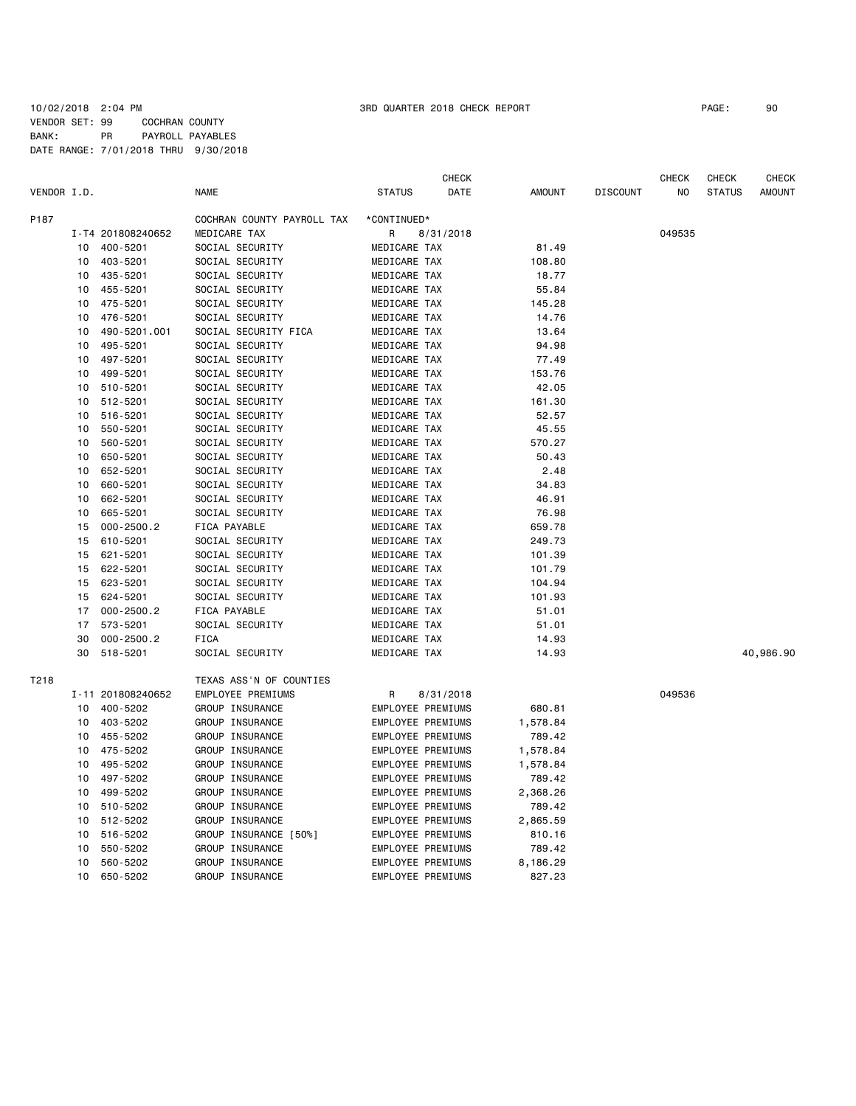## 10/02/2018 2:04 PM 3RD QUARTER 2018 CHECK REPORT PAGE: 90 VENDOR SET: 99 COCHRAN COUNTY BANK: PR PAYROLL PAYABLES DATE RANGE: 7/01/2018 THRU 9/30/2018

|             |    |                            |                                 |                              | CHECK     |                |                 | CHECK  | CHECK         | CHECK         |
|-------------|----|----------------------------|---------------------------------|------------------------------|-----------|----------------|-----------------|--------|---------------|---------------|
| VENDOR I.D. |    |                            | NAME                            | <b>STATUS</b>                | DATE      | <b>AMOUNT</b>  | <b>DISCOUNT</b> | NO.    | <b>STATUS</b> | <b>AMOUNT</b> |
| P187        |    |                            | COCHRAN COUNTY PAYROLL TAX      | *CONTINUED*                  |           |                |                 |        |               |               |
|             |    | I-T4 201808240652          | MEDICARE TAX                    | R                            | 8/31/2018 |                |                 | 049535 |               |               |
|             | 10 | 400-5201                   | SOCIAL SECURITY                 | MEDICARE TAX                 |           | 81.49          |                 |        |               |               |
|             | 10 | 403-5201                   | SOCIAL SECURITY                 | MEDICARE TAX                 |           | 108.80         |                 |        |               |               |
|             | 10 | 435-5201                   | SOCIAL SECURITY                 | MEDICARE TAX                 |           | 18.77          |                 |        |               |               |
|             | 10 | 455-5201                   | SOCIAL SECURITY                 | MEDICARE TAX                 |           | 55.84          |                 |        |               |               |
|             | 10 | 475-5201                   | SOCIAL SECURITY                 | MEDICARE TAX                 |           | 145.28         |                 |        |               |               |
|             | 10 | 476-5201                   | SOCIAL SECURITY                 | MEDICARE TAX                 |           | 14.76          |                 |        |               |               |
|             | 10 | 490-5201.001               | SOCIAL SECURITY FICA            | MEDICARE TAX                 |           | 13.64          |                 |        |               |               |
|             | 10 | 495-5201                   | SOCIAL SECURITY                 | MEDICARE TAX                 |           | 94.98          |                 |        |               |               |
|             | 10 | 497-5201                   | SOCIAL SECURITY                 | MEDICARE TAX                 |           | 77.49          |                 |        |               |               |
|             | 10 | 499-5201                   | SOCIAL SECURITY                 | MEDICARE TAX                 |           | 153.76         |                 |        |               |               |
|             | 10 | 510-5201                   | SOCIAL SECURITY                 | MEDICARE TAX                 |           | 42.05          |                 |        |               |               |
|             | 10 | 512-5201                   | SOCIAL SECURITY                 | MEDICARE TAX                 |           | 161.30         |                 |        |               |               |
|             | 10 | 516-5201                   | SOCIAL SECURITY                 | MEDICARE TAX                 |           | 52.57          |                 |        |               |               |
|             | 10 | 550-5201                   | SOCIAL SECURITY                 | MEDICARE TAX                 |           | 45.55          |                 |        |               |               |
|             | 10 | 560-5201                   | SOCIAL SECURITY                 | MEDICARE TAX                 |           | 570.27         |                 |        |               |               |
|             | 10 | 650-5201                   | SOCIAL SECURITY                 | MEDICARE TAX                 |           | 50.43          |                 |        |               |               |
|             | 10 | 652-5201                   | SOCIAL SECURITY                 | MEDICARE TAX                 |           | 2.48           |                 |        |               |               |
|             | 10 | 660-5201                   | SOCIAL SECURITY                 | MEDICARE TAX                 |           | 34.83          |                 |        |               |               |
|             | 10 | 662-5201                   | SOCIAL SECURITY                 | MEDICARE TAX                 |           | 46.91          |                 |        |               |               |
|             | 10 | 665-5201                   | SOCIAL SECURITY                 | MEDICARE TAX                 |           | 76.98          |                 |        |               |               |
|             | 15 | $000 - 2500.2$             | FICA PAYABLE                    | MEDICARE TAX                 |           | 659.78         |                 |        |               |               |
|             | 15 | 610-5201                   | SOCIAL SECURITY                 | MEDICARE TAX                 |           | 249.73         |                 |        |               |               |
|             | 15 | 621-5201                   | SOCIAL SECURITY                 | MEDICARE TAX                 |           | 101.39         |                 |        |               |               |
|             | 15 | 622-5201                   | SOCIAL SECURITY                 | MEDICARE TAX                 |           | 101.79         |                 |        |               |               |
|             | 15 | 623-5201                   | SOCIAL SECURITY                 | MEDICARE TAX                 |           | 104.94         |                 |        |               |               |
|             | 15 | 624-5201                   | SOCIAL SECURITY                 | MEDICARE TAX                 |           | 101.93         |                 |        |               |               |
|             | 17 |                            |                                 |                              |           |                |                 |        |               |               |
|             | 17 | $000 - 2500.2$<br>573-5201 | FICA PAYABLE<br>SOCIAL SECURITY | MEDICARE TAX<br>MEDICARE TAX |           | 51.01          |                 |        |               |               |
|             | 30 | $000 - 2500.2$             | <b>FICA</b>                     | MEDICARE TAX                 |           | 51.01<br>14.93 |                 |        |               |               |
|             | 30 |                            |                                 |                              |           |                |                 |        |               |               |
|             |    | 518-5201                   | SOCIAL SECURITY                 | MEDICARE TAX                 |           | 14.93          |                 |        |               | 40,986.90     |
| T218        |    |                            | TEXAS ASS'N OF COUNTIES         |                              |           |                |                 |        |               |               |
|             |    | I-11 201808240652          | EMPLOYEE PREMIUMS               | R                            | 8/31/2018 |                |                 | 049536 |               |               |
|             | 10 | 400-5202                   | GROUP INSURANCE                 | EMPLOYEE PREMIUMS            |           | 680.81         |                 |        |               |               |
|             | 10 | 403-5202                   | GROUP INSURANCE                 | EMPLOYEE PREMIUMS            |           | 1,578.84       |                 |        |               |               |
|             | 10 | 455-5202                   | GROUP INSURANCE                 | EMPLOYEE PREMIUMS            |           | 789.42         |                 |        |               |               |
|             | 10 | 475-5202                   | GROUP INSURANCE                 | EMPLOYEE PREMIUMS            |           | 1,578.84       |                 |        |               |               |
|             | 10 | 495-5202                   | GROUP INSURANCE                 | EMPLOYEE PREMIUMS            |           | 1,578.84       |                 |        |               |               |
|             | 10 | 497-5202                   | GROUP INSURANCE                 | EMPLOYEE PREMIUMS            |           | 789.42         |                 |        |               |               |
|             | 10 | 499-5202                   | GROUP INSURANCE                 | EMPLOYEE PREMIUMS            |           | 2,368.26       |                 |        |               |               |
|             | 10 | 510-5202                   | GROUP INSURANCE                 | EMPLOYEE PREMIUMS            |           | 789.42         |                 |        |               |               |
|             | 10 | 512-5202                   | GROUP INSURANCE                 | EMPLOYEE PREMIUMS            |           | 2,865.59       |                 |        |               |               |
|             | 10 | 516-5202                   | GROUP INSURANCE [50%]           | EMPLOYEE PREMIUMS            |           | 810.16         |                 |        |               |               |
|             | 10 | 550-5202                   | GROUP INSURANCE                 | EMPLOYEE PREMIUMS            |           | 789.42         |                 |        |               |               |
|             | 10 | 560-5202                   | GROUP INSURANCE                 | EMPLOYEE PREMIUMS            |           | 8,186.29       |                 |        |               |               |
|             | 10 | 650-5202                   | GROUP INSURANCE                 | EMPLOYEE PREMIUMS            |           | 827.23         |                 |        |               |               |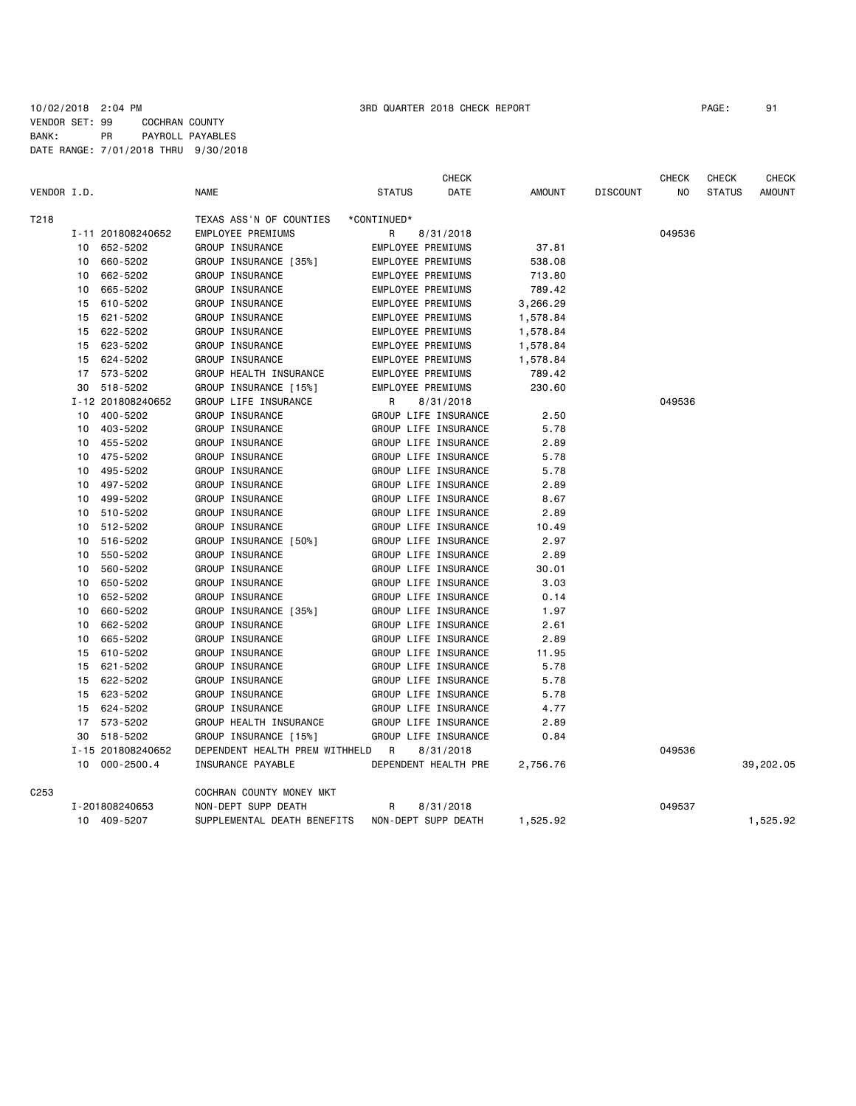|             |    |                   |                                |               | CHECK                |               |                 | CHECK  | <b>CHECK</b>  | <b>CHECK</b>  |
|-------------|----|-------------------|--------------------------------|---------------|----------------------|---------------|-----------------|--------|---------------|---------------|
| VENDOR I.D. |    |                   | <b>NAME</b>                    | <b>STATUS</b> | DATE                 | <b>AMOUNT</b> | <b>DISCOUNT</b> | NO.    | <b>STATUS</b> | <b>AMOUNT</b> |
| T218        |    |                   | TEXAS ASS'N OF COUNTIES        | *CONTINUED*   |                      |               |                 |        |               |               |
|             |    | I-11 201808240652 | EMPLOYEE PREMIUMS              | R             | 8/31/2018            |               |                 | 049536 |               |               |
|             | 10 | 652-5202          | GROUP INSURANCE                |               | EMPLOYEE PREMIUMS    | 37.81         |                 |        |               |               |
|             | 10 | 660-5202          | GROUP INSURANCE [35%]          |               | EMPLOYEE PREMIUMS    | 538.08        |                 |        |               |               |
|             | 10 | 662-5202          | GROUP INSURANCE                |               | EMPLOYEE PREMIUMS    | 713.80        |                 |        |               |               |
|             | 10 | 665-5202          | GROUP INSURANCE                |               | EMPLOYEE PREMIUMS    | 789.42        |                 |        |               |               |
|             | 15 | 610-5202          | GROUP INSURANCE                |               | EMPLOYEE PREMIUMS    | 3,266.29      |                 |        |               |               |
|             | 15 | 621-5202          | GROUP INSURANCE                |               | EMPLOYEE PREMIUMS    | 1,578.84      |                 |        |               |               |
|             | 15 | 622-5202          | GROUP INSURANCE                |               | EMPLOYEE PREMIUMS    | 1,578.84      |                 |        |               |               |
|             | 15 | 623-5202          | GROUP INSURANCE                |               | EMPLOYEE PREMIUMS    | 1,578.84      |                 |        |               |               |
|             | 15 | 624-5202          | GROUP INSURANCE                |               | EMPLOYEE PREMIUMS    | 1,578.84      |                 |        |               |               |
|             | 17 | 573-5202          | GROUP HEALTH INSURANCE         |               | EMPLOYEE PREMIUMS    | 789.42        |                 |        |               |               |
|             | 30 | 518-5202          | GROUP INSURANCE [15%]          |               | EMPLOYEE PREMIUMS    | 230.60        |                 |        |               |               |
|             |    | I-12 201808240652 | GROUP LIFE INSURANCE           | R             | 8/31/2018            |               |                 | 049536 |               |               |
|             | 10 | 400-5202          | GROUP INSURANCE                |               | GROUP LIFE INSURANCE | 2.50          |                 |        |               |               |
|             | 10 | 403-5202          | GROUP INSURANCE                |               | GROUP LIFE INSURANCE | 5.78          |                 |        |               |               |
|             | 10 | 455-5202          | GROUP INSURANCE                |               | GROUP LIFE INSURANCE | 2.89          |                 |        |               |               |
|             | 10 | 475-5202          | GROUP INSURANCE                |               | GROUP LIFE INSURANCE | 5.78          |                 |        |               |               |
|             | 10 | 495-5202          | GROUP INSURANCE                |               | GROUP LIFE INSURANCE | 5.78          |                 |        |               |               |
|             | 10 | 497-5202          | GROUP INSURANCE                |               | GROUP LIFE INSURANCE | 2.89          |                 |        |               |               |
|             | 10 | 499-5202          | GROUP INSURANCE                |               | GROUP LIFE INSURANCE | 8.67          |                 |        |               |               |
|             | 10 | 510-5202          | GROUP INSURANCE                |               | GROUP LIFE INSURANCE | 2.89          |                 |        |               |               |
|             | 10 | 512-5202          | GROUP INSURANCE                |               | GROUP LIFE INSURANCE | 10.49         |                 |        |               |               |
|             | 10 | 516-5202          | GROUP INSURANCE [50%]          |               | GROUP LIFE INSURANCE | 2.97          |                 |        |               |               |
|             | 10 | 550-5202          | GROUP INSURANCE                |               | GROUP LIFE INSURANCE | 2.89          |                 |        |               |               |
|             | 10 | 560-5202          | GROUP INSURANCE                |               | GROUP LIFE INSURANCE | 30.01         |                 |        |               |               |
|             | 10 | 650-5202          | GROUP INSURANCE                |               | GROUP LIFE INSURANCE | 3.03          |                 |        |               |               |
|             | 10 | 652-5202          | GROUP INSURANCE                |               | GROUP LIFE INSURANCE | 0.14          |                 |        |               |               |
|             | 10 | 660-5202          | GROUP INSURANCE [35%]          |               | GROUP LIFE INSURANCE | 1.97          |                 |        |               |               |
|             | 10 | 662-5202          | GROUP INSURANCE                |               | GROUP LIFE INSURANCE | 2.61          |                 |        |               |               |
|             | 10 | 665-5202          | GROUP INSURANCE                |               | GROUP LIFE INSURANCE | 2.89          |                 |        |               |               |
|             | 15 | 610-5202          | GROUP INSURANCE                |               | GROUP LIFE INSURANCE | 11.95         |                 |        |               |               |
|             | 15 | 621-5202          | GROUP INSURANCE                |               | GROUP LIFE INSURANCE | 5.78          |                 |        |               |               |
|             | 15 | 622-5202          | GROUP INSURANCE                |               | GROUP LIFE INSURANCE | 5.78          |                 |        |               |               |
|             | 15 | 623-5202          | GROUP INSURANCE                |               | GROUP LIFE INSURANCE | 5.78          |                 |        |               |               |
|             | 15 | 624-5202          | GROUP INSURANCE                |               | GROUP LIFE INSURANCE | 4.77          |                 |        |               |               |
|             | 17 | 573-5202          | GROUP HEALTH INSURANCE         |               | GROUP LIFE INSURANCE | 2.89          |                 |        |               |               |
|             | 30 | 518-5202          | GROUP INSURANCE [15%]          |               | GROUP LIFE INSURANCE | 0.84          |                 |        |               |               |
|             |    | I-15 201808240652 | DEPENDENT HEALTH PREM WITHHELD | <b>R</b>      | 8/31/2018            |               |                 | 049536 |               |               |
|             |    | 10 000-2500.4     | INSURANCE PAYABLE              |               | DEPENDENT HEALTH PRE | 2,756.76      |                 |        |               | 39,202.05     |
| C253        |    |                   | COCHRAN COUNTY MONEY MKT       |               |                      |               |                 |        |               |               |
|             |    | I-201808240653    | NON-DEPT SUPP DEATH            | R             | 8/31/2018            |               |                 | 049537 |               |               |
|             |    | 10 409-5207       | SUPPLEMENTAL DEATH BENEFITS    |               | NON-DEPT SUPP DEATH  | 1,525.92      |                 |        |               | 1,525.92      |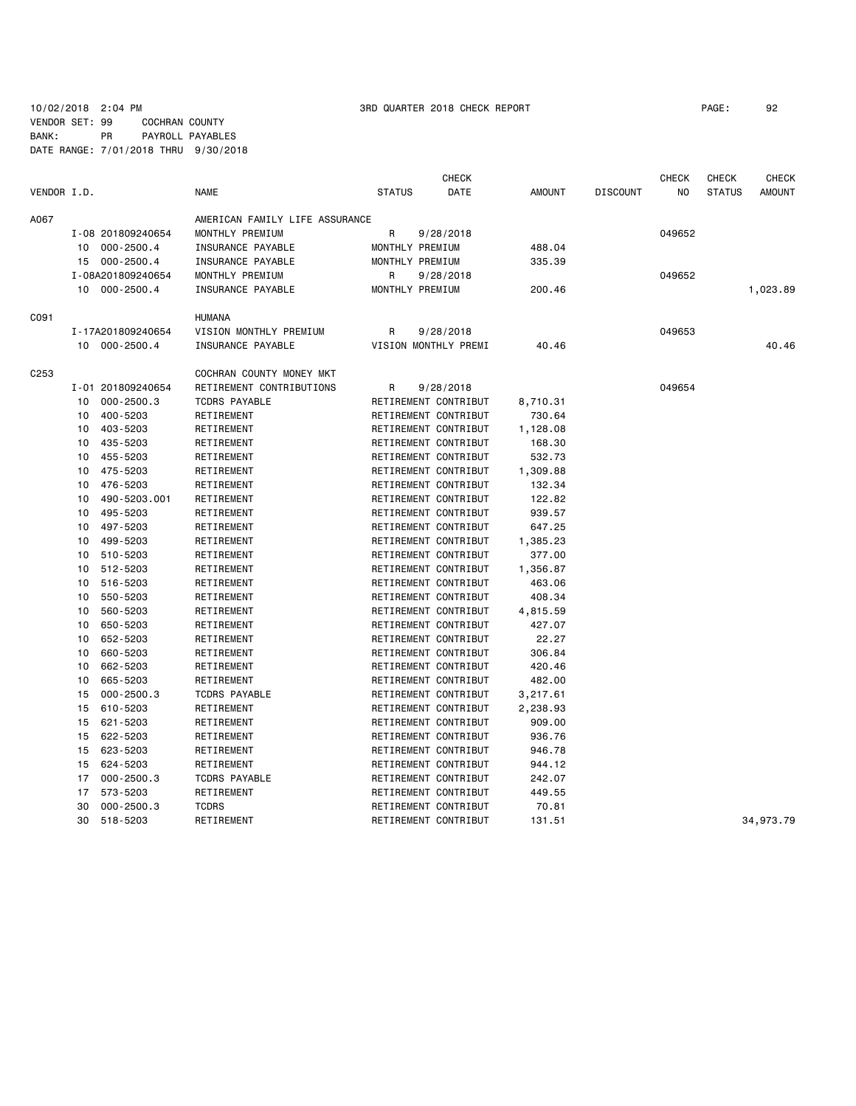## 10/02/2018 2:04 PM 3RD QUARTER 2018 CHECK REPORT PAGE: 92 VENDOR SET: 99 COCHRAN COUNTY BANK: PR PAYROLL PAYABLES DATE RANGE: 7/01/2018 THRU 9/30/2018

| VENDOR I.D.<br><b>NAME</b><br><b>STATUS</b><br>DATE<br><b>AMOUNT</b><br><b>DISCOUNT</b><br>NO<br><b>STATUS</b><br><b>AMOUNT</b><br>A067<br>AMERICAN FAMILY LIFE ASSURANCE<br>MONTHLY PREMIUM<br>R<br>I-08 201809240654<br>9/28/2018<br>049652<br>$000 - 2500.4$<br>INSURANCE PAYABLE<br>MONTHLY PREMIUM<br>488.04<br>10<br>$000 - 2500.4$<br>INSURANCE PAYABLE<br>MONTHLY PREMIUM<br>335.39<br>15<br>I-08A201809240654<br>MONTHLY PREMIUM<br>R<br>9/28/2018<br>049652<br>10 000-2500.4<br>MONTHLY PREMIUM<br>200.46<br>1,023.89<br>INSURANCE PAYABLE<br><b>HUMANA</b><br>C091<br>VISION MONTHLY PREMIUM<br>049653<br>I-17A201809240654<br>R<br>9/28/2018<br>10 000-2500.4<br>INSURANCE PAYABLE<br>VISION MONTHLY PREMI<br>40.46<br>40.46<br>C <sub>253</sub><br>COCHRAN COUNTY MONEY MKT<br>RETIREMENT CONTRIBUTIONS<br>I-01 201809240654<br>R<br>9/28/2018<br>049654<br>$000 - 2500.3$<br><b>TCDRS PAYABLE</b><br>RETIREMENT CONTRIBUT<br>8,710.31<br>10<br>400-5203<br>10<br>RETIREMENT<br>RETIREMENT CONTRIBUT<br>730.64<br>403-5203<br>RETIREMENT<br>RETIREMENT CONTRIBUT<br>10<br>1,128.08<br>RETIREMENT CONTRIBUT<br>435-5203<br>RETIREMENT<br>10<br>168.30<br>RETIREMENT CONTRIBUT<br>455-5203<br>RETIREMENT<br>532.73<br>10<br>10<br>475-5203<br>RETIREMENT<br>RETIREMENT CONTRIBUT<br>1,309.88<br>RETIREMENT CONTRIBUT<br>476-5203<br>RETIREMENT<br>132.34<br>10<br>490-5203.001<br>RETIREMENT<br>RETIREMENT CONTRIBUT<br>122.82<br>10<br>495-5203<br>RETIREMENT<br>RETIREMENT CONTRIBUT<br>939.57<br>10<br>497-5203<br>RETIREMENT<br>RETIREMENT CONTRIBUT<br>647.25<br>10<br>499-5203<br>RETIREMENT CONTRIBUT<br>10<br>RETIREMENT<br>1,385.23<br>510-5203<br>10<br>RETIREMENT<br>RETIREMENT CONTRIBUT<br>377.00<br>512-5203<br>RETIREMENT CONTRIBUT<br>10<br>RETIREMENT<br>1,356.87<br>516-5203<br>RETIREMENT<br>RETIREMENT CONTRIBUT<br>10<br>463.06<br>550-5203<br>RETIREMENT CONTRIBUT<br>408.34<br>10<br>RETIREMENT<br>560-5203<br>RETIREMENT<br>RETIREMENT CONTRIBUT<br>4,815.59<br>10<br>650-5203<br>RETIREMENT CONTRIBUT<br>427.07<br>RETIREMENT<br>10<br>RETIREMENT CONTRIBUT<br>652-5203<br>RETIREMENT<br>22.27<br>10<br>660-5203<br>RETIREMENT CONTRIBUT<br>10<br>RETIREMENT<br>306.84<br>662-5203<br>RETIREMENT<br>RETIREMENT CONTRIBUT<br>420.46<br>10<br>665-5203<br>RETIREMENT CONTRIBUT<br>482.00<br>10<br>RETIREMENT<br>$000 - 2500.3$<br><b>TCDRS PAYABLE</b><br>RETIREMENT CONTRIBUT<br>3,217.61<br>15<br>610-5203<br>RETIREMENT CONTRIBUT<br>15<br>RETIREMENT<br>2,238.93<br>15<br>621-5203<br>RETIREMENT<br>RETIREMENT CONTRIBUT<br>909.00<br>622-5203<br>RETIREMENT CONTRIBUT<br>936.76<br>15<br>RETIREMENT<br>623-5203<br>RETIREMENT CONTRIBUT<br>946.78<br>15<br>RETIREMENT<br>624-5203<br>RETIREMENT<br>RETIREMENT CONTRIBUT<br>944.12<br>15<br>$000 - 2500.3$<br><b>TCDRS PAYABLE</b><br>RETIREMENT CONTRIBUT<br>242.07<br>17<br>RETIREMENT CONTRIBUT<br>573-5203<br>RETIREMENT<br>449.55<br>17<br>$000 - 2500.3$<br><b>TCDRS</b><br>RETIREMENT CONTRIBUT<br>30<br>70.81<br>30<br>518-5203<br>RETIREMENT<br>RETIREMENT CONTRIBUT<br>131.51<br>34,973.79 |  |  | <b>CHECK</b> |  | <b>CHECK</b> | <b>CHECK</b> | <b>CHECK</b> |
|--------------------------------------------------------------------------------------------------------------------------------------------------------------------------------------------------------------------------------------------------------------------------------------------------------------------------------------------------------------------------------------------------------------------------------------------------------------------------------------------------------------------------------------------------------------------------------------------------------------------------------------------------------------------------------------------------------------------------------------------------------------------------------------------------------------------------------------------------------------------------------------------------------------------------------------------------------------------------------------------------------------------------------------------------------------------------------------------------------------------------------------------------------------------------------------------------------------------------------------------------------------------------------------------------------------------------------------------------------------------------------------------------------------------------------------------------------------------------------------------------------------------------------------------------------------------------------------------------------------------------------------------------------------------------------------------------------------------------------------------------------------------------------------------------------------------------------------------------------------------------------------------------------------------------------------------------------------------------------------------------------------------------------------------------------------------------------------------------------------------------------------------------------------------------------------------------------------------------------------------------------------------------------------------------------------------------------------------------------------------------------------------------------------------------------------------------------------------------------------------------------------------------------------------------------------------------------------------------------------------------------------------------------------------------------------------------------------------------------------------------------------------------------------------------------------------------------------------------------------------------------------------------------------------------------------------------------------------------------------------------------------------------------------------------------------------------------------------|--|--|--------------|--|--------------|--------------|--------------|
|                                                                                                                                                                                                                                                                                                                                                                                                                                                                                                                                                                                                                                                                                                                                                                                                                                                                                                                                                                                                                                                                                                                                                                                                                                                                                                                                                                                                                                                                                                                                                                                                                                                                                                                                                                                                                                                                                                                                                                                                                                                                                                                                                                                                                                                                                                                                                                                                                                                                                                                                                                                                                                                                                                                                                                                                                                                                                                                                                                                                                                                                                            |  |  |              |  |              |              |              |
|                                                                                                                                                                                                                                                                                                                                                                                                                                                                                                                                                                                                                                                                                                                                                                                                                                                                                                                                                                                                                                                                                                                                                                                                                                                                                                                                                                                                                                                                                                                                                                                                                                                                                                                                                                                                                                                                                                                                                                                                                                                                                                                                                                                                                                                                                                                                                                                                                                                                                                                                                                                                                                                                                                                                                                                                                                                                                                                                                                                                                                                                                            |  |  |              |  |              |              |              |
|                                                                                                                                                                                                                                                                                                                                                                                                                                                                                                                                                                                                                                                                                                                                                                                                                                                                                                                                                                                                                                                                                                                                                                                                                                                                                                                                                                                                                                                                                                                                                                                                                                                                                                                                                                                                                                                                                                                                                                                                                                                                                                                                                                                                                                                                                                                                                                                                                                                                                                                                                                                                                                                                                                                                                                                                                                                                                                                                                                                                                                                                                            |  |  |              |  |              |              |              |
|                                                                                                                                                                                                                                                                                                                                                                                                                                                                                                                                                                                                                                                                                                                                                                                                                                                                                                                                                                                                                                                                                                                                                                                                                                                                                                                                                                                                                                                                                                                                                                                                                                                                                                                                                                                                                                                                                                                                                                                                                                                                                                                                                                                                                                                                                                                                                                                                                                                                                                                                                                                                                                                                                                                                                                                                                                                                                                                                                                                                                                                                                            |  |  |              |  |              |              |              |
|                                                                                                                                                                                                                                                                                                                                                                                                                                                                                                                                                                                                                                                                                                                                                                                                                                                                                                                                                                                                                                                                                                                                                                                                                                                                                                                                                                                                                                                                                                                                                                                                                                                                                                                                                                                                                                                                                                                                                                                                                                                                                                                                                                                                                                                                                                                                                                                                                                                                                                                                                                                                                                                                                                                                                                                                                                                                                                                                                                                                                                                                                            |  |  |              |  |              |              |              |
|                                                                                                                                                                                                                                                                                                                                                                                                                                                                                                                                                                                                                                                                                                                                                                                                                                                                                                                                                                                                                                                                                                                                                                                                                                                                                                                                                                                                                                                                                                                                                                                                                                                                                                                                                                                                                                                                                                                                                                                                                                                                                                                                                                                                                                                                                                                                                                                                                                                                                                                                                                                                                                                                                                                                                                                                                                                                                                                                                                                                                                                                                            |  |  |              |  |              |              |              |
|                                                                                                                                                                                                                                                                                                                                                                                                                                                                                                                                                                                                                                                                                                                                                                                                                                                                                                                                                                                                                                                                                                                                                                                                                                                                                                                                                                                                                                                                                                                                                                                                                                                                                                                                                                                                                                                                                                                                                                                                                                                                                                                                                                                                                                                                                                                                                                                                                                                                                                                                                                                                                                                                                                                                                                                                                                                                                                                                                                                                                                                                                            |  |  |              |  |              |              |              |
|                                                                                                                                                                                                                                                                                                                                                                                                                                                                                                                                                                                                                                                                                                                                                                                                                                                                                                                                                                                                                                                                                                                                                                                                                                                                                                                                                                                                                                                                                                                                                                                                                                                                                                                                                                                                                                                                                                                                                                                                                                                                                                                                                                                                                                                                                                                                                                                                                                                                                                                                                                                                                                                                                                                                                                                                                                                                                                                                                                                                                                                                                            |  |  |              |  |              |              |              |
|                                                                                                                                                                                                                                                                                                                                                                                                                                                                                                                                                                                                                                                                                                                                                                                                                                                                                                                                                                                                                                                                                                                                                                                                                                                                                                                                                                                                                                                                                                                                                                                                                                                                                                                                                                                                                                                                                                                                                                                                                                                                                                                                                                                                                                                                                                                                                                                                                                                                                                                                                                                                                                                                                                                                                                                                                                                                                                                                                                                                                                                                                            |  |  |              |  |              |              |              |
|                                                                                                                                                                                                                                                                                                                                                                                                                                                                                                                                                                                                                                                                                                                                                                                                                                                                                                                                                                                                                                                                                                                                                                                                                                                                                                                                                                                                                                                                                                                                                                                                                                                                                                                                                                                                                                                                                                                                                                                                                                                                                                                                                                                                                                                                                                                                                                                                                                                                                                                                                                                                                                                                                                                                                                                                                                                                                                                                                                                                                                                                                            |  |  |              |  |              |              |              |
|                                                                                                                                                                                                                                                                                                                                                                                                                                                                                                                                                                                                                                                                                                                                                                                                                                                                                                                                                                                                                                                                                                                                                                                                                                                                                                                                                                                                                                                                                                                                                                                                                                                                                                                                                                                                                                                                                                                                                                                                                                                                                                                                                                                                                                                                                                                                                                                                                                                                                                                                                                                                                                                                                                                                                                                                                                                                                                                                                                                                                                                                                            |  |  |              |  |              |              |              |
|                                                                                                                                                                                                                                                                                                                                                                                                                                                                                                                                                                                                                                                                                                                                                                                                                                                                                                                                                                                                                                                                                                                                                                                                                                                                                                                                                                                                                                                                                                                                                                                                                                                                                                                                                                                                                                                                                                                                                                                                                                                                                                                                                                                                                                                                                                                                                                                                                                                                                                                                                                                                                                                                                                                                                                                                                                                                                                                                                                                                                                                                                            |  |  |              |  |              |              |              |
|                                                                                                                                                                                                                                                                                                                                                                                                                                                                                                                                                                                                                                                                                                                                                                                                                                                                                                                                                                                                                                                                                                                                                                                                                                                                                                                                                                                                                                                                                                                                                                                                                                                                                                                                                                                                                                                                                                                                                                                                                                                                                                                                                                                                                                                                                                                                                                                                                                                                                                                                                                                                                                                                                                                                                                                                                                                                                                                                                                                                                                                                                            |  |  |              |  |              |              |              |
|                                                                                                                                                                                                                                                                                                                                                                                                                                                                                                                                                                                                                                                                                                                                                                                                                                                                                                                                                                                                                                                                                                                                                                                                                                                                                                                                                                                                                                                                                                                                                                                                                                                                                                                                                                                                                                                                                                                                                                                                                                                                                                                                                                                                                                                                                                                                                                                                                                                                                                                                                                                                                                                                                                                                                                                                                                                                                                                                                                                                                                                                                            |  |  |              |  |              |              |              |
|                                                                                                                                                                                                                                                                                                                                                                                                                                                                                                                                                                                                                                                                                                                                                                                                                                                                                                                                                                                                                                                                                                                                                                                                                                                                                                                                                                                                                                                                                                                                                                                                                                                                                                                                                                                                                                                                                                                                                                                                                                                                                                                                                                                                                                                                                                                                                                                                                                                                                                                                                                                                                                                                                                                                                                                                                                                                                                                                                                                                                                                                                            |  |  |              |  |              |              |              |
|                                                                                                                                                                                                                                                                                                                                                                                                                                                                                                                                                                                                                                                                                                                                                                                                                                                                                                                                                                                                                                                                                                                                                                                                                                                                                                                                                                                                                                                                                                                                                                                                                                                                                                                                                                                                                                                                                                                                                                                                                                                                                                                                                                                                                                                                                                                                                                                                                                                                                                                                                                                                                                                                                                                                                                                                                                                                                                                                                                                                                                                                                            |  |  |              |  |              |              |              |
|                                                                                                                                                                                                                                                                                                                                                                                                                                                                                                                                                                                                                                                                                                                                                                                                                                                                                                                                                                                                                                                                                                                                                                                                                                                                                                                                                                                                                                                                                                                                                                                                                                                                                                                                                                                                                                                                                                                                                                                                                                                                                                                                                                                                                                                                                                                                                                                                                                                                                                                                                                                                                                                                                                                                                                                                                                                                                                                                                                                                                                                                                            |  |  |              |  |              |              |              |
|                                                                                                                                                                                                                                                                                                                                                                                                                                                                                                                                                                                                                                                                                                                                                                                                                                                                                                                                                                                                                                                                                                                                                                                                                                                                                                                                                                                                                                                                                                                                                                                                                                                                                                                                                                                                                                                                                                                                                                                                                                                                                                                                                                                                                                                                                                                                                                                                                                                                                                                                                                                                                                                                                                                                                                                                                                                                                                                                                                                                                                                                                            |  |  |              |  |              |              |              |
|                                                                                                                                                                                                                                                                                                                                                                                                                                                                                                                                                                                                                                                                                                                                                                                                                                                                                                                                                                                                                                                                                                                                                                                                                                                                                                                                                                                                                                                                                                                                                                                                                                                                                                                                                                                                                                                                                                                                                                                                                                                                                                                                                                                                                                                                                                                                                                                                                                                                                                                                                                                                                                                                                                                                                                                                                                                                                                                                                                                                                                                                                            |  |  |              |  |              |              |              |
|                                                                                                                                                                                                                                                                                                                                                                                                                                                                                                                                                                                                                                                                                                                                                                                                                                                                                                                                                                                                                                                                                                                                                                                                                                                                                                                                                                                                                                                                                                                                                                                                                                                                                                                                                                                                                                                                                                                                                                                                                                                                                                                                                                                                                                                                                                                                                                                                                                                                                                                                                                                                                                                                                                                                                                                                                                                                                                                                                                                                                                                                                            |  |  |              |  |              |              |              |
|                                                                                                                                                                                                                                                                                                                                                                                                                                                                                                                                                                                                                                                                                                                                                                                                                                                                                                                                                                                                                                                                                                                                                                                                                                                                                                                                                                                                                                                                                                                                                                                                                                                                                                                                                                                                                                                                                                                                                                                                                                                                                                                                                                                                                                                                                                                                                                                                                                                                                                                                                                                                                                                                                                                                                                                                                                                                                                                                                                                                                                                                                            |  |  |              |  |              |              |              |
|                                                                                                                                                                                                                                                                                                                                                                                                                                                                                                                                                                                                                                                                                                                                                                                                                                                                                                                                                                                                                                                                                                                                                                                                                                                                                                                                                                                                                                                                                                                                                                                                                                                                                                                                                                                                                                                                                                                                                                                                                                                                                                                                                                                                                                                                                                                                                                                                                                                                                                                                                                                                                                                                                                                                                                                                                                                                                                                                                                                                                                                                                            |  |  |              |  |              |              |              |
|                                                                                                                                                                                                                                                                                                                                                                                                                                                                                                                                                                                                                                                                                                                                                                                                                                                                                                                                                                                                                                                                                                                                                                                                                                                                                                                                                                                                                                                                                                                                                                                                                                                                                                                                                                                                                                                                                                                                                                                                                                                                                                                                                                                                                                                                                                                                                                                                                                                                                                                                                                                                                                                                                                                                                                                                                                                                                                                                                                                                                                                                                            |  |  |              |  |              |              |              |
|                                                                                                                                                                                                                                                                                                                                                                                                                                                                                                                                                                                                                                                                                                                                                                                                                                                                                                                                                                                                                                                                                                                                                                                                                                                                                                                                                                                                                                                                                                                                                                                                                                                                                                                                                                                                                                                                                                                                                                                                                                                                                                                                                                                                                                                                                                                                                                                                                                                                                                                                                                                                                                                                                                                                                                                                                                                                                                                                                                                                                                                                                            |  |  |              |  |              |              |              |
|                                                                                                                                                                                                                                                                                                                                                                                                                                                                                                                                                                                                                                                                                                                                                                                                                                                                                                                                                                                                                                                                                                                                                                                                                                                                                                                                                                                                                                                                                                                                                                                                                                                                                                                                                                                                                                                                                                                                                                                                                                                                                                                                                                                                                                                                                                                                                                                                                                                                                                                                                                                                                                                                                                                                                                                                                                                                                                                                                                                                                                                                                            |  |  |              |  |              |              |              |
|                                                                                                                                                                                                                                                                                                                                                                                                                                                                                                                                                                                                                                                                                                                                                                                                                                                                                                                                                                                                                                                                                                                                                                                                                                                                                                                                                                                                                                                                                                                                                                                                                                                                                                                                                                                                                                                                                                                                                                                                                                                                                                                                                                                                                                                                                                                                                                                                                                                                                                                                                                                                                                                                                                                                                                                                                                                                                                                                                                                                                                                                                            |  |  |              |  |              |              |              |
|                                                                                                                                                                                                                                                                                                                                                                                                                                                                                                                                                                                                                                                                                                                                                                                                                                                                                                                                                                                                                                                                                                                                                                                                                                                                                                                                                                                                                                                                                                                                                                                                                                                                                                                                                                                                                                                                                                                                                                                                                                                                                                                                                                                                                                                                                                                                                                                                                                                                                                                                                                                                                                                                                                                                                                                                                                                                                                                                                                                                                                                                                            |  |  |              |  |              |              |              |
|                                                                                                                                                                                                                                                                                                                                                                                                                                                                                                                                                                                                                                                                                                                                                                                                                                                                                                                                                                                                                                                                                                                                                                                                                                                                                                                                                                                                                                                                                                                                                                                                                                                                                                                                                                                                                                                                                                                                                                                                                                                                                                                                                                                                                                                                                                                                                                                                                                                                                                                                                                                                                                                                                                                                                                                                                                                                                                                                                                                                                                                                                            |  |  |              |  |              |              |              |
|                                                                                                                                                                                                                                                                                                                                                                                                                                                                                                                                                                                                                                                                                                                                                                                                                                                                                                                                                                                                                                                                                                                                                                                                                                                                                                                                                                                                                                                                                                                                                                                                                                                                                                                                                                                                                                                                                                                                                                                                                                                                                                                                                                                                                                                                                                                                                                                                                                                                                                                                                                                                                                                                                                                                                                                                                                                                                                                                                                                                                                                                                            |  |  |              |  |              |              |              |
|                                                                                                                                                                                                                                                                                                                                                                                                                                                                                                                                                                                                                                                                                                                                                                                                                                                                                                                                                                                                                                                                                                                                                                                                                                                                                                                                                                                                                                                                                                                                                                                                                                                                                                                                                                                                                                                                                                                                                                                                                                                                                                                                                                                                                                                                                                                                                                                                                                                                                                                                                                                                                                                                                                                                                                                                                                                                                                                                                                                                                                                                                            |  |  |              |  |              |              |              |
|                                                                                                                                                                                                                                                                                                                                                                                                                                                                                                                                                                                                                                                                                                                                                                                                                                                                                                                                                                                                                                                                                                                                                                                                                                                                                                                                                                                                                                                                                                                                                                                                                                                                                                                                                                                                                                                                                                                                                                                                                                                                                                                                                                                                                                                                                                                                                                                                                                                                                                                                                                                                                                                                                                                                                                                                                                                                                                                                                                                                                                                                                            |  |  |              |  |              |              |              |
|                                                                                                                                                                                                                                                                                                                                                                                                                                                                                                                                                                                                                                                                                                                                                                                                                                                                                                                                                                                                                                                                                                                                                                                                                                                                                                                                                                                                                                                                                                                                                                                                                                                                                                                                                                                                                                                                                                                                                                                                                                                                                                                                                                                                                                                                                                                                                                                                                                                                                                                                                                                                                                                                                                                                                                                                                                                                                                                                                                                                                                                                                            |  |  |              |  |              |              |              |
|                                                                                                                                                                                                                                                                                                                                                                                                                                                                                                                                                                                                                                                                                                                                                                                                                                                                                                                                                                                                                                                                                                                                                                                                                                                                                                                                                                                                                                                                                                                                                                                                                                                                                                                                                                                                                                                                                                                                                                                                                                                                                                                                                                                                                                                                                                                                                                                                                                                                                                                                                                                                                                                                                                                                                                                                                                                                                                                                                                                                                                                                                            |  |  |              |  |              |              |              |
|                                                                                                                                                                                                                                                                                                                                                                                                                                                                                                                                                                                                                                                                                                                                                                                                                                                                                                                                                                                                                                                                                                                                                                                                                                                                                                                                                                                                                                                                                                                                                                                                                                                                                                                                                                                                                                                                                                                                                                                                                                                                                                                                                                                                                                                                                                                                                                                                                                                                                                                                                                                                                                                                                                                                                                                                                                                                                                                                                                                                                                                                                            |  |  |              |  |              |              |              |
|                                                                                                                                                                                                                                                                                                                                                                                                                                                                                                                                                                                                                                                                                                                                                                                                                                                                                                                                                                                                                                                                                                                                                                                                                                                                                                                                                                                                                                                                                                                                                                                                                                                                                                                                                                                                                                                                                                                                                                                                                                                                                                                                                                                                                                                                                                                                                                                                                                                                                                                                                                                                                                                                                                                                                                                                                                                                                                                                                                                                                                                                                            |  |  |              |  |              |              |              |
|                                                                                                                                                                                                                                                                                                                                                                                                                                                                                                                                                                                                                                                                                                                                                                                                                                                                                                                                                                                                                                                                                                                                                                                                                                                                                                                                                                                                                                                                                                                                                                                                                                                                                                                                                                                                                                                                                                                                                                                                                                                                                                                                                                                                                                                                                                                                                                                                                                                                                                                                                                                                                                                                                                                                                                                                                                                                                                                                                                                                                                                                                            |  |  |              |  |              |              |              |
|                                                                                                                                                                                                                                                                                                                                                                                                                                                                                                                                                                                                                                                                                                                                                                                                                                                                                                                                                                                                                                                                                                                                                                                                                                                                                                                                                                                                                                                                                                                                                                                                                                                                                                                                                                                                                                                                                                                                                                                                                                                                                                                                                                                                                                                                                                                                                                                                                                                                                                                                                                                                                                                                                                                                                                                                                                                                                                                                                                                                                                                                                            |  |  |              |  |              |              |              |
|                                                                                                                                                                                                                                                                                                                                                                                                                                                                                                                                                                                                                                                                                                                                                                                                                                                                                                                                                                                                                                                                                                                                                                                                                                                                                                                                                                                                                                                                                                                                                                                                                                                                                                                                                                                                                                                                                                                                                                                                                                                                                                                                                                                                                                                                                                                                                                                                                                                                                                                                                                                                                                                                                                                                                                                                                                                                                                                                                                                                                                                                                            |  |  |              |  |              |              |              |
|                                                                                                                                                                                                                                                                                                                                                                                                                                                                                                                                                                                                                                                                                                                                                                                                                                                                                                                                                                                                                                                                                                                                                                                                                                                                                                                                                                                                                                                                                                                                                                                                                                                                                                                                                                                                                                                                                                                                                                                                                                                                                                                                                                                                                                                                                                                                                                                                                                                                                                                                                                                                                                                                                                                                                                                                                                                                                                                                                                                                                                                                                            |  |  |              |  |              |              |              |
|                                                                                                                                                                                                                                                                                                                                                                                                                                                                                                                                                                                                                                                                                                                                                                                                                                                                                                                                                                                                                                                                                                                                                                                                                                                                                                                                                                                                                                                                                                                                                                                                                                                                                                                                                                                                                                                                                                                                                                                                                                                                                                                                                                                                                                                                                                                                                                                                                                                                                                                                                                                                                                                                                                                                                                                                                                                                                                                                                                                                                                                                                            |  |  |              |  |              |              |              |
|                                                                                                                                                                                                                                                                                                                                                                                                                                                                                                                                                                                                                                                                                                                                                                                                                                                                                                                                                                                                                                                                                                                                                                                                                                                                                                                                                                                                                                                                                                                                                                                                                                                                                                                                                                                                                                                                                                                                                                                                                                                                                                                                                                                                                                                                                                                                                                                                                                                                                                                                                                                                                                                                                                                                                                                                                                                                                                                                                                                                                                                                                            |  |  |              |  |              |              |              |
|                                                                                                                                                                                                                                                                                                                                                                                                                                                                                                                                                                                                                                                                                                                                                                                                                                                                                                                                                                                                                                                                                                                                                                                                                                                                                                                                                                                                                                                                                                                                                                                                                                                                                                                                                                                                                                                                                                                                                                                                                                                                                                                                                                                                                                                                                                                                                                                                                                                                                                                                                                                                                                                                                                                                                                                                                                                                                                                                                                                                                                                                                            |  |  |              |  |              |              |              |
|                                                                                                                                                                                                                                                                                                                                                                                                                                                                                                                                                                                                                                                                                                                                                                                                                                                                                                                                                                                                                                                                                                                                                                                                                                                                                                                                                                                                                                                                                                                                                                                                                                                                                                                                                                                                                                                                                                                                                                                                                                                                                                                                                                                                                                                                                                                                                                                                                                                                                                                                                                                                                                                                                                                                                                                                                                                                                                                                                                                                                                                                                            |  |  |              |  |              |              |              |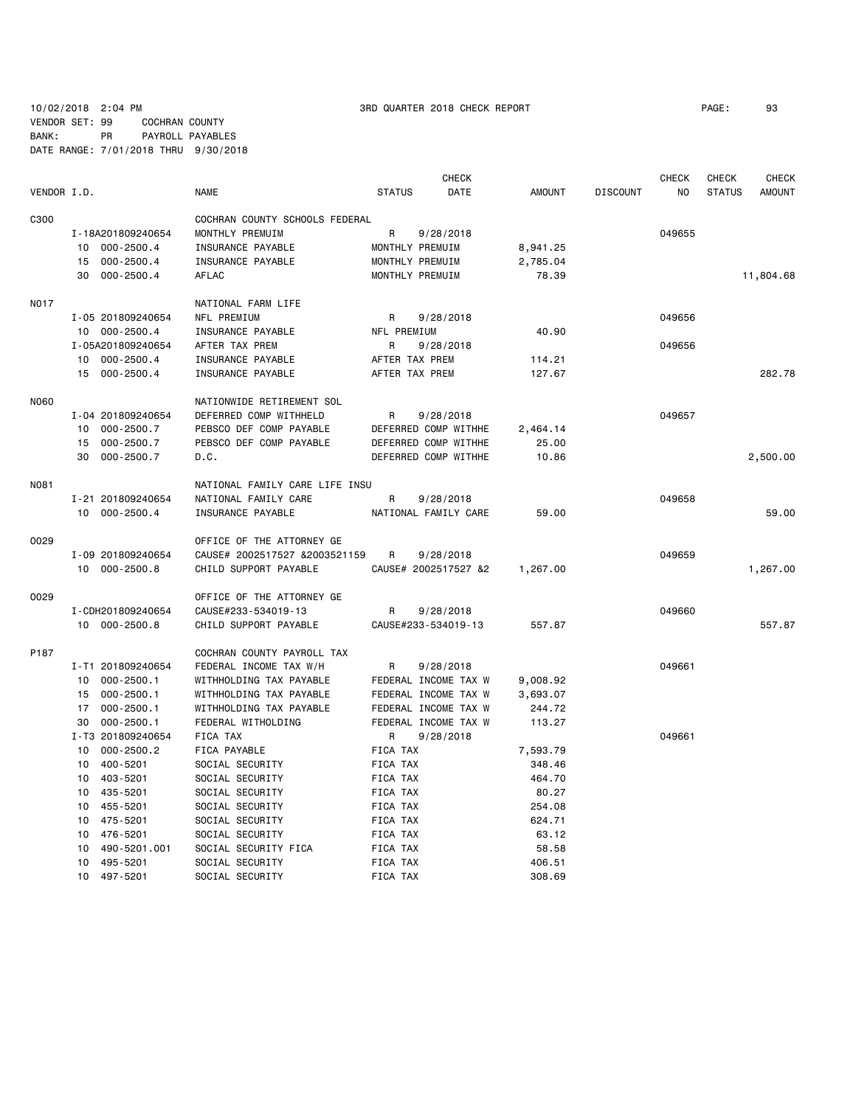10/02/2018 2:04 PM 3RD QUARTER 2018 CHECK REPORT PAGE: 93 VENDOR SET: 99 COCHRAN COUNTY BANK: PR PAYROLL PAYABLES DATE RANGE: 7/01/2018 THRU 9/30/2018

|             |                                   |                                        |                                  | <b>CHECK</b>         |                  |                 | <b>CHECK</b> | CHECK         | <b>CHECK</b>  |
|-------------|-----------------------------------|----------------------------------------|----------------------------------|----------------------|------------------|-----------------|--------------|---------------|---------------|
| VENDOR I.D. |                                   | <b>NAME</b>                            | <b>STATUS</b>                    | DATE                 | <b>AMOUNT</b>    | <b>DISCOUNT</b> | NO.          | <b>STATUS</b> | <b>AMOUNT</b> |
| C300        |                                   | COCHRAN COUNTY SCHOOLS FEDERAL         |                                  |                      |                  |                 |              |               |               |
|             | I-18A201809240654                 | MONTHLY PREMUIM                        | R                                | 9/28/2018            |                  |                 | 049655       |               |               |
|             | $000 - 2500.4$<br>10              | INSURANCE PAYABLE                      | MONTHLY PREMUIM                  |                      | 8,941.25         |                 |              |               |               |
|             | $000 - 2500.4$<br>15              | INSURANCE PAYABLE                      | MONTHLY PREMUIM                  |                      | 2,785.04         |                 |              |               |               |
|             | 30<br>$000 - 2500.4$              | <b>AFLAC</b>                           | MONTHLY PREMUIM                  |                      | 78.39            |                 |              |               | 11,804.68     |
| <b>N017</b> |                                   | NATIONAL FARM LIFE                     |                                  |                      |                  |                 |              |               |               |
|             | I-05 201809240654                 | NFL PREMIUM                            | R                                | 9/28/2018            |                  |                 | 049656       |               |               |
|             | 10 000-2500.4                     | INSURANCE PAYABLE                      | NFL PREMIUM                      |                      | 40.90            |                 |              |               |               |
|             | I-05A201809240654                 | AFTER TAX PREM                         | R                                |                      |                  |                 | 049656       |               |               |
|             |                                   |                                        |                                  | 9/28/2018            |                  |                 |              |               |               |
|             | 000-2500.4<br>10<br>15 000-2500.4 | INSURANCE PAYABLE<br>INSURANCE PAYABLE | AFTER TAX PREM<br>AFTER TAX PREM |                      | 114.21<br>127.67 |                 |              |               | 282.78        |
|             |                                   |                                        |                                  |                      |                  |                 |              |               |               |
| <b>N060</b> |                                   | NATIONWIDE RETIREMENT SOL              |                                  |                      |                  |                 |              |               |               |
|             | I-04 201809240654                 | DEFERRED COMP WITHHELD                 | R                                | 9/28/2018            |                  |                 | 049657       |               |               |
|             | 10<br>$000 - 2500.7$              | PEBSCO DEF COMP PAYABLE                |                                  | DEFERRED COMP WITHHE | 2,464.14         |                 |              |               |               |
|             | 15<br>$000 - 2500.7$              | PEBSCO DEF COMP PAYABLE                |                                  | DEFERRED COMP WITHHE | 25.00            |                 |              |               |               |
|             | $000 - 2500.7$<br>30              | D.C.                                   |                                  | DEFERRED COMP WITHHE | 10.86            |                 |              |               | 2,500.00      |
| <b>N081</b> |                                   | NATIONAL FAMILY CARE LIFE INSU         |                                  |                      |                  |                 |              |               |               |
|             | I-21 201809240654                 | NATIONAL FAMILY CARE                   | R                                | 9/28/2018            |                  |                 | 049658       |               |               |
|             | 10 000-2500.4                     | INSURANCE PAYABLE                      |                                  | NATIONAL FAMILY CARE | 59.00            |                 |              |               | 59.00         |
| 0029        |                                   | OFFICE OF THE ATTORNEY GE              |                                  |                      |                  |                 |              |               |               |
|             | I-09 201809240654                 | CAUSE# 2002517527 &2003521159          | R                                | 9/28/2018            |                  |                 | 049659       |               |               |
|             | 10 000-2500.8                     | CHILD SUPPORT PAYABLE                  |                                  | CAUSE# 2002517527 &2 | 1,267.00         |                 |              |               | 1,267.00      |
|             |                                   |                                        |                                  |                      |                  |                 |              |               |               |
| 0029        |                                   | OFFICE OF THE ATTORNEY GE              |                                  |                      |                  |                 |              |               |               |
|             | I-CDH201809240654                 | CAUSE#233-534019-13                    | R                                | 9/28/2018            |                  |                 | 049660       |               |               |
|             | 10 000-2500.8                     | CHILD SUPPORT PAYABLE                  |                                  | CAUSE#233-534019-13  | 557.87           |                 |              |               | 557.87        |
| P187        |                                   | COCHRAN COUNTY PAYROLL TAX             |                                  |                      |                  |                 |              |               |               |
|             | I-T1 201809240654                 | FEDERAL INCOME TAX W/H                 | R                                | 9/28/2018            |                  |                 | 049661       |               |               |
|             | $000 - 2500.1$<br>10              | WITHHOLDING TAX PAYABLE                |                                  | FEDERAL INCOME TAX W | 9,008.92         |                 |              |               |               |
|             | $000 - 2500.1$<br>15              | WITHHOLDING TAX PAYABLE                |                                  | FEDERAL INCOME TAX W | 3,693.07         |                 |              |               |               |
|             | $000 - 2500.1$<br>17              | WITHHOLDING TAX PAYABLE                |                                  | FEDERAL INCOME TAX W | 244.72           |                 |              |               |               |
|             | $000 - 2500.1$<br>30              | FEDERAL WITHOLDING                     |                                  | FEDERAL INCOME TAX W | 113.27           |                 |              |               |               |
|             | I-T3 201809240654                 | FICA TAX                               | R                                | 9/28/2018            |                  |                 | 049661       |               |               |
|             | 10<br>$000 - 2500.2$              | FICA PAYABLE                           | FICA TAX                         |                      | 7,593.79         |                 |              |               |               |
|             | 400-5201<br>10                    | SOCIAL SECURITY                        | FICA TAX                         |                      | 348.46           |                 |              |               |               |
|             | 403-5201<br>10                    | SOCIAL SECURITY                        | FICA TAX                         |                      | 464.70           |                 |              |               |               |
|             | 435-5201<br>10                    | SOCIAL SECURITY                        | FICA TAX                         |                      | 80.27            |                 |              |               |               |
|             | 10<br>455-5201                    | SOCIAL SECURITY                        | FICA TAX                         |                      | 254.08           |                 |              |               |               |
|             | 10<br>475-5201                    | SOCIAL SECURITY                        | FICA TAX                         |                      | 624.71           |                 |              |               |               |
|             | 10<br>476-5201                    | SOCIAL SECURITY                        | FICA TAX                         |                      | 63.12            |                 |              |               |               |
|             | 10<br>490-5201.001                | SOCIAL SECURITY FICA                   | FICA TAX                         |                      | 58.58            |                 |              |               |               |
|             | 495-5201<br>10                    | SOCIAL SECURITY                        | FICA TAX                         |                      | 406.51           |                 |              |               |               |
|             | 10<br>497-5201                    | SOCIAL SECURITY                        | <b>FICA TAX</b>                  |                      | 308.69           |                 |              |               |               |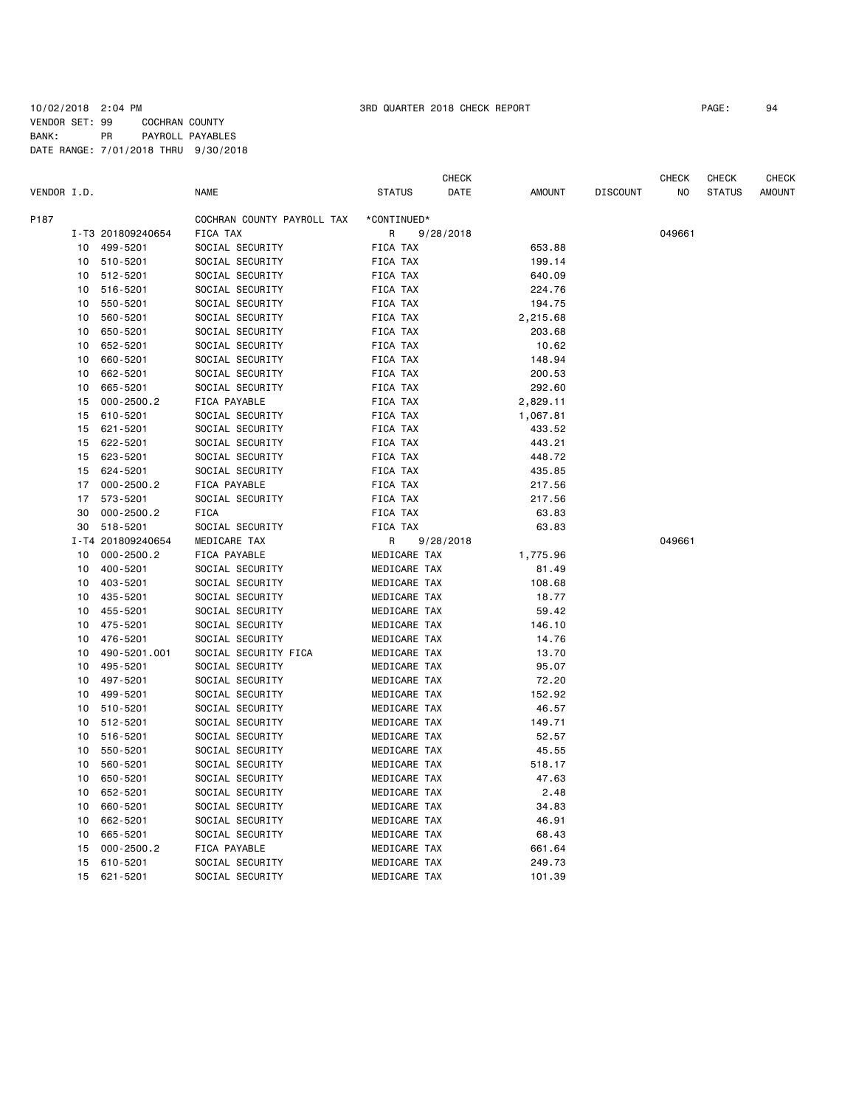## 10/02/2018 2:04 PM 3RD QUARTER 2018 CHECK REPORT PAGE: 94 VENDOR SET: 99 COCHRAN COUNTY BANK: PR PAYROLL PAYABLES DATE RANGE: 7/01/2018 THRU 9/30/2018

|             |          |                   |                            |               | CHECK     |               |                 | CHECK  | CHECK         | CHECK         |
|-------------|----------|-------------------|----------------------------|---------------|-----------|---------------|-----------------|--------|---------------|---------------|
| VENDOR I.D. |          |                   | <b>NAME</b>                | <b>STATUS</b> | DATE      | <b>AMOUNT</b> | <b>DISCOUNT</b> | NO.    | <b>STATUS</b> | <b>AMOUNT</b> |
| P187        |          |                   | COCHRAN COUNTY PAYROLL TAX | *CONTINUED*   |           |               |                 |        |               |               |
|             |          | I-T3 201809240654 | FICA TAX                   | R             | 9/28/2018 |               |                 | 049661 |               |               |
|             | 10       | 499-5201          | SOCIAL SECURITY            | FICA TAX      |           | 653.88        |                 |        |               |               |
|             | 10       | 510-5201          | SOCIAL SECURITY            | FICA TAX      |           | 199.14        |                 |        |               |               |
|             | 10       | 512-5201          | SOCIAL SECURITY            | FICA TAX      |           | 640.09        |                 |        |               |               |
|             | 10       | 516-5201          | SOCIAL SECURITY            | FICA TAX      |           | 224.76        |                 |        |               |               |
|             | 10       | 550-5201          | SOCIAL SECURITY            | FICA TAX      |           | 194.75        |                 |        |               |               |
|             | 10       | 560-5201          | SOCIAL SECURITY            | FICA TAX      |           | 2,215.68      |                 |        |               |               |
|             | 10       | 650-5201          | SOCIAL SECURITY            | FICA TAX      |           | 203.68        |                 |        |               |               |
|             | 10       | 652-5201          | SOCIAL SECURITY            | FICA TAX      |           | 10.62         |                 |        |               |               |
|             | 10       | 660-5201          | SOCIAL SECURITY            | FICA TAX      |           | 148.94        |                 |        |               |               |
|             | 10       | 662-5201          | SOCIAL SECURITY            | FICA TAX      |           | 200.53        |                 |        |               |               |
|             |          | 665-5201          | SOCIAL SECURITY            | FICA TAX      |           | 292.60        |                 |        |               |               |
|             | 10<br>15 | $000 - 2500.2$    | FICA PAYABLE               | FICA TAX      |           |               |                 |        |               |               |
|             |          |                   |                            |               |           | 2,829.11      |                 |        |               |               |
|             | 15       | 610-5201          | SOCIAL SECURITY            | FICA TAX      |           | 1,067.81      |                 |        |               |               |
|             | 15       | 621-5201          | SOCIAL SECURITY            | FICA TAX      |           | 433.52        |                 |        |               |               |
|             | 15       | 622-5201          | SOCIAL SECURITY            | FICA TAX      |           | 443.21        |                 |        |               |               |
|             | 15       | 623-5201          | SOCIAL SECURITY            | FICA TAX      |           | 448.72        |                 |        |               |               |
|             | 15       | 624-5201          | SOCIAL SECURITY            | FICA TAX      |           | 435.85        |                 |        |               |               |
|             | 17       | $000 - 2500.2$    | FICA PAYABLE               | FICA TAX      |           | 217.56        |                 |        |               |               |
|             | 17       | 573-5201          | SOCIAL SECURITY            | FICA TAX      |           | 217.56        |                 |        |               |               |
|             | 30       | $000 - 2500.2$    | <b>FICA</b>                | FICA TAX      |           | 63.83         |                 |        |               |               |
|             | 30       | 518-5201          | SOCIAL SECURITY            | FICA TAX      |           | 63.83         |                 |        |               |               |
|             |          | I-T4 201809240654 | MEDICARE TAX               | R             | 9/28/2018 |               |                 | 049661 |               |               |
|             | 10       | $000 - 2500.2$    | FICA PAYABLE               | MEDICARE TAX  |           | 1,775.96      |                 |        |               |               |
|             | 10       | 400-5201          | SOCIAL SECURITY            | MEDICARE TAX  |           | 81.49         |                 |        |               |               |
|             | 10       | 403-5201          | SOCIAL SECURITY            | MEDICARE TAX  |           | 108.68        |                 |        |               |               |
|             | 10       | 435-5201          | SOCIAL SECURITY            | MEDICARE TAX  |           | 18.77         |                 |        |               |               |
|             | 10       | 455-5201          | SOCIAL SECURITY            | MEDICARE TAX  |           | 59.42         |                 |        |               |               |
|             | 10       | 475-5201          | SOCIAL SECURITY            | MEDICARE TAX  |           | 146.10        |                 |        |               |               |
|             | 10       | 476-5201          | SOCIAL SECURITY            | MEDICARE TAX  |           | 14.76         |                 |        |               |               |
|             | 10       | 490-5201.001      | SOCIAL SECURITY FICA       | MEDICARE TAX  |           | 13.70         |                 |        |               |               |
|             | 10       | 495-5201          | SOCIAL SECURITY            | MEDICARE TAX  |           | 95.07         |                 |        |               |               |
|             | 10       | 497-5201          | SOCIAL SECURITY            | MEDICARE TAX  |           | 72.20         |                 |        |               |               |
|             | 10       | 499-5201          | SOCIAL SECURITY            | MEDICARE TAX  |           | 152.92        |                 |        |               |               |
|             | 10       | 510-5201          | SOCIAL SECURITY            | MEDICARE TAX  |           | 46.57         |                 |        |               |               |
|             | 10       | 512-5201          | SOCIAL SECURITY            | MEDICARE TAX  |           | 149.71        |                 |        |               |               |
|             | 10       | 516-5201          | SOCIAL SECURITY            | MEDICARE TAX  |           | 52.57         |                 |        |               |               |
|             | 10       | 550-5201          | SOCIAL SECURITY            | MEDICARE TAX  |           | 45.55         |                 |        |               |               |
|             | 10       | 560-5201          | SOCIAL SECURITY            | MEDICARE TAX  |           | 518.17        |                 |        |               |               |
|             | 10       | 650-5201          | SOCIAL SECURITY            | MEDICARE TAX  |           | 47.63         |                 |        |               |               |
|             | 10       | 652-5201          | SOCIAL SECURITY            | MEDICARE TAX  |           | 2.48          |                 |        |               |               |
|             | 10       | 660-5201          | SOCIAL SECURITY            | MEDICARE TAX  |           | 34.83         |                 |        |               |               |
|             | 10       | 662-5201          | SOCIAL SECURITY            | MEDICARE TAX  |           | 46.91         |                 |        |               |               |
|             | 10       | 665-5201          | SOCIAL SECURITY            | MEDICARE TAX  |           | 68.43         |                 |        |               |               |
|             | 15       | $000 - 2500.2$    | FICA PAYABLE               | MEDICARE TAX  |           | 661.64        |                 |        |               |               |
|             | 15       | 610-5201          | SOCIAL SECURITY            | MEDICARE TAX  |           | 249.73        |                 |        |               |               |
|             | 15       | 621-5201          | SOCIAL SECURITY            | MEDICARE TAX  |           | 101.39        |                 |        |               |               |
|             |          |                   |                            |               |           |               |                 |        |               |               |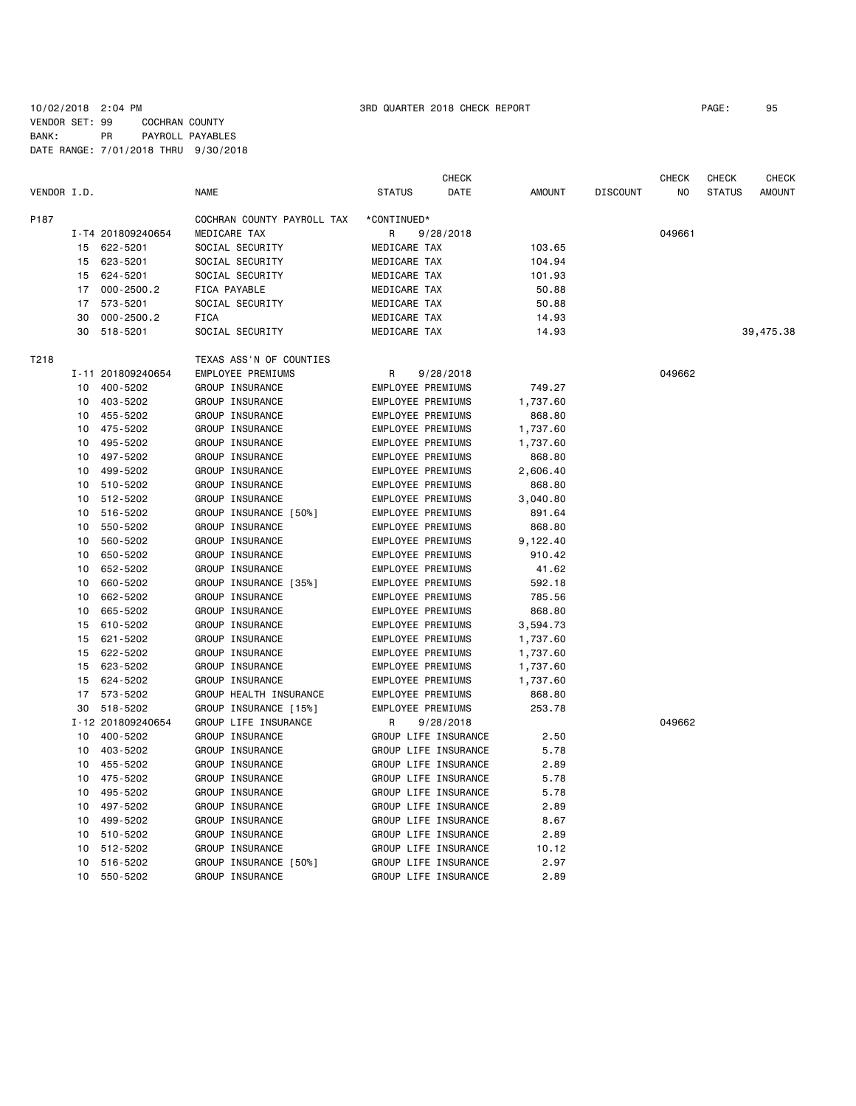|             |    |                   |                            |                          | <b>CHECK</b>         |               |                 | <b>CHECK</b> | CHECK         | CHECK     |
|-------------|----|-------------------|----------------------------|--------------------------|----------------------|---------------|-----------------|--------------|---------------|-----------|
| VENDOR I.D. |    |                   | <b>NAME</b>                | <b>STATUS</b>            | DATE                 | <b>AMOUNT</b> | <b>DISCOUNT</b> | NO           | <b>STATUS</b> | AMOUNT    |
| P187        |    |                   | COCHRAN COUNTY PAYROLL TAX | *CONTINUED*              |                      |               |                 |              |               |           |
|             |    | I-T4 201809240654 | MEDICARE TAX               | R                        | 9/28/2018            |               |                 | 049661       |               |           |
|             | 15 | 622-5201          | SOCIAL SECURITY            | MEDICARE TAX             |                      | 103.65        |                 |              |               |           |
|             | 15 | 623-5201          | SOCIAL SECURITY            | MEDICARE TAX             |                      | 104.94        |                 |              |               |           |
|             | 15 | 624-5201          | SOCIAL SECURITY            | MEDICARE TAX             |                      | 101.93        |                 |              |               |           |
|             | 17 | $000 - 2500.2$    | FICA PAYABLE               | MEDICARE TAX             |                      | 50.88         |                 |              |               |           |
|             | 17 | 573-5201          | SOCIAL SECURITY            | MEDICARE TAX             |                      | 50.88         |                 |              |               |           |
|             | 30 | $000 - 2500.2$    | FICA                       | MEDICARE TAX             |                      | 14.93         |                 |              |               |           |
|             | 30 | 518-5201          | SOCIAL SECURITY            | MEDICARE TAX             |                      | 14.93         |                 |              |               | 39,475.38 |
| T218        |    |                   | TEXAS ASS'N OF COUNTIES    |                          |                      |               |                 |              |               |           |
|             |    | I-11 201809240654 | EMPLOYEE PREMIUMS          | R                        | 9/28/2018            |               |                 | 049662       |               |           |
|             | 10 | 400-5202          | GROUP INSURANCE            | EMPLOYEE PREMIUMS        |                      | 749.27        |                 |              |               |           |
|             | 10 | 403-5202          | GROUP INSURANCE            | EMPLOYEE PREMIUMS        |                      | 1,737.60      |                 |              |               |           |
|             | 10 | 455-5202          | GROUP INSURANCE            | EMPLOYEE PREMIUMS        |                      | 868.80        |                 |              |               |           |
|             | 10 | 475-5202          | GROUP INSURANCE            | EMPLOYEE PREMIUMS        |                      | 1,737.60      |                 |              |               |           |
|             | 10 | 495-5202          | GROUP INSURANCE            | EMPLOYEE PREMIUMS        |                      | 1,737.60      |                 |              |               |           |
|             | 10 | 497-5202          | GROUP INSURANCE            | <b>EMPLOYEE PREMIUMS</b> |                      | 868.80        |                 |              |               |           |
|             | 10 | 499-5202          | GROUP INSURANCE            | EMPLOYEE PREMIUMS        |                      | 2,606.40      |                 |              |               |           |
|             | 10 | 510-5202          | GROUP INSURANCE            | EMPLOYEE PREMIUMS        |                      | 868.80        |                 |              |               |           |
|             | 10 | 512-5202          | GROUP INSURANCE            | EMPLOYEE PREMIUMS        |                      | 3,040.80      |                 |              |               |           |
|             | 10 | 516-5202          | GROUP INSURANCE [50%]      | EMPLOYEE PREMIUMS        |                      | 891.64        |                 |              |               |           |
|             | 10 | 550-5202          | GROUP INSURANCE            | EMPLOYEE PREMIUMS        |                      | 868.80        |                 |              |               |           |
|             | 10 | 560-5202          | GROUP INSURANCE            | EMPLOYEE PREMIUMS        |                      | 9,122.40      |                 |              |               |           |
|             | 10 | 650-5202          | GROUP INSURANCE            | EMPLOYEE PREMIUMS        |                      | 910.42        |                 |              |               |           |
|             | 10 | 652-5202          | GROUP INSURANCE            | EMPLOYEE PREMIUMS        |                      | 41.62         |                 |              |               |           |
|             | 10 | 660-5202          | GROUP INSURANCE [35%]      | EMPLOYEE PREMIUMS        |                      | 592.18        |                 |              |               |           |
|             | 10 | 662-5202          | GROUP INSURANCE            | EMPLOYEE PREMIUMS        |                      | 785.56        |                 |              |               |           |
|             | 10 | 665-5202          | GROUP INSURANCE            | <b>EMPLOYEE PREMIUMS</b> |                      | 868.80        |                 |              |               |           |
|             | 15 | 610-5202          | GROUP INSURANCE            | EMPLOYEE PREMIUMS        |                      | 3,594.73      |                 |              |               |           |
|             | 15 | 621-5202          | GROUP INSURANCE            | EMPLOYEE PREMIUMS        |                      | 1,737.60      |                 |              |               |           |
|             | 15 | 622-5202          | GROUP INSURANCE            | EMPLOYEE PREMIUMS        |                      | 1,737.60      |                 |              |               |           |
|             | 15 | 623-5202          | GROUP INSURANCE            | EMPLOYEE PREMIUMS        |                      | 1,737.60      |                 |              |               |           |
|             | 15 | 624-5202          | GROUP INSURANCE            | EMPLOYEE PREMIUMS        |                      | 1,737.60      |                 |              |               |           |
|             | 17 | 573-5202          | GROUP HEALTH INSURANCE     | <b>EMPLOYEE PREMIUMS</b> |                      | 868.80        |                 |              |               |           |
|             | 30 | 518-5202          | GROUP INSURANCE [15%]      | <b>EMPLOYEE PREMIUMS</b> |                      | 253.78        |                 |              |               |           |
|             |    | I-12 201809240654 | GROUP LIFE INSURANCE       | R                        | 9/28/2018            |               |                 | 049662       |               |           |
|             | 10 | 400-5202          | GROUP INSURANCE            |                          | GROUP LIFE INSURANCE | 2.50          |                 |              |               |           |
|             | 10 | 403-5202          | GROUP INSURANCE            |                          | GROUP LIFE INSURANCE | 5.78          |                 |              |               |           |
|             | 10 | 455-5202          | GROUP INSURANCE            |                          | GROUP LIFE INSURANCE | 2.89          |                 |              |               |           |
|             | 10 | 475-5202          | GROUP INSURANCE            |                          | GROUP LIFE INSURANCE | 5.78          |                 |              |               |           |
|             | 10 | 495-5202          | GROUP INSURANCE            |                          | GROUP LIFE INSURANCE | 5.78          |                 |              |               |           |
|             | 10 | 497-5202          | GROUP INSURANCE            |                          | GROUP LIFE INSURANCE | 2.89          |                 |              |               |           |
|             | 10 | 499-5202          | <b>GROUP INSURANCE</b>     |                          | GROUP LIFE INSURANCE | 8.67          |                 |              |               |           |
|             | 10 | 510-5202          | GROUP INSURANCE            |                          | GROUP LIFE INSURANCE | 2.89          |                 |              |               |           |
|             | 10 | 512-5202          | GROUP INSURANCE            |                          | GROUP LIFE INSURANCE | 10.12         |                 |              |               |           |
|             | 10 | 516-5202          | GROUP INSURANCE [50%]      |                          | GROUP LIFE INSURANCE | 2.97          |                 |              |               |           |
|             | 10 | 550-5202          | GROUP INSURANCE            |                          | GROUP LIFE INSURANCE | 2.89          |                 |              |               |           |
|             |    |                   |                            |                          |                      |               |                 |              |               |           |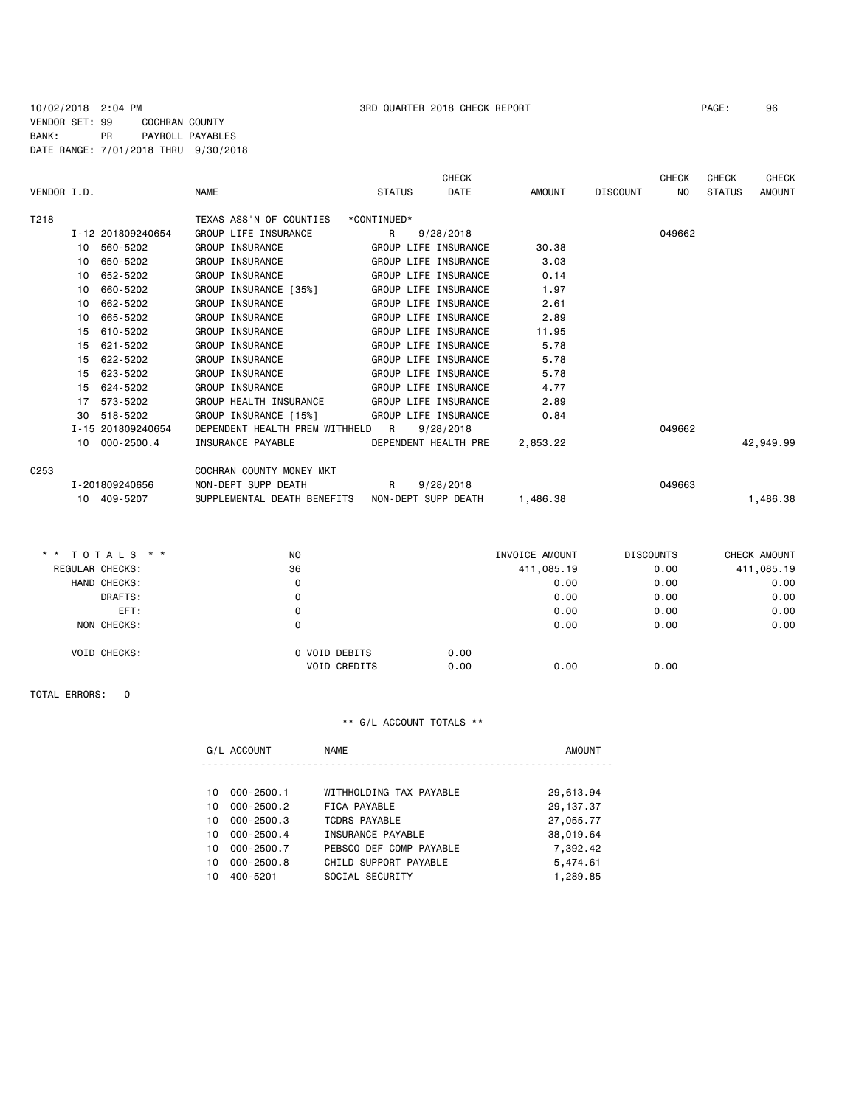## 10/02/2018 2:04 PM 3RD QUARTER 2018 CHECK REPORT PAGE: 96 VENDOR SET: 99 COCHRAN COUNTY BANK: PR PAYROLL PAYABLES DATE RANGE: 7/01/2018 THRU 9/30/2018

|                  |                   |                                  |                      | <b>CHECK</b>          |                 | <b>CHECK</b> | <b>CHECK</b>  | <b>CHECK</b>  |
|------------------|-------------------|----------------------------------|----------------------|-----------------------|-----------------|--------------|---------------|---------------|
| VENDOR I.D.      |                   | <b>NAME</b>                      | <b>STATUS</b>        | <b>DATE</b><br>AMOUNT | <b>DISCOUNT</b> | NO.          | <b>STATUS</b> | <b>AMOUNT</b> |
| T218             |                   | TEXAS ASS'N OF COUNTIES          | *CONTINUED*          |                       |                 |              |               |               |
|                  | I-12 201809240654 | GROUP LIFE INSURANCE             | R<br>9/28/2018       |                       |                 | 049662       |               |               |
|                  | 560-5202<br>10    | GROUP INSURANCE                  | GROUP LIFE INSURANCE | 30.38                 |                 |              |               |               |
|                  | 650-5202<br>10    | GROUP INSURANCE                  | GROUP LIFE INSURANCE | 3.03                  |                 |              |               |               |
|                  | 652-5202<br>10    | GROUP INSURANCE                  | GROUP LIFE INSURANCE | 0.14                  |                 |              |               |               |
|                  | 660-5202<br>10    | GROUP INSURANCE [35%]            | GROUP LIFE INSURANCE | 1.97                  |                 |              |               |               |
|                  | 662-5202<br>10    | <b>GROUP INSURANCE</b>           | GROUP LIFE INSURANCE | 2.61                  |                 |              |               |               |
|                  | 665-5202<br>10    | GROUP INSURANCE                  | GROUP LIFE INSURANCE | 2.89                  |                 |              |               |               |
|                  | 15<br>610-5202    | GROUP INSURANCE                  | GROUP LIFE INSURANCE | 11.95                 |                 |              |               |               |
|                  | 621-5202<br>15    | GROUP INSURANCE                  | GROUP LIFE INSURANCE | 5.78                  |                 |              |               |               |
|                  | 622-5202<br>15    | GROUP INSURANCE                  | GROUP LIFE INSURANCE | 5.78                  |                 |              |               |               |
|                  | 623-5202<br>15    | GROUP INSURANCE                  | GROUP LIFE INSURANCE | 5.78                  |                 |              |               |               |
|                  | 624-5202<br>15    | GROUP INSURANCE                  | GROUP LIFE INSURANCE | 4.77                  |                 |              |               |               |
|                  | 17<br>573-5202    | GROUP HEALTH INSURANCE           | GROUP LIFE INSURANCE | 2.89                  |                 |              |               |               |
|                  | 518-5202<br>30    | GROUP INSURANCE [15%]            | GROUP LIFE INSURANCE | 0.84                  |                 |              |               |               |
|                  | I-15 201809240654 | DEPENDENT HEALTH PREM WITHHELD R | 9/28/2018            |                       |                 | 049662       |               |               |
|                  | 10 000-2500.4     | INSURANCE PAYABLE                | DEPENDENT HEALTH PRE | 2,853.22              |                 |              |               | 42,949.99     |
| C <sub>253</sub> |                   | COCHRAN COUNTY MONEY MKT         |                      |                       |                 |              |               |               |
|                  | I-201809240656    | NON-DEPT SUPP DEATH              | R<br>9/28/2018       |                       |                 | 049663       |               |               |
|                  | 10 409-5207       | SUPPLEMENTAL DEATH BENEFITS      | NON-DEPT SUPP DEATH  | 1,486.38              |                 |              |               | 1,486.38      |

| * * TOTALS * *  |                     | N <sub>O</sub>      |      | INVOICE AMOUNT | <b>DISCOUNTS</b> | CHECK AMOUNT |
|-----------------|---------------------|---------------------|------|----------------|------------------|--------------|
| REGULAR CHECKS: |                     | 36                  |      | 411,085.19     | 0.00             | 411,085.19   |
|                 | HAND CHECKS:        | 0                   |      | 0.00           | 0.00             | 0.00         |
|                 | DRAFTS:             | 0                   |      | 0.00           | 0.00             | 0.00         |
|                 | EFT:                | 0                   |      | 0.00           | 0.00             | 0.00         |
|                 | NON CHECKS:         | 0                   |      | 0.00           | 0.00             | 0.00         |
|                 | <b>VOID CHECKS:</b> | O VOID DEBITS       | 0.00 |                |                  |              |
|                 |                     | <b>VOID CREDITS</b> | 0.00 | 0.00           | 0.00             |              |

## TOTAL ERRORS: 0

|     | G/L ACCOUNT    | <b>NAME</b>             | <b>AMOUNT</b> |
|-----|----------------|-------------------------|---------------|
| 10. | $000 - 2500.1$ | WITHHOLDING TAX PAYABLE | 29,613.94     |
| 10  | $000 - 2500.2$ | FICA PAYABLE            | 29, 137.37    |
| 10  | $000 - 2500.3$ | <b>TCDRS PAYABLE</b>    | 27,055.77     |
| 10. | $000 - 2500.4$ | INSURANCE PAYABLE       | 38,019.64     |
| 10  | $000 - 2500.7$ | PEBSCO DEF COMP PAYABLE | 7,392.42      |
| 10  | $000 - 2500.8$ | CHILD SUPPORT PAYABLE   | 5,474.61      |
| 10  | $400 - 5201$   | SOCIAL SECURITY         | 1,289.85      |
|     |                |                         |               |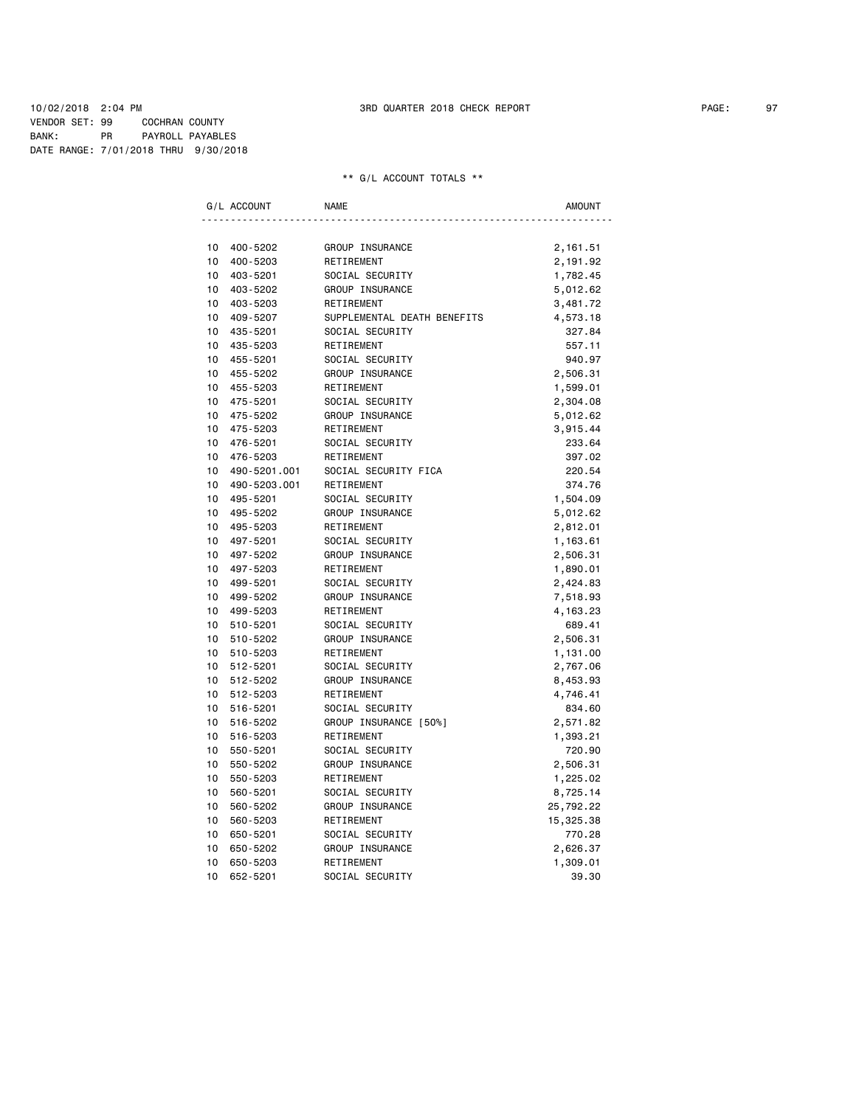### 10/02/2018 2:04 PM 3RD QUARTER 2018 CHECK REPORT PAGE: 97 VENDOR SET: 99 COCHRAN COUNTY BANK: PR PAYROLL PAYABLES DATE RANGE: 7/01/2018 THRU 9/30/2018

|                 | G/L ACCOUNT  | <b>NAME</b>                 | <b>AMOUNT</b> |
|-----------------|--------------|-----------------------------|---------------|
|                 |              |                             |               |
| 10              | 400-5202     | GROUP INSURANCE             | 2,161.51      |
| 10              | 400-5203     | RETIREMENT                  | 2,191.92      |
| 10              | 403-5201     | SOCIAL SECURITY             | 1,782.45      |
| 10              | 403-5202     | GROUP INSURANCE             | 5,012.62      |
| 10              | 403-5203     | RETIREMENT                  | 3,481.72      |
| 10              | 409-5207     | SUPPLEMENTAL DEATH BENEFITS | 4,573.18      |
| 10              | 435-5201     | SOCIAL SECURITY             | 327.84        |
| 10              | 435-5203     | RETIREMENT                  | 557.11        |
| 10              | 455-5201     | SOCIAL SECURITY             | 940.97        |
| 10              | 455-5202     | GROUP INSURANCE             | 2,506.31      |
| 10              | 455-5203     | RETIREMENT                  | 1,599.01      |
| 10              | 475-5201     | SOCIAL SECURITY             | 2,304.08      |
| 10              | 475-5202     | GROUP INSURANCE             | 5,012.62      |
| 10              | 475-5203     | RETIREMENT                  | 3,915.44      |
| 10              | 476-5201     | SOCIAL SECURITY             | 233.64        |
| 10 <sup>1</sup> | 476-5203     | RETIREMENT                  | 397.02        |
| 10              | 490-5201.001 | SOCIAL SECURITY FICA        | 220.54        |
| 10              | 490-5203.001 | RETIREMENT                  | 374.76        |
| 10              | 495-5201     | SOCIAL SECURITY             | 1,504.09      |
| 10 <sup>1</sup> | 495-5202     | GROUP INSURANCE             | 5,012.62      |
| 10              | 495-5203     | RETIREMENT                  | 2,812.01      |
| 10              | 497-5201     | SOCIAL SECURITY             | 1,163.61      |
| 10              | 497-5202     | GROUP INSURANCE             | 2,506.31      |
| 10              | 497-5203     | RETIREMENT                  | 1,890.01      |
| 10              | 499-5201     | SOCIAL SECURITY             | 2,424.83      |
| 10              | 499-5202     | GROUP INSURANCE             | 7,518.93      |
| 10              | 499-5203     | RETIREMENT                  | 4, 163. 23    |
| 10              | 510-5201     | SOCIAL SECURITY             | 689.41        |
| 10              | 510-5202     | GROUP INSURANCE             | 2,506.31      |
| 10              | 510-5203     | RETIREMENT                  | 1,131.00      |
| 10              | 512-5201     | SOCIAL SECURITY             | 2,767.06      |
| 10              | 512-5202     | GROUP INSURANCE             | 8,453.93      |
| 10              | 512-5203     | RETIREMENT                  | 4,746.41      |
| 10              | 516-5201     | SOCIAL SECURITY             | 834.60        |
| 10              | 516-5202     | GROUP INSURANCE [50%]       | 2,571.82      |
| 10              | 516-5203     | RETIREMENT                  | 1,393.21      |
| 10              | 550-5201     | SOCIAL SECURITY             | 720.90        |
| 10              | 550-5202     | GROUP INSURANCE             | 2,506.31      |
| 10              | 550-5203     | RETIREMENT                  | 1,225.02      |
| 10              | 560-5201     | SOCIAL SECURITY             | 8,725.14      |
| 10              | 560-5202     | GROUP INSURANCE             | 25,792.22     |
| 10              | 560-5203     | RETIREMENT                  | 15,325.38     |
| 10              | 650-5201     | SOCIAL SECURITY             | 770.28        |
| 10              | 650-5202     | GROUP INSURANCE             | 2,626.37      |
| 10              | 650-5203     | RETIREMENT                  | 1,309.01      |
| 10              | 652-5201     | SOCIAL SECURITY             | 39.30         |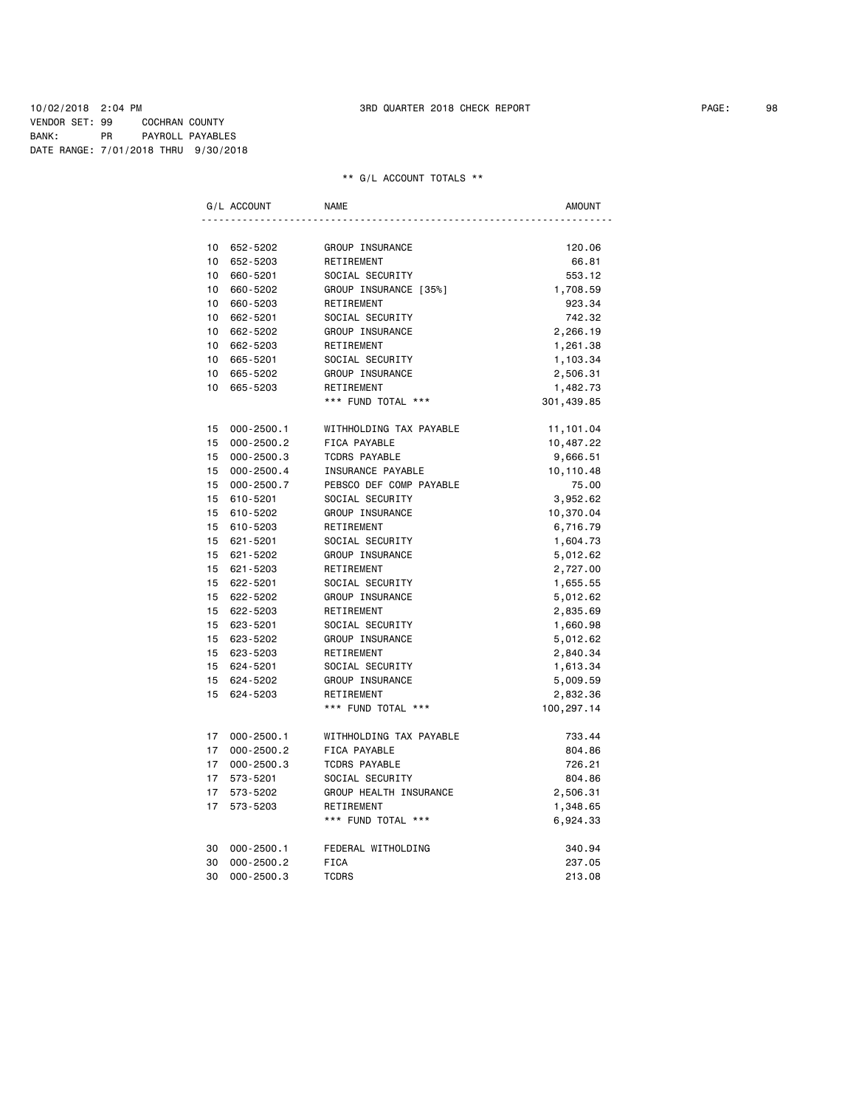### 10/02/2018 2:04 PM 3RD QUARTER 2018 CHECK REPORT PAGE: 98 VENDOR SET: 99 COCHRAN COUNTY BANK: PR PAYROLL PAYABLES DATE RANGE: 7/01/2018 THRU 9/30/2018

|                  | G/L ACCOUNT    | <b>NAME</b>             | <b>AMOUNT</b> |
|------------------|----------------|-------------------------|---------------|
|                  |                |                         |               |
|                  | 10 652-5202    | GROUP INSURANCE         | 120.06        |
| 10 <sup>1</sup>  | 652-5203       | RETIREMENT              | 66.81         |
| 10 <sub>1</sub>  | 660-5201       | SOCIAL SECURITY         | 553.12        |
| 10               | 660-5202       | GROUP INSURANCE [35%]   | 1,708.59      |
| 10 <sup>1</sup>  | 660-5203       | RETIREMENT              | 923.34        |
| 10               | 662-5201       | SOCIAL SECURITY         | 742.32        |
| 10               | 662-5202       | GROUP INSURANCE         | 2,266.19      |
| 10               | 662-5203       | RETIREMENT              | 1,261.38      |
|                  | 10 665-5201    | SOCIAL SECURITY         | 1,103.34      |
| $10-10$          | 665-5202       | GROUP INSURANCE         | 2,506.31      |
| 10               | 665-5203       | RETIREMENT              | 1,482.73      |
|                  |                | *** FUND TOTAL ***      | 301,439.85    |
| 15 <sub>1</sub>  | $000 - 2500.1$ | WITHHOLDING TAX PAYABLE | 11,101.04     |
| 15               | $000 - 2500.2$ | FICA PAYABLE            | 10,487.22     |
| 15 <sub>1</sub>  | $000 - 2500.3$ | <b>TCDRS PAYABLE</b>    | 9,666.51      |
| 15               | $000 - 2500.4$ | INSURANCE PAYABLE       | 10,110.48     |
| 15               | $000 - 2500.7$ | PEBSCO DEF COMP PAYABLE | 75.00         |
| 15               | 610-5201       | SOCIAL SECURITY         | 3,952.62      |
| 15               | 610-5202       | GROUP INSURANCE         | 10,370.04     |
| 15               | 610-5203       | RETIREMENT              | 6,716.79      |
| 15 <sup>15</sup> | 621-5201       | SOCIAL SECURITY         | 1,604.73      |
| 15               | 621-5202       | GROUP INSURANCE         | 5,012.62      |
| 15               | 621-5203       | RETIREMENT              | 2,727.00      |
|                  | 15 622-5201    | SOCIAL SECURITY         | 1,655.55      |
|                  | 15 622-5202    | GROUP INSURANCE         | 5,012.62      |
|                  | 15 622-5203    | RETIREMENT              | 2,835.69      |
|                  | 15 623-5201    | SOCIAL SECURITY         | 1,660.98      |
|                  | 15 623-5202    | GROUP INSURANCE         | 5,012.62      |
|                  | 15 623-5203    | RETIREMENT              | 2,840.34      |
| 15               | 624-5201       | SOCIAL SECURITY         | 1,613.34      |
| 15               | 624-5202       | GROUP INSURANCE         | 5,009.59      |
| 15               | 624-5203       | RETIREMENT              | 2,832.36      |
|                  |                | *** FUND TOTAL ***      | 100,297.14    |
| 17               | $000 - 2500.1$ | WITHHOLDING TAX PAYABLE | 733.44        |
| 17               | $000 - 2500.2$ | FICA PAYABLE            | 804.86        |
| 17 <sup>7</sup>  | $000 - 2500.3$ | <b>TCDRS PAYABLE</b>    | 726.21        |
| 17 <sup>7</sup>  | 573-5201       | SOCIAL SECURITY         | 804.86        |
| 17 <sup>7</sup>  | 573-5202       | GROUP HEALTH INSURANCE  | 2,506.31      |
| 17               | 573-5203       | RETIREMENT              | 1,348.65      |
|                  |                | *** FUND TOTAL ***      | 6,924.33      |
| 30               | $000 - 2500.1$ | FEDERAL WITHOLDING      | 340.94        |
| 30               | $000 - 2500.2$ | <b>FICA</b>             | 237.05        |
| 30               | $000 - 2500.3$ | <b>TCDRS</b>            | 213.08        |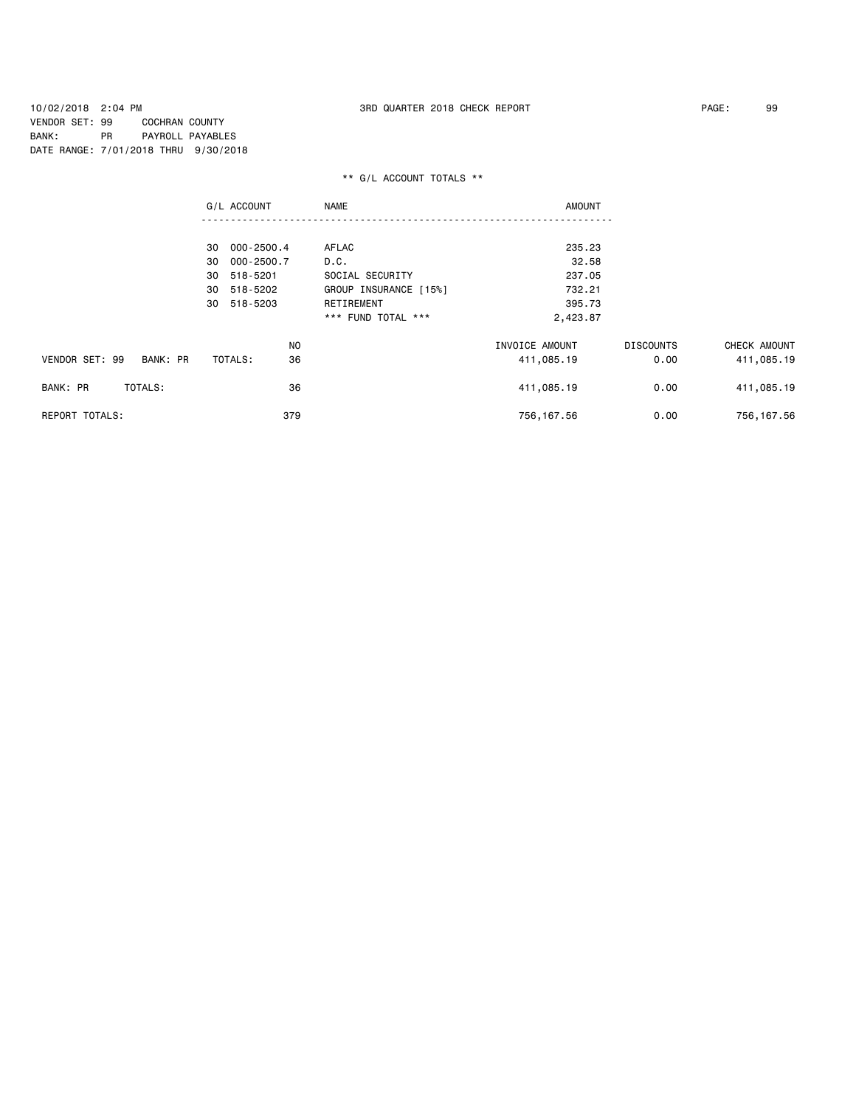10/02/2018 2:04 PM 3RD QUARTER 2018 CHECK REPORT PAGE: 99 VENDOR SET: 99 COCHRAN COUNTY BANK: PR PAYROLL PAYABLES DATE RANGE: 7/01/2018 THRU 9/30/2018

|                            | G/L ACCOUNT      | <b>NAME</b>           | <b>AMOUNT</b>  |                  |              |
|----------------------------|------------------|-----------------------|----------------|------------------|--------------|
|                            |                  |                       |                |                  |              |
|                            | 000-2500.4<br>30 | AFLAC                 | 235.23         |                  |              |
|                            | 000-2500.7<br>30 | D.C.                  | 32.58          |                  |              |
|                            | 518-5201<br>30   | SOCIAL SECURITY       | 237.05         |                  |              |
|                            | 518-5202<br>30   | GROUP INSURANCE [15%] | 732.21         |                  |              |
|                            | 30<br>518-5203   | RETIREMENT            | 395.73         |                  |              |
|                            |                  | *** FUND TOTAL ***    | 2,423.87       |                  |              |
|                            | NO.              |                       | INVOICE AMOUNT | <b>DISCOUNTS</b> | CHECK AMOUNT |
| VENDOR SET: 99<br>BANK: PR | 36<br>TOTALS:    |                       | 411,085.19     | 0.00             | 411,085.19   |
| TOTALS:<br>BANK: PR        | 36               |                       | 411,085.19     | 0.00             | 411,085.19   |
| REPORT TOTALS:             | 379              |                       | 756, 167.56    | 0.00             | 756, 167.56  |